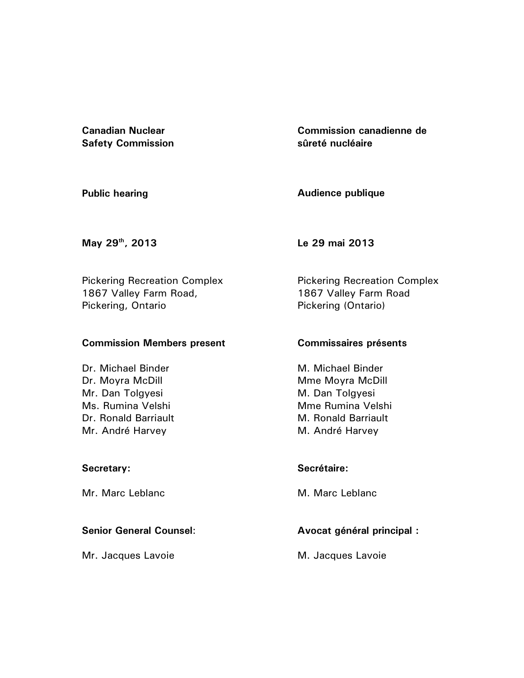**Canadian Nuclear Safety Commission**  **Commission canadienne de sûreté nucléaire** 

**Public hearing** 

**Audience publique**

**May 29th, 2013** 

**Le 29 mai 2013** 

Pickering Recreation Complex 1867 Valley Farm Road, Pickering, Ontario

# **Commission Members present**

Dr. Michael Binder Dr. Moyra McDill Mr. Dan Tolgyesi Ms. Rumina Velshi Dr. Ronald Barriault Mr. André Harvey

# **Secretary:**

Mr. Marc Leblanc

# **Senior General Counsel**:

Mr. Jacques Lavoie

Pickering Recreation Complex 1867 Valley Farm Road Pickering (Ontario)

# **Commissaires présents**

M. Michael Binder Mme Moyra McDill M. Dan Tolgyesi Mme Rumina Velshi M. Ronald Barriault M. André Harvey

# **Secrétaire:**

M. Marc Leblanc

# **Avocat général principal :**

M. Jacques Lavoie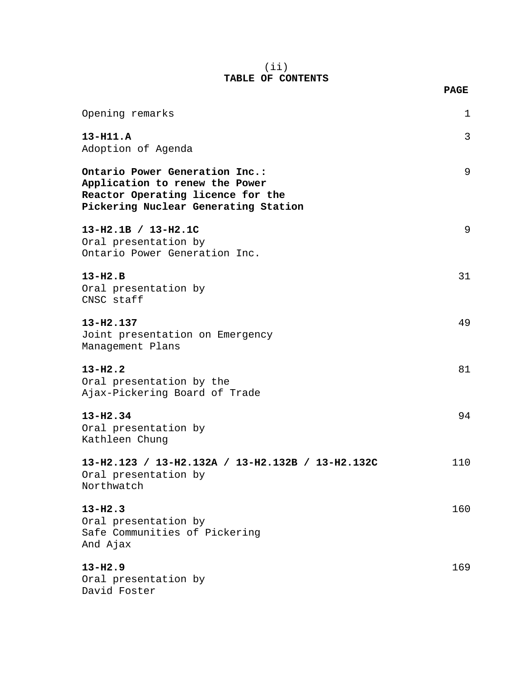## (ii) **TABLE OF CONTENTS**

| Opening remarks                                                                                                                               | 1   |
|-----------------------------------------------------------------------------------------------------------------------------------------------|-----|
| $13 - H11.A$<br>Adoption of Agenda                                                                                                            | 3   |
| Ontario Power Generation Inc.:<br>Application to renew the Power<br>Reactor Operating licence for the<br>Pickering Nuclear Generating Station | 9   |
| 13-H2.1B / 13-H2.1C<br>Oral presentation by<br>Ontario Power Generation Inc.                                                                  | 9   |
| $13-H2.B$<br>Oral presentation by<br>CNSC staff                                                                                               | 31  |
| 13-H2.137<br>Joint presentation on Emergency<br>Management Plans                                                                              | 49  |
| $13 - H2.2$<br>Oral presentation by the<br>Ajax-Pickering Board of Trade                                                                      | 81  |
| $13 - H2.34$<br>Oral presentation by<br>Kathleen Chung                                                                                        | 94  |
| 13-H2.123 / 13-H2.132A / 13-H2.132B / 13-H2.132C<br>Oral presentation by<br>Northwatch                                                        | 110 |
| $13 - H2.3$<br>Oral presentation by<br>Safe Communities of Pickering<br>And Ajax                                                              | 160 |
| $13 - H2.9$<br>Oral presentation by<br>David Foster                                                                                           | 169 |

**PAGE**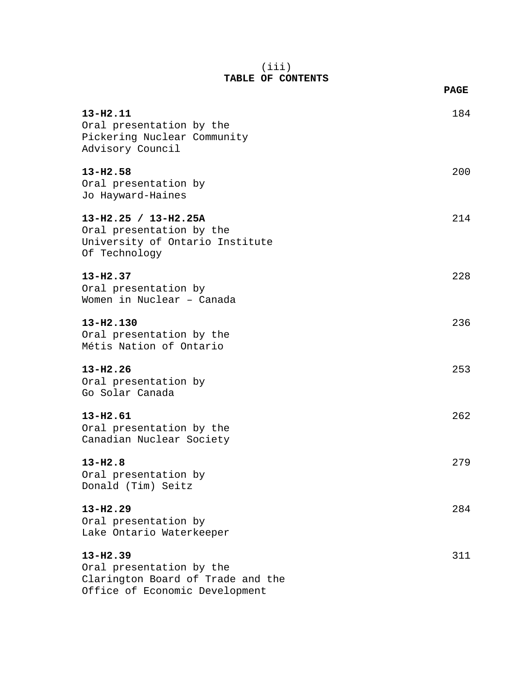## (iii) **TABLE OF CONTENTS**

|                                                                                                      | <b>PAGE</b> |
|------------------------------------------------------------------------------------------------------|-------------|
| $13 - H2.11$<br>Oral presentation by the<br>Pickering Nuclear Community<br>Advisory Council          | 184         |
| $13 - H2.58$<br>Oral presentation by<br>Jo Hayward-Haines                                            | 200         |
| 13-H2.25 / 13-H2.25A<br>Oral presentation by the<br>University of Ontario Institute<br>Of Technology | 214         |
| $13 - H2.37$<br>Oral presentation by<br>Women in Nuclear - Canada                                    | 228         |
| 13-H2.130<br>Oral presentation by the<br>Métis Nation of Ontario                                     | 236         |
| $13 - H2.26$<br>Oral presentation by<br>Go Solar Canada                                              | 253         |
| $13 - H2.61$<br>Oral presentation by the<br>Canadian Nuclear Society                                 | 262         |
| $13 - H2.8$<br>Oral presentation by<br>Donald (Tim) Seitz                                            | 279         |
| $13 - H2.29$<br>Oral presentation by<br>Lake Ontario Waterkeeper                                     | 284         |
| $13 - H2.39$<br>Oral presentation by the<br>Clarington Board of Trade and the                        | 311         |

Office of Economic Development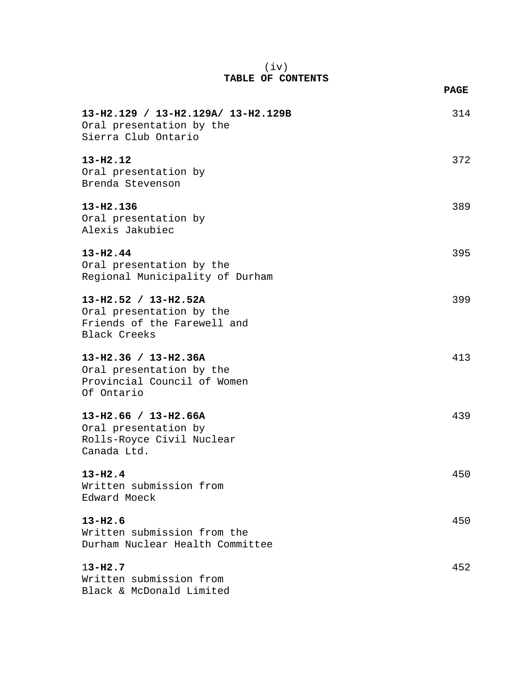#### (iv) **TABLE OF CONTENTS**

|                                                                                                   | <b>PAGE</b> |
|---------------------------------------------------------------------------------------------------|-------------|
| 13-H2.129 / 13-H2.129A/ 13-H2.129B<br>Oral presentation by the<br>Sierra Club Ontario             | 314         |
| $13 - H2.12$<br>Oral presentation by<br>Brenda Stevenson                                          | 372         |
| 13-H2.136<br>Oral presentation by<br>Alexis Jakubiec                                              | 389         |
| $13 - H2.44$<br>Oral presentation by the<br>Regional Municipality of Durham                       | 395         |
| $13-H2.52 / 13-H2.52A$<br>Oral presentation by the<br>Friends of the Farewell and<br>Black Creeks | 399         |
| $13-H2.36 / 13-H2.36A$<br>Oral presentation by the<br>Provincial Council of Women<br>Of Ontario   | 413         |
| $13-H2.66 / 13-H2.66A$<br>Oral presentation by<br>Rolls-Royce Civil Nuclear<br>Canada Ltd.        | 439         |
| $13 - H2.4$<br>Written submission from<br>Edward Moeck                                            | 450         |
| $13 - H2.6$<br>Written submission from the<br>Durham Nuclear Health Committee                     | 450         |
| $13 - H2.7$<br>Written submission from<br>Black & McDonald Limited                                | 452         |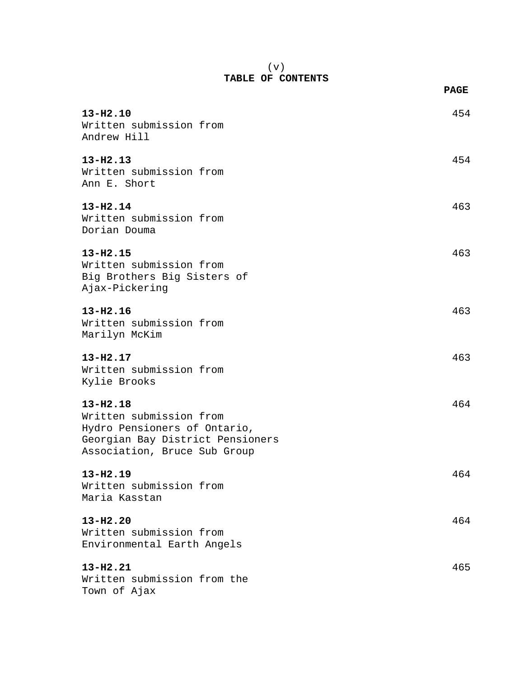#### (v) **TABLE OF CONTENTS**

|                                                                                                                                             | <b>PAGE</b> |
|---------------------------------------------------------------------------------------------------------------------------------------------|-------------|
| $13 - H2.10$<br>Written submission from<br>Andrew Hill                                                                                      | 454         |
| $13 - H2.13$<br>Written submission from<br>Ann E. Short                                                                                     | 454         |
| $13 - H2.14$<br>Written submission from<br>Dorian Douma                                                                                     | 463         |
| $13 - H2.15$<br>Written submission from<br>Big Brothers Big Sisters of<br>Ajax-Pickering                                                    | 463         |
| $13 - H2.16$<br>Written submission from<br>Marilyn McKim                                                                                    | 463         |
| $13 - H2.17$<br>Written submission from<br>Kylie Brooks                                                                                     | 463         |
| $13 - H2.18$<br>Written submission from<br>Hydro Pensioners of Ontario,<br>Georgian Bay District Pensioners<br>Association, Bruce Sub Group | 464         |
| $13 - H2.19$<br>Written submission from<br>Maria Kasstan                                                                                    | 464         |
| $13 - H2.20$<br>Written submission from<br>Environmental Earth Angels                                                                       | 464         |
| 13-H2.21<br>Written submission from the<br>Town of Ajax                                                                                     | 465         |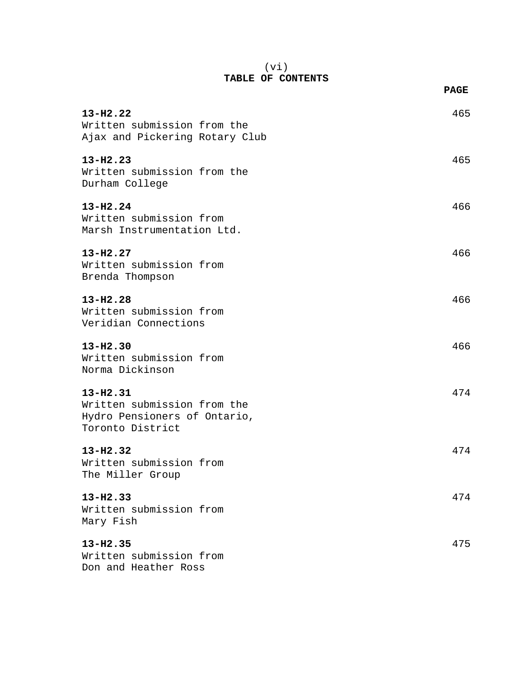#### (vi) **TABLE OF CONTENTS**

|                                                                                                 | <b>PAGE</b> |
|-------------------------------------------------------------------------------------------------|-------------|
| $13 - H2.22$<br>Written submission from the<br>Ajax and Pickering Rotary Club                   | 465         |
| $13 - H2.23$<br>Written submission from the<br>Durham College                                   | 465         |
| $13 - H2.24$<br>Written submission from<br>Marsh Instrumentation Ltd.                           | 466         |
| $13 - H2.27$<br>Written submission from<br>Brenda Thompson                                      | 466         |
| $13 - H2.28$<br>Written submission from<br>Veridian Connections                                 | 466         |
| $13 - H2.30$<br>Written submission from<br>Norma Dickinson                                      | 466         |
| $13 - H2.31$<br>Written submission from the<br>Hydro Pensioners of Ontario,<br>Toronto District | 474         |
| $13 - H2.32$<br>Written submission from<br>The Miller Group                                     | 474         |
| $13 - H2.33$<br>Written submission from<br>Mary Fish                                            | 474         |
| $13 - H2.35$<br>Written submission from                                                         | 475         |

Don and Heather Ross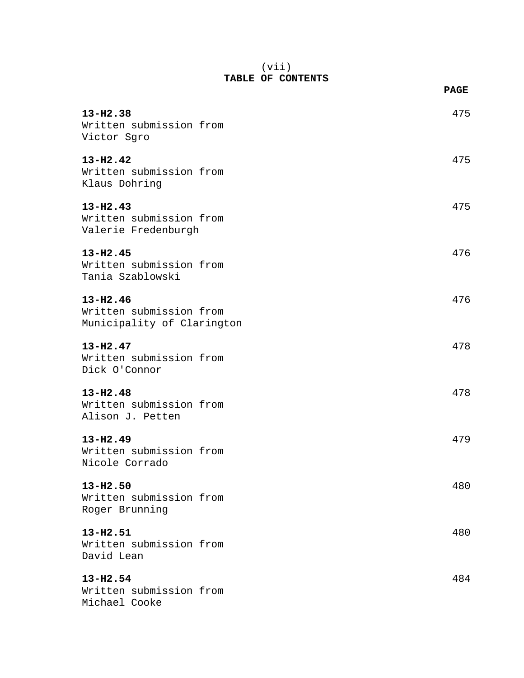#### (vii) **TABLE OF CONTENTS**

|                                                                       | <b>PAGE</b> |
|-----------------------------------------------------------------------|-------------|
| $13 - H2.38$<br>Written submission from<br>Victor Sgro                | 475         |
| $13 - H2.42$<br>Written submission from<br>Klaus Dohring              | 475         |
| $13 - H2.43$<br>Written submission from<br>Valerie Fredenburgh        | 475         |
| $13 - H2.45$<br>Written submission from<br>Tania Szablowski           | 476         |
| $13 - H2.46$<br>Written submission from<br>Municipality of Clarington | 476         |
| $13 - H2.47$<br>Written submission from<br>Dick O'Connor              | 478         |
| $13 - H2.48$<br>Written submission from<br>Alison J. Petten           | 478         |
| $13 - H2.49$<br>Written submission from<br>Nicole Corrado             | 479         |
| $13 - H2.50$<br>Written submission from<br>Roger Brunning             | 480         |
| 13-H2.51<br>Written submission from<br>David Lean                     | 480         |
| $13 - H2.54$<br>Written submission from<br>Michael Cooke              | 484         |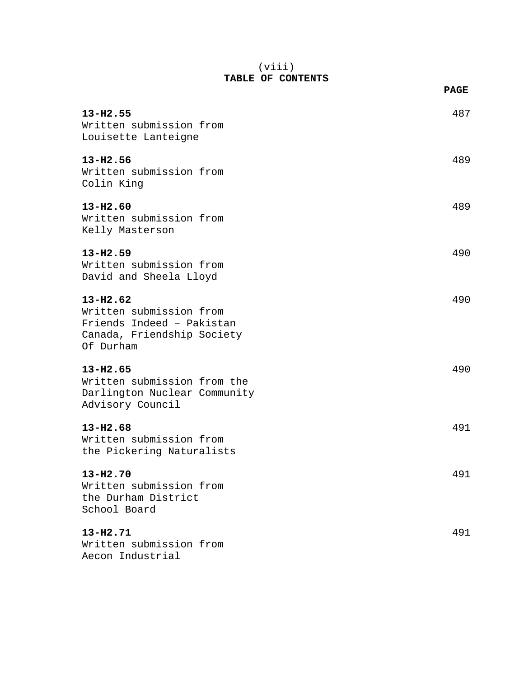## (viii) **TABLE OF CONTENTS**

|                                                                                                                 | <b>PAGE</b> |
|-----------------------------------------------------------------------------------------------------------------|-------------|
| $13 - H2.55$<br>Written submission from<br>Louisette Lanteigne                                                  | 487         |
| $13 - H2.56$<br>Written submission from<br>Colin King                                                           | 489         |
| $13 - H2.60$<br>Written submission from<br>Kelly Masterson                                                      | 489         |
| $13 - H2.59$<br>Written submission from<br>David and Sheela Lloyd                                               | 490         |
| $13 - H2.62$<br>Written submission from<br>Friends Indeed - Pakistan<br>Canada, Friendship Society<br>Of Durham | 490         |
| $13 - H2.65$<br>Written submission from the<br>Darlington Nuclear Community<br>Advisory Council                 | 490         |
| $13 - H2.68$<br>Written submission from<br>the Pickering Naturalists                                            | 491         |
| 13-H2.70<br>Written submission from<br>the Durham District<br>School Board                                      | 491         |
| 13-H2.71<br>Written submission from<br>Aecon Industrial                                                         | 491         |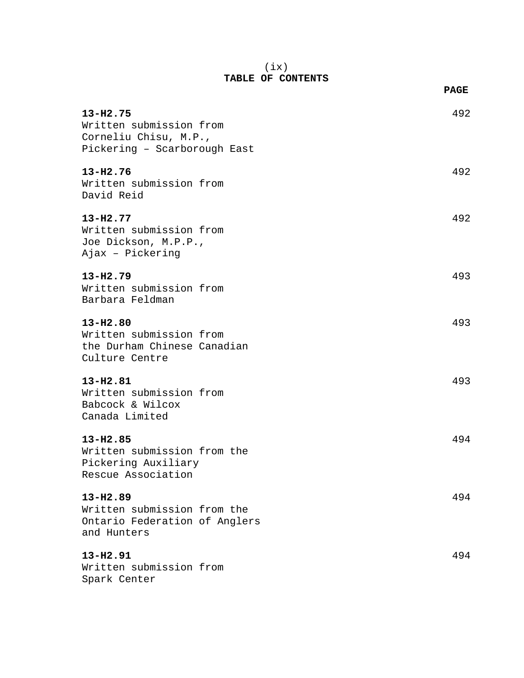#### $(ix)$ **TABLE OF CONTENTS**

|                                                                                                  | <b>PAGE</b> |
|--------------------------------------------------------------------------------------------------|-------------|
| $13 - H2.75$<br>Written submission from<br>Corneliu Chisu, M.P.,<br>Pickering - Scarborough East | 492         |
| $13 - H2.76$<br>Written submission from<br>David Reid                                            | 492         |
| $13 - H2.77$<br>Written submission from<br>Joe Dickson, M.P.P.,<br>Ajax - Pickering              | 492         |
| $13 - H2.79$<br>Written submission from<br>Barbara Feldman                                       | 493         |
| $13 - H2.80$<br>Written submission from<br>the Durham Chinese Canadian<br>Culture Centre         | 493         |
| $13 - H2.81$<br>Written submission from<br>Babcock & Wilcox<br>Canada Limited                    | 493         |
| $13 - H2.85$<br>Written submission from the<br>Pickering Auxiliary<br>Rescue Association         | 494         |
| $13 - H2.89$<br>Written submission from the<br>Ontario Federation of Anglers<br>and Hunters      | 494         |
| $13 - H2.91$<br>Written submission from<br>Spark Center                                          | 494         |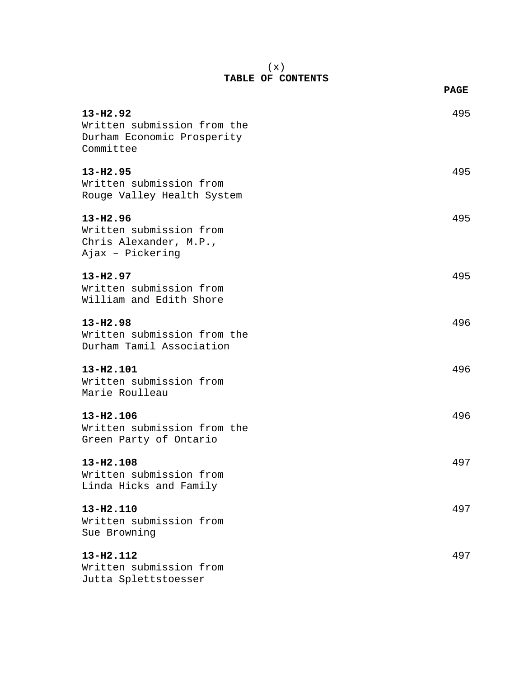#### (x) **TABLE OF CONTENTS**

|                                                                                        | <b>PAGE</b> |
|----------------------------------------------------------------------------------------|-------------|
| $13 - H2.92$<br>Written submission from the<br>Durham Economic Prosperity<br>Committee | 495         |
| $13 - H2.95$<br>Written submission from<br>Rouge Valley Health System                  | 495         |
| $13 - H2.96$<br>Written submission from<br>Chris Alexander, M.P.,<br>Ajax - Pickering  | 495         |
| $13 - H2.97$<br>Written submission from<br>William and Edith Shore                     | 495         |
| $13 - H2.98$<br>Written submission from the<br>Durham Tamil Association                | 496         |
| 13-H2.101<br>Written submission from<br>Marie Roulleau                                 | 496         |
| 13-H2.106<br>Written submission from the<br>Green Party of Ontario                     | 496         |
| 13-H2.108<br>Written submission from<br>Linda Hicks and Family                         | 497         |
| 13-H2.110<br>Written submission from<br>Sue Browning                                   | 497         |
| 13-H2.112<br>Written submission from<br>Jutta Splettstoesser                           | 497         |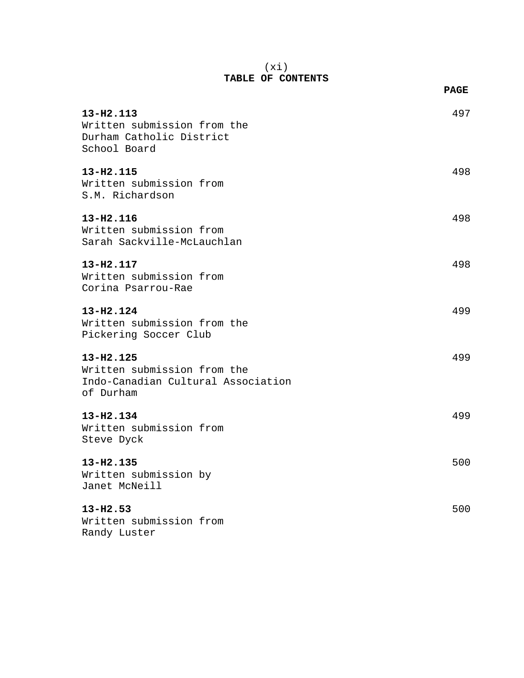#### (xi) **TABLE OF CONTENTS**

|                                                                                             | <b>PAGE</b> |
|---------------------------------------------------------------------------------------------|-------------|
| 13-H2.113<br>Written submission from the<br>Durham Catholic District<br>School Board        | 497         |
| 13-H2.115<br>Written submission from<br>S.M. Richardson                                     | 498         |
| 13-H2.116<br>Written submission from<br>Sarah Sackville-McLauchlan                          | 498         |
| 13-H2.117<br>Written submission from<br>Corina Psarrou-Rae                                  | 498         |
| 13-H2.124<br>Written submission from the<br>Pickering Soccer Club                           | 499         |
| 13-H2.125<br>Written submission from the<br>Indo-Canadian Cultural Association<br>of Durham | 499         |
| 13-H2.134<br>Written submission from<br>Steve Dyck                                          | 499         |
| 13-H2.135<br>Written submission by<br>Janet McNeill                                         | 500         |
| $13 - H2.53$<br>Written submission from<br>Randy Luster                                     | 500         |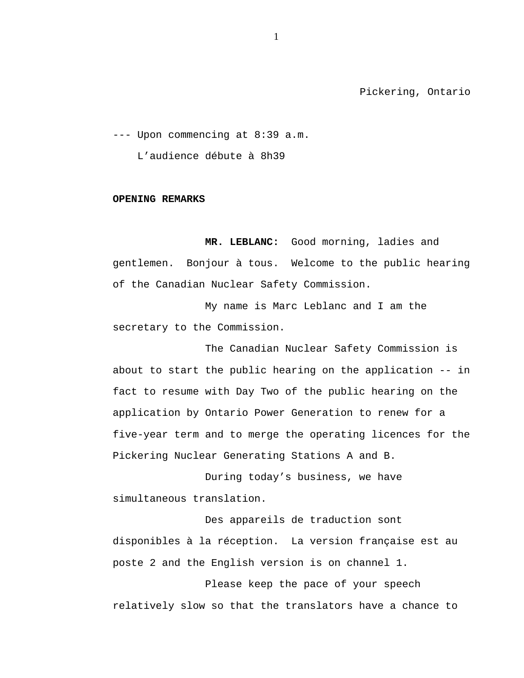Pickering, Ontario

--- Upon commencing at 8:39 a.m.

L'audience débute à 8h39

#### **OPENING REMARKS**

**MR. LEBLANC:** Good morning, ladies and gentlemen. Bonjour à tous. Welcome to the public hearing of the Canadian Nuclear Safety Commission.

My name is Marc Leblanc and I am the secretary to the Commission.

The Canadian Nuclear Safety Commission is about to start the public hearing on the application -- in fact to resume with Day Two of the public hearing on the application by Ontario Power Generation to renew for a five-year term and to merge the operating licences for the Pickering Nuclear Generating Stations A and B.

During today's business, we have simultaneous translation.

Des appareils de traduction sont disponibles à la réception. La version française est au poste 2 and the English version is on channel 1.

Please keep the pace of your speech relatively slow so that the translators have a chance to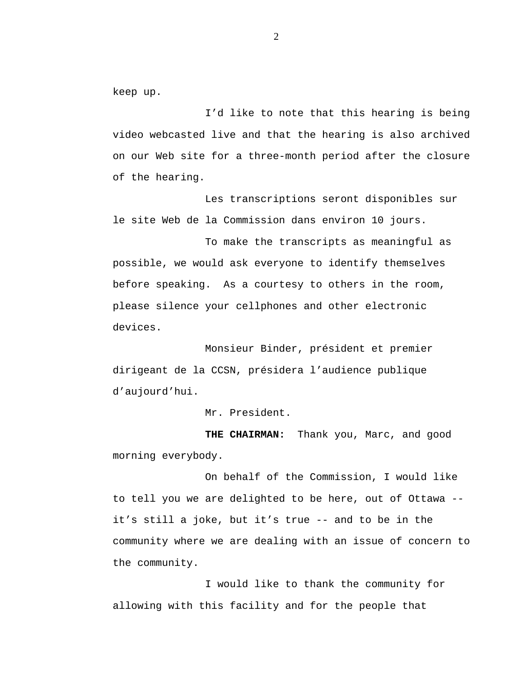keep up.

I'd like to note that this hearing is being video webcasted live and that the hearing is also archived on our Web site for a three-month period after the closure of the hearing.

Les transcriptions seront disponibles sur le site Web de la Commission dans environ 10 jours.

To make the transcripts as meaningful as possible, we would ask everyone to identify themselves before speaking. As a courtesy to others in the room, please silence your cellphones and other electronic devices.

Monsieur Binder, président et premier dirigeant de la CCSN, présidera l'audience publique d'aujourd'hui.

Mr. President.

**THE CHAIRMAN:** Thank you, Marc, and good morning everybody.

On behalf of the Commission, I would like to tell you we are delighted to be here, out of Ottawa - it's still a joke, but it's true -- and to be in the community where we are dealing with an issue of concern to the community.

I would like to thank the community for allowing with this facility and for the people that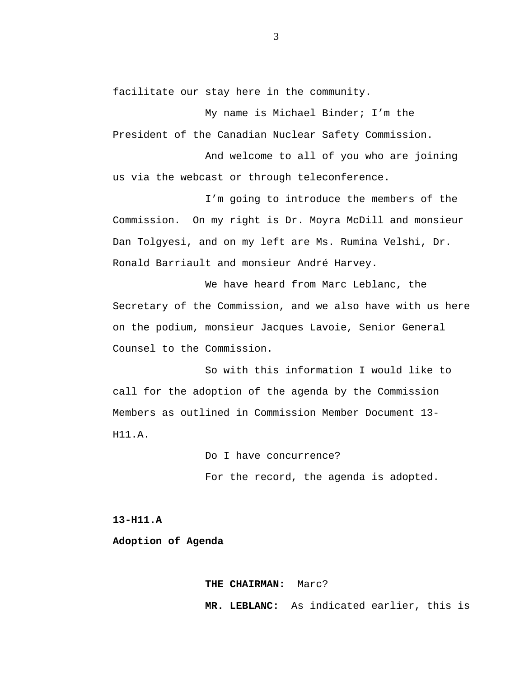facilitate our stay here in the community.

My name is Michael Binder; I'm the President of the Canadian Nuclear Safety Commission.

And welcome to all of you who are joining us via the webcast or through teleconference.

I'm going to introduce the members of the Commission. On my right is Dr. Moyra McDill and monsieur Dan Tolgyesi, and on my left are Ms. Rumina Velshi, Dr. Ronald Barriault and monsieur André Harvey.

We have heard from Marc Leblanc, the Secretary of the Commission, and we also have with us here on the podium, monsieur Jacques Lavoie, Senior General Counsel to the Commission.

So with this information I would like to call for the adoption of the agenda by the Commission Members as outlined in Commission Member Document 13- H11.A.

> Do I have concurrence? For the record, the agenda is adopted.

**13-H11.A**

**Adoption of Agenda**

**THE CHAIRMAN:** Marc? **MR. LEBLANC:** As indicated earlier, this is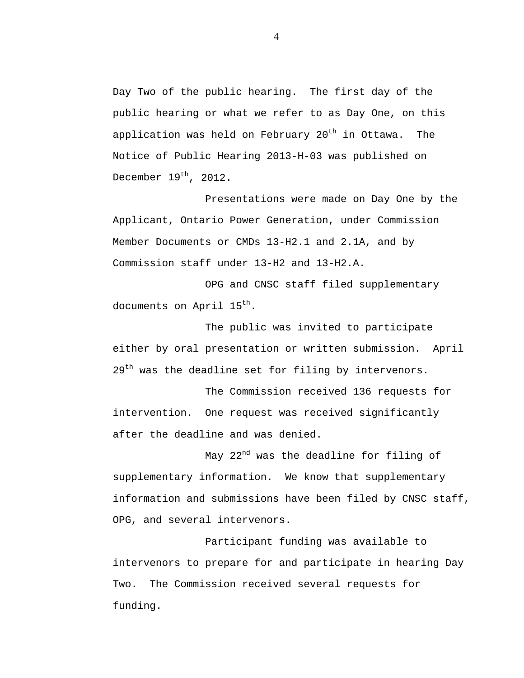Day Two of the public hearing. The first day of the public hearing or what we refer to as Day One, on this application was held on February  $20<sup>th</sup>$  in Ottawa. The Notice of Public Hearing 2013-H-03 was published on December  $19<sup>th</sup>$ , 2012.

Presentations were made on Day One by the Applicant, Ontario Power Generation, under Commission Member Documents or CMDs 13-H2.1 and 2.1A, and by Commission staff under 13-H2 and 13-H2.A.

OPG and CNSC staff filed supplementary documents on April 15<sup>th</sup>.

The public was invited to participate either by oral presentation or written submission. April  $29<sup>th</sup>$  was the deadline set for filing by intervenors.

The Commission received 136 requests for intervention. One request was received significantly after the deadline and was denied.

May 22<sup>nd</sup> was the deadline for filing of supplementary information. We know that supplementary information and submissions have been filed by CNSC staff, OPG, and several intervenors.

Participant funding was available to intervenors to prepare for and participate in hearing Day Two. The Commission received several requests for funding.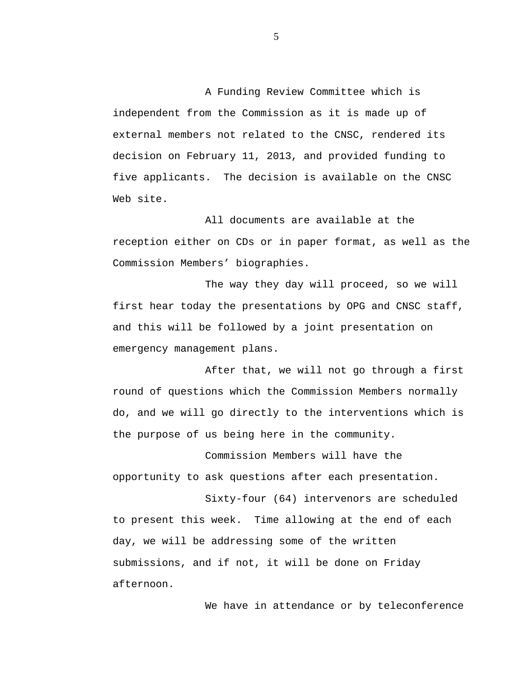A Funding Review Committee which is independent from the Commission as it is made up of external members not related to the CNSC, rendered its decision on February 11, 2013, and provided funding to five applicants. The decision is available on the CNSC Web site.

All documents are available at the reception either on CDs or in paper format, as well as the Commission Members' biographies.

The way they day will proceed, so we will first hear today the presentations by OPG and CNSC staff, and this will be followed by a joint presentation on emergency management plans.

After that, we will not go through a first round of questions which the Commission Members normally do, and we will go directly to the interventions which is the purpose of us being here in the community.

Commission Members will have the opportunity to ask questions after each presentation.

Sixty-four (64) intervenors are scheduled to present this week. Time allowing at the end of each day, we will be addressing some of the written submissions, and if not, it will be done on Friday afternoon.

We have in attendance or by teleconference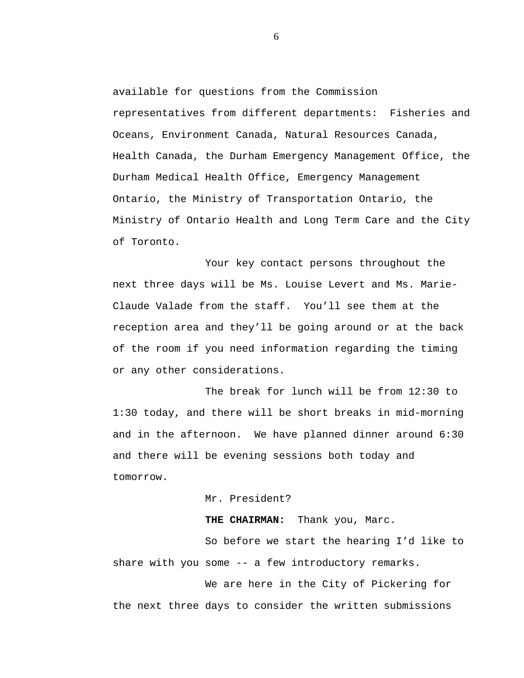available for questions from the Commission representatives from different departments: Fisheries and Oceans, Environment Canada, Natural Resources Canada, Health Canada, the Durham Emergency Management Office, the Durham Medical Health Office, Emergency Management Ontario, the Ministry of Transportation Ontario, the Ministry of Ontario Health and Long Term Care and the City of Toronto.

Your key contact persons throughout the next three days will be Ms. Louise Levert and Ms. Marie-Claude Valade from the staff. You'll see them at the reception area and they'll be going around or at the back of the room if you need information regarding the timing or any other considerations.

The break for lunch will be from 12:30 to 1:30 today, and there will be short breaks in mid-morning and in the afternoon. We have planned dinner around 6:30 and there will be evening sessions both today and tomorrow.

#### Mr. President?

**THE CHAIRMAN:** Thank you, Marc.

So before we start the hearing I'd like to share with you some -- a few introductory remarks.

We are here in the City of Pickering for the next three days to consider the written submissions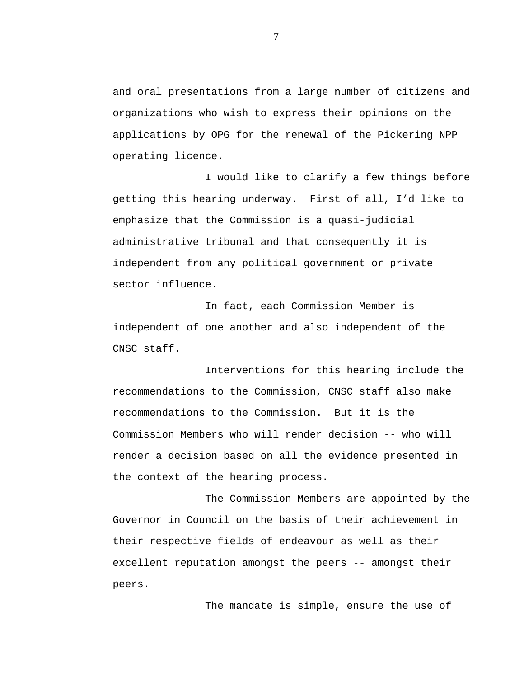and oral presentations from a large number of citizens and organizations who wish to express their opinions on the applications by OPG for the renewal of the Pickering NPP operating licence.

I would like to clarify a few things before getting this hearing underway. First of all, I'd like to emphasize that the Commission is a quasi-judicial administrative tribunal and that consequently it is independent from any political government or private sector influence.

In fact, each Commission Member is independent of one another and also independent of the CNSC staff.

Interventions for this hearing include the recommendations to the Commission, CNSC staff also make recommendations to the Commission. But it is the Commission Members who will render decision -- who will render a decision based on all the evidence presented in the context of the hearing process.

The Commission Members are appointed by the Governor in Council on the basis of their achievement in their respective fields of endeavour as well as their excellent reputation amongst the peers -- amongst their peers.

The mandate is simple, ensure the use of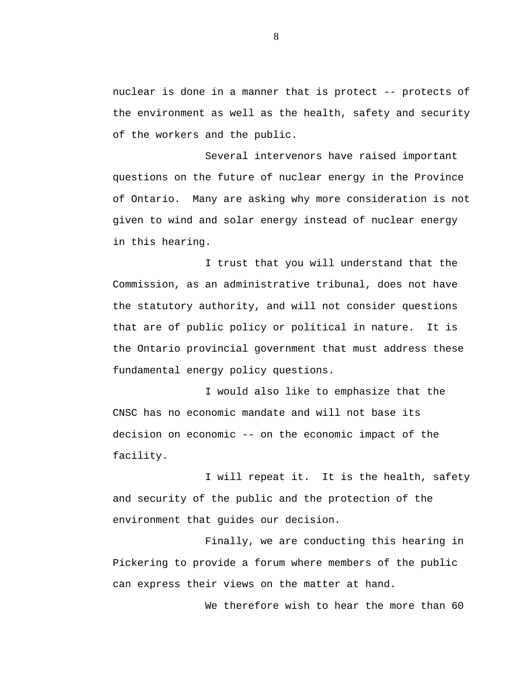nuclear is done in a manner that is protect -- protects of the environment as well as the health, safety and security of the workers and the public.

Several intervenors have raised important questions on the future of nuclear energy in the Province of Ontario. Many are asking why more consideration is not given to wind and solar energy instead of nuclear energy in this hearing.

I trust that you will understand that the Commission, as an administrative tribunal, does not have the statutory authority, and will not consider questions that are of public policy or political in nature. It is the Ontario provincial government that must address these fundamental energy policy questions.

I would also like to emphasize that the CNSC has no economic mandate and will not base its decision on economic -- on the economic impact of the facility.

I will repeat it. It is the health, safety and security of the public and the protection of the environment that guides our decision.

Finally, we are conducting this hearing in Pickering to provide a forum where members of the public can express their views on the matter at hand.

We therefore wish to hear the more than 60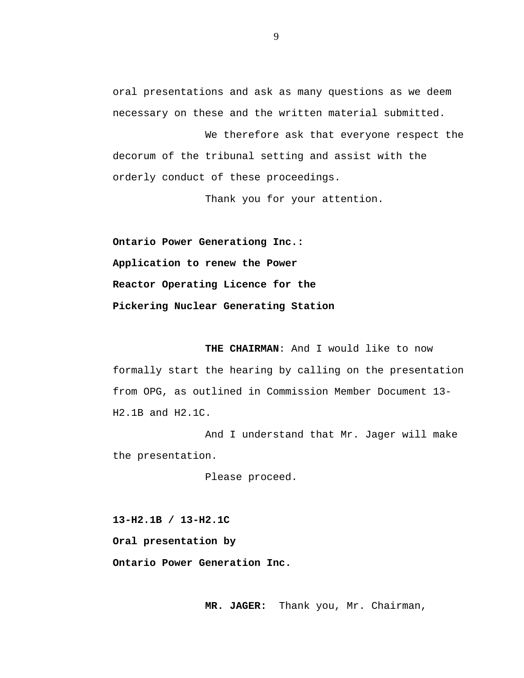oral presentations and ask as many questions as we deem necessary on these and the written material submitted.

We therefore ask that everyone respect the decorum of the tribunal setting and assist with the orderly conduct of these proceedings.

Thank you for your attention.

**Ontario Power Generationg Inc.: Application to renew the Power Reactor Operating Licence for the Pickering Nuclear Generating Station**

**THE CHAIRMAN**: And I would like to now formally start the hearing by calling on the presentation from OPG, as outlined in Commission Member Document 13- H2.1B and H2.1C.

And I understand that Mr. Jager will make the presentation.

Please proceed.

**13-H2.1B / 13-H2.1C Oral presentation by Ontario Power Generation Inc.**

**MR. JAGER:** Thank you, Mr. Chairman,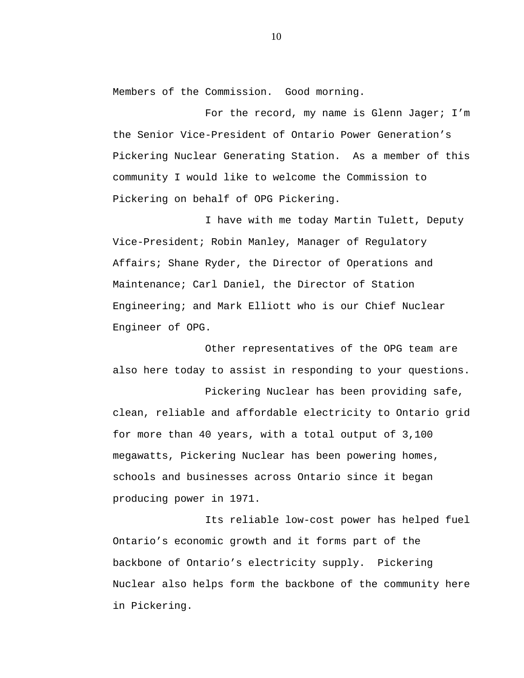Members of the Commission. Good morning.

For the record, my name is Glenn Jager; I'm the Senior Vice-President of Ontario Power Generation's Pickering Nuclear Generating Station. As a member of this community I would like to welcome the Commission to Pickering on behalf of OPG Pickering.

I have with me today Martin Tulett, Deputy Vice-President; Robin Manley, Manager of Regulatory Affairs; Shane Ryder, the Director of Operations and Maintenance; Carl Daniel, the Director of Station Engineering; and Mark Elliott who is our Chief Nuclear Engineer of OPG.

Other representatives of the OPG team are also here today to assist in responding to your questions.

Pickering Nuclear has been providing safe, clean, reliable and affordable electricity to Ontario grid for more than 40 years, with a total output of 3,100 megawatts, Pickering Nuclear has been powering homes, schools and businesses across Ontario since it began producing power in 1971.

Its reliable low-cost power has helped fuel Ontario's economic growth and it forms part of the backbone of Ontario's electricity supply. Pickering Nuclear also helps form the backbone of the community here in Pickering.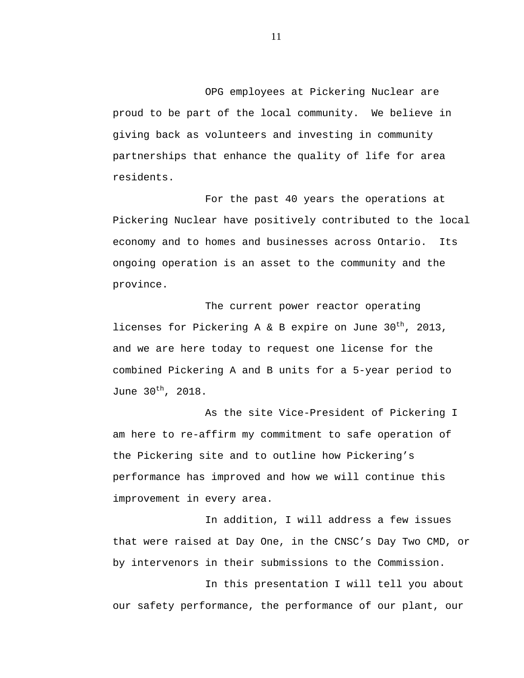OPG employees at Pickering Nuclear are proud to be part of the local community. We believe in giving back as volunteers and investing in community partnerships that enhance the quality of life for area residents.

For the past 40 years the operations at Pickering Nuclear have positively contributed to the local economy and to homes and businesses across Ontario. Its ongoing operation is an asset to the community and the province.

The current power reactor operating licenses for Pickering A & B expire on June  $30^{th}$ , 2013, and we are here today to request one license for the combined Pickering A and B units for a 5-year period to June  $30^{th}$ , 2018.

As the site Vice-President of Pickering I am here to re-affirm my commitment to safe operation of the Pickering site and to outline how Pickering's performance has improved and how we will continue this improvement in every area.

In addition, I will address a few issues that were raised at Day One, in the CNSC's Day Two CMD, or by intervenors in their submissions to the Commission.

In this presentation I will tell you about our safety performance, the performance of our plant, our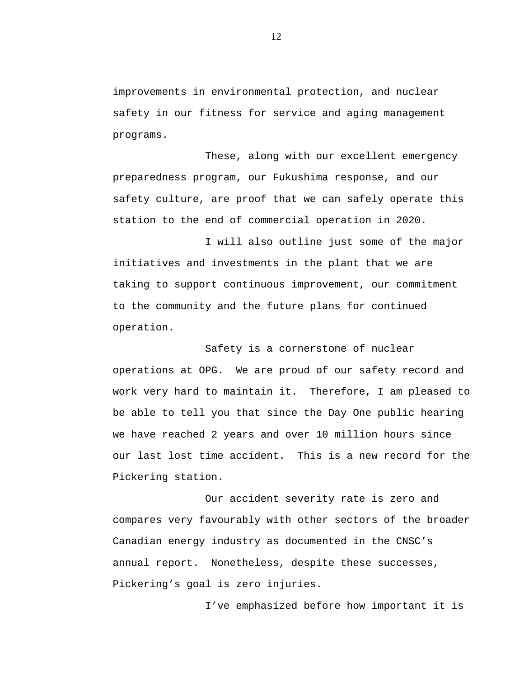improvements in environmental protection, and nuclear safety in our fitness for service and aging management programs.

These, along with our excellent emergency preparedness program, our Fukushima response, and our safety culture, are proof that we can safely operate this station to the end of commercial operation in 2020.

I will also outline just some of the major initiatives and investments in the plant that we are taking to support continuous improvement, our commitment to the community and the future plans for continued operation.

Safety is a cornerstone of nuclear operations at OPG. We are proud of our safety record and work very hard to maintain it. Therefore, I am pleased to be able to tell you that since the Day One public hearing we have reached 2 years and over 10 million hours since our last lost time accident. This is a new record for the Pickering station.

Our accident severity rate is zero and compares very favourably with other sectors of the broader Canadian energy industry as documented in the CNSC's annual report. Nonetheless, despite these successes, Pickering's goal is zero injuries.

I've emphasized before how important it is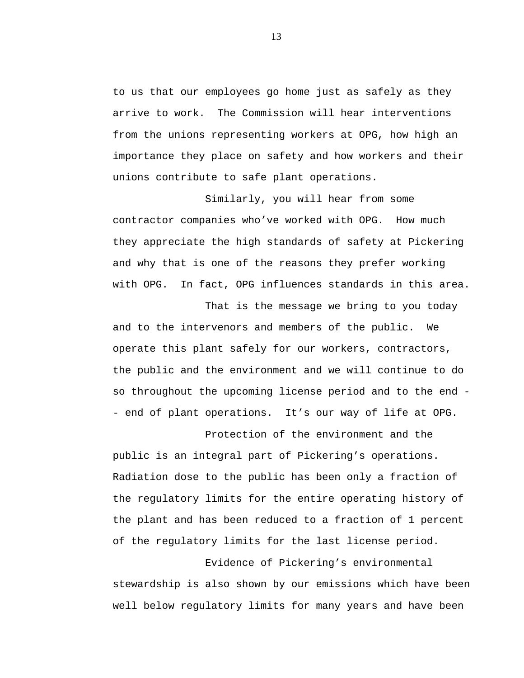to us that our employees go home just as safely as they arrive to work. The Commission will hear interventions from the unions representing workers at OPG, how high an importance they place on safety and how workers and their unions contribute to safe plant operations.

Similarly, you will hear from some contractor companies who've worked with OPG. How much they appreciate the high standards of safety at Pickering and why that is one of the reasons they prefer working with OPG. In fact, OPG influences standards in this area.

That is the message we bring to you today and to the intervenors and members of the public. We operate this plant safely for our workers, contractors, the public and the environment and we will continue to do so throughout the upcoming license period and to the end - - end of plant operations. It's our way of life at OPG.

Protection of the environment and the public is an integral part of Pickering's operations. Radiation dose to the public has been only a fraction of the regulatory limits for the entire operating history of the plant and has been reduced to a fraction of 1 percent of the regulatory limits for the last license period.

Evidence of Pickering's environmental stewardship is also shown by our emissions which have been well below regulatory limits for many years and have been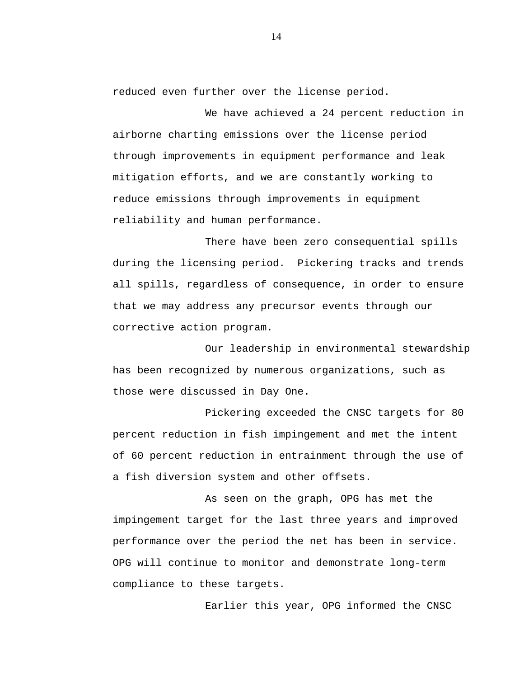reduced even further over the license period.

We have achieved a 24 percent reduction in airborne charting emissions over the license period through improvements in equipment performance and leak mitigation efforts, and we are constantly working to reduce emissions through improvements in equipment reliability and human performance.

There have been zero consequential spills during the licensing period. Pickering tracks and trends all spills, regardless of consequence, in order to ensure that we may address any precursor events through our corrective action program.

Our leadership in environmental stewardship has been recognized by numerous organizations, such as those were discussed in Day One.

Pickering exceeded the CNSC targets for 80 percent reduction in fish impingement and met the intent of 60 percent reduction in entrainment through the use of a fish diversion system and other offsets.

As seen on the graph, OPG has met the impingement target for the last three years and improved performance over the period the net has been in service. OPG will continue to monitor and demonstrate long-term compliance to these targets.

Earlier this year, OPG informed the CNSC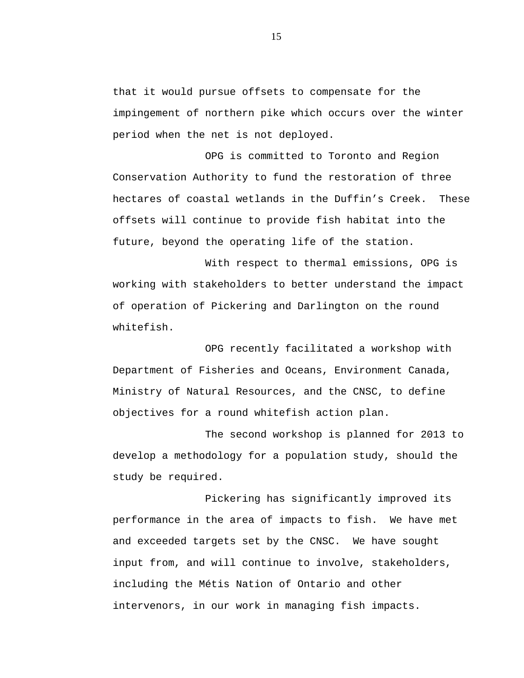that it would pursue offsets to compensate for the impingement of northern pike which occurs over the winter period when the net is not deployed.

OPG is committed to Toronto and Region Conservation Authority to fund the restoration of three hectares of coastal wetlands in the Duffin's Creek. These offsets will continue to provide fish habitat into the future, beyond the operating life of the station.

With respect to thermal emissions, OPG is working with stakeholders to better understand the impact of operation of Pickering and Darlington on the round whitefish.

OPG recently facilitated a workshop with Department of Fisheries and Oceans, Environment Canada, Ministry of Natural Resources, and the CNSC, to define objectives for a round whitefish action plan.

The second workshop is planned for 2013 to develop a methodology for a population study, should the study be required.

Pickering has significantly improved its performance in the area of impacts to fish. We have met and exceeded targets set by the CNSC. We have sought input from, and will continue to involve, stakeholders, including the Métis Nation of Ontario and other intervenors, in our work in managing fish impacts.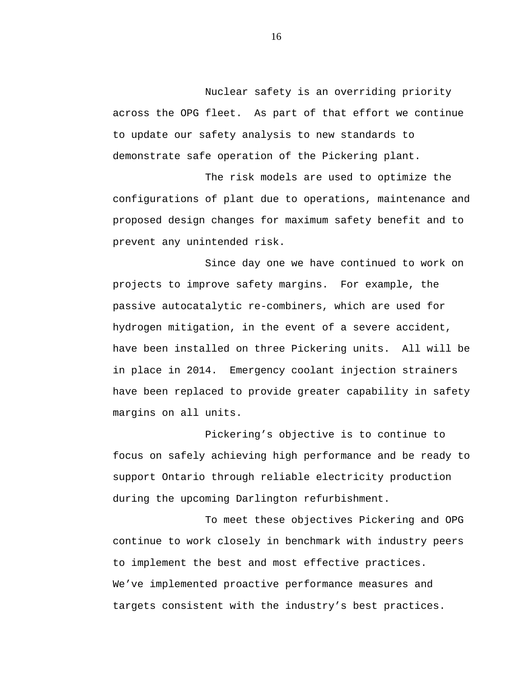Nuclear safety is an overriding priority across the OPG fleet. As part of that effort we continue to update our safety analysis to new standards to demonstrate safe operation of the Pickering plant.

The risk models are used to optimize the configurations of plant due to operations, maintenance and proposed design changes for maximum safety benefit and to prevent any unintended risk.

Since day one we have continued to work on projects to improve safety margins. For example, the passive autocatalytic re-combiners, which are used for hydrogen mitigation, in the event of a severe accident, have been installed on three Pickering units. All will be in place in 2014. Emergency coolant injection strainers have been replaced to provide greater capability in safety margins on all units.

Pickering's objective is to continue to focus on safely achieving high performance and be ready to support Ontario through reliable electricity production during the upcoming Darlington refurbishment.

To meet these objectives Pickering and OPG continue to work closely in benchmark with industry peers to implement the best and most effective practices. We've implemented proactive performance measures and targets consistent with the industry's best practices.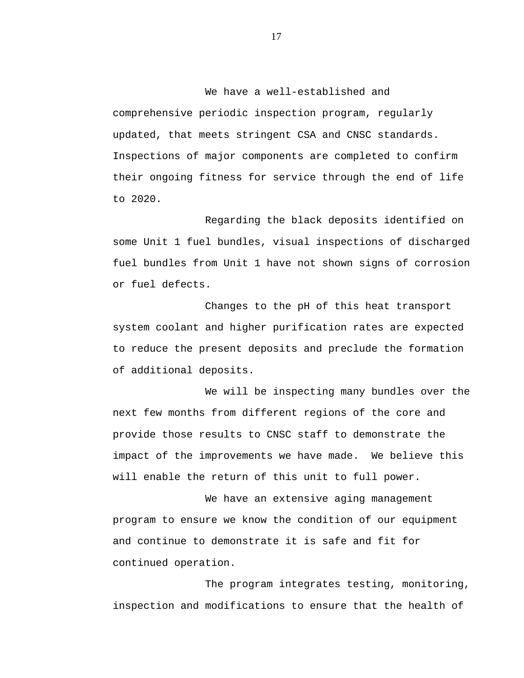We have a well-established and comprehensive periodic inspection program, regularly updated, that meets stringent CSA and CNSC standards. Inspections of major components are completed to confirm their ongoing fitness for service through the end of life to 2020.

Regarding the black deposits identified on some Unit 1 fuel bundles, visual inspections of discharged fuel bundles from Unit 1 have not shown signs of corrosion or fuel defects.

Changes to the pH of this heat transport system coolant and higher purification rates are expected to reduce the present deposits and preclude the formation of additional deposits.

We will be inspecting many bundles over the next few months from different regions of the core and provide those results to CNSC staff to demonstrate the impact of the improvements we have made. We believe this will enable the return of this unit to full power.

We have an extensive aging management program to ensure we know the condition of our equipment and continue to demonstrate it is safe and fit for continued operation.

The program integrates testing, monitoring, inspection and modifications to ensure that the health of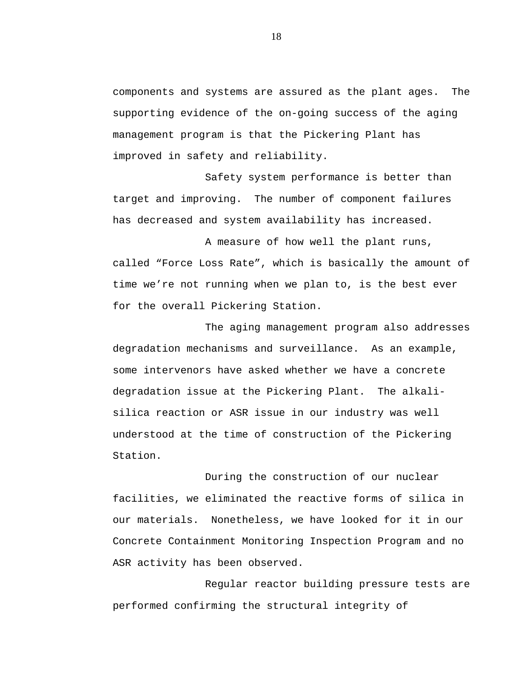components and systems are assured as the plant ages. The supporting evidence of the on-going success of the aging management program is that the Pickering Plant has improved in safety and reliability.

Safety system performance is better than target and improving. The number of component failures has decreased and system availability has increased.

A measure of how well the plant runs, called "Force Loss Rate", which is basically the amount of time we're not running when we plan to, is the best ever for the overall Pickering Station.

The aging management program also addresses degradation mechanisms and surveillance. As an example, some intervenors have asked whether we have a concrete degradation issue at the Pickering Plant. The alkalisilica reaction or ASR issue in our industry was well understood at the time of construction of the Pickering Station.

During the construction of our nuclear facilities, we eliminated the reactive forms of silica in our materials. Nonetheless, we have looked for it in our Concrete Containment Monitoring Inspection Program and no ASR activity has been observed.

Regular reactor building pressure tests are performed confirming the structural integrity of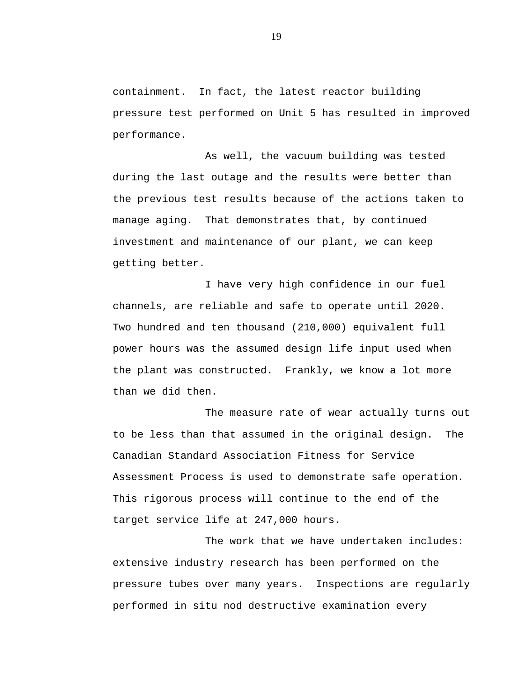containment. In fact, the latest reactor building pressure test performed on Unit 5 has resulted in improved performance.

As well, the vacuum building was tested during the last outage and the results were better than the previous test results because of the actions taken to manage aging. That demonstrates that, by continued investment and maintenance of our plant, we can keep getting better.

I have very high confidence in our fuel channels, are reliable and safe to operate until 2020. Two hundred and ten thousand (210,000) equivalent full power hours was the assumed design life input used when the plant was constructed. Frankly, we know a lot more than we did then.

The measure rate of wear actually turns out to be less than that assumed in the original design. The Canadian Standard Association Fitness for Service Assessment Process is used to demonstrate safe operation. This rigorous process will continue to the end of the target service life at 247,000 hours.

The work that we have undertaken includes: extensive industry research has been performed on the pressure tubes over many years. Inspections are regularly performed in situ nod destructive examination every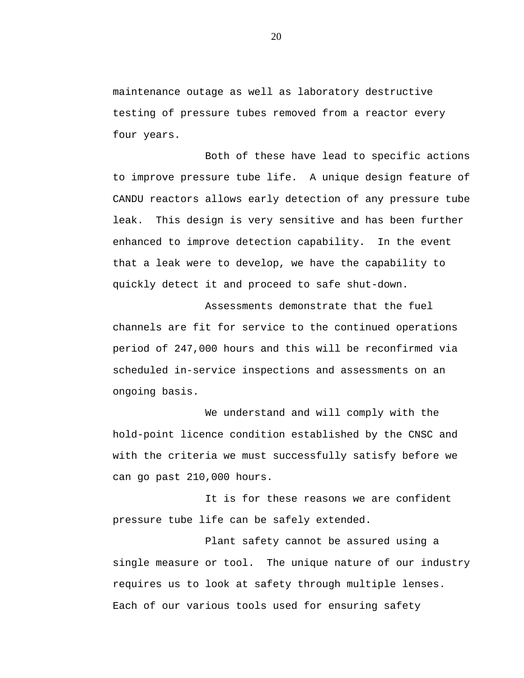maintenance outage as well as laboratory destructive testing of pressure tubes removed from a reactor every four years.

Both of these have lead to specific actions to improve pressure tube life. A unique design feature of CANDU reactors allows early detection of any pressure tube leak. This design is very sensitive and has been further enhanced to improve detection capability. In the event that a leak were to develop, we have the capability to quickly detect it and proceed to safe shut-down.

Assessments demonstrate that the fuel channels are fit for service to the continued operations period of 247,000 hours and this will be reconfirmed via scheduled in-service inspections and assessments on an ongoing basis.

We understand and will comply with the hold-point licence condition established by the CNSC and with the criteria we must successfully satisfy before we can go past 210,000 hours.

It is for these reasons we are confident pressure tube life can be safely extended.

Plant safety cannot be assured using a single measure or tool. The unique nature of our industry requires us to look at safety through multiple lenses. Each of our various tools used for ensuring safety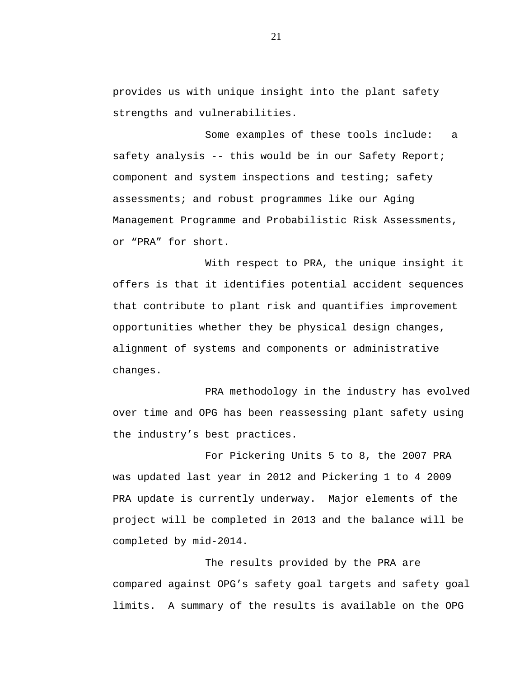provides us with unique insight into the plant safety strengths and vulnerabilities.

Some examples of these tools include: a safety analysis -- this would be in our Safety Report; component and system inspections and testing; safety assessments; and robust programmes like our Aging Management Programme and Probabilistic Risk Assessments, or "PRA" for short.

With respect to PRA, the unique insight it offers is that it identifies potential accident sequences that contribute to plant risk and quantifies improvement opportunities whether they be physical design changes, alignment of systems and components or administrative changes.

PRA methodology in the industry has evolved over time and OPG has been reassessing plant safety using the industry's best practices.

For Pickering Units 5 to 8, the 2007 PRA was updated last year in 2012 and Pickering 1 to 4 2009 PRA update is currently underway. Major elements of the project will be completed in 2013 and the balance will be completed by mid-2014.

The results provided by the PRA are compared against OPG's safety goal targets and safety goal limits. A summary of the results is available on the OPG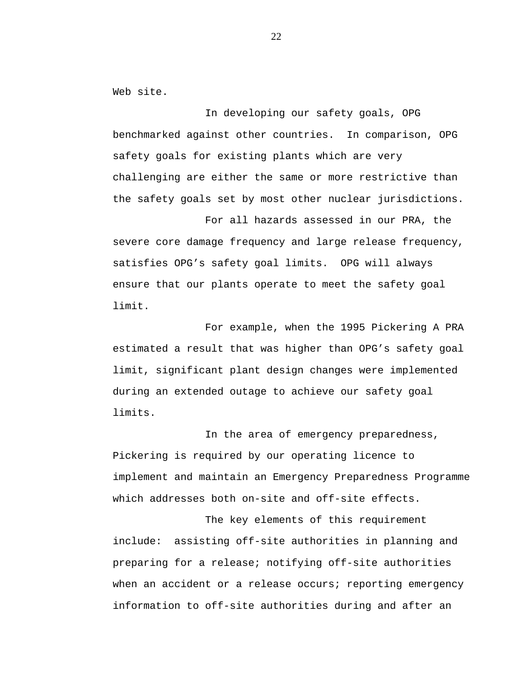Web site.

In developing our safety goals, OPG benchmarked against other countries. In comparison, OPG safety goals for existing plants which are very challenging are either the same or more restrictive than the safety goals set by most other nuclear jurisdictions.

For all hazards assessed in our PRA, the severe core damage frequency and large release frequency, satisfies OPG's safety goal limits. OPG will always ensure that our plants operate to meet the safety goal limit.

For example, when the 1995 Pickering A PRA estimated a result that was higher than OPG's safety goal limit, significant plant design changes were implemented during an extended outage to achieve our safety goal limits.

In the area of emergency preparedness, Pickering is required by our operating licence to implement and maintain an Emergency Preparedness Programme which addresses both on-site and off-site effects.

The key elements of this requirement include: assisting off-site authorities in planning and preparing for a release; notifying off-site authorities when an accident or a release occurs; reporting emergency information to off-site authorities during and after an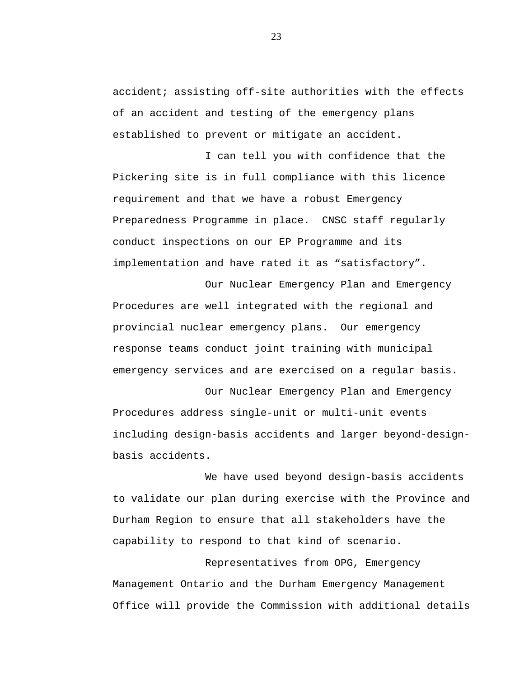accident; assisting off-site authorities with the effects of an accident and testing of the emergency plans established to prevent or mitigate an accident.

I can tell you with confidence that the Pickering site is in full compliance with this licence requirement and that we have a robust Emergency Preparedness Programme in place. CNSC staff regularly conduct inspections on our EP Programme and its implementation and have rated it as "satisfactory".

Our Nuclear Emergency Plan and Emergency Procedures are well integrated with the regional and provincial nuclear emergency plans. Our emergency response teams conduct joint training with municipal emergency services and are exercised on a regular basis.

Our Nuclear Emergency Plan and Emergency Procedures address single-unit or multi-unit events including design-basis accidents and larger beyond-designbasis accidents.

We have used beyond design-basis accidents to validate our plan during exercise with the Province and Durham Region to ensure that all stakeholders have the capability to respond to that kind of scenario.

Representatives from OPG, Emergency Management Ontario and the Durham Emergency Management Office will provide the Commission with additional details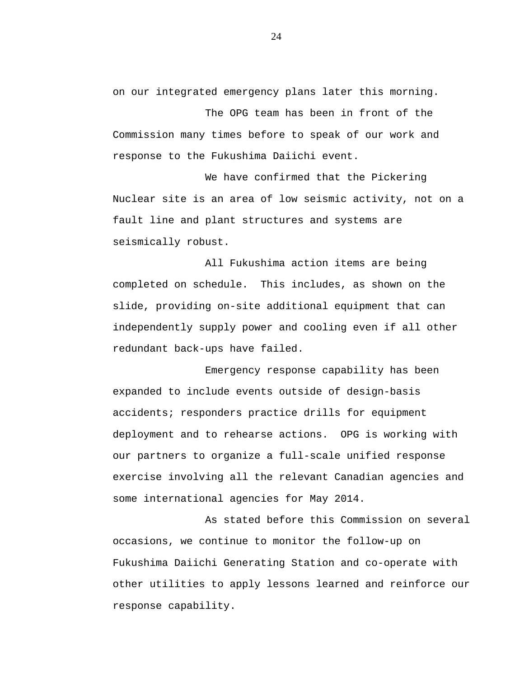on our integrated emergency plans later this morning.

The OPG team has been in front of the Commission many times before to speak of our work and response to the Fukushima Daiichi event.

We have confirmed that the Pickering Nuclear site is an area of low seismic activity, not on a fault line and plant structures and systems are seismically robust.

All Fukushima action items are being completed on schedule. This includes, as shown on the slide, providing on-site additional equipment that can independently supply power and cooling even if all other redundant back-ups have failed.

Emergency response capability has been expanded to include events outside of design-basis accidents; responders practice drills for equipment deployment and to rehearse actions. OPG is working with our partners to organize a full-scale unified response exercise involving all the relevant Canadian agencies and some international agencies for May 2014.

As stated before this Commission on several occasions, we continue to monitor the follow-up on Fukushima Daiichi Generating Station and co-operate with other utilities to apply lessons learned and reinforce our response capability.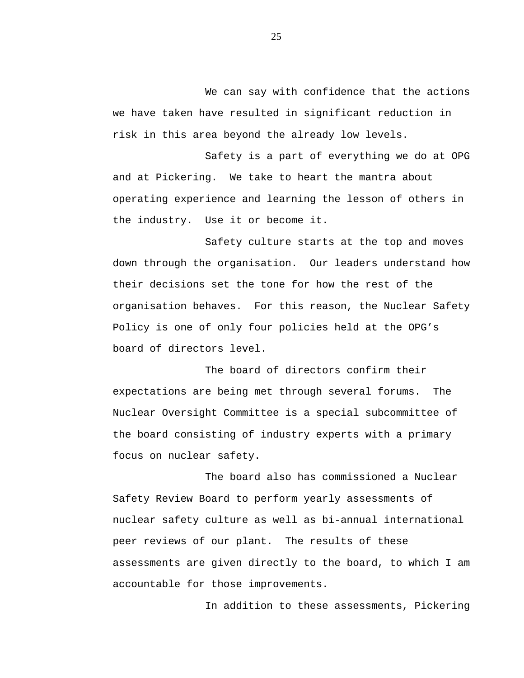We can say with confidence that the actions we have taken have resulted in significant reduction in risk in this area beyond the already low levels.

Safety is a part of everything we do at OPG and at Pickering. We take to heart the mantra about operating experience and learning the lesson of others in the industry. Use it or become it.

Safety culture starts at the top and moves down through the organisation. Our leaders understand how their decisions set the tone for how the rest of the organisation behaves. For this reason, the Nuclear Safety Policy is one of only four policies held at the OPG's board of directors level.

The board of directors confirm their expectations are being met through several forums. The Nuclear Oversight Committee is a special subcommittee of the board consisting of industry experts with a primary focus on nuclear safety.

The board also has commissioned a Nuclear Safety Review Board to perform yearly assessments of nuclear safety culture as well as bi-annual international peer reviews of our plant. The results of these assessments are given directly to the board, to which I am accountable for those improvements.

In addition to these assessments, Pickering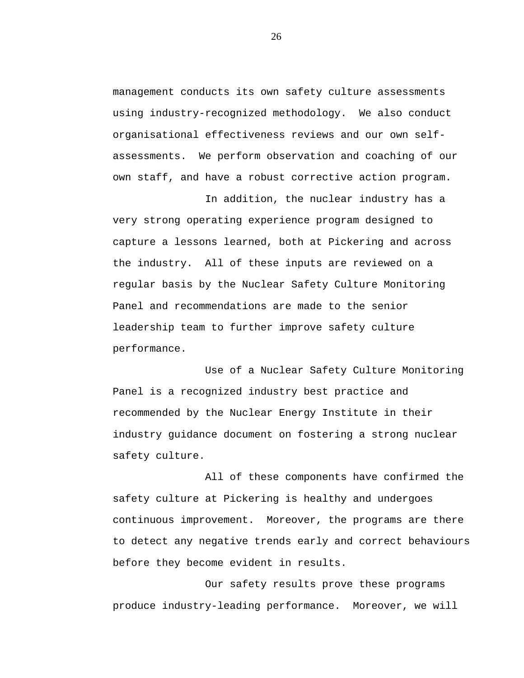management conducts its own safety culture assessments using industry-recognized methodology. We also conduct organisational effectiveness reviews and our own selfassessments. We perform observation and coaching of our own staff, and have a robust corrective action program.

In addition, the nuclear industry has a very strong operating experience program designed to capture a lessons learned, both at Pickering and across the industry. All of these inputs are reviewed on a regular basis by the Nuclear Safety Culture Monitoring Panel and recommendations are made to the senior leadership team to further improve safety culture performance.

Use of a Nuclear Safety Culture Monitoring Panel is a recognized industry best practice and recommended by the Nuclear Energy Institute in their industry guidance document on fostering a strong nuclear safety culture.

All of these components have confirmed the safety culture at Pickering is healthy and undergoes continuous improvement. Moreover, the programs are there to detect any negative trends early and correct behaviours before they become evident in results.

Our safety results prove these programs produce industry-leading performance. Moreover, we will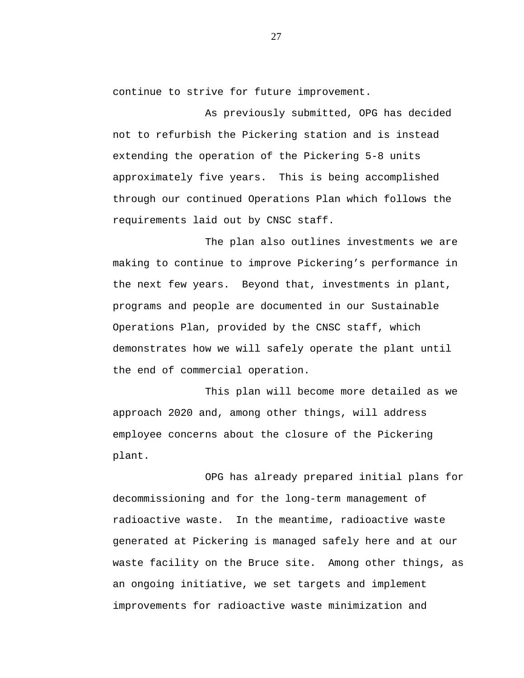continue to strive for future improvement.

As previously submitted, OPG has decided not to refurbish the Pickering station and is instead extending the operation of the Pickering 5-8 units approximately five years. This is being accomplished through our continued Operations Plan which follows the requirements laid out by CNSC staff.

The plan also outlines investments we are making to continue to improve Pickering's performance in the next few years. Beyond that, investments in plant, programs and people are documented in our Sustainable Operations Plan, provided by the CNSC staff, which demonstrates how we will safely operate the plant until the end of commercial operation.

This plan will become more detailed as we approach 2020 and, among other things, will address employee concerns about the closure of the Pickering plant.

OPG has already prepared initial plans for decommissioning and for the long-term management of radioactive waste. In the meantime, radioactive waste generated at Pickering is managed safely here and at our waste facility on the Bruce site. Among other things, as an ongoing initiative, we set targets and implement improvements for radioactive waste minimization and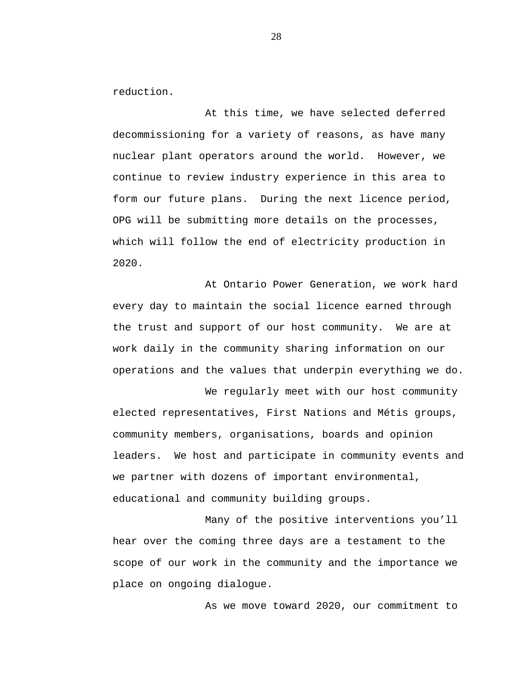reduction.

At this time, we have selected deferred decommissioning for a variety of reasons, as have many nuclear plant operators around the world. However, we continue to review industry experience in this area to form our future plans. During the next licence period, OPG will be submitting more details on the processes, which will follow the end of electricity production in 2020.

At Ontario Power Generation, we work hard every day to maintain the social licence earned through the trust and support of our host community. We are at work daily in the community sharing information on our operations and the values that underpin everything we do.

We regularly meet with our host community elected representatives, First Nations and Métis groups, community members, organisations, boards and opinion leaders. We host and participate in community events and we partner with dozens of important environmental, educational and community building groups.

Many of the positive interventions you'll hear over the coming three days are a testament to the scope of our work in the community and the importance we place on ongoing dialogue.

As we move toward 2020, our commitment to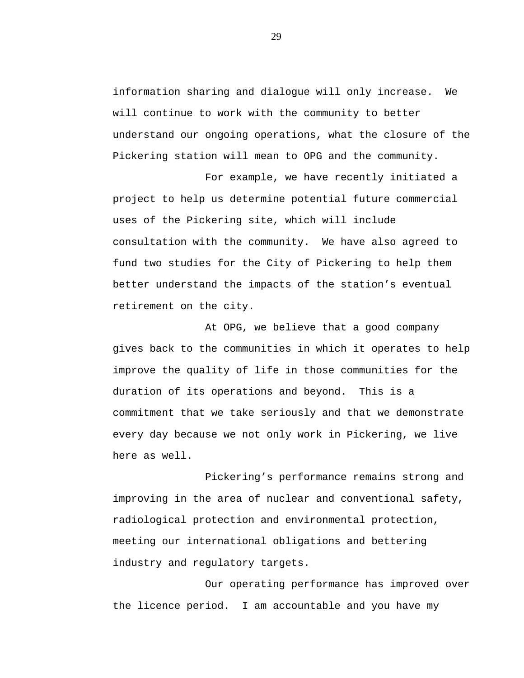information sharing and dialogue will only increase. We will continue to work with the community to better understand our ongoing operations, what the closure of the Pickering station will mean to OPG and the community.

For example, we have recently initiated a project to help us determine potential future commercial uses of the Pickering site, which will include consultation with the community. We have also agreed to fund two studies for the City of Pickering to help them better understand the impacts of the station's eventual retirement on the city.

At OPG, we believe that a good company gives back to the communities in which it operates to help improve the quality of life in those communities for the duration of its operations and beyond. This is a commitment that we take seriously and that we demonstrate every day because we not only work in Pickering, we live here as well.

Pickering's performance remains strong and improving in the area of nuclear and conventional safety, radiological protection and environmental protection, meeting our international obligations and bettering industry and regulatory targets.

Our operating performance has improved over the licence period. I am accountable and you have my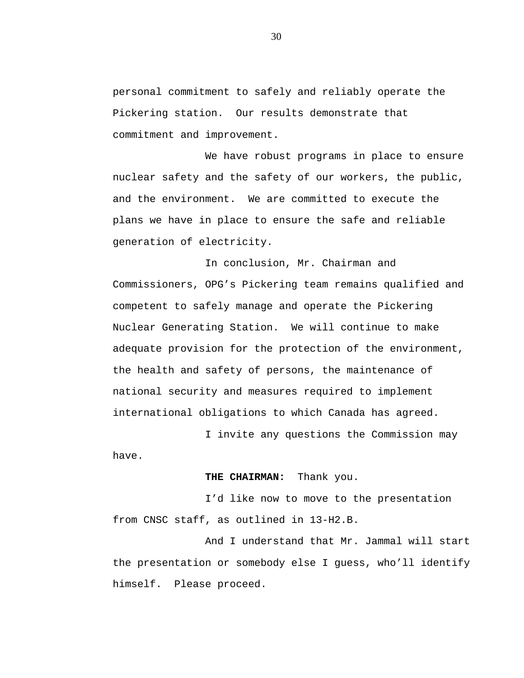personal commitment to safely and reliably operate the Pickering station. Our results demonstrate that commitment and improvement.

We have robust programs in place to ensure nuclear safety and the safety of our workers, the public, and the environment. We are committed to execute the plans we have in place to ensure the safe and reliable generation of electricity.

In conclusion, Mr. Chairman and Commissioners, OPG's Pickering team remains qualified and competent to safely manage and operate the Pickering Nuclear Generating Station. We will continue to make adequate provision for the protection of the environment, the health and safety of persons, the maintenance of national security and measures required to implement international obligations to which Canada has agreed.

I invite any questions the Commission may have.

## **THE CHAIRMAN:** Thank you.

I'd like now to move to the presentation from CNSC staff, as outlined in 13-H2.B.

And I understand that Mr. Jammal will start the presentation or somebody else I guess, who'll identify himself. Please proceed.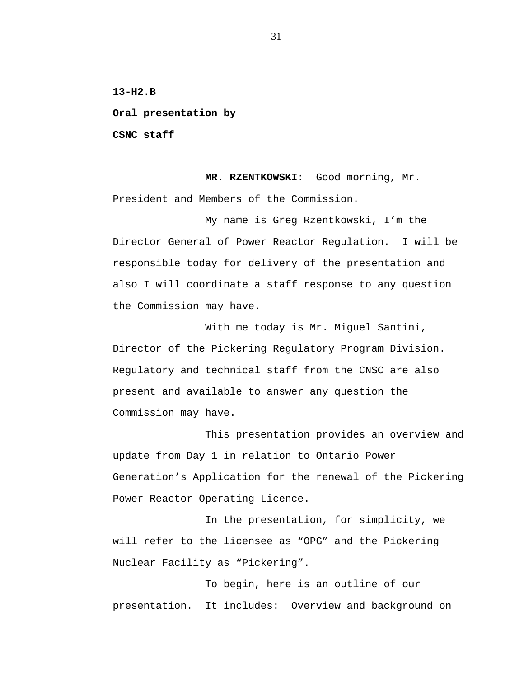**13-H2.B**

**Oral presentation by**

**CSNC staff**

**MR. RZENTKOWSKI:** Good morning, Mr. President and Members of the Commission.

My name is Greg Rzentkowski, I'm the Director General of Power Reactor Regulation. I will be responsible today for delivery of the presentation and also I will coordinate a staff response to any question the Commission may have.

With me today is Mr. Miguel Santini, Director of the Pickering Regulatory Program Division. Regulatory and technical staff from the CNSC are also present and available to answer any question the Commission may have.

This presentation provides an overview and update from Day 1 in relation to Ontario Power Generation's Application for the renewal of the Pickering Power Reactor Operating Licence.

In the presentation, for simplicity, we will refer to the licensee as "OPG" and the Pickering Nuclear Facility as "Pickering".

To begin, here is an outline of our presentation. It includes: Overview and background on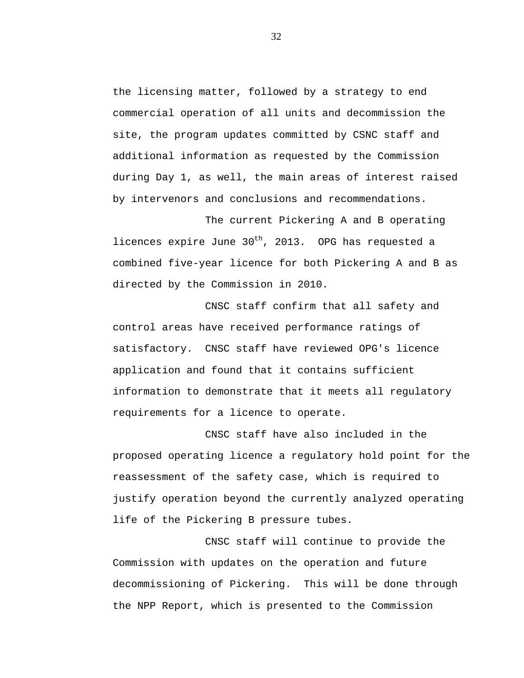the licensing matter, followed by a strategy to end commercial operation of all units and decommission the site, the program updates committed by CSNC staff and additional information as requested by the Commission during Day 1, as well, the main areas of interest raised by intervenors and conclusions and recommendations.

The current Pickering A and B operating licences expire June  $30<sup>th</sup>$ , 2013. OPG has requested a combined five-year licence for both Pickering A and B as directed by the Commission in 2010.

CNSC staff confirm that all safety and control areas have received performance ratings of satisfactory. CNSC staff have reviewed OPG's licence application and found that it contains sufficient information to demonstrate that it meets all regulatory requirements for a licence to operate.

CNSC staff have also included in the proposed operating licence a regulatory hold point for the reassessment of the safety case, which is required to justify operation beyond the currently analyzed operating life of the Pickering B pressure tubes.

CNSC staff will continue to provide the Commission with updates on the operation and future decommissioning of Pickering. This will be done through the NPP Report, which is presented to the Commission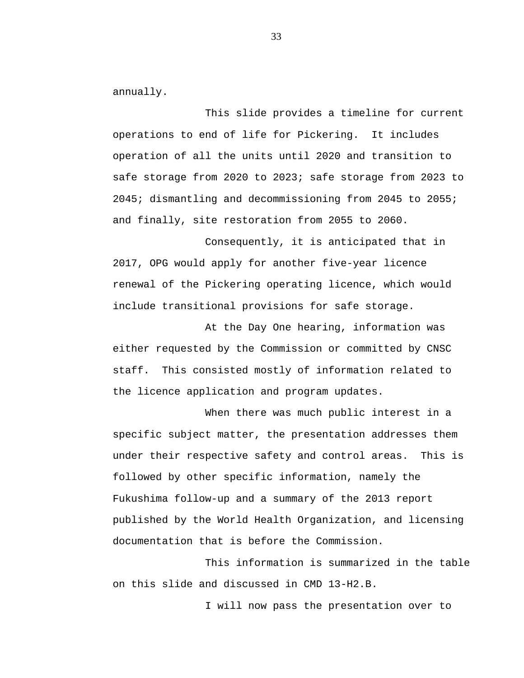annually.

This slide provides a timeline for current operations to end of life for Pickering. It includes operation of all the units until 2020 and transition to safe storage from 2020 to 2023; safe storage from 2023 to 2045; dismantling and decommissioning from 2045 to 2055; and finally, site restoration from 2055 to 2060.

Consequently, it is anticipated that in 2017, OPG would apply for another five-year licence renewal of the Pickering operating licence, which would include transitional provisions for safe storage.

At the Day One hearing, information was either requested by the Commission or committed by CNSC staff. This consisted mostly of information related to the licence application and program updates.

When there was much public interest in a specific subject matter, the presentation addresses them under their respective safety and control areas. This is followed by other specific information, namely the Fukushima follow-up and a summary of the 2013 report published by the World Health Organization, and licensing documentation that is before the Commission.

This information is summarized in the table on this slide and discussed in CMD 13-H2.B.

I will now pass the presentation over to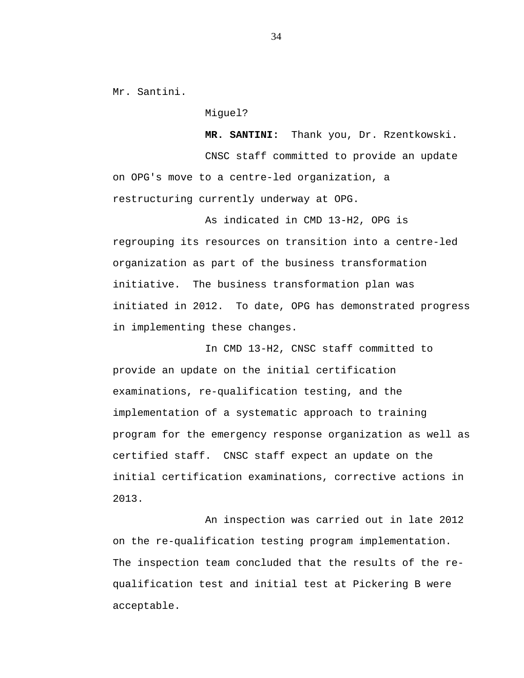Mr. Santini.

## Miguel?

**MR. SANTINI:** Thank you, Dr. Rzentkowski. CNSC staff committed to provide an update on OPG's move to a centre-led organization, a restructuring currently underway at OPG.

As indicated in CMD 13-H2, OPG is regrouping its resources on transition into a centre-led organization as part of the business transformation initiative. The business transformation plan was initiated in 2012. To date, OPG has demonstrated progress in implementing these changes.

In CMD 13-H2, CNSC staff committed to provide an update on the initial certification examinations, re-qualification testing, and the implementation of a systematic approach to training program for the emergency response organization as well as certified staff. CNSC staff expect an update on the initial certification examinations, corrective actions in 2013.

An inspection was carried out in late 2012 on the re-qualification testing program implementation. The inspection team concluded that the results of the requalification test and initial test at Pickering B were acceptable.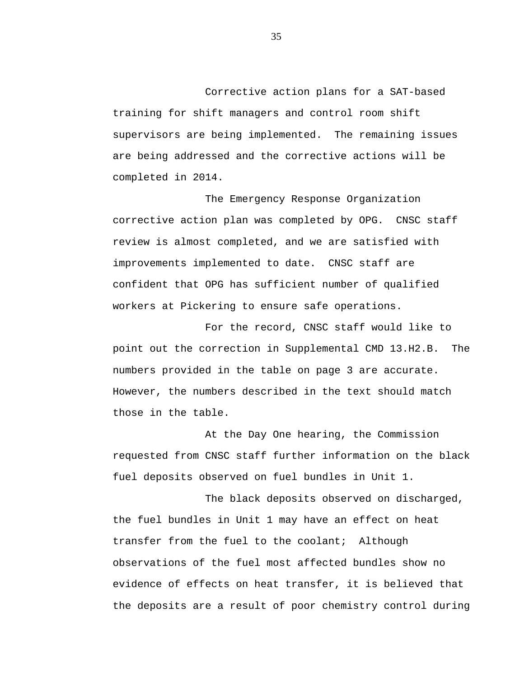Corrective action plans for a SAT-based training for shift managers and control room shift supervisors are being implemented. The remaining issues are being addressed and the corrective actions will be completed in 2014.

The Emergency Response Organization corrective action plan was completed by OPG. CNSC staff review is almost completed, and we are satisfied with improvements implemented to date. CNSC staff are confident that OPG has sufficient number of qualified workers at Pickering to ensure safe operations.

For the record, CNSC staff would like to point out the correction in Supplemental CMD 13.H2.B. The numbers provided in the table on page 3 are accurate. However, the numbers described in the text should match those in the table.

At the Day One hearing, the Commission requested from CNSC staff further information on the black fuel deposits observed on fuel bundles in Unit 1.

The black deposits observed on discharged, the fuel bundles in Unit 1 may have an effect on heat transfer from the fuel to the coolant; Although observations of the fuel most affected bundles show no evidence of effects on heat transfer, it is believed that the deposits are a result of poor chemistry control during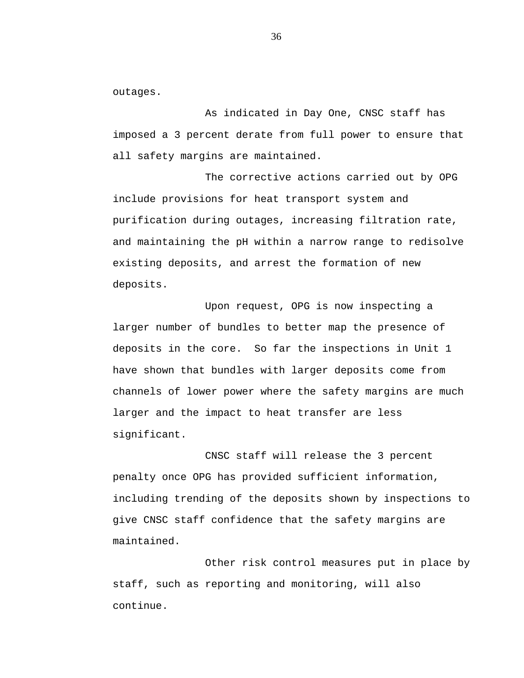outages.

As indicated in Day One, CNSC staff has imposed a 3 percent derate from full power to ensure that all safety margins are maintained.

The corrective actions carried out by OPG include provisions for heat transport system and purification during outages, increasing filtration rate, and maintaining the pH within a narrow range to redisolve existing deposits, and arrest the formation of new deposits.

Upon request, OPG is now inspecting a larger number of bundles to better map the presence of deposits in the core. So far the inspections in Unit 1 have shown that bundles with larger deposits come from channels of lower power where the safety margins are much larger and the impact to heat transfer are less significant.

CNSC staff will release the 3 percent penalty once OPG has provided sufficient information, including trending of the deposits shown by inspections to give CNSC staff confidence that the safety margins are maintained.

Other risk control measures put in place by staff, such as reporting and monitoring, will also continue.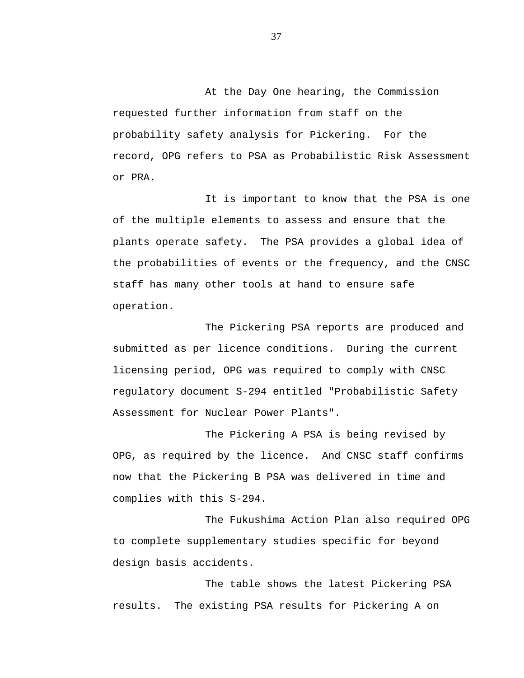At the Day One hearing, the Commission requested further information from staff on the probability safety analysis for Pickering. For the record, OPG refers to PSA as Probabilistic Risk Assessment or PRA.

It is important to know that the PSA is one of the multiple elements to assess and ensure that the plants operate safety. The PSA provides a global idea of the probabilities of events or the frequency, and the CNSC staff has many other tools at hand to ensure safe operation.

The Pickering PSA reports are produced and submitted as per licence conditions. During the current licensing period, OPG was required to comply with CNSC regulatory document S-294 entitled "Probabilistic Safety Assessment for Nuclear Power Plants".

The Pickering A PSA is being revised by OPG, as required by the licence. And CNSC staff confirms now that the Pickering B PSA was delivered in time and complies with this S-294.

The Fukushima Action Plan also required OPG to complete supplementary studies specific for beyond design basis accidents.

The table shows the latest Pickering PSA results. The existing PSA results for Pickering A on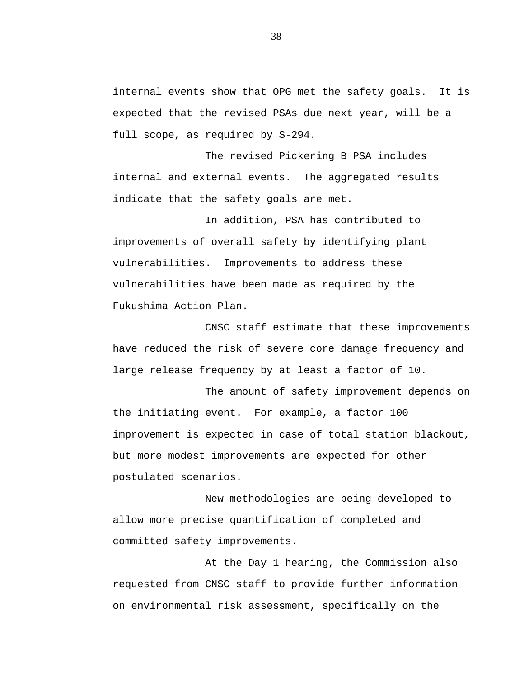internal events show that OPG met the safety goals. It is expected that the revised PSAs due next year, will be a full scope, as required by S-294.

The revised Pickering B PSA includes internal and external events. The aggregated results indicate that the safety goals are met.

In addition, PSA has contributed to improvements of overall safety by identifying plant vulnerabilities. Improvements to address these vulnerabilities have been made as required by the Fukushima Action Plan.

CNSC staff estimate that these improvements have reduced the risk of severe core damage frequency and large release frequency by at least a factor of 10.

The amount of safety improvement depends on the initiating event. For example, a factor 100 improvement is expected in case of total station blackout, but more modest improvements are expected for other postulated scenarios.

New methodologies are being developed to allow more precise quantification of completed and committed safety improvements.

At the Day 1 hearing, the Commission also requested from CNSC staff to provide further information on environmental risk assessment, specifically on the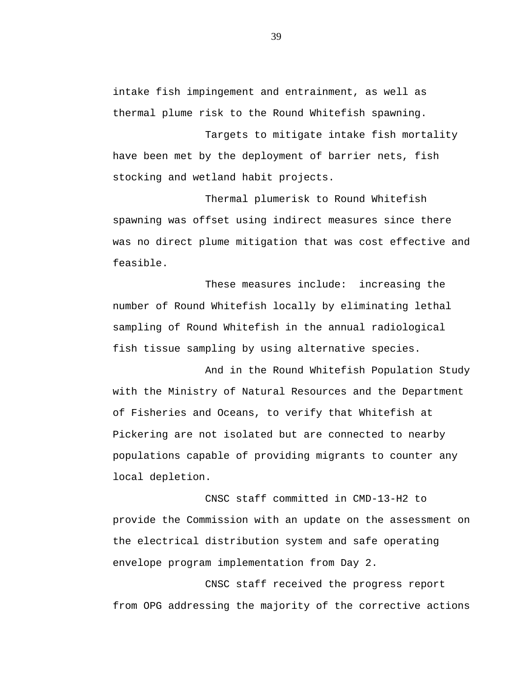intake fish impingement and entrainment, as well as thermal plume risk to the Round Whitefish spawning.

Targets to mitigate intake fish mortality have been met by the deployment of barrier nets, fish stocking and wetland habit projects.

Thermal plumerisk to Round Whitefish spawning was offset using indirect measures since there was no direct plume mitigation that was cost effective and feasible.

These measures include: increasing the number of Round Whitefish locally by eliminating lethal sampling of Round Whitefish in the annual radiological fish tissue sampling by using alternative species.

And in the Round Whitefish Population Study with the Ministry of Natural Resources and the Department of Fisheries and Oceans, to verify that Whitefish at Pickering are not isolated but are connected to nearby populations capable of providing migrants to counter any local depletion.

CNSC staff committed in CMD-13-H2 to provide the Commission with an update on the assessment on the electrical distribution system and safe operating envelope program implementation from Day 2.

CNSC staff received the progress report from OPG addressing the majority of the corrective actions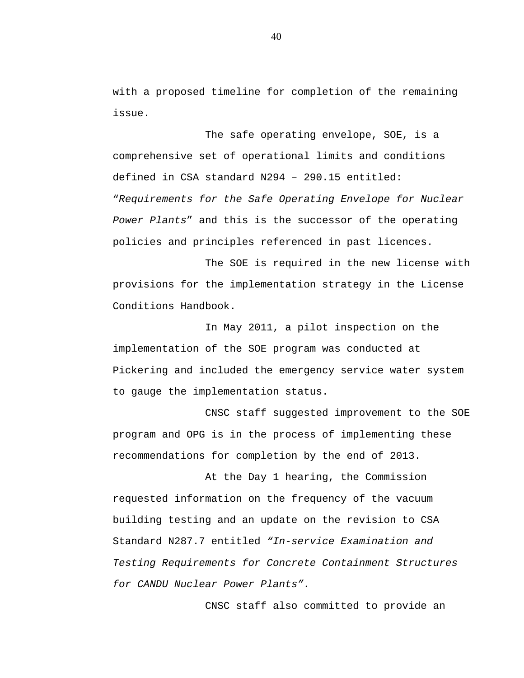with a proposed timeline for completion of the remaining issue.

The safe operating envelope, SOE, is a comprehensive set of operational limits and conditions defined in CSA standard N294 – 290.15 entitled: "*Requirements for the Safe Operating Envelope for Nuclear Power Plants*" and this is the successor of the operating policies and principles referenced in past licences.

The SOE is required in the new license with provisions for the implementation strategy in the License Conditions Handbook.

In May 2011, a pilot inspection on the implementation of the SOE program was conducted at Pickering and included the emergency service water system to gauge the implementation status.

CNSC staff suggested improvement to the SOE program and OPG is in the process of implementing these recommendations for completion by the end of 2013.

At the Day 1 hearing, the Commission requested information on the frequency of the vacuum building testing and an update on the revision to CSA Standard N287.7 entitled *"In-service Examination and Testing Requirements for Concrete Containment Structures for CANDU Nuclear Power Plants".*

CNSC staff also committed to provide an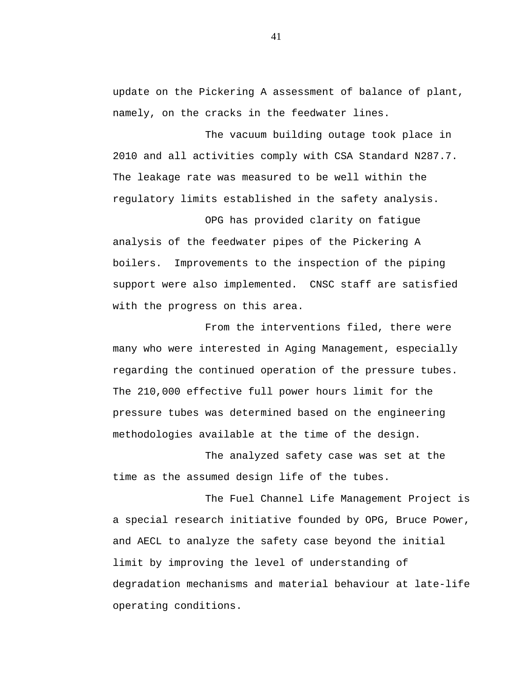update on the Pickering A assessment of balance of plant, namely, on the cracks in the feedwater lines.

The vacuum building outage took place in 2010 and all activities comply with CSA Standard N287.7. The leakage rate was measured to be well within the regulatory limits established in the safety analysis.

OPG has provided clarity on fatigue analysis of the feedwater pipes of the Pickering A boilers. Improvements to the inspection of the piping support were also implemented. CNSC staff are satisfied with the progress on this area.

From the interventions filed, there were many who were interested in Aging Management, especially regarding the continued operation of the pressure tubes. The 210,000 effective full power hours limit for the pressure tubes was determined based on the engineering methodologies available at the time of the design.

The analyzed safety case was set at the time as the assumed design life of the tubes.

The Fuel Channel Life Management Project is a special research initiative founded by OPG, Bruce Power, and AECL to analyze the safety case beyond the initial limit by improving the level of understanding of degradation mechanisms and material behaviour at late-life operating conditions.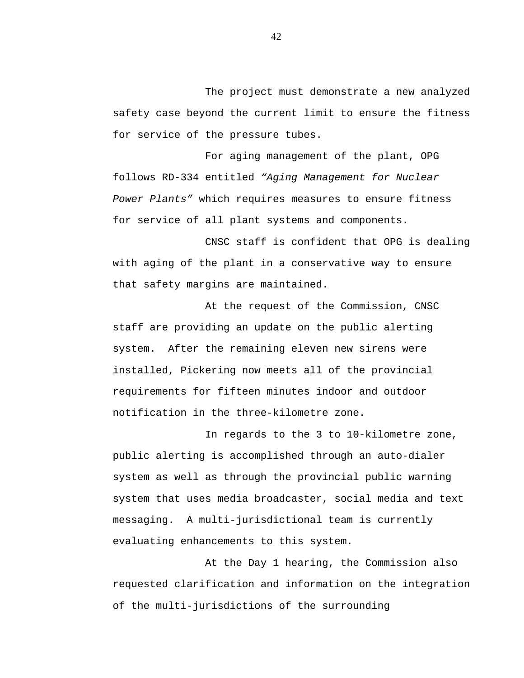The project must demonstrate a new analyzed safety case beyond the current limit to ensure the fitness for service of the pressure tubes.

For aging management of the plant, OPG follows RD-334 entitled *"Aging Management for Nuclear Power Plants"* which requires measures to ensure fitness for service of all plant systems and components.

CNSC staff is confident that OPG is dealing with aging of the plant in a conservative way to ensure that safety margins are maintained.

At the request of the Commission, CNSC staff are providing an update on the public alerting system. After the remaining eleven new sirens were installed, Pickering now meets all of the provincial requirements for fifteen minutes indoor and outdoor notification in the three-kilometre zone.

In regards to the 3 to 10-kilometre zone, public alerting is accomplished through an auto-dialer system as well as through the provincial public warning system that uses media broadcaster, social media and text messaging. A multi-jurisdictional team is currently evaluating enhancements to this system.

At the Day 1 hearing, the Commission also requested clarification and information on the integration of the multi-jurisdictions of the surrounding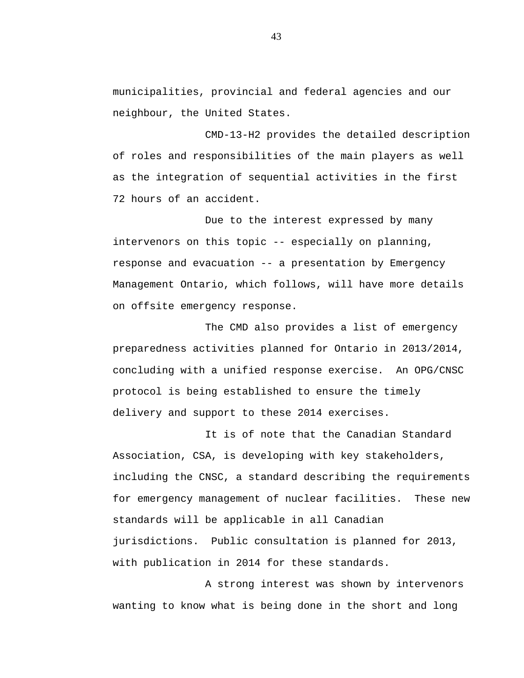municipalities, provincial and federal agencies and our neighbour, the United States.

CMD-13-H2 provides the detailed description of roles and responsibilities of the main players as well as the integration of sequential activities in the first 72 hours of an accident.

Due to the interest expressed by many intervenors on this topic -- especially on planning, response and evacuation -- a presentation by Emergency Management Ontario, which follows, will have more details on offsite emergency response.

The CMD also provides a list of emergency preparedness activities planned for Ontario in 2013/2014, concluding with a unified response exercise. An OPG/CNSC protocol is being established to ensure the timely delivery and support to these 2014 exercises.

It is of note that the Canadian Standard Association, CSA, is developing with key stakeholders, including the CNSC, a standard describing the requirements for emergency management of nuclear facilities. These new standards will be applicable in all Canadian jurisdictions. Public consultation is planned for 2013, with publication in 2014 for these standards.

A strong interest was shown by intervenors wanting to know what is being done in the short and long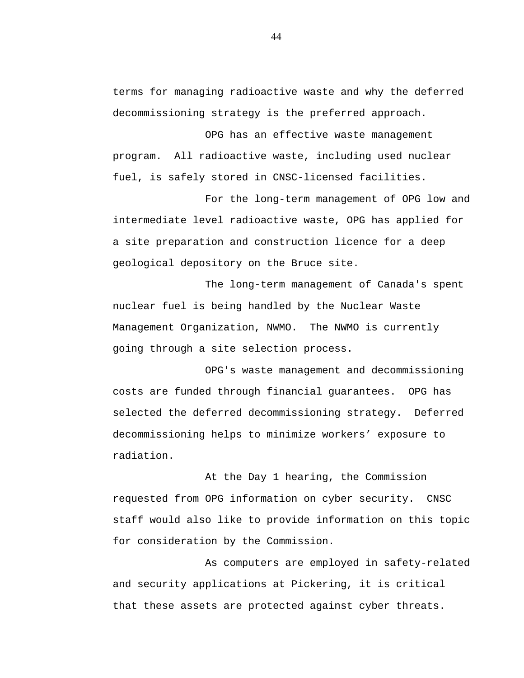terms for managing radioactive waste and why the deferred decommissioning strategy is the preferred approach.

OPG has an effective waste management program. All radioactive waste, including used nuclear fuel, is safely stored in CNSC-licensed facilities.

For the long-term management of OPG low and intermediate level radioactive waste, OPG has applied for a site preparation and construction licence for a deep geological depository on the Bruce site.

The long-term management of Canada's spent nuclear fuel is being handled by the Nuclear Waste Management Organization, NWMO. The NWMO is currently going through a site selection process.

OPG's waste management and decommissioning costs are funded through financial guarantees. OPG has selected the deferred decommissioning strategy. Deferred decommissioning helps to minimize workers' exposure to radiation.

At the Day 1 hearing, the Commission requested from OPG information on cyber security. CNSC staff would also like to provide information on this topic for consideration by the Commission.

As computers are employed in safety-related and security applications at Pickering, it is critical that these assets are protected against cyber threats.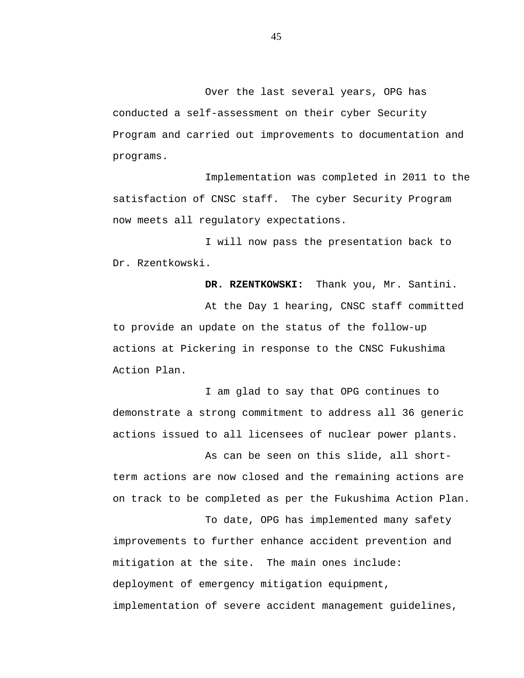Over the last several years, OPG has conducted a self-assessment on their cyber Security Program and carried out improvements to documentation and programs.

Implementation was completed in 2011 to the satisfaction of CNSC staff. The cyber Security Program now meets all regulatory expectations.

I will now pass the presentation back to Dr. Rzentkowski.

**DR. RZENTKOWSKI:** Thank you, Mr. Santini.

At the Day 1 hearing, CNSC staff committed to provide an update on the status of the follow-up actions at Pickering in response to the CNSC Fukushima Action Plan.

I am glad to say that OPG continues to demonstrate a strong commitment to address all 36 generic actions issued to all licensees of nuclear power plants.

As can be seen on this slide, all shortterm actions are now closed and the remaining actions are on track to be completed as per the Fukushima Action Plan.

To date, OPG has implemented many safety improvements to further enhance accident prevention and mitigation at the site. The main ones include: deployment of emergency mitigation equipment, implementation of severe accident management guidelines,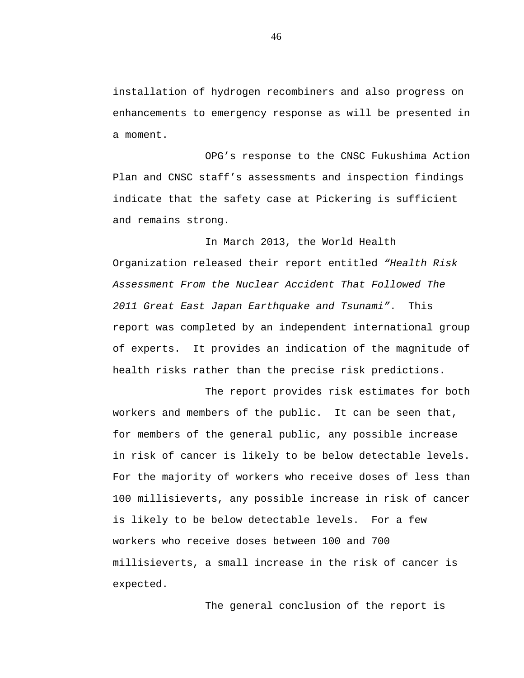installation of hydrogen recombiners and also progress on enhancements to emergency response as will be presented in a moment.

OPG's response to the CNSC Fukushima Action Plan and CNSC staff's assessments and inspection findings indicate that the safety case at Pickering is sufficient and remains strong.

In March 2013, the World Health Organization released their report entitled *"Health Risk Assessment From the Nuclear Accident That Followed The 2011 Great East Japan Earthquake and Tsunami"*. This report was completed by an independent international group of experts. It provides an indication of the magnitude of health risks rather than the precise risk predictions.

The report provides risk estimates for both workers and members of the public. It can be seen that, for members of the general public, any possible increase in risk of cancer is likely to be below detectable levels. For the majority of workers who receive doses of less than 100 millisieverts, any possible increase in risk of cancer is likely to be below detectable levels. For a few workers who receive doses between 100 and 700 millisieverts, a small increase in the risk of cancer is expected.

The general conclusion of the report is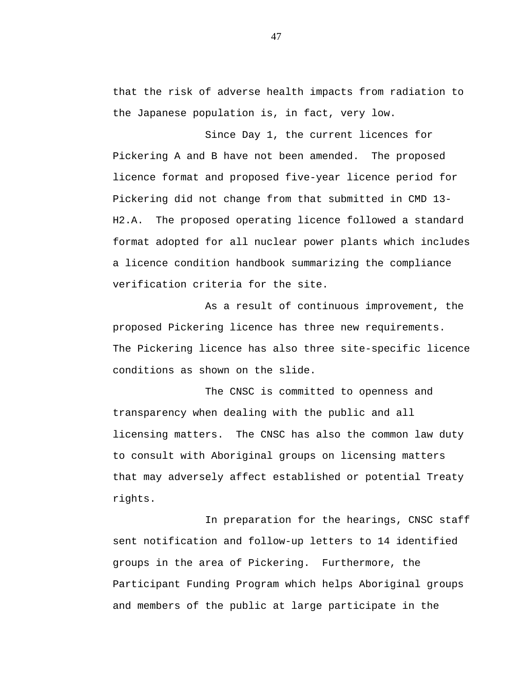that the risk of adverse health impacts from radiation to the Japanese population is, in fact, very low.

Since Day 1, the current licences for Pickering A and B have not been amended. The proposed licence format and proposed five-year licence period for Pickering did not change from that submitted in CMD 13- H2.A. The proposed operating licence followed a standard format adopted for all nuclear power plants which includes a licence condition handbook summarizing the compliance verification criteria for the site.

As a result of continuous improvement, the proposed Pickering licence has three new requirements. The Pickering licence has also three site-specific licence conditions as shown on the slide.

The CNSC is committed to openness and transparency when dealing with the public and all licensing matters. The CNSC has also the common law duty to consult with Aboriginal groups on licensing matters that may adversely affect established or potential Treaty rights.

In preparation for the hearings, CNSC staff sent notification and follow-up letters to 14 identified groups in the area of Pickering. Furthermore, the Participant Funding Program which helps Aboriginal groups and members of the public at large participate in the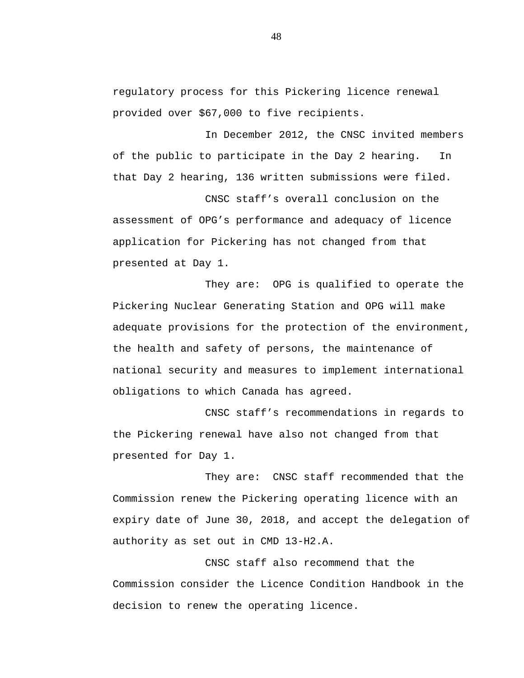regulatory process for this Pickering licence renewal provided over \$67,000 to five recipients.

In December 2012, the CNSC invited members of the public to participate in the Day 2 hearing. In that Day 2 hearing, 136 written submissions were filed.

CNSC staff's overall conclusion on the assessment of OPG's performance and adequacy of licence application for Pickering has not changed from that presented at Day 1.

They are: OPG is qualified to operate the Pickering Nuclear Generating Station and OPG will make adequate provisions for the protection of the environment, the health and safety of persons, the maintenance of national security and measures to implement international obligations to which Canada has agreed.

CNSC staff's recommendations in regards to the Pickering renewal have also not changed from that presented for Day 1.

They are: CNSC staff recommended that the Commission renew the Pickering operating licence with an expiry date of June 30, 2018, and accept the delegation of authority as set out in CMD 13-H2.A.

CNSC staff also recommend that the Commission consider the Licence Condition Handbook in the decision to renew the operating licence.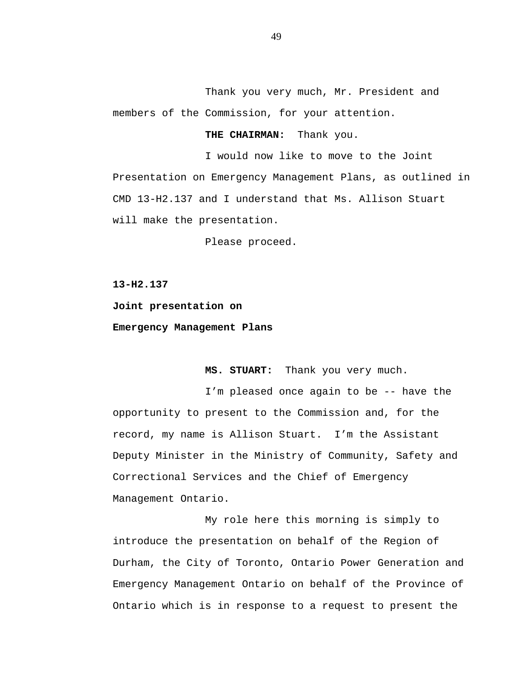Thank you very much, Mr. President and members of the Commission, for your attention.

**THE CHAIRMAN:** Thank you.

I would now like to move to the Joint Presentation on Emergency Management Plans, as outlined in CMD 13-H2.137 and I understand that Ms. Allison Stuart will make the presentation.

Please proceed.

 **13-H2.137**

 **Joint presentation on** 

 **Emergency Management Plans** 

**MS. STUART:** Thank you very much.

I'm pleased once again to be -- have the opportunity to present to the Commission and, for the record, my name is Allison Stuart. I'm the Assistant Deputy Minister in the Ministry of Community, Safety and Correctional Services and the Chief of Emergency Management Ontario.

My role here this morning is simply to introduce the presentation on behalf of the Region of Durham, the City of Toronto, Ontario Power Generation and Emergency Management Ontario on behalf of the Province of Ontario which is in response to a request to present the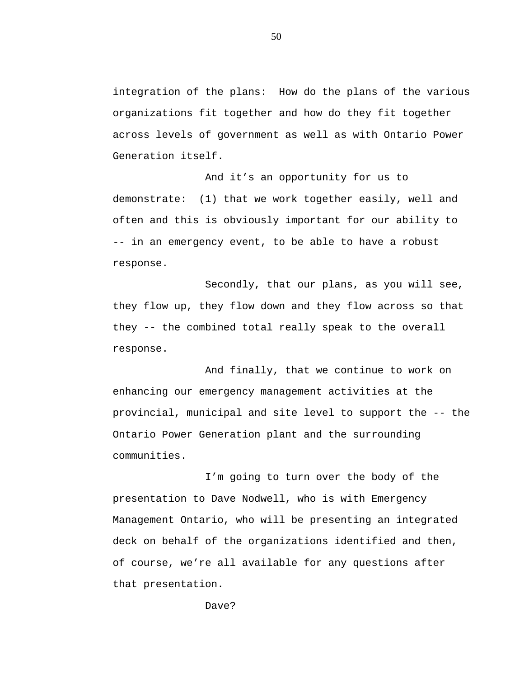integration of the plans: How do the plans of the various organizations fit together and how do they fit together across levels of government as well as with Ontario Power Generation itself.

And it's an opportunity for us to demonstrate: (1) that we work together easily, well and often and this is obviously important for our ability to -- in an emergency event, to be able to have a robust response.

Secondly, that our plans, as you will see, they flow up, they flow down and they flow across so that they -- the combined total really speak to the overall response.

And finally, that we continue to work on enhancing our emergency management activities at the provincial, municipal and site level to support the -- the Ontario Power Generation plant and the surrounding communities.

I'm going to turn over the body of the presentation to Dave Nodwell, who is with Emergency Management Ontario, who will be presenting an integrated deck on behalf of the organizations identified and then, of course, we're all available for any questions after that presentation.

Dave?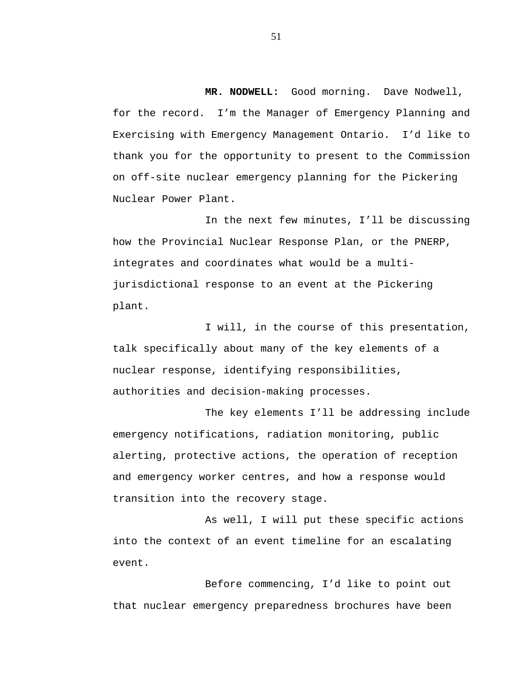**MR. NODWELL:** Good morning. Dave Nodwell, for the record. I'm the Manager of Emergency Planning and Exercising with Emergency Management Ontario. I'd like to thank you for the opportunity to present to the Commission on off-site nuclear emergency planning for the Pickering Nuclear Power Plant.

In the next few minutes, I'll be discussing how the Provincial Nuclear Response Plan, or the PNERP, integrates and coordinates what would be a multijurisdictional response to an event at the Pickering plant.

I will, in the course of this presentation, talk specifically about many of the key elements of a nuclear response, identifying responsibilities, authorities and decision-making processes.

The key elements I'll be addressing include emergency notifications, radiation monitoring, public alerting, protective actions, the operation of reception and emergency worker centres, and how a response would transition into the recovery stage.

As well, I will put these specific actions into the context of an event timeline for an escalating event.

Before commencing, I'd like to point out that nuclear emergency preparedness brochures have been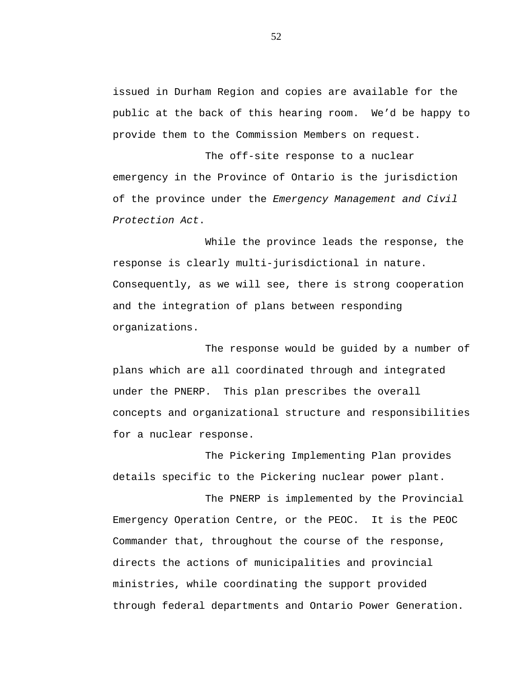issued in Durham Region and copies are available for the public at the back of this hearing room. We'd be happy to provide them to the Commission Members on request.

The off-site response to a nuclear emergency in the Province of Ontario is the jurisdiction of the province under the *Emergency Management and Civil Protection Act*.

While the province leads the response, the response is clearly multi-jurisdictional in nature. Consequently, as we will see, there is strong cooperation and the integration of plans between responding organizations.

The response would be guided by a number of plans which are all coordinated through and integrated under the PNERP. This plan prescribes the overall concepts and organizational structure and responsibilities for a nuclear response.

The Pickering Implementing Plan provides details specific to the Pickering nuclear power plant.

The PNERP is implemented by the Provincial Emergency Operation Centre, or the PEOC. It is the PEOC Commander that, throughout the course of the response, directs the actions of municipalities and provincial ministries, while coordinating the support provided through federal departments and Ontario Power Generation.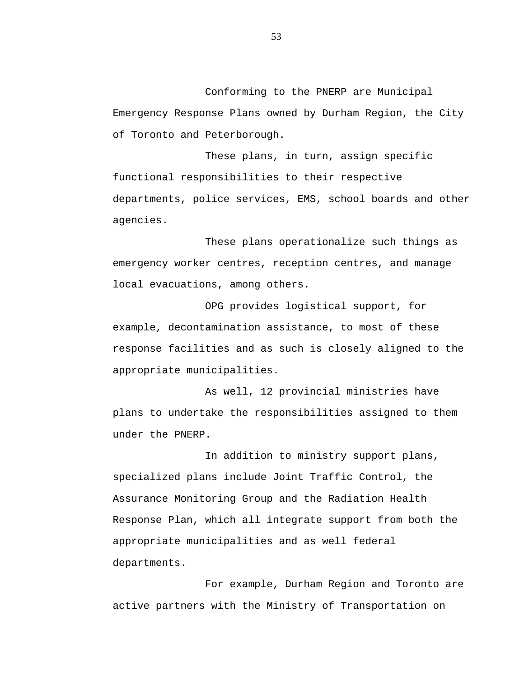Conforming to the PNERP are Municipal Emergency Response Plans owned by Durham Region, the City of Toronto and Peterborough.

These plans, in turn, assign specific functional responsibilities to their respective departments, police services, EMS, school boards and other agencies.

These plans operationalize such things as emergency worker centres, reception centres, and manage local evacuations, among others.

OPG provides logistical support, for example, decontamination assistance, to most of these response facilities and as such is closely aligned to the appropriate municipalities.

As well, 12 provincial ministries have plans to undertake the responsibilities assigned to them under the PNERP.

In addition to ministry support plans, specialized plans include Joint Traffic Control, the Assurance Monitoring Group and the Radiation Health Response Plan, which all integrate support from both the appropriate municipalities and as well federal departments.

For example, Durham Region and Toronto are active partners with the Ministry of Transportation on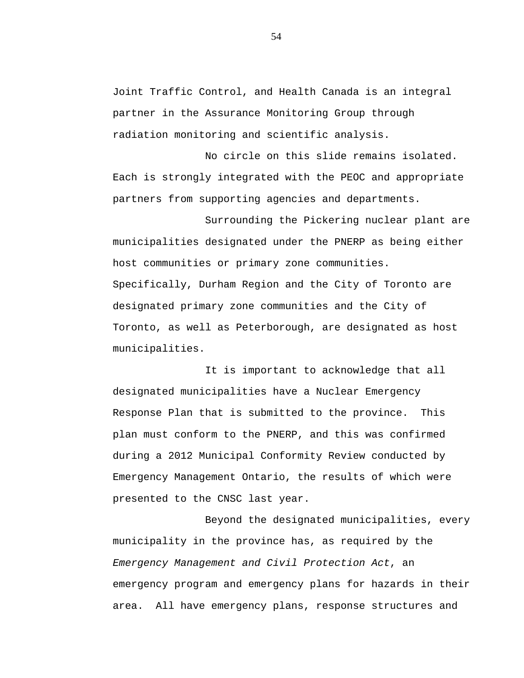Joint Traffic Control, and Health Canada is an integral partner in the Assurance Monitoring Group through radiation monitoring and scientific analysis.

No circle on this slide remains isolated. Each is strongly integrated with the PEOC and appropriate partners from supporting agencies and departments.

Surrounding the Pickering nuclear plant are municipalities designated under the PNERP as being either host communities or primary zone communities. Specifically, Durham Region and the City of Toronto are designated primary zone communities and the City of Toronto, as well as Peterborough, are designated as host municipalities.

It is important to acknowledge that all designated municipalities have a Nuclear Emergency Response Plan that is submitted to the province. This plan must conform to the PNERP, and this was confirmed during a 2012 Municipal Conformity Review conducted by Emergency Management Ontario, the results of which were presented to the CNSC last year.

Beyond the designated municipalities, every municipality in the province has, as required by the *Emergency Management and Civil Protection Act*, an emergency program and emergency plans for hazards in their area. All have emergency plans, response structures and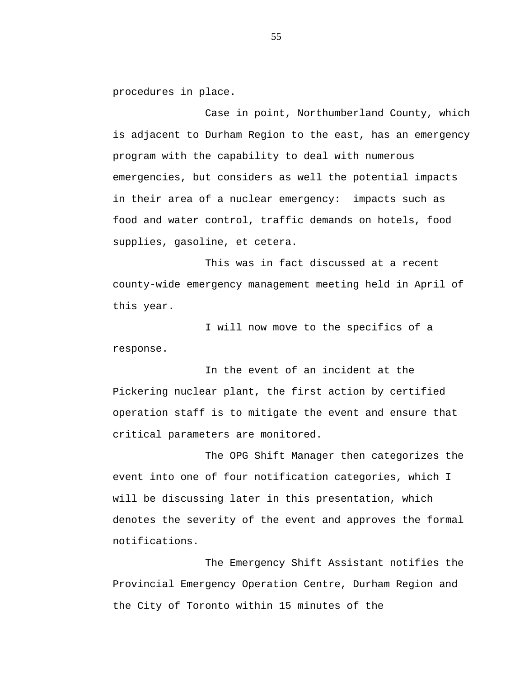procedures in place.

Case in point, Northumberland County, which is adjacent to Durham Region to the east, has an emergency program with the capability to deal with numerous emergencies, but considers as well the potential impacts in their area of a nuclear emergency: impacts such as food and water control, traffic demands on hotels, food supplies, gasoline, et cetera.

This was in fact discussed at a recent county-wide emergency management meeting held in April of this year.

I will now move to the specifics of a response.

In the event of an incident at the Pickering nuclear plant, the first action by certified operation staff is to mitigate the event and ensure that critical parameters are monitored.

The OPG Shift Manager then categorizes the event into one of four notification categories, which I will be discussing later in this presentation, which denotes the severity of the event and approves the formal notifications.

The Emergency Shift Assistant notifies the Provincial Emergency Operation Centre, Durham Region and the City of Toronto within 15 minutes of the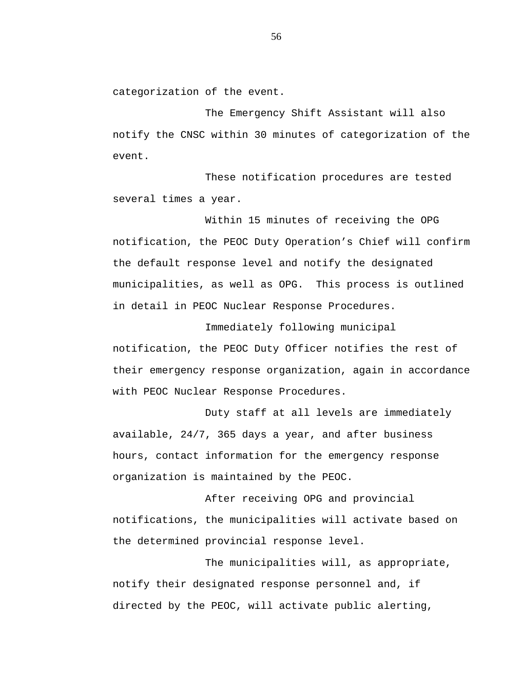categorization of the event.

The Emergency Shift Assistant will also notify the CNSC within 30 minutes of categorization of the event.

These notification procedures are tested several times a year.

Within 15 minutes of receiving the OPG notification, the PEOC Duty Operation's Chief will confirm the default response level and notify the designated municipalities, as well as OPG. This process is outlined in detail in PEOC Nuclear Response Procedures.

Immediately following municipal notification, the PEOC Duty Officer notifies the rest of their emergency response organization, again in accordance with PEOC Nuclear Response Procedures.

Duty staff at all levels are immediately available, 24/7, 365 days a year, and after business hours, contact information for the emergency response organization is maintained by the PEOC.

After receiving OPG and provincial notifications, the municipalities will activate based on the determined provincial response level.

The municipalities will, as appropriate, notify their designated response personnel and, if directed by the PEOC, will activate public alerting,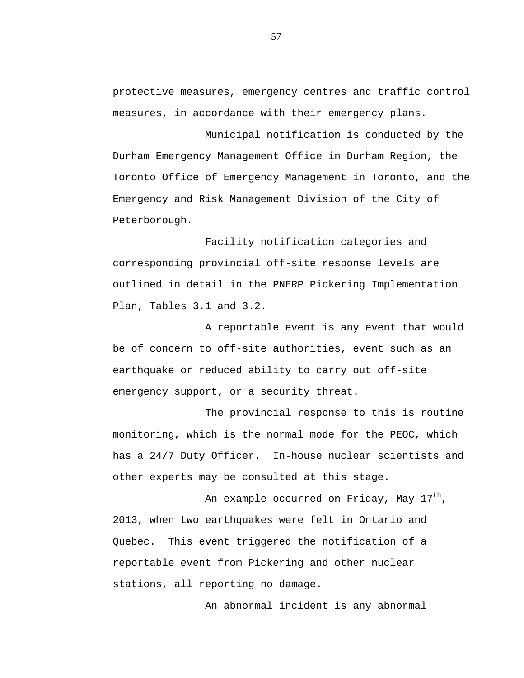protective measures, emergency centres and traffic control measures, in accordance with their emergency plans.

Municipal notification is conducted by the Durham Emergency Management Office in Durham Region, the Toronto Office of Emergency Management in Toronto, and the Emergency and Risk Management Division of the City of Peterborough.

Facility notification categories and corresponding provincial off-site response levels are outlined in detail in the PNERP Pickering Implementation Plan, Tables 3.1 and 3.2.

A reportable event is any event that would be of concern to off-site authorities, event such as an earthquake or reduced ability to carry out off-site emergency support, or a security threat.

The provincial response to this is routine monitoring, which is the normal mode for the PEOC, which has a 24/7 Duty Officer. In-house nuclear scientists and other experts may be consulted at this stage.

An example occurred on Friday, May  $17<sup>th</sup>$ , 2013, when two earthquakes were felt in Ontario and Quebec. This event triggered the notification of a reportable event from Pickering and other nuclear stations, all reporting no damage.

An abnormal incident is any abnormal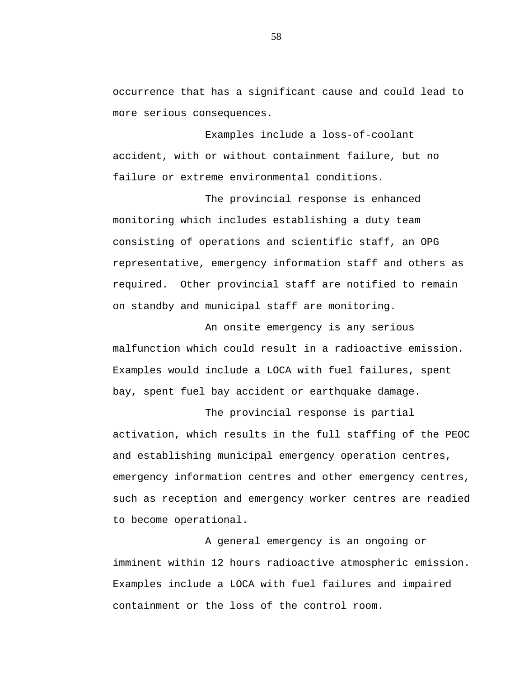occurrence that has a significant cause and could lead to more serious consequences.

Examples include a loss-of-coolant accident, with or without containment failure, but no failure or extreme environmental conditions.

The provincial response is enhanced monitoring which includes establishing a duty team consisting of operations and scientific staff, an OPG representative, emergency information staff and others as required. Other provincial staff are notified to remain on standby and municipal staff are monitoring.

An onsite emergency is any serious malfunction which could result in a radioactive emission. Examples would include a LOCA with fuel failures, spent bay, spent fuel bay accident or earthquake damage.

The provincial response is partial activation, which results in the full staffing of the PEOC and establishing municipal emergency operation centres, emergency information centres and other emergency centres, such as reception and emergency worker centres are readied to become operational.

A general emergency is an ongoing or imminent within 12 hours radioactive atmospheric emission. Examples include a LOCA with fuel failures and impaired containment or the loss of the control room.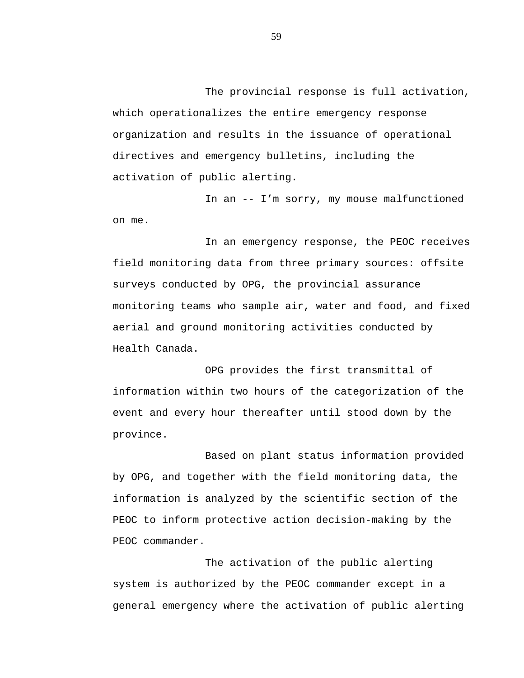The provincial response is full activation, which operationalizes the entire emergency response organization and results in the issuance of operational directives and emergency bulletins, including the activation of public alerting.

In an -- I'm sorry, my mouse malfunctioned on me.

In an emergency response, the PEOC receives field monitoring data from three primary sources: offsite surveys conducted by OPG, the provincial assurance monitoring teams who sample air, water and food, and fixed aerial and ground monitoring activities conducted by Health Canada.

OPG provides the first transmittal of information within two hours of the categorization of the event and every hour thereafter until stood down by the province.

Based on plant status information provided by OPG, and together with the field monitoring data, the information is analyzed by the scientific section of the PEOC to inform protective action decision-making by the PEOC commander.

The activation of the public alerting system is authorized by the PEOC commander except in a general emergency where the activation of public alerting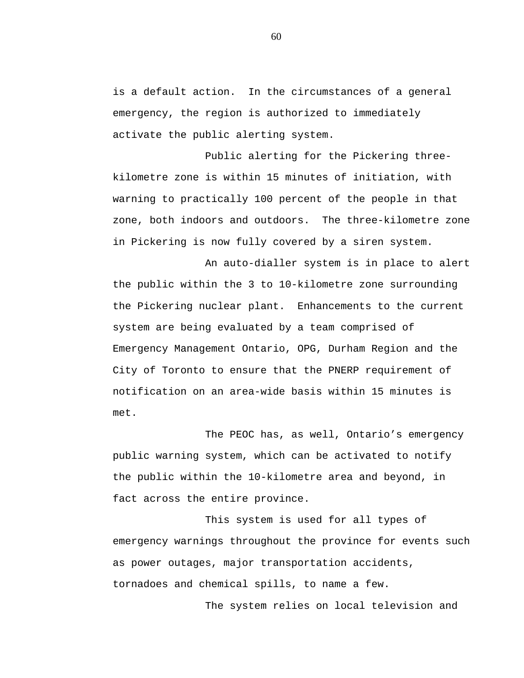is a default action. In the circumstances of a general emergency, the region is authorized to immediately activate the public alerting system.

Public alerting for the Pickering threekilometre zone is within 15 minutes of initiation, with warning to practically 100 percent of the people in that zone, both indoors and outdoors. The three-kilometre zone in Pickering is now fully covered by a siren system.

An auto-dialler system is in place to alert the public within the 3 to 10-kilometre zone surrounding the Pickering nuclear plant. Enhancements to the current system are being evaluated by a team comprised of Emergency Management Ontario, OPG, Durham Region and the City of Toronto to ensure that the PNERP requirement of notification on an area-wide basis within 15 minutes is met.

The PEOC has, as well, Ontario's emergency public warning system, which can be activated to notify the public within the 10-kilometre area and beyond, in fact across the entire province.

This system is used for all types of emergency warnings throughout the province for events such as power outages, major transportation accidents, tornadoes and chemical spills, to name a few.

The system relies on local television and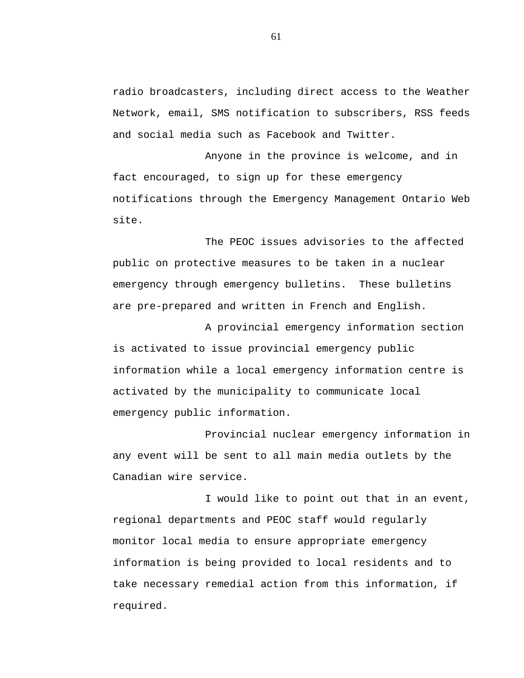radio broadcasters, including direct access to the Weather Network, email, SMS notification to subscribers, RSS feeds and social media such as Facebook and Twitter.

Anyone in the province is welcome, and in fact encouraged, to sign up for these emergency notifications through the Emergency Management Ontario Web site.

The PEOC issues advisories to the affected public on protective measures to be taken in a nuclear emergency through emergency bulletins. These bulletins are pre-prepared and written in French and English.

A provincial emergency information section is activated to issue provincial emergency public information while a local emergency information centre is activated by the municipality to communicate local emergency public information.

Provincial nuclear emergency information in any event will be sent to all main media outlets by the Canadian wire service.

I would like to point out that in an event, regional departments and PEOC staff would regularly monitor local media to ensure appropriate emergency information is being provided to local residents and to take necessary remedial action from this information, if required.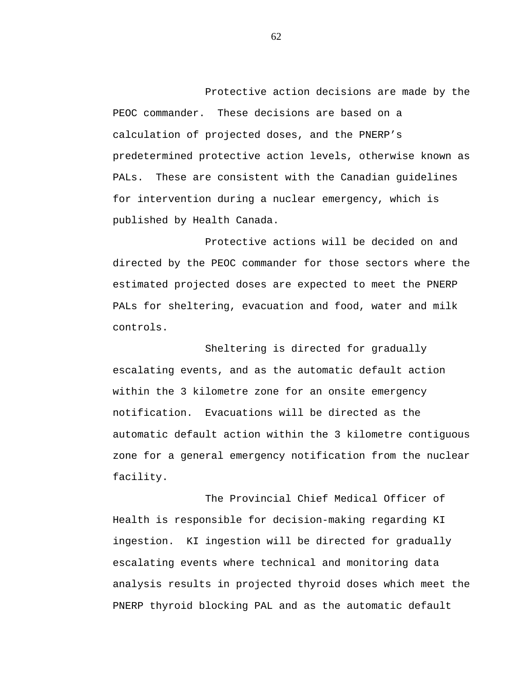Protective action decisions are made by the PEOC commander. These decisions are based on a calculation of projected doses, and the PNERP's predetermined protective action levels, otherwise known as PALs. These are consistent with the Canadian guidelines for intervention during a nuclear emergency, which is published by Health Canada.

Protective actions will be decided on and directed by the PEOC commander for those sectors where the estimated projected doses are expected to meet the PNERP PALs for sheltering, evacuation and food, water and milk controls.

Sheltering is directed for gradually escalating events, and as the automatic default action within the 3 kilometre zone for an onsite emergency notification. Evacuations will be directed as the automatic default action within the 3 kilometre contiguous zone for a general emergency notification from the nuclear facility.

The Provincial Chief Medical Officer of Health is responsible for decision-making regarding KI ingestion. KI ingestion will be directed for gradually escalating events where technical and monitoring data analysis results in projected thyroid doses which meet the PNERP thyroid blocking PAL and as the automatic default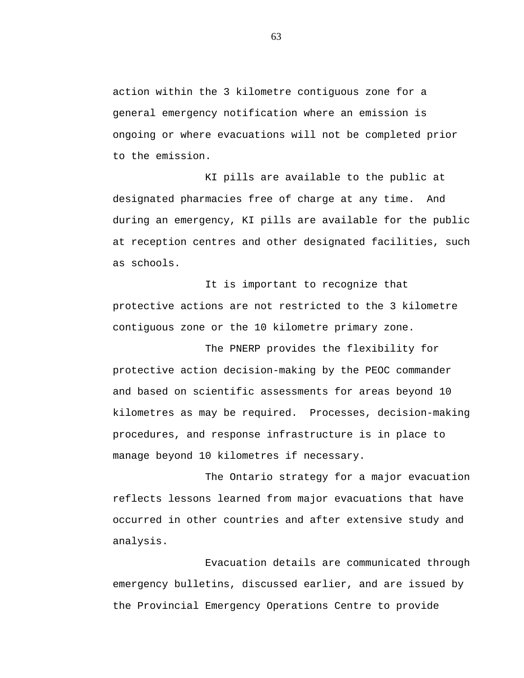action within the 3 kilometre contiguous zone for a general emergency notification where an emission is ongoing or where evacuations will not be completed prior to the emission.

KI pills are available to the public at designated pharmacies free of charge at any time. And during an emergency, KI pills are available for the public at reception centres and other designated facilities, such as schools.

It is important to recognize that protective actions are not restricted to the 3 kilometre contiguous zone or the 10 kilometre primary zone.

The PNERP provides the flexibility for protective action decision-making by the PEOC commander and based on scientific assessments for areas beyond 10 kilometres as may be required. Processes, decision-making procedures, and response infrastructure is in place to manage beyond 10 kilometres if necessary.

The Ontario strategy for a major evacuation reflects lessons learned from major evacuations that have occurred in other countries and after extensive study and analysis.

Evacuation details are communicated through emergency bulletins, discussed earlier, and are issued by the Provincial Emergency Operations Centre to provide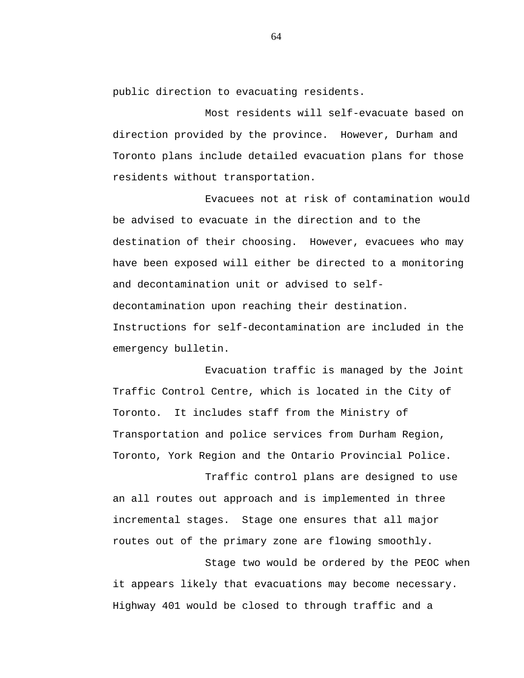public direction to evacuating residents.

Most residents will self-evacuate based on direction provided by the province. However, Durham and Toronto plans include detailed evacuation plans for those residents without transportation.

Evacuees not at risk of contamination would be advised to evacuate in the direction and to the destination of their choosing. However, evacuees who may have been exposed will either be directed to a monitoring and decontamination unit or advised to selfdecontamination upon reaching their destination. Instructions for self-decontamination are included in the emergency bulletin.

Evacuation traffic is managed by the Joint Traffic Control Centre, which is located in the City of Toronto. It includes staff from the Ministry of Transportation and police services from Durham Region, Toronto, York Region and the Ontario Provincial Police.

Traffic control plans are designed to use an all routes out approach and is implemented in three incremental stages. Stage one ensures that all major routes out of the primary zone are flowing smoothly.

Stage two would be ordered by the PEOC when it appears likely that evacuations may become necessary. Highway 401 would be closed to through traffic and a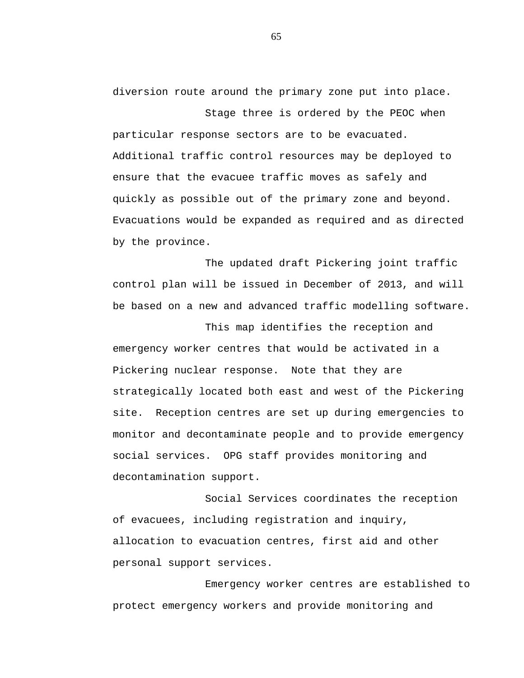diversion route around the primary zone put into place. Stage three is ordered by the PEOC when particular response sectors are to be evacuated. Additional traffic control resources may be deployed to ensure that the evacuee traffic moves as safely and quickly as possible out of the primary zone and beyond. Evacuations would be expanded as required and as directed by the province.

The updated draft Pickering joint traffic control plan will be issued in December of 2013, and will be based on a new and advanced traffic modelling software.

This map identifies the reception and emergency worker centres that would be activated in a Pickering nuclear response. Note that they are strategically located both east and west of the Pickering site. Reception centres are set up during emergencies to monitor and decontaminate people and to provide emergency social services. OPG staff provides monitoring and decontamination support.

Social Services coordinates the reception of evacuees, including registration and inquiry, allocation to evacuation centres, first aid and other personal support services.

Emergency worker centres are established to protect emergency workers and provide monitoring and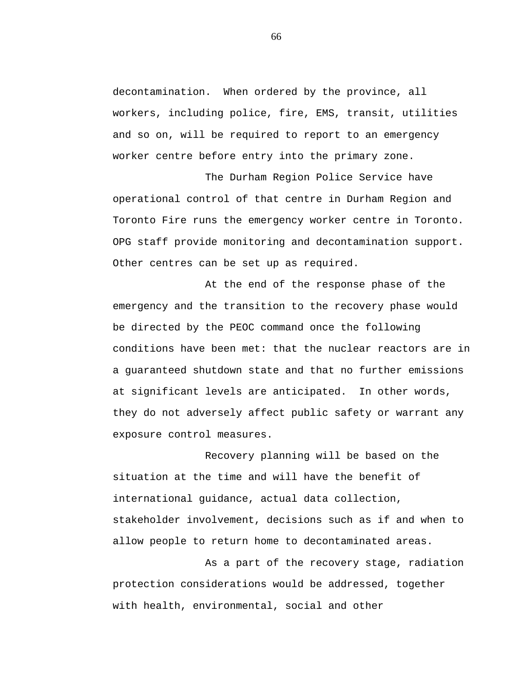decontamination. When ordered by the province, all workers, including police, fire, EMS, transit, utilities and so on, will be required to report to an emergency worker centre before entry into the primary zone.

The Durham Region Police Service have operational control of that centre in Durham Region and Toronto Fire runs the emergency worker centre in Toronto. OPG staff provide monitoring and decontamination support. Other centres can be set up as required.

At the end of the response phase of the emergency and the transition to the recovery phase would be directed by the PEOC command once the following conditions have been met: that the nuclear reactors are in a guaranteed shutdown state and that no further emissions at significant levels are anticipated. In other words, they do not adversely affect public safety or warrant any exposure control measures.

Recovery planning will be based on the situation at the time and will have the benefit of international guidance, actual data collection, stakeholder involvement, decisions such as if and when to allow people to return home to decontaminated areas.

As a part of the recovery stage, radiation protection considerations would be addressed, together with health, environmental, social and other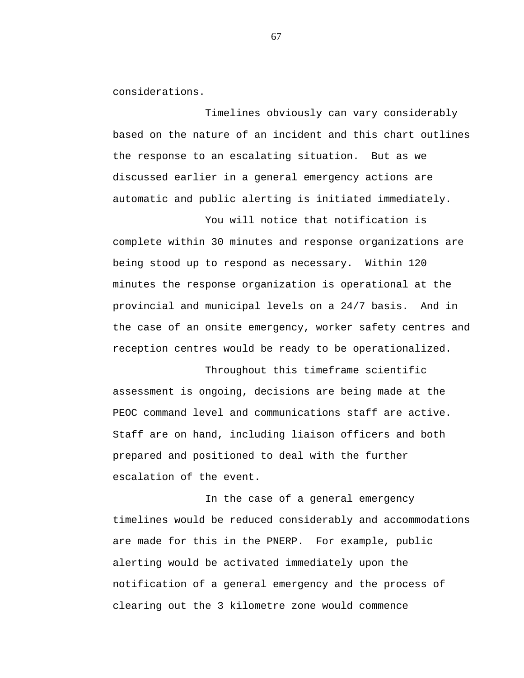considerations.

Timelines obviously can vary considerably based on the nature of an incident and this chart outlines the response to an escalating situation. But as we discussed earlier in a general emergency actions are automatic and public alerting is initiated immediately.

You will notice that notification is

complete within 30 minutes and response organizations are being stood up to respond as necessary. Within 120 minutes the response organization is operational at the provincial and municipal levels on a 24/7 basis. And in the case of an onsite emergency, worker safety centres and reception centres would be ready to be operationalized.

Throughout this timeframe scientific assessment is ongoing, decisions are being made at the PEOC command level and communications staff are active. Staff are on hand, including liaison officers and both prepared and positioned to deal with the further escalation of the event.

In the case of a general emergency timelines would be reduced considerably and accommodations are made for this in the PNERP. For example, public alerting would be activated immediately upon the notification of a general emergency and the process of clearing out the 3 kilometre zone would commence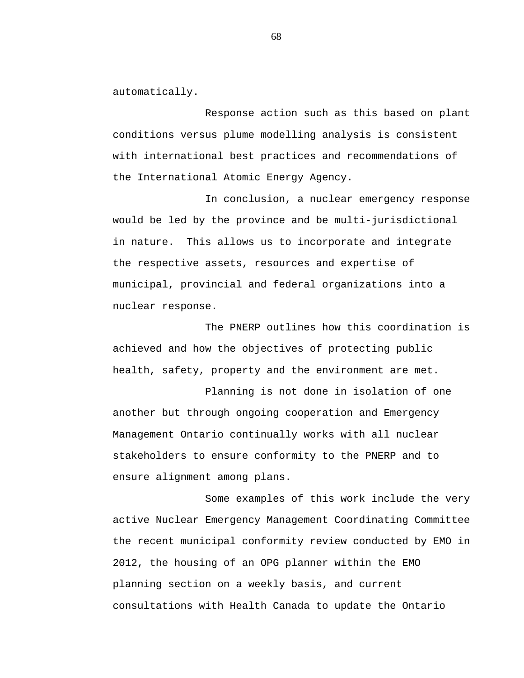automatically.

Response action such as this based on plant conditions versus plume modelling analysis is consistent with international best practices and recommendations of the International Atomic Energy Agency.

In conclusion, a nuclear emergency response would be led by the province and be multi-jurisdictional in nature. This allows us to incorporate and integrate the respective assets, resources and expertise of municipal, provincial and federal organizations into a nuclear response.

The PNERP outlines how this coordination is achieved and how the objectives of protecting public health, safety, property and the environment are met.

Planning is not done in isolation of one another but through ongoing cooperation and Emergency Management Ontario continually works with all nuclear stakeholders to ensure conformity to the PNERP and to ensure alignment among plans.

Some examples of this work include the very active Nuclear Emergency Management Coordinating Committee the recent municipal conformity review conducted by EMO in 2012, the housing of an OPG planner within the EMO planning section on a weekly basis, and current consultations with Health Canada to update the Ontario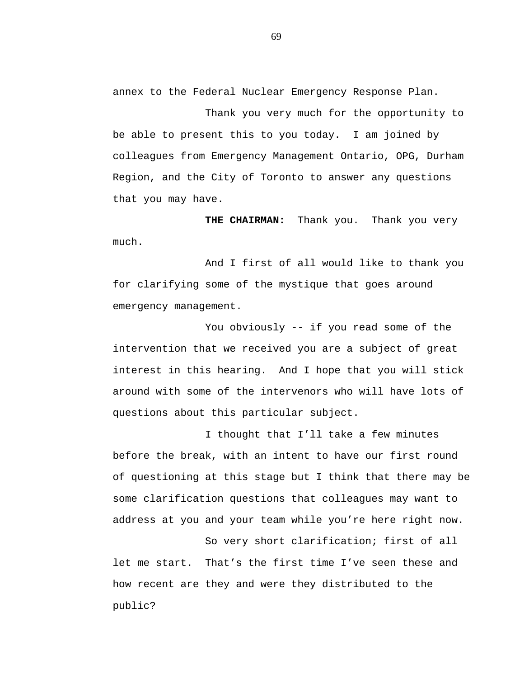annex to the Federal Nuclear Emergency Response Plan.

Thank you very much for the opportunity to be able to present this to you today. I am joined by colleagues from Emergency Management Ontario, OPG, Durham Region, and the City of Toronto to answer any questions that you may have.

**THE CHAIRMAN:** Thank you. Thank you very much.

And I first of all would like to thank you for clarifying some of the mystique that goes around emergency management.

You obviously -- if you read some of the intervention that we received you are a subject of great interest in this hearing. And I hope that you will stick around with some of the intervenors who will have lots of questions about this particular subject.

I thought that I'll take a few minutes before the break, with an intent to have our first round of questioning at this stage but I think that there may be some clarification questions that colleagues may want to address at you and your team while you're here right now.

So very short clarification; first of all let me start. That's the first time I've seen these and how recent are they and were they distributed to the public?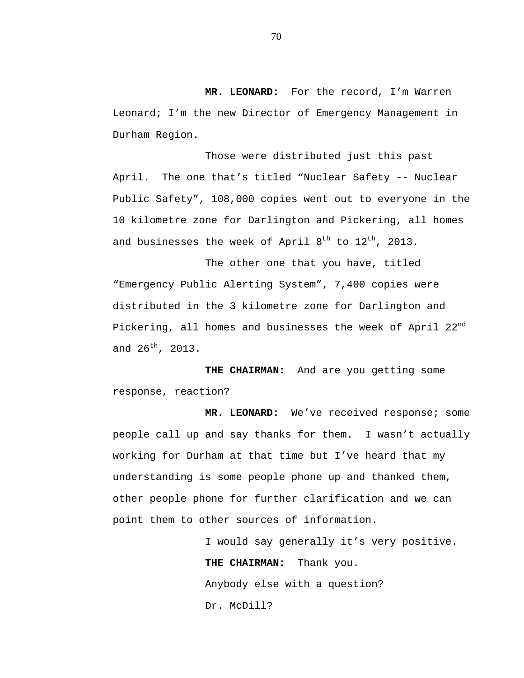**MR. LEONARD:** For the record, I'm Warren Leonard; I'm the new Director of Emergency Management in Durham Region.

Those were distributed just this past April. The one that's titled "Nuclear Safety -- Nuclear Public Safety", 108,000 copies went out to everyone in the 10 kilometre zone for Darlington and Pickering, all homes and businesses the week of April  $8<sup>th</sup>$  to  $12<sup>th</sup>$ , 2013.

The other one that you have, titled "Emergency Public Alerting System", 7,400 copies were distributed in the 3 kilometre zone for Darlington and Pickering, all homes and businesses the week of April 22<sup>nd</sup> and  $26^{th}$ , 2013.

**THE CHAIRMAN:** And are you getting some response, reaction?

**MR. LEONARD:** We've received response; some people call up and say thanks for them. I wasn't actually working for Durham at that time but I've heard that my understanding is some people phone up and thanked them, other people phone for further clarification and we can point them to other sources of information.

> I would say generally it's very positive. **THE CHAIRMAN:** Thank you. Anybody else with a question? Dr. McDill?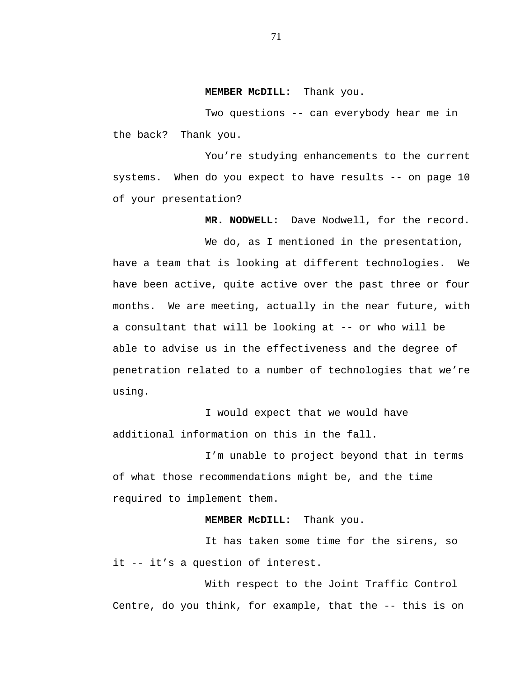#### **MEMBER McDILL:** Thank you.

Two questions -- can everybody hear me in the back? Thank you.

You're studying enhancements to the current systems. When do you expect to have results -- on page 10 of your presentation?

**MR. NODWELL:** Dave Nodwell, for the record.

We do, as I mentioned in the presentation, have a team that is looking at different technologies. We have been active, quite active over the past three or four months. We are meeting, actually in the near future, with a consultant that will be looking at -- or who will be able to advise us in the effectiveness and the degree of penetration related to a number of technologies that we're using.

I would expect that we would have additional information on this in the fall.

I'm unable to project beyond that in terms of what those recommendations might be, and the time required to implement them.

**MEMBER McDILL:** Thank you.

It has taken some time for the sirens, so it -- it's a question of interest.

With respect to the Joint Traffic Control Centre, do you think, for example, that the -- this is on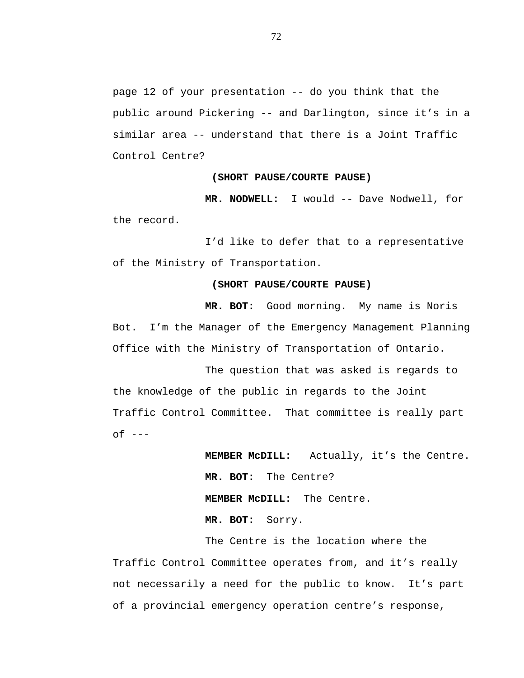page 12 of your presentation -- do you think that the public around Pickering -- and Darlington, since it's in a similar area -- understand that there is a Joint Traffic Control Centre?

### **(SHORT PAUSE/COURTE PAUSE)**

**MR. NODWELL:** I would -- Dave Nodwell, for the record.

I'd like to defer that to a representative of the Ministry of Transportation.

## **(SHORT PAUSE/COURTE PAUSE)**

**MR. BOT:** Good morning. My name is Noris Bot. I'm the Manager of the Emergency Management Planning Office with the Ministry of Transportation of Ontario.

The question that was asked is regards to the knowledge of the public in regards to the Joint Traffic Control Committee. That committee is really part  $of ---$ 

> **MEMBER McDILL:** Actually, it's the Centre. **MR. BOT:** The Centre? **MEMBER McDILL:** The Centre. **MR. BOT:** Sorry.

The Centre is the location where the Traffic Control Committee operates from, and it's really not necessarily a need for the public to know. It's part of a provincial emergency operation centre's response,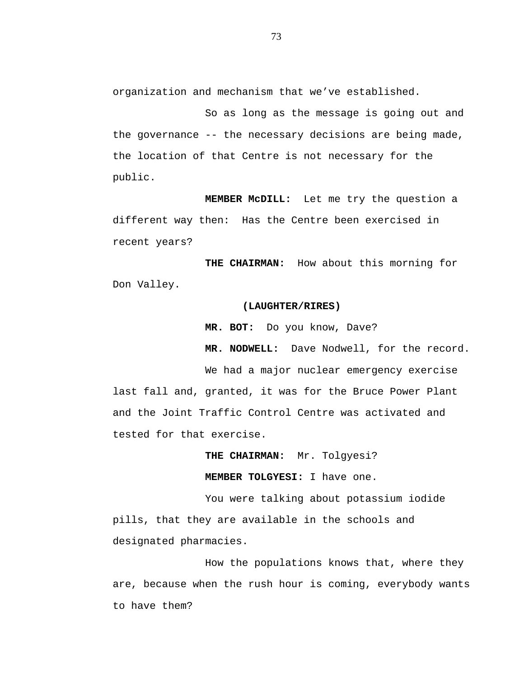organization and mechanism that we've established.

So as long as the message is going out and the governance -- the necessary decisions are being made, the location of that Centre is not necessary for the public.

**MEMBER McDILL:** Let me try the question a different way then: Has the Centre been exercised in recent years?

**THE CHAIRMAN:** How about this morning for Don Valley.

## **(LAUGHTER/RIRES)**

**MR. BOT:** Do you know, Dave?

**MR. NODWELL:** Dave Nodwell, for the record.

We had a major nuclear emergency exercise last fall and, granted, it was for the Bruce Power Plant and the Joint Traffic Control Centre was activated and tested for that exercise.

**THE CHAIRMAN:** Mr. Tolgyesi?

**MEMBER TOLGYESI:** I have one.

You were talking about potassium iodide pills, that they are available in the schools and designated pharmacies.

How the populations knows that, where they are, because when the rush hour is coming, everybody wants to have them?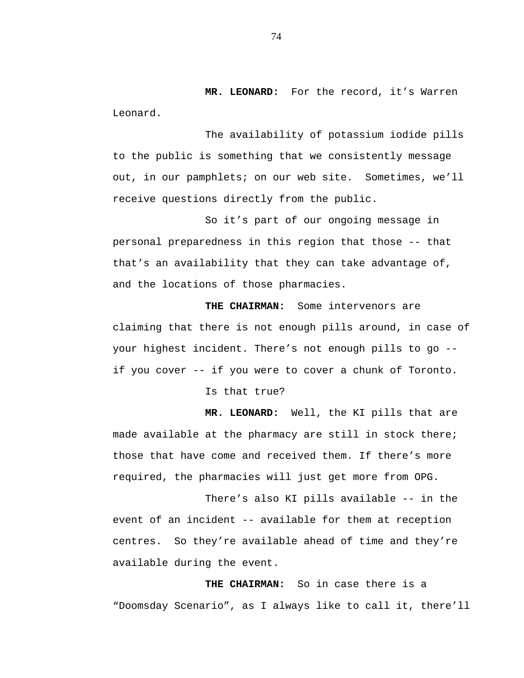**MR. LEONARD:** For the record, it's Warren Leonard.

The availability of potassium iodide pills to the public is something that we consistently message out, in our pamphlets; on our web site. Sometimes, we'll receive questions directly from the public.

So it's part of our ongoing message in personal preparedness in this region that those -- that that's an availability that they can take advantage of, and the locations of those pharmacies.

**THE CHAIRMAN:** Some intervenors are claiming that there is not enough pills around, in case of your highest incident. There's not enough pills to go - if you cover -- if you were to cover a chunk of Toronto.

Is that true?

**MR. LEONARD:** Well, the KI pills that are made available at the pharmacy are still in stock there; those that have come and received them. If there's more required, the pharmacies will just get more from OPG.

There's also KI pills available -- in the event of an incident -- available for them at reception centres. So they're available ahead of time and they're available during the event.

**THE CHAIRMAN:** So in case there is a "Doomsday Scenario", as I always like to call it, there'll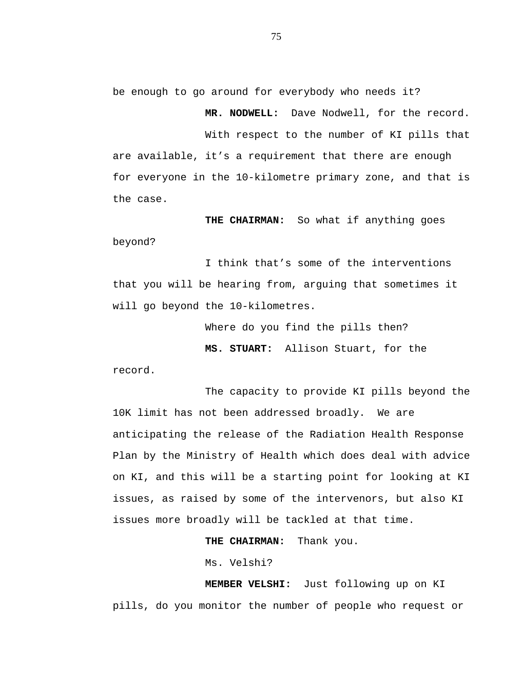be enough to go around for everybody who needs it?

**MR. NODWELL:** Dave Nodwell, for the record.

With respect to the number of KI pills that are available, it's a requirement that there are enough for everyone in the 10-kilometre primary zone, and that is the case.

**THE CHAIRMAN:** So what if anything goes beyond?

I think that's some of the interventions that you will be hearing from, arguing that sometimes it will go beyond the 10-kilometres.

> Where do you find the pills then? **MS. STUART:** Allison Stuart, for the

The capacity to provide KI pills beyond the 10K limit has not been addressed broadly. We are anticipating the release of the Radiation Health Response Plan by the Ministry of Health which does deal with advice on KI, and this will be a starting point for looking at KI issues, as raised by some of the intervenors, but also KI issues more broadly will be tackled at that time.

**THE CHAIRMAN:** Thank you.

Ms. Velshi?

record.

**MEMBER VELSHI:** Just following up on KI pills, do you monitor the number of people who request or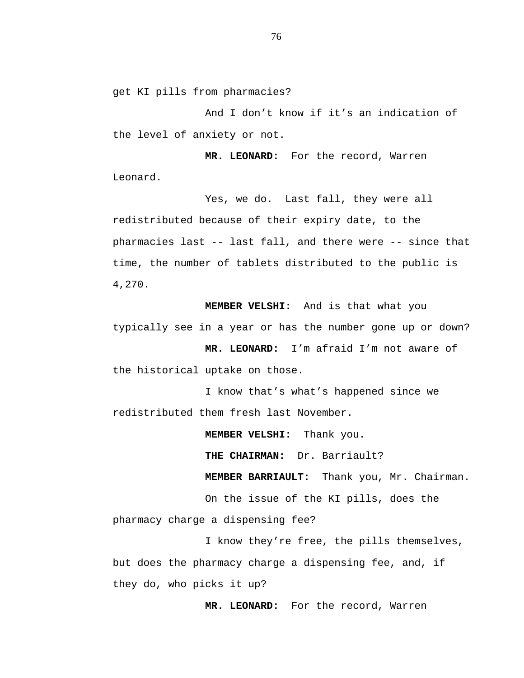get KI pills from pharmacies?

And I don't know if it's an indication of the level of anxiety or not.

**MR. LEONARD:** For the record, Warren Leonard.

Yes, we do. Last fall, they were all redistributed because of their expiry date, to the pharmacies last -- last fall, and there were -- since that time, the number of tablets distributed to the public is 4,270.

**MEMBER VELSHI:** And is that what you typically see in a year or has the number gone up or down?

**MR. LEONARD:** I'm afraid I'm not aware of the historical uptake on those.

I know that's what's happened since we redistributed them fresh last November.

**MEMBER VELSHI:** Thank you.

**THE CHAIRMAN:** Dr. Barriault?

**MEMBER BARRIAULT:** Thank you, Mr. Chairman.

On the issue of the KI pills, does the pharmacy charge a dispensing fee?

I know they're free, the pills themselves, but does the pharmacy charge a dispensing fee, and, if they do, who picks it up?

**MR. LEONARD:** For the record, Warren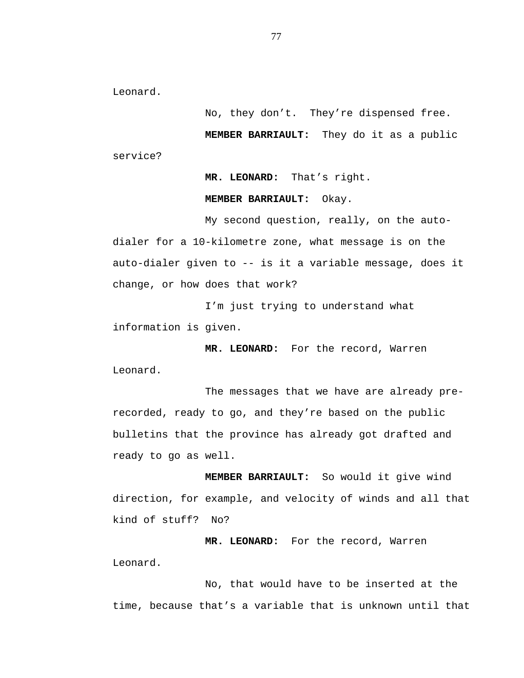Leonard.

No, they don't. They're dispensed free. **MEMBER BARRIAULT:** They do it as a public service?

> **MR. LEONARD:** That's right. **MEMBER BARRIAULT:** Okay.

My second question, really, on the autodialer for a 10-kilometre zone, what message is on the auto-dialer given to -- is it a variable message, does it change, or how does that work?

I'm just trying to understand what information is given.

**MR. LEONARD:** For the record, Warren Leonard.

The messages that we have are already prerecorded, ready to go, and they're based on the public bulletins that the province has already got drafted and ready to go as well.

**MEMBER BARRIAULT:** So would it give wind direction, for example, and velocity of winds and all that kind of stuff? No?

**MR. LEONARD:** For the record, Warren Leonard.

No, that would have to be inserted at the time, because that's a variable that is unknown until that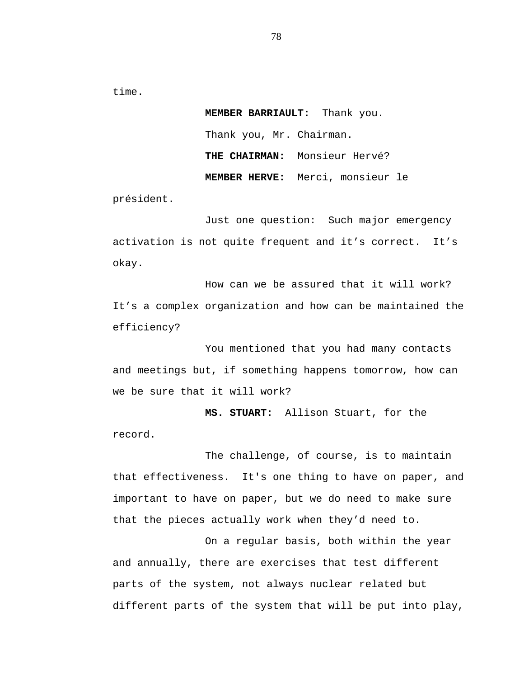time.

**MEMBER BARRIAULT:** Thank you. Thank you, Mr. Chairman. **THE CHAIRMAN:** Monsieur Hervé? **MEMBER HERVE:** Merci, monsieur le

président.

Just one question: Such major emergency activation is not quite frequent and it's correct. It's okay.

How can we be assured that it will work? It's a complex organization and how can be maintained the efficiency?

You mentioned that you had many contacts and meetings but, if something happens tomorrow, how can we be sure that it will work?

**MS. STUART:** Allison Stuart, for the record.

The challenge, of course, is to maintain that effectiveness. It's one thing to have on paper, and important to have on paper, but we do need to make sure that the pieces actually work when they'd need to.

On a regular basis, both within the year and annually, there are exercises that test different parts of the system, not always nuclear related but different parts of the system that will be put into play,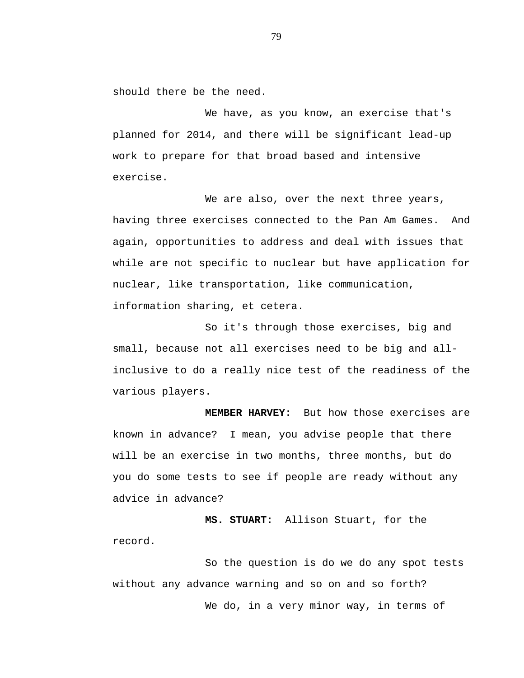should there be the need.

We have, as you know, an exercise that's planned for 2014, and there will be significant lead-up work to prepare for that broad based and intensive exercise.

We are also, over the next three years, having three exercises connected to the Pan Am Games. And again, opportunities to address and deal with issues that while are not specific to nuclear but have application for nuclear, like transportation, like communication, information sharing, et cetera.

So it's through those exercises, big and small, because not all exercises need to be big and allinclusive to do a really nice test of the readiness of the various players.

**MEMBER HARVEY:** But how those exercises are known in advance? I mean, you advise people that there will be an exercise in two months, three months, but do you do some tests to see if people are ready without any advice in advance?

**MS. STUART:** Allison Stuart, for the record.

So the question is do we do any spot tests without any advance warning and so on and so forth? We do, in a very minor way, in terms of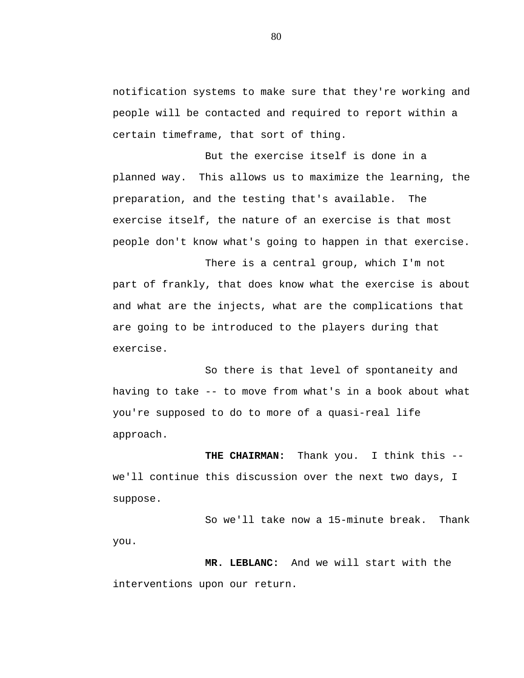notification systems to make sure that they're working and people will be contacted and required to report within a certain timeframe, that sort of thing.

But the exercise itself is done in a planned way. This allows us to maximize the learning, the preparation, and the testing that's available. The exercise itself, the nature of an exercise is that most people don't know what's going to happen in that exercise.

There is a central group, which I'm not part of frankly, that does know what the exercise is about and what are the injects, what are the complications that are going to be introduced to the players during that exercise.

So there is that level of spontaneity and having to take -- to move from what's in a book about what you're supposed to do to more of a quasi-real life approach.

**THE CHAIRMAN:** Thank you. I think this - we'll continue this discussion over the next two days, I suppose.

So we'll take now a 15-minute break. Thank you.

**MR. LEBLANC:** And we will start with the interventions upon our return.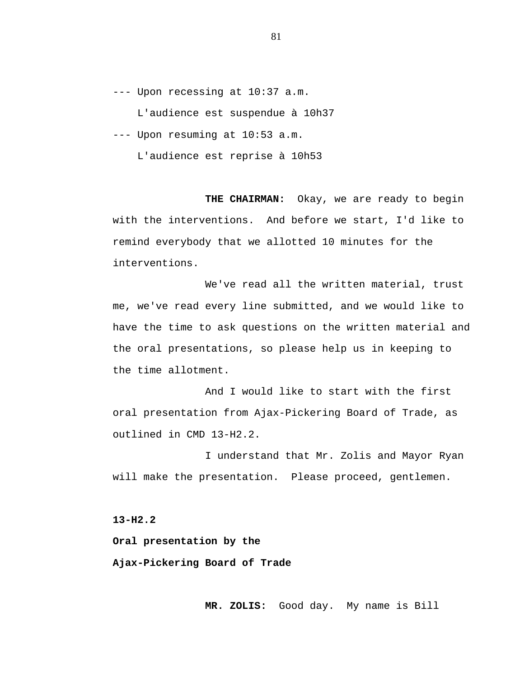--- Upon recessing at 10:37 a.m.

L'audience est suspendue à 10h37

--- Upon resuming at 10:53 a.m.

L'audience est reprise à 10h53

**THE CHAIRMAN:** Okay, we are ready to begin with the interventions. And before we start, I'd like to remind everybody that we allotted 10 minutes for the interventions.

We've read all the written material, trust me, we've read every line submitted, and we would like to have the time to ask questions on the written material and the oral presentations, so please help us in keeping to the time allotment.

And I would like to start with the first oral presentation from Ajax-Pickering Board of Trade, as outlined in CMD 13-H2.2.

I understand that Mr. Zolis and Mayor Ryan will make the presentation. Please proceed, gentlemen.

**13-H2.2**

**Oral presentation by the**

**Ajax-Pickering Board of Trade**

**MR. ZOLIS:** Good day. My name is Bill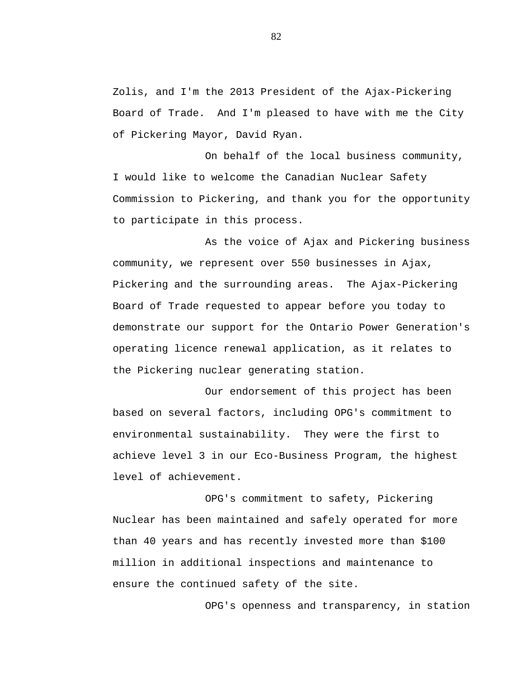Zolis, and I'm the 2013 President of the Ajax-Pickering Board of Trade. And I'm pleased to have with me the City of Pickering Mayor, David Ryan.

On behalf of the local business community, I would like to welcome the Canadian Nuclear Safety Commission to Pickering, and thank you for the opportunity to participate in this process.

As the voice of Ajax and Pickering business community, we represent over 550 businesses in Ajax, Pickering and the surrounding areas. The Ajax-Pickering Board of Trade requested to appear before you today to demonstrate our support for the Ontario Power Generation's operating licence renewal application, as it relates to the Pickering nuclear generating station.

Our endorsement of this project has been based on several factors, including OPG's commitment to environmental sustainability. They were the first to achieve level 3 in our Eco-Business Program, the highest level of achievement.

OPG's commitment to safety, Pickering Nuclear has been maintained and safely operated for more than 40 years and has recently invested more than \$100 million in additional inspections and maintenance to ensure the continued safety of the site.

OPG's openness and transparency, in station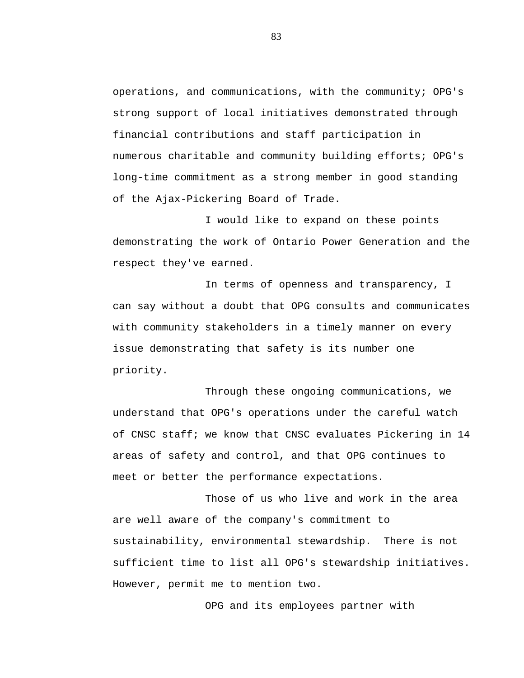operations, and communications, with the community; OPG's strong support of local initiatives demonstrated through financial contributions and staff participation in numerous charitable and community building efforts; OPG's long-time commitment as a strong member in good standing of the Ajax-Pickering Board of Trade.

I would like to expand on these points demonstrating the work of Ontario Power Generation and the respect they've earned.

In terms of openness and transparency, I can say without a doubt that OPG consults and communicates with community stakeholders in a timely manner on every issue demonstrating that safety is its number one priority.

Through these ongoing communications, we understand that OPG's operations under the careful watch of CNSC staff; we know that CNSC evaluates Pickering in 14 areas of safety and control, and that OPG continues to meet or better the performance expectations.

Those of us who live and work in the area are well aware of the company's commitment to sustainability, environmental stewardship. There is not sufficient time to list all OPG's stewardship initiatives. However, permit me to mention two.

OPG and its employees partner with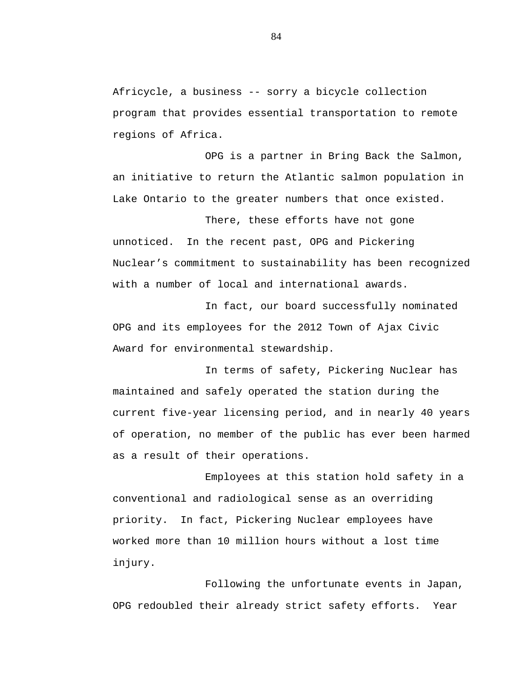Africycle, a business -- sorry a bicycle collection program that provides essential transportation to remote regions of Africa.

OPG is a partner in Bring Back the Salmon, an initiative to return the Atlantic salmon population in Lake Ontario to the greater numbers that once existed.

There, these efforts have not gone unnoticed. In the recent past, OPG and Pickering Nuclear's commitment to sustainability has been recognized with a number of local and international awards.

In fact, our board successfully nominated OPG and its employees for the 2012 Town of Ajax Civic Award for environmental stewardship.

In terms of safety, Pickering Nuclear has maintained and safely operated the station during the current five-year licensing period, and in nearly 40 years of operation, no member of the public has ever been harmed as a result of their operations.

Employees at this station hold safety in a conventional and radiological sense as an overriding priority. In fact, Pickering Nuclear employees have worked more than 10 million hours without a lost time injury.

Following the unfortunate events in Japan, OPG redoubled their already strict safety efforts. Year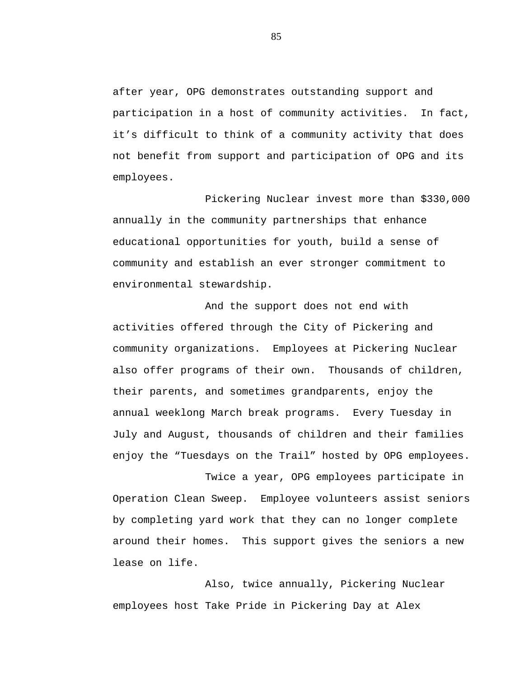after year, OPG demonstrates outstanding support and participation in a host of community activities. In fact, it's difficult to think of a community activity that does not benefit from support and participation of OPG and its employees.

Pickering Nuclear invest more than \$330,000 annually in the community partnerships that enhance educational opportunities for youth, build a sense of community and establish an ever stronger commitment to environmental stewardship.

And the support does not end with activities offered through the City of Pickering and community organizations. Employees at Pickering Nuclear also offer programs of their own. Thousands of children, their parents, and sometimes grandparents, enjoy the annual weeklong March break programs. Every Tuesday in July and August, thousands of children and their families enjoy the "Tuesdays on the Trail" hosted by OPG employees.

Twice a year, OPG employees participate in Operation Clean Sweep. Employee volunteers assist seniors by completing yard work that they can no longer complete around their homes. This support gives the seniors a new lease on life.

Also, twice annually, Pickering Nuclear employees host Take Pride in Pickering Day at Alex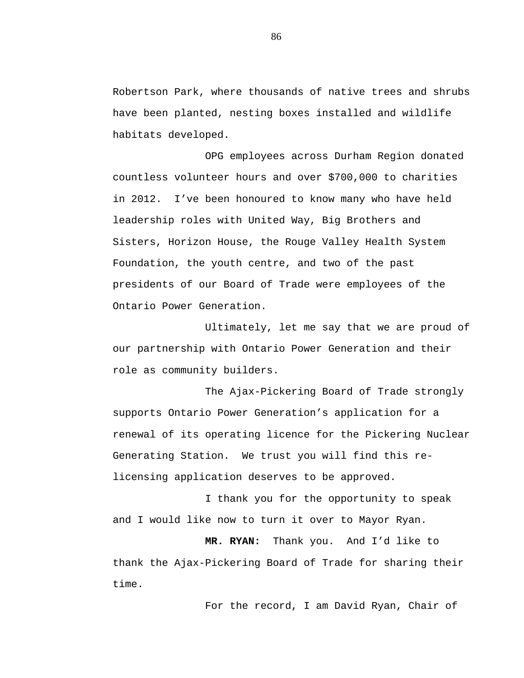Robertson Park, where thousands of native trees and shrubs have been planted, nesting boxes installed and wildlife habitats developed.

OPG employees across Durham Region donated countless volunteer hours and over \$700,000 to charities in 2012. I've been honoured to know many who have held leadership roles with United Way, Big Brothers and Sisters, Horizon House, the Rouge Valley Health System Foundation, the youth centre, and two of the past presidents of our Board of Trade were employees of the Ontario Power Generation.

Ultimately, let me say that we are proud of our partnership with Ontario Power Generation and their role as community builders.

The Ajax-Pickering Board of Trade strongly supports Ontario Power Generation's application for a renewal of its operating licence for the Pickering Nuclear Generating Station. We trust you will find this relicensing application deserves to be approved.

I thank you for the opportunity to speak and I would like now to turn it over to Mayor Ryan.

**MR. RYAN:** Thank you. And I'd like to thank the Ajax-Pickering Board of Trade for sharing their time.

For the record, I am David Ryan, Chair of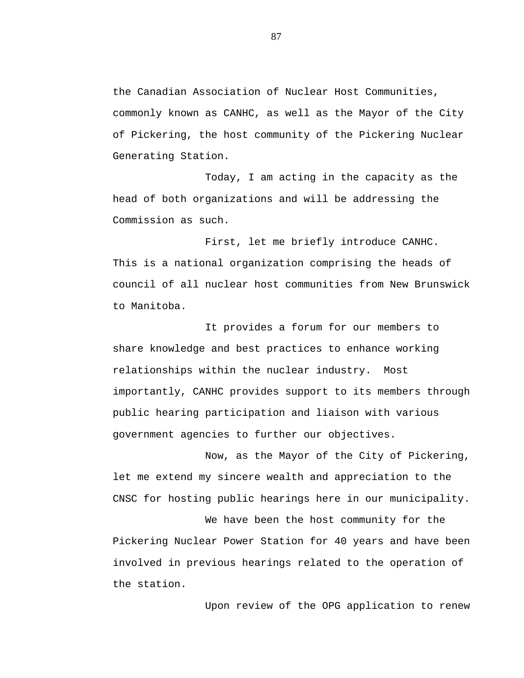the Canadian Association of Nuclear Host Communities, commonly known as CANHC, as well as the Mayor of the City of Pickering, the host community of the Pickering Nuclear Generating Station.

Today, I am acting in the capacity as the head of both organizations and will be addressing the Commission as such.

First, let me briefly introduce CANHC. This is a national organization comprising the heads of council of all nuclear host communities from New Brunswick to Manitoba.

It provides a forum for our members to share knowledge and best practices to enhance working relationships within the nuclear industry. Most importantly, CANHC provides support to its members through public hearing participation and liaison with various government agencies to further our objectives.

Now, as the Mayor of the City of Pickering, let me extend my sincere wealth and appreciation to the CNSC for hosting public hearings here in our municipality.

We have been the host community for the Pickering Nuclear Power Station for 40 years and have been involved in previous hearings related to the operation of the station.

Upon review of the OPG application to renew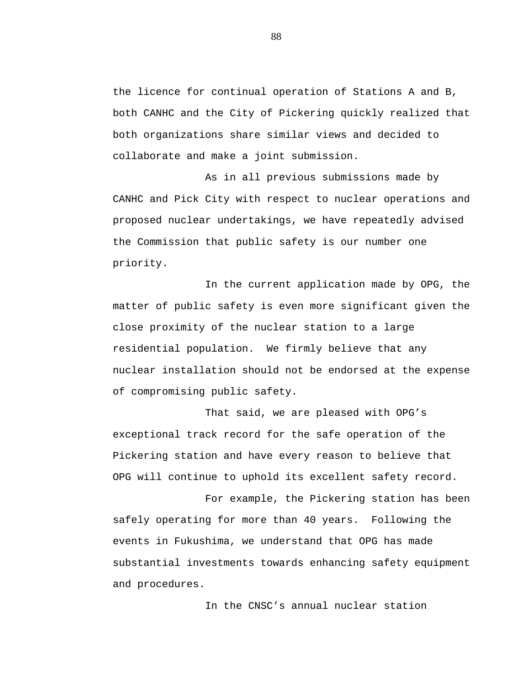the licence for continual operation of Stations A and B, both CANHC and the City of Pickering quickly realized that both organizations share similar views and decided to collaborate and make a joint submission.

As in all previous submissions made by CANHC and Pick City with respect to nuclear operations and proposed nuclear undertakings, we have repeatedly advised the Commission that public safety is our number one priority.

In the current application made by OPG, the matter of public safety is even more significant given the close proximity of the nuclear station to a large residential population. We firmly believe that any nuclear installation should not be endorsed at the expense of compromising public safety.

That said, we are pleased with OPG's exceptional track record for the safe operation of the Pickering station and have every reason to believe that OPG will continue to uphold its excellent safety record.

For example, the Pickering station has been safely operating for more than 40 years. Following the events in Fukushima, we understand that OPG has made substantial investments towards enhancing safety equipment and procedures.

In the CNSC's annual nuclear station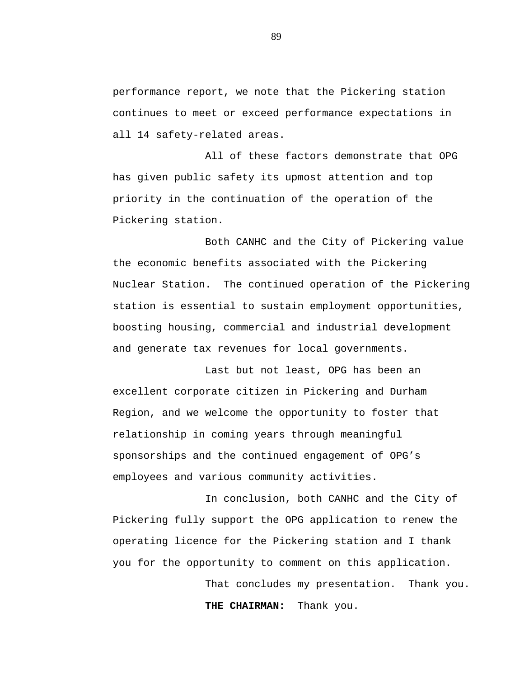performance report, we note that the Pickering station continues to meet or exceed performance expectations in all 14 safety-related areas.

All of these factors demonstrate that OPG has given public safety its upmost attention and top priority in the continuation of the operation of the Pickering station.

Both CANHC and the City of Pickering value the economic benefits associated with the Pickering Nuclear Station. The continued operation of the Pickering station is essential to sustain employment opportunities, boosting housing, commercial and industrial development and generate tax revenues for local governments.

Last but not least, OPG has been an excellent corporate citizen in Pickering and Durham Region, and we welcome the opportunity to foster that relationship in coming years through meaningful sponsorships and the continued engagement of OPG's employees and various community activities.

In conclusion, both CANHC and the City of Pickering fully support the OPG application to renew the operating licence for the Pickering station and I thank you for the opportunity to comment on this application.

> That concludes my presentation. Thank you. **THE CHAIRMAN:** Thank you.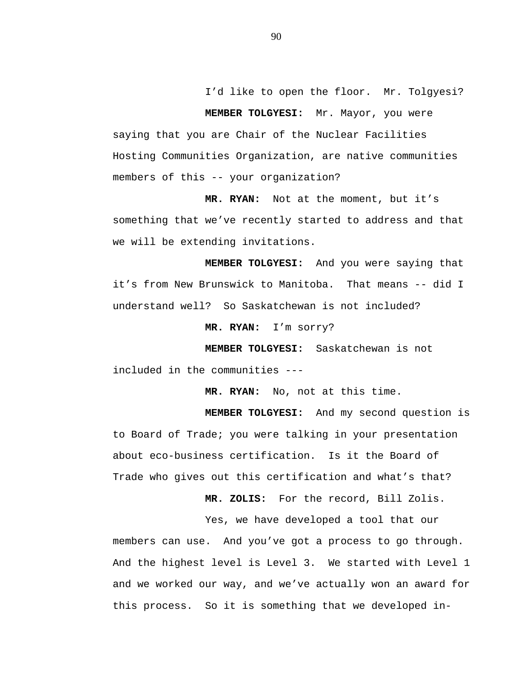I'd like to open the floor. Mr. Tolgyesi?

**MEMBER TOLGYESI:** Mr. Mayor, you were saying that you are Chair of the Nuclear Facilities Hosting Communities Organization, are native communities members of this -- your organization?

**MR. RYAN:** Not at the moment, but it's something that we've recently started to address and that we will be extending invitations.

**MEMBER TOLGYESI:** And you were saying that it's from New Brunswick to Manitoba. That means -- did I understand well? So Saskatchewan is not included?

**MR. RYAN:** I'm sorry?

**MEMBER TOLGYESI:** Saskatchewan is not included in the communities ---

**MR. RYAN:** No, not at this time.

**MEMBER TOLGYESI:** And my second question is to Board of Trade; you were talking in your presentation about eco-business certification. Is it the Board of Trade who gives out this certification and what's that?

**MR. ZOLIS:** For the record, Bill Zolis.

Yes, we have developed a tool that our members can use. And you've got a process to go through. And the highest level is Level 3. We started with Level 1 and we worked our way, and we've actually won an award for this process. So it is something that we developed in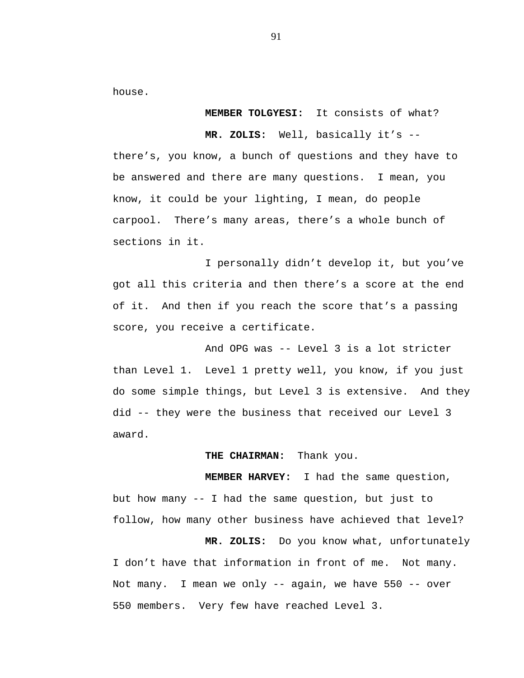house.

**MEMBER TOLGYESI:** It consists of what? **MR. ZOLIS:** Well, basically it's --

there's, you know, a bunch of questions and they have to be answered and there are many questions. I mean, you know, it could be your lighting, I mean, do people carpool. There's many areas, there's a whole bunch of sections in it.

I personally didn't develop it, but you've got all this criteria and then there's a score at the end of it. And then if you reach the score that's a passing score, you receive a certificate.

And OPG was -- Level 3 is a lot stricter than Level 1. Level 1 pretty well, you know, if you just do some simple things, but Level 3 is extensive. And they did -- they were the business that received our Level 3 award.

## **THE CHAIRMAN:** Thank you.

**MEMBER HARVEY:** I had the same question, but how many -- I had the same question, but just to follow, how many other business have achieved that level?

**MR. ZOLIS:** Do you know what, unfortunately I don't have that information in front of me. Not many. Not many. I mean we only -- again, we have 550 -- over 550 members. Very few have reached Level 3.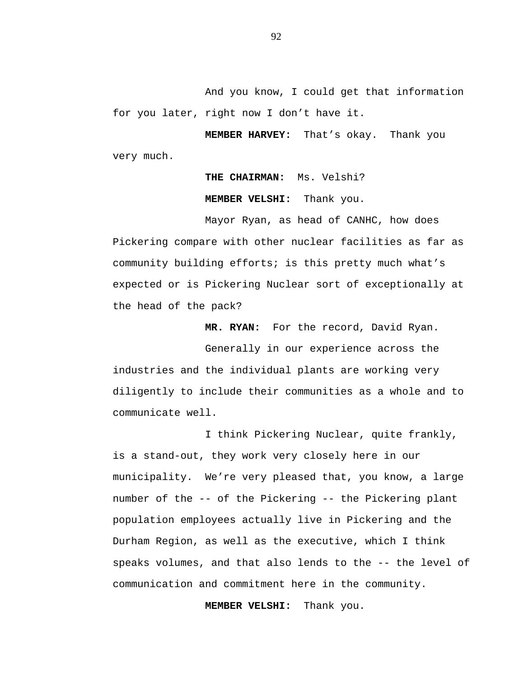And you know, I could get that information for you later, right now I don't have it.

**MEMBER HARVEY:** That's okay. Thank you very much.

# **THE CHAIRMAN:** Ms. Velshi? **MEMBER VELSHI:** Thank you.

Mayor Ryan, as head of CANHC, how does Pickering compare with other nuclear facilities as far as community building efforts; is this pretty much what's expected or is Pickering Nuclear sort of exceptionally at the head of the pack?

**MR. RYAN:** For the record, David Ryan.

Generally in our experience across the industries and the individual plants are working very diligently to include their communities as a whole and to communicate well.

I think Pickering Nuclear, quite frankly, is a stand-out, they work very closely here in our municipality. We're very pleased that, you know, a large number of the -- of the Pickering -- the Pickering plant population employees actually live in Pickering and the Durham Region, as well as the executive, which I think speaks volumes, and that also lends to the -- the level of communication and commitment here in the community.

**MEMBER VELSHI:** Thank you.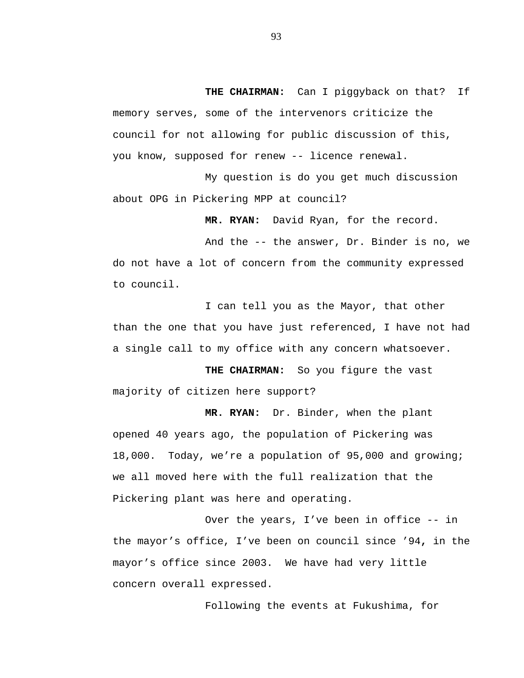**THE CHAIRMAN:** Can I piggyback on that? If memory serves, some of the intervenors criticize the council for not allowing for public discussion of this, you know, supposed for renew -- licence renewal.

My question is do you get much discussion about OPG in Pickering MPP at council?

**MR. RYAN:** David Ryan, for the record.

And the -- the answer, Dr. Binder is no, we do not have a lot of concern from the community expressed to council.

I can tell you as the Mayor, that other than the one that you have just referenced, I have not had a single call to my office with any concern whatsoever.

**THE CHAIRMAN:** So you figure the vast majority of citizen here support?

**MR. RYAN:** Dr. Binder, when the plant opened 40 years ago, the population of Pickering was 18,000. Today, we're a population of 95,000 and growing; we all moved here with the full realization that the Pickering plant was here and operating.

Over the years, I've been in office -- in the mayor's office, I've been on council since '94**,** in the mayor's office since 2003. We have had very little concern overall expressed.

Following the events at Fukushima, for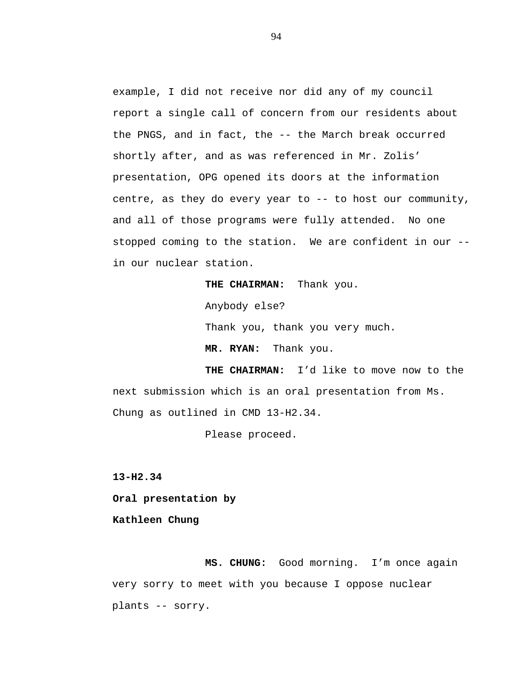example, I did not receive nor did any of my council report a single call of concern from our residents about the PNGS, and in fact, the -- the March break occurred shortly after, and as was referenced in Mr. Zolis' presentation, OPG opened its doors at the information centre, as they do every year to -- to host our community, and all of those programs were fully attended. No one stopped coming to the station. We are confident in our - in our nuclear station.

**THE CHAIRMAN:** Thank you.

Anybody else?

Thank you, thank you very much.

**MR. RYAN:** Thank you.

**THE CHAIRMAN:** I'd like to move now to the next submission which is an oral presentation from Ms. Chung as outlined in CMD 13-H2.34.

Please proceed.

**13-H2.34**

**Oral presentation by**

 **Kathleen Chung**

**MS. CHUNG:** Good morning. I'm once again very sorry to meet with you because I oppose nuclear plants -- sorry.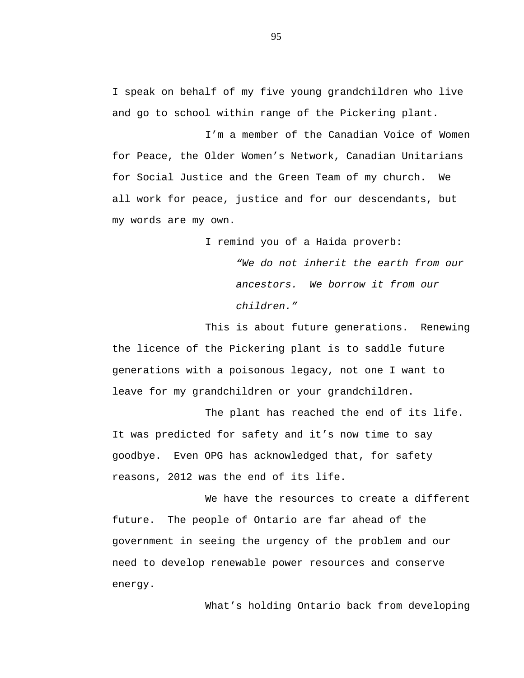I speak on behalf of my five young grandchildren who live and go to school within range of the Pickering plant.

I'm a member of the Canadian Voice of Women for Peace, the Older Women's Network, Canadian Unitarians for Social Justice and the Green Team of my church. We all work for peace, justice and for our descendants, but my words are my own.

I remind you of a Haida proverb:

*"We do not inherit the earth from our ancestors. We borrow it from our children."*

This is about future generations. Renewing the licence of the Pickering plant is to saddle future generations with a poisonous legacy, not one I want to leave for my grandchildren or your grandchildren.

The plant has reached the end of its life. It was predicted for safety and it's now time to say goodbye. Even OPG has acknowledged that, for safety reasons, 2012 was the end of its life.

We have the resources to create a different future. The people of Ontario are far ahead of the government in seeing the urgency of the problem and our need to develop renewable power resources and conserve energy.

What's holding Ontario back from developing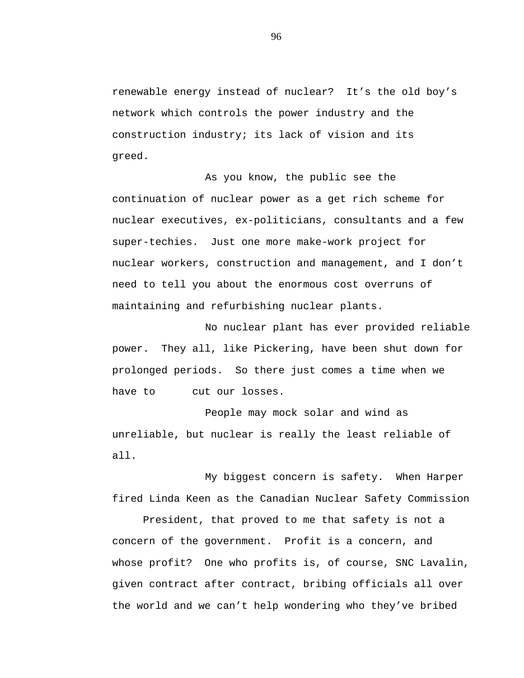renewable energy instead of nuclear? It's the old boy's network which controls the power industry and the construction industry; its lack of vision and its greed.

As you know, the public see the continuation of nuclear power as a get rich scheme for nuclear executives, ex-politicians, consultants and a few super-techies. Just one more make-work project for nuclear workers, construction and management, and I don't need to tell you about the enormous cost overruns of maintaining and refurbishing nuclear plants.

No nuclear plant has ever provided reliable power. They all, like Pickering, have been shut down for prolonged periods. So there just comes a time when we have to cut our losses.

People may mock solar and wind as unreliable, but nuclear is really the least reliable of all.

My biggest concern is safety. When Harper fired Linda Keen as the Canadian Nuclear Safety Commission

 President, that proved to me that safety is not a concern of the government. Profit is a concern, and whose profit? One who profits is, of course, SNC Lavalin, given contract after contract, bribing officials all over the world and we can't help wondering who they've bribed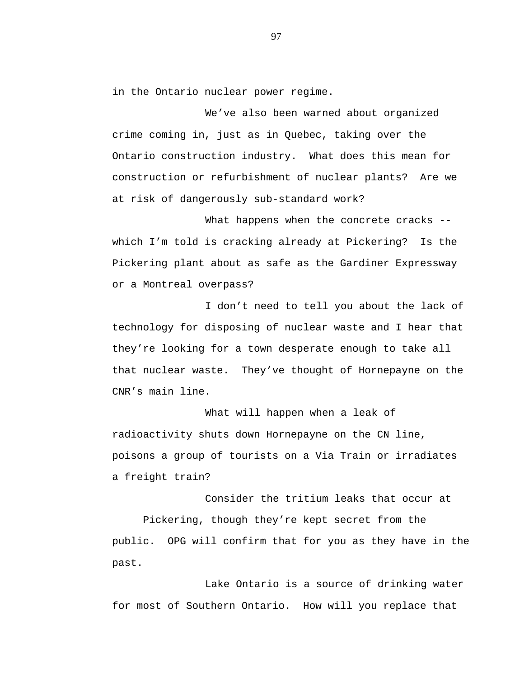in the Ontario nuclear power regime.

We've also been warned about organized crime coming in, just as in Quebec, taking over the Ontario construction industry. What does this mean for construction or refurbishment of nuclear plants? Are we at risk of dangerously sub-standard work?

What happens when the concrete cracks -which I'm told is cracking already at Pickering? Is the Pickering plant about as safe as the Gardiner Expressway or a Montreal overpass?

I don't need to tell you about the lack of technology for disposing of nuclear waste and I hear that they're looking for a town desperate enough to take all that nuclear waste. They've thought of Hornepayne on the CNR's main line.

What will happen when a leak of radioactivity shuts down Hornepayne on the CN line, poisons a group of tourists on a Via Train or irradiates a freight train?

Consider the tritium leaks that occur at Pickering, though they're kept secret from the public. OPG will confirm that for you as they have in the past.

Lake Ontario is a source of drinking water for most of Southern Ontario. How will you replace that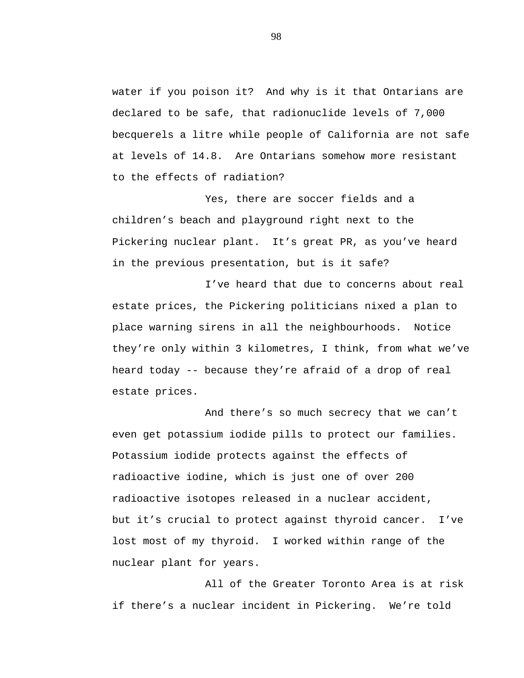water if you poison it? And why is it that Ontarians are declared to be safe, that radionuclide levels of 7,000 becquerels a litre while people of California are not safe at levels of 14.8. Are Ontarians somehow more resistant to the effects of radiation?

Yes, there are soccer fields and a children's beach and playground right next to the Pickering nuclear plant. It's great PR, as you've heard in the previous presentation, but is it safe?

I've heard that due to concerns about real estate prices, the Pickering politicians nixed a plan to place warning sirens in all the neighbourhoods. Notice they're only within 3 kilometres, I think, from what we've heard today -- because they're afraid of a drop of real estate prices.

And there's so much secrecy that we can't even get potassium iodide pills to protect our families. Potassium iodide protects against the effects of radioactive iodine, which is just one of over 200 radioactive isotopes released in a nuclear accident, but it's crucial to protect against thyroid cancer. I've lost most of my thyroid. I worked within range of the nuclear plant for years.

All of the Greater Toronto Area is at risk if there's a nuclear incident in Pickering. We're told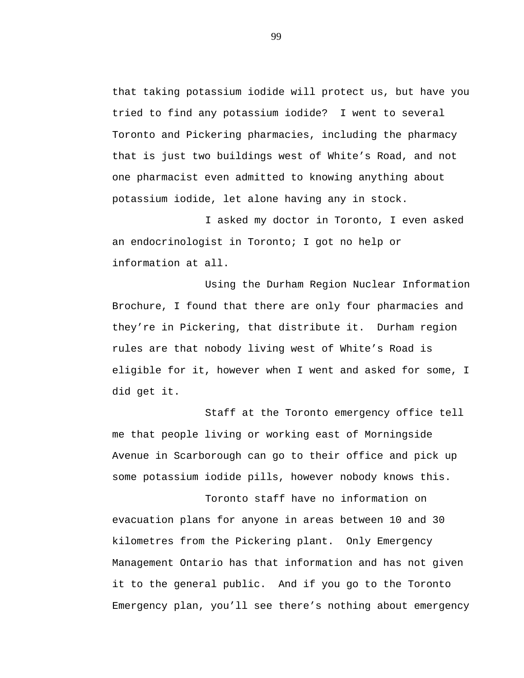that taking potassium iodide will protect us, but have you tried to find any potassium iodide? I went to several Toronto and Pickering pharmacies, including the pharmacy that is just two buildings west of White's Road, and not one pharmacist even admitted to knowing anything about potassium iodide, let alone having any in stock.

I asked my doctor in Toronto, I even asked an endocrinologist in Toronto; I got no help or information at all.

Using the Durham Region Nuclear Information Brochure, I found that there are only four pharmacies and they're in Pickering, that distribute it. Durham region rules are that nobody living west of White's Road is eligible for it, however when I went and asked for some, I did get it.

Staff at the Toronto emergency office tell me that people living or working east of Morningside Avenue in Scarborough can go to their office and pick up some potassium iodide pills, however nobody knows this.

Toronto staff have no information on evacuation plans for anyone in areas between 10 and 30 kilometres from the Pickering plant. Only Emergency Management Ontario has that information and has not given it to the general public. And if you go to the Toronto Emergency plan, you'll see there's nothing about emergency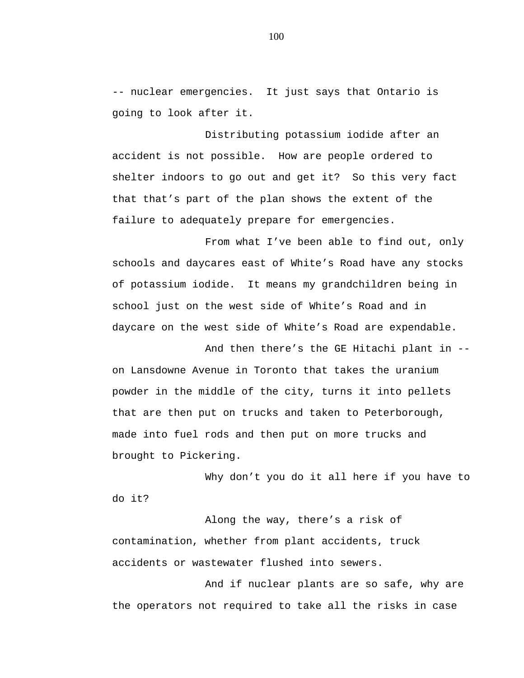-- nuclear emergencies. It just says that Ontario is going to look after it.

Distributing potassium iodide after an accident is not possible. How are people ordered to shelter indoors to go out and get it? So this very fact that that's part of the plan shows the extent of the failure to adequately prepare for emergencies.

From what I've been able to find out, only schools and daycares east of White's Road have any stocks of potassium iodide. It means my grandchildren being in school just on the west side of White's Road and in daycare on the west side of White's Road are expendable.

And then there's the GE Hitachi plant in - on Lansdowne Avenue in Toronto that takes the uranium powder in the middle of the city, turns it into pellets that are then put on trucks and taken to Peterborough, made into fuel rods and then put on more trucks and brought to Pickering.

Why don't you do it all here if you have to do it?

Along the way, there's a risk of contamination, whether from plant accidents, truck accidents or wastewater flushed into sewers.

And if nuclear plants are so safe, why are the operators not required to take all the risks in case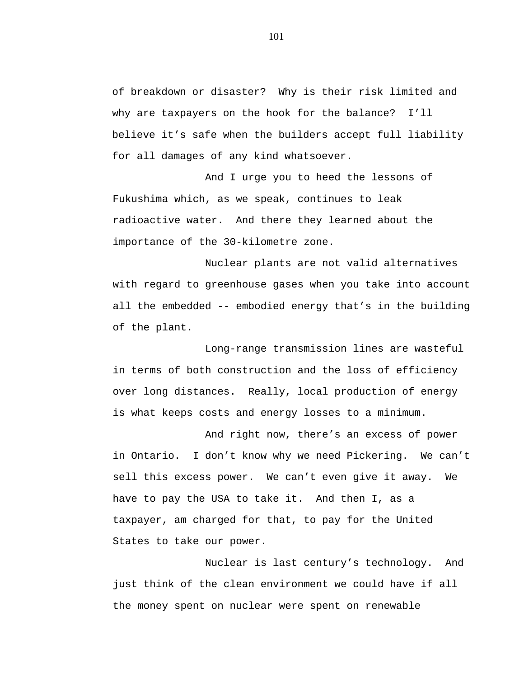of breakdown or disaster? Why is their risk limited and why are taxpayers on the hook for the balance? I'll believe it's safe when the builders accept full liability for all damages of any kind whatsoever.

And I urge you to heed the lessons of Fukushima which, as we speak, continues to leak radioactive water. And there they learned about the importance of the 30-kilometre zone.

Nuclear plants are not valid alternatives with regard to greenhouse gases when you take into account all the embedded -- embodied energy that's in the building of the plant.

Long-range transmission lines are wasteful in terms of both construction and the loss of efficiency over long distances. Really, local production of energy is what keeps costs and energy losses to a minimum.

And right now, there's an excess of power in Ontario. I don't know why we need Pickering. We can't sell this excess power. We can't even give it away. We have to pay the USA to take it. And then I, as a taxpayer, am charged for that, to pay for the United States to take our power.

Nuclear is last century's technology. And just think of the clean environment we could have if all the money spent on nuclear were spent on renewable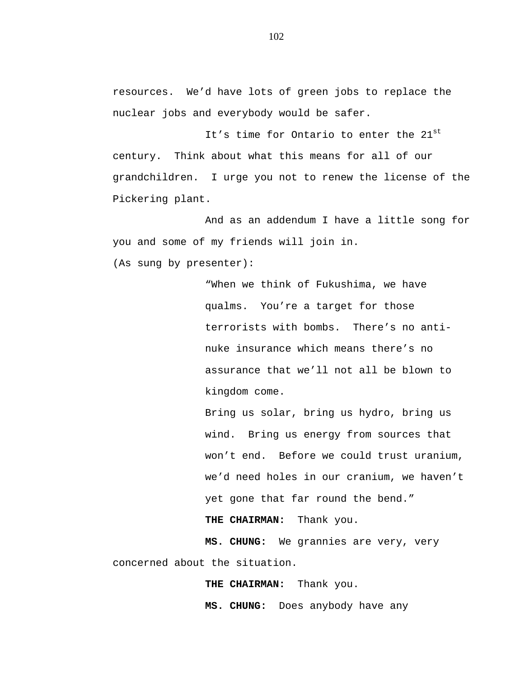resources. We'd have lots of green jobs to replace the nuclear jobs and everybody would be safer.

It's time for Ontario to enter the 21st century. Think about what this means for all of our grandchildren. I urge you not to renew the license of the Pickering plant.

And as an addendum I have a little song for you and some of my friends will join in. (As sung by presenter):

> "When we think of Fukushima, we have qualms. You're a target for those terrorists with bombs. There's no antinuke insurance which means there's no assurance that we'll not all be blown to kingdom come.

Bring us solar, bring us hydro, bring us wind. Bring us energy from sources that won't end. Before we could trust uranium, we'd need holes in our cranium, we haven't yet gone that far round the bend."

**THE CHAIRMAN:** Thank you.

**MS. CHUNG:** We grannies are very, very concerned about the situation.

**THE CHAIRMAN:** Thank you.

**MS. CHUNG:** Does anybody have any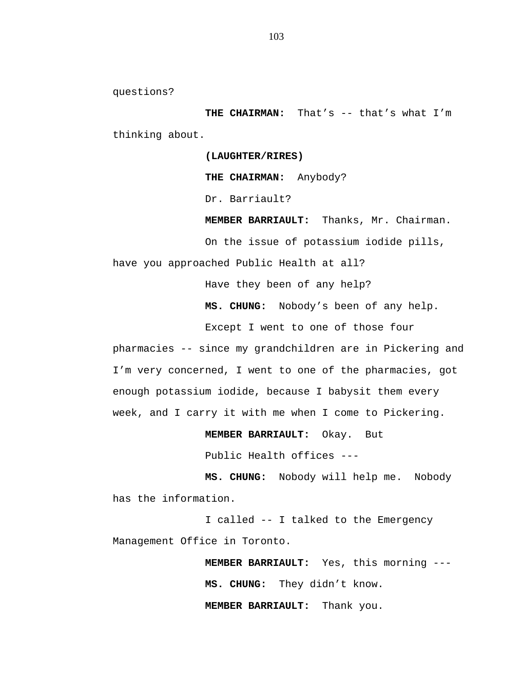questions?

**THE CHAIRMAN:** That's -- that's what I'm thinking about.

**(LAUGHTER/RIRES)**

**THE CHAIRMAN:** Anybody?

Dr. Barriault?

**MEMBER BARRIAULT:** Thanks, Mr. Chairman.

On the issue of potassium iodide pills,

have you approached Public Health at all?

Have they been of any help?

**MS. CHUNG:** Nobody's been of any help.

Except I went to one of those four

pharmacies -- since my grandchildren are in Pickering and I'm very concerned, I went to one of the pharmacies, got enough potassium iodide, because I babysit them every week, and I carry it with me when I come to Pickering.

**MEMBER BARRIAULT:** Okay. But

Public Health offices ---

**MS. CHUNG:** Nobody will help me. Nobody has the information.

I called -- I talked to the Emergency Management Office in Toronto.

> **MEMBER BARRIAULT:** Yes, this morning --- **MS. CHUNG:** They didn't know. **MEMBER BARRIAULT:** Thank you.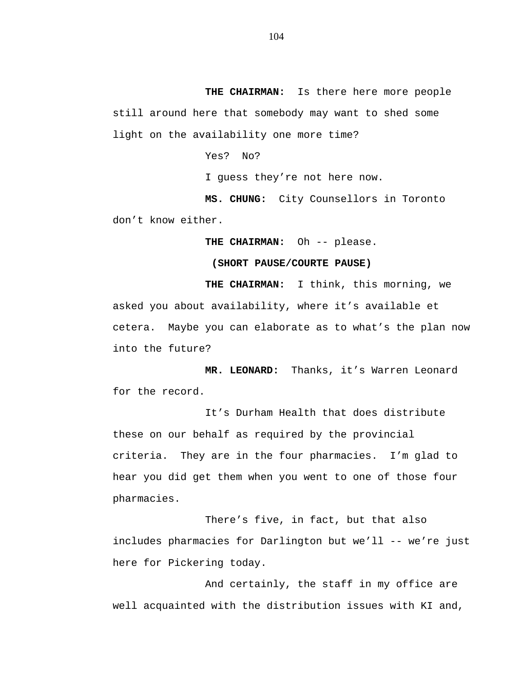**THE CHAIRMAN:** Is there here more people still around here that somebody may want to shed some light on the availability one more time?

Yes? No?

I guess they're not here now.

**MS. CHUNG:** City Counsellors in Toronto don't know either.

**THE CHAIRMAN:** Oh -- please.

# **(SHORT PAUSE/COURTE PAUSE)**

**THE CHAIRMAN:** I think, this morning, we asked you about availability, where it's available et cetera. Maybe you can elaborate as to what's the plan now into the future?

**MR. LEONARD:** Thanks, it's Warren Leonard for the record.

It's Durham Health that does distribute these on our behalf as required by the provincial criteria. They are in the four pharmacies. I'm glad to hear you did get them when you went to one of those four pharmacies.

There's five, in fact, but that also includes pharmacies for Darlington but we'll -- we're just here for Pickering today.

And certainly, the staff in my office are well acquainted with the distribution issues with KI and,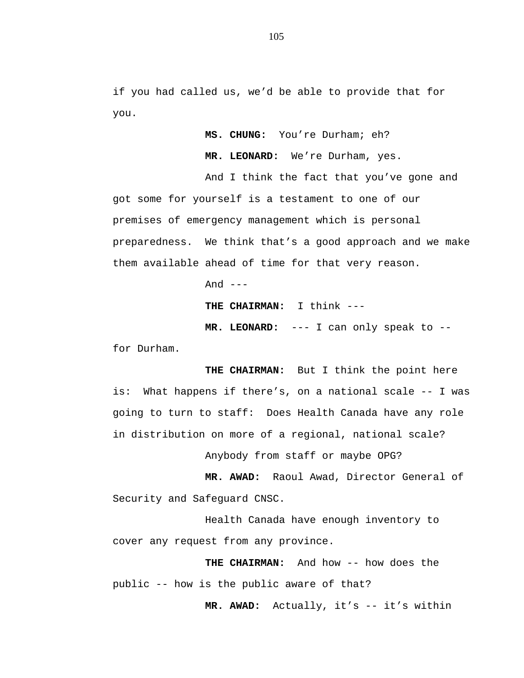if you had called us, we'd be able to provide that for you.

**MS. CHUNG:** You're Durham; eh?

**MR. LEONARD:** We're Durham, yes.

And I think the fact that you've gone and got some for yourself is a testament to one of our premises of emergency management which is personal preparedness. We think that's a good approach and we make them available ahead of time for that very reason.

And  $---$ 

**THE CHAIRMAN:** I think ---

**MR. LEONARD:** --- I can only speak to --

for Durham.

**THE CHAIRMAN:** But I think the point here is: What happens if there's, on a national scale -- I was going to turn to staff: Does Health Canada have any role in distribution on more of a regional, national scale?

Anybody from staff or maybe OPG?

**MR. AWAD:** Raoul Awad, Director General of Security and Safeguard CNSC.

Health Canada have enough inventory to cover any request from any province.

**THE CHAIRMAN:** And how -- how does the public -- how is the public aware of that?

**MR. AWAD:** Actually, it's -- it's within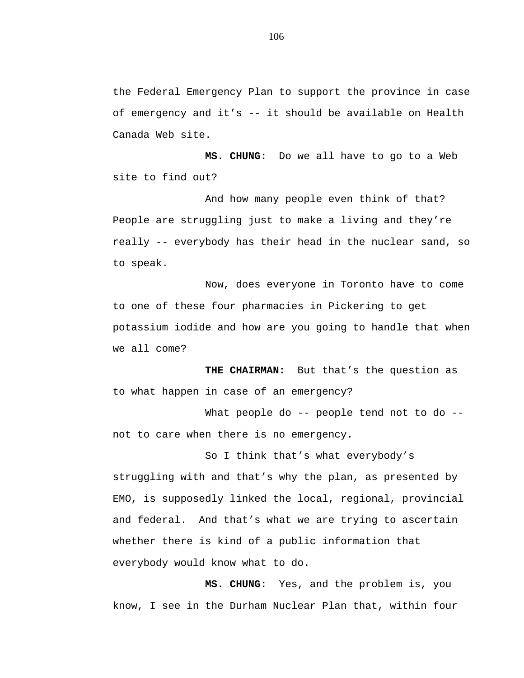the Federal Emergency Plan to support the province in case of emergency and it's -- it should be available on Health Canada Web site.

**MS. CHUNG:** Do we all have to go to a Web site to find out?

And how many people even think of that? People are struggling just to make a living and they're really -- everybody has their head in the nuclear sand, so to speak.

Now, does everyone in Toronto have to come to one of these four pharmacies in Pickering to get potassium iodide and how are you going to handle that when we all come?

**THE CHAIRMAN:** But that's the question as to what happen in case of an emergency?

What people do -- people tend not to do -not to care when there is no emergency.

So I think that's what everybody's struggling with and that's why the plan, as presented by EMO, is supposedly linked the local, regional, provincial and federal. And that's what we are trying to ascertain whether there is kind of a public information that everybody would know what to do.

**MS. CHUNG:** Yes, and the problem is, you know, I see in the Durham Nuclear Plan that, within four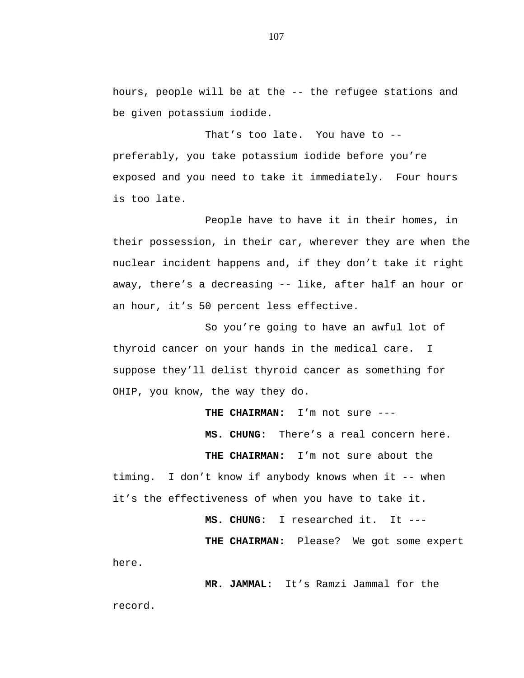hours, people will be at the -- the refugee stations and be given potassium iodide.

That's too late. You have to - preferably, you take potassium iodide before you're exposed and you need to take it immediately. Four hours is too late.

People have to have it in their homes, in their possession, in their car, wherever they are when the nuclear incident happens and, if they don't take it right away, there's a decreasing -- like, after half an hour or an hour, it's 50 percent less effective.

So you're going to have an awful lot of thyroid cancer on your hands in the medical care. I suppose they'll delist thyroid cancer as something for OHIP, you know, the way they do.

**THE CHAIRMAN:** I'm not sure ---

**MS. CHUNG:** There's a real concern here.

**THE CHAIRMAN:** I'm not sure about the

timing. I don't know if anybody knows when it -- when it's the effectiveness of when you have to take it.

**MS. CHUNG:** I researched it. It ---

**THE CHAIRMAN:** Please? We got some expert

here.

**MR. JAMMAL:** It's Ramzi Jammal for the

record.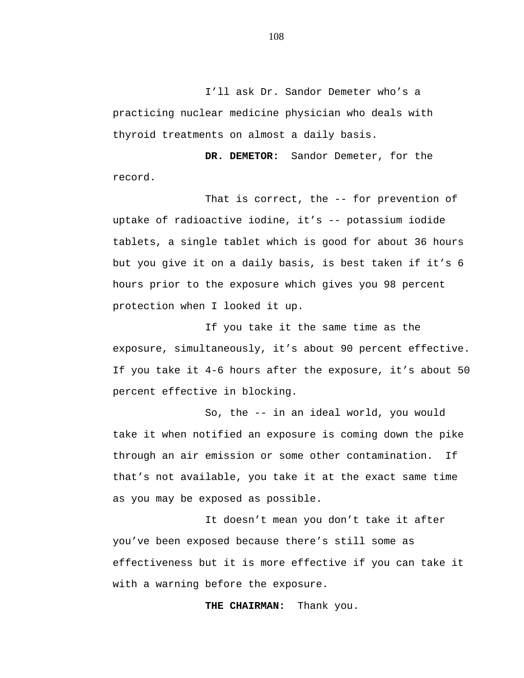I'll ask Dr. Sandor Demeter who's a practicing nuclear medicine physician who deals with thyroid treatments on almost a daily basis.

**DR. DEMETOR:** Sandor Demeter, for the record.

That is correct, the -- for prevention of uptake of radioactive iodine, it's -- potassium iodide tablets, a single tablet which is good for about 36 hours but you give it on a daily basis, is best taken if it's 6 hours prior to the exposure which gives you 98 percent protection when I looked it up.

If you take it the same time as the exposure, simultaneously, it's about 90 percent effective. If you take it 4-6 hours after the exposure, it's about 50 percent effective in blocking.

So, the -- in an ideal world, you would take it when notified an exposure is coming down the pike through an air emission or some other contamination. If that's not available, you take it at the exact same time as you may be exposed as possible.

It doesn't mean you don't take it after you've been exposed because there's still some as effectiveness but it is more effective if you can take it with a warning before the exposure.

**THE CHAIRMAN:** Thank you.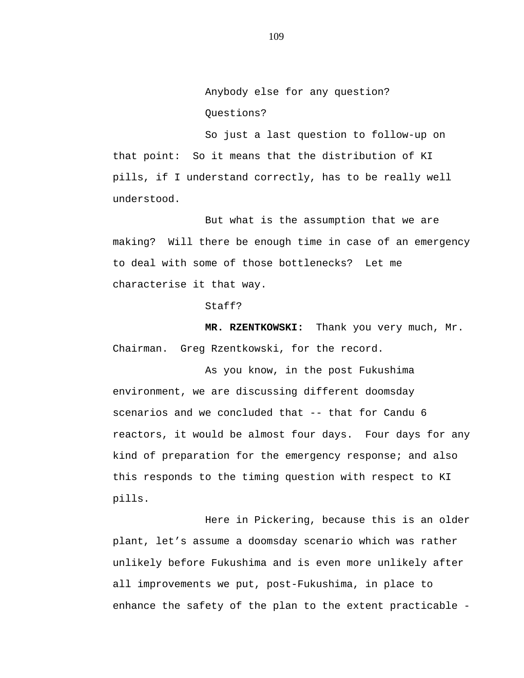Anybody else for any question? Questions?

So just a last question to follow-up on that point: So it means that the distribution of KI pills, if I understand correctly, has to be really well understood.

But what is the assumption that we are making? Will there be enough time in case of an emergency to deal with some of those bottlenecks? Let me characterise it that way.

Staff?

**MR. RZENTKOWSKI:** Thank you very much, Mr. Chairman. Greg Rzentkowski, for the record.

As you know, in the post Fukushima environment, we are discussing different doomsday scenarios and we concluded that -- that for Candu 6 reactors, it would be almost four days. Four days for any kind of preparation for the emergency response; and also this responds to the timing question with respect to KI pills.

Here in Pickering, because this is an older plant, let's assume a doomsday scenario which was rather unlikely before Fukushima and is even more unlikely after all improvements we put, post-Fukushima, in place to enhance the safety of the plan to the extent practicable -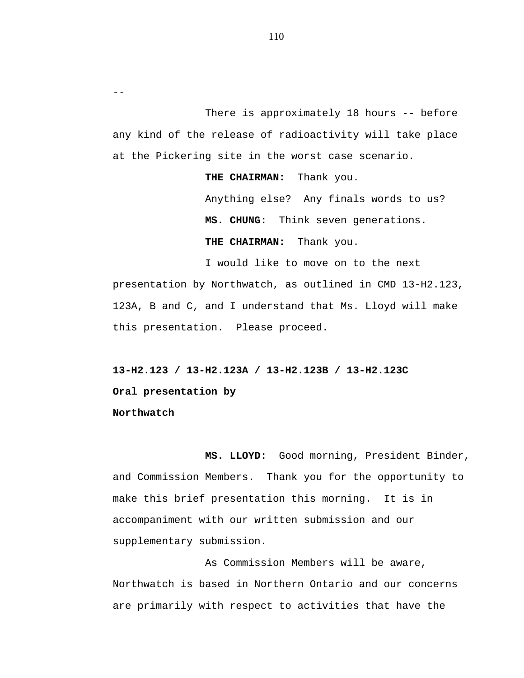There is approximately 18 hours -- before any kind of the release of radioactivity will take place at the Pickering site in the worst case scenario.

**THE CHAIRMAN:** Thank you.

Anything else? Any finals words to us? **MS. CHUNG:** Think seven generations. **THE CHAIRMAN:** Thank you.

I would like to move on to the next presentation by Northwatch, as outlined in CMD 13-H2.123, 123A, B and C, and I understand that Ms. Lloyd will make this presentation. Please proceed.

**13-H2.123 / 13-H2.123A / 13-H2.123B / 13-H2.123C Oral presentation by Northwatch**

**MS. LLOYD:** Good morning, President Binder, and Commission Members. Thank you for the opportunity to make this brief presentation this morning. It is in accompaniment with our written submission and our supplementary submission.

As Commission Members will be aware, Northwatch is based in Northern Ontario and our concerns are primarily with respect to activities that have the

 $-$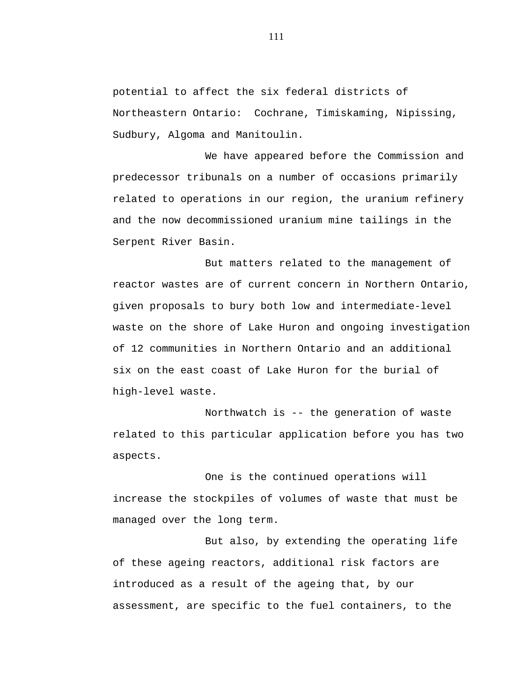potential to affect the six federal districts of Northeastern Ontario: Cochrane, Timiskaming, Nipissing, Sudbury, Algoma and Manitoulin.

We have appeared before the Commission and predecessor tribunals on a number of occasions primarily related to operations in our region, the uranium refinery and the now decommissioned uranium mine tailings in the Serpent River Basin.

But matters related to the management of reactor wastes are of current concern in Northern Ontario, given proposals to bury both low and intermediate-level waste on the shore of Lake Huron and ongoing investigation of 12 communities in Northern Ontario and an additional six on the east coast of Lake Huron for the burial of high-level waste.

Northwatch is -- the generation of waste related to this particular application before you has two aspects.

One is the continued operations will increase the stockpiles of volumes of waste that must be managed over the long term.

But also, by extending the operating life of these ageing reactors, additional risk factors are introduced as a result of the ageing that, by our assessment, are specific to the fuel containers, to the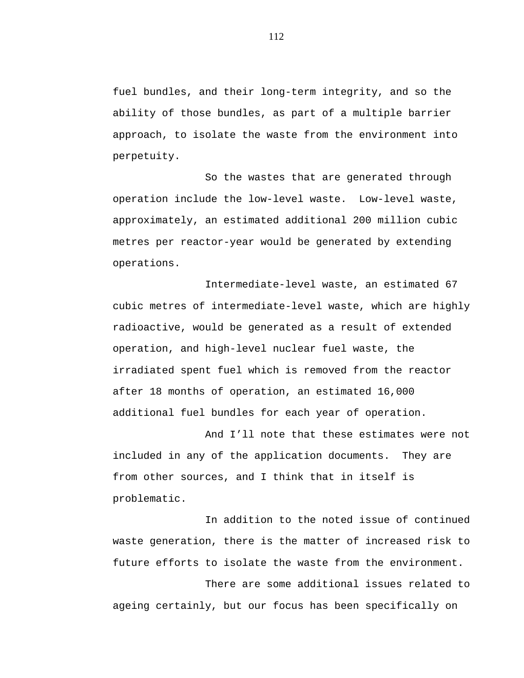fuel bundles, and their long-term integrity, and so the ability of those bundles, as part of a multiple barrier approach, to isolate the waste from the environment into perpetuity.

So the wastes that are generated through operation include the low-level waste. Low-level waste, approximately, an estimated additional 200 million cubic metres per reactor-year would be generated by extending operations.

Intermediate-level waste, an estimated 67 cubic metres of intermediate-level waste, which are highly radioactive, would be generated as a result of extended operation, and high-level nuclear fuel waste, the irradiated spent fuel which is removed from the reactor after 18 months of operation, an estimated 16,000 additional fuel bundles for each year of operation.

And I'll note that these estimates were not included in any of the application documents. They are from other sources, and I think that in itself is problematic.

In addition to the noted issue of continued waste generation, there is the matter of increased risk to future efforts to isolate the waste from the environment.

There are some additional issues related to ageing certainly, but our focus has been specifically on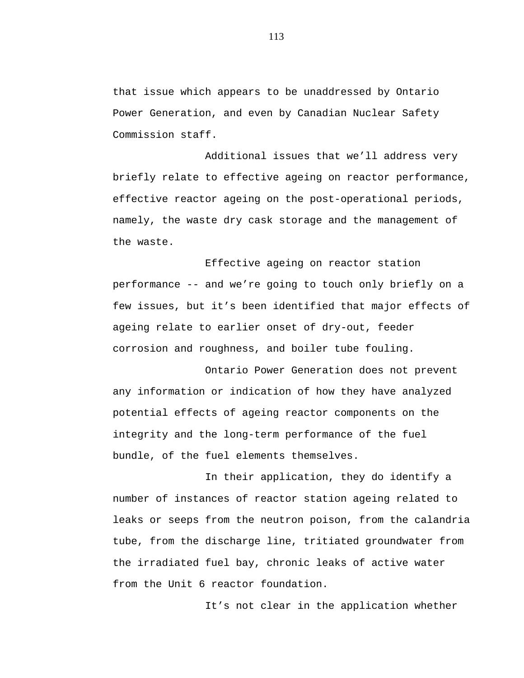that issue which appears to be unaddressed by Ontario Power Generation, and even by Canadian Nuclear Safety Commission staff.

Additional issues that we'll address very briefly relate to effective ageing on reactor performance, effective reactor ageing on the post-operational periods, namely, the waste dry cask storage and the management of the waste.

Effective ageing on reactor station performance -- and we're going to touch only briefly on a few issues, but it's been identified that major effects of ageing relate to earlier onset of dry-out, feeder corrosion and roughness, and boiler tube fouling.

Ontario Power Generation does not prevent any information or indication of how they have analyzed potential effects of ageing reactor components on the integrity and the long-term performance of the fuel bundle, of the fuel elements themselves.

In their application, they do identify a number of instances of reactor station ageing related to leaks or seeps from the neutron poison, from the calandria tube, from the discharge line, tritiated groundwater from the irradiated fuel bay, chronic leaks of active water from the Unit 6 reactor foundation.

It's not clear in the application whether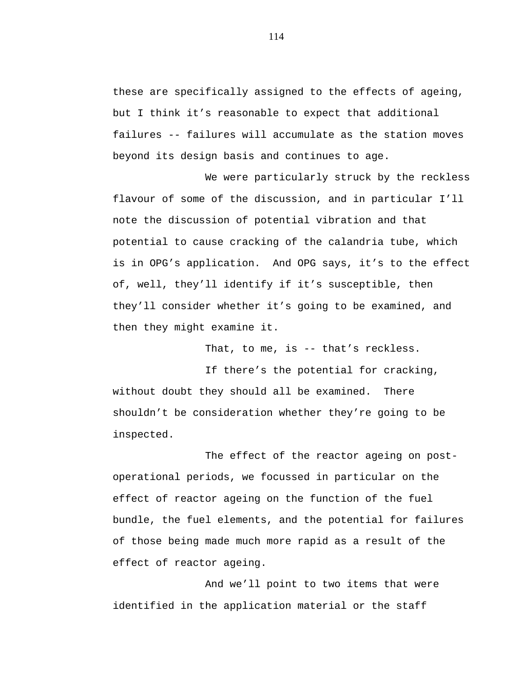these are specifically assigned to the effects of ageing, but I think it's reasonable to expect that additional failures -- failures will accumulate as the station moves beyond its design basis and continues to age.

We were particularly struck by the reckless flavour of some of the discussion, and in particular I'll note the discussion of potential vibration and that potential to cause cracking of the calandria tube, which is in OPG's application. And OPG says, it's to the effect of, well, they'll identify if it's susceptible, then they'll consider whether it's going to be examined, and then they might examine it.

That, to me, is -- that's reckless.

If there's the potential for cracking, without doubt they should all be examined. There shouldn't be consideration whether they're going to be inspected.

The effect of the reactor ageing on postoperational periods, we focussed in particular on the effect of reactor ageing on the function of the fuel bundle, the fuel elements, and the potential for failures of those being made much more rapid as a result of the effect of reactor ageing.

And we'll point to two items that were identified in the application material or the staff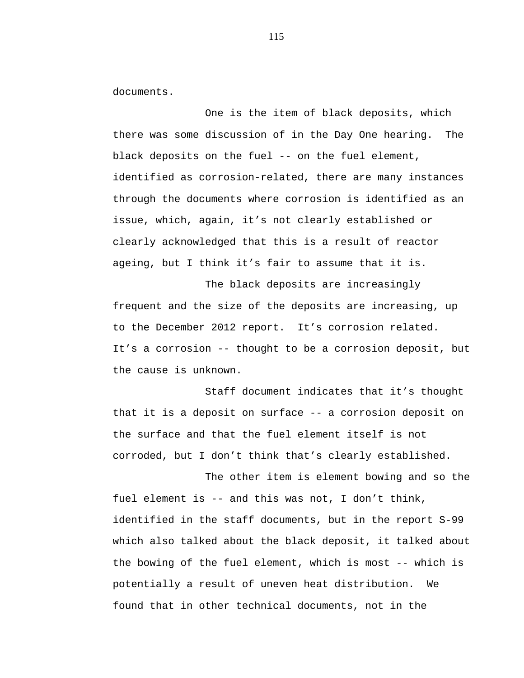documents.

One is the item of black deposits, which there was some discussion of in the Day One hearing. The black deposits on the fuel -- on the fuel element, identified as corrosion-related, there are many instances through the documents where corrosion is identified as an issue, which, again, it's not clearly established or clearly acknowledged that this is a result of reactor ageing, but I think it's fair to assume that it is.

The black deposits are increasingly frequent and the size of the deposits are increasing, up to the December 2012 report. It's corrosion related. It's a corrosion -- thought to be a corrosion deposit, but the cause is unknown.

Staff document indicates that it's thought that it is a deposit on surface -- a corrosion deposit on the surface and that the fuel element itself is not corroded, but I don't think that's clearly established.

The other item is element bowing and so the fuel element is -- and this was not, I don't think, identified in the staff documents, but in the report S-99 which also talked about the black deposit, it talked about the bowing of the fuel element, which is most -- which is potentially a result of uneven heat distribution. We found that in other technical documents, not in the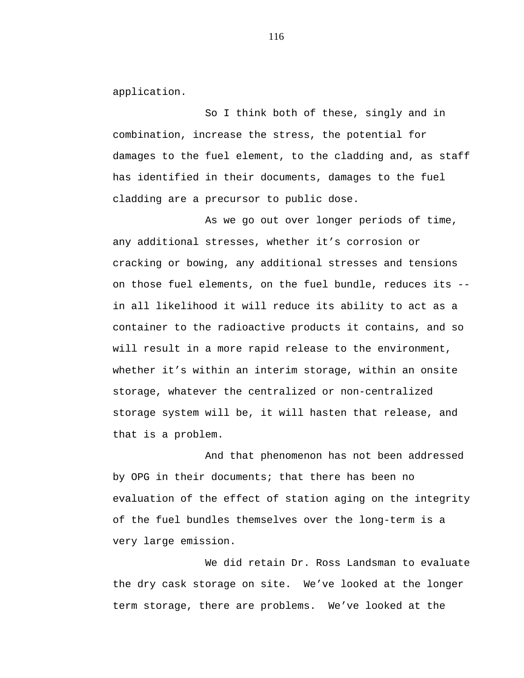application.

So I think both of these, singly and in combination, increase the stress, the potential for damages to the fuel element, to the cladding and, as staff has identified in their documents, damages to the fuel cladding are a precursor to public dose.

As we go out over longer periods of time, any additional stresses, whether it's corrosion or cracking or bowing, any additional stresses and tensions on those fuel elements, on the fuel bundle, reduces its - in all likelihood it will reduce its ability to act as a container to the radioactive products it contains, and so will result in a more rapid release to the environment, whether it's within an interim storage, within an onsite storage, whatever the centralized or non-centralized storage system will be, it will hasten that release, and that is a problem.

And that phenomenon has not been addressed by OPG in their documents; that there has been no evaluation of the effect of station aging on the integrity of the fuel bundles themselves over the long-term is a very large emission.

We did retain Dr. Ross Landsman to evaluate the dry cask storage on site. We've looked at the longer term storage, there are problems. We've looked at the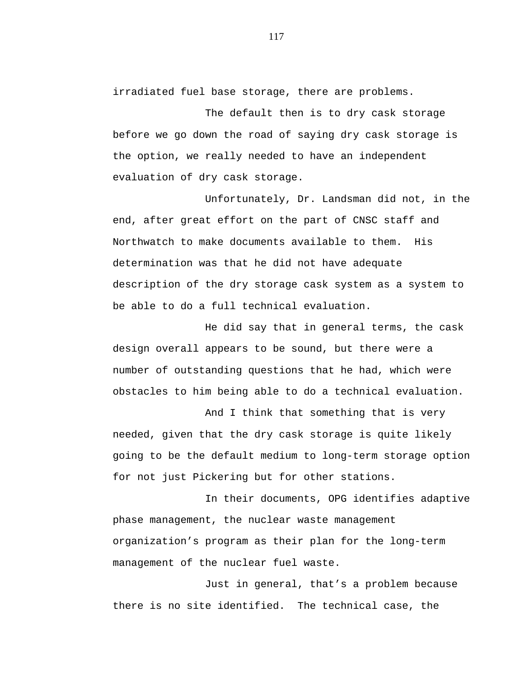irradiated fuel base storage, there are problems.

The default then is to dry cask storage before we go down the road of saying dry cask storage is the option, we really needed to have an independent evaluation of dry cask storage.

Unfortunately, Dr. Landsman did not, in the end, after great effort on the part of CNSC staff and Northwatch to make documents available to them. His determination was that he did not have adequate description of the dry storage cask system as a system to be able to do a full technical evaluation.

He did say that in general terms, the cask design overall appears to be sound, but there were a number of outstanding questions that he had, which were obstacles to him being able to do a technical evaluation.

And I think that something that is very needed, given that the dry cask storage is quite likely going to be the default medium to long-term storage option for not just Pickering but for other stations.

In their documents, OPG identifies adaptive phase management, the nuclear waste management organization's program as their plan for the long-term management of the nuclear fuel waste.

Just in general, that's a problem because there is no site identified. The technical case, the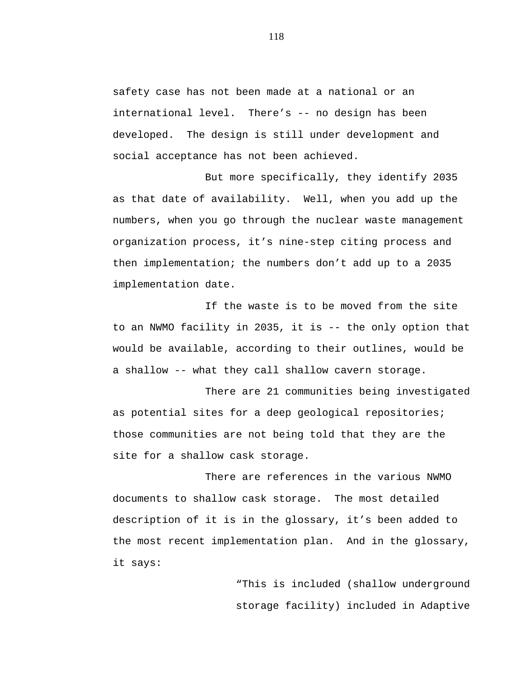safety case has not been made at a national or an international level. There's -- no design has been developed. The design is still under development and social acceptance has not been achieved.

But more specifically, they identify 2035 as that date of availability. Well, when you add up the numbers, when you go through the nuclear waste management organization process, it's nine-step citing process and then implementation; the numbers don't add up to a 2035 implementation date.

If the waste is to be moved from the site to an NWMO facility in 2035, it is -- the only option that would be available, according to their outlines, would be a shallow -- what they call shallow cavern storage.

There are 21 communities being investigated as potential sites for a deep geological repositories; those communities are not being told that they are the site for a shallow cask storage.

There are references in the various NWMO documents to shallow cask storage. The most detailed description of it is in the glossary, it's been added to the most recent implementation plan. And in the glossary, it says:

> "This is included (shallow underground storage facility) included in Adaptive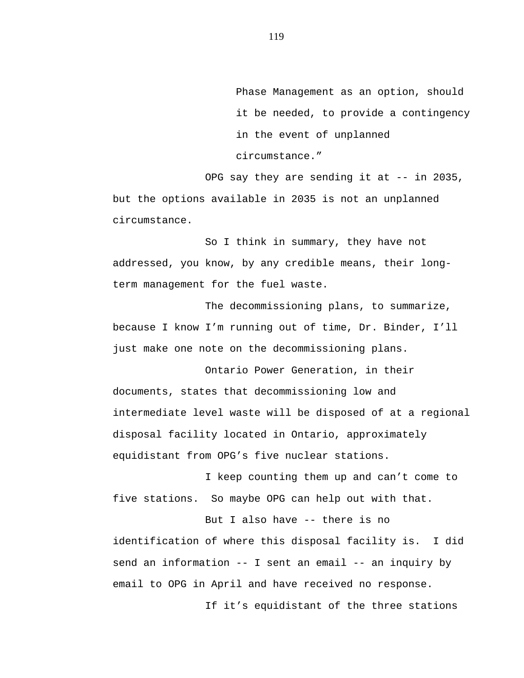Phase Management as an option, should it be needed, to provide a contingency in the event of unplanned circumstance."

OPG say they are sending it at -- in 2035, but the options available in 2035 is not an unplanned circumstance.

So I think in summary, they have not addressed, you know, by any credible means, their longterm management for the fuel waste.

The decommissioning plans, to summarize, because I know I'm running out of time, Dr. Binder, I'll just make one note on the decommissioning plans.

Ontario Power Generation, in their documents, states that decommissioning low and intermediate level waste will be disposed of at a regional disposal facility located in Ontario, approximately equidistant from OPG's five nuclear stations.

I keep counting them up and can't come to five stations. So maybe OPG can help out with that.

identification of where this disposal facility is. I did send an information -- I sent an email -- an inquiry by email to OPG in April and have received no response.

But I also have -- there is no

If it's equidistant of the three stations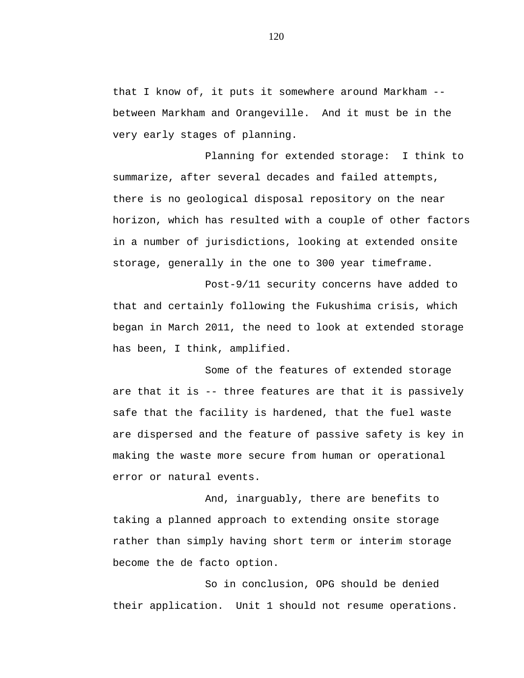that I know of, it puts it somewhere around Markham - between Markham and Orangeville. And it must be in the very early stages of planning.

Planning for extended storage: I think to summarize, after several decades and failed attempts, there is no geological disposal repository on the near horizon, which has resulted with a couple of other factors in a number of jurisdictions, looking at extended onsite storage, generally in the one to 300 year timeframe.

Post-9/11 security concerns have added to that and certainly following the Fukushima crisis, which began in March 2011, the need to look at extended storage has been, I think, amplified.

Some of the features of extended storage are that it is -- three features are that it is passively safe that the facility is hardened, that the fuel waste are dispersed and the feature of passive safety is key in making the waste more secure from human or operational error or natural events.

And, inarguably, there are benefits to taking a planned approach to extending onsite storage rather than simply having short term or interim storage become the de facto option.

So in conclusion, OPG should be denied their application. Unit 1 should not resume operations.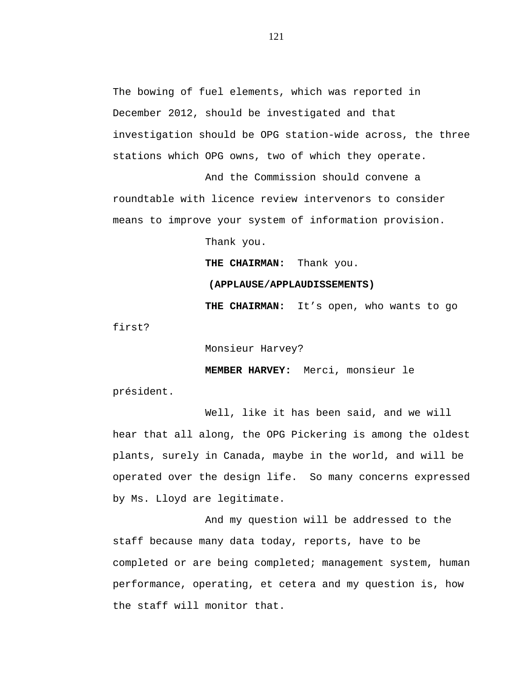The bowing of fuel elements, which was reported in December 2012, should be investigated and that investigation should be OPG station-wide across, the three stations which OPG owns, two of which they operate.

And the Commission should convene a roundtable with licence review intervenors to consider means to improve your system of information provision.

Thank you.

**THE CHAIRMAN:** Thank you.

### **(APPLAUSE/APPLAUDISSEMENTS)**

**THE CHAIRMAN:** It's open, who wants to go first?

Monsieur Harvey?

**MEMBER HARVEY:** Merci, monsieur le président.

Well, like it has been said, and we will hear that all along, the OPG Pickering is among the oldest plants, surely in Canada, maybe in the world, and will be operated over the design life. So many concerns expressed by Ms. Lloyd are legitimate.

And my question will be addressed to the staff because many data today, reports, have to be completed or are being completed; management system, human performance, operating, et cetera and my question is, how the staff will monitor that.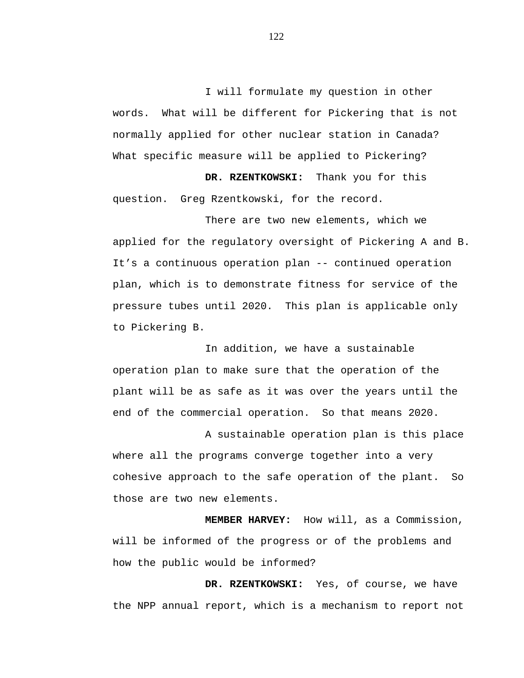I will formulate my question in other words. What will be different for Pickering that is not normally applied for other nuclear station in Canada? What specific measure will be applied to Pickering?

**DR. RZENTKOWSKI:** Thank you for this question. Greg Rzentkowski, for the record.

There are two new elements, which we applied for the regulatory oversight of Pickering A and B. It's a continuous operation plan -- continued operation plan, which is to demonstrate fitness for service of the pressure tubes until 2020. This plan is applicable only to Pickering B.

In addition, we have a sustainable operation plan to make sure that the operation of the plant will be as safe as it was over the years until the end of the commercial operation. So that means 2020.

A sustainable operation plan is this place where all the programs converge together into a very cohesive approach to the safe operation of the plant. So those are two new elements.

**MEMBER HARVEY:** How will, as a Commission, will be informed of the progress or of the problems and how the public would be informed?

**DR. RZENTKOWSKI:** Yes, of course, we have the NPP annual report, which is a mechanism to report not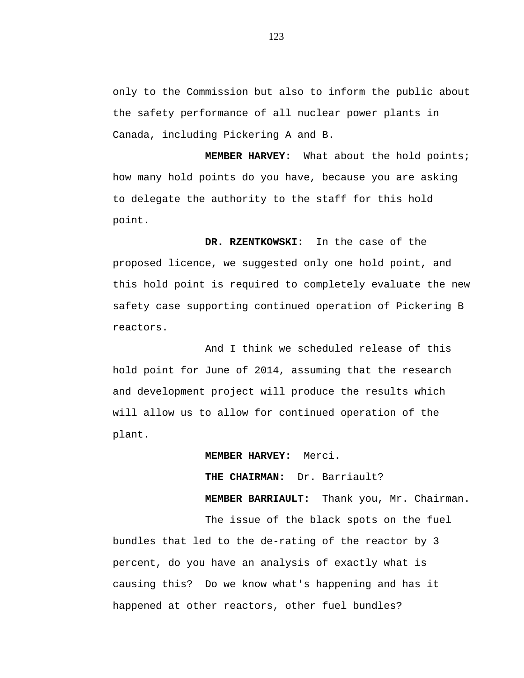only to the Commission but also to inform the public about the safety performance of all nuclear power plants in Canada, including Pickering A and B.

**MEMBER HARVEY:** What about the hold points; how many hold points do you have, because you are asking to delegate the authority to the staff for this hold point.

**DR. RZENTKOWSKI:** In the case of the proposed licence, we suggested only one hold point, and this hold point is required to completely evaluate the new safety case supporting continued operation of Pickering B reactors.

And I think we scheduled release of this hold point for June of 2014, assuming that the research and development project will produce the results which will allow us to allow for continued operation of the plant.

**MEMBER HARVEY:** Merci.

**THE CHAIRMAN:** Dr. Barriault?

**MEMBER BARRIAULT:** Thank you, Mr. Chairman.

The issue of the black spots on the fuel bundles that led to the de-rating of the reactor by 3 percent, do you have an analysis of exactly what is causing this? Do we know what's happening and has it happened at other reactors, other fuel bundles?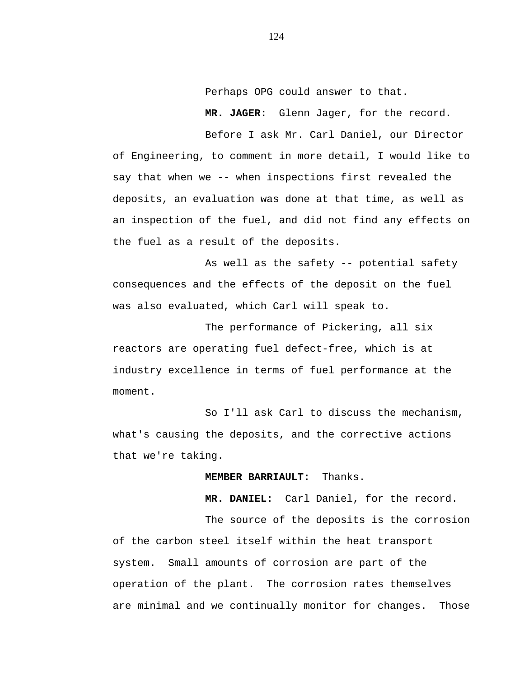Perhaps OPG could answer to that.

**MR. JAGER:** Glenn Jager, for the record.

Before I ask Mr. Carl Daniel, our Director of Engineering, to comment in more detail, I would like to say that when we -- when inspections first revealed the deposits, an evaluation was done at that time, as well as an inspection of the fuel, and did not find any effects on the fuel as a result of the deposits.

As well as the safety -- potential safety consequences and the effects of the deposit on the fuel was also evaluated, which Carl will speak to.

The performance of Pickering, all six reactors are operating fuel defect-free, which is at industry excellence in terms of fuel performance at the moment.

So I'll ask Carl to discuss the mechanism, what's causing the deposits, and the corrective actions that we're taking.

## **MEMBER BARRIAULT:** Thanks.

**MR. DANIEL:** Carl Daniel, for the record.

The source of the deposits is the corrosion of the carbon steel itself within the heat transport system. Small amounts of corrosion are part of the operation of the plant. The corrosion rates themselves are minimal and we continually monitor for changes. Those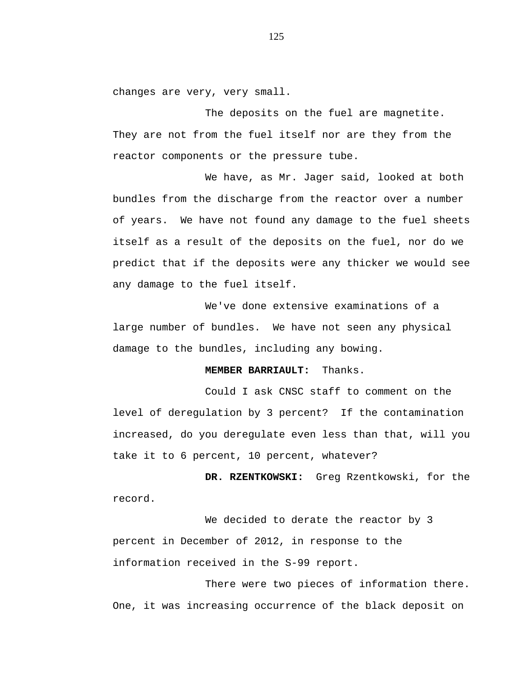changes are very, very small.

The deposits on the fuel are magnetite. They are not from the fuel itself nor are they from the reactor components or the pressure tube.

We have, as Mr. Jager said, looked at both bundles from the discharge from the reactor over a number of years. We have not found any damage to the fuel sheets itself as a result of the deposits on the fuel, nor do we predict that if the deposits were any thicker we would see any damage to the fuel itself.

We've done extensive examinations of a large number of bundles. We have not seen any physical damage to the bundles, including any bowing.

### **MEMBER BARRIAULT:** Thanks.

Could I ask CNSC staff to comment on the level of deregulation by 3 percent? If the contamination increased, do you deregulate even less than that, will you take it to 6 percent, 10 percent, whatever?

**DR. RZENTKOWSKI:** Greg Rzentkowski, for the record.

We decided to derate the reactor by 3 percent in December of 2012, in response to the information received in the S-99 report.

There were two pieces of information there. One, it was increasing occurrence of the black deposit on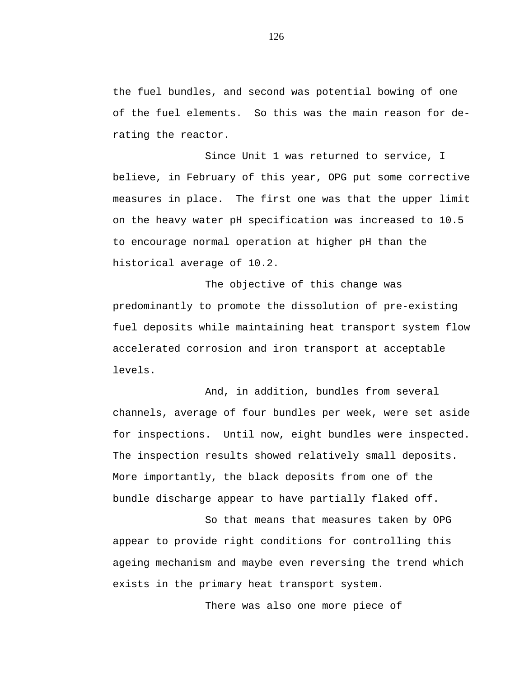the fuel bundles, and second was potential bowing of one of the fuel elements. So this was the main reason for derating the reactor.

Since Unit 1 was returned to service, I believe, in February of this year, OPG put some corrective measures in place. The first one was that the upper limit on the heavy water pH specification was increased to 10.5 to encourage normal operation at higher pH than the historical average of 10.2.

The objective of this change was predominantly to promote the dissolution of pre-existing fuel deposits while maintaining heat transport system flow accelerated corrosion and iron transport at acceptable levels.

And, in addition, bundles from several channels, average of four bundles per week, were set aside for inspections. Until now, eight bundles were inspected. The inspection results showed relatively small deposits. More importantly, the black deposits from one of the bundle discharge appear to have partially flaked off.

So that means that measures taken by OPG appear to provide right conditions for controlling this ageing mechanism and maybe even reversing the trend which exists in the primary heat transport system.

There was also one more piece of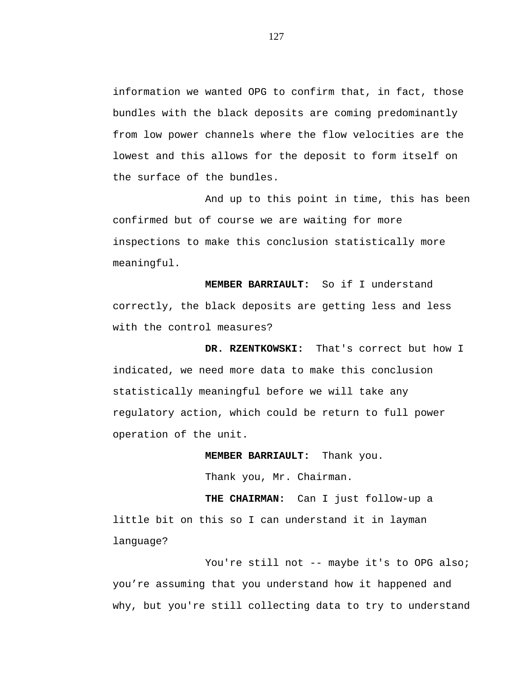information we wanted OPG to confirm that, in fact, those bundles with the black deposits are coming predominantly from low power channels where the flow velocities are the lowest and this allows for the deposit to form itself on the surface of the bundles.

And up to this point in time, this has been confirmed but of course we are waiting for more inspections to make this conclusion statistically more meaningful.

**MEMBER BARRIAULT:** So if I understand correctly, the black deposits are getting less and less with the control measures?

**DR. RZENTKOWSKI:** That's correct but how I indicated, we need more data to make this conclusion statistically meaningful before we will take any regulatory action, which could be return to full power operation of the unit.

**MEMBER BARRIAULT:** Thank you.

Thank you, Mr. Chairman.

**THE CHAIRMAN:** Can I just follow-up a little bit on this so I can understand it in layman language?

You're still not -- maybe it's to OPG also; you're assuming that you understand how it happened and why, but you're still collecting data to try to understand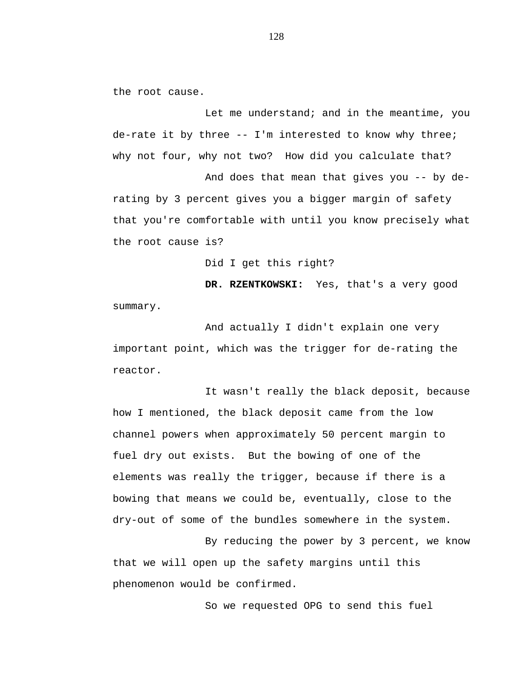the root cause.

Let me understand; and in the meantime, you de-rate it by three -- I'm interested to know why three; why not four, why not two? How did you calculate that?

And does that mean that gives you -- by derating by 3 percent gives you a bigger margin of safety that you're comfortable with until you know precisely what the root cause is?

Did I get this right?

**DR. RZENTKOWSKI:** Yes, that's a very good summary.

And actually I didn't explain one very important point, which was the trigger for de-rating the reactor.

It wasn't really the black deposit, because how I mentioned, the black deposit came from the low channel powers when approximately 50 percent margin to fuel dry out exists. But the bowing of one of the elements was really the trigger, because if there is a bowing that means we could be, eventually, close to the dry-out of some of the bundles somewhere in the system.

By reducing the power by 3 percent, we know that we will open up the safety margins until this phenomenon would be confirmed.

So we requested OPG to send this fuel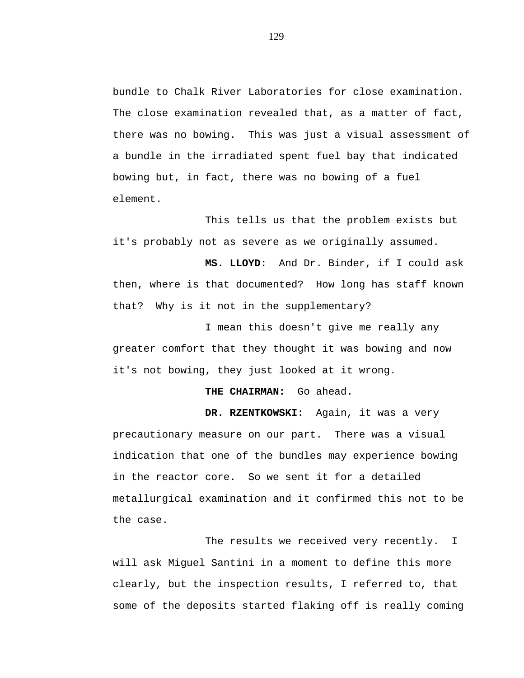bundle to Chalk River Laboratories for close examination. The close examination revealed that, as a matter of fact, there was no bowing. This was just a visual assessment of a bundle in the irradiated spent fuel bay that indicated bowing but, in fact, there was no bowing of a fuel element.

This tells us that the problem exists but it's probably not as severe as we originally assumed.

**MS. LLOYD:** And Dr. Binder, if I could ask then, where is that documented? How long has staff known that? Why is it not in the supplementary?

I mean this doesn't give me really any greater comfort that they thought it was bowing and now it's not bowing, they just looked at it wrong.

**THE CHAIRMAN:** Go ahead.

**DR. RZENTKOWSKI:** Again, it was a very precautionary measure on our part. There was a visual indication that one of the bundles may experience bowing in the reactor core. So we sent it for a detailed metallurgical examination and it confirmed this not to be the case.

The results we received very recently. I will ask Miguel Santini in a moment to define this more clearly, but the inspection results, I referred to, that some of the deposits started flaking off is really coming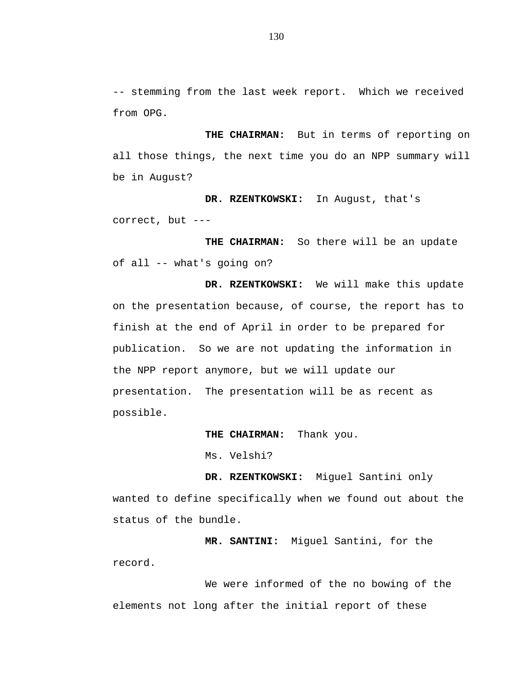-- stemming from the last week report. Which we received from OPG.

**THE CHAIRMAN:** But in terms of reporting on all those things, the next time you do an NPP summary will be in August?

**DR. RZENTKOWSKI:** In August, that's correct, but ---

**THE CHAIRMAN:** So there will be an update of all -- what's going on?

**DR. RZENTKOWSKI:** We will make this update on the presentation because, of course, the report has to finish at the end of April in order to be prepared for publication. So we are not updating the information in the NPP report anymore, but we will update our presentation. The presentation will be as recent as possible.

**THE CHAIRMAN:** Thank you.

Ms. Velshi?

**DR. RZENTKOWSKI:** Miguel Santini only wanted to define specifically when we found out about the status of the bundle.

**MR. SANTINI:** Miguel Santini, for the record.

We were informed of the no bowing of the elements not long after the initial report of these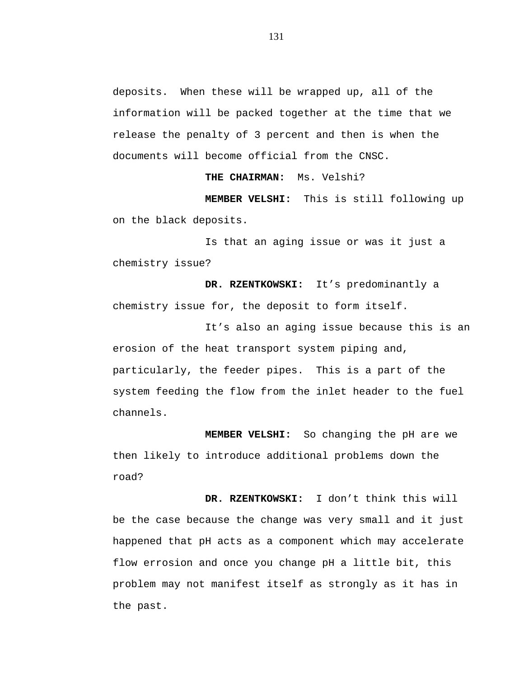deposits. When these will be wrapped up, all of the information will be packed together at the time that we release the penalty of 3 percent and then is when the documents will become official from the CNSC.

**THE CHAIRMAN:** Ms. Velshi?

**MEMBER VELSHI:** This is still following up on the black deposits.

Is that an aging issue or was it just a chemistry issue?

**DR. RZENTKOWSKI:** It's predominantly a chemistry issue for, the deposit to form itself.

It's also an aging issue because this is an erosion of the heat transport system piping and, particularly, the feeder pipes. This is a part of the system feeding the flow from the inlet header to the fuel channels.

**MEMBER VELSHI:** So changing the pH are we then likely to introduce additional problems down the road?

**DR. RZENTKOWSKI:** I don't think this will be the case because the change was very small and it just happened that pH acts as a component which may accelerate flow errosion and once you change pH a little bit, this problem may not manifest itself as strongly as it has in the past.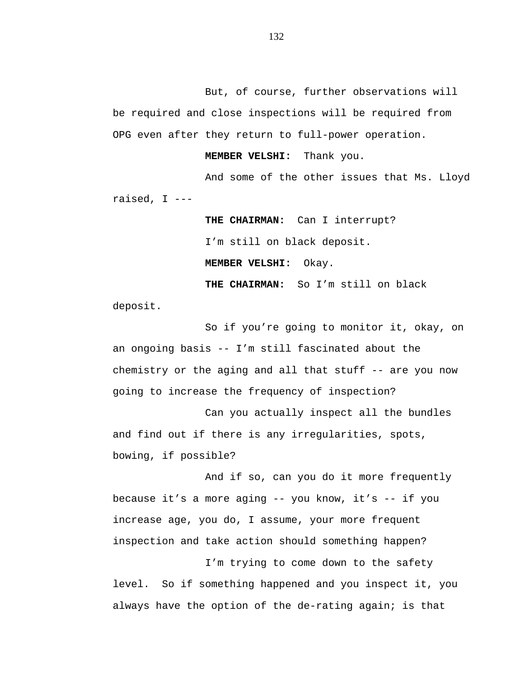But, of course, further observations will be required and close inspections will be required from OPG even after they return to full-power operation.

# **MEMBER VELSHI:** Thank you.

And some of the other issues that Ms. Lloyd raised,  $I$  ---

> **THE CHAIRMAN:** Can I interrupt? I'm still on black deposit. **MEMBER VELSHI:** Okay. **THE CHAIRMAN:** So I'm still on black

deposit.

So if you're going to monitor it, okay, on an ongoing basis -- I'm still fascinated about the chemistry or the aging and all that stuff -- are you now going to increase the frequency of inspection?

Can you actually inspect all the bundles and find out if there is any irregularities, spots, bowing, if possible?

And if so, can you do it more frequently because it's a more aging -- you know, it's -- if you increase age, you do, I assume, your more frequent inspection and take action should something happen?

I'm trying to come down to the safety level. So if something happened and you inspect it, you always have the option of the de-rating again; is that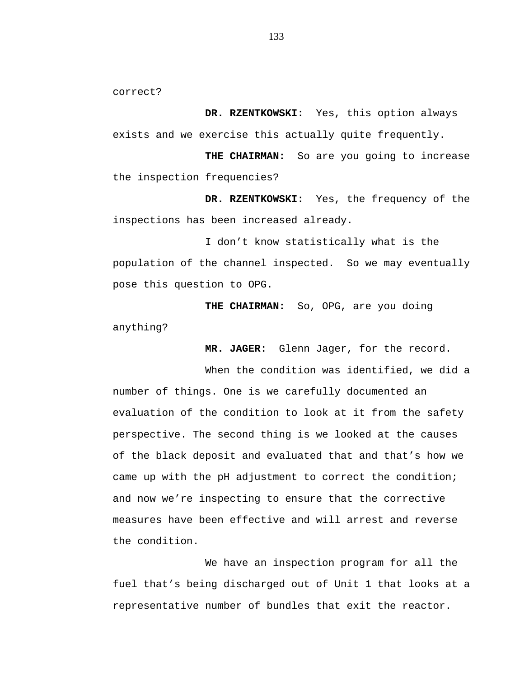correct?

**DR. RZENTKOWSKI:** Yes, this option always exists and we exercise this actually quite frequently.

**THE CHAIRMAN:** So are you going to increase the inspection frequencies?

**DR. RZENTKOWSKI:** Yes, the frequency of the inspections has been increased already.

I don't know statistically what is the population of the channel inspected. So we may eventually pose this question to OPG.

**THE CHAIRMAN:** So, OPG, are you doing anything?

**MR. JAGER:** Glenn Jager, for the record.

When the condition was identified, we did a number of things. One is we carefully documented an evaluation of the condition to look at it from the safety perspective. The second thing is we looked at the causes of the black deposit and evaluated that and that's how we came up with the pH adjustment to correct the condition; and now we're inspecting to ensure that the corrective measures have been effective and will arrest and reverse the condition.

We have an inspection program for all the fuel that's being discharged out of Unit 1 that looks at a representative number of bundles that exit the reactor.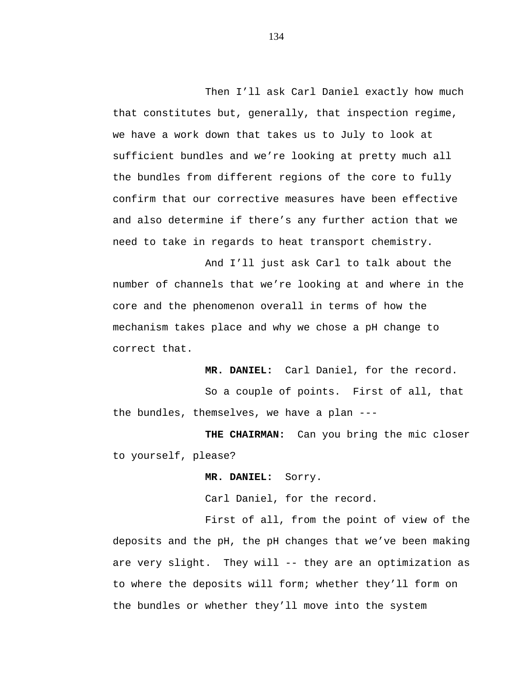Then I'll ask Carl Daniel exactly how much that constitutes but, generally, that inspection regime, we have a work down that takes us to July to look at sufficient bundles and we're looking at pretty much all the bundles from different regions of the core to fully confirm that our corrective measures have been effective and also determine if there's any further action that we need to take in regards to heat transport chemistry.

And I'll just ask Carl to talk about the number of channels that we're looking at and where in the core and the phenomenon overall in terms of how the mechanism takes place and why we chose a pH change to correct that.

**MR. DANIEL:** Carl Daniel, for the record.

So a couple of points. First of all, that the bundles, themselves, we have a plan ---

**THE CHAIRMAN:** Can you bring the mic closer to yourself, please?

**MR. DANIEL:** Sorry.

Carl Daniel, for the record.

First of all, from the point of view of the deposits and the pH, the pH changes that we've been making are very slight. They will -- they are an optimization as to where the deposits will form; whether they'll form on the bundles or whether they'll move into the system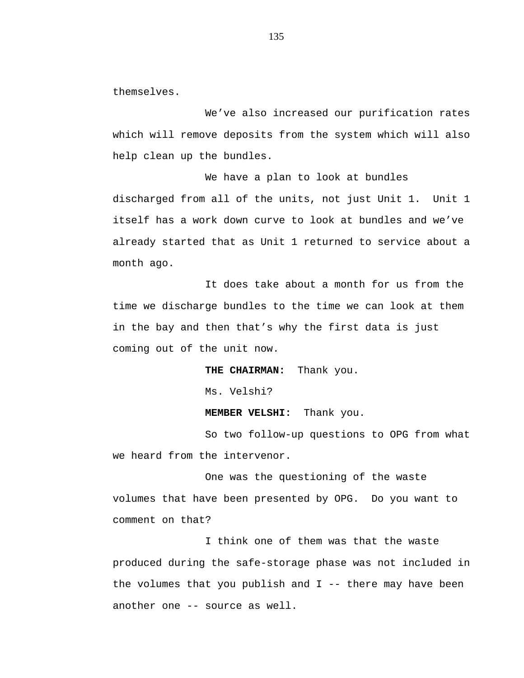themselves.

We've also increased our purification rates which will remove deposits from the system which will also help clean up the bundles.

We have a plan to look at bundles discharged from all of the units, not just Unit 1. Unit 1 itself has a work down curve to look at bundles and we've already started that as Unit 1 returned to service about a month ago.

It does take about a month for us from the time we discharge bundles to the time we can look at them in the bay and then that's why the first data is just coming out of the unit now.

**THE CHAIRMAN:** Thank you.

Ms. Velshi?

**MEMBER VELSHI:** Thank you.

So two follow-up questions to OPG from what we heard from the intervenor.

One was the questioning of the waste volumes that have been presented by OPG. Do you want to comment on that?

I think one of them was that the waste produced during the safe-storage phase was not included in the volumes that you publish and I -- there may have been another one -- source as well.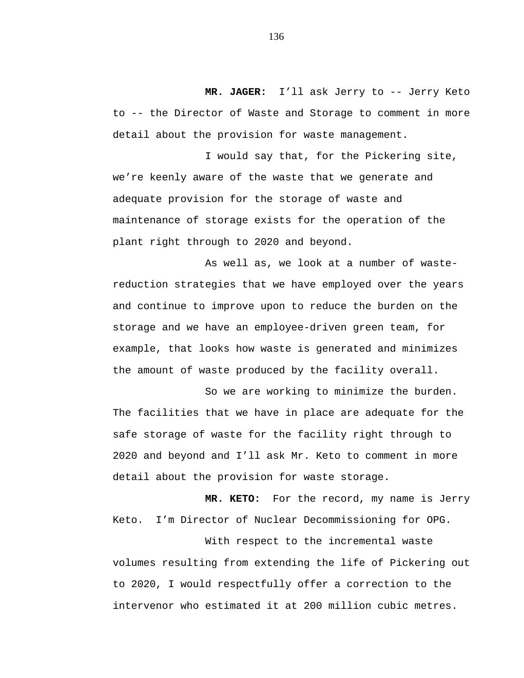**MR. JAGER:** I'll ask Jerry to -- Jerry Keto to -- the Director of Waste and Storage to comment in more detail about the provision for waste management.

I would say that, for the Pickering site, we're keenly aware of the waste that we generate and adequate provision for the storage of waste and maintenance of storage exists for the operation of the plant right through to 2020 and beyond.

As well as, we look at a number of wastereduction strategies that we have employed over the years and continue to improve upon to reduce the burden on the storage and we have an employee-driven green team, for example, that looks how waste is generated and minimizes the amount of waste produced by the facility overall.

So we are working to minimize the burden. The facilities that we have in place are adequate for the safe storage of waste for the facility right through to 2020 and beyond and I'll ask Mr. Keto to comment in more detail about the provision for waste storage.

**MR. KETO:** For the record, my name is Jerry Keto. I'm Director of Nuclear Decommissioning for OPG.

With respect to the incremental waste volumes resulting from extending the life of Pickering out to 2020, I would respectfully offer a correction to the intervenor who estimated it at 200 million cubic metres.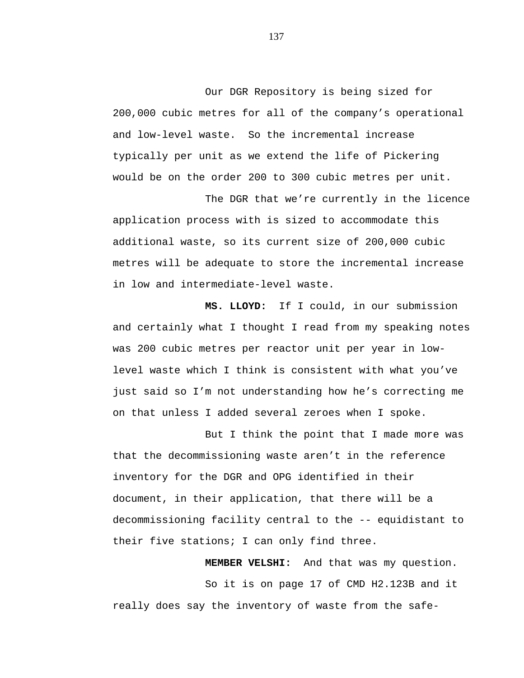Our DGR Repository is being sized for 200,000 cubic metres for all of the company's operational and low-level waste. So the incremental increase typically per unit as we extend the life of Pickering would be on the order 200 to 300 cubic metres per unit.

The DGR that we're currently in the licence application process with is sized to accommodate this additional waste, so its current size of 200,000 cubic metres will be adequate to store the incremental increase in low and intermediate-level waste.

**MS. LLOYD:** If I could, in our submission and certainly what I thought I read from my speaking notes was 200 cubic metres per reactor unit per year in lowlevel waste which I think is consistent with what you've just said so I'm not understanding how he's correcting me on that unless I added several zeroes when I spoke.

But I think the point that I made more was that the decommissioning waste aren't in the reference inventory for the DGR and OPG identified in their document, in their application, that there will be a decommissioning facility central to the -- equidistant to their five stations; I can only find three.

**MEMBER VELSHI:** And that was my question.

So it is on page 17 of CMD H2.123B and it really does say the inventory of waste from the safe-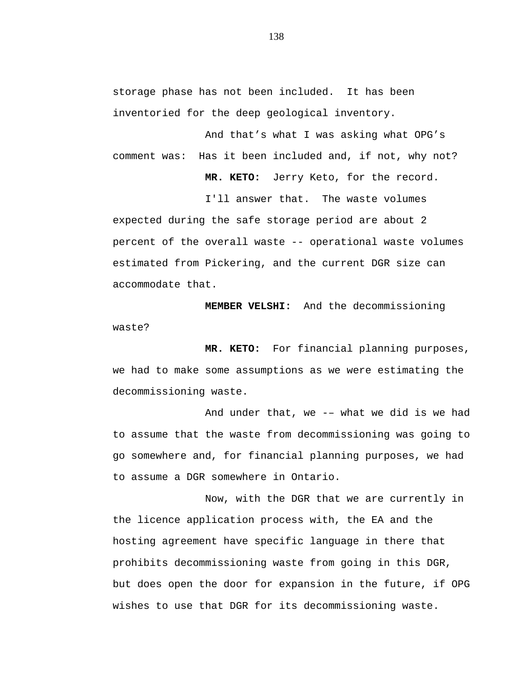storage phase has not been included. It has been inventoried for the deep geological inventory.

And that's what I was asking what OPG's comment was: Has it been included and, if not, why not?

**MR. KETO:** Jerry Keto, for the record.

I'll answer that. The waste volumes expected during the safe storage period are about 2 percent of the overall waste -- operational waste volumes estimated from Pickering, and the current DGR size can accommodate that.

**MEMBER VELSHI:** And the decommissioning waste?

**MR. KETO:** For financial planning purposes, we had to make some assumptions as we were estimating the decommissioning waste.

And under that, we -– what we did is we had to assume that the waste from decommissioning was going to go somewhere and, for financial planning purposes, we had to assume a DGR somewhere in Ontario.

Now, with the DGR that we are currently in the licence application process with, the EA and the hosting agreement have specific language in there that prohibits decommissioning waste from going in this DGR, but does open the door for expansion in the future, if OPG wishes to use that DGR for its decommissioning waste.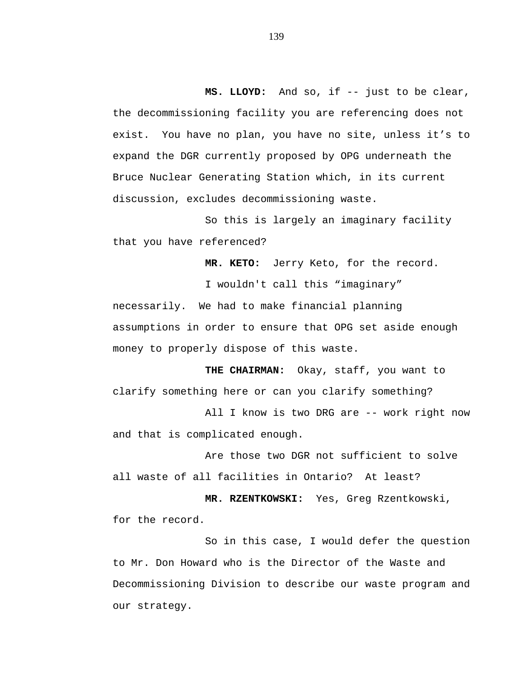**MS. LLOYD:** And so, if -- just to be clear, the decommissioning facility you are referencing does not exist. You have no plan, you have no site, unless it's to expand the DGR currently proposed by OPG underneath the Bruce Nuclear Generating Station which, in its current discussion, excludes decommissioning waste.

So this is largely an imaginary facility that you have referenced?

**MR. KETO:** Jerry Keto, for the record.

I wouldn't call this "imaginary" necessarily. We had to make financial planning assumptions in order to ensure that OPG set aside enough money to properly dispose of this waste.

**THE CHAIRMAN:** Okay, staff, you want to clarify something here or can you clarify something?

All I know is two DRG are -- work right now and that is complicated enough.

Are those two DGR not sufficient to solve all waste of all facilities in Ontario? At least?

**MR. RZENTKOWSKI:** Yes, Greg Rzentkowski, for the record.

So in this case, I would defer the question to Mr. Don Howard who is the Director of the Waste and Decommissioning Division to describe our waste program and our strategy.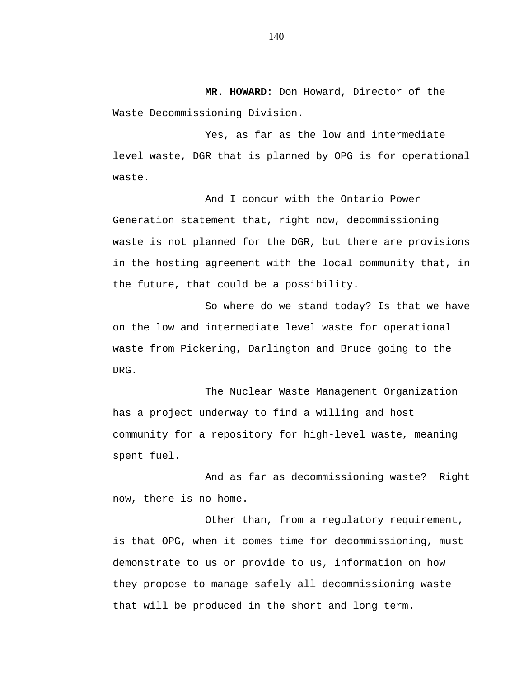**MR. HOWARD:** Don Howard, Director of the Waste Decommissioning Division.

Yes, as far as the low and intermediate level waste, DGR that is planned by OPG is for operational waste.

And I concur with the Ontario Power Generation statement that, right now, decommissioning waste is not planned for the DGR, but there are provisions in the hosting agreement with the local community that, in the future, that could be a possibility.

So where do we stand today? Is that we have on the low and intermediate level waste for operational waste from Pickering, Darlington and Bruce going to the DRG.

The Nuclear Waste Management Organization has a project underway to find a willing and host community for a repository for high-level waste, meaning spent fuel.

And as far as decommissioning waste? Right now, there is no home.

Other than, from a regulatory requirement, is that OPG, when it comes time for decommissioning, must demonstrate to us or provide to us, information on how they propose to manage safely all decommissioning waste that will be produced in the short and long term.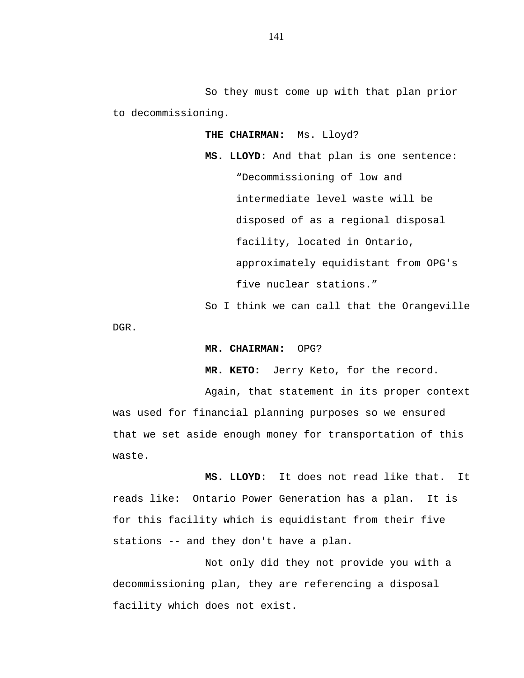So they must come up with that plan prior to decommissioning.

**THE CHAIRMAN:** Ms. Lloyd?

**MS. LLOYD:** And that plan is one sentence: "Decommissioning of low and intermediate level waste will be disposed of as a regional disposal facility, located in Ontario, approximately equidistant from OPG's five nuclear stations."

So I think we can call that the Orangeville

DGR.

**MR. CHAIRMAN:** OPG?

**MR. KETO:** Jerry Keto, for the record.

Again, that statement in its proper context was used for financial planning purposes so we ensured that we set aside enough money for transportation of this waste.

**MS. LLOYD:** It does not read like that. It reads like: Ontario Power Generation has a plan. It is for this facility which is equidistant from their five stations -- and they don't have a plan.

Not only did they not provide you with a decommissioning plan, they are referencing a disposal facility which does not exist.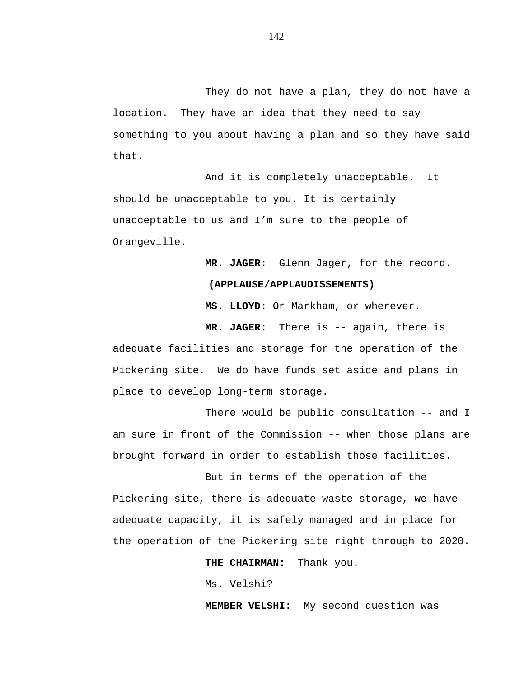They do not have a plan, they do not have a location. They have an idea that they need to say something to you about having a plan and so they have said that.

And it is completely unacceptable. It should be unacceptable to you. It is certainly unacceptable to us and I'm sure to the people of Orangeville.

**MR. JAGER:** Glenn Jager, for the record.

### **(APPLAUSE/APPLAUDISSEMENTS)**

**MS. LLOYD:** Or Markham, or wherever.

**MR. JAGER:** There is -- again, there is adequate facilities and storage for the operation of the Pickering site. We do have funds set aside and plans in place to develop long-term storage.

There would be public consultation -- and I am sure in front of the Commission -- when those plans are brought forward in order to establish those facilities.

But in terms of the operation of the Pickering site, there is adequate waste storage, we have adequate capacity, it is safely managed and in place for the operation of the Pickering site right through to 2020.

**THE CHAIRMAN:** Thank you.

Ms. Velshi?

**MEMBER VELSHI:** My second question was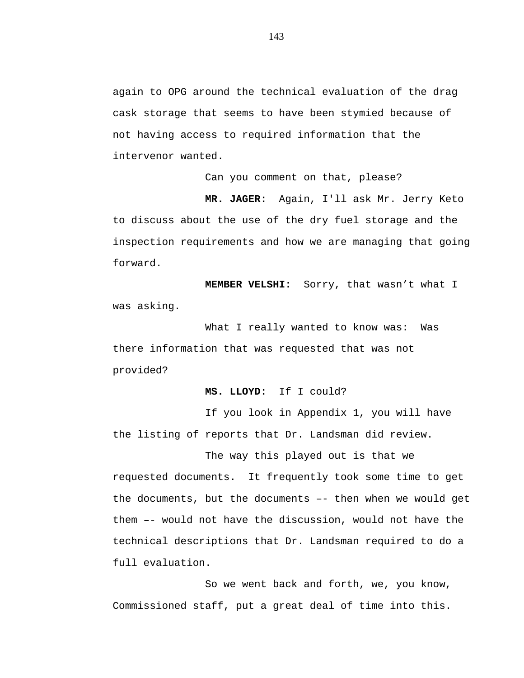again to OPG around the technical evaluation of the drag cask storage that seems to have been stymied because of not having access to required information that the intervenor wanted.

Can you comment on that, please? **MR. JAGER:** Again, I'll ask Mr. Jerry Keto to discuss about the use of the dry fuel storage and the inspection requirements and how we are managing that going forward.

**MEMBER VELSHI:** Sorry, that wasn't what I was asking.

What I really wanted to know was: Was there information that was requested that was not provided?

## **MS. LLOYD:** If I could?

If you look in Appendix 1, you will have the listing of reports that Dr. Landsman did review.

The way this played out is that we requested documents. It frequently took some time to get the documents, but the documents –- then when we would get them –- would not have the discussion, would not have the technical descriptions that Dr. Landsman required to do a full evaluation.

So we went back and forth, we, you know, Commissioned staff, put a great deal of time into this.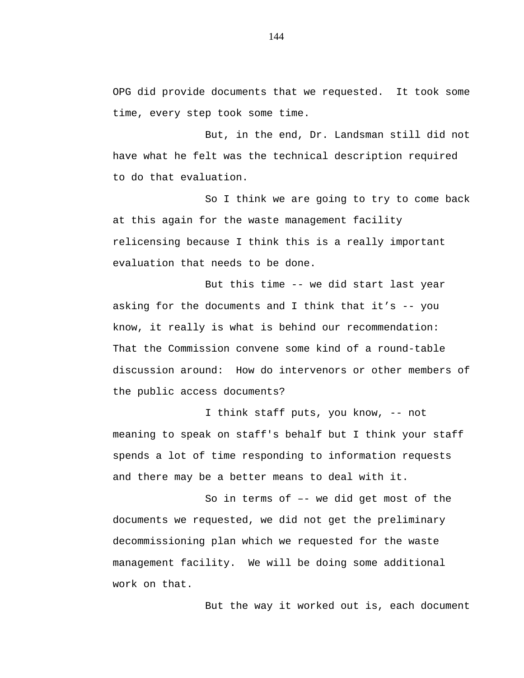OPG did provide documents that we requested. It took some time, every step took some time.

But, in the end, Dr. Landsman still did not have what he felt was the technical description required to do that evaluation.

So I think we are going to try to come back at this again for the waste management facility relicensing because I think this is a really important evaluation that needs to be done.

But this time -- we did start last year asking for the documents and I think that it's -- you know, it really is what is behind our recommendation: That the Commission convene some kind of a round-table discussion around: How do intervenors or other members of the public access documents?

I think staff puts, you know, -- not meaning to speak on staff's behalf but I think your staff spends a lot of time responding to information requests and there may be a better means to deal with it.

So in terms of –- we did get most of the documents we requested, we did not get the preliminary decommissioning plan which we requested for the waste management facility. We will be doing some additional work on that.

But the way it worked out is, each document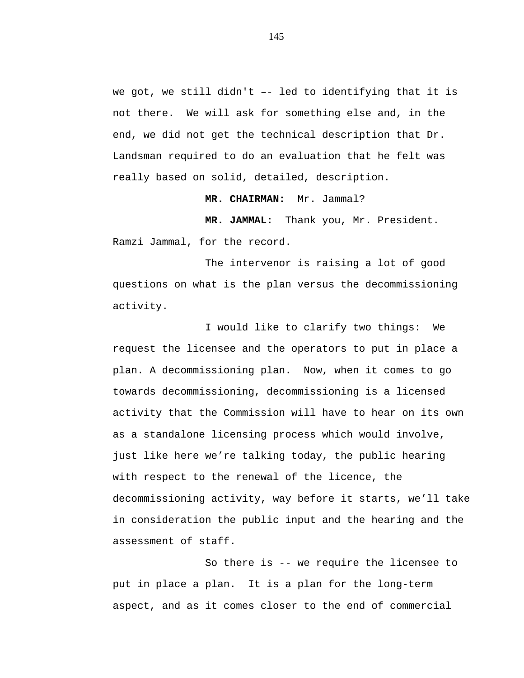we got, we still didn't –- led to identifying that it is not there. We will ask for something else and, in the end, we did not get the technical description that Dr. Landsman required to do an evaluation that he felt was really based on solid, detailed, description.

**MR. CHAIRMAN:** Mr. Jammal?

**MR. JAMMAL:** Thank you, Mr. President. Ramzi Jammal, for the record.

The intervenor is raising a lot of good questions on what is the plan versus the decommissioning activity.

I would like to clarify two things: We request the licensee and the operators to put in place a plan. A decommissioning plan. Now, when it comes to go towards decommissioning, decommissioning is a licensed activity that the Commission will have to hear on its own as a standalone licensing process which would involve, just like here we're talking today, the public hearing with respect to the renewal of the licence, the decommissioning activity, way before it starts, we'll take in consideration the public input and the hearing and the assessment of staff.

So there is -- we require the licensee to put in place a plan. It is a plan for the long-term aspect, and as it comes closer to the end of commercial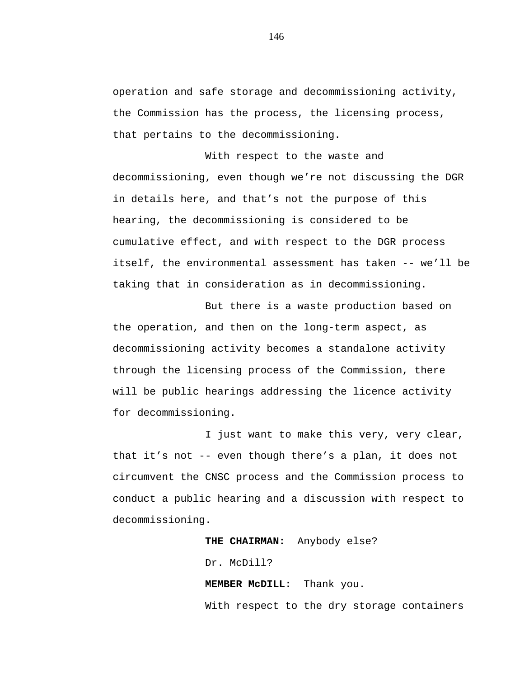operation and safe storage and decommissioning activity, the Commission has the process, the licensing process, that pertains to the decommissioning.

With respect to the waste and decommissioning, even though we're not discussing the DGR in details here, and that's not the purpose of this hearing, the decommissioning is considered to be cumulative effect, and with respect to the DGR process itself, the environmental assessment has taken -- we'll be taking that in consideration as in decommissioning.

But there is a waste production based on the operation, and then on the long-term aspect, as decommissioning activity becomes a standalone activity through the licensing process of the Commission, there will be public hearings addressing the licence activity for decommissioning.

I just want to make this very, very clear, that it's not -- even though there's a plan, it does not circumvent the CNSC process and the Commission process to conduct a public hearing and a discussion with respect to decommissioning.

> **THE CHAIRMAN:** Anybody else? Dr. McDill? **MEMBER McDILL:** Thank you. With respect to the dry storage containers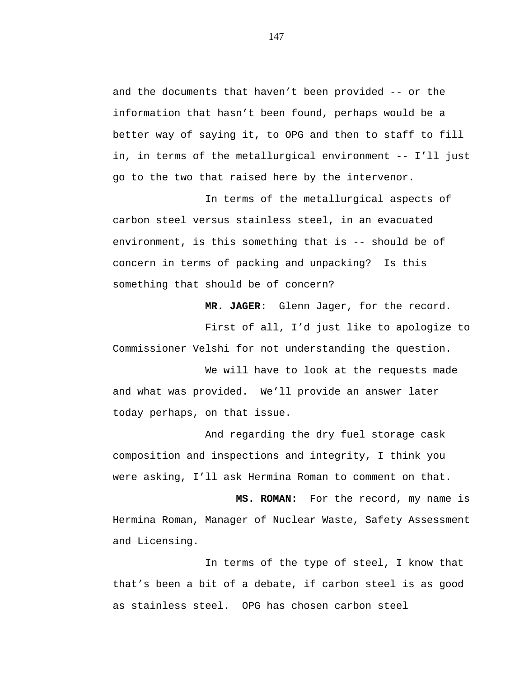and the documents that haven't been provided -- or the information that hasn't been found, perhaps would be a better way of saying it, to OPG and then to staff to fill in, in terms of the metallurgical environment -- I'll just go to the two that raised here by the intervenor.

In terms of the metallurgical aspects of carbon steel versus stainless steel, in an evacuated environment, is this something that is -- should be of concern in terms of packing and unpacking? Is this something that should be of concern?

**MR. JAGER:** Glenn Jager, for the record.

First of all, I'd just like to apologize to Commissioner Velshi for not understanding the question.

We will have to look at the requests made and what was provided. We'll provide an answer later today perhaps, on that issue.

And regarding the dry fuel storage cask composition and inspections and integrity, I think you were asking, I'll ask Hermina Roman to comment on that.

**MS. ROMAN:** For the record, my name is Hermina Roman, Manager of Nuclear Waste, Safety Assessment and Licensing.

In terms of the type of steel, I know that that's been a bit of a debate, if carbon steel is as good as stainless steel. OPG has chosen carbon steel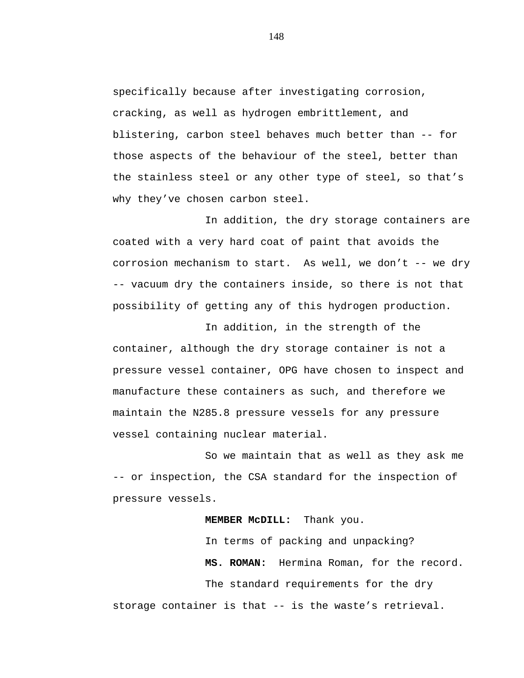specifically because after investigating corrosion, cracking, as well as hydrogen embrittlement, and blistering, carbon steel behaves much better than -- for those aspects of the behaviour of the steel, better than the stainless steel or any other type of steel, so that's why they've chosen carbon steel.

In addition, the dry storage containers are coated with a very hard coat of paint that avoids the corrosion mechanism to start. As well, we don't -- we dry -- vacuum dry the containers inside, so there is not that possibility of getting any of this hydrogen production.

In addition, in the strength of the container, although the dry storage container is not a pressure vessel container, OPG have chosen to inspect and manufacture these containers as such, and therefore we maintain the N285.8 pressure vessels for any pressure vessel containing nuclear material.

So we maintain that as well as they ask me -- or inspection, the CSA standard for the inspection of pressure vessels.

### **MEMBER McDILL:** Thank you.

In terms of packing and unpacking? **MS. ROMAN:** Hermina Roman, for the record. The standard requirements for the dry storage container is that -- is the waste's retrieval.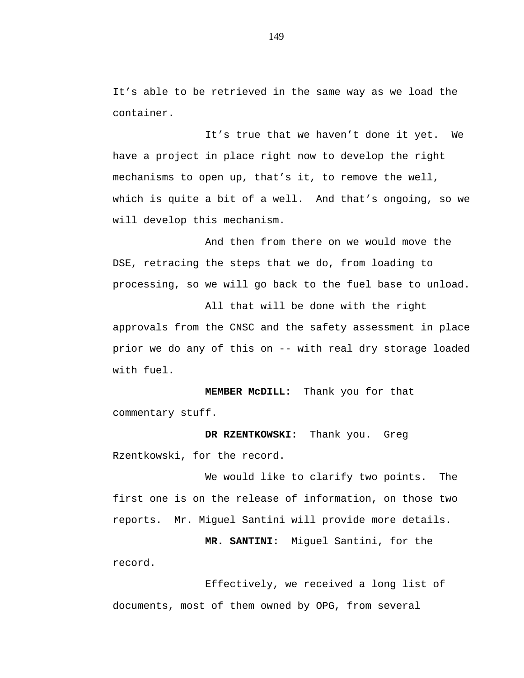It's able to be retrieved in the same way as we load the container.

It's true that we haven't done it yet. We have a project in place right now to develop the right mechanisms to open up, that's it, to remove the well, which is quite a bit of a well. And that's ongoing, so we will develop this mechanism.

And then from there on we would move the DSE, retracing the steps that we do, from loading to processing, so we will go back to the fuel base to unload.

All that will be done with the right approvals from the CNSC and the safety assessment in place prior we do any of this on -- with real dry storage loaded with fuel.

**MEMBER McDILL:** Thank you for that commentary stuff.

**DR RZENTKOWSKI:** Thank you. Greg Rzentkowski, for the record.

We would like to clarify two points. The first one is on the release of information, on those two reports. Mr. Miguel Santini will provide more details.

**MR. SANTINI:** Miguel Santini, for the record.

Effectively, we received a long list of documents, most of them owned by OPG, from several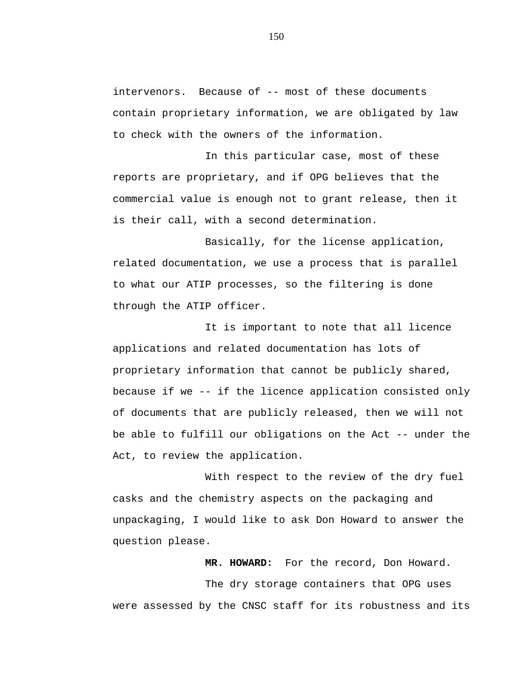intervenors. Because of -- most of these documents contain proprietary information, we are obligated by law to check with the owners of the information.

In this particular case, most of these reports are proprietary, and if OPG believes that the commercial value is enough not to grant release, then it is their call, with a second determination.

Basically, for the license application, related documentation, we use a process that is parallel to what our ATIP processes, so the filtering is done through the ATIP officer.

It is important to note that all licence applications and related documentation has lots of proprietary information that cannot be publicly shared, because if we -- if the licence application consisted only of documents that are publicly released, then we will not be able to fulfill our obligations on the Act -- under the Act, to review the application.

With respect to the review of the dry fuel casks and the chemistry aspects on the packaging and unpackaging, I would like to ask Don Howard to answer the question please.

**MR. HOWARD:** For the record, Don Howard.

The dry storage containers that OPG uses were assessed by the CNSC staff for its robustness and its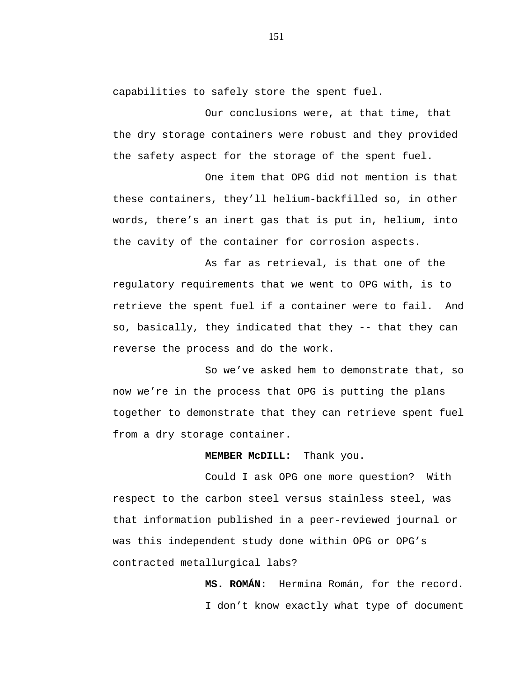capabilities to safely store the spent fuel.

Our conclusions were, at that time, that the dry storage containers were robust and they provided the safety aspect for the storage of the spent fuel.

One item that OPG did not mention is that these containers, they'll helium-backfilled so, in other words, there's an inert gas that is put in, helium, into the cavity of the container for corrosion aspects.

As far as retrieval, is that one of the regulatory requirements that we went to OPG with, is to retrieve the spent fuel if a container were to fail. And so, basically, they indicated that they -- that they can reverse the process and do the work.

So we've asked hem to demonstrate that, so now we're in the process that OPG is putting the plans together to demonstrate that they can retrieve spent fuel from a dry storage container.

#### **MEMBER McDILL:** Thank you.

Could I ask OPG one more question? With respect to the carbon steel versus stainless steel, was that information published in a peer-reviewed journal or was this independent study done within OPG or OPG's contracted metallurgical labs?

> **MS. ROMÁN:** Hermina Román, for the record. I don't know exactly what type of document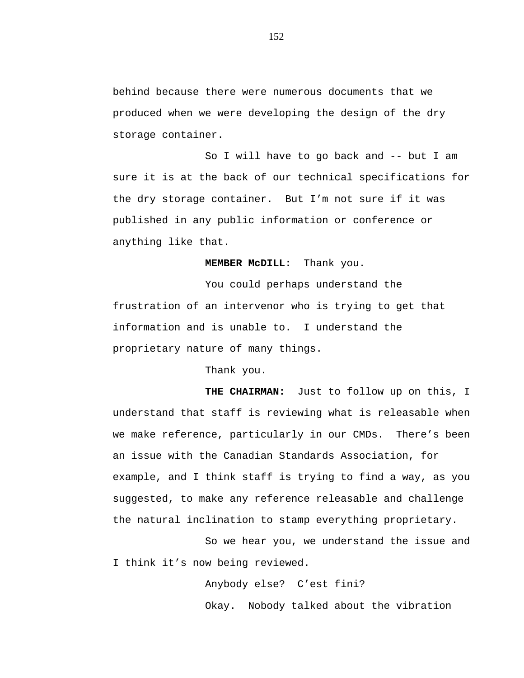behind because there were numerous documents that we produced when we were developing the design of the dry storage container.

So I will have to go back and -- but I am sure it is at the back of our technical specifications for the dry storage container. But I'm not sure if it was published in any public information or conference or anything like that.

# **MEMBER McDILL:** Thank you.

You could perhaps understand the frustration of an intervenor who is trying to get that information and is unable to. I understand the proprietary nature of many things.

Thank you.

**THE CHAIRMAN:** Just to follow up on this, I understand that staff is reviewing what is releasable when we make reference, particularly in our CMDs. There's been an issue with the Canadian Standards Association, for example, and I think staff is trying to find a way, as you suggested, to make any reference releasable and challenge the natural inclination to stamp everything proprietary.

So we hear you, we understand the issue and I think it's now being reviewed.

> Anybody else? C'est fini? Okay. Nobody talked about the vibration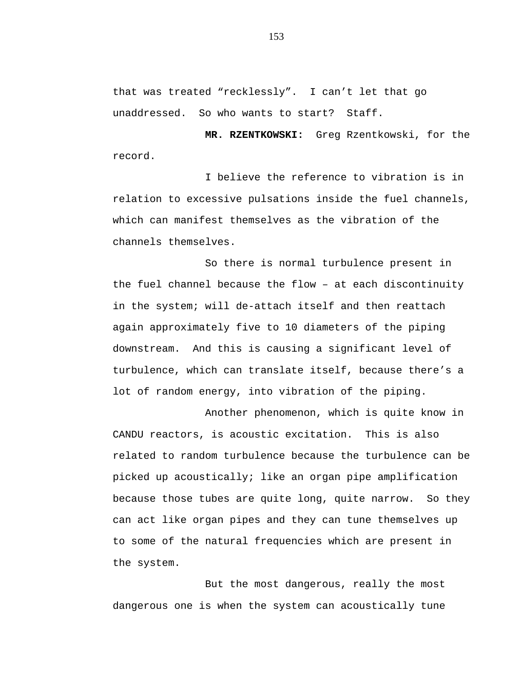that was treated "recklessly". I can't let that go unaddressed. So who wants to start? Staff.

**MR. RZENTKOWSKI:** Greg Rzentkowski, for the record.

I believe the reference to vibration is in relation to excessive pulsations inside the fuel channels, which can manifest themselves as the vibration of the channels themselves.

So there is normal turbulence present in the fuel channel because the flow – at each discontinuity in the system; will de-attach itself and then reattach again approximately five to 10 diameters of the piping downstream. And this is causing a significant level of turbulence, which can translate itself, because there's a lot of random energy, into vibration of the piping.

Another phenomenon, which is quite know in CANDU reactors, is acoustic excitation. This is also related to random turbulence because the turbulence can be picked up acoustically; like an organ pipe amplification because those tubes are quite long, quite narrow. So they can act like organ pipes and they can tune themselves up to some of the natural frequencies which are present in the system.

But the most dangerous, really the most dangerous one is when the system can acoustically tune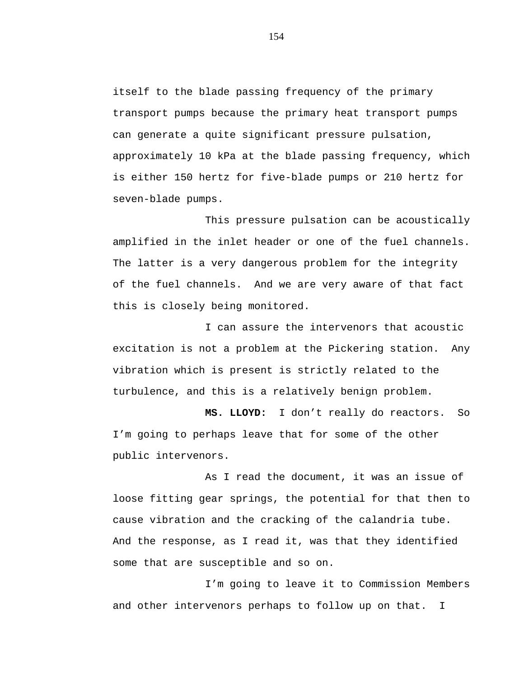itself to the blade passing frequency of the primary transport pumps because the primary heat transport pumps can generate a quite significant pressure pulsation, approximately 10 kPa at the blade passing frequency, which is either 150 hertz for five-blade pumps or 210 hertz for seven-blade pumps.

This pressure pulsation can be acoustically amplified in the inlet header or one of the fuel channels. The latter is a very dangerous problem for the integrity of the fuel channels. And we are very aware of that fact this is closely being monitored.

I can assure the intervenors that acoustic excitation is not a problem at the Pickering station. Any vibration which is present is strictly related to the turbulence, and this is a relatively benign problem.

**MS. LLOYD:** I don't really do reactors. So I'm going to perhaps leave that for some of the other public intervenors.

As I read the document, it was an issue of loose fitting gear springs, the potential for that then to cause vibration and the cracking of the calandria tube. And the response, as I read it, was that they identified some that are susceptible and so on.

I'm going to leave it to Commission Members and other intervenors perhaps to follow up on that. I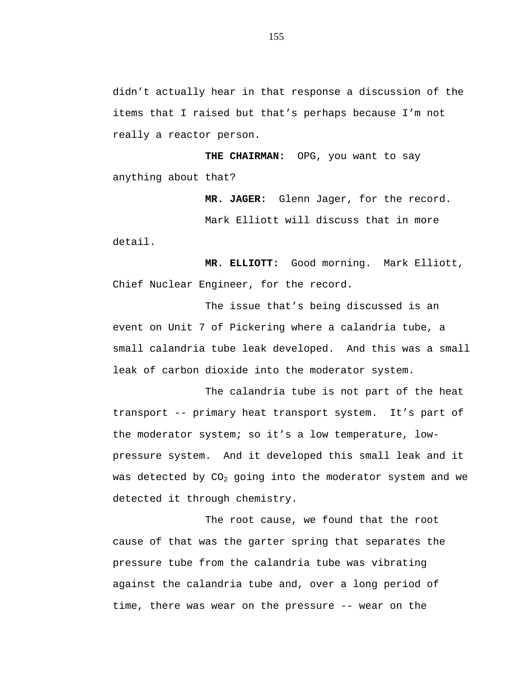didn't actually hear in that response a discussion of the items that I raised but that's perhaps because I'm not really a reactor person.

**THE CHAIRMAN:** OPG, you want to say anything about that?

**MR. JAGER:** Glenn Jager, for the record. Mark Elliott will discuss that in more detail.

**MR. ELLIOTT:** Good morning. Mark Elliott, Chief Nuclear Engineer, for the record.

The issue that's being discussed is an event on Unit 7 of Pickering where a calandria tube, a small calandria tube leak developed. And this was a small leak of carbon dioxide into the moderator system.

The calandria tube is not part of the heat transport -- primary heat transport system. It's part of the moderator system; so it's a low temperature, lowpressure system. And it developed this small leak and it was detected by  $CO<sub>2</sub>$  going into the moderator system and we detected it through chemistry.

The root cause, we found that the root cause of that was the garter spring that separates the pressure tube from the calandria tube was vibrating against the calandria tube and, over a long period of time, there was wear on the pressure -- wear on the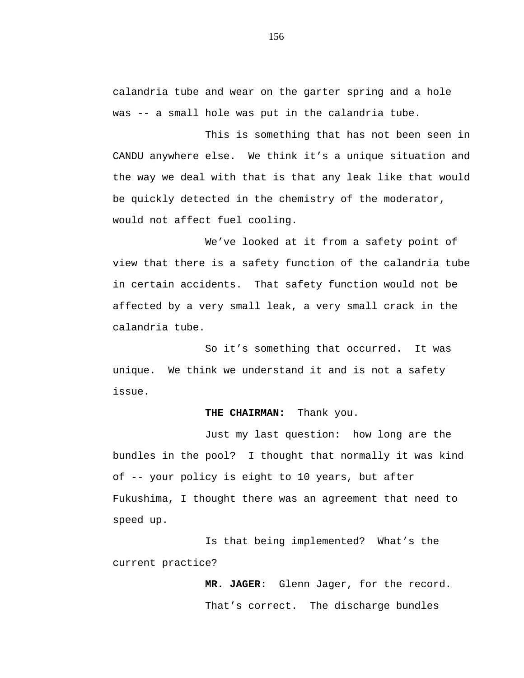calandria tube and wear on the garter spring and a hole was -- a small hole was put in the calandria tube.

This is something that has not been seen in CANDU anywhere else. We think it's a unique situation and the way we deal with that is that any leak like that would be quickly detected in the chemistry of the moderator, would not affect fuel cooling.

We've looked at it from a safety point of view that there is a safety function of the calandria tube in certain accidents. That safety function would not be affected by a very small leak, a very small crack in the calandria tube.

So it's something that occurred. It was unique. We think we understand it and is not a safety issue.

#### **THE CHAIRMAN:** Thank you.

Just my last question: how long are the bundles in the pool? I thought that normally it was kind of -- your policy is eight to 10 years, but after Fukushima, I thought there was an agreement that need to speed up.

Is that being implemented? What's the current practice?

> **MR. JAGER:** Glenn Jager, for the record. That's correct. The discharge bundles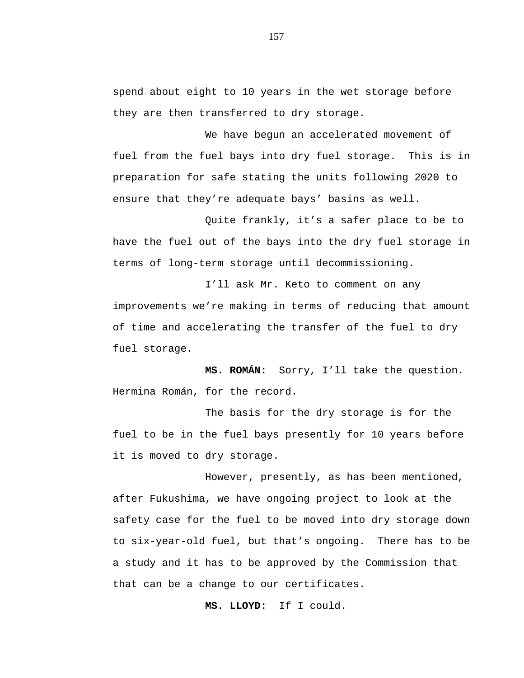spend about eight to 10 years in the wet storage before they are then transferred to dry storage.

We have begun an accelerated movement of fuel from the fuel bays into dry fuel storage. This is in preparation for safe stating the units following 2020 to ensure that they're adequate bays' basins as well.

Quite frankly, it's a safer place to be to have the fuel out of the bays into the dry fuel storage in terms of long-term storage until decommissioning.

I'll ask Mr. Keto to comment on any improvements we're making in terms of reducing that amount of time and accelerating the transfer of the fuel to dry fuel storage.

**MS. ROMÁN:** Sorry, I'll take the question. Hermina Román, for the record.

The basis for the dry storage is for the fuel to be in the fuel bays presently for 10 years before it is moved to dry storage.

However, presently, as has been mentioned, after Fukushima, we have ongoing project to look at the safety case for the fuel to be moved into dry storage down to six-year-old fuel, but that's ongoing. There has to be a study and it has to be approved by the Commission that that can be a change to our certificates.

**MS. LLOYD:** If I could.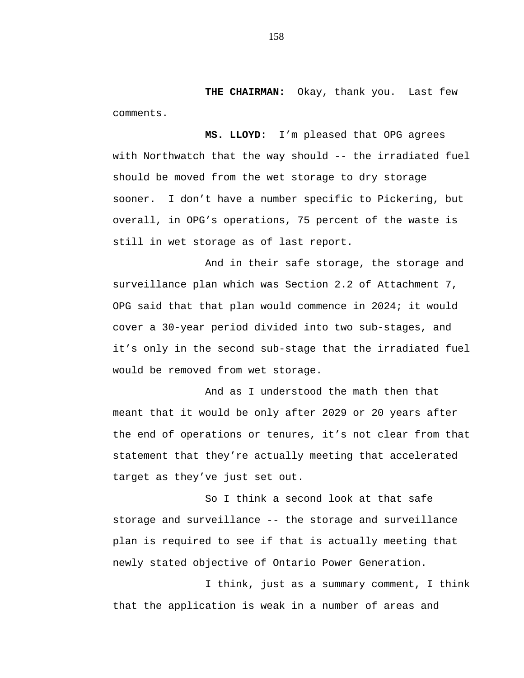**THE CHAIRMAN:** Okay, thank you. Last few comments.

**MS. LLOYD:** I'm pleased that OPG agrees with Northwatch that the way should -- the irradiated fuel should be moved from the wet storage to dry storage sooner. I don't have a number specific to Pickering, but overall, in OPG's operations, 75 percent of the waste is still in wet storage as of last report.

And in their safe storage, the storage and surveillance plan which was Section 2.2 of Attachment 7, OPG said that that plan would commence in 2024; it would cover a 30-year period divided into two sub-stages, and it's only in the second sub-stage that the irradiated fuel would be removed from wet storage.

And as I understood the math then that meant that it would be only after 2029 or 20 years after the end of operations or tenures, it's not clear from that statement that they're actually meeting that accelerated target as they've just set out.

So I think a second look at that safe storage and surveillance -- the storage and surveillance plan is required to see if that is actually meeting that newly stated objective of Ontario Power Generation.

I think, just as a summary comment, I think that the application is weak in a number of areas and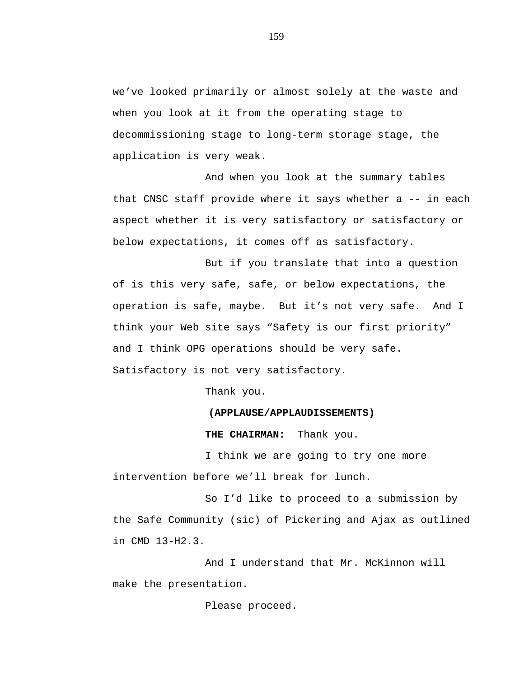we've looked primarily or almost solely at the waste and when you look at it from the operating stage to decommissioning stage to long-term storage stage, the application is very weak.

And when you look at the summary tables that CNSC staff provide where it says whether a -- in each aspect whether it is very satisfactory or satisfactory or below expectations, it comes off as satisfactory.

But if you translate that into a question of is this very safe, safe, or below expectations, the operation is safe, maybe. But it's not very safe. And I think your Web site says "Safety is our first priority" and I think OPG operations should be very safe. Satisfactory is not very satisfactory.

Thank you.

#### **(APPLAUSE/APPLAUDISSEMENTS)**

**THE CHAIRMAN:** Thank you.

I think we are going to try one more intervention before we'll break for lunch.

So I'd like to proceed to a submission by the Safe Community (sic) of Pickering and Ajax as outlined in CMD 13-H2.3.

And I understand that Mr. McKinnon will make the presentation.

Please proceed.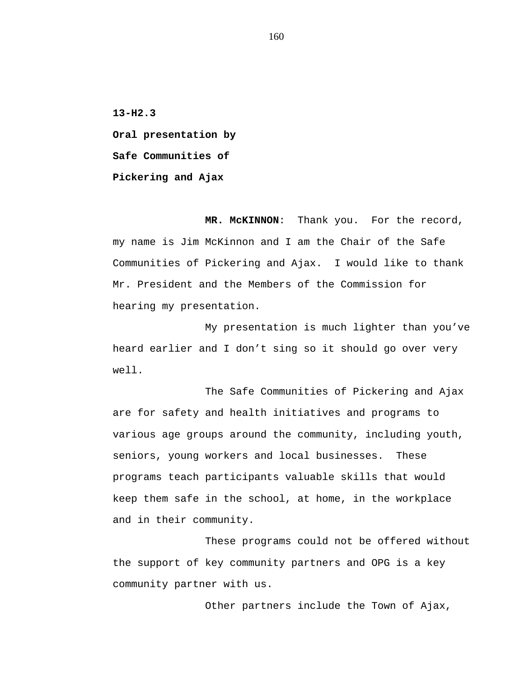**13-H2.3**

**Oral presentation by Safe Communities of** 

**Pickering and Ajax**

**MR. McKINNON**: Thank you. For the record, my name is Jim McKinnon and I am the Chair of the Safe Communities of Pickering and Ajax. I would like to thank Mr. President and the Members of the Commission for hearing my presentation.

My presentation is much lighter than you've heard earlier and I don't sing so it should go over very well.

The Safe Communities of Pickering and Ajax are for safety and health initiatives and programs to various age groups around the community, including youth, seniors, young workers and local businesses. These programs teach participants valuable skills that would keep them safe in the school, at home, in the workplace and in their community.

These programs could not be offered without the support of key community partners and OPG is a key community partner with us.

Other partners include the Town of Ajax,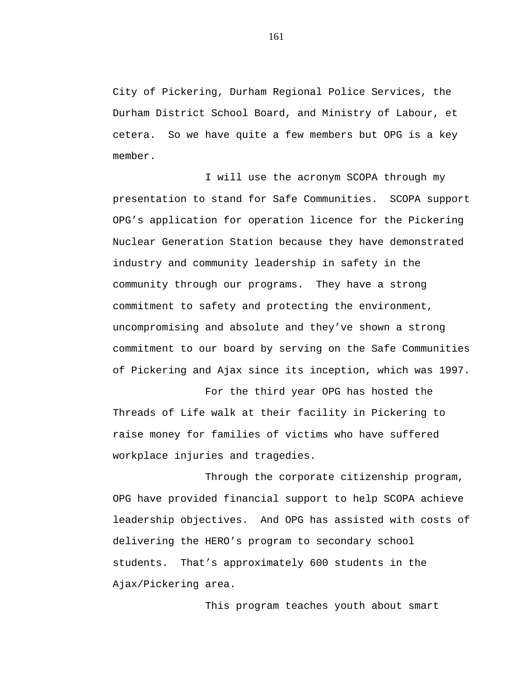City of Pickering, Durham Regional Police Services, the Durham District School Board, and Ministry of Labour, et cetera. So we have quite a few members but OPG is a key member.

I will use the acronym SCOPA through my presentation to stand for Safe Communities. SCOPA support OPG's application for operation licence for the Pickering Nuclear Generation Station because they have demonstrated industry and community leadership in safety in the community through our programs. They have a strong commitment to safety and protecting the environment, uncompromising and absolute and they've shown a strong commitment to our board by serving on the Safe Communities of Pickering and Ajax since its inception, which was 1997.

For the third year OPG has hosted the Threads of Life walk at their facility in Pickering to raise money for families of victims who have suffered workplace injuries and tragedies.

Through the corporate citizenship program, OPG have provided financial support to help SCOPA achieve leadership objectives. And OPG has assisted with costs of delivering the HERO's program to secondary school students. That's approximately 600 students in the Ajax/Pickering area.

This program teaches youth about smart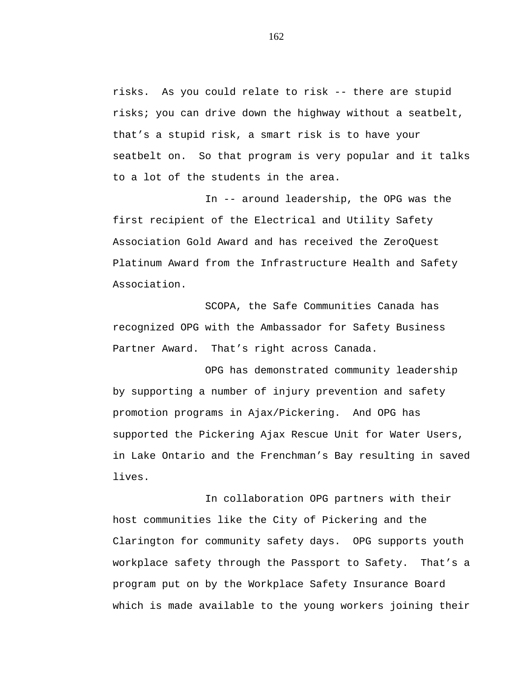risks. As you could relate to risk -- there are stupid risks; you can drive down the highway without a seatbelt, that's a stupid risk, a smart risk is to have your seatbelt on. So that program is very popular and it talks to a lot of the students in the area.

In -- around leadership, the OPG was the first recipient of the Electrical and Utility Safety Association Gold Award and has received the ZeroQuest Platinum Award from the Infrastructure Health and Safety Association.

SCOPA, the Safe Communities Canada has recognized OPG with the Ambassador for Safety Business Partner Award. That's right across Canada.

OPG has demonstrated community leadership by supporting a number of injury prevention and safety promotion programs in Ajax/Pickering. And OPG has supported the Pickering Ajax Rescue Unit for Water Users, in Lake Ontario and the Frenchman's Bay resulting in saved lives.

In collaboration OPG partners with their host communities like the City of Pickering and the Clarington for community safety days. OPG supports youth workplace safety through the Passport to Safety. That's a program put on by the Workplace Safety Insurance Board which is made available to the young workers joining their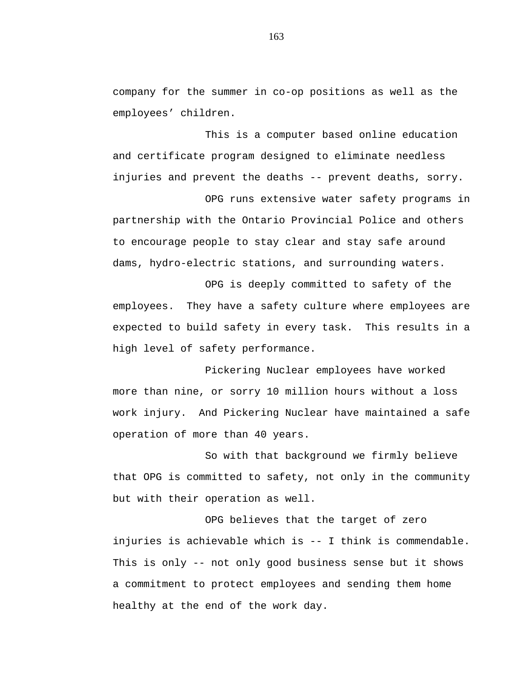company for the summer in co-op positions as well as the employees' children.

This is a computer based online education and certificate program designed to eliminate needless injuries and prevent the deaths -- prevent deaths, sorry.

OPG runs extensive water safety programs in partnership with the Ontario Provincial Police and others to encourage people to stay clear and stay safe around dams, hydro-electric stations, and surrounding waters.

OPG is deeply committed to safety of the employees. They have a safety culture where employees are expected to build safety in every task. This results in a high level of safety performance.

Pickering Nuclear employees have worked more than nine, or sorry 10 million hours without a loss work injury. And Pickering Nuclear have maintained a safe operation of more than 40 years.

So with that background we firmly believe that OPG is committed to safety, not only in the community but with their operation as well.

OPG believes that the target of zero injuries is achievable which is -- I think is commendable. This is only -- not only good business sense but it shows a commitment to protect employees and sending them home healthy at the end of the work day.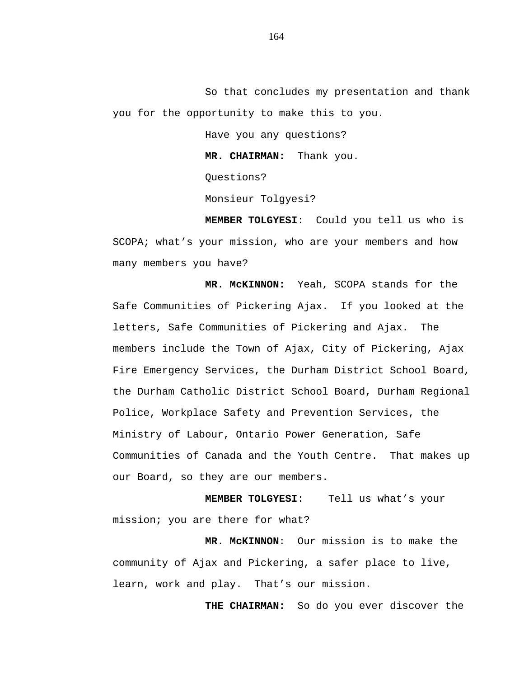So that concludes my presentation and thank you for the opportunity to make this to you.

> Have you any questions? **MR. CHAIRMAN:** Thank you. Questions?

Monsieur Tolgyesi?

**MEMBER TOLGYESI**: Could you tell us who is SCOPA; what's your mission, who are your members and how many members you have?

**MR**. **McKINNON:** Yeah, SCOPA stands for the Safe Communities of Pickering Ajax. If you looked at the letters, Safe Communities of Pickering and Ajax. The members include the Town of Ajax, City of Pickering, Ajax Fire Emergency Services, the Durham District School Board, the Durham Catholic District School Board, Durham Regional Police, Workplace Safety and Prevention Services, the Ministry of Labour, Ontario Power Generation, Safe Communities of Canada and the Youth Centre. That makes up our Board, so they are our members.

**MEMBER TOLGYESI**: Tell us what's your mission; you are there for what?

**MR**. **McKINNON**: Our mission is to make the community of Ajax and Pickering, a safer place to live, learn, work and play. That's our mission.

**THE CHAIRMAN:** So do you ever discover the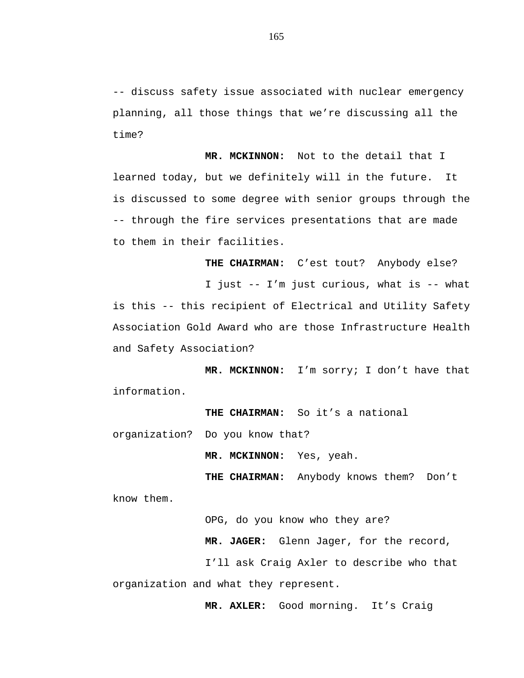-- discuss safety issue associated with nuclear emergency planning, all those things that we're discussing all the time?

**MR. MCKINNON:** Not to the detail that I learned today, but we definitely will in the future. It is discussed to some degree with senior groups through the -- through the fire services presentations that are made to them in their facilities.

**THE CHAIRMAN:** C'est tout? Anybody else?

I just -- I'm just curious, what is -- what is this -- this recipient of Electrical and Utility Safety Association Gold Award who are those Infrastructure Health and Safety Association?

**MR. MCKINNON:** I'm sorry; I don't have that information.

**THE CHAIRMAN:** So it's a national

organization? Do you know that?

**MR. MCKINNON:** Yes, yeah.

THE CHAIRMAN: Anybody knows them? Don't know them.

OPG, do you know who they are?

**MR. JAGER:** Glenn Jager, for the record,

I'll ask Craig Axler to describe who that organization and what they represent.

**MR. AXLER:** Good morning. It's Craig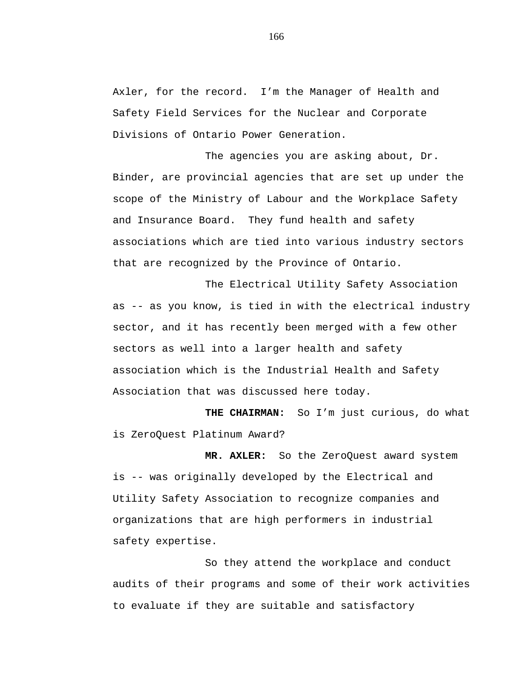Axler, for the record. I'm the Manager of Health and Safety Field Services for the Nuclear and Corporate Divisions of Ontario Power Generation.

The agencies you are asking about, Dr. Binder, are provincial agencies that are set up under the scope of the Ministry of Labour and the Workplace Safety and Insurance Board. They fund health and safety associations which are tied into various industry sectors that are recognized by the Province of Ontario.

The Electrical Utility Safety Association as -- as you know, is tied in with the electrical industry sector, and it has recently been merged with a few other sectors as well into a larger health and safety association which is the Industrial Health and Safety Association that was discussed here today.

**THE CHAIRMAN:** So I'm just curious, do what is ZeroQuest Platinum Award?

**MR. AXLER:** So the ZeroQuest award system is -- was originally developed by the Electrical and Utility Safety Association to recognize companies and organizations that are high performers in industrial safety expertise.

So they attend the workplace and conduct audits of their programs and some of their work activities to evaluate if they are suitable and satisfactory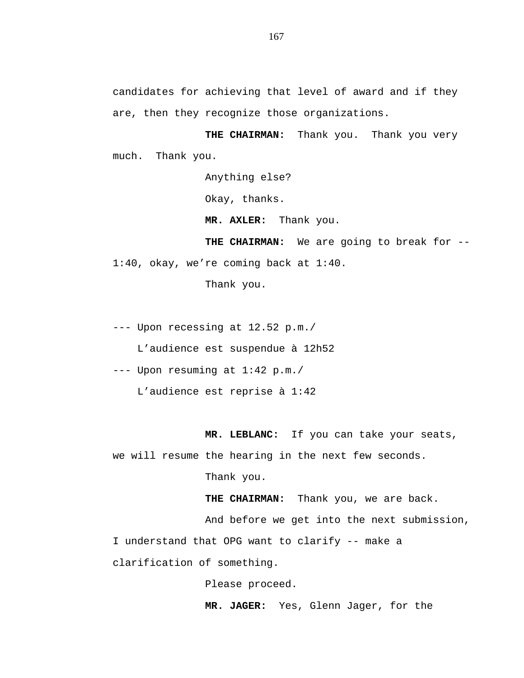candidates for achieving that level of award and if they are, then they recognize those organizations.

**THE CHAIRMAN:** Thank you. Thank you very much. Thank you.

Anything else?

Okay, thanks.

**MR. AXLER:** Thank you.

**THE CHAIRMAN:** We are going to break for -- 1:40, okay, we're coming back at 1:40.

Thank you.

--- Upon recessing at 12.52 p.m./

L'audience est suspendue à 12h52

--- Upon resuming at 1:42 p.m./

L'audience est reprise à 1:42

**MR. LEBLANC:** If you can take your seats, we will resume the hearing in the next few seconds.

Thank you.

**THE CHAIRMAN:** Thank you, we are back.

And before we get into the next submission,

I understand that OPG want to clarify -- make a

clarification of something.

Please proceed.

**MR. JAGER:** Yes, Glenn Jager, for the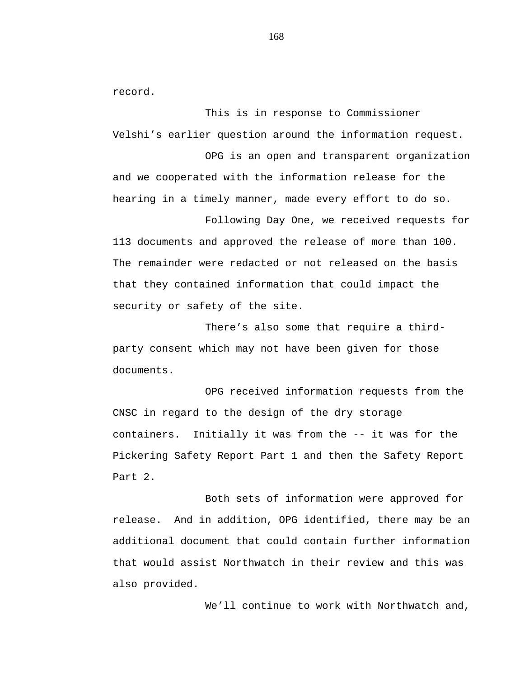record.

This is in response to Commissioner Velshi's earlier question around the information request.

OPG is an open and transparent organization and we cooperated with the information release for the hearing in a timely manner, made every effort to do so.

Following Day One, we received requests for 113 documents and approved the release of more than 100. The remainder were redacted or not released on the basis that they contained information that could impact the security or safety of the site.

There's also some that require a thirdparty consent which may not have been given for those documents.

OPG received information requests from the CNSC in regard to the design of the dry storage containers. Initially it was from the -- it was for the Pickering Safety Report Part 1 and then the Safety Report Part 2.

Both sets of information were approved for release. And in addition, OPG identified, there may be an additional document that could contain further information that would assist Northwatch in their review and this was also provided.

We'll continue to work with Northwatch and,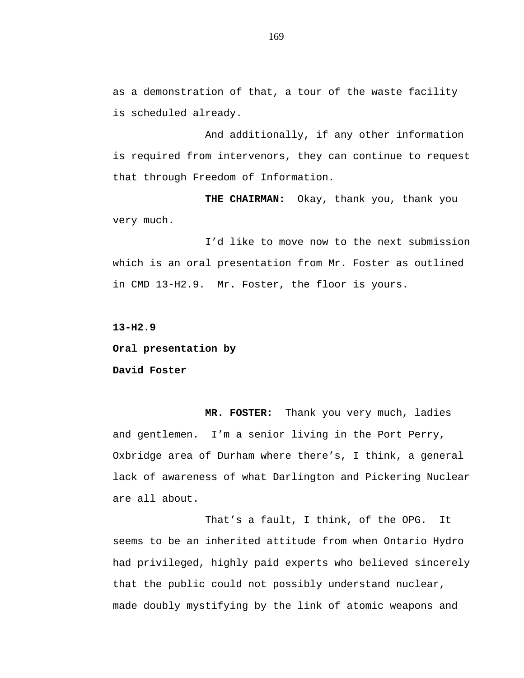as a demonstration of that, a tour of the waste facility is scheduled already.

And additionally, if any other information is required from intervenors, they can continue to request that through Freedom of Information.

**THE CHAIRMAN:** Okay, thank you, thank you very much.

I'd like to move now to the next submission which is an oral presentation from Mr. Foster as outlined in CMD 13-H2.9. Mr. Foster, the floor is yours.

**13-H2.9**

**Oral presentation by**

**David Foster**

**MR. FOSTER:** Thank you very much, ladies and gentlemen. I'm a senior living in the Port Perry, Oxbridge area of Durham where there's, I think, a general lack of awareness of what Darlington and Pickering Nuclear are all about.

That's a fault, I think, of the OPG. It seems to be an inherited attitude from when Ontario Hydro had privileged, highly paid experts who believed sincerely that the public could not possibly understand nuclear, made doubly mystifying by the link of atomic weapons and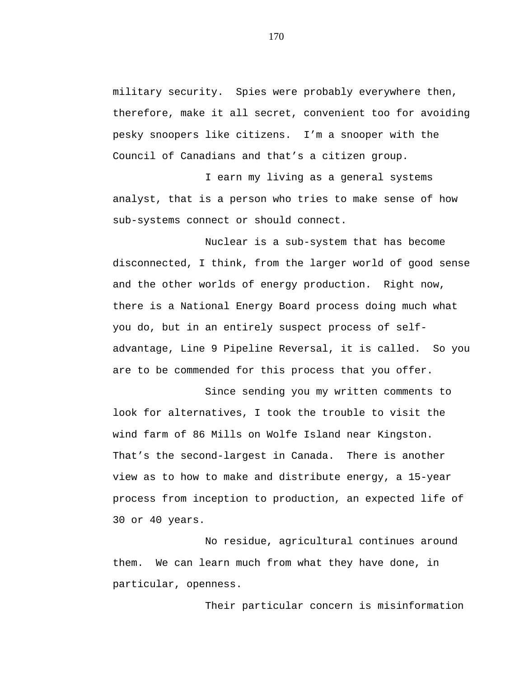military security. Spies were probably everywhere then, therefore, make it all secret, convenient too for avoiding pesky snoopers like citizens. I'm a snooper with the Council of Canadians and that's a citizen group.

I earn my living as a general systems analyst, that is a person who tries to make sense of how sub-systems connect or should connect.

Nuclear is a sub-system that has become disconnected, I think, from the larger world of good sense and the other worlds of energy production. Right now, there is a National Energy Board process doing much what you do, but in an entirely suspect process of selfadvantage, Line 9 Pipeline Reversal, it is called. So you are to be commended for this process that you offer.

Since sending you my written comments to look for alternatives, I took the trouble to visit the wind farm of 86 Mills on Wolfe Island near Kingston. That's the second-largest in Canada. There is another view as to how to make and distribute energy, a 15-year process from inception to production, an expected life of 30 or 40 years.

No residue, agricultural continues around them. We can learn much from what they have done, in particular, openness.

Their particular concern is misinformation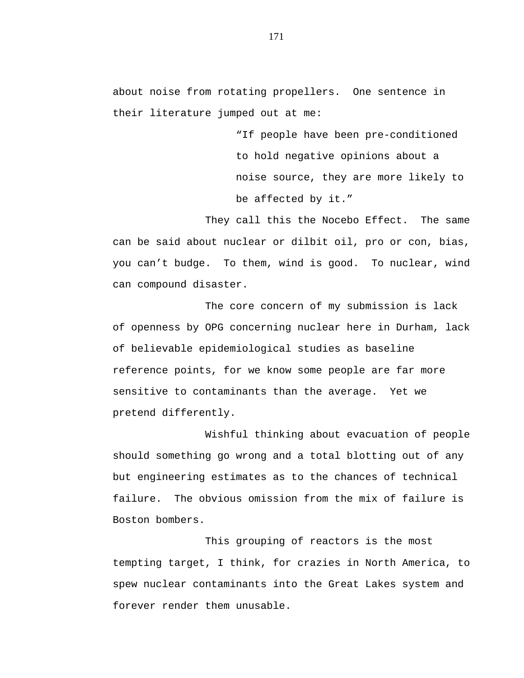about noise from rotating propellers. One sentence in their literature jumped out at me:

> "If people have been pre-conditioned to hold negative opinions about a noise source, they are more likely to be affected by it."

They call this the Nocebo Effect. The same can be said about nuclear or dilbit oil, pro or con, bias, you can't budge. To them, wind is good. To nuclear, wind can compound disaster.

The core concern of my submission is lack of openness by OPG concerning nuclear here in Durham, lack of believable epidemiological studies as baseline reference points, for we know some people are far more sensitive to contaminants than the average. Yet we pretend differently.

Wishful thinking about evacuation of people should something go wrong and a total blotting out of any but engineering estimates as to the chances of technical failure. The obvious omission from the mix of failure is Boston bombers.

This grouping of reactors is the most tempting target, I think, for crazies in North America, to spew nuclear contaminants into the Great Lakes system and forever render them unusable.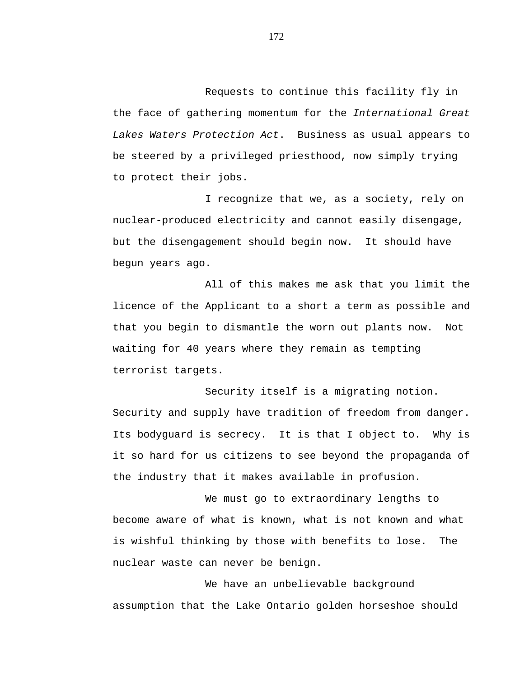Requests to continue this facility fly in the face of gathering momentum for the *International Great Lakes Waters Protection Act*. Business as usual appears to be steered by a privileged priesthood, now simply trying to protect their jobs.

I recognize that we, as a society, rely on nuclear-produced electricity and cannot easily disengage, but the disengagement should begin now. It should have begun years ago.

All of this makes me ask that you limit the licence of the Applicant to a short a term as possible and that you begin to dismantle the worn out plants now. Not waiting for 40 years where they remain as tempting terrorist targets.

Security itself is a migrating notion. Security and supply have tradition of freedom from danger. Its bodyguard is secrecy. It is that I object to. Why is it so hard for us citizens to see beyond the propaganda of the industry that it makes available in profusion.

We must go to extraordinary lengths to become aware of what is known, what is not known and what is wishful thinking by those with benefits to lose. The nuclear waste can never be benign.

We have an unbelievable background assumption that the Lake Ontario golden horseshoe should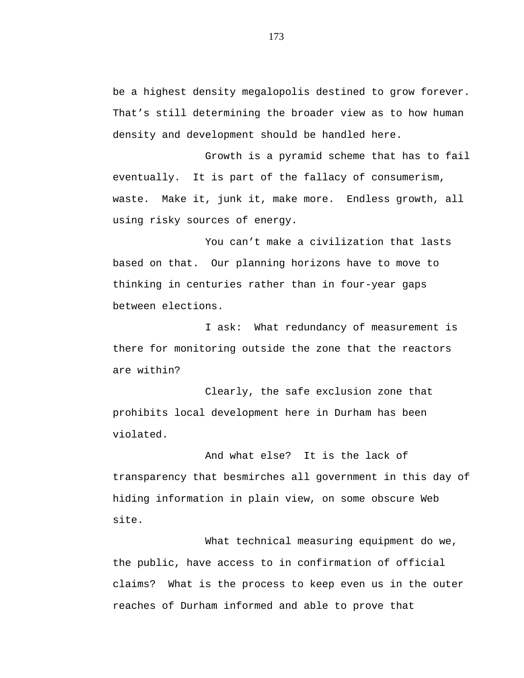be a highest density megalopolis destined to grow forever. That's still determining the broader view as to how human density and development should be handled here.

Growth is a pyramid scheme that has to fail eventually. It is part of the fallacy of consumerism, waste. Make it, junk it, make more. Endless growth, all using risky sources of energy.

You can't make a civilization that lasts based on that. Our planning horizons have to move to thinking in centuries rather than in four-year gaps between elections.

I ask: What redundancy of measurement is there for monitoring outside the zone that the reactors are within?

Clearly, the safe exclusion zone that prohibits local development here in Durham has been violated.

And what else? It is the lack of transparency that besmirches all government in this day of hiding information in plain view, on some obscure Web site.

What technical measuring equipment do we, the public, have access to in confirmation of official claims? What is the process to keep even us in the outer reaches of Durham informed and able to prove that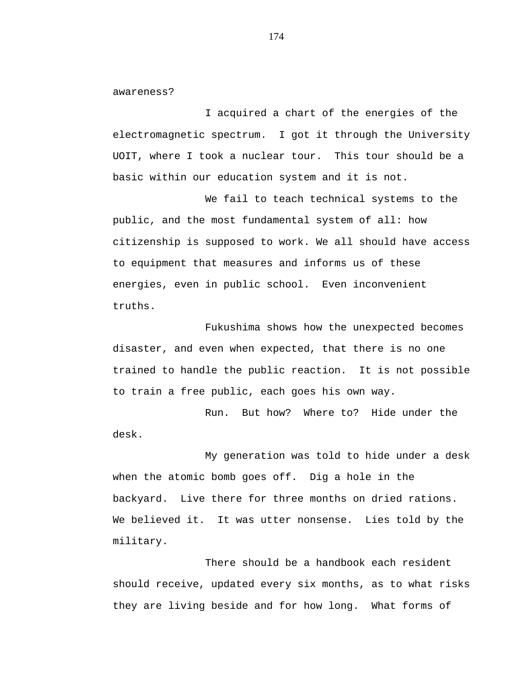awareness?

I acquired a chart of the energies of the electromagnetic spectrum. I got it through the University UOIT, where I took a nuclear tour. This tour should be a basic within our education system and it is not.

We fail to teach technical systems to the public, and the most fundamental system of all: how citizenship is supposed to work. We all should have access to equipment that measures and informs us of these energies, even in public school. Even inconvenient truths.

Fukushima shows how the unexpected becomes disaster, and even when expected, that there is no one trained to handle the public reaction. It is not possible to train a free public, each goes his own way.

Run. But how? Where to? Hide under the desk.

My generation was told to hide under a desk when the atomic bomb goes off. Dig a hole in the backyard. Live there for three months on dried rations. We believed it. It was utter nonsense. Lies told by the military.

There should be a handbook each resident should receive, updated every six months, as to what risks they are living beside and for how long. What forms of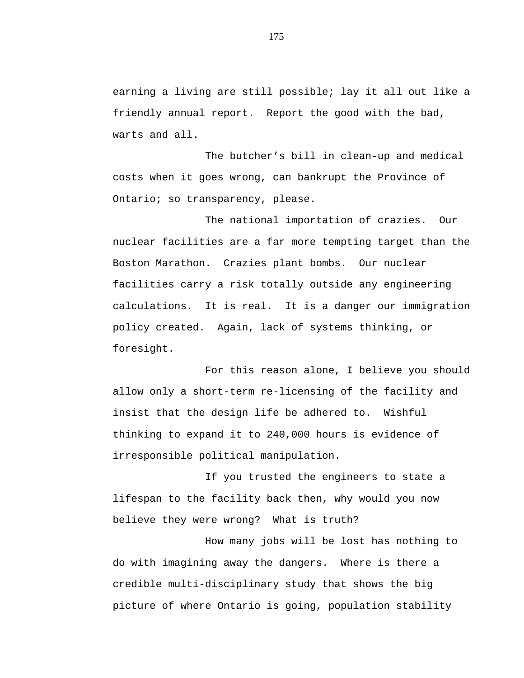earning a living are still possible; lay it all out like a friendly annual report. Report the good with the bad, warts and all.

The butcher's bill in clean-up and medical costs when it goes wrong, can bankrupt the Province of Ontario; so transparency, please.

The national importation of crazies. Our nuclear facilities are a far more tempting target than the Boston Marathon. Crazies plant bombs. Our nuclear facilities carry a risk totally outside any engineering calculations. It is real. It is a danger our immigration policy created. Again, lack of systems thinking, or foresight.

For this reason alone, I believe you should allow only a short-term re-licensing of the facility and insist that the design life be adhered to. Wishful thinking to expand it to 240,000 hours is evidence of irresponsible political manipulation.

If you trusted the engineers to state a lifespan to the facility back then, why would you now believe they were wrong? What is truth?

How many jobs will be lost has nothing to do with imagining away the dangers. Where is there a credible multi-disciplinary study that shows the big picture of where Ontario is going, population stability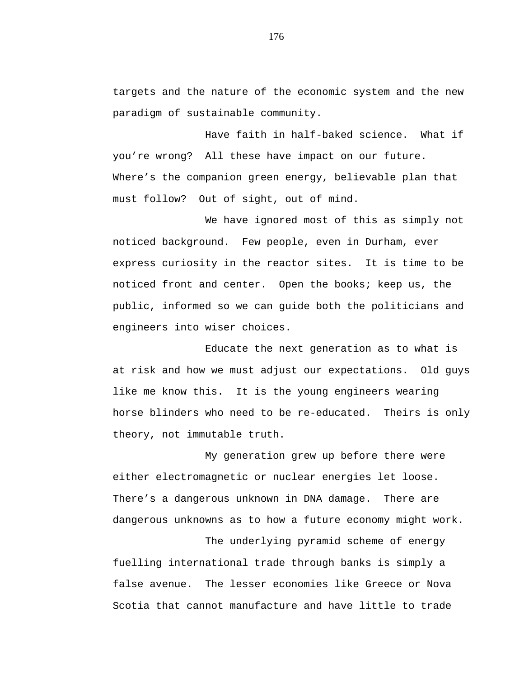targets and the nature of the economic system and the new paradigm of sustainable community.

Have faith in half-baked science. What if you're wrong? All these have impact on our future. Where's the companion green energy, believable plan that must follow? Out of sight, out of mind.

We have ignored most of this as simply not noticed background. Few people, even in Durham, ever express curiosity in the reactor sites. It is time to be noticed front and center. Open the books; keep us, the public, informed so we can guide both the politicians and engineers into wiser choices.

Educate the next generation as to what is at risk and how we must adjust our expectations. Old guys like me know this. It is the young engineers wearing horse blinders who need to be re-educated. Theirs is only theory, not immutable truth.

My generation grew up before there were either electromagnetic or nuclear energies let loose. There's a dangerous unknown in DNA damage. There are dangerous unknowns as to how a future economy might work.

The underlying pyramid scheme of energy fuelling international trade through banks is simply a false avenue. The lesser economies like Greece or Nova Scotia that cannot manufacture and have little to trade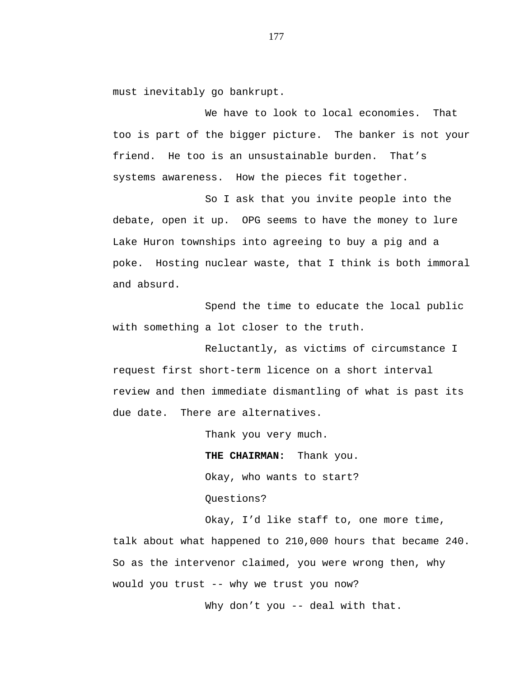must inevitably go bankrupt.

We have to look to local economies. That too is part of the bigger picture. The banker is not your friend. He too is an unsustainable burden. That's systems awareness. How the pieces fit together.

So I ask that you invite people into the debate, open it up. OPG seems to have the money to lure Lake Huron townships into agreeing to buy a pig and a poke. Hosting nuclear waste, that I think is both immoral and absurd.

Spend the time to educate the local public with something a lot closer to the truth.

Reluctantly, as victims of circumstance I request first short-term licence on a short interval review and then immediate dismantling of what is past its due date. There are alternatives.

> **THE CHAIRMAN:** Thank you. Okay, who wants to start? Questions?

Thank you very much.

Okay, I'd like staff to, one more time, talk about what happened to 210,000 hours that became 240. So as the intervenor claimed, you were wrong then, why would you trust -- why we trust you now?

Why don't you -- deal with that.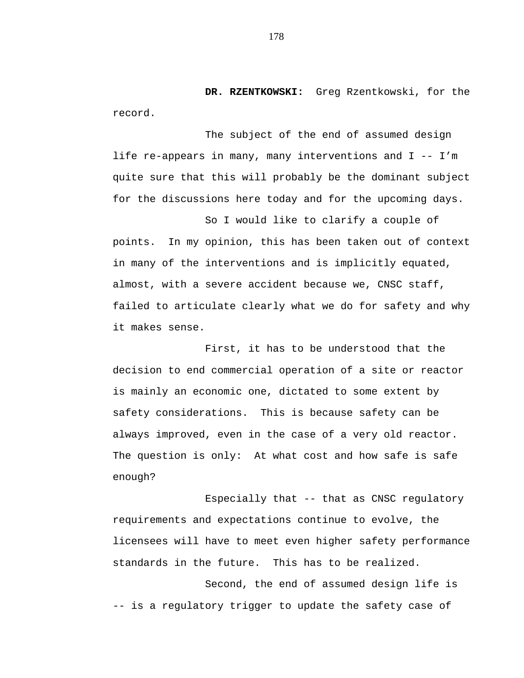**DR. RZENTKOWSKI:** Greg Rzentkowski, for the record.

The subject of the end of assumed design life re-appears in many, many interventions and  $I - - I'm$ quite sure that this will probably be the dominant subject for the discussions here today and for the upcoming days.

So I would like to clarify a couple of points. In my opinion, this has been taken out of context in many of the interventions and is implicitly equated, almost, with a severe accident because we, CNSC staff, failed to articulate clearly what we do for safety and why it makes sense.

First, it has to be understood that the decision to end commercial operation of a site or reactor is mainly an economic one, dictated to some extent by safety considerations. This is because safety can be always improved, even in the case of a very old reactor. The question is only: At what cost and how safe is safe enough?

Especially that -- that as CNSC regulatory requirements and expectations continue to evolve, the licensees will have to meet even higher safety performance standards in the future. This has to be realized. Second, the end of assumed design life is -- is a regulatory trigger to update the safety case of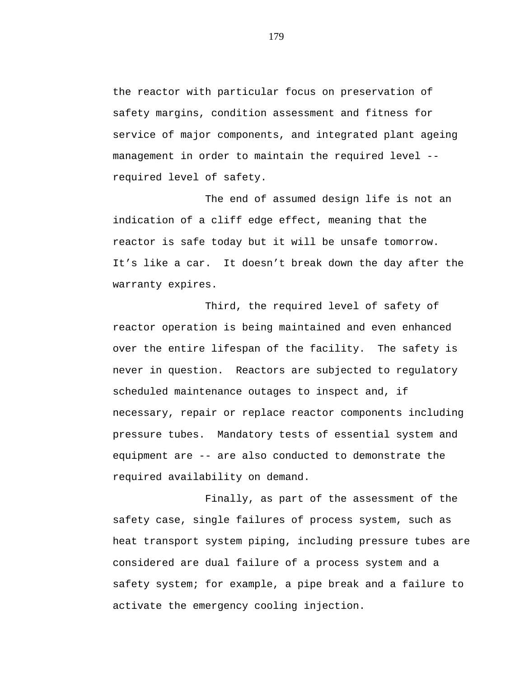the reactor with particular focus on preservation of safety margins, condition assessment and fitness for service of major components, and integrated plant ageing management in order to maintain the required level - required level of safety.

The end of assumed design life is not an indication of a cliff edge effect, meaning that the reactor is safe today but it will be unsafe tomorrow. It's like a car. It doesn't break down the day after the warranty expires.

Third, the required level of safety of reactor operation is being maintained and even enhanced over the entire lifespan of the facility. The safety is never in question. Reactors are subjected to regulatory scheduled maintenance outages to inspect and, if necessary, repair or replace reactor components including pressure tubes. Mandatory tests of essential system and equipment are -- are also conducted to demonstrate the required availability on demand.

Finally, as part of the assessment of the safety case, single failures of process system, such as heat transport system piping, including pressure tubes are considered are dual failure of a process system and a safety system; for example, a pipe break and a failure to activate the emergency cooling injection.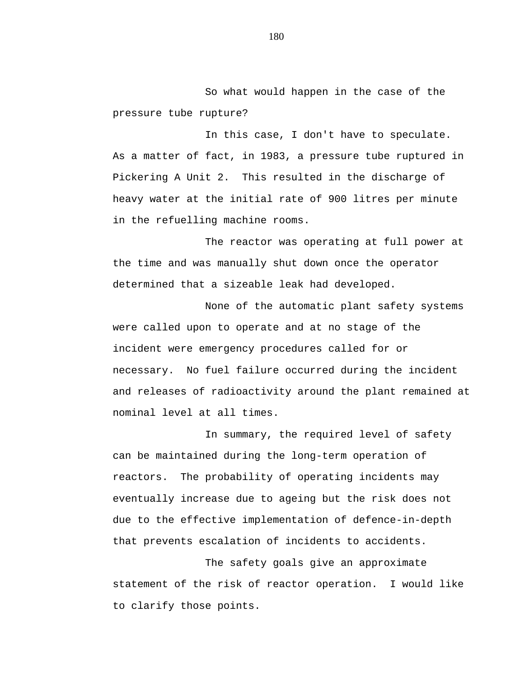So what would happen in the case of the pressure tube rupture?

In this case, I don't have to speculate. As a matter of fact, in 1983, a pressure tube ruptured in Pickering A Unit 2. This resulted in the discharge of heavy water at the initial rate of 900 litres per minute in the refuelling machine rooms.

The reactor was operating at full power at the time and was manually shut down once the operator determined that a sizeable leak had developed.

None of the automatic plant safety systems were called upon to operate and at no stage of the incident were emergency procedures called for or necessary. No fuel failure occurred during the incident and releases of radioactivity around the plant remained at nominal level at all times.

In summary, the required level of safety can be maintained during the long-term operation of reactors. The probability of operating incidents may eventually increase due to ageing but the risk does not due to the effective implementation of defence-in-depth that prevents escalation of incidents to accidents.

The safety goals give an approximate statement of the risk of reactor operation. I would like to clarify those points.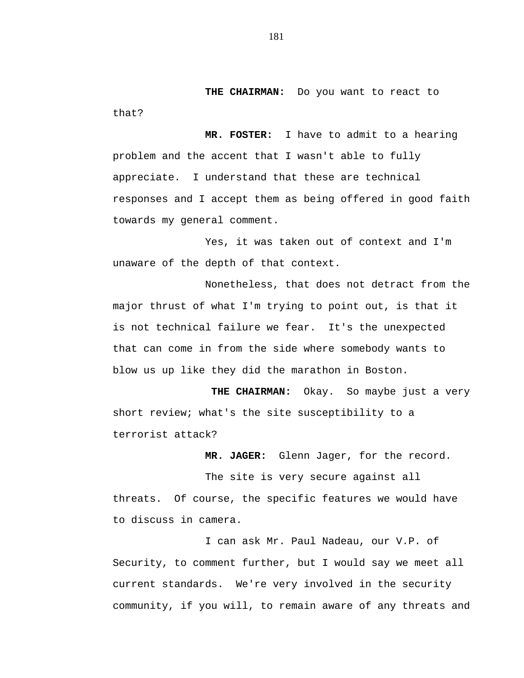**THE CHAIRMAN:** Do you want to react to that?

**MR. FOSTER:** I have to admit to a hearing problem and the accent that I wasn't able to fully appreciate. I understand that these are technical responses and I accept them as being offered in good faith towards my general comment.

Yes, it was taken out of context and I'm unaware of the depth of that context.

Nonetheless, that does not detract from the major thrust of what I'm trying to point out, is that it is not technical failure we fear. It's the unexpected that can come in from the side where somebody wants to blow us up like they did the marathon in Boston.

THE CHAIRMAN: Okay. So maybe just a very short review; what's the site susceptibility to a terrorist attack?

**MR. JAGER:** Glenn Jager, for the record.

The site is very secure against all threats. Of course, the specific features we would have to discuss in camera.

I can ask Mr. Paul Nadeau, our V.P. of Security, to comment further, but I would say we meet all current standards. We're very involved in the security community, if you will, to remain aware of any threats and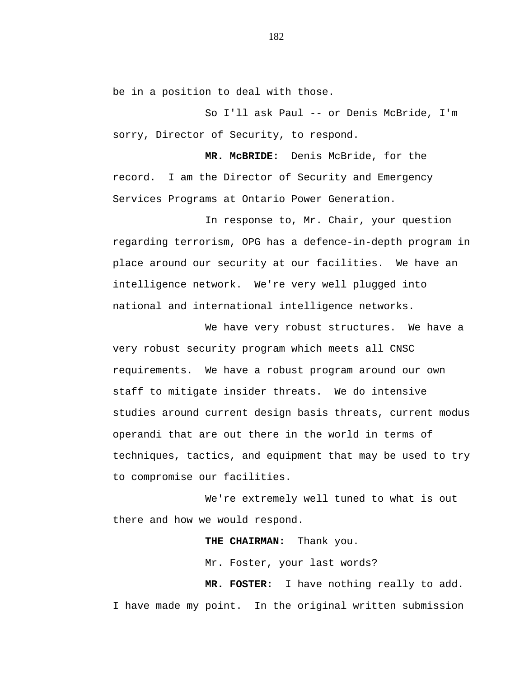be in a position to deal with those.

So I'll ask Paul -- or Denis McBride, I'm sorry, Director of Security, to respond.

**MR. McBRIDE:** Denis McBride, for the record. I am the Director of Security and Emergency Services Programs at Ontario Power Generation.

In response to, Mr. Chair, your question regarding terrorism, OPG has a defence-in-depth program in place around our security at our facilities. We have an intelligence network. We're very well plugged into national and international intelligence networks.

We have very robust structures. We have a very robust security program which meets all CNSC requirements. We have a robust program around our own staff to mitigate insider threats. We do intensive studies around current design basis threats, current modus operandi that are out there in the world in terms of techniques, tactics, and equipment that may be used to try to compromise our facilities.

We're extremely well tuned to what is out there and how we would respond.

**THE CHAIRMAN:** Thank you.

Mr. Foster, your last words?

**MR. FOSTER:** I have nothing really to add. I have made my point. In the original written submission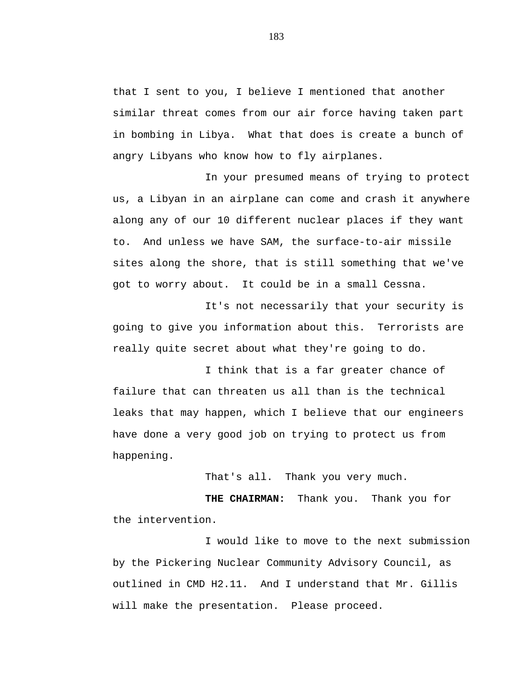that I sent to you, I believe I mentioned that another similar threat comes from our air force having taken part in bombing in Libya. What that does is create a bunch of angry Libyans who know how to fly airplanes.

In your presumed means of trying to protect us, a Libyan in an airplane can come and crash it anywhere along any of our 10 different nuclear places if they want to. And unless we have SAM, the surface-to-air missile sites along the shore, that is still something that we've got to worry about. It could be in a small Cessna.

It's not necessarily that your security is going to give you information about this. Terrorists are really quite secret about what they're going to do.

I think that is a far greater chance of failure that can threaten us all than is the technical leaks that may happen, which I believe that our engineers have done a very good job on trying to protect us from happening.

That's all. Thank you very much.

**THE CHAIRMAN:** Thank you. Thank you for the intervention.

I would like to move to the next submission by the Pickering Nuclear Community Advisory Council, as outlined in CMD H2.11. And I understand that Mr. Gillis will make the presentation. Please proceed.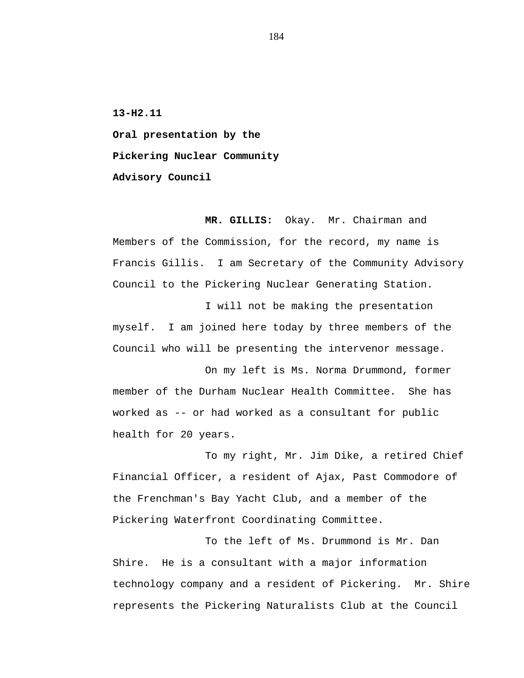**13-H2.11**

**Oral presentation by the Pickering Nuclear Community Advisory Council**

**MR. GILLIS:** Okay. Mr. Chairman and Members of the Commission, for the record, my name is Francis Gillis. I am Secretary of the Community Advisory Council to the Pickering Nuclear Generating Station.

I will not be making the presentation myself. I am joined here today by three members of the Council who will be presenting the intervenor message.

On my left is Ms. Norma Drummond, former member of the Durham Nuclear Health Committee. She has worked as -- or had worked as a consultant for public health for 20 years.

To my right, Mr. Jim Dike, a retired Chief Financial Officer, a resident of Ajax, Past Commodore of the Frenchman's Bay Yacht Club, and a member of the Pickering Waterfront Coordinating Committee.

To the left of Ms. Drummond is Mr. Dan Shire. He is a consultant with a major information technology company and a resident of Pickering. Mr. Shire represents the Pickering Naturalists Club at the Council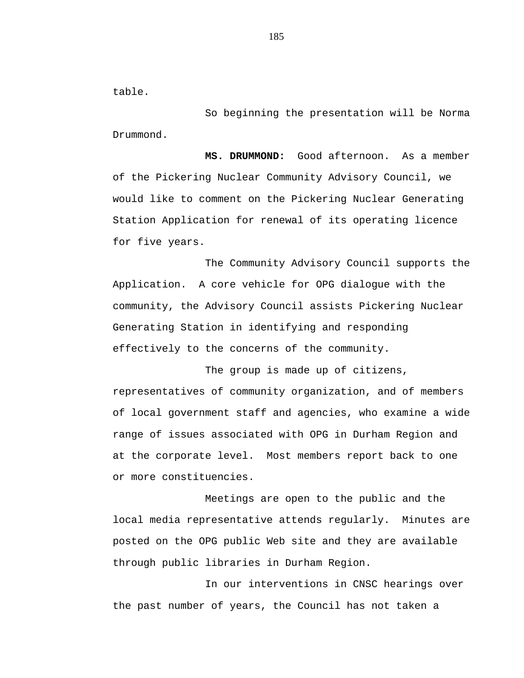table.

So beginning the presentation will be Norma Drummond.

**MS. DRUMMOND:** Good afternoon. As a member of the Pickering Nuclear Community Advisory Council, we would like to comment on the Pickering Nuclear Generating Station Application for renewal of its operating licence for five years.

The Community Advisory Council supports the Application. A core vehicle for OPG dialogue with the community, the Advisory Council assists Pickering Nuclear Generating Station in identifying and responding effectively to the concerns of the community.

The group is made up of citizens, representatives of community organization, and of members of local government staff and agencies, who examine a wide range of issues associated with OPG in Durham Region and at the corporate level. Most members report back to one or more constituencies.

Meetings are open to the public and the local media representative attends regularly. Minutes are posted on the OPG public Web site and they are available through public libraries in Durham Region.

In our interventions in CNSC hearings over the past number of years, the Council has not taken a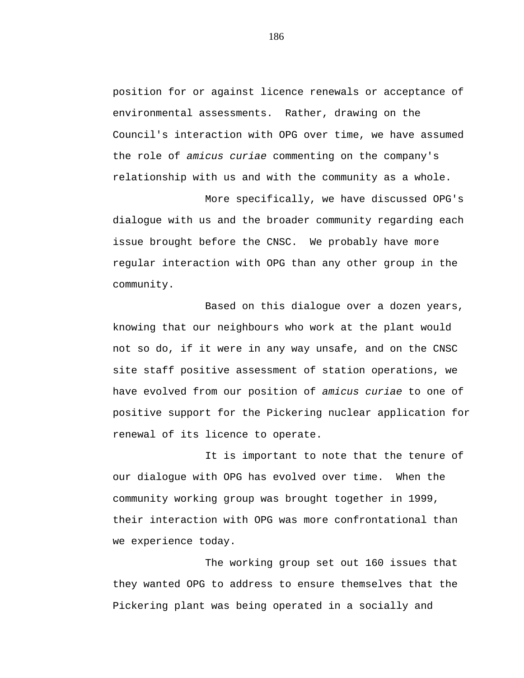position for or against licence renewals or acceptance of environmental assessments. Rather, drawing on the Council's interaction with OPG over time, we have assumed the role of *amicus curiae* commenting on the company's relationship with us and with the community as a whole.

More specifically, we have discussed OPG's dialogue with us and the broader community regarding each issue brought before the CNSC. We probably have more regular interaction with OPG than any other group in the community.

Based on this dialogue over a dozen years, knowing that our neighbours who work at the plant would not so do, if it were in any way unsafe, and on the CNSC site staff positive assessment of station operations, we have evolved from our position of *amicus curiae* to one of positive support for the Pickering nuclear application for renewal of its licence to operate.

It is important to note that the tenure of our dialogue with OPG has evolved over time. When the community working group was brought together in 1999, their interaction with OPG was more confrontational than we experience today.

The working group set out 160 issues that they wanted OPG to address to ensure themselves that the Pickering plant was being operated in a socially and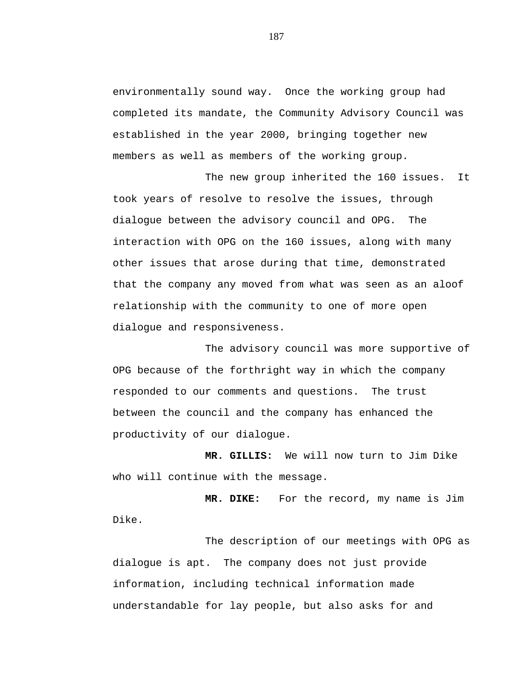environmentally sound way. Once the working group had completed its mandate, the Community Advisory Council was established in the year 2000, bringing together new members as well as members of the working group.

The new group inherited the 160 issues. It took years of resolve to resolve the issues, through dialogue between the advisory council and OPG. The interaction with OPG on the 160 issues, along with many other issues that arose during that time, demonstrated that the company any moved from what was seen as an aloof relationship with the community to one of more open dialogue and responsiveness.

The advisory council was more supportive of OPG because of the forthright way in which the company responded to our comments and questions. The trust between the council and the company has enhanced the productivity of our dialogue.

**MR. GILLIS:** We will now turn to Jim Dike who will continue with the message.

**MR. DIKE:** For the record, my name is Jim Dike.

The description of our meetings with OPG as dialogue is apt. The company does not just provide information, including technical information made understandable for lay people, but also asks for and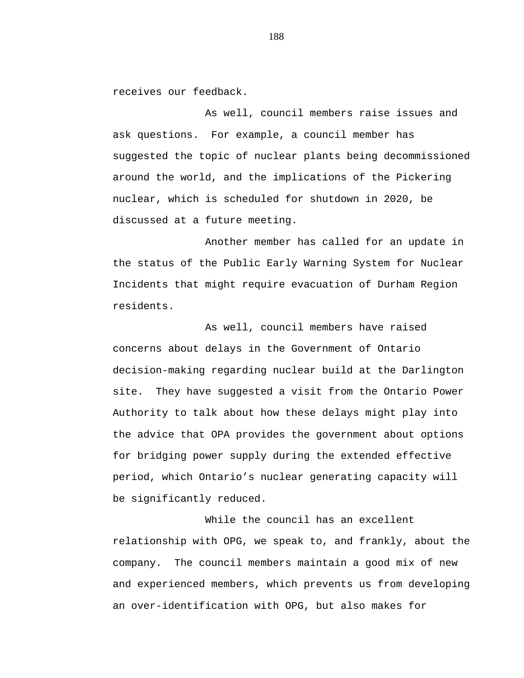receives our feedback.

As well, council members raise issues and ask questions. For example, a council member has suggested the topic of nuclear plants being decommissioned around the world, and the implications of the Pickering nuclear, which is scheduled for shutdown in 2020, be discussed at a future meeting.

Another member has called for an update in the status of the Public Early Warning System for Nuclear Incidents that might require evacuation of Durham Region residents.

As well, council members have raised concerns about delays in the Government of Ontario decision-making regarding nuclear build at the Darlington site. They have suggested a visit from the Ontario Power Authority to talk about how these delays might play into the advice that OPA provides the government about options for bridging power supply during the extended effective period, which Ontario's nuclear generating capacity will be significantly reduced.

While the council has an excellent relationship with OPG, we speak to, and frankly, about the company. The council members maintain a good mix of new and experienced members, which prevents us from developing an over-identification with OPG, but also makes for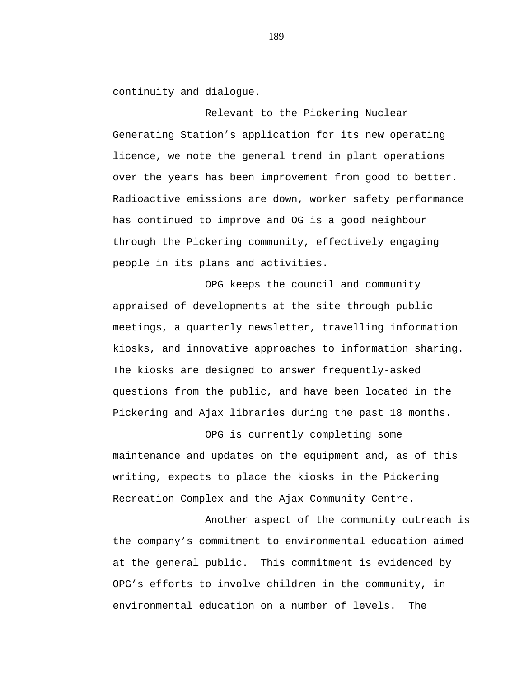continuity and dialogue.

Relevant to the Pickering Nuclear Generating Station's application for its new operating licence, we note the general trend in plant operations over the years has been improvement from good to better. Radioactive emissions are down, worker safety performance has continued to improve and OG is a good neighbour through the Pickering community, effectively engaging people in its plans and activities.

OPG keeps the council and community appraised of developments at the site through public meetings, a quarterly newsletter, travelling information kiosks, and innovative approaches to information sharing. The kiosks are designed to answer frequently-asked questions from the public, and have been located in the Pickering and Ajax libraries during the past 18 months.

OPG is currently completing some maintenance and updates on the equipment and, as of this writing, expects to place the kiosks in the Pickering Recreation Complex and the Ajax Community Centre.

Another aspect of the community outreach is the company's commitment to environmental education aimed at the general public. This commitment is evidenced by OPG's efforts to involve children in the community, in environmental education on a number of levels. The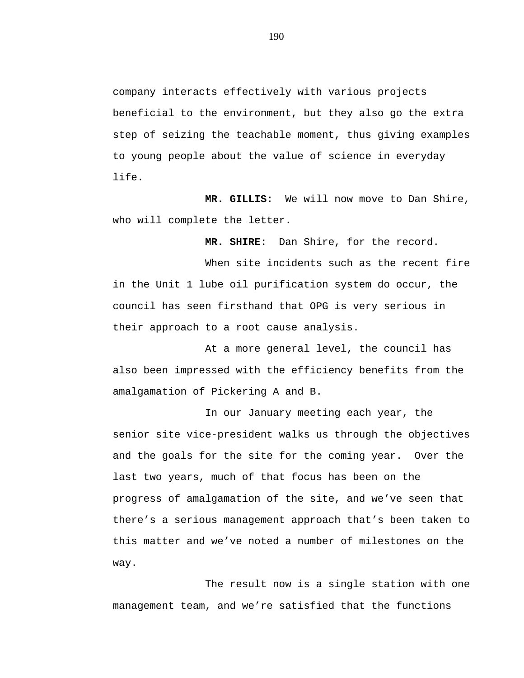company interacts effectively with various projects beneficial to the environment, but they also go the extra step of seizing the teachable moment, thus giving examples to young people about the value of science in everyday life.

**MR. GILLIS:** We will now move to Dan Shire, who will complete the letter.

**MR. SHIRE:** Dan Shire, for the record.

When site incidents such as the recent fire in the Unit 1 lube oil purification system do occur, the council has seen firsthand that OPG is very serious in their approach to a root cause analysis.

At a more general level, the council has also been impressed with the efficiency benefits from the amalgamation of Pickering A and B.

In our January meeting each year, the senior site vice-president walks us through the objectives and the goals for the site for the coming year. Over the last two years, much of that focus has been on the progress of amalgamation of the site, and we've seen that there's a serious management approach that's been taken to this matter and we've noted a number of milestones on the way.

The result now is a single station with one management team, and we're satisfied that the functions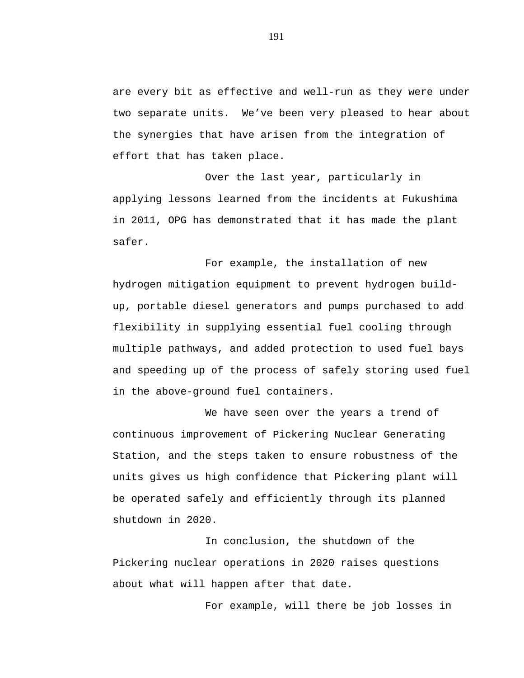are every bit as effective and well-run as they were under two separate units. We've been very pleased to hear about the synergies that have arisen from the integration of effort that has taken place.

Over the last year, particularly in applying lessons learned from the incidents at Fukushima in 2011, OPG has demonstrated that it has made the plant safer.

For example, the installation of new hydrogen mitigation equipment to prevent hydrogen buildup, portable diesel generators and pumps purchased to add flexibility in supplying essential fuel cooling through multiple pathways, and added protection to used fuel bays and speeding up of the process of safely storing used fuel in the above-ground fuel containers.

We have seen over the years a trend of continuous improvement of Pickering Nuclear Generating Station, and the steps taken to ensure robustness of the units gives us high confidence that Pickering plant will be operated safely and efficiently through its planned shutdown in 2020.

In conclusion, the shutdown of the Pickering nuclear operations in 2020 raises questions about what will happen after that date.

For example, will there be job losses in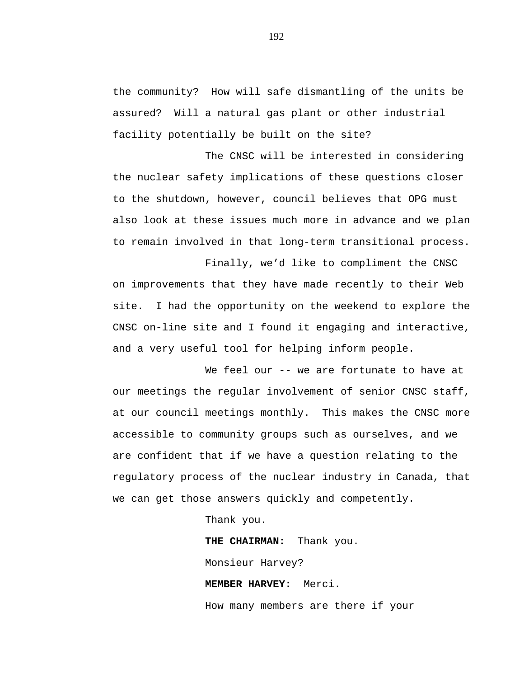the community? How will safe dismantling of the units be assured? Will a natural gas plant or other industrial facility potentially be built on the site?

The CNSC will be interested in considering the nuclear safety implications of these questions closer to the shutdown, however, council believes that OPG must also look at these issues much more in advance and we plan to remain involved in that long-term transitional process.

Finally, we'd like to compliment the CNSC on improvements that they have made recently to their Web site. I had the opportunity on the weekend to explore the CNSC on-line site and I found it engaging and interactive, and a very useful tool for helping inform people.

We feel our -- we are fortunate to have at our meetings the regular involvement of senior CNSC staff, at our council meetings monthly. This makes the CNSC more accessible to community groups such as ourselves, and we are confident that if we have a question relating to the regulatory process of the nuclear industry in Canada, that we can get those answers quickly and competently.

Thank you.

**THE CHAIRMAN:** Thank you. Monsieur Harvey? **MEMBER HARVEY:** Merci. How many members are there if your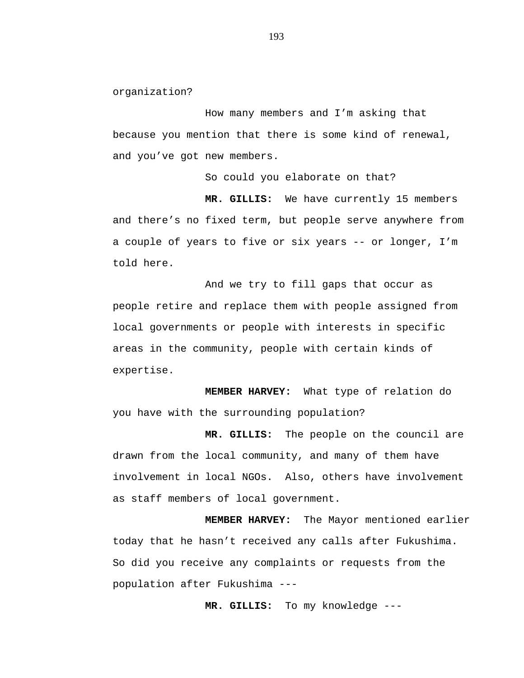organization?

How many members and I'm asking that because you mention that there is some kind of renewal, and you've got new members.

So could you elaborate on that? **MR. GILLIS:** We have currently 15 members and there's no fixed term, but people serve anywhere from a couple of years to five or six years -- or longer, I'm told here.

And we try to fill gaps that occur as people retire and replace them with people assigned from local governments or people with interests in specific areas in the community, people with certain kinds of expertise.

**MEMBER HARVEY:** What type of relation do you have with the surrounding population?

**MR. GILLIS:** The people on the council are drawn from the local community, and many of them have involvement in local NGOs. Also, others have involvement as staff members of local government.

**MEMBER HARVEY:** The Mayor mentioned earlier today that he hasn't received any calls after Fukushima. So did you receive any complaints or requests from the population after Fukushima ---

**MR. GILLIS:** To my knowledge ---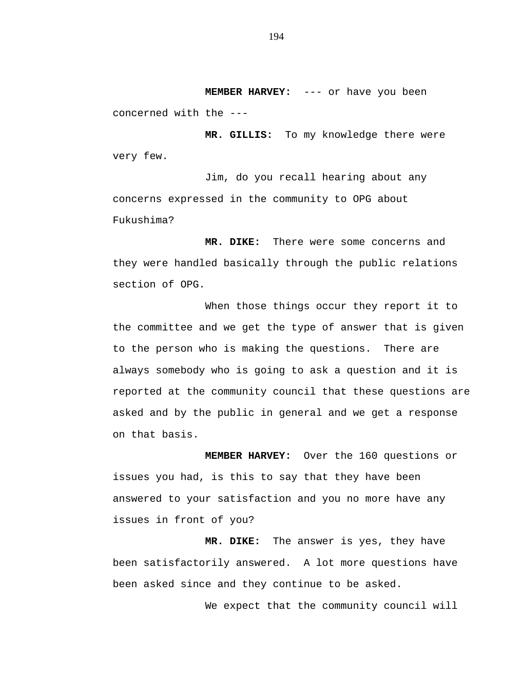**MEMBER HARVEY:** --- or have you been concerned with the ---

**MR. GILLIS:** To my knowledge there were very few.

Jim, do you recall hearing about any concerns expressed in the community to OPG about Fukushima?

**MR. DIKE:** There were some concerns and they were handled basically through the public relations section of OPG.

When those things occur they report it to the committee and we get the type of answer that is given to the person who is making the questions. There are always somebody who is going to ask a question and it is reported at the community council that these questions are asked and by the public in general and we get a response on that basis.

**MEMBER HARVEY:** Over the 160 questions or issues you had, is this to say that they have been answered to your satisfaction and you no more have any issues in front of you?

**MR. DIKE:** The answer is yes, they have been satisfactorily answered. A lot more questions have been asked since and they continue to be asked.

We expect that the community council will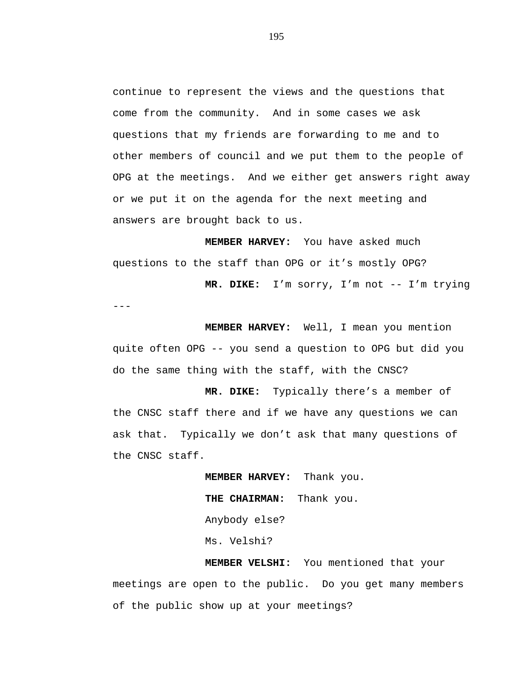continue to represent the views and the questions that come from the community. And in some cases we ask questions that my friends are forwarding to me and to other members of council and we put them to the people of OPG at the meetings. And we either get answers right away or we put it on the agenda for the next meeting and answers are brought back to us.

**MEMBER HARVEY:** You have asked much questions to the staff than OPG or it's mostly OPG?

**MR. DIKE:** I'm sorry, I'm not -- I'm trying

---

**MEMBER HARVEY:** Well, I mean you mention quite often OPG -- you send a question to OPG but did you do the same thing with the staff, with the CNSC?

**MR. DIKE:** Typically there's a member of the CNSC staff there and if we have any questions we can ask that. Typically we don't ask that many questions of the CNSC staff.

> **MEMBER HARVEY:** Thank you. **THE CHAIRMAN:** Thank you. Anybody else? Ms. Velshi?

**MEMBER VELSHI:** You mentioned that your meetings are open to the public. Do you get many members of the public show up at your meetings?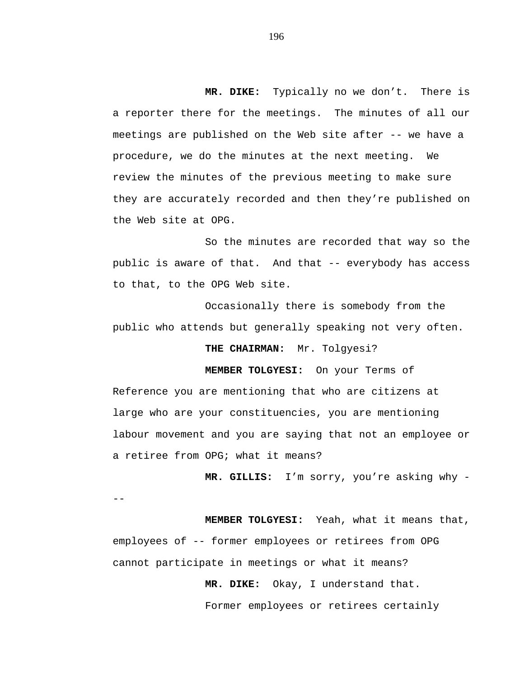**MR. DIKE:** Typically no we don't. There is a reporter there for the meetings. The minutes of all our meetings are published on the Web site after -- we have a procedure, we do the minutes at the next meeting. We review the minutes of the previous meeting to make sure they are accurately recorded and then they're published on the Web site at OPG.

So the minutes are recorded that way so the public is aware of that. And that -- everybody has access to that, to the OPG Web site.

Occasionally there is somebody from the public who attends but generally speaking not very often.

## **THE CHAIRMAN:** Mr. Tolgyesi?

**MEMBER TOLGYESI:** On your Terms of Reference you are mentioning that who are citizens at large who are your constituencies, you are mentioning labour movement and you are saying that not an employee or a retiree from OPG; what it means?

**MR. GILLIS:** I'm sorry, you're asking why -

**MEMBER TOLGYESI:** Yeah, what it means that, employees of -- former employees or retirees from OPG cannot participate in meetings or what it means?

--

**MR. DIKE:** Okay, I understand that.

Former employees or retirees certainly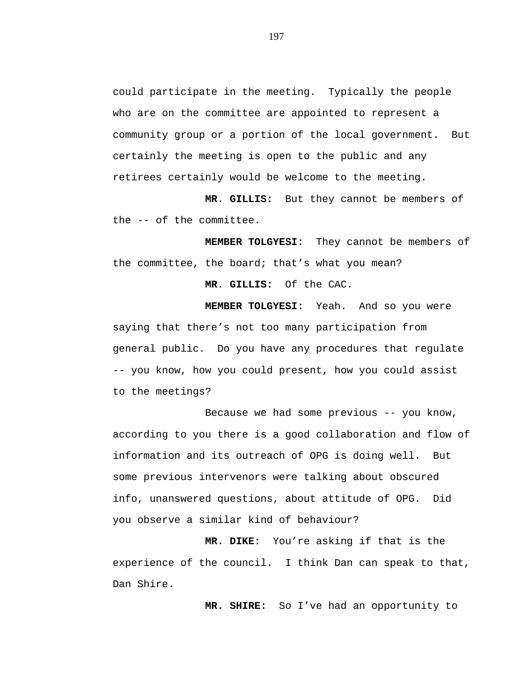could participate in the meeting. Typically the people who are on the committee are appointed to represent a community group or a portion of the local government. But certainly the meeting is open to the public and any retirees certainly would be welcome to the meeting.

**MR. GILLIS:** But they cannot be members of the -- of the committee.

**MEMBER TOLGYESI:** They cannot be members of the committee, the board; that's what you mean?

**MR. GILLIS:** Of the CAC.

**MEMBER TOLGYESI:** Yeah. And so you were saying that there's not too many participation from general public. Do you have any procedures that regulate -- you know, how you could present, how you could assist to the meetings?

Because we had some previous -- you know, according to you there is a good collaboration and flow of information and its outreach of OPG is doing well. But some previous intervenors were talking about obscured info, unanswered questions, about attitude of OPG. Did you observe a similar kind of behaviour?

**MR. DIKE:** You're asking if that is the experience of the council. I think Dan can speak to that, Dan Shire.

**MR. SHIRE:** So I've had an opportunity to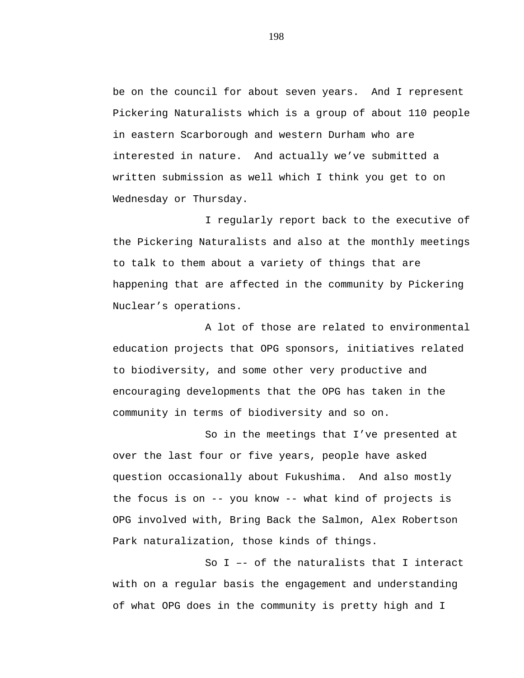be on the council for about seven years. And I represent Pickering Naturalists which is a group of about 110 people in eastern Scarborough and western Durham who are interested in nature. And actually we've submitted a written submission as well which I think you get to on Wednesday or Thursday.

I regularly report back to the executive of the Pickering Naturalists and also at the monthly meetings to talk to them about a variety of things that are happening that are affected in the community by Pickering Nuclear's operations.

A lot of those are related to environmental education projects that OPG sponsors, initiatives related to biodiversity, and some other very productive and encouraging developments that the OPG has taken in the community in terms of biodiversity and so on.

So in the meetings that I've presented at over the last four or five years, people have asked question occasionally about Fukushima. And also mostly the focus is on -- you know -- what kind of projects is OPG involved with, Bring Back the Salmon, Alex Robertson Park naturalization, those kinds of things.

So I –- of the naturalists that I interact with on a regular basis the engagement and understanding of what OPG does in the community is pretty high and I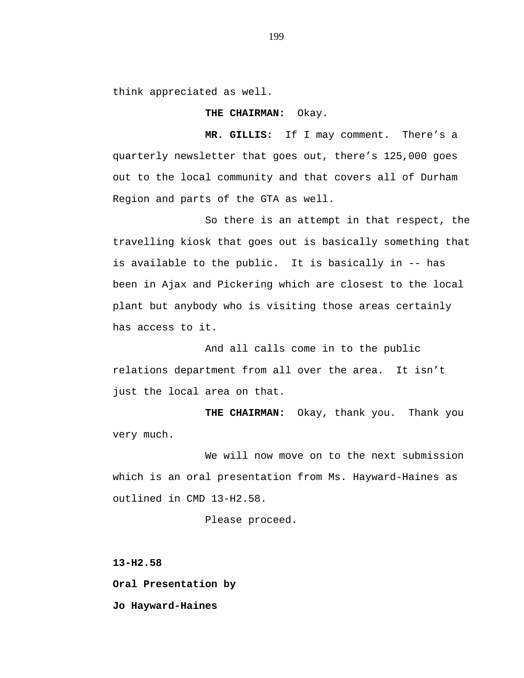think appreciated as well.

## **THE CHAIRMAN:** Okay.

**MR. GILLIS:** If I may comment. There's a quarterly newsletter that goes out, there's 125,000 goes out to the local community and that covers all of Durham Region and parts of the GTA as well.

So there is an attempt in that respect, the travelling kiosk that goes out is basically something that is available to the public. It is basically in -- has been in Ajax and Pickering which are closest to the local plant but anybody who is visiting those areas certainly has access to it.

And all calls come in to the public relations department from all over the area. It isn't just the local area on that.

**THE CHAIRMAN:** Okay, thank you. Thank you very much.

We will now move on to the next submission which is an oral presentation from Ms. Hayward-Haines as outlined in CMD 13-H2.58.

Please proceed.

**13-H2.58**

**Oral Presentation by**

**Jo Hayward-Haines**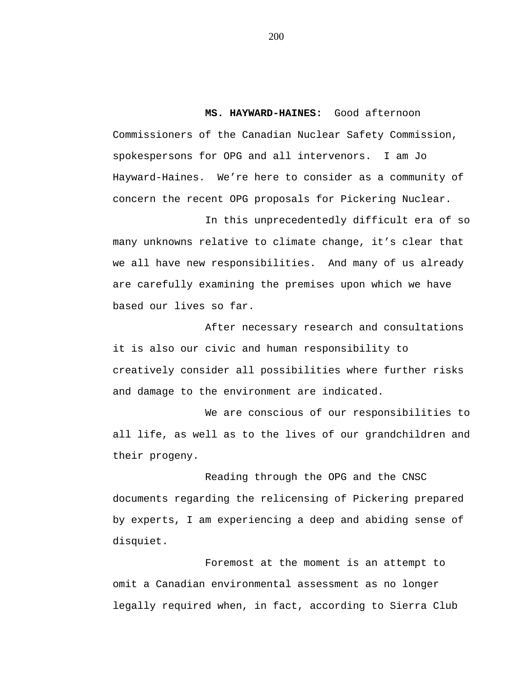**MS. HAYWARD-HAINES:** Good afternoon Commissioners of the Canadian Nuclear Safety Commission, spokespersons for OPG and all intervenors. I am Jo Hayward-Haines. We're here to consider as a community of concern the recent OPG proposals for Pickering Nuclear.

In this unprecedentedly difficult era of so many unknowns relative to climate change, it's clear that we all have new responsibilities. And many of us already are carefully examining the premises upon which we have based our lives so far.

After necessary research and consultations it is also our civic and human responsibility to creatively consider all possibilities where further risks and damage to the environment are indicated.

We are conscious of our responsibilities to all life, as well as to the lives of our grandchildren and their progeny.

Reading through the OPG and the CNSC documents regarding the relicensing of Pickering prepared by experts, I am experiencing a deep and abiding sense of disquiet.

Foremost at the moment is an attempt to omit a Canadian environmental assessment as no longer legally required when, in fact, according to Sierra Club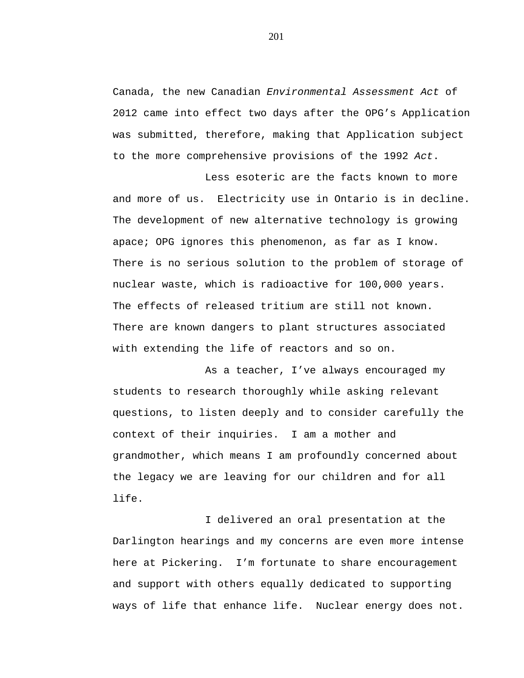Canada, the new Canadian *Environmental Assessment Act* of 2012 came into effect two days after the OPG's Application was submitted, therefore, making that Application subject to the more comprehensive provisions of the 1992 *Act*.

Less esoteric are the facts known to more and more of us. Electricity use in Ontario is in decline. The development of new alternative technology is growing apace; OPG ignores this phenomenon, as far as I know. There is no serious solution to the problem of storage of nuclear waste, which is radioactive for 100,000 years. The effects of released tritium are still not known. There are known dangers to plant structures associated with extending the life of reactors and so on.

As a teacher, I've always encouraged my students to research thoroughly while asking relevant questions, to listen deeply and to consider carefully the context of their inquiries. I am a mother and grandmother, which means I am profoundly concerned about the legacy we are leaving for our children and for all life.

I delivered an oral presentation at the Darlington hearings and my concerns are even more intense here at Pickering. I'm fortunate to share encouragement and support with others equally dedicated to supporting ways of life that enhance life. Nuclear energy does not.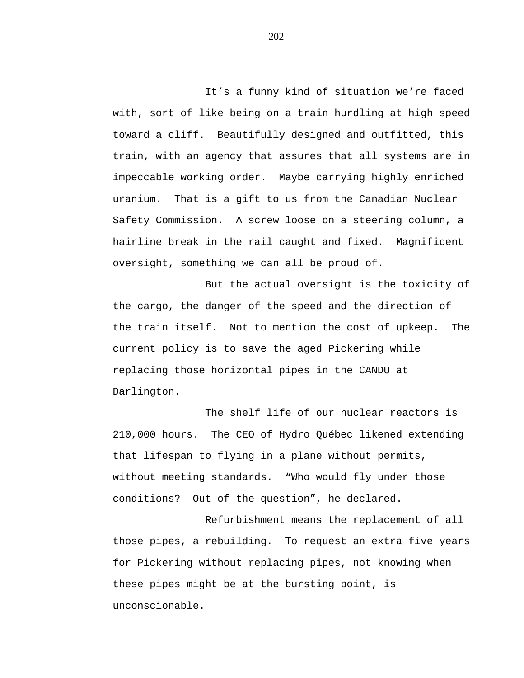It's a funny kind of situation we're faced with, sort of like being on a train hurdling at high speed toward a cliff. Beautifully designed and outfitted, this train, with an agency that assures that all systems are in impeccable working order. Maybe carrying highly enriched uranium. That is a gift to us from the Canadian Nuclear Safety Commission. A screw loose on a steering column, a hairline break in the rail caught and fixed. Magnificent oversight, something we can all be proud of.

But the actual oversight is the toxicity of the cargo, the danger of the speed and the direction of the train itself. Not to mention the cost of upkeep. The current policy is to save the aged Pickering while replacing those horizontal pipes in the CANDU at Darlington.

The shelf life of our nuclear reactors is 210,000 hours. The CEO of Hydro Québec likened extending that lifespan to flying in a plane without permits, without meeting standards. "Who would fly under those conditions? Out of the question", he declared.

Refurbishment means the replacement of all those pipes, a rebuilding. To request an extra five years for Pickering without replacing pipes, not knowing when these pipes might be at the bursting point, is unconscionable.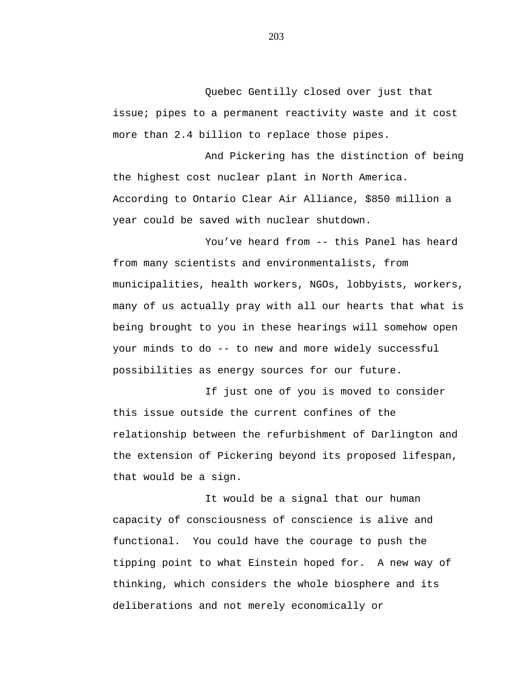Quebec Gentilly closed over just that issue; pipes to a permanent reactivity waste and it cost more than 2.4 billion to replace those pipes.

And Pickering has the distinction of being the highest cost nuclear plant in North America. According to Ontario Clear Air Alliance, \$850 million a year could be saved with nuclear shutdown.

You've heard from -- this Panel has heard from many scientists and environmentalists, from municipalities, health workers, NGOs, lobbyists, workers, many of us actually pray with all our hearts that what is being brought to you in these hearings will somehow open your minds to do -- to new and more widely successful possibilities as energy sources for our future.

If just one of you is moved to consider this issue outside the current confines of the relationship between the refurbishment of Darlington and the extension of Pickering beyond its proposed lifespan, that would be a sign.

It would be a signal that our human capacity of consciousness of conscience is alive and functional. You could have the courage to push the tipping point to what Einstein hoped for. A new way of thinking, which considers the whole biosphere and its deliberations and not merely economically or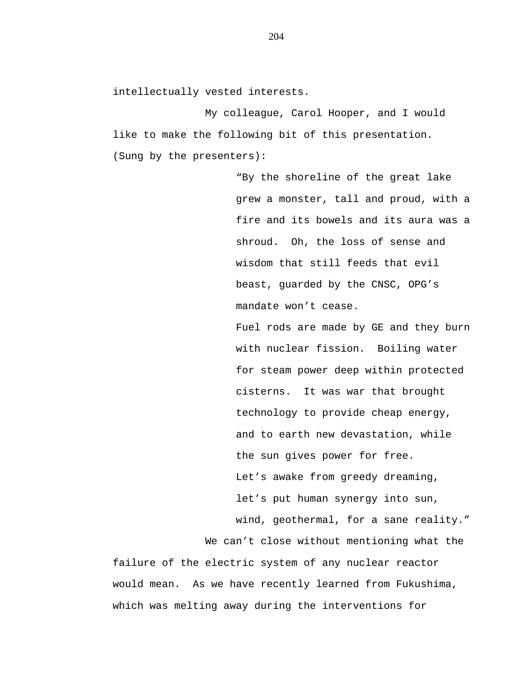intellectually vested interests.

My colleague, Carol Hooper, and I would like to make the following bit of this presentation. (Sung by the presenters):

> "By the shoreline of the great lake grew a monster, tall and proud, with a fire and its bowels and its aura was a shroud. Oh, the loss of sense and wisdom that still feeds that evil beast, guarded by the CNSC, OPG's mandate won't cease.

> Fuel rods are made by GE and they burn with nuclear fission. Boiling water for steam power deep within protected cisterns. It was war that brought technology to provide cheap energy, and to earth new devastation, while the sun gives power for free. Let's awake from greedy dreaming, let's put human synergy into sun, wind, geothermal, for a sane reality."

We can't close without mentioning what the

failure of the electric system of any nuclear reactor would mean. As we have recently learned from Fukushima, which was melting away during the interventions for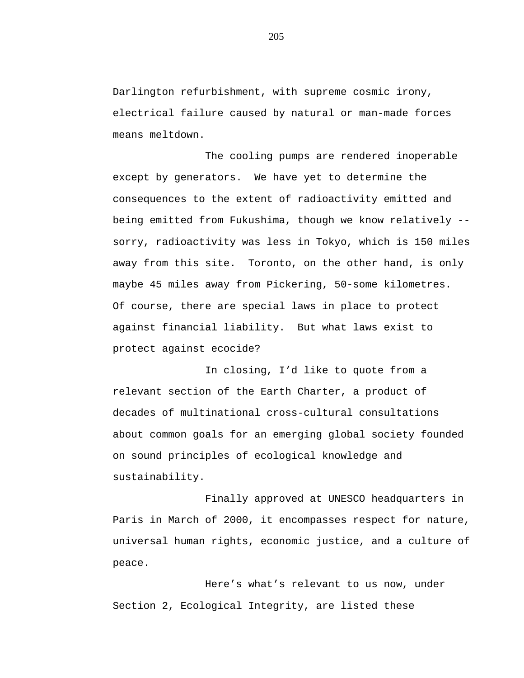Darlington refurbishment, with supreme cosmic irony, electrical failure caused by natural or man-made forces means meltdown.

The cooling pumps are rendered inoperable except by generators. We have yet to determine the consequences to the extent of radioactivity emitted and being emitted from Fukushima, though we know relatively - sorry, radioactivity was less in Tokyo, which is 150 miles away from this site. Toronto, on the other hand, is only maybe 45 miles away from Pickering, 50-some kilometres. Of course, there are special laws in place to protect against financial liability. But what laws exist to protect against ecocide?

In closing, I'd like to quote from a relevant section of the Earth Charter, a product of decades of multinational cross-cultural consultations about common goals for an emerging global society founded on sound principles of ecological knowledge and sustainability.

Finally approved at UNESCO headquarters in Paris in March of 2000, it encompasses respect for nature, universal human rights, economic justice, and a culture of peace.

Here's what's relevant to us now, under Section 2, Ecological Integrity, are listed these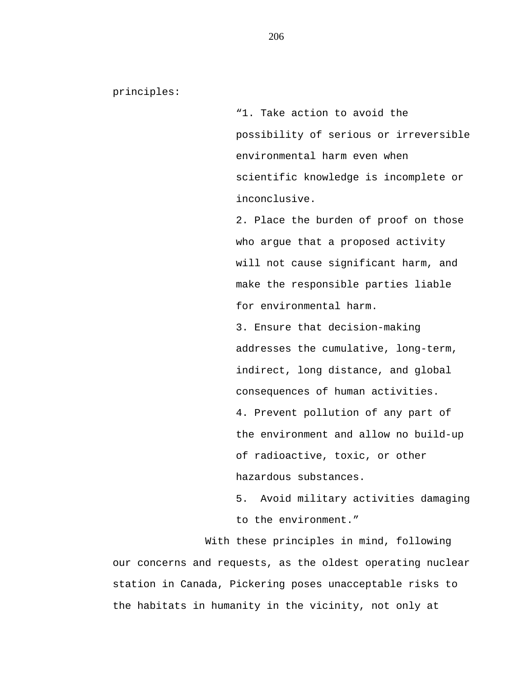principles:

"1. Take action to avoid the possibility of serious or irreversible environmental harm even when scientific knowledge is incomplete or inconclusive.

2. Place the burden of proof on those who argue that a proposed activity will not cause significant harm, and make the responsible parties liable for environmental harm.

3. Ensure that decision-making addresses the cumulative, long-term, indirect, long distance, and global consequences of human activities. 4. Prevent pollution of any part of the environment and allow no build-up of radioactive, toxic, or other hazardous substances.

5. Avoid military activities damaging to the environment."

With these principles in mind, following our concerns and requests, as the oldest operating nuclear station in Canada, Pickering poses unacceptable risks to the habitats in humanity in the vicinity, not only at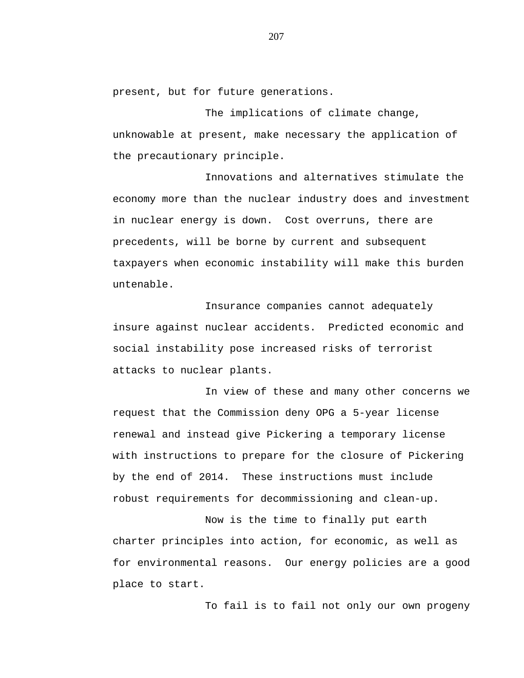present, but for future generations.

The implications of climate change, unknowable at present, make necessary the application of the precautionary principle.

Innovations and alternatives stimulate the economy more than the nuclear industry does and investment in nuclear energy is down. Cost overruns, there are precedents, will be borne by current and subsequent taxpayers when economic instability will make this burden untenable.

Insurance companies cannot adequately insure against nuclear accidents. Predicted economic and social instability pose increased risks of terrorist attacks to nuclear plants.

In view of these and many other concerns we request that the Commission deny OPG a 5-year license renewal and instead give Pickering a temporary license with instructions to prepare for the closure of Pickering by the end of 2014. These instructions must include robust requirements for decommissioning and clean-up.

Now is the time to finally put earth charter principles into action, for economic, as well as for environmental reasons. Our energy policies are a good place to start.

To fail is to fail not only our own progeny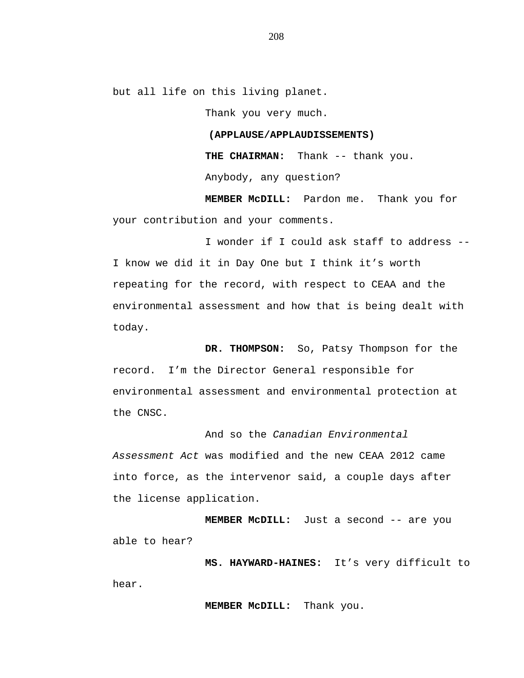but all life on this living planet.

Thank you very much.

#### **(APPLAUSE/APPLAUDISSEMENTS)**

THE CHAIRMAN: Thank -- thank you.

Anybody, any question?

**MEMBER McDILL:** Pardon me. Thank you for your contribution and your comments.

I wonder if I could ask staff to address -- I know we did it in Day One but I think it's worth repeating for the record, with respect to CEAA and the environmental assessment and how that is being dealt with today.

**DR. THOMPSON:** So, Patsy Thompson for the record. I'm the Director General responsible for environmental assessment and environmental protection at the CNSC.

And so the *Canadian Environmental Assessment Act* was modified and the new CEAA 2012 came into force, as the intervenor said, a couple days after the license application.

**MEMBER McDILL:** Just a second -- are you able to hear?

**MS. HAYWARD-HAINES:** It's very difficult to hear.

**MEMBER McDILL:** Thank you.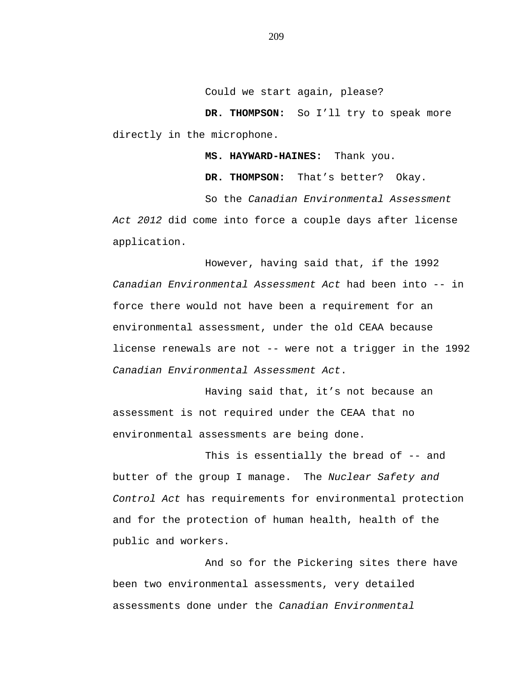Could we start again, please?

**DR. THOMPSON:** So I'll try to speak more directly in the microphone.

**MS. HAYWARD-HAINES:** Thank you.

**DR. THOMPSON:** That's better? Okay.

So the *Canadian Environmental Assessment Act 2012* did come into force a couple days after license application.

However, having said that, if the 1992 *Canadian Environmental Assessment Act* had been into -- in force there would not have been a requirement for an environmental assessment, under the old CEAA because license renewals are not -- were not a trigger in the 1992 *Canadian Environmental Assessment Act*.

Having said that, it's not because an assessment is not required under the CEAA that no environmental assessments are being done.

This is essentially the bread of -- and butter of the group I manage. The *Nuclear Safety and Control Act* has requirements for environmental protection and for the protection of human health, health of the public and workers.

And so for the Pickering sites there have been two environmental assessments, very detailed assessments done under the *Canadian Environmental*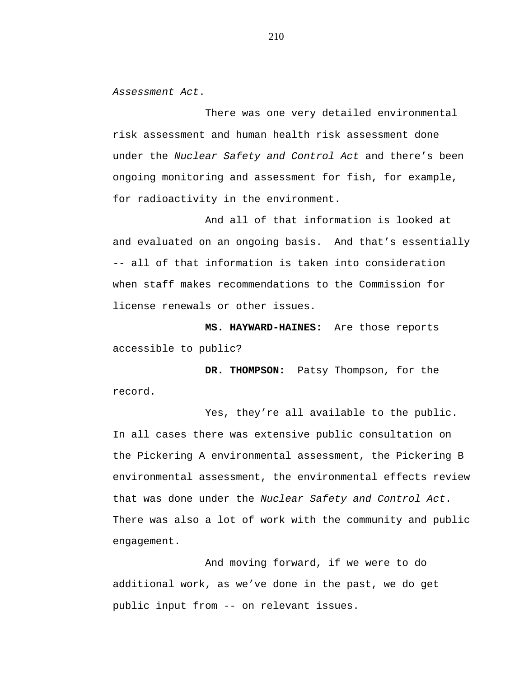*Assessment Act*.

There was one very detailed environmental risk assessment and human health risk assessment done under the *Nuclear Safety and Control Act* and there's been ongoing monitoring and assessment for fish, for example, for radioactivity in the environment.

And all of that information is looked at and evaluated on an ongoing basis. And that's essentially -- all of that information is taken into consideration when staff makes recommendations to the Commission for license renewals or other issues.

**MS. HAYWARD-HAINES:** Are those reports accessible to public?

**DR. THOMPSON:** Patsy Thompson, for the record.

Yes, they're all available to the public. In all cases there was extensive public consultation on the Pickering A environmental assessment, the Pickering B environmental assessment, the environmental effects review that was done under the *Nuclear Safety and Control Act*. There was also a lot of work with the community and public engagement.

And moving forward, if we were to do additional work, as we've done in the past, we do get public input from -- on relevant issues.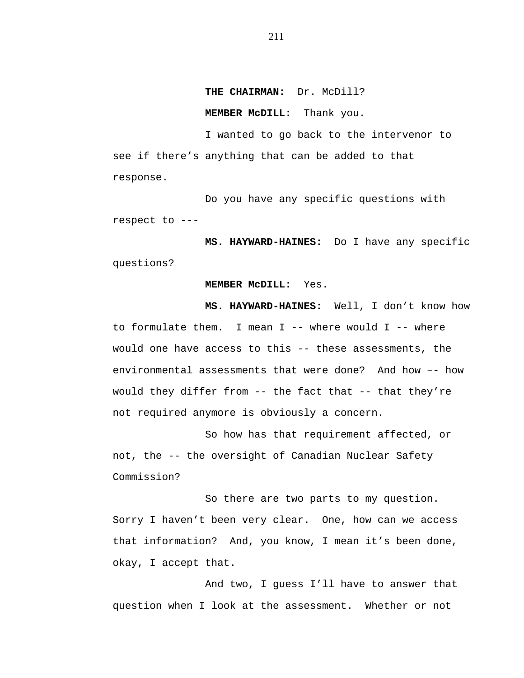### **THE CHAIRMAN:** Dr. McDill?

# **MEMBER McDILL:** Thank you.

I wanted to go back to the intervenor to see if there's anything that can be added to that response.

Do you have any specific questions with respect to ---

**MS. HAYWARD-HAINES:** Do I have any specific questions?

## **MEMBER McDILL:** Yes.

**MS. HAYWARD-HAINES:** Well, I don't know how to formulate them. I mean  $I$  -- where would  $I$  -- where would one have access to this -- these assessments, the environmental assessments that were done? And how –- how would they differ from -- the fact that -- that they're not required anymore is obviously a concern.

So how has that requirement affected, or not, the -- the oversight of Canadian Nuclear Safety Commission?

So there are two parts to my question. Sorry I haven't been very clear. One, how can we access that information? And, you know, I mean it's been done, okay, I accept that.

And two, I guess I'll have to answer that question when I look at the assessment. Whether or not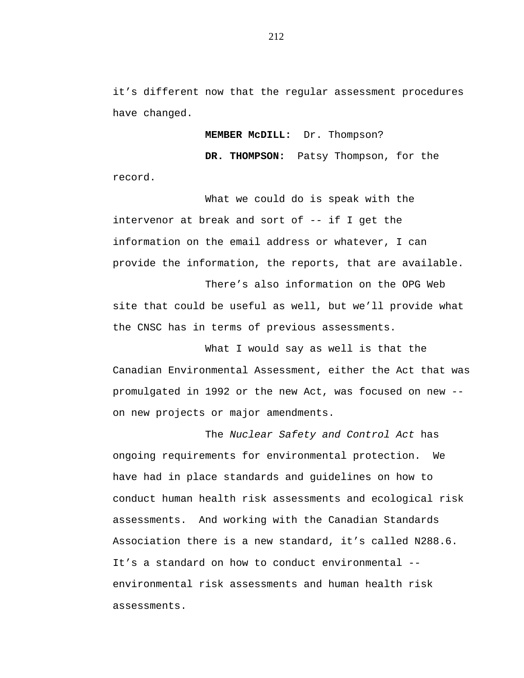it's different now that the regular assessment procedures have changed.

**MEMBER McDILL:** Dr. Thompson?

**DR. THOMPSON:** Patsy Thompson, for the

There's also information on the OPG Web

record.

What we could do is speak with the intervenor at break and sort of -- if I get the information on the email address or whatever, I can provide the information, the reports, that are available.

site that could be useful as well, but we'll provide what the CNSC has in terms of previous assessments.

What I would say as well is that the Canadian Environmental Assessment, either the Act that was promulgated in 1992 or the new Act, was focused on new - on new projects or major amendments.

The *Nuclear Safety and Control Act* has ongoing requirements for environmental protection. We have had in place standards and guidelines on how to conduct human health risk assessments and ecological risk assessments. And working with the Canadian Standards Association there is a new standard, it's called N288.6. It's a standard on how to conduct environmental - environmental risk assessments and human health risk assessments.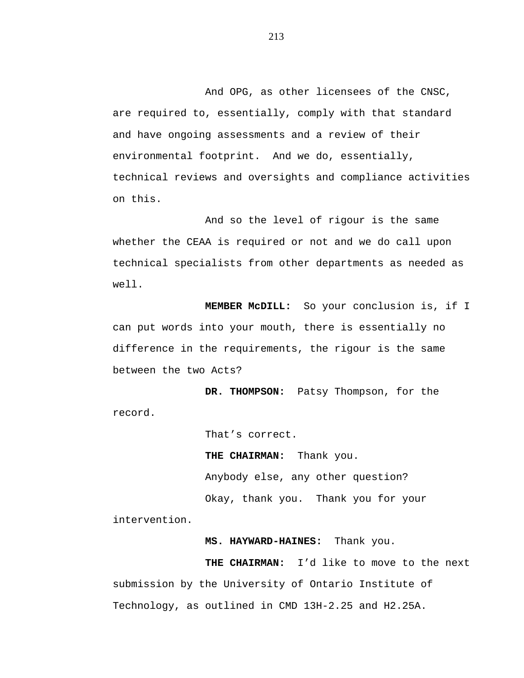And OPG, as other licensees of the CNSC, are required to, essentially, comply with that standard and have ongoing assessments and a review of their environmental footprint. And we do, essentially, technical reviews and oversights and compliance activities on this.

And so the level of rigour is the same whether the CEAA is required or not and we do call upon technical specialists from other departments as needed as well.

**MEMBER McDILL:** So your conclusion is, if I can put words into your mouth, there is essentially no difference in the requirements, the rigour is the same between the two Acts?

**DR. THOMPSON:** Patsy Thompson, for the record.

That's correct. **THE CHAIRMAN:** Thank you. Anybody else, any other question? Okay, thank you. Thank you for your intervention.

**MS. HAYWARD-HAINES:** Thank you.

**THE CHAIRMAN:** I'd like to move to the next submission by the University of Ontario Institute of Technology, as outlined in CMD 13H-2.25 and H2.25A.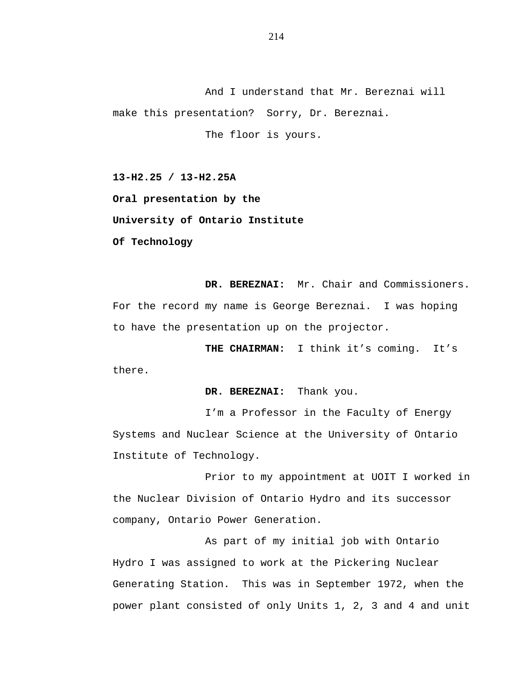And I understand that Mr. Bereznai will make this presentation? Sorry, Dr. Bereznai.

The floor is yours.

**13-H2.25 / 13-H2.25A**

**Oral presentation by the** 

**University of Ontario Institute** 

**Of Technology**

**DR. BEREZNAI:** Mr. Chair and Commissioners. For the record my name is George Bereznai. I was hoping to have the presentation up on the projector.

**THE CHAIRMAN:** I think it's coming. It's there.

**DR. BEREZNAI:** Thank you.

I'm a Professor in the Faculty of Energy Systems and Nuclear Science at the University of Ontario Institute of Technology.

Prior to my appointment at UOIT I worked in the Nuclear Division of Ontario Hydro and its successor company, Ontario Power Generation.

As part of my initial job with Ontario Hydro I was assigned to work at the Pickering Nuclear Generating Station. This was in September 1972, when the power plant consisted of only Units 1, 2, 3 and 4 and unit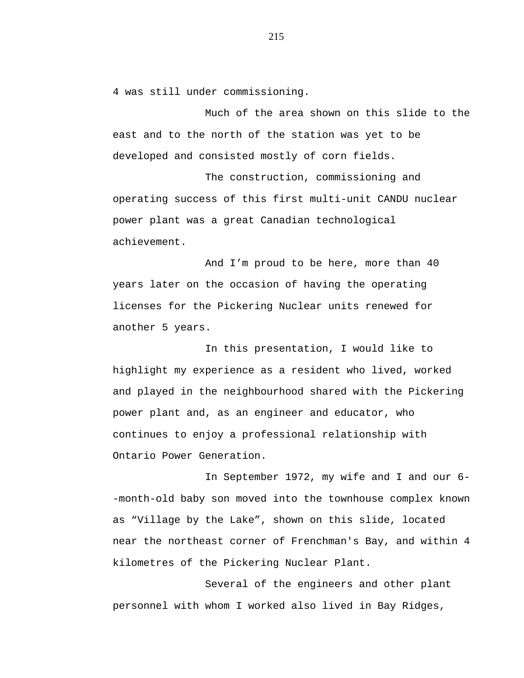4 was still under commissioning.

Much of the area shown on this slide to the east and to the north of the station was yet to be developed and consisted mostly of corn fields.

The construction, commissioning and operating success of this first multi-unit CANDU nuclear power plant was a great Canadian technological achievement.

And I'm proud to be here, more than 40 years later on the occasion of having the operating licenses for the Pickering Nuclear units renewed for another 5 years.

In this presentation, I would like to highlight my experience as a resident who lived, worked and played in the neighbourhood shared with the Pickering power plant and, as an engineer and educator, who continues to enjoy a professional relationship with Ontario Power Generation.

In September 1972, my wife and I and our 6- -month-old baby son moved into the townhouse complex known as "Village by the Lake", shown on this slide, located near the northeast corner of Frenchman's Bay, and within 4 kilometres of the Pickering Nuclear Plant.

Several of the engineers and other plant personnel with whom I worked also lived in Bay Ridges,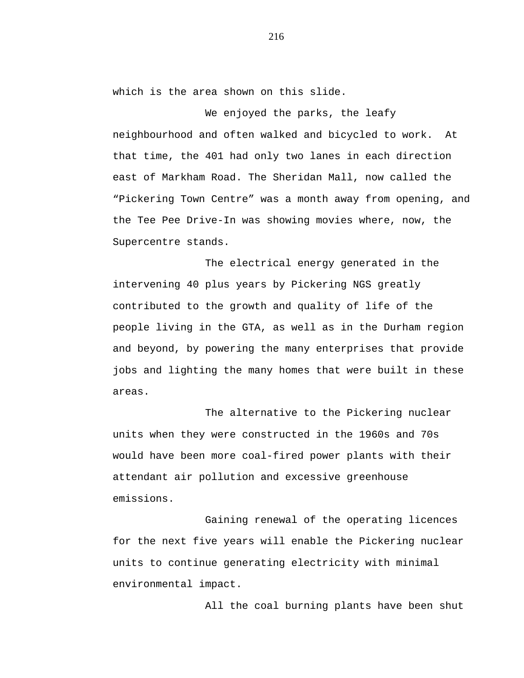which is the area shown on this slide.

We enjoyed the parks, the leafy neighbourhood and often walked and bicycled to work. At that time, the 401 had only two lanes in each direction east of Markham Road. The Sheridan Mall, now called the "Pickering Town Centre" was a month away from opening, and the Tee Pee Drive-In was showing movies where, now, the Supercentre stands.

The electrical energy generated in the intervening 40 plus years by Pickering NGS greatly contributed to the growth and quality of life of the people living in the GTA, as well as in the Durham region and beyond, by powering the many enterprises that provide jobs and lighting the many homes that were built in these areas.

The alternative to the Pickering nuclear units when they were constructed in the 1960s and 70s would have been more coal-fired power plants with their attendant air pollution and excessive greenhouse emissions.

Gaining renewal of the operating licences for the next five years will enable the Pickering nuclear units to continue generating electricity with minimal environmental impact.

All the coal burning plants have been shut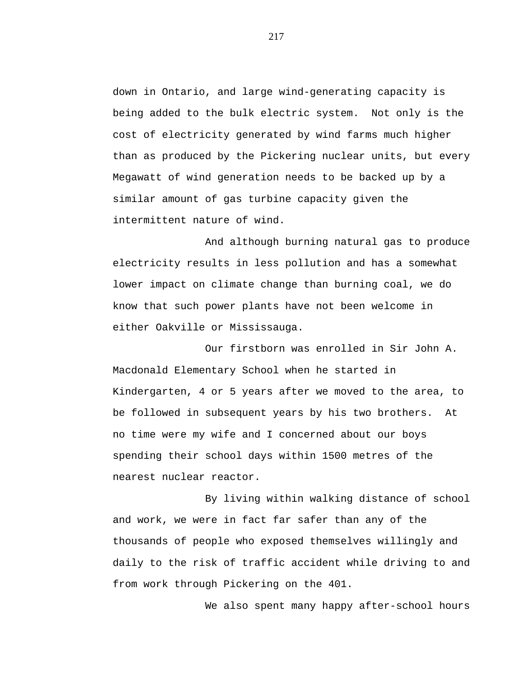down in Ontario, and large wind-generating capacity is being added to the bulk electric system. Not only is the cost of electricity generated by wind farms much higher than as produced by the Pickering nuclear units, but every Megawatt of wind generation needs to be backed up by a similar amount of gas turbine capacity given the intermittent nature of wind.

And although burning natural gas to produce electricity results in less pollution and has a somewhat lower impact on climate change than burning coal, we do know that such power plants have not been welcome in either Oakville or Mississauga.

Our firstborn was enrolled in Sir John A. Macdonald Elementary School when he started in Kindergarten, 4 or 5 years after we moved to the area, to be followed in subsequent years by his two brothers. At no time were my wife and I concerned about our boys spending their school days within 1500 metres of the nearest nuclear reactor.

By living within walking distance of school and work, we were in fact far safer than any of the thousands of people who exposed themselves willingly and daily to the risk of traffic accident while driving to and from work through Pickering on the 401.

We also spent many happy after-school hours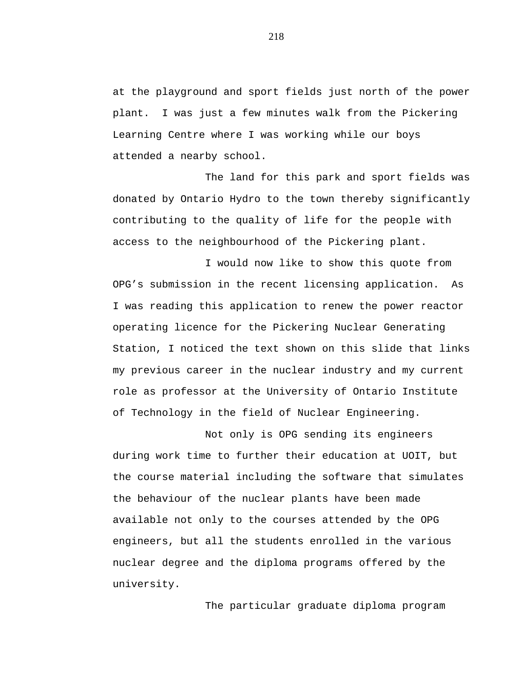at the playground and sport fields just north of the power plant. I was just a few minutes walk from the Pickering Learning Centre where I was working while our boys attended a nearby school.

The land for this park and sport fields was donated by Ontario Hydro to the town thereby significantly contributing to the quality of life for the people with access to the neighbourhood of the Pickering plant.

I would now like to show this quote from OPG's submission in the recent licensing application. As I was reading this application to renew the power reactor operating licence for the Pickering Nuclear Generating Station, I noticed the text shown on this slide that links my previous career in the nuclear industry and my current role as professor at the University of Ontario Institute of Technology in the field of Nuclear Engineering.

Not only is OPG sending its engineers during work time to further their education at UOIT, but the course material including the software that simulates the behaviour of the nuclear plants have been made available not only to the courses attended by the OPG engineers, but all the students enrolled in the various nuclear degree and the diploma programs offered by the university.

The particular graduate diploma program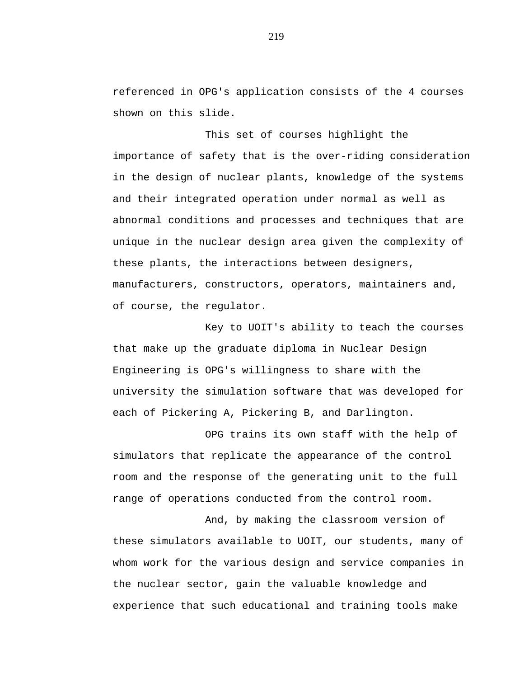referenced in OPG's application consists of the 4 courses shown on this slide.

This set of courses highlight the importance of safety that is the over-riding consideration in the design of nuclear plants, knowledge of the systems and their integrated operation under normal as well as abnormal conditions and processes and techniques that are unique in the nuclear design area given the complexity of these plants, the interactions between designers, manufacturers, constructors, operators, maintainers and, of course, the regulator.

Key to UOIT's ability to teach the courses that make up the graduate diploma in Nuclear Design Engineering is OPG's willingness to share with the university the simulation software that was developed for each of Pickering A, Pickering B, and Darlington.

OPG trains its own staff with the help of simulators that replicate the appearance of the control room and the response of the generating unit to the full range of operations conducted from the control room.

And, by making the classroom version of these simulators available to UOIT, our students, many of whom work for the various design and service companies in the nuclear sector, gain the valuable knowledge and experience that such educational and training tools make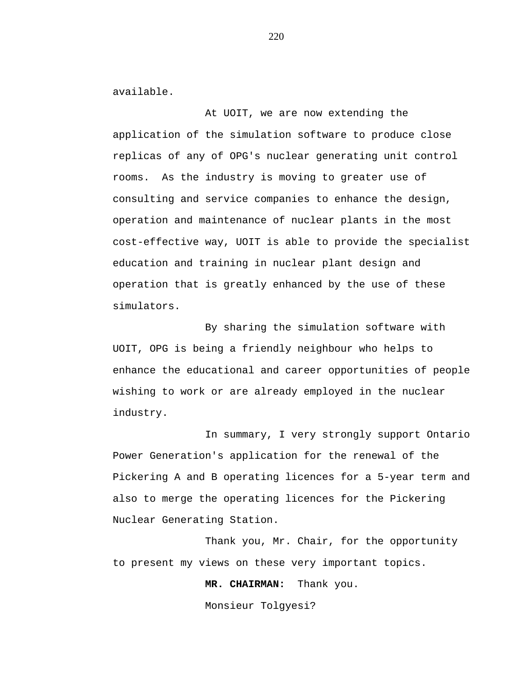available.

At UOIT, we are now extending the application of the simulation software to produce close replicas of any of OPG's nuclear generating unit control rooms. As the industry is moving to greater use of consulting and service companies to enhance the design, operation and maintenance of nuclear plants in the most cost-effective way, UOIT is able to provide the specialist education and training in nuclear plant design and operation that is greatly enhanced by the use of these simulators.

By sharing the simulation software with UOIT, OPG is being a friendly neighbour who helps to enhance the educational and career opportunities of people wishing to work or are already employed in the nuclear industry.

In summary, I very strongly support Ontario Power Generation's application for the renewal of the Pickering A and B operating licences for a 5-year term and also to merge the operating licences for the Pickering Nuclear Generating Station.

Thank you, Mr. Chair, for the opportunity to present my views on these very important topics.

**MR. CHAIRMAN:** Thank you.

Monsieur Tolgyesi?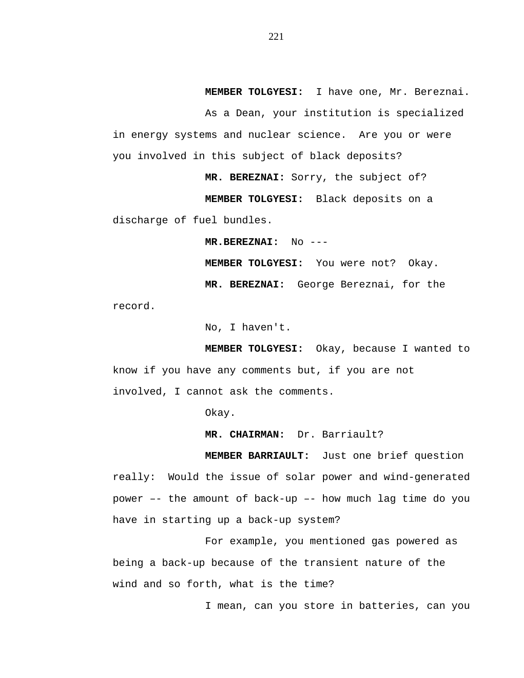**MEMBER TOLGYESI:** I have one, Mr. Bereznai.

As a Dean, your institution is specialized in energy systems and nuclear science. Are you or were you involved in this subject of black deposits?

**MR. BEREZNAI:** Sorry, the subject of?

**MEMBER TOLGYESI:** Black deposits on a discharge of fuel bundles.

**MR.BEREZNAI:** No ---

**MEMBER TOLGYESI:** You were not? Okay.

**MR. BEREZNAI:** George Bereznai, for the

record.

No, I haven't.

**MEMBER TOLGYESI:** Okay, because I wanted to know if you have any comments but, if you are not involved, I cannot ask the comments.

Okay.

**MR. CHAIRMAN:** Dr. Barriault?

**MEMBER BARRIAULT:** Just one brief question really: Would the issue of solar power and wind-generated power –- the amount of back-up –- how much lag time do you have in starting up a back-up system?

For example, you mentioned gas powered as being a back-up because of the transient nature of the wind and so forth, what is the time?

I mean, can you store in batteries, can you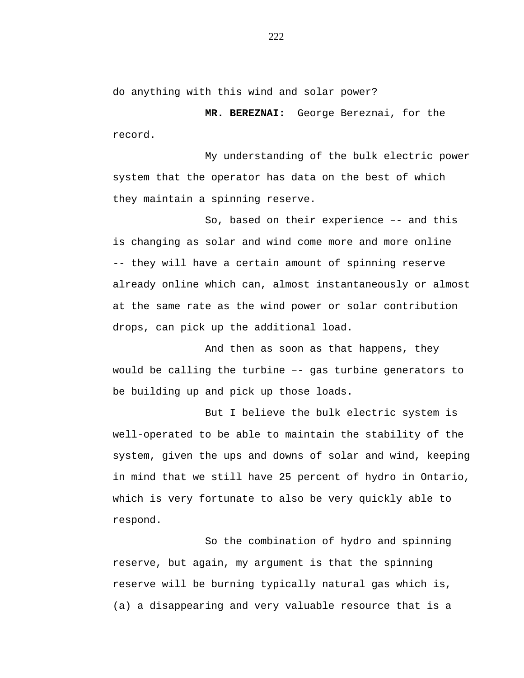do anything with this wind and solar power?

**MR. BEREZNAI:** George Bereznai, for the record.

My understanding of the bulk electric power system that the operator has data on the best of which they maintain a spinning reserve.

So, based on their experience –- and this is changing as solar and wind come more and more online -- they will have a certain amount of spinning reserve already online which can, almost instantaneously or almost at the same rate as the wind power or solar contribution drops, can pick up the additional load.

And then as soon as that happens, they would be calling the turbine –- gas turbine generators to be building up and pick up those loads.

But I believe the bulk electric system is well-operated to be able to maintain the stability of the system, given the ups and downs of solar and wind, keeping in mind that we still have 25 percent of hydro in Ontario, which is very fortunate to also be very quickly able to respond.

So the combination of hydro and spinning reserve, but again, my argument is that the spinning reserve will be burning typically natural gas which is, (a) a disappearing and very valuable resource that is a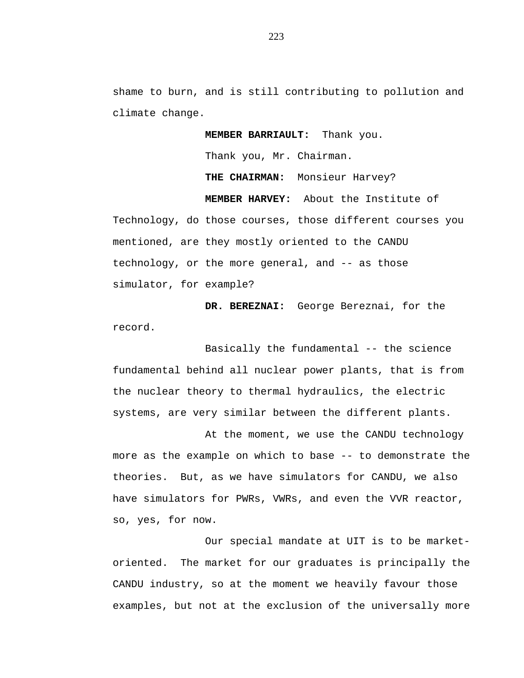shame to burn, and is still contributing to pollution and climate change.

**MEMBER BARRIAULT:** Thank you.

Thank you, Mr. Chairman.

**THE CHAIRMAN:** Monsieur Harvey? **MEMBER HARVEY:** About the Institute of Technology, do those courses, those different courses you mentioned, are they mostly oriented to the CANDU technology, or the more general, and -- as those simulator, for example?

**DR. BEREZNAI:** George Bereznai, for the record.

Basically the fundamental -- the science fundamental behind all nuclear power plants, that is from the nuclear theory to thermal hydraulics, the electric systems, are very similar between the different plants.

At the moment, we use the CANDU technology more as the example on which to base -- to demonstrate the theories. But, as we have simulators for CANDU, we also have simulators for PWRs, VWRs, and even the VVR reactor, so, yes, for now.

Our special mandate at UIT is to be marketoriented. The market for our graduates is principally the CANDU industry, so at the moment we heavily favour those examples, but not at the exclusion of the universally more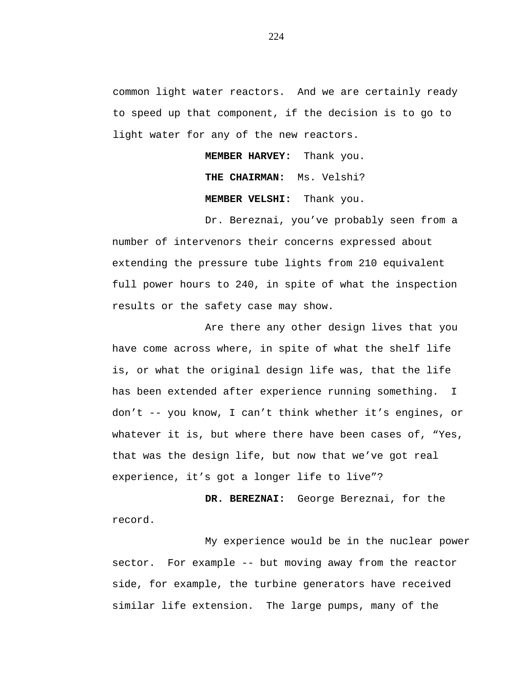common light water reactors. And we are certainly ready to speed up that component, if the decision is to go to light water for any of the new reactors.

> **MEMBER HARVEY:** Thank you. **THE CHAIRMAN:** Ms. Velshi? **MEMBER VELSHI:** Thank you.

Dr. Bereznai, you've probably seen from a number of intervenors their concerns expressed about extending the pressure tube lights from 210 equivalent full power hours to 240, in spite of what the inspection results or the safety case may show.

Are there any other design lives that you have come across where, in spite of what the shelf life is, or what the original design life was, that the life has been extended after experience running something. I don't -- you know, I can't think whether it's engines, or whatever it is, but where there have been cases of, "Yes, that was the design life, but now that we've got real experience, it's got a longer life to live"?

**DR. BEREZNAI:** George Bereznai, for the record.

My experience would be in the nuclear power sector. For example -- but moving away from the reactor side, for example, the turbine generators have received similar life extension. The large pumps, many of the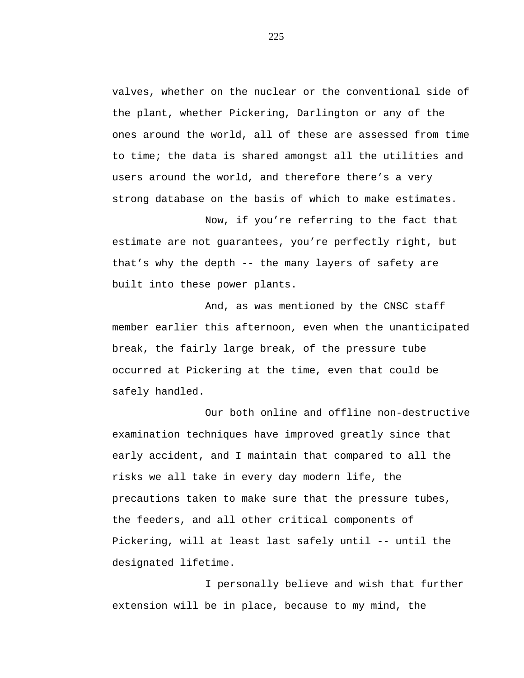valves, whether on the nuclear or the conventional side of the plant, whether Pickering, Darlington or any of the ones around the world, all of these are assessed from time to time; the data is shared amongst all the utilities and users around the world, and therefore there's a very strong database on the basis of which to make estimates.

Now, if you're referring to the fact that estimate are not guarantees, you're perfectly right, but that's why the depth -- the many layers of safety are built into these power plants.

And, as was mentioned by the CNSC staff member earlier this afternoon, even when the unanticipated break, the fairly large break, of the pressure tube occurred at Pickering at the time, even that could be safely handled.

Our both online and offline non-destructive examination techniques have improved greatly since that early accident, and I maintain that compared to all the risks we all take in every day modern life, the precautions taken to make sure that the pressure tubes, the feeders, and all other critical components of Pickering, will at least last safely until -- until the designated lifetime.

I personally believe and wish that further extension will be in place, because to my mind, the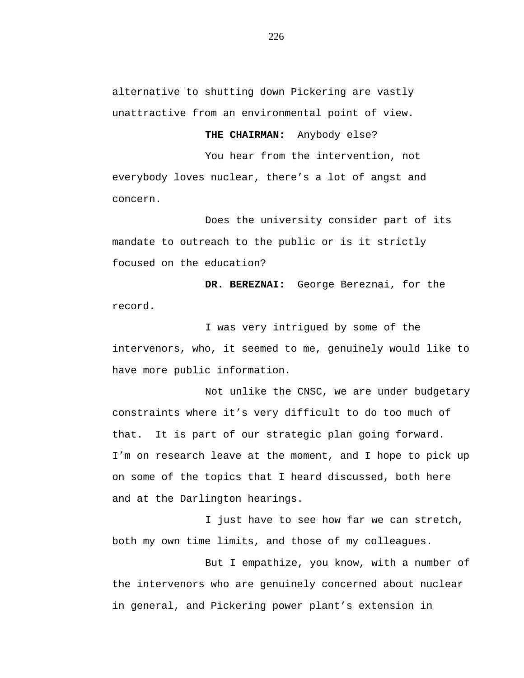alternative to shutting down Pickering are vastly unattractive from an environmental point of view.

### **THE CHAIRMAN:** Anybody else?

You hear from the intervention, not everybody loves nuclear, there's a lot of angst and concern.

Does the university consider part of its mandate to outreach to the public or is it strictly focused on the education?

**DR. BEREZNAI:** George Bereznai, for the record.

I was very intrigued by some of the intervenors, who, it seemed to me, genuinely would like to have more public information.

Not unlike the CNSC, we are under budgetary constraints where it's very difficult to do too much of that. It is part of our strategic plan going forward. I'm on research leave at the moment, and I hope to pick up on some of the topics that I heard discussed, both here and at the Darlington hearings.

I just have to see how far we can stretch, both my own time limits, and those of my colleagues.

But I empathize, you know, with a number of the intervenors who are genuinely concerned about nuclear in general, and Pickering power plant's extension in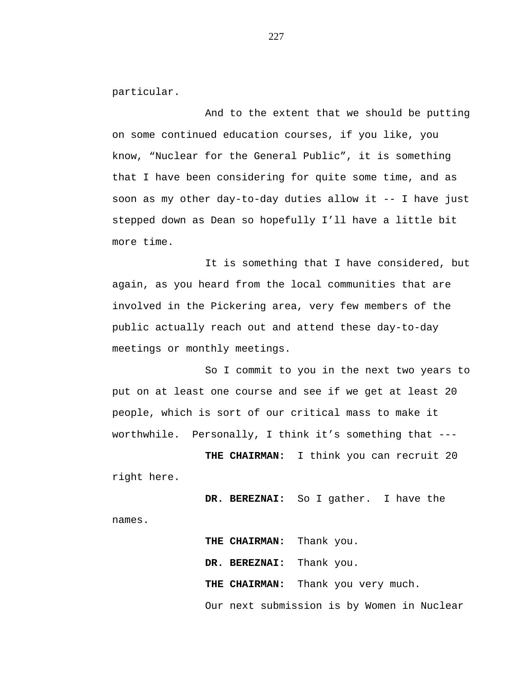particular.

names.

And to the extent that we should be putting on some continued education courses, if you like, you know, "Nuclear for the General Public", it is something that I have been considering for quite some time, and as soon as my other day-to-day duties allow it -- I have just stepped down as Dean so hopefully I'll have a little bit more time.

It is something that I have considered, but again, as you heard from the local communities that are involved in the Pickering area, very few members of the public actually reach out and attend these day-to-day meetings or monthly meetings.

So I commit to you in the next two years to put on at least one course and see if we get at least 20 people, which is sort of our critical mass to make it worthwhile. Personally, I think it's something that ---

**THE CHAIRMAN:** I think you can recruit 20 right here.

**DR. BEREZNAI:** So I gather. I have the

**THE CHAIRMAN:** Thank you. **DR. BEREZNAI:** Thank you. **THE CHAIRMAN:** Thank you very much. Our next submission is by Women in Nuclear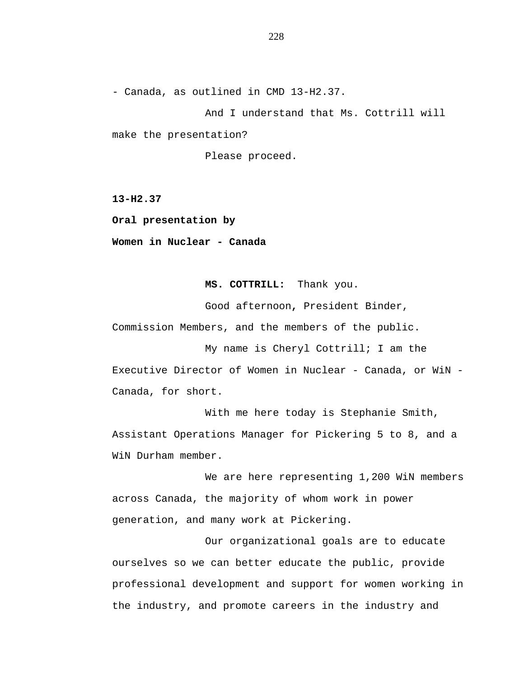- Canada, as outlined in CMD 13-H2.37.

And I understand that Ms. Cottrill will make the presentation?

Please proceed.

**13-H2.37**

**Oral presentation by**

**Women in Nuclear - Canada**

**MS. COTTRILL:** Thank you.

Good afternoon**,** President Binder,

Commission Members, and the members of the public.

My name is Cheryl Cottrill; I am the Executive Director of Women in Nuclear - Canada, or WiN - Canada, for short.

With me here today is Stephanie Smith, Assistant Operations Manager for Pickering 5 to 8, and a WiN Durham member.

We are here representing 1,200 WiN members across Canada, the majority of whom work in power generation, and many work at Pickering.

Our organizational goals are to educate ourselves so we can better educate the public, provide professional development and support for women working in the industry, and promote careers in the industry and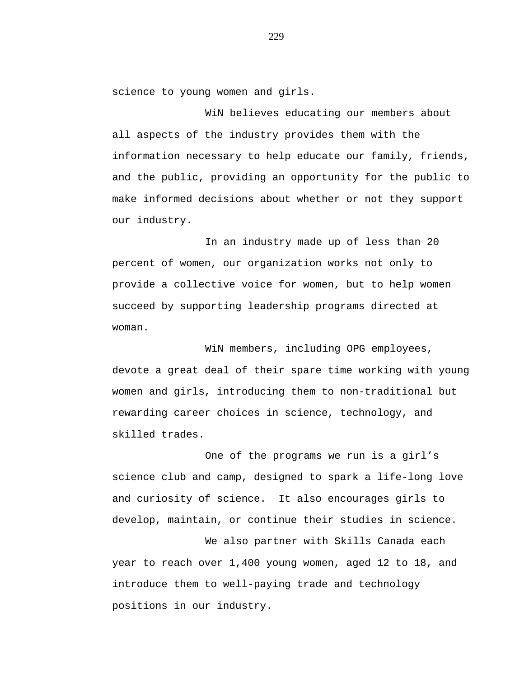science to young women and girls.

WiN believes educating our members about all aspects of the industry provides them with the information necessary to help educate our family, friends, and the public, providing an opportunity for the public to make informed decisions about whether or not they support our industry.

In an industry made up of less than 20 percent of women, our organization works not only to provide a collective voice for women, but to help women succeed by supporting leadership programs directed at woman.

WiN members, including OPG employees, devote a great deal of their spare time working with young women and girls, introducing them to non-traditional but rewarding career choices in science, technology, and skilled trades.

One of the programs we run is a girl's science club and camp, designed to spark a life-long love and curiosity of science. It also encourages girls to develop, maintain, or continue their studies in science.

We also partner with Skills Canada each year to reach over 1,400 young women, aged 12 to 18, and introduce them to well-paying trade and technology positions in our industry.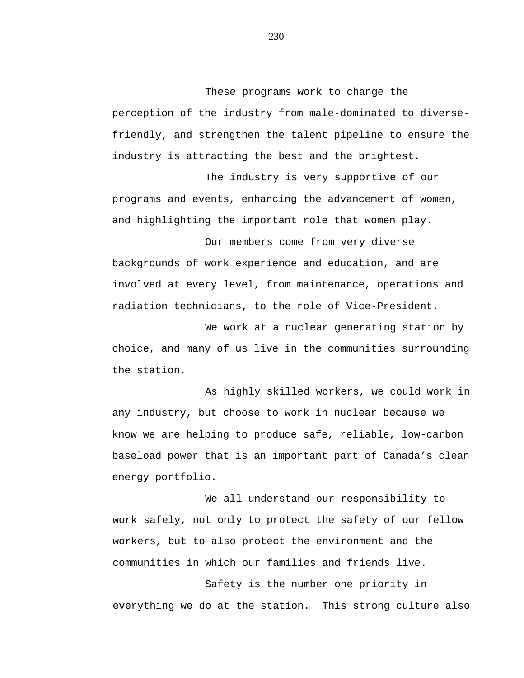These programs work to change the perception of the industry from male-dominated to diversefriendly, and strengthen the talent pipeline to ensure the industry is attracting the best and the brightest.

The industry is very supportive of our programs and events, enhancing the advancement of women, and highlighting the important role that women play.

Our members come from very diverse backgrounds of work experience and education, and are involved at every level, from maintenance, operations and radiation technicians, to the role of Vice-President.

We work at a nuclear generating station by choice, and many of us live in the communities surrounding the station.

As highly skilled workers, we could work in any industry, but choose to work in nuclear because we know we are helping to produce safe, reliable, low-carbon baseload power that is an important part of Canada's clean energy portfolio.

We all understand our responsibility to work safely, not only to protect the safety of our fellow workers, but to also protect the environment and the communities in which our families and friends live.

Safety is the number one priority in everything we do at the station. This strong culture also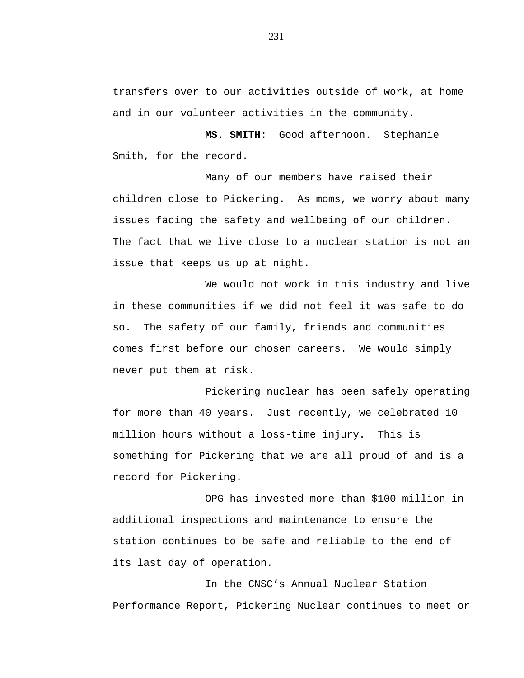transfers over to our activities outside of work, at home and in our volunteer activities in the community.

**MS. SMITH:** Good afternoon. Stephanie Smith, for the record.

Many of our members have raised their children close to Pickering. As moms, we worry about many issues facing the safety and wellbeing of our children. The fact that we live close to a nuclear station is not an issue that keeps us up at night.

We would not work in this industry and live in these communities if we did not feel it was safe to do so. The safety of our family, friends and communities comes first before our chosen careers. We would simply never put them at risk.

Pickering nuclear has been safely operating for more than 40 years. Just recently, we celebrated 10 million hours without a loss-time injury. This is something for Pickering that we are all proud of and is a record for Pickering.

OPG has invested more than \$100 million in additional inspections and maintenance to ensure the station continues to be safe and reliable to the end of its last day of operation.

In the CNSC's Annual Nuclear Station Performance Report, Pickering Nuclear continues to meet or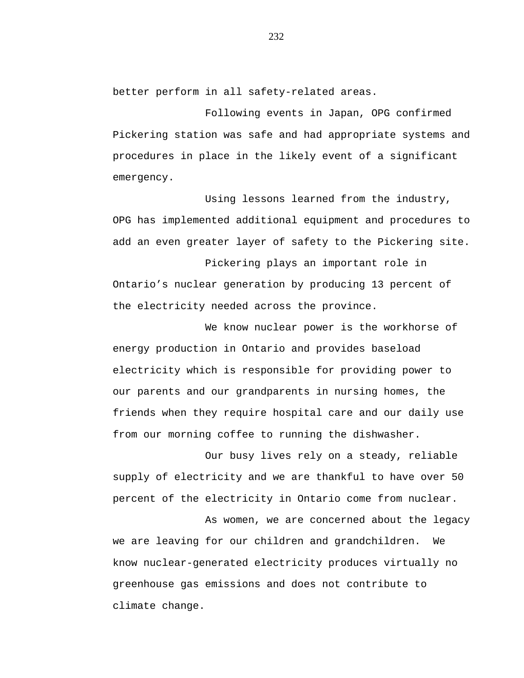better perform in all safety-related areas.

Following events in Japan, OPG confirmed Pickering station was safe and had appropriate systems and procedures in place in the likely event of a significant emergency.

Using lessons learned from the industry, OPG has implemented additional equipment and procedures to add an even greater layer of safety to the Pickering site.

Pickering plays an important role in Ontario's nuclear generation by producing 13 percent of the electricity needed across the province.

We know nuclear power is the workhorse of energy production in Ontario and provides baseload electricity which is responsible for providing power to our parents and our grandparents in nursing homes, the friends when they require hospital care and our daily use from our morning coffee to running the dishwasher.

Our busy lives rely on a steady, reliable supply of electricity and we are thankful to have over 50 percent of the electricity in Ontario come from nuclear.

As women, we are concerned about the legacy we are leaving for our children and grandchildren. We know nuclear-generated electricity produces virtually no greenhouse gas emissions and does not contribute to climate change.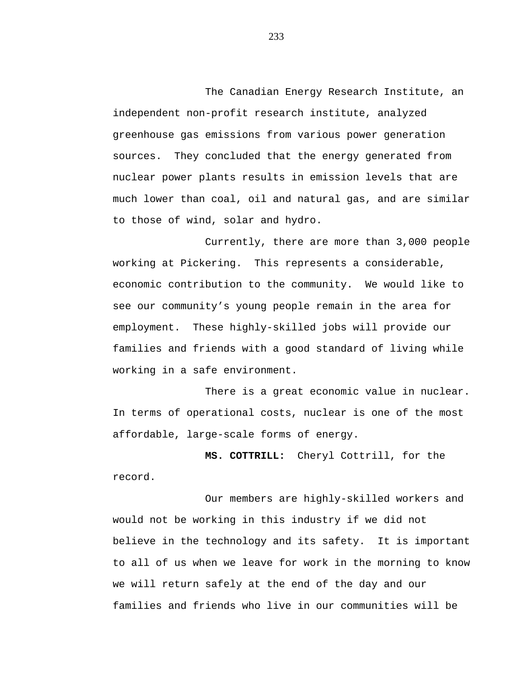The Canadian Energy Research Institute, an independent non-profit research institute, analyzed greenhouse gas emissions from various power generation sources. They concluded that the energy generated from nuclear power plants results in emission levels that are much lower than coal, oil and natural gas, and are similar to those of wind, solar and hydro.

Currently, there are more than 3,000 people working at Pickering. This represents a considerable, economic contribution to the community. We would like to see our community's young people remain in the area for employment. These highly-skilled jobs will provide our families and friends with a good standard of living while working in a safe environment.

There is a great economic value in nuclear. In terms of operational costs, nuclear is one of the most affordable, large-scale forms of energy.

**MS. COTTRILL:** Cheryl Cottrill, for the record.

Our members are highly-skilled workers and would not be working in this industry if we did not believe in the technology and its safety. It is important to all of us when we leave for work in the morning to know we will return safely at the end of the day and our families and friends who live in our communities will be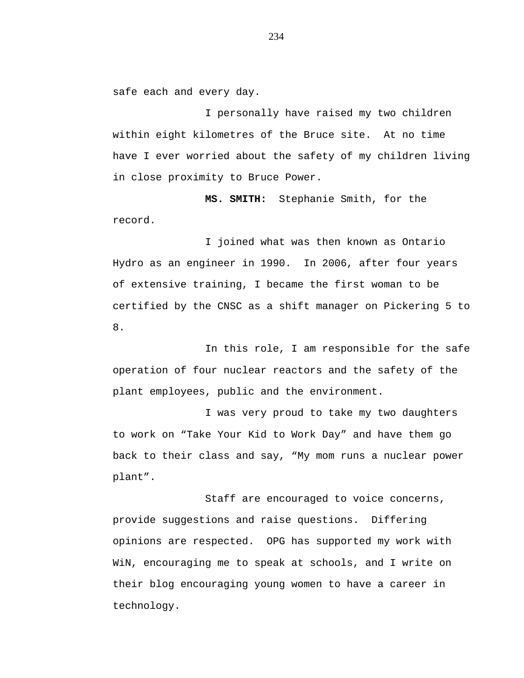safe each and every day.

I personally have raised my two children within eight kilometres of the Bruce site. At no time have I ever worried about the safety of my children living in close proximity to Bruce Power.

**MS. SMITH:** Stephanie Smith, for the record.

I joined what was then known as Ontario Hydro as an engineer in 1990. In 2006, after four years of extensive training, I became the first woman to be certified by the CNSC as a shift manager on Pickering 5 to 8.

In this role, I am responsible for the safe operation of four nuclear reactors and the safety of the plant employees, public and the environment.

I was very proud to take my two daughters to work on "Take Your Kid to Work Day" and have them go back to their class and say, "My mom runs a nuclear power plant".

Staff are encouraged to voice concerns, provide suggestions and raise questions. Differing opinions are respected. OPG has supported my work with WiN, encouraging me to speak at schools, and I write on their blog encouraging young women to have a career in technology.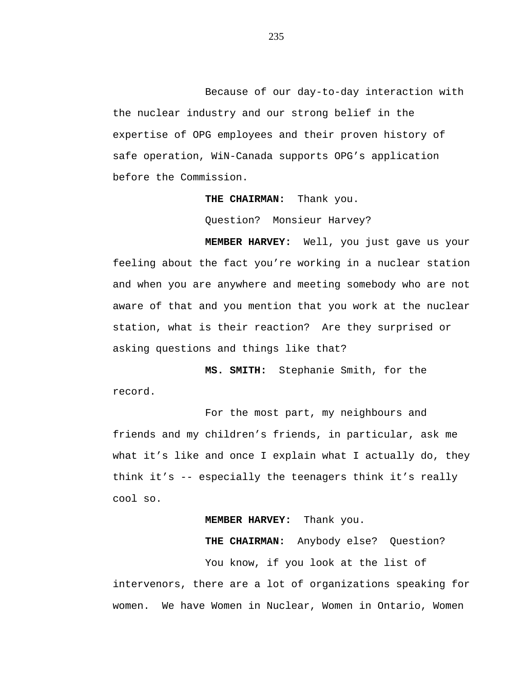Because of our day-to-day interaction with the nuclear industry and our strong belief in the expertise of OPG employees and their proven history of safe operation, WiN-Canada supports OPG's application before the Commission.

**THE CHAIRMAN:** Thank you.

Question? Monsieur Harvey?

**MEMBER HARVEY:** Well, you just gave us your feeling about the fact you're working in a nuclear station and when you are anywhere and meeting somebody who are not aware of that and you mention that you work at the nuclear station, what is their reaction? Are they surprised or asking questions and things like that?

**MS. SMITH:** Stephanie Smith, for the record.

For the most part, my neighbours and friends and my children's friends, in particular, ask me what it's like and once I explain what I actually do, they think it's -- especially the teenagers think it's really cool so.

# **MEMBER HARVEY:** Thank you.

**THE CHAIRMAN:** Anybody else? Question?

You know, if you look at the list of intervenors, there are a lot of organizations speaking for women. We have Women in Nuclear, Women in Ontario, Women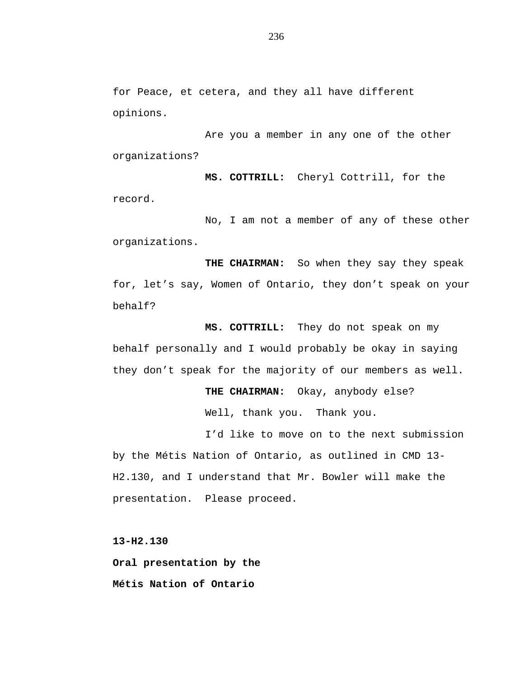for Peace, et cetera, and they all have different opinions.

Are you a member in any one of the other organizations?

**MS. COTTRILL:** Cheryl Cottrill, for the record.

No, I am not a member of any of these other organizations.

**THE CHAIRMAN:** So when they say they speak for, let's say, Women of Ontario, they don't speak on your behalf?

**MS. COTTRILL:** They do not speak on my behalf personally and I would probably be okay in saying they don't speak for the majority of our members as well.

**THE CHAIRMAN:** Okay, anybody else?

Well, thank you. Thank you.

I'd like to move on to the next submission by the Métis Nation of Ontario, as outlined in CMD 13- H2.130, and I understand that Mr. Bowler will make the presentation. Please proceed.

**13-H2.130**

**Oral presentation by the Métis Nation of Ontario**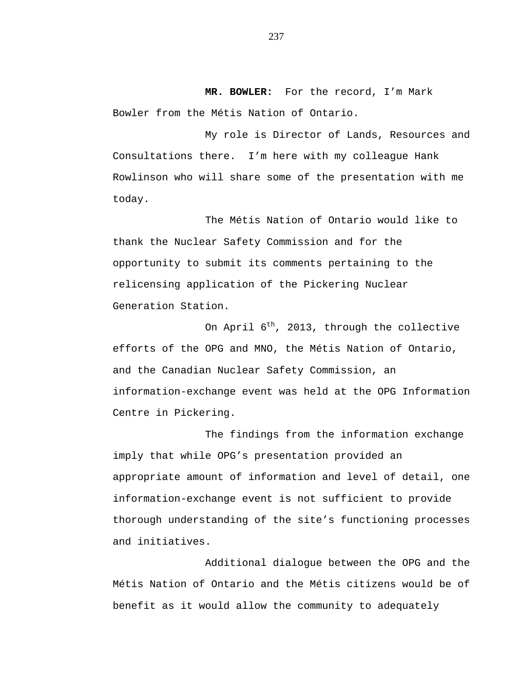**MR. BOWLER:** For the record, I'm Mark Bowler from the Métis Nation of Ontario.

My role is Director of Lands, Resources and Consultations there. I'm here with my colleague Hank Rowlinson who will share some of the presentation with me today.

The Métis Nation of Ontario would like to thank the Nuclear Safety Commission and for the opportunity to submit its comments pertaining to the relicensing application of the Pickering Nuclear Generation Station.

On April  $6^{th}$ , 2013, through the collective efforts of the OPG and MNO, the Métis Nation of Ontario, and the Canadian Nuclear Safety Commission, an information-exchange event was held at the OPG Information Centre in Pickering.

The findings from the information exchange imply that while OPG's presentation provided an appropriate amount of information and level of detail, one information-exchange event is not sufficient to provide thorough understanding of the site's functioning processes and initiatives.

Additional dialogue between the OPG and the Métis Nation of Ontario and the Métis citizens would be of benefit as it would allow the community to adequately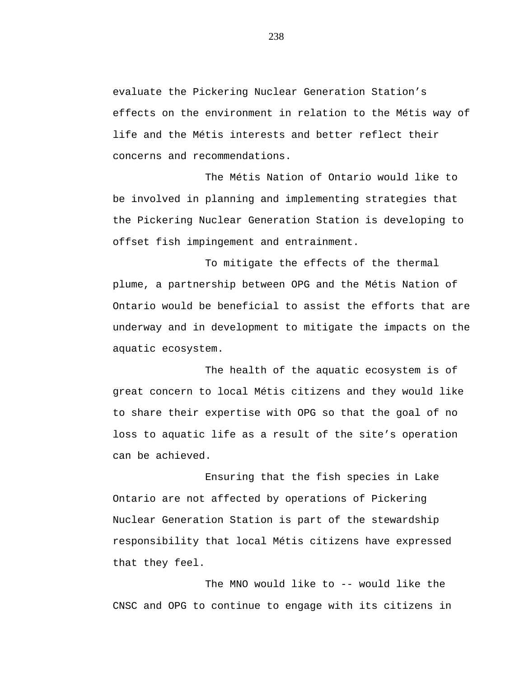evaluate the Pickering Nuclear Generation Station's effects on the environment in relation to the Métis way of life and the Métis interests and better reflect their concerns and recommendations.

The Métis Nation of Ontario would like to be involved in planning and implementing strategies that the Pickering Nuclear Generation Station is developing to offset fish impingement and entrainment.

To mitigate the effects of the thermal plume, a partnership between OPG and the Métis Nation of Ontario would be beneficial to assist the efforts that are underway and in development to mitigate the impacts on the aquatic ecosystem.

The health of the aquatic ecosystem is of great concern to local Métis citizens and they would like to share their expertise with OPG so that the goal of no loss to aquatic life as a result of the site's operation can be achieved.

Ensuring that the fish species in Lake Ontario are not affected by operations of Pickering Nuclear Generation Station is part of the stewardship responsibility that local Métis citizens have expressed that they feel.

The MNO would like to -- would like the CNSC and OPG to continue to engage with its citizens in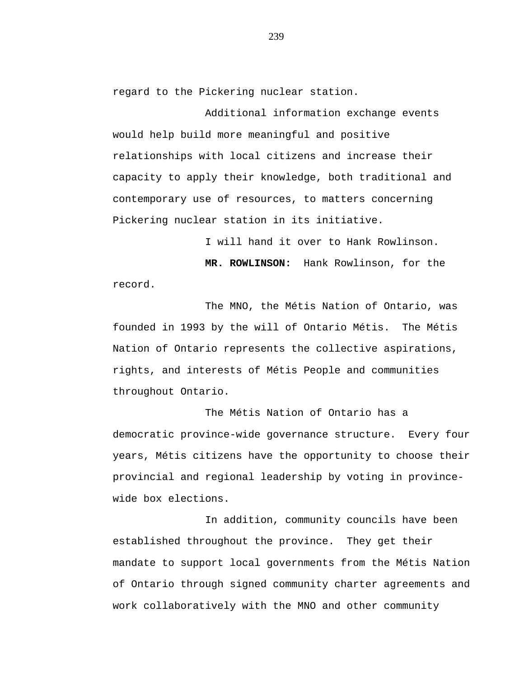regard to the Pickering nuclear station.

Additional information exchange events would help build more meaningful and positive relationships with local citizens and increase their capacity to apply their knowledge, both traditional and contemporary use of resources, to matters concerning Pickering nuclear station in its initiative.

I will hand it over to Hank Rowlinson.

**MR. ROWLINSON:** Hank Rowlinson, for the record.

The MNO, the Métis Nation of Ontario, was founded in 1993 by the will of Ontario Métis. The Métis Nation of Ontario represents the collective aspirations, rights, and interests of Métis People and communities throughout Ontario.

The Métis Nation of Ontario has a democratic province-wide governance structure. Every four years, Métis citizens have the opportunity to choose their provincial and regional leadership by voting in provincewide box elections.

In addition, community councils have been established throughout the province. They get their mandate to support local governments from the Métis Nation of Ontario through signed community charter agreements and work collaboratively with the MNO and other community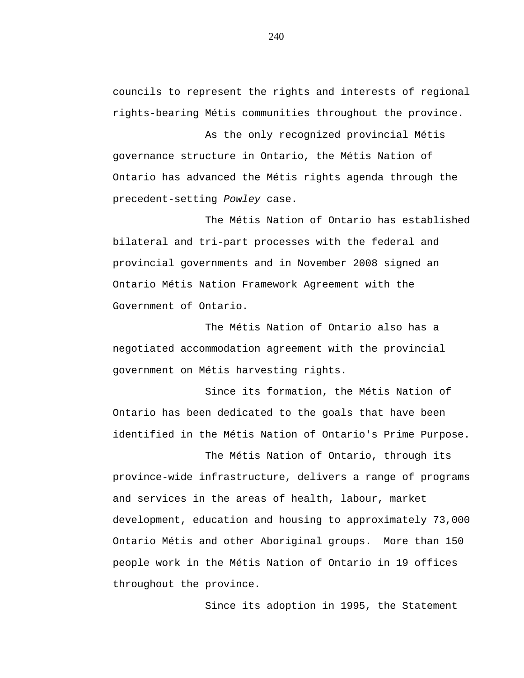councils to represent the rights and interests of regional rights-bearing Métis communities throughout the province.

As the only recognized provincial Métis governance structure in Ontario, the Métis Nation of Ontario has advanced the Métis rights agenda through the precedent-setting *Powley* case.

The Métis Nation of Ontario has established bilateral and tri-part processes with the federal and provincial governments and in November 2008 signed an Ontario Métis Nation Framework Agreement with the Government of Ontario.

The Métis Nation of Ontario also has a negotiated accommodation agreement with the provincial government on Métis harvesting rights.

Since its formation, the Métis Nation of Ontario has been dedicated to the goals that have been identified in the Métis Nation of Ontario's Prime Purpose.

The Métis Nation of Ontario, through its province-wide infrastructure, delivers a range of programs and services in the areas of health, labour, market development, education and housing to approximately 73,000 Ontario Métis and other Aboriginal groups. More than 150 people work in the Métis Nation of Ontario in 19 offices throughout the province.

Since its adoption in 1995, the Statement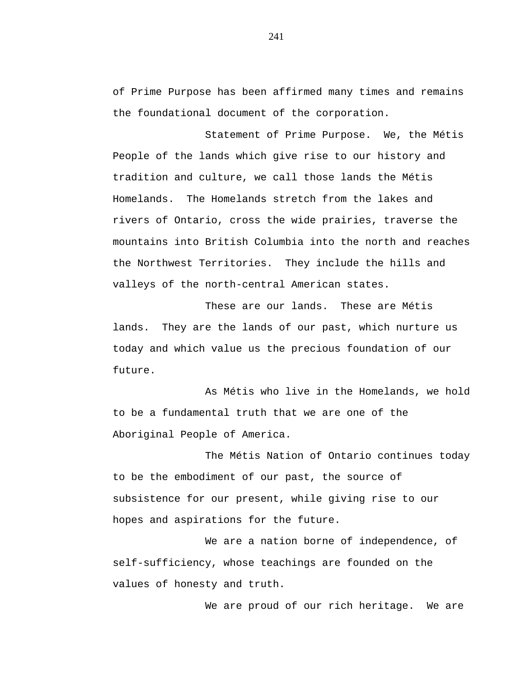of Prime Purpose has been affirmed many times and remains the foundational document of the corporation.

Statement of Prime Purpose. We, the Métis People of the lands which give rise to our history and tradition and culture, we call those lands the Métis Homelands. The Homelands stretch from the lakes and rivers of Ontario, cross the wide prairies, traverse the mountains into British Columbia into the north and reaches the Northwest Territories. They include the hills and valleys of the north-central American states.

These are our lands. These are Métis lands. They are the lands of our past, which nurture us today and which value us the precious foundation of our future.

As Métis who live in the Homelands, we hold to be a fundamental truth that we are one of the Aboriginal People of America.

The Métis Nation of Ontario continues today to be the embodiment of our past, the source of subsistence for our present, while giving rise to our hopes and aspirations for the future.

We are a nation borne of independence, of self-sufficiency, whose teachings are founded on the values of honesty and truth.

We are proud of our rich heritage. We are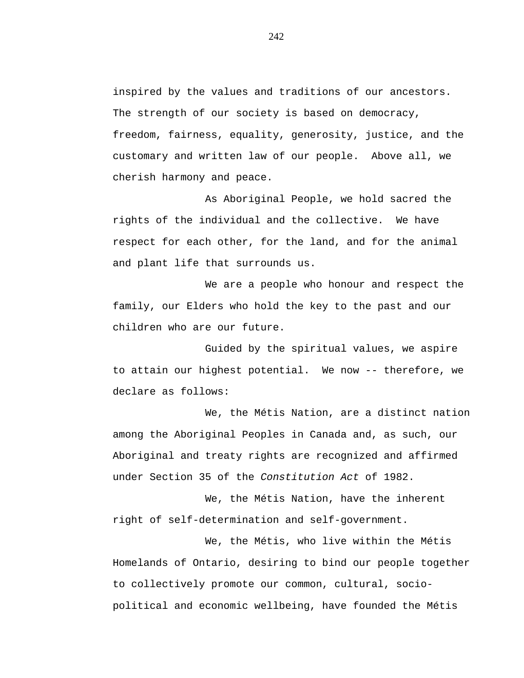inspired by the values and traditions of our ancestors. The strength of our society is based on democracy, freedom, fairness, equality, generosity, justice, and the customary and written law of our people. Above all, we cherish harmony and peace.

As Aboriginal People, we hold sacred the rights of the individual and the collective. We have respect for each other, for the land, and for the animal and plant life that surrounds us.

We are a people who honour and respect the family, our Elders who hold the key to the past and our children who are our future.

Guided by the spiritual values, we aspire to attain our highest potential. We now -- therefore, we declare as follows:

We, the Métis Nation, are a distinct nation among the Aboriginal Peoples in Canada and, as such, our Aboriginal and treaty rights are recognized and affirmed under Section 35 of the *Constitution Act* of 1982.

We, the Métis Nation, have the inherent right of self-determination and self-government.

We, the Métis, who live within the Métis Homelands of Ontario, desiring to bind our people together to collectively promote our common, cultural, sociopolitical and economic wellbeing, have founded the Métis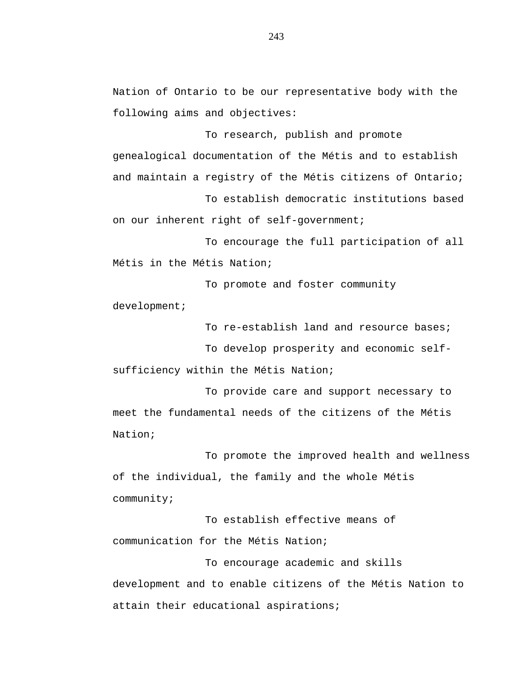Nation of Ontario to be our representative body with the following aims and objectives:

To research, publish and promote genealogical documentation of the Métis and to establish and maintain a registry of the Métis citizens of Ontario;

To establish democratic institutions based on our inherent right of self-government;

To encourage the full participation of all Métis in the Métis Nation;

To promote and foster community development;

To re-establish land and resource bases;

To develop prosperity and economic selfsufficiency within the Métis Nation;

To provide care and support necessary to meet the fundamental needs of the citizens of the Métis Nation;

To promote the improved health and wellness of the individual, the family and the whole Métis community;

To establish effective means of communication for the Métis Nation;

To encourage academic and skills development and to enable citizens of the Métis Nation to attain their educational aspirations;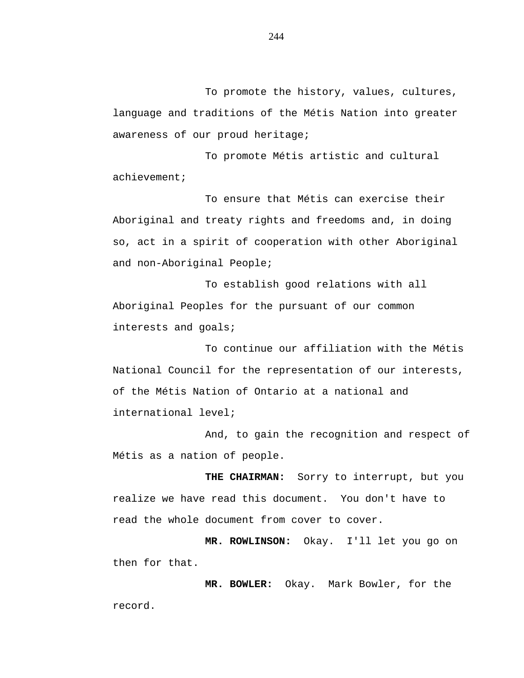To promote the history, values, cultures, language and traditions of the Métis Nation into greater awareness of our proud heritage;

To promote Métis artistic and cultural achievement;

To ensure that Métis can exercise their Aboriginal and treaty rights and freedoms and, in doing so, act in a spirit of cooperation with other Aboriginal and non-Aboriginal People;

To establish good relations with all Aboriginal Peoples for the pursuant of our common interests and goals;

To continue our affiliation with the Métis National Council for the representation of our interests, of the Métis Nation of Ontario at a national and international level;

And, to gain the recognition and respect of Métis as a nation of people.

**THE CHAIRMAN:** Sorry to interrupt, but you realize we have read this document. You don't have to read the whole document from cover to cover.

**MR. ROWLINSON:** Okay. I'll let you go on then for that.

**MR. BOWLER:** Okay. Mark Bowler, for the record.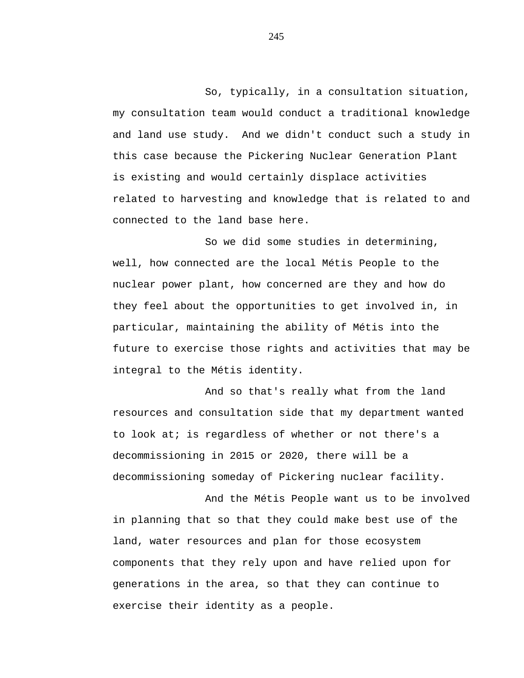So, typically, in a consultation situation, my consultation team would conduct a traditional knowledge and land use study. And we didn't conduct such a study in this case because the Pickering Nuclear Generation Plant is existing and would certainly displace activities related to harvesting and knowledge that is related to and connected to the land base here.

So we did some studies in determining, well, how connected are the local Métis People to the nuclear power plant, how concerned are they and how do they feel about the opportunities to get involved in, in particular, maintaining the ability of Métis into the future to exercise those rights and activities that may be integral to the Métis identity.

And so that's really what from the land resources and consultation side that my department wanted to look at; is regardless of whether or not there's a decommissioning in 2015 or 2020, there will be a decommissioning someday of Pickering nuclear facility.

And the Métis People want us to be involved in planning that so that they could make best use of the land, water resources and plan for those ecosystem components that they rely upon and have relied upon for generations in the area, so that they can continue to exercise their identity as a people.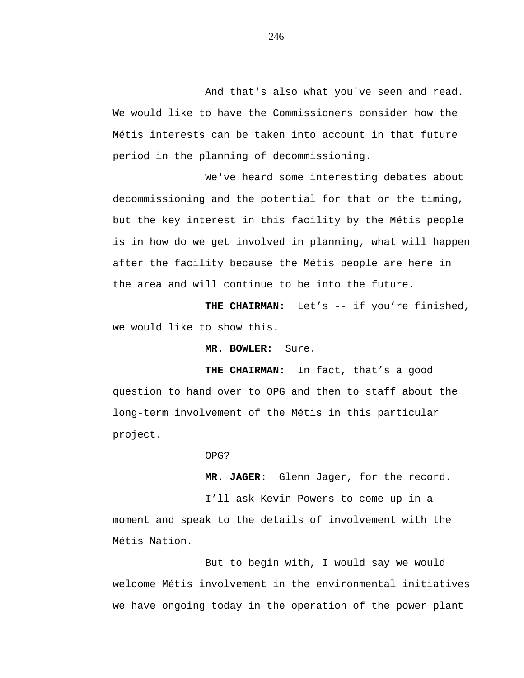And that's also what you've seen and read. We would like to have the Commissioners consider how the Métis interests can be taken into account in that future period in the planning of decommissioning.

We've heard some interesting debates about decommissioning and the potential for that or the timing, but the key interest in this facility by the Métis people is in how do we get involved in planning, what will happen after the facility because the Métis people are here in the area and will continue to be into the future.

**THE CHAIRMAN:** Let's -- if you're finished, we would like to show this.

**MR. BOWLER:** Sure.

**THE CHAIRMAN:** In fact, that's a good question to hand over to OPG and then to staff about the long-term involvement of the Métis in this particular project.

## OPG?

**MR. JAGER:** Glenn Jager, for the record.

I'll ask Kevin Powers to come up in a moment and speak to the details of involvement with the Métis Nation.

But to begin with, I would say we would welcome Métis involvement in the environmental initiatives we have ongoing today in the operation of the power plant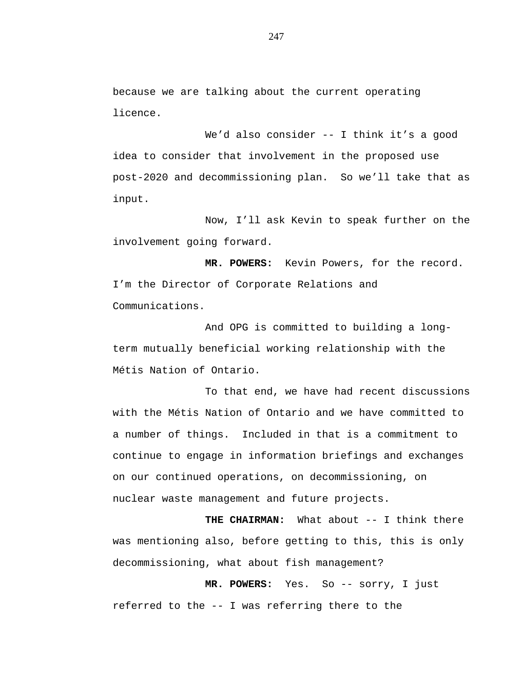because we are talking about the current operating licence.

We'd also consider -- I think it's a good idea to consider that involvement in the proposed use post-2020 and decommissioning plan. So we'll take that as input.

Now, I'll ask Kevin to speak further on the involvement going forward.

**MR. POWERS:** Kevin Powers, for the record. I'm the Director of Corporate Relations and Communications.

And OPG is committed to building a longterm mutually beneficial working relationship with the Métis Nation of Ontario.

To that end, we have had recent discussions with the Métis Nation of Ontario and we have committed to a number of things. Included in that is a commitment to continue to engage in information briefings and exchanges on our continued operations, on decommissioning, on nuclear waste management and future projects.

**THE CHAIRMAN:** What about -- I think there was mentioning also, before getting to this, this is only decommissioning, what about fish management?

**MR. POWERS:** Yes. So -- sorry, I just referred to the -- I was referring there to the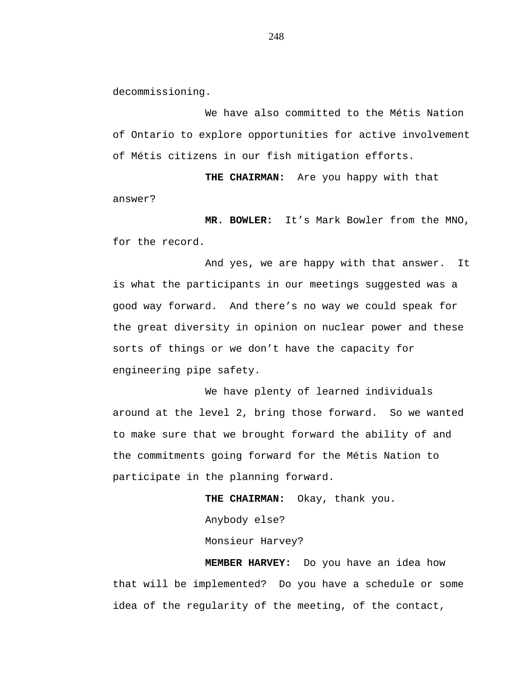decommissioning.

We have also committed to the Métis Nation of Ontario to explore opportunities for active involvement of Métis citizens in our fish mitigation efforts.

**THE CHAIRMAN:** Are you happy with that answer?

**MR. BOWLER:** It's Mark Bowler from the MNO, for the record.

And yes, we are happy with that answer. It is what the participants in our meetings suggested was a good way forward. And there's no way we could speak for the great diversity in opinion on nuclear power and these sorts of things or we don't have the capacity for engineering pipe safety.

We have plenty of learned individuals around at the level 2, bring those forward. So we wanted to make sure that we brought forward the ability of and the commitments going forward for the Métis Nation to participate in the planning forward.

> **THE CHAIRMAN:** Okay, thank you. Anybody else? Monsieur Harvey?

**MEMBER HARVEY:** Do you have an idea how that will be implemented? Do you have a schedule or some idea of the regularity of the meeting, of the contact,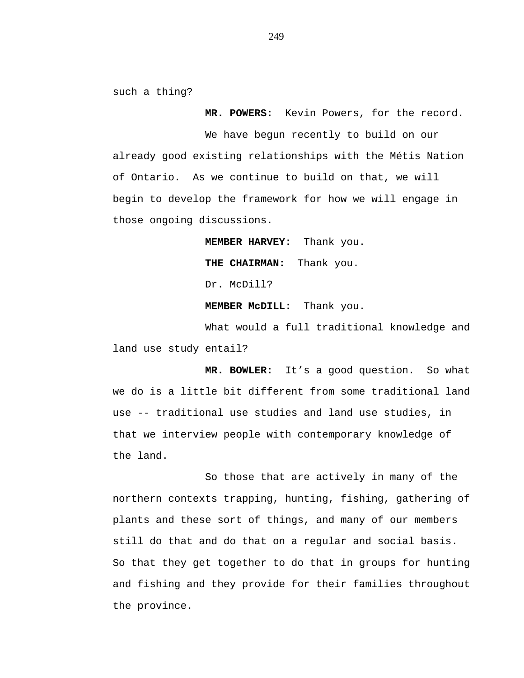such a thing?

**MR. POWERS:** Kevin Powers, for the record. We have begun recently to build on our already good existing relationships with the Métis Nation of Ontario. As we continue to build on that, we will begin to develop the framework for how we will engage in those ongoing discussions.

> **MEMBER HARVEY:** Thank you. **THE CHAIRMAN:** Thank you. Dr. McDill?

**MEMBER McDILL:** Thank you.

What would a full traditional knowledge and land use study entail?

**MR. BOWLER:** It's a good question. So what we do is a little bit different from some traditional land use -- traditional use studies and land use studies, in that we interview people with contemporary knowledge of the land.

So those that are actively in many of the northern contexts trapping, hunting, fishing, gathering of plants and these sort of things, and many of our members still do that and do that on a regular and social basis. So that they get together to do that in groups for hunting and fishing and they provide for their families throughout the province.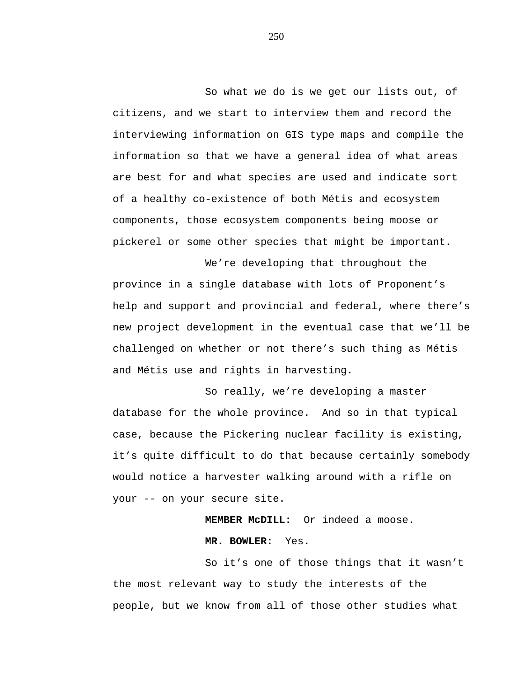So what we do is we get our lists out, of citizens, and we start to interview them and record the interviewing information on GIS type maps and compile the information so that we have a general idea of what areas are best for and what species are used and indicate sort of a healthy co-existence of both Métis and ecosystem components, those ecosystem components being moose or pickerel or some other species that might be important.

We're developing that throughout the province in a single database with lots of Proponent's help and support and provincial and federal, where there's new project development in the eventual case that we'll be challenged on whether or not there's such thing as Métis and Métis use and rights in harvesting.

So really, we're developing a master database for the whole province. And so in that typical case, because the Pickering nuclear facility is existing, it's quite difficult to do that because certainly somebody would notice a harvester walking around with a rifle on your -- on your secure site.

**MEMBER McDILL:** Or indeed a moose.

## **MR. BOWLER:** Yes.

So it's one of those things that it wasn't the most relevant way to study the interests of the people, but we know from all of those other studies what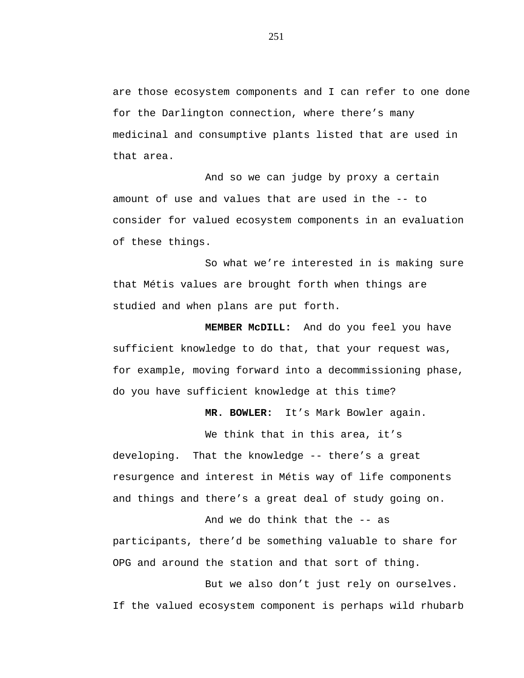are those ecosystem components and I can refer to one done for the Darlington connection, where there's many medicinal and consumptive plants listed that are used in that area.

And so we can judge by proxy a certain amount of use and values that are used in the -- to consider for valued ecosystem components in an evaluation of these things.

So what we're interested in is making sure that Métis values are brought forth when things are studied and when plans are put forth.

**MEMBER McDILL:** And do you feel you have sufficient knowledge to do that, that your request was, for example, moving forward into a decommissioning phase, do you have sufficient knowledge at this time?

**MR. BOWLER:** It's Mark Bowler again.

We think that in this area, it's developing. That the knowledge -- there's a great resurgence and interest in Métis way of life components and things and there's a great deal of study going on.

And we do think that the -- as participants, there'd be something valuable to share for OPG and around the station and that sort of thing.

But we also don't just rely on ourselves. If the valued ecosystem component is perhaps wild rhubarb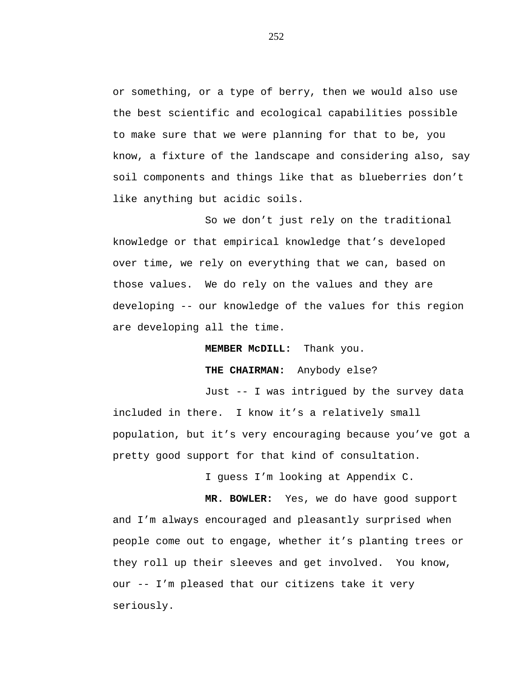or something, or a type of berry, then we would also use the best scientific and ecological capabilities possible to make sure that we were planning for that to be, you know, a fixture of the landscape and considering also, say soil components and things like that as blueberries don't like anything but acidic soils.

So we don't just rely on the traditional knowledge or that empirical knowledge that's developed over time, we rely on everything that we can, based on those values. We do rely on the values and they are developing -- our knowledge of the values for this region are developing all the time.

## **MEMBER McDILL:** Thank you.

**THE CHAIRMAN:** Anybody else?

Just -- I was intrigued by the survey data included in there. I know it's a relatively small population, but it's very encouraging because you've got a pretty good support for that kind of consultation.

I guess I'm looking at Appendix C.

**MR. BOWLER:** Yes, we do have good support and I'm always encouraged and pleasantly surprised when people come out to engage, whether it's planting trees or they roll up their sleeves and get involved. You know, our -- I'm pleased that our citizens take it very seriously.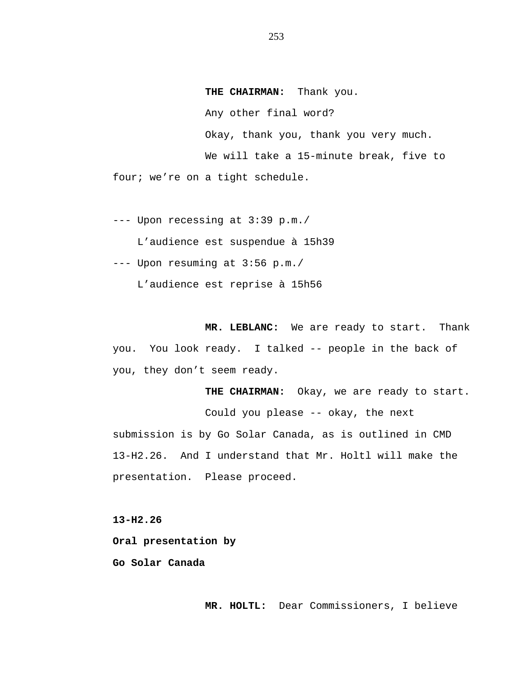**THE CHAIRMAN:** Thank you.

Any other final word? Okay, thank you, thank you very much. We will take a 15-minute break, five to four; we're on a tight schedule.

--- Upon recessing at 3:39 p.m./

L'audience est suspendue à 15h39

--- Upon resuming at 3:56 p.m./

L'audience est reprise à 15h56

**MR. LEBLANC:** We are ready to start. Thank you. You look ready. I talked -- people in the back of you, they don't seem ready.

**THE CHAIRMAN:** Okay, we are ready to start.

Could you please -- okay, the next submission is by Go Solar Canada, as is outlined in CMD 13-H2.26. And I understand that Mr. Holtl will make the presentation. Please proceed.

**13-H2.26**

**Oral presentation by**

**Go Solar Canada**

**MR. HOLTL:** Dear Commissioners, I believe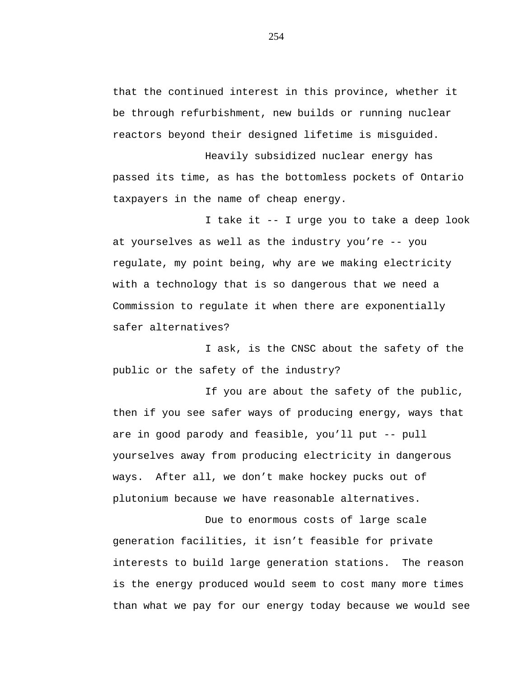that the continued interest in this province, whether it be through refurbishment, new builds or running nuclear reactors beyond their designed lifetime is misguided.

Heavily subsidized nuclear energy has passed its time, as has the bottomless pockets of Ontario taxpayers in the name of cheap energy.

I take it -- I urge you to take a deep look at yourselves as well as the industry you're -- you regulate, my point being, why are we making electricity with a technology that is so dangerous that we need a Commission to regulate it when there are exponentially safer alternatives?

I ask, is the CNSC about the safety of the public or the safety of the industry?

If you are about the safety of the public, then if you see safer ways of producing energy, ways that are in good parody and feasible, you'll put -- pull yourselves away from producing electricity in dangerous ways. After all, we don't make hockey pucks out of plutonium because we have reasonable alternatives.

Due to enormous costs of large scale generation facilities, it isn't feasible for private interests to build large generation stations. The reason is the energy produced would seem to cost many more times than what we pay for our energy today because we would see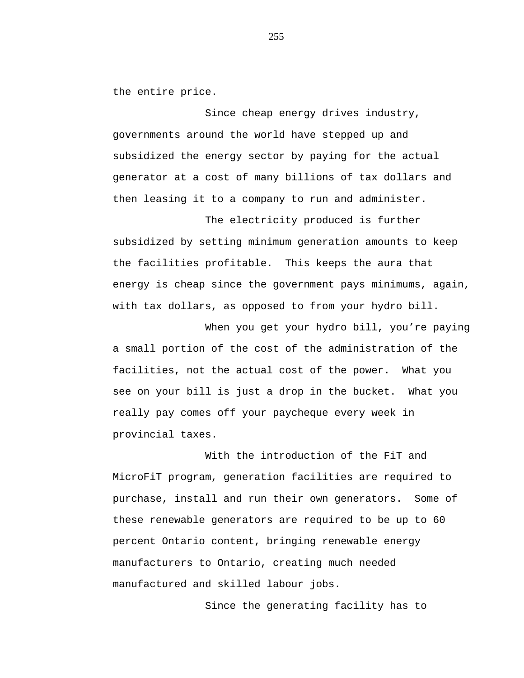the entire price.

Since cheap energy drives industry, governments around the world have stepped up and subsidized the energy sector by paying for the actual generator at a cost of many billions of tax dollars and then leasing it to a company to run and administer.

The electricity produced is further subsidized by setting minimum generation amounts to keep the facilities profitable. This keeps the aura that energy is cheap since the government pays minimums, again, with tax dollars, as opposed to from your hydro bill.

When you get your hydro bill, you're paying a small portion of the cost of the administration of the facilities, not the actual cost of the power. What you see on your bill is just a drop in the bucket. What you really pay comes off your paycheque every week in provincial taxes.

With the introduction of the FiT and MicroFiT program, generation facilities are required to purchase, install and run their own generators. Some of these renewable generators are required to be up to 60 percent Ontario content, bringing renewable energy manufacturers to Ontario, creating much needed manufactured and skilled labour jobs.

Since the generating facility has to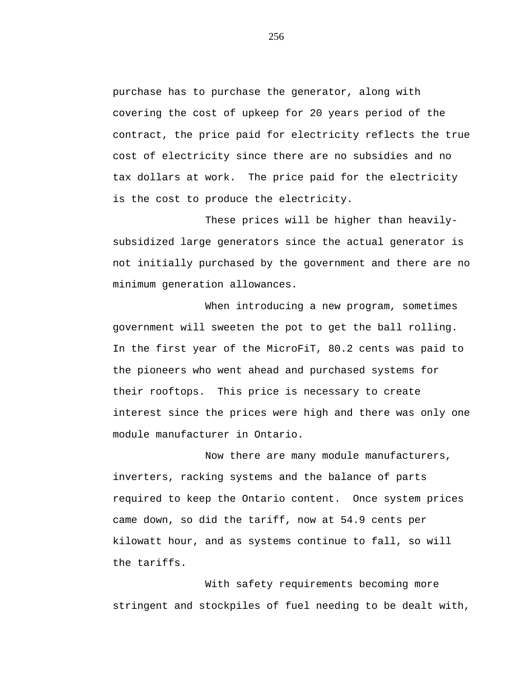purchase has to purchase the generator, along with covering the cost of upkeep for 20 years period of the contract, the price paid for electricity reflects the true cost of electricity since there are no subsidies and no tax dollars at work. The price paid for the electricity is the cost to produce the electricity.

These prices will be higher than heavilysubsidized large generators since the actual generator is not initially purchased by the government and there are no minimum generation allowances.

When introducing a new program, sometimes government will sweeten the pot to get the ball rolling. In the first year of the MicroFiT, 80.2 cents was paid to the pioneers who went ahead and purchased systems for their rooftops. This price is necessary to create interest since the prices were high and there was only one module manufacturer in Ontario.

Now there are many module manufacturers, inverters, racking systems and the balance of parts required to keep the Ontario content. Once system prices came down, so did the tariff, now at 54.9 cents per kilowatt hour, and as systems continue to fall, so will the tariffs.

With safety requirements becoming more stringent and stockpiles of fuel needing to be dealt with,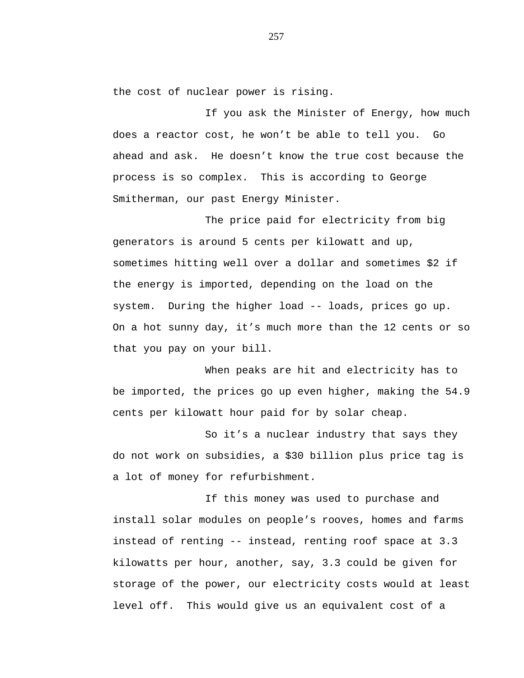the cost of nuclear power is rising.

If you ask the Minister of Energy, how much does a reactor cost, he won't be able to tell you. Go ahead and ask. He doesn't know the true cost because the process is so complex. This is according to George Smitherman, our past Energy Minister.

The price paid for electricity from big generators is around 5 cents per kilowatt and up, sometimes hitting well over a dollar and sometimes \$2 if the energy is imported, depending on the load on the system. During the higher load -- loads, prices go up. On a hot sunny day, it's much more than the 12 cents or so that you pay on your bill.

When peaks are hit and electricity has to be imported, the prices go up even higher, making the 54.9 cents per kilowatt hour paid for by solar cheap.

So it's a nuclear industry that says they do not work on subsidies, a \$30 billion plus price tag is a lot of money for refurbishment.

If this money was used to purchase and install solar modules on people's rooves, homes and farms instead of renting -- instead, renting roof space at 3.3 kilowatts per hour, another, say, 3.3 could be given for storage of the power, our electricity costs would at least level off. This would give us an equivalent cost of a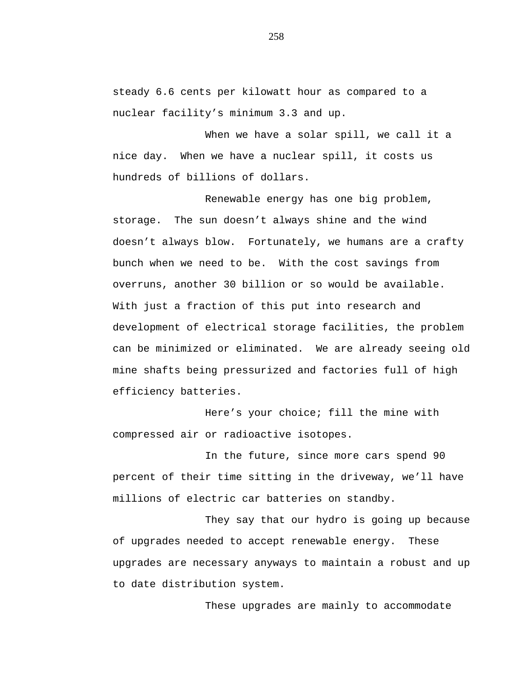steady 6.6 cents per kilowatt hour as compared to a nuclear facility's minimum 3.3 and up.

When we have a solar spill, we call it a nice day. When we have a nuclear spill, it costs us hundreds of billions of dollars.

Renewable energy has one big problem, storage. The sun doesn't always shine and the wind doesn't always blow. Fortunately, we humans are a crafty bunch when we need to be. With the cost savings from overruns, another 30 billion or so would be available. With just a fraction of this put into research and development of electrical storage facilities, the problem can be minimized or eliminated. We are already seeing old mine shafts being pressurized and factories full of high efficiency batteries.

Here's your choice; fill the mine with compressed air or radioactive isotopes.

In the future, since more cars spend 90 percent of their time sitting in the driveway, we'll have millions of electric car batteries on standby.

They say that our hydro is going up because of upgrades needed to accept renewable energy. These upgrades are necessary anyways to maintain a robust and up to date distribution system.

These upgrades are mainly to accommodate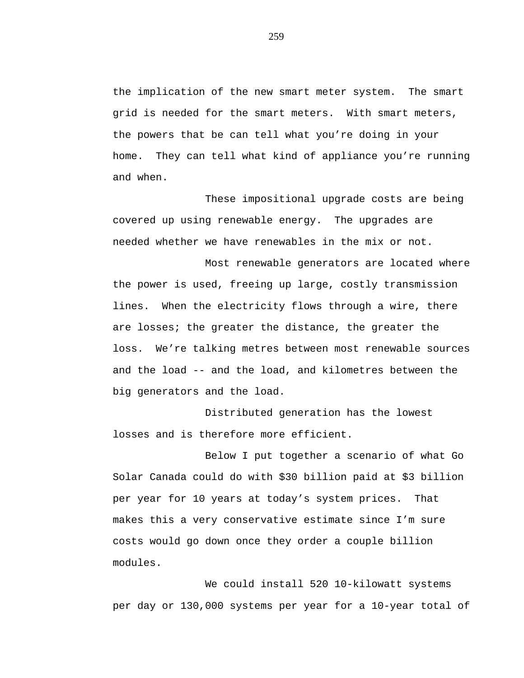the implication of the new smart meter system. The smart grid is needed for the smart meters. With smart meters, the powers that be can tell what you're doing in your home. They can tell what kind of appliance you're running and when.

These impositional upgrade costs are being covered up using renewable energy. The upgrades are needed whether we have renewables in the mix or not.

Most renewable generators are located where the power is used, freeing up large, costly transmission lines. When the electricity flows through a wire, there are losses; the greater the distance, the greater the loss. We're talking metres between most renewable sources and the load -- and the load, and kilometres between the big generators and the load.

Distributed generation has the lowest losses and is therefore more efficient.

Below I put together a scenario of what Go Solar Canada could do with \$30 billion paid at \$3 billion per year for 10 years at today's system prices. That makes this a very conservative estimate since I'm sure costs would go down once they order a couple billion modules.

We could install 520 10-kilowatt systems per day or 130,000 systems per year for a 10-year total of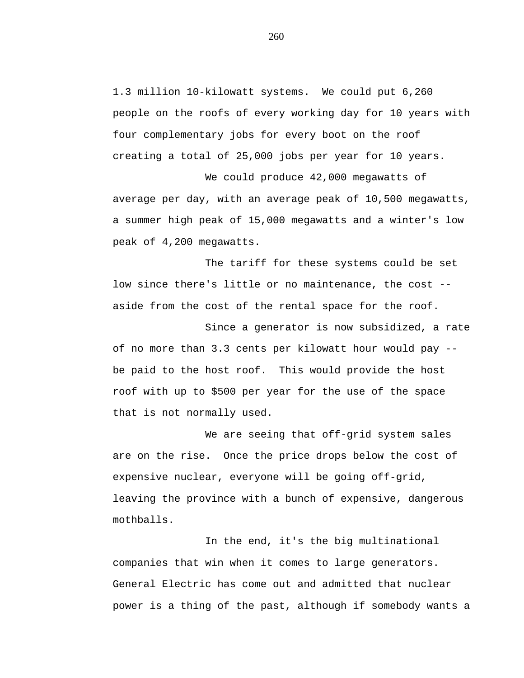1.3 million 10-kilowatt systems. We could put 6,260 people on the roofs of every working day for 10 years with four complementary jobs for every boot on the roof creating a total of 25,000 jobs per year for 10 years.

We could produce 42,000 megawatts of average per day, with an average peak of 10,500 megawatts, a summer high peak of 15,000 megawatts and a winter's low peak of 4,200 megawatts.

The tariff for these systems could be set low since there's little or no maintenance, the cost - aside from the cost of the rental space for the roof.

Since a generator is now subsidized, a rate of no more than 3.3 cents per kilowatt hour would pay - be paid to the host roof. This would provide the host roof with up to \$500 per year for the use of the space that is not normally used.

We are seeing that off-grid system sales are on the rise. Once the price drops below the cost of expensive nuclear, everyone will be going off-grid, leaving the province with a bunch of expensive, dangerous mothballs.

In the end, it's the big multinational companies that win when it comes to large generators. General Electric has come out and admitted that nuclear power is a thing of the past, although if somebody wants a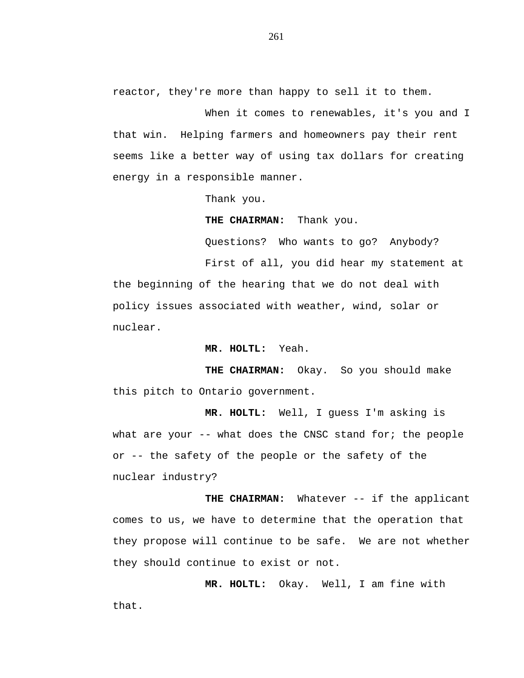reactor, they're more than happy to sell it to them.

When it comes to renewables, it's you and I that win. Helping farmers and homeowners pay their rent seems like a better way of using tax dollars for creating energy in a responsible manner.

Thank you.

**THE CHAIRMAN:** Thank you.

First of all, you did hear my statement at the beginning of the hearing that we do not deal with policy issues associated with weather, wind, solar or nuclear.

Questions? Who wants to go? Anybody?

**MR. HOLTL:** Yeah.

**THE CHAIRMAN:** Okay. So you should make this pitch to Ontario government.

**MR. HOLTL:** Well, I guess I'm asking is what are your  $-$ - what does the CNSC stand for; the people or -- the safety of the people or the safety of the nuclear industry?

**THE CHAIRMAN:** Whatever -- if the applicant comes to us, we have to determine that the operation that they propose will continue to be safe. We are not whether they should continue to exist or not.

**MR. HOLTL:** Okay. Well, I am fine with that.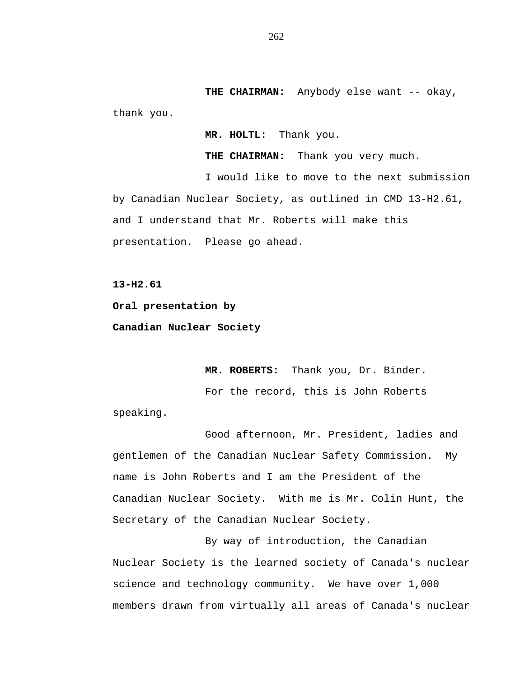THE CHAIRMAN: Anybody else want -- okay, thank you.

**MR. HOLTL:** Thank you.

**THE CHAIRMAN:** Thank you very much.

I would like to move to the next submission by Canadian Nuclear Society, as outlined in CMD 13-H2.61, and I understand that Mr. Roberts will make this presentation. Please go ahead.

**13-H2.61**

**Oral presentation by**

**Canadian Nuclear Society**

**MR. ROBERTS:** Thank you, Dr. Binder. For the record, this is John Roberts speaking.

Good afternoon, Mr. President, ladies and gentlemen of the Canadian Nuclear Safety Commission. My name is John Roberts and I am the President of the Canadian Nuclear Society. With me is Mr. Colin Hunt, the Secretary of the Canadian Nuclear Society.

By way of introduction, the Canadian Nuclear Society is the learned society of Canada's nuclear science and technology community. We have over 1,000 members drawn from virtually all areas of Canada's nuclear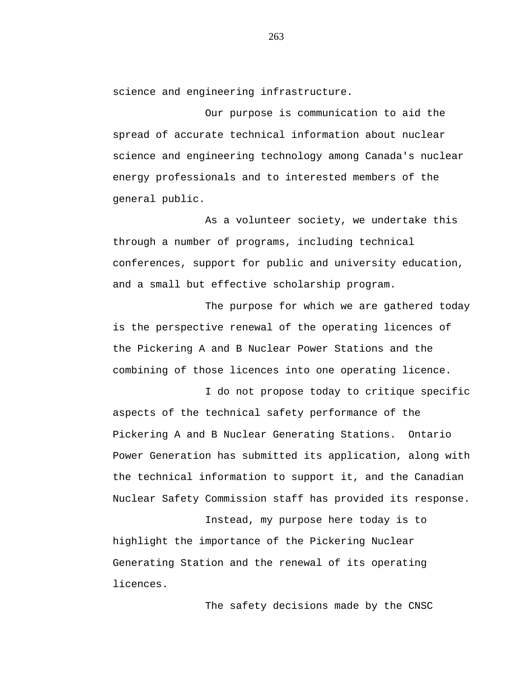science and engineering infrastructure.

Our purpose is communication to aid the spread of accurate technical information about nuclear science and engineering technology among Canada's nuclear energy professionals and to interested members of the general public.

As a volunteer society, we undertake this through a number of programs, including technical conferences, support for public and university education, and a small but effective scholarship program.

The purpose for which we are gathered today is the perspective renewal of the operating licences of the Pickering A and B Nuclear Power Stations and the combining of those licences into one operating licence.

I do not propose today to critique specific aspects of the technical safety performance of the Pickering A and B Nuclear Generating Stations. Ontario Power Generation has submitted its application, along with the technical information to support it, and the Canadian Nuclear Safety Commission staff has provided its response.

Instead, my purpose here today is to highlight the importance of the Pickering Nuclear Generating Station and the renewal of its operating licences.

The safety decisions made by the CNSC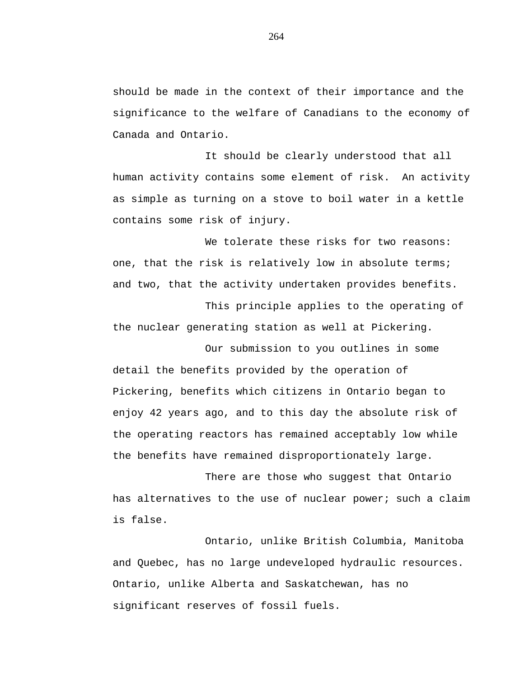should be made in the context of their importance and the significance to the welfare of Canadians to the economy of Canada and Ontario.

It should be clearly understood that all human activity contains some element of risk. An activity as simple as turning on a stove to boil water in a kettle contains some risk of injury.

We tolerate these risks for two reasons: one, that the risk is relatively low in absolute terms; and two, that the activity undertaken provides benefits.

This principle applies to the operating of the nuclear generating station as well at Pickering.

Our submission to you outlines in some detail the benefits provided by the operation of Pickering, benefits which citizens in Ontario began to enjoy 42 years ago, and to this day the absolute risk of the operating reactors has remained acceptably low while the benefits have remained disproportionately large.

There are those who suggest that Ontario has alternatives to the use of nuclear power; such a claim is false.

Ontario, unlike British Columbia, Manitoba and Quebec, has no large undeveloped hydraulic resources. Ontario, unlike Alberta and Saskatchewan, has no significant reserves of fossil fuels.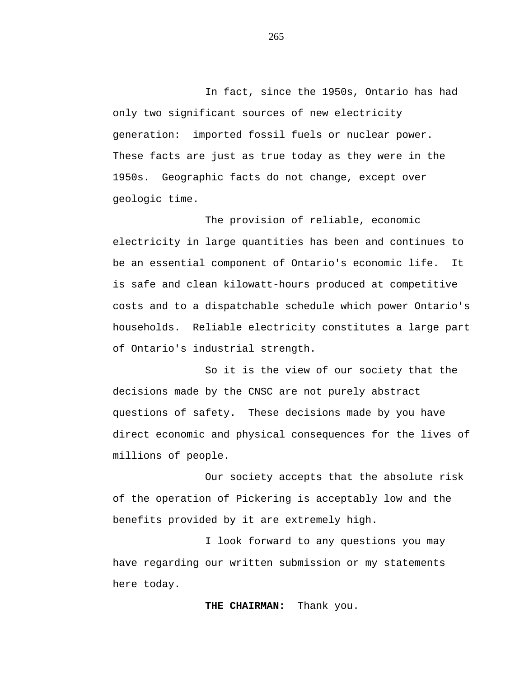In fact, since the 1950s, Ontario has had only two significant sources of new electricity generation: imported fossil fuels or nuclear power. These facts are just as true today as they were in the 1950s. Geographic facts do not change, except over geologic time.

The provision of reliable, economic electricity in large quantities has been and continues to be an essential component of Ontario's economic life. It is safe and clean kilowatt-hours produced at competitive costs and to a dispatchable schedule which power Ontario's households. Reliable electricity constitutes a large part of Ontario's industrial strength.

So it is the view of our society that the decisions made by the CNSC are not purely abstract questions of safety. These decisions made by you have direct economic and physical consequences for the lives of millions of people.

Our society accepts that the absolute risk of the operation of Pickering is acceptably low and the benefits provided by it are extremely high.

I look forward to any questions you may have regarding our written submission or my statements here today.

**THE CHAIRMAN:** Thank you.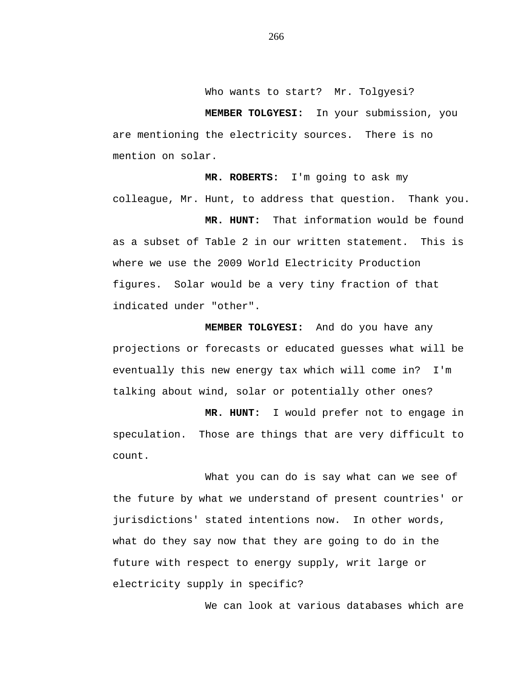Who wants to start? Mr. Tolgyesi?

**MEMBER TOLGYESI:** In your submission, you are mentioning the electricity sources. There is no mention on solar.

**MR. ROBERTS:** I'm going to ask my colleague, Mr. Hunt, to address that question. Thank you.

**MR. HUNT:** That information would be found as a subset of Table 2 in our written statement. This is where we use the 2009 World Electricity Production figures. Solar would be a very tiny fraction of that indicated under "other".

**MEMBER TOLGYESI:** And do you have any projections or forecasts or educated guesses what will be eventually this new energy tax which will come in? I'm talking about wind, solar or potentially other ones?

**MR. HUNT:** I would prefer not to engage in speculation. Those are things that are very difficult to count.

What you can do is say what can we see of the future by what we understand of present countries' or jurisdictions' stated intentions now. In other words, what do they say now that they are going to do in the future with respect to energy supply, writ large or electricity supply in specific?

We can look at various databases which are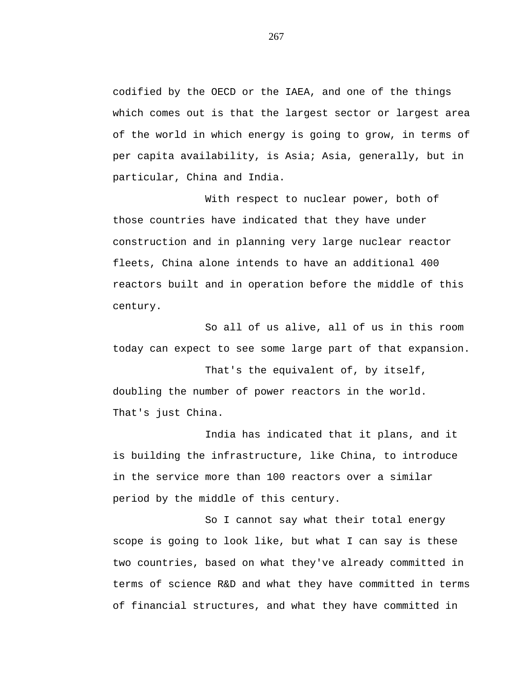codified by the OECD or the IAEA, and one of the things which comes out is that the largest sector or largest area of the world in which energy is going to grow, in terms of per capita availability, is Asia; Asia, generally, but in particular, China and India.

With respect to nuclear power, both of those countries have indicated that they have under construction and in planning very large nuclear reactor fleets, China alone intends to have an additional 400 reactors built and in operation before the middle of this century.

So all of us alive, all of us in this room today can expect to see some large part of that expansion.

That's the equivalent of, by itself, doubling the number of power reactors in the world. That's just China.

India has indicated that it plans, and it is building the infrastructure, like China, to introduce in the service more than 100 reactors over a similar period by the middle of this century.

So I cannot say what their total energy scope is going to look like, but what I can say is these two countries, based on what they've already committed in terms of science R&D and what they have committed in terms of financial structures, and what they have committed in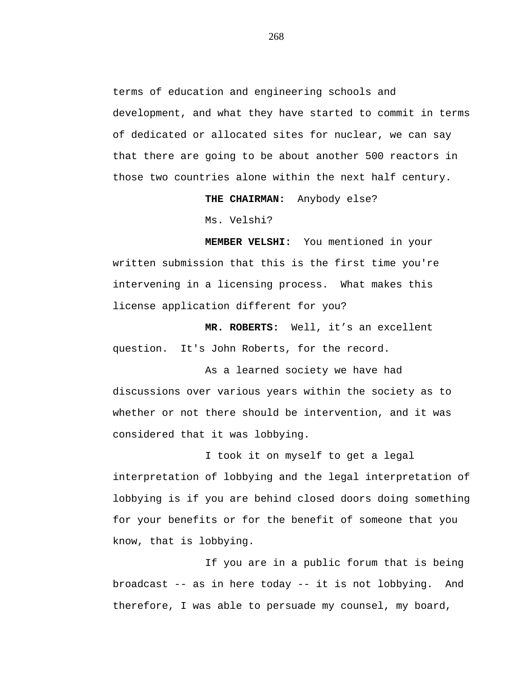terms of education and engineering schools and development, and what they have started to commit in terms of dedicated or allocated sites for nuclear, we can say that there are going to be about another 500 reactors in those two countries alone within the next half century.

**THE CHAIRMAN:** Anybody else?

Ms. Velshi?

**MEMBER VELSHI:** You mentioned in your written submission that this is the first time you're intervening in a licensing process. What makes this license application different for you?

**MR. ROBERTS:** Well, it's an excellent question. It's John Roberts, for the record.

As a learned society we have had discussions over various years within the society as to whether or not there should be intervention, and it was considered that it was lobbying.

I took it on myself to get a legal interpretation of lobbying and the legal interpretation of lobbying is if you are behind closed doors doing something for your benefits or for the benefit of someone that you know, that is lobbying.

If you are in a public forum that is being broadcast -- as in here today -- it is not lobbying. And therefore, I was able to persuade my counsel, my board,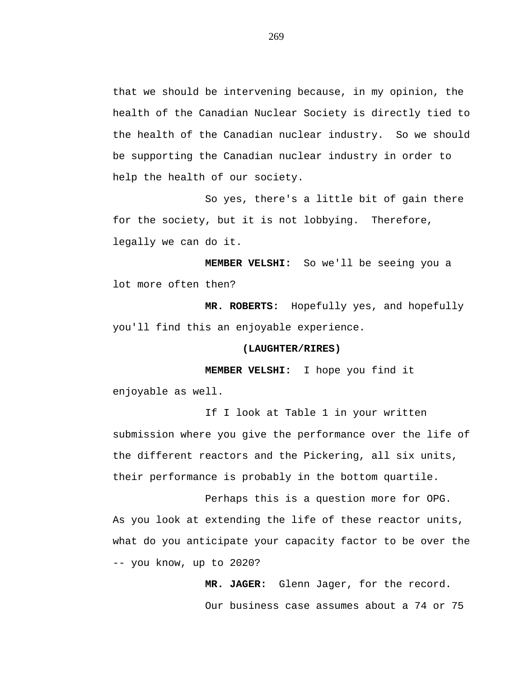that we should be intervening because, in my opinion, the health of the Canadian Nuclear Society is directly tied to the health of the Canadian nuclear industry. So we should be supporting the Canadian nuclear industry in order to help the health of our society.

So yes, there's a little bit of gain there for the society, but it is not lobbying. Therefore, legally we can do it.

**MEMBER VELSHI:** So we'll be seeing you a lot more often then?

**MR. ROBERTS:** Hopefully yes, and hopefully you'll find this an enjoyable experience.

## **(LAUGHTER/RIRES)**

**MEMBER VELSHI:** I hope you find it

enjoyable as well.

If I look at Table 1 in your written submission where you give the performance over the life of the different reactors and the Pickering, all six units, their performance is probably in the bottom quartile.

Perhaps this is a question more for OPG. As you look at extending the life of these reactor units, what do you anticipate your capacity factor to be over the -- you know, up to 2020?

> **MR. JAGER:** Glenn Jager, for the record. Our business case assumes about a 74 or 75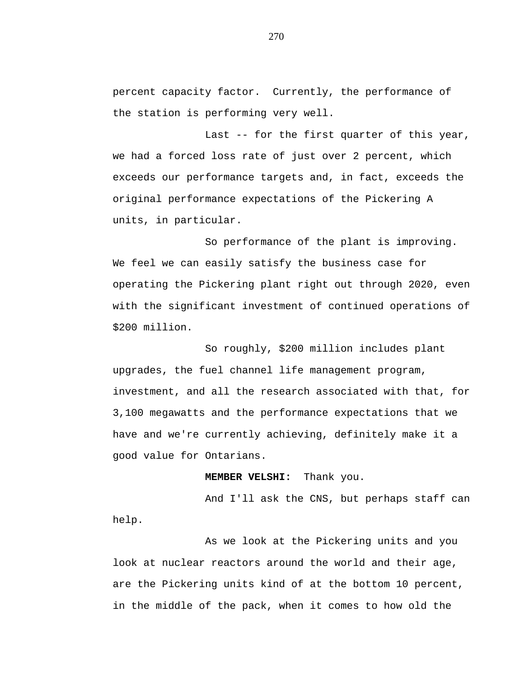percent capacity factor. Currently, the performance of the station is performing very well.

Last -- for the first quarter of this year, we had a forced loss rate of just over 2 percent, which exceeds our performance targets and, in fact, exceeds the original performance expectations of the Pickering A units, in particular.

So performance of the plant is improving. We feel we can easily satisfy the business case for operating the Pickering plant right out through 2020, even with the significant investment of continued operations of \$200 million.

So roughly, \$200 million includes plant upgrades, the fuel channel life management program, investment, and all the research associated with that, for 3,100 megawatts and the performance expectations that we have and we're currently achieving, definitely make it a good value for Ontarians.

### **MEMBER VELSHI:** Thank you.

And I'll ask the CNS, but perhaps staff can help.

As we look at the Pickering units and you look at nuclear reactors around the world and their age, are the Pickering units kind of at the bottom 10 percent, in the middle of the pack, when it comes to how old the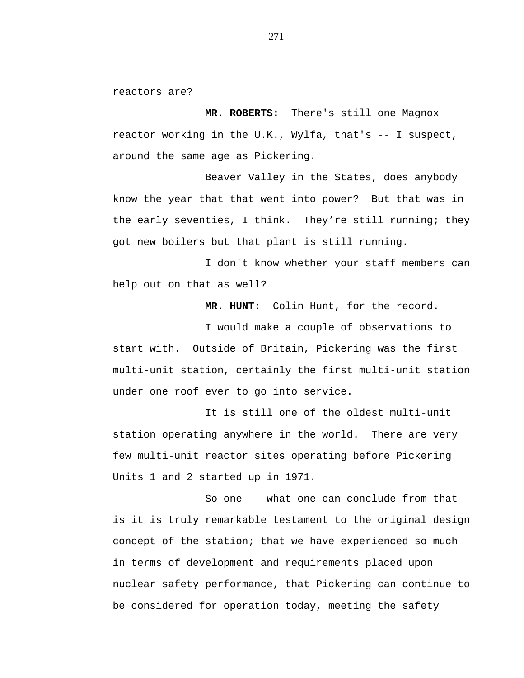reactors are?

**MR. ROBERTS:** There's still one Magnox reactor working in the U.K., Wylfa, that's -- I suspect, around the same age as Pickering.

Beaver Valley in the States, does anybody know the year that that went into power? But that was in the early seventies, I think. They're still running; they got new boilers but that plant is still running.

I don't know whether your staff members can help out on that as well?

**MR. HUNT:** Colin Hunt, for the record.

I would make a couple of observations to start with. Outside of Britain, Pickering was the first multi-unit station, certainly the first multi-unit station under one roof ever to go into service.

It is still one of the oldest multi-unit station operating anywhere in the world. There are very few multi-unit reactor sites operating before Pickering Units 1 and 2 started up in 1971.

So one -- what one can conclude from that is it is truly remarkable testament to the original design concept of the station; that we have experienced so much in terms of development and requirements placed upon nuclear safety performance, that Pickering can continue to be considered for operation today, meeting the safety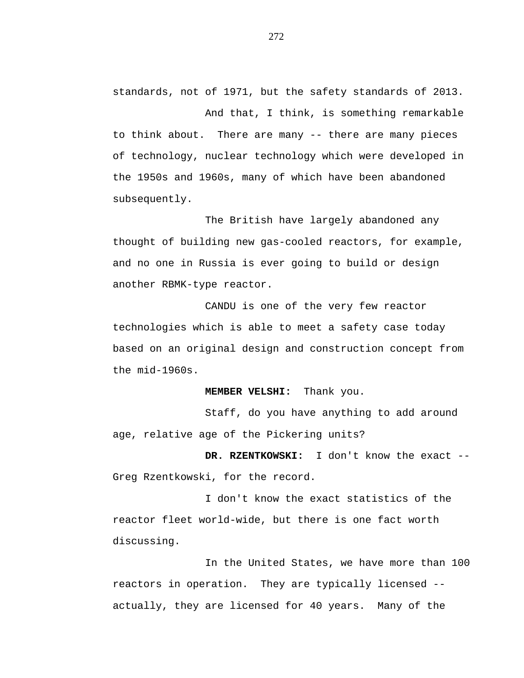standards, not of 1971, but the safety standards of 2013.

And that, I think, is something remarkable to think about. There are many -- there are many pieces of technology, nuclear technology which were developed in the 1950s and 1960s, many of which have been abandoned subsequently.

The British have largely abandoned any thought of building new gas-cooled reactors, for example, and no one in Russia is ever going to build or design another RBMK-type reactor.

CANDU is one of the very few reactor technologies which is able to meet a safety case today based on an original design and construction concept from the mid-1960s.

# **MEMBER VELSHI:** Thank you.

Staff, do you have anything to add around age, relative age of the Pickering units?

**DR. RZENTKOWSKI:** I don't know the exact -- Greg Rzentkowski, for the record.

I don't know the exact statistics of the reactor fleet world-wide, but there is one fact worth discussing.

In the United States, we have more than 100 reactors in operation. They are typically licensed - actually, they are licensed for 40 years. Many of the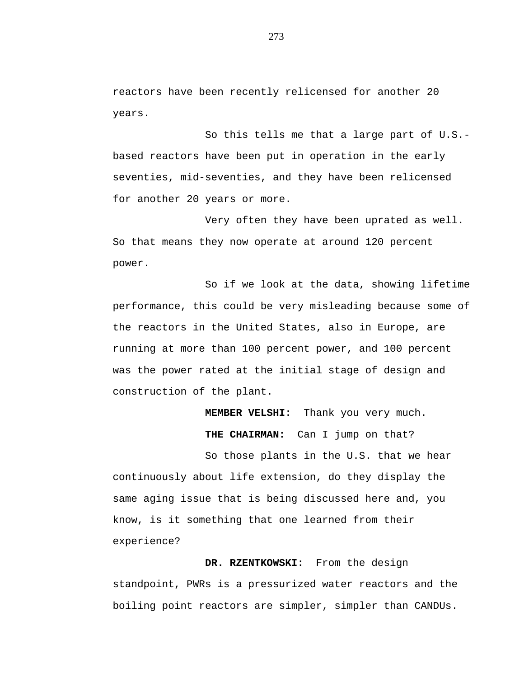reactors have been recently relicensed for another 20 years.

So this tells me that a large part of U.S. based reactors have been put in operation in the early seventies, mid-seventies, and they have been relicensed for another 20 years or more.

Very often they have been uprated as well. So that means they now operate at around 120 percent power.

So if we look at the data, showing lifetime performance, this could be very misleading because some of the reactors in the United States, also in Europe, are running at more than 100 percent power, and 100 percent was the power rated at the initial stage of design and construction of the plant.

> **MEMBER VELSHI:** Thank you very much. **THE CHAIRMAN:** Can I jump on that?

So those plants in the U.S. that we hear continuously about life extension, do they display the same aging issue that is being discussed here and, you know, is it something that one learned from their experience?

**DR. RZENTKOWSKI:** From the design standpoint, PWRs is a pressurized water reactors and the boiling point reactors are simpler, simpler than CANDUs.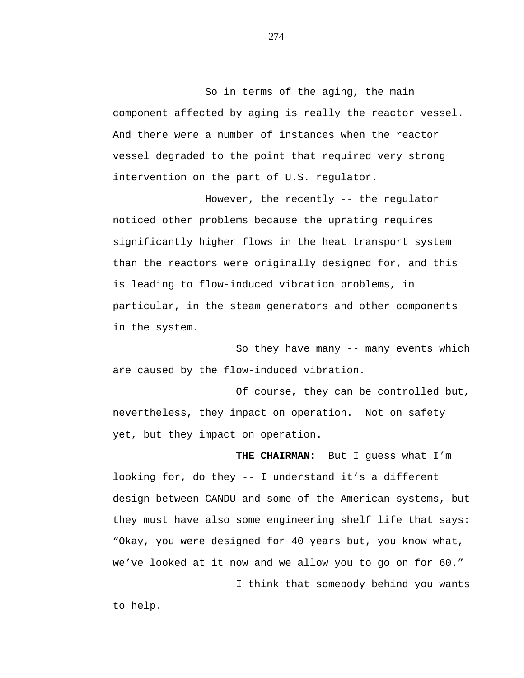So in terms of the aging, the main component affected by aging is really the reactor vessel. And there were a number of instances when the reactor vessel degraded to the point that required very strong intervention on the part of U.S. regulator.

However, the recently -- the regulator noticed other problems because the uprating requires significantly higher flows in the heat transport system than the reactors were originally designed for, and this is leading to flow-induced vibration problems, in particular, in the steam generators and other components in the system.

So they have many -- many events which are caused by the flow-induced vibration.

Of course, they can be controlled but, nevertheless, they impact on operation. Not on safety yet, but they impact on operation.

**THE CHAIRMAN:** But I guess what I'm looking for, do they -- I understand it's a different design between CANDU and some of the American systems, but they must have also some engineering shelf life that says: "Okay, you were designed for 40 years but, you know what, we've looked at it now and we allow you to go on for 60."

I think that somebody behind you wants

to help.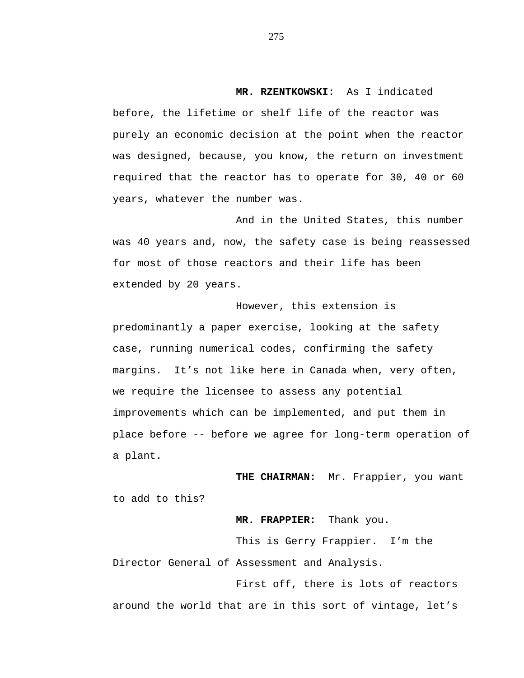#### **MR. RZENTKOWSKI:** As I indicated

before, the lifetime or shelf life of the reactor was purely an economic decision at the point when the reactor was designed, because, you know, the return on investment required that the reactor has to operate for 30, 40 or 60 years, whatever the number was.

And in the United States, this number was 40 years and, now, the safety case is being reassessed for most of those reactors and their life has been extended by 20 years.

However, this extension is predominantly a paper exercise, looking at the safety case, running numerical codes, confirming the safety margins. It's not like here in Canada when, very often, we require the licensee to assess any potential improvements which can be implemented, and put them in place before -- before we agree for long-term operation of a plant.

**THE CHAIRMAN:** Mr. Frappier, you want to add to this?

**MR. FRAPPIER:** Thank you.

This is Gerry Frappier. I'm the Director General of Assessment and Analysis.

First off, there is lots of reactors around the world that are in this sort of vintage, let's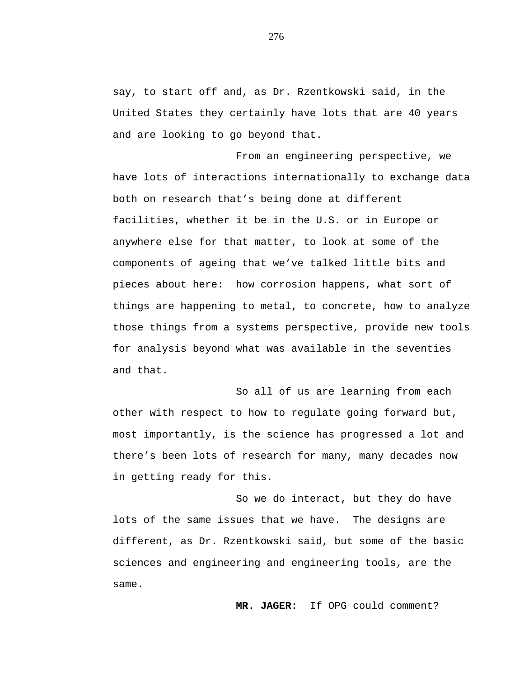say, to start off and, as Dr. Rzentkowski said, in the United States they certainly have lots that are 40 years and are looking to go beyond that.

From an engineering perspective, we have lots of interactions internationally to exchange data both on research that's being done at different facilities, whether it be in the U.S. or in Europe or anywhere else for that matter, to look at some of the components of ageing that we've talked little bits and pieces about here: how corrosion happens, what sort of things are happening to metal, to concrete, how to analyze those things from a systems perspective, provide new tools for analysis beyond what was available in the seventies and that.

So all of us are learning from each other with respect to how to regulate going forward but, most importantly, is the science has progressed a lot and there's been lots of research for many, many decades now in getting ready for this.

So we do interact, but they do have lots of the same issues that we have. The designs are different, as Dr. Rzentkowski said, but some of the basic sciences and engineering and engineering tools, are the same.

**MR. JAGER:** If OPG could comment?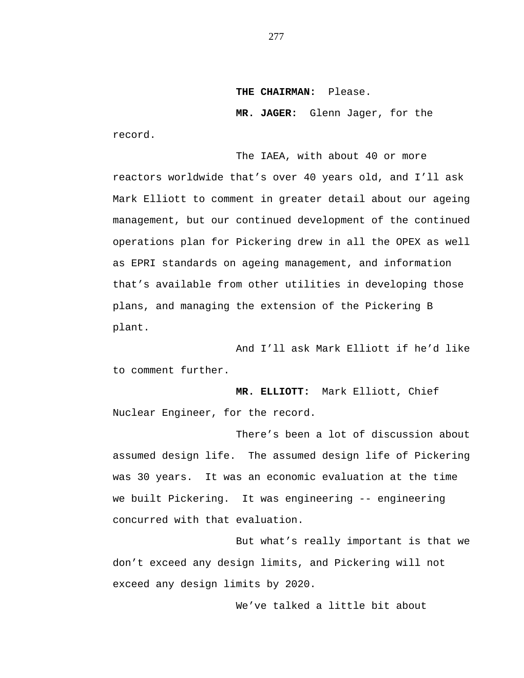### **THE CHAIRMAN:** Please.

**MR. JAGER:** Glenn Jager, for the

record.

The IAEA, with about 40 or more reactors worldwide that's over 40 years old, and I'll ask Mark Elliott to comment in greater detail about our ageing management, but our continued development of the continued operations plan for Pickering drew in all the OPEX as well as EPRI standards on ageing management, and information that's available from other utilities in developing those plans, and managing the extension of the Pickering B plant.

And I'll ask Mark Elliott if he'd like to comment further.

**MR. ELLIOTT:** Mark Elliott, Chief Nuclear Engineer, for the record.

There's been a lot of discussion about assumed design life. The assumed design life of Pickering was 30 years. It was an economic evaluation at the time we built Pickering. It was engineering -- engineering concurred with that evaluation.

But what's really important is that we don't exceed any design limits, and Pickering will not exceed any design limits by 2020.

We've talked a little bit about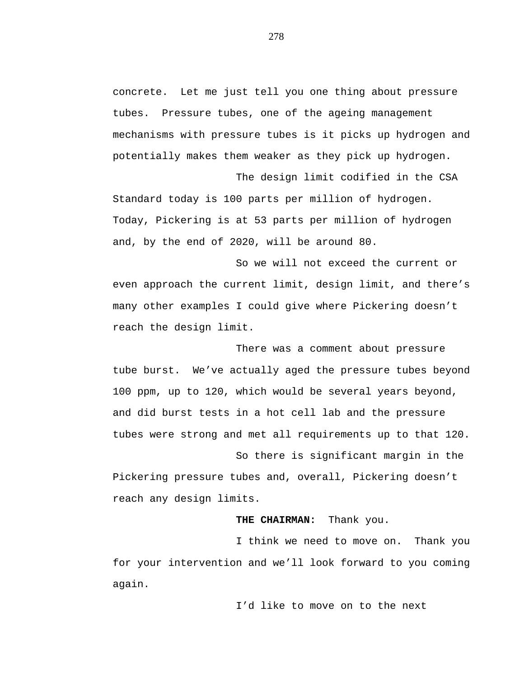concrete. Let me just tell you one thing about pressure tubes. Pressure tubes, one of the ageing management mechanisms with pressure tubes is it picks up hydrogen and potentially makes them weaker as they pick up hydrogen.

The design limit codified in the CSA Standard today is 100 parts per million of hydrogen. Today, Pickering is at 53 parts per million of hydrogen and, by the end of 2020, will be around 80.

So we will not exceed the current or even approach the current limit, design limit, and there's many other examples I could give where Pickering doesn't reach the design limit.

There was a comment about pressure tube burst. We've actually aged the pressure tubes beyond 100 ppm, up to 120, which would be several years beyond, and did burst tests in a hot cell lab and the pressure tubes were strong and met all requirements up to that 120.

So there is significant margin in the Pickering pressure tubes and, overall, Pickering doesn't reach any design limits.

**THE CHAIRMAN:** Thank you.

I think we need to move on. Thank you for your intervention and we'll look forward to you coming again.

I'd like to move on to the next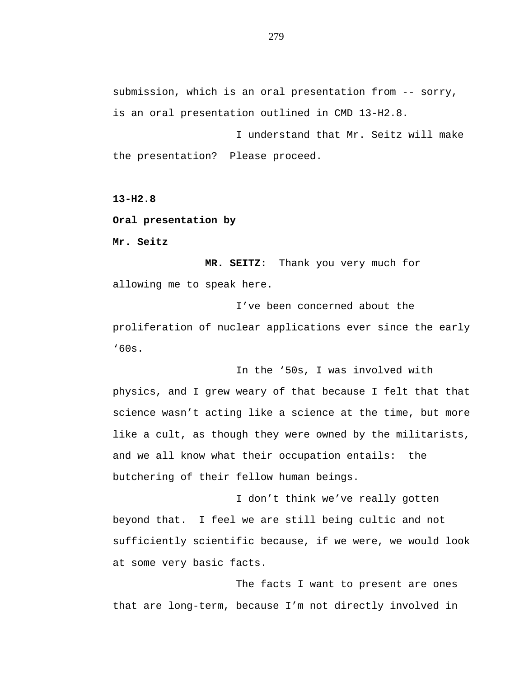submission, which is an oral presentation from -- sorry, is an oral presentation outlined in CMD 13-H2.8.

I understand that Mr. Seitz will make the presentation? Please proceed.

**13-H2.8**

**Oral presentation by**

**Mr. Seitz**

**MR. SEITZ:** Thank you very much for allowing me to speak here.

I've been concerned about the proliferation of nuclear applications ever since the early  $'60s$ .

In the '50s, I was involved with physics, and I grew weary of that because I felt that that science wasn't acting like a science at the time, but more like a cult, as though they were owned by the militarists, and we all know what their occupation entails: the butchering of their fellow human beings.

I don't think we've really gotten beyond that. I feel we are still being cultic and not sufficiently scientific because, if we were, we would look at some very basic facts.

The facts I want to present are ones that are long-term, because I'm not directly involved in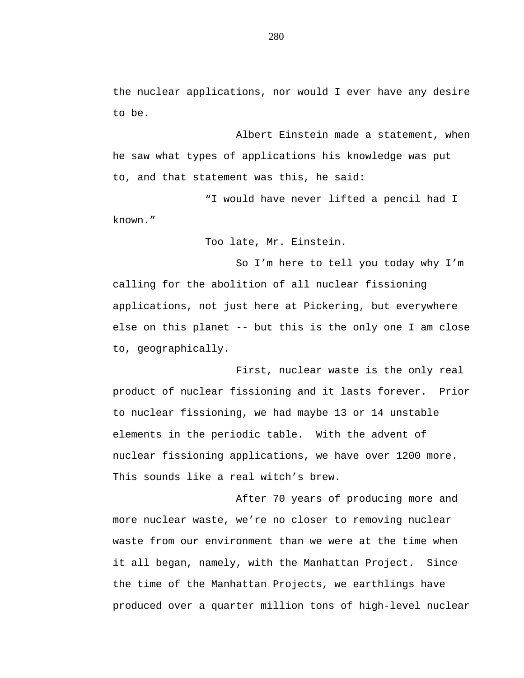the nuclear applications, nor would I ever have any desire to be.

Albert Einstein made a statement, when he saw what types of applications his knowledge was put to, and that statement was this, he said:

"I would have never lifted a pencil had I known."

Too late, Mr. Einstein.

So I'm here to tell you today why I'm calling for the abolition of all nuclear fissioning applications, not just here at Pickering, but everywhere else on this planet -- but this is the only one I am close to, geographically.

First, nuclear waste is the only real product of nuclear fissioning and it lasts forever. Prior to nuclear fissioning, we had maybe 13 or 14 unstable elements in the periodic table. With the advent of nuclear fissioning applications, we have over 1200 more. This sounds like a real witch's brew.

After 70 years of producing more and more nuclear waste, we're no closer to removing nuclear waste from our environment than we were at the time when it all began, namely, with the Manhattan Project. Since the time of the Manhattan Projects, we earthlings have produced over a quarter million tons of high-level nuclear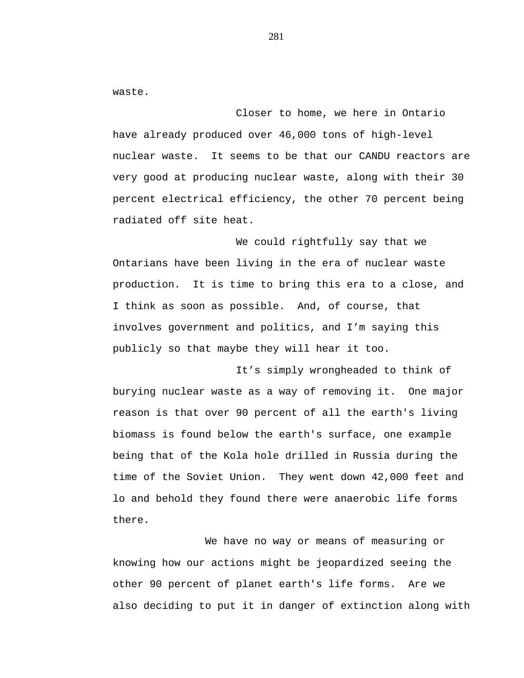waste.

Closer to home, we here in Ontario have already produced over 46,000 tons of high-level nuclear waste. It seems to be that our CANDU reactors are very good at producing nuclear waste, along with their 30 percent electrical efficiency, the other 70 percent being radiated off site heat.

We could rightfully say that we Ontarians have been living in the era of nuclear waste production. It is time to bring this era to a close, and I think as soon as possible. And, of course, that involves government and politics, and I'm saying this publicly so that maybe they will hear it too.

It's simply wrongheaded to think of burying nuclear waste as a way of removing it. One major reason is that over 90 percent of all the earth's living biomass is found below the earth's surface, one example being that of the Kola hole drilled in Russia during the time of the Soviet Union. They went down 42,000 feet and lo and behold they found there were anaerobic life forms there.

We have no way or means of measuring or knowing how our actions might be jeopardized seeing the other 90 percent of planet earth's life forms. Are we also deciding to put it in danger of extinction along with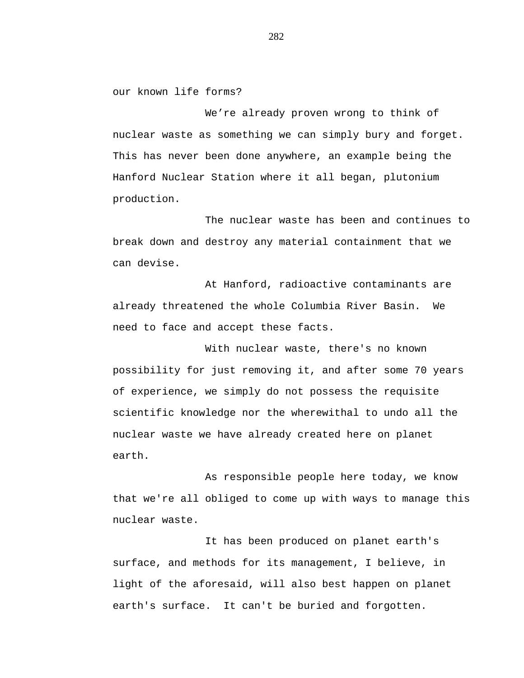our known life forms?

We're already proven wrong to think of nuclear waste as something we can simply bury and forget. This has never been done anywhere, an example being the Hanford Nuclear Station where it all began, plutonium production.

The nuclear waste has been and continues to break down and destroy any material containment that we can devise.

At Hanford, radioactive contaminants are already threatened the whole Columbia River Basin. We need to face and accept these facts.

With nuclear waste, there's no known possibility for just removing it, and after some 70 years of experience, we simply do not possess the requisite scientific knowledge nor the wherewithal to undo all the nuclear waste we have already created here on planet earth.

As responsible people here today, we know that we're all obliged to come up with ways to manage this nuclear waste.

It has been produced on planet earth's surface, and methods for its management, I believe, in light of the aforesaid, will also best happen on planet earth's surface. It can't be buried and forgotten.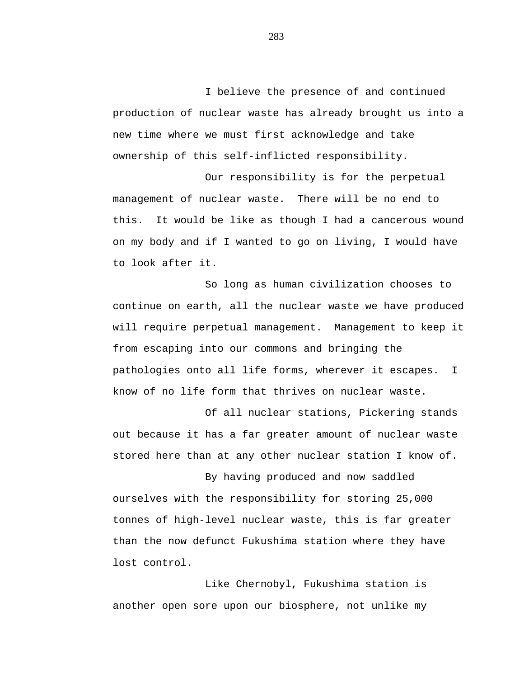I believe the presence of and continued production of nuclear waste has already brought us into a new time where we must first acknowledge and take ownership of this self-inflicted responsibility.

Our responsibility is for the perpetual management of nuclear waste. There will be no end to this. It would be like as though I had a cancerous wound on my body and if I wanted to go on living, I would have to look after it.

So long as human civilization chooses to continue on earth, all the nuclear waste we have produced will require perpetual management. Management to keep it from escaping into our commons and bringing the pathologies onto all life forms, wherever it escapes. I know of no life form that thrives on nuclear waste.

Of all nuclear stations, Pickering stands out because it has a far greater amount of nuclear waste stored here than at any other nuclear station I know of.

By having produced and now saddled ourselves with the responsibility for storing 25,000 tonnes of high-level nuclear waste, this is far greater than the now defunct Fukushima station where they have lost control.

Like Chernobyl, Fukushima station is another open sore upon our biosphere, not unlike my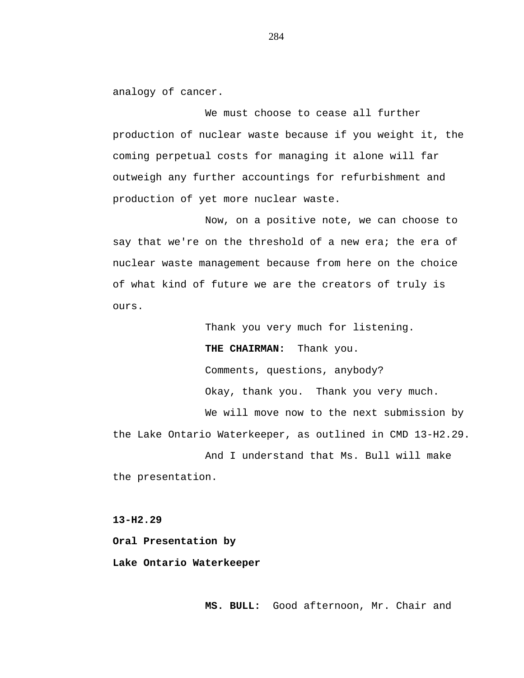analogy of cancer.

We must choose to cease all further production of nuclear waste because if you weight it, the coming perpetual costs for managing it alone will far outweigh any further accountings for refurbishment and production of yet more nuclear waste.

Now, on a positive note, we can choose to say that we're on the threshold of a new era; the era of nuclear waste management because from here on the choice of what kind of future we are the creators of truly is ours.

Thank you very much for listening. **THE CHAIRMAN:** Thank you. Comments, questions, anybody? Okay, thank you. Thank you very much. We will move now to the next submission by the Lake Ontario Waterkeeper, as outlined in CMD 13-H2.29. And I understand that Ms. Bull will make

the presentation.

**13-H2.29**

**Oral Presentation by**

**Lake Ontario Waterkeeper**

**MS. BULL:** Good afternoon, Mr. Chair and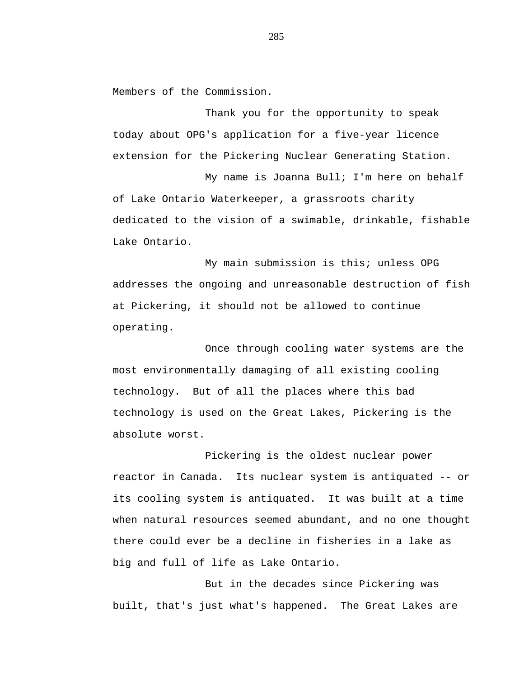Members of the Commission.

Thank you for the opportunity to speak today about OPG's application for a five-year licence extension for the Pickering Nuclear Generating Station.

My name is Joanna Bull; I'm here on behalf of Lake Ontario Waterkeeper, a grassroots charity dedicated to the vision of a swimable, drinkable, fishable Lake Ontario.

My main submission is this; unless OPG addresses the ongoing and unreasonable destruction of fish at Pickering, it should not be allowed to continue operating.

Once through cooling water systems are the most environmentally damaging of all existing cooling technology. But of all the places where this bad technology is used on the Great Lakes, Pickering is the absolute worst.

Pickering is the oldest nuclear power reactor in Canada. Its nuclear system is antiquated -- or its cooling system is antiquated. It was built at a time when natural resources seemed abundant, and no one thought there could ever be a decline in fisheries in a lake as big and full of life as Lake Ontario.

But in the decades since Pickering was built, that's just what's happened. The Great Lakes are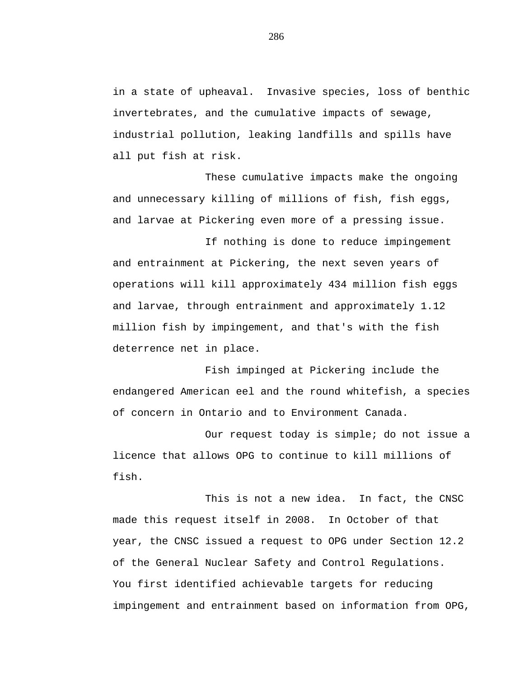in a state of upheaval. Invasive species, loss of benthic invertebrates, and the cumulative impacts of sewage, industrial pollution, leaking landfills and spills have all put fish at risk.

These cumulative impacts make the ongoing and unnecessary killing of millions of fish, fish eggs, and larvae at Pickering even more of a pressing issue.

If nothing is done to reduce impingement and entrainment at Pickering, the next seven years of operations will kill approximately 434 million fish eggs and larvae, through entrainment and approximately 1.12 million fish by impingement, and that's with the fish deterrence net in place.

Fish impinged at Pickering include the endangered American eel and the round whitefish, a species of concern in Ontario and to Environment Canada.

Our request today is simple; do not issue a licence that allows OPG to continue to kill millions of fish.

This is not a new idea. In fact, the CNSC made this request itself in 2008. In October of that year, the CNSC issued a request to OPG under Section 12.2 of the General Nuclear Safety and Control Regulations. You first identified achievable targets for reducing impingement and entrainment based on information from OPG,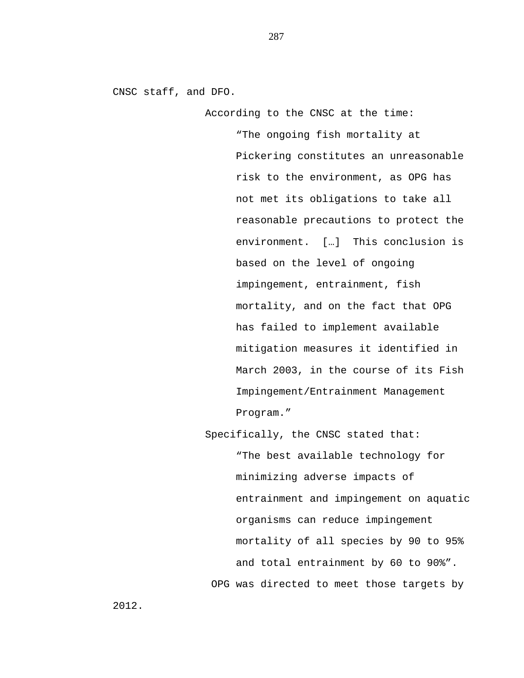CNSC staff, and DFO.

According to the CNSC at the time: "The ongoing fish mortality at Pickering constitutes an unreasonable risk to the environment, as OPG has not met its obligations to take all reasonable precautions to protect the environment. […] This conclusion is based on the level of ongoing impingement, entrainment, fish mortality, and on the fact that OPG has failed to implement available mitigation measures it identified in March 2003, in the course of its Fish Impingement/Entrainment Management Program."

Specifically, the CNSC stated that: "The best available technology for minimizing adverse impacts of entrainment and impingement on aquatic organisms can reduce impingement mortality of all species by 90 to 95% and total entrainment by 60 to 90%". OPG was directed to meet those targets by

287

2012.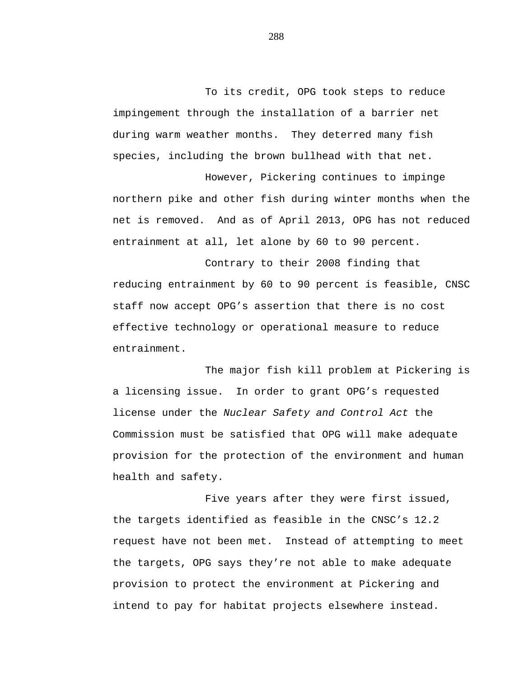To its credit, OPG took steps to reduce impingement through the installation of a barrier net during warm weather months. They deterred many fish species, including the brown bullhead with that net.

However, Pickering continues to impinge northern pike and other fish during winter months when the net is removed. And as of April 2013, OPG has not reduced entrainment at all, let alone by 60 to 90 percent.

Contrary to their 2008 finding that reducing entrainment by 60 to 90 percent is feasible, CNSC staff now accept OPG's assertion that there is no cost effective technology or operational measure to reduce entrainment.

The major fish kill problem at Pickering is a licensing issue. In order to grant OPG's requested license under the *Nuclear Safety and Control Act* the Commission must be satisfied that OPG will make adequate provision for the protection of the environment and human health and safety.

Five years after they were first issued, the targets identified as feasible in the CNSC's 12.2 request have not been met. Instead of attempting to meet the targets, OPG says they're not able to make adequate provision to protect the environment at Pickering and intend to pay for habitat projects elsewhere instead.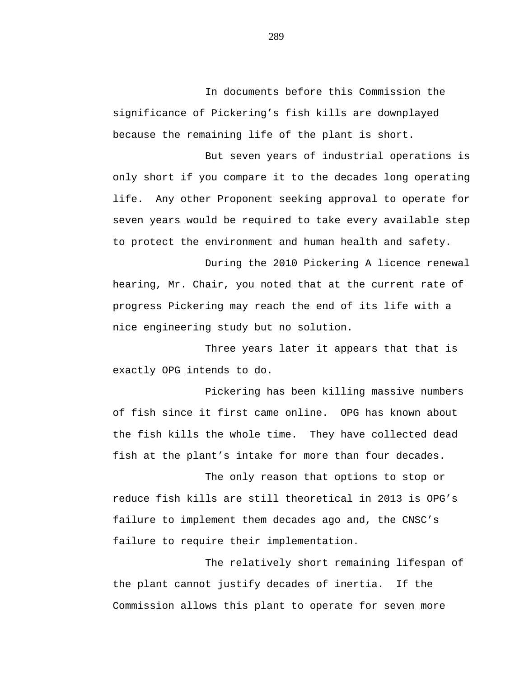In documents before this Commission the significance of Pickering's fish kills are downplayed because the remaining life of the plant is short.

But seven years of industrial operations is only short if you compare it to the decades long operating life. Any other Proponent seeking approval to operate for seven years would be required to take every available step to protect the environment and human health and safety.

During the 2010 Pickering A licence renewal hearing, Mr. Chair, you noted that at the current rate of progress Pickering may reach the end of its life with a nice engineering study but no solution.

Three years later it appears that that is exactly OPG intends to do.

Pickering has been killing massive numbers of fish since it first came online. OPG has known about the fish kills the whole time. They have collected dead fish at the plant's intake for more than four decades.

The only reason that options to stop or reduce fish kills are still theoretical in 2013 is OPG's failure to implement them decades ago and, the CNSC's failure to require their implementation.

The relatively short remaining lifespan of the plant cannot justify decades of inertia. If the Commission allows this plant to operate for seven more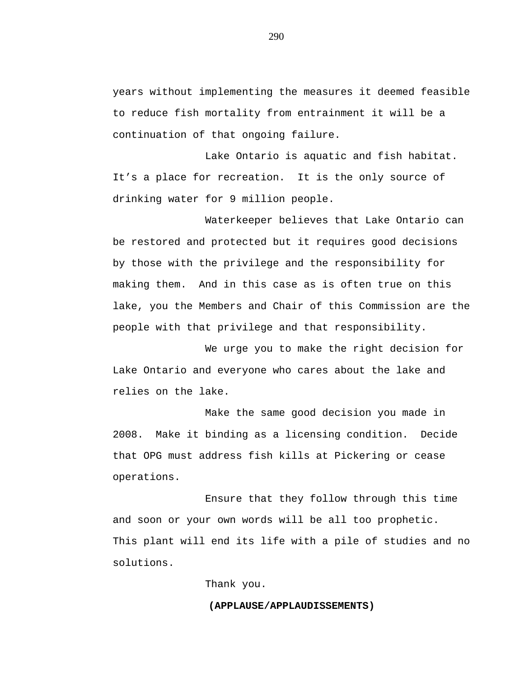years without implementing the measures it deemed feasible to reduce fish mortality from entrainment it will be a continuation of that ongoing failure.

Lake Ontario is aquatic and fish habitat. It's a place for recreation. It is the only source of drinking water for 9 million people.

Waterkeeper believes that Lake Ontario can be restored and protected but it requires good decisions by those with the privilege and the responsibility for making them. And in this case as is often true on this lake, you the Members and Chair of this Commission are the people with that privilege and that responsibility.

We urge you to make the right decision for Lake Ontario and everyone who cares about the lake and relies on the lake.

Make the same good decision you made in 2008. Make it binding as a licensing condition. Decide that OPG must address fish kills at Pickering or cease operations.

Ensure that they follow through this time and soon or your own words will be all too prophetic. This plant will end its life with a pile of studies and no solutions.

Thank you.

## **(APPLAUSE/APPLAUDISSEMENTS)**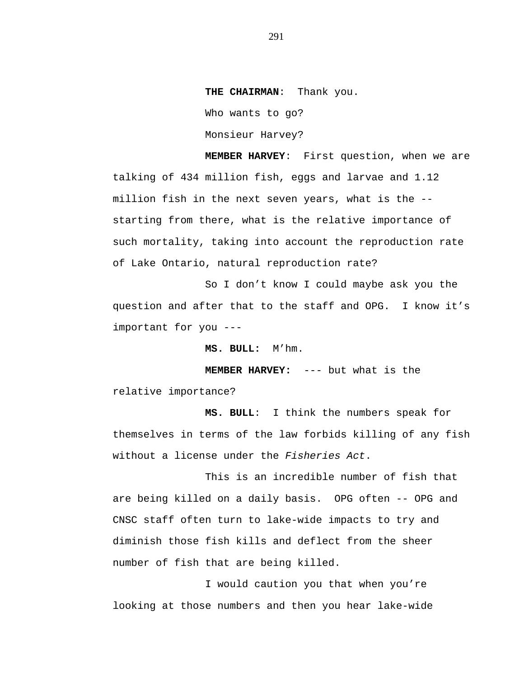## **THE CHAIRMAN**: Thank you.

Who wants to go?

Monsieur Harvey?

**MEMBER HARVEY**: First question, when we are talking of 434 million fish, eggs and larvae and 1.12 million fish in the next seven years, what is the - starting from there, what is the relative importance of such mortality, taking into account the reproduction rate of Lake Ontario, natural reproduction rate?

So I don't know I could maybe ask you the question and after that to the staff and OPG. I know it's important for you ---

**MS. BULL:** M'hm.

**MEMBER HARVEY:** --- but what is the

relative importance?

**MS. BULL**: I think the numbers speak for themselves in terms of the law forbids killing of any fish without a license under the *Fisheries Act*.

This is an incredible number of fish that are being killed on a daily basis. OPG often -- OPG and CNSC staff often turn to lake-wide impacts to try and diminish those fish kills and deflect from the sheer number of fish that are being killed.

I would caution you that when you're looking at those numbers and then you hear lake-wide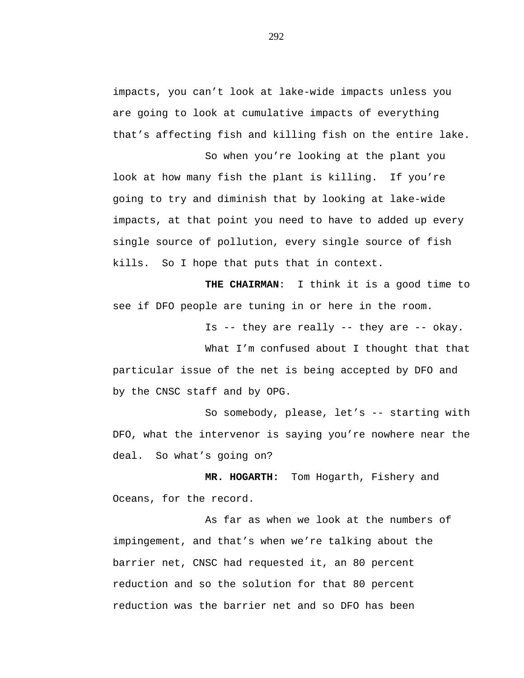impacts, you can't look at lake-wide impacts unless you are going to look at cumulative impacts of everything that's affecting fish and killing fish on the entire lake.

So when you're looking at the plant you look at how many fish the plant is killing. If you're going to try and diminish that by looking at lake-wide impacts, at that point you need to have to added up every single source of pollution, every single source of fish kills. So I hope that puts that in context.

**THE CHAIRMAN**: I think it is a good time to see if DFO people are tuning in or here in the room.

Is -- they are really -- they are -- okay.

What I'm confused about I thought that that particular issue of the net is being accepted by DFO and by the CNSC staff and by OPG.

So somebody, please, let's -- starting with DFO, what the intervenor is saying you're nowhere near the deal. So what's going on?

**MR. HOGARTH:** Tom Hogarth, Fishery and Oceans, for the record.

As far as when we look at the numbers of impingement, and that's when we're talking about the barrier net, CNSC had requested it, an 80 percent reduction and so the solution for that 80 percent reduction was the barrier net and so DFO has been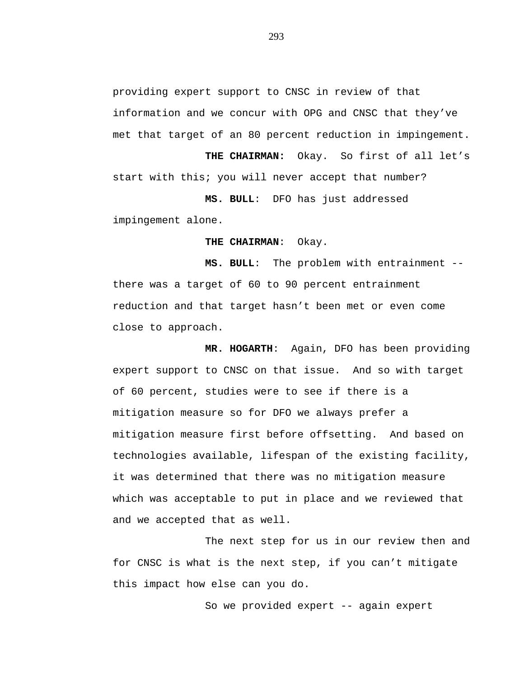providing expert support to CNSC in review of that information and we concur with OPG and CNSC that they've met that target of an 80 percent reduction in impingement.

**THE CHAIRMAN:** Okay. So first of all let's start with this; you will never accept that number?

**MS. BULL**: DFO has just addressed impingement alone.

**THE CHAIRMAN**: Okay.

**MS. BULL**: The problem with entrainment - there was a target of 60 to 90 percent entrainment reduction and that target hasn't been met or even come close to approach.

**MR. HOGARTH**: Again, DFO has been providing expert support to CNSC on that issue. And so with target of 60 percent, studies were to see if there is a mitigation measure so for DFO we always prefer a mitigation measure first before offsetting. And based on technologies available, lifespan of the existing facility, it was determined that there was no mitigation measure which was acceptable to put in place and we reviewed that and we accepted that as well.

The next step for us in our review then and for CNSC is what is the next step, if you can't mitigate this impact how else can you do.

So we provided expert -- again expert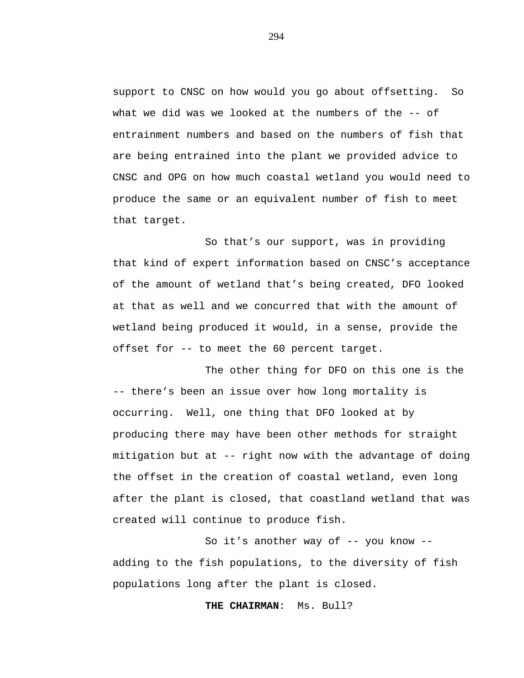support to CNSC on how would you go about offsetting. So what we did was we looked at the numbers of the -- of entrainment numbers and based on the numbers of fish that are being entrained into the plant we provided advice to CNSC and OPG on how much coastal wetland you would need to produce the same or an equivalent number of fish to meet that target.

So that's our support, was in providing that kind of expert information based on CNSC's acceptance of the amount of wetland that's being created, DFO looked at that as well and we concurred that with the amount of wetland being produced it would, in a sense, provide the offset for -- to meet the 60 percent target.

The other thing for DFO on this one is the -- there's been an issue over how long mortality is occurring. Well, one thing that DFO looked at by producing there may have been other methods for straight mitigation but at -- right now with the advantage of doing the offset in the creation of coastal wetland, even long after the plant is closed, that coastland wetland that was created will continue to produce fish.

So it's another way of -- you know -adding to the fish populations, to the diversity of fish populations long after the plant is closed.

**THE CHAIRMAN**: Ms. Bull?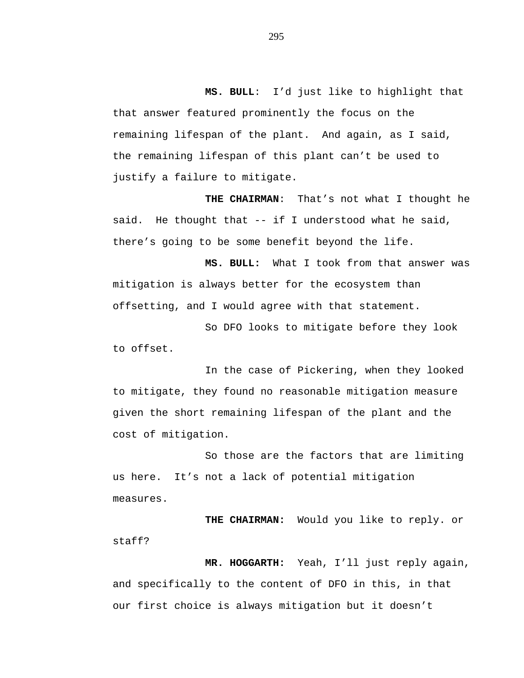**MS. BULL**: I'd just like to highlight that that answer featured prominently the focus on the remaining lifespan of the plant. And again, as I said, the remaining lifespan of this plant can't be used to justify a failure to mitigate.

**THE CHAIRMAN**: That's not what I thought he said. He thought that -- if I understood what he said, there's going to be some benefit beyond the life.

**MS. BULL:** What I took from that answer was mitigation is always better for the ecosystem than offsetting, and I would agree with that statement.

So DFO looks to mitigate before they look to offset.

In the case of Pickering, when they looked to mitigate, they found no reasonable mitigation measure given the short remaining lifespan of the plant and the cost of mitigation.

So those are the factors that are limiting us here. It's not a lack of potential mitigation measures.

**THE CHAIRMAN:** Would you like to reply. or staff?

**MR. HOGGARTH:** Yeah, I'll just reply again, and specifically to the content of DFO in this, in that our first choice is always mitigation but it doesn't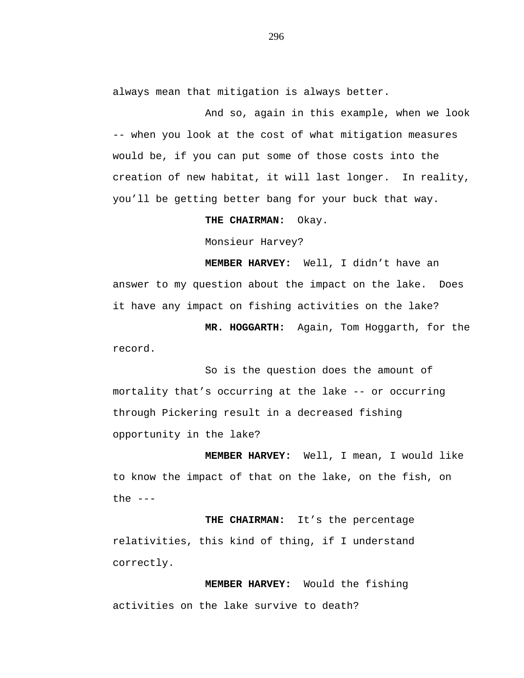always mean that mitigation is always better.

And so, again in this example, when we look -- when you look at the cost of what mitigation measures would be, if you can put some of those costs into the creation of new habitat, it will last longer. In reality, you'll be getting better bang for your buck that way.

**THE CHAIRMAN:** Okay.

Monsieur Harvey?

**MEMBER HARVEY:** Well, I didn't have an answer to my question about the impact on the lake. Does it have any impact on fishing activities on the lake?

**MR. HOGGARTH:** Again, Tom Hoggarth, for the record.

So is the question does the amount of mortality that's occurring at the lake -- or occurring through Pickering result in a decreased fishing opportunity in the lake?

**MEMBER HARVEY:** Well, I mean, I would like to know the impact of that on the lake, on the fish, on the  $---$ 

**THE CHAIRMAN:** It's the percentage relativities, this kind of thing, if I understand correctly.

**MEMBER HARVEY:** Would the fishing activities on the lake survive to death?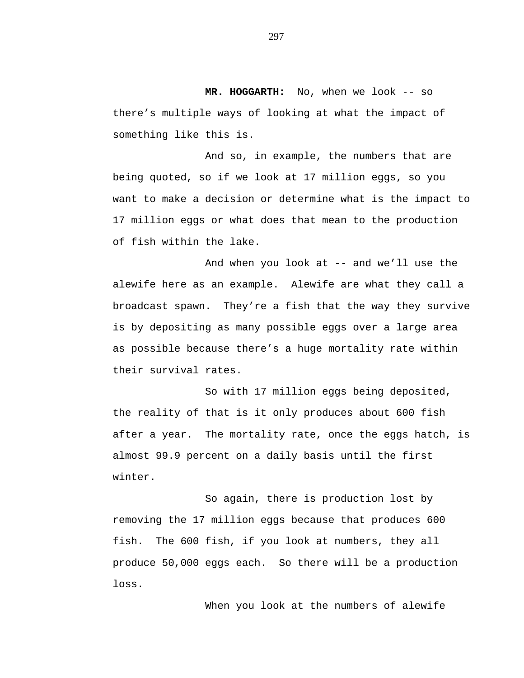**MR. HOGGARTH:** No, when we look -- so there's multiple ways of looking at what the impact of something like this is.

And so, in example, the numbers that are being quoted, so if we look at 17 million eggs, so you want to make a decision or determine what is the impact to 17 million eggs or what does that mean to the production of fish within the lake.

And when you look at -- and we'll use the alewife here as an example. Alewife are what they call a broadcast spawn. They're a fish that the way they survive is by depositing as many possible eggs over a large area as possible because there's a huge mortality rate within their survival rates.

So with 17 million eggs being deposited, the reality of that is it only produces about 600 fish after a year. The mortality rate, once the eggs hatch, is almost 99.9 percent on a daily basis until the first winter.

So again, there is production lost by removing the 17 million eggs because that produces 600 fish. The 600 fish, if you look at numbers, they all produce 50,000 eggs each. So there will be a production loss.

When you look at the numbers of alewife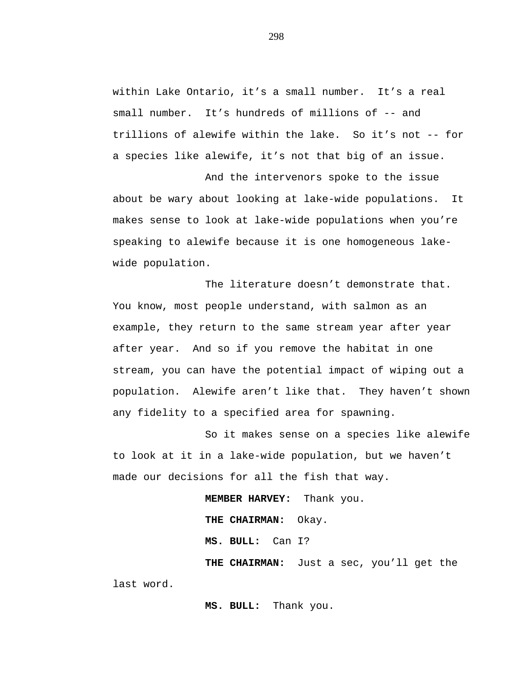within Lake Ontario, it's a small number. It's a real small number. It's hundreds of millions of -- and trillions of alewife within the lake. So it's not -- for a species like alewife, it's not that big of an issue.

And the intervenors spoke to the issue about be wary about looking at lake-wide populations. It makes sense to look at lake-wide populations when you're speaking to alewife because it is one homogeneous lakewide population.

The literature doesn't demonstrate that. You know, most people understand, with salmon as an example, they return to the same stream year after year after year. And so if you remove the habitat in one stream, you can have the potential impact of wiping out a population. Alewife aren't like that. They haven't shown any fidelity to a specified area for spawning.

So it makes sense on a species like alewife to look at it in a lake-wide population, but we haven't made our decisions for all the fish that way.

> **MEMBER HARVEY:** Thank you. **THE CHAIRMAN:** Okay. **MS. BULL:** Can I? **THE CHAIRMAN:** Just a sec, you'll get the

last word.

**MS. BULL:** Thank you.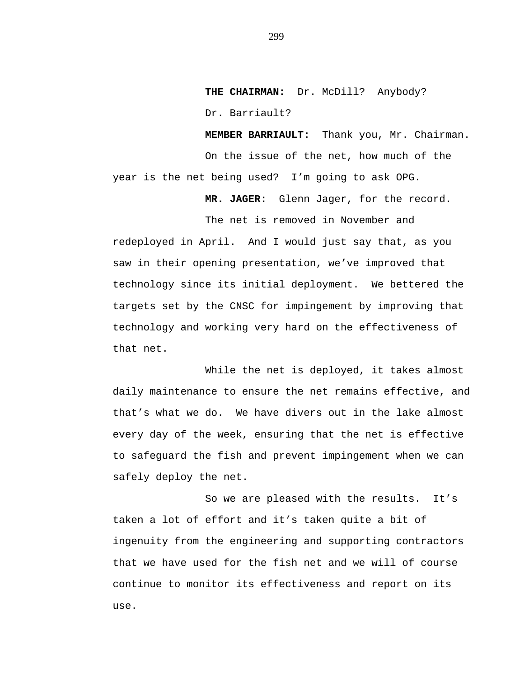**THE CHAIRMAN:** Dr. McDill? Anybody? Dr. Barriault?

**MEMBER BARRIAULT:** Thank you, Mr. Chairman. On the issue of the net, how much of the year is the net being used? I'm going to ask OPG.

**MR. JAGER:** Glenn Jager, for the record.

The net is removed in November and

redeployed in April. And I would just say that, as you saw in their opening presentation, we've improved that technology since its initial deployment. We bettered the targets set by the CNSC for impingement by improving that technology and working very hard on the effectiveness of that net.

While the net is deployed, it takes almost daily maintenance to ensure the net remains effective, and that's what we do. We have divers out in the lake almost every day of the week, ensuring that the net is effective to safeguard the fish and prevent impingement when we can safely deploy the net.

So we are pleased with the results. It's taken a lot of effort and it's taken quite a bit of ingenuity from the engineering and supporting contractors that we have used for the fish net and we will of course continue to monitor its effectiveness and report on its use.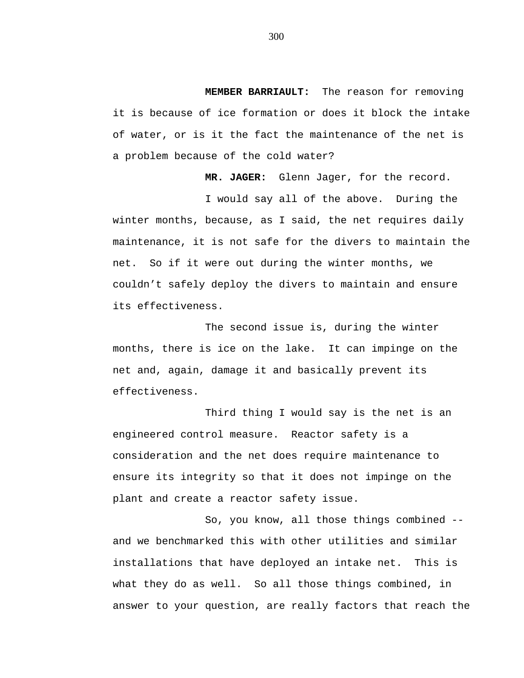**MEMBER BARRIAULT:** The reason for removing it is because of ice formation or does it block the intake of water, or is it the fact the maintenance of the net is a problem because of the cold water?

**MR. JAGER:** Glenn Jager, for the record.

I would say all of the above. During the winter months, because, as I said, the net requires daily maintenance, it is not safe for the divers to maintain the net. So if it were out during the winter months, we couldn't safely deploy the divers to maintain and ensure its effectiveness.

The second issue is, during the winter months, there is ice on the lake. It can impinge on the net and, again, damage it and basically prevent its effectiveness.

Third thing I would say is the net is an engineered control measure. Reactor safety is a consideration and the net does require maintenance to ensure its integrity so that it does not impinge on the plant and create a reactor safety issue.

So, you know, all those things combined - and we benchmarked this with other utilities and similar installations that have deployed an intake net. This is what they do as well. So all those things combined, in answer to your question, are really factors that reach the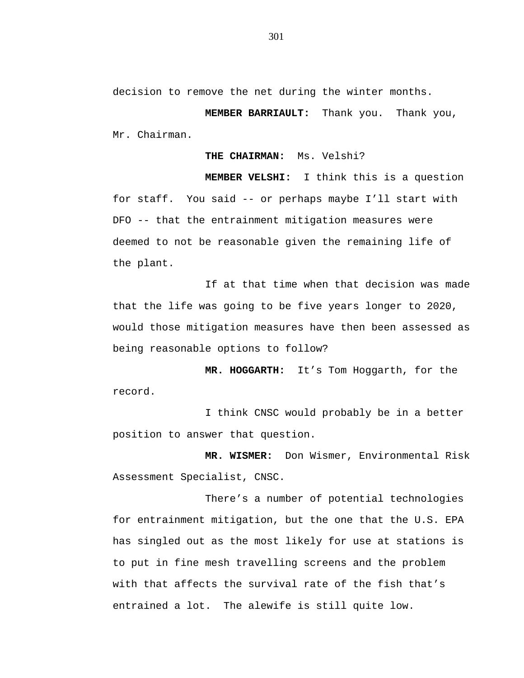decision to remove the net during the winter months.

**MEMBER BARRIAULT:** Thank you. Thank you, Mr. Chairman.

**THE CHAIRMAN:** Ms. Velshi?

**MEMBER VELSHI:** I think this is a question for staff. You said -- or perhaps maybe I'll start with DFO -- that the entrainment mitigation measures were deemed to not be reasonable given the remaining life of the plant.

If at that time when that decision was made that the life was going to be five years longer to 2020, would those mitigation measures have then been assessed as being reasonable options to follow?

**MR. HOGGARTH:** It's Tom Hoggarth, for the record.

I think CNSC would probably be in a better position to answer that question.

**MR. WISMER:** Don Wismer, Environmental Risk Assessment Specialist, CNSC.

There's a number of potential technologies for entrainment mitigation, but the one that the U.S. EPA has singled out as the most likely for use at stations is to put in fine mesh travelling screens and the problem with that affects the survival rate of the fish that's entrained a lot. The alewife is still quite low.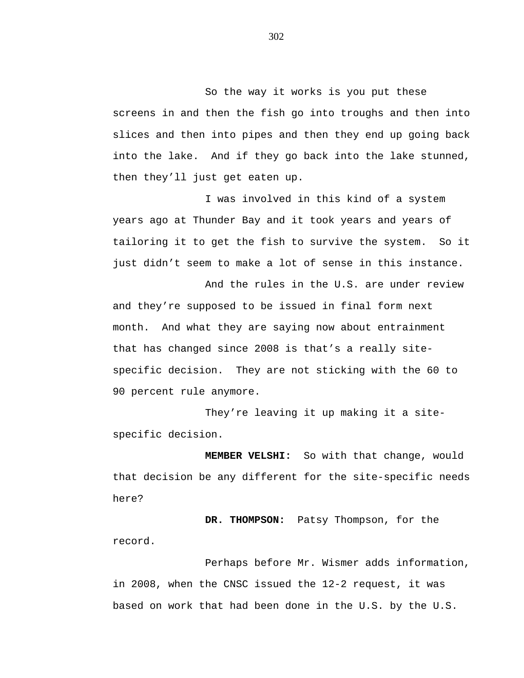So the way it works is you put these screens in and then the fish go into troughs and then into slices and then into pipes and then they end up going back into the lake. And if they go back into the lake stunned, then they'll just get eaten up.

I was involved in this kind of a system years ago at Thunder Bay and it took years and years of tailoring it to get the fish to survive the system. So it just didn't seem to make a lot of sense in this instance.

And the rules in the U.S. are under review and they're supposed to be issued in final form next month. And what they are saying now about entrainment that has changed since 2008 is that's a really sitespecific decision. They are not sticking with the 60 to 90 percent rule anymore.

They're leaving it up making it a sitespecific decision.

**MEMBER VELSHI:** So with that change, would that decision be any different for the site-specific needs here?

**DR. THOMPSON:** Patsy Thompson, for the record.

Perhaps before Mr. Wismer adds information, in 2008, when the CNSC issued the 12-2 request, it was based on work that had been done in the U.S. by the U.S.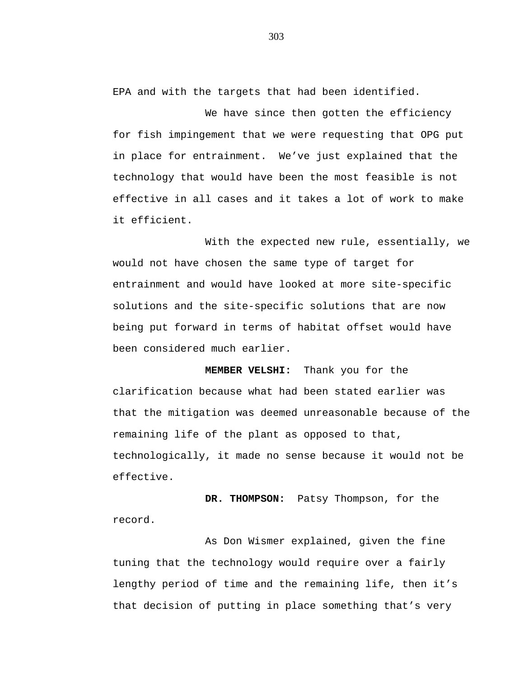EPA and with the targets that had been identified.

We have since then gotten the efficiency for fish impingement that we were requesting that OPG put in place for entrainment. We've just explained that the technology that would have been the most feasible is not effective in all cases and it takes a lot of work to make it efficient.

With the expected new rule, essentially, we would not have chosen the same type of target for entrainment and would have looked at more site-specific solutions and the site-specific solutions that are now being put forward in terms of habitat offset would have been considered much earlier.

**MEMBER VELSHI:** Thank you for the clarification because what had been stated earlier was that the mitigation was deemed unreasonable because of the remaining life of the plant as opposed to that, technologically, it made no sense because it would not be effective.

**DR. THOMPSON:** Patsy Thompson, for the record.

As Don Wismer explained, given the fine tuning that the technology would require over a fairly lengthy period of time and the remaining life, then it's that decision of putting in place something that's very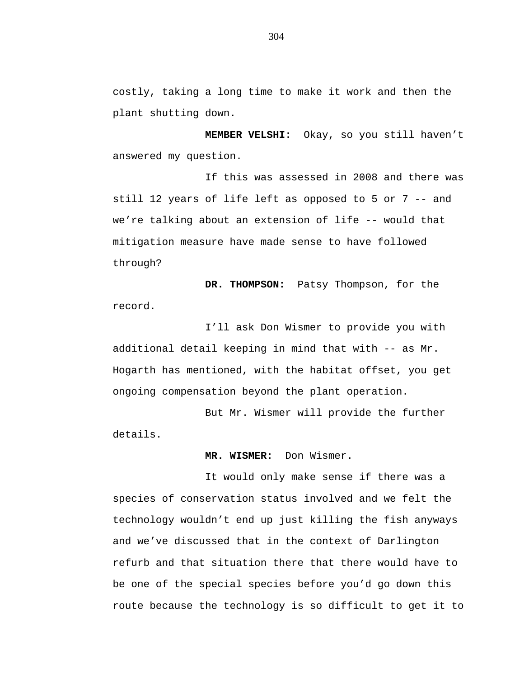costly, taking a long time to make it work and then the plant shutting down.

**MEMBER VELSHI:** Okay, so you still haven't answered my question.

If this was assessed in 2008 and there was still 12 years of life left as opposed to 5 or 7 -- and we're talking about an extension of life -- would that mitigation measure have made sense to have followed through?

**DR. THOMPSON:** Patsy Thompson, for the record.

I'll ask Don Wismer to provide you with additional detail keeping in mind that with -- as Mr. Hogarth has mentioned, with the habitat offset, you get ongoing compensation beyond the plant operation.

But Mr. Wismer will provide the further details.

## **MR. WISMER:** Don Wismer.

It would only make sense if there was a species of conservation status involved and we felt the technology wouldn't end up just killing the fish anyways and we've discussed that in the context of Darlington refurb and that situation there that there would have to be one of the special species before you'd go down this route because the technology is so difficult to get it to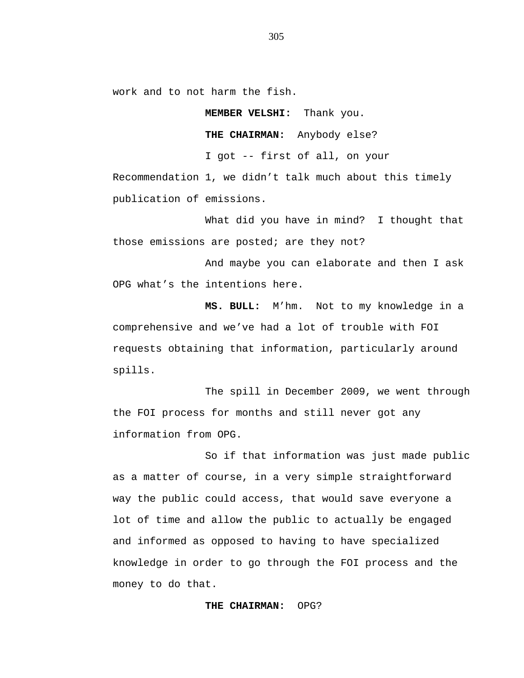work and to not harm the fish.

**MEMBER VELSHI:** Thank you.

**THE CHAIRMAN:** Anybody else?

I got -- first of all, on your

Recommendation 1, we didn't talk much about this timely publication of emissions.

What did you have in mind? I thought that those emissions are posted; are they not?

And maybe you can elaborate and then I ask OPG what's the intentions here.

**MS. BULL:** M'hm. Not to my knowledge in a comprehensive and we've had a lot of trouble with FOI requests obtaining that information, particularly around spills.

The spill in December 2009, we went through the FOI process for months and still never got any information from OPG.

So if that information was just made public as a matter of course, in a very simple straightforward way the public could access, that would save everyone a lot of time and allow the public to actually be engaged and informed as opposed to having to have specialized knowledge in order to go through the FOI process and the money to do that.

**THE CHAIRMAN:** OPG?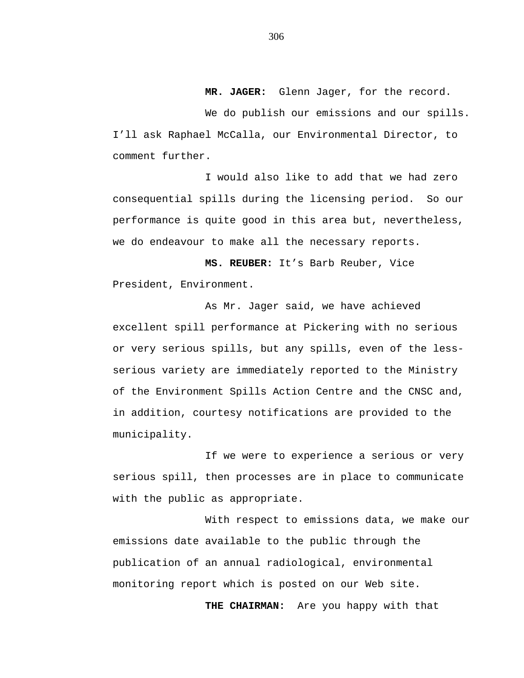**MR. JAGER:** Glenn Jager, for the record.

We do publish our emissions and our spills. I'll ask Raphael McCalla, our Environmental Director, to comment further.

I would also like to add that we had zero consequential spills during the licensing period. So our performance is quite good in this area but, nevertheless, we do endeavour to make all the necessary reports.

**MS. REUBER:** It's Barb Reuber, Vice President, Environment.

As Mr. Jager said, we have achieved excellent spill performance at Pickering with no serious or very serious spills, but any spills, even of the lessserious variety are immediately reported to the Ministry of the Environment Spills Action Centre and the CNSC and, in addition, courtesy notifications are provided to the municipality.

If we were to experience a serious or very serious spill, then processes are in place to communicate with the public as appropriate.

With respect to emissions data, we make our emissions date available to the public through the publication of an annual radiological, environmental monitoring report which is posted on our Web site.

**THE CHAIRMAN:** Are you happy with that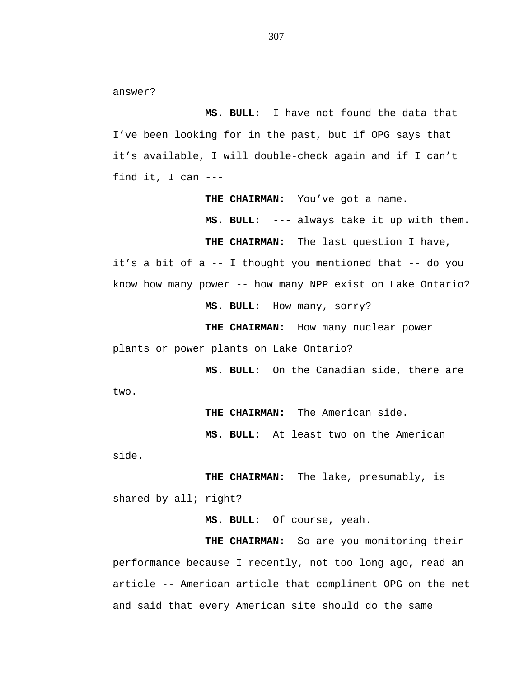answer?

**MS. BULL:** I have not found the data that I've been looking for in the past, but if OPG says that it's available, I will double-check again and if I can't find it, I can ---

**THE CHAIRMAN:** You've got a name.

**MS. BULL: ---** always take it up with them.

**THE CHAIRMAN:** The last question I have,

it's a bit of a -- I thought you mentioned that -- do you know how many power -- how many NPP exist on Lake Ontario? **MS. BULL:** How many, sorry?

**THE CHAIRMAN:** How many nuclear power

plants or power plants on Lake Ontario?

**MS. BULL:** On the Canadian side, there are two.

**THE CHAIRMAN:** The American side.

**MS. BULL:** At least two on the American

side.

**THE CHAIRMAN:** The lake, presumably, is shared by all; right?

**MS. BULL:** Of course, yeah.

**THE CHAIRMAN:** So are you monitoring their performance because I recently, not too long ago, read an article -- American article that compliment OPG on the net and said that every American site should do the same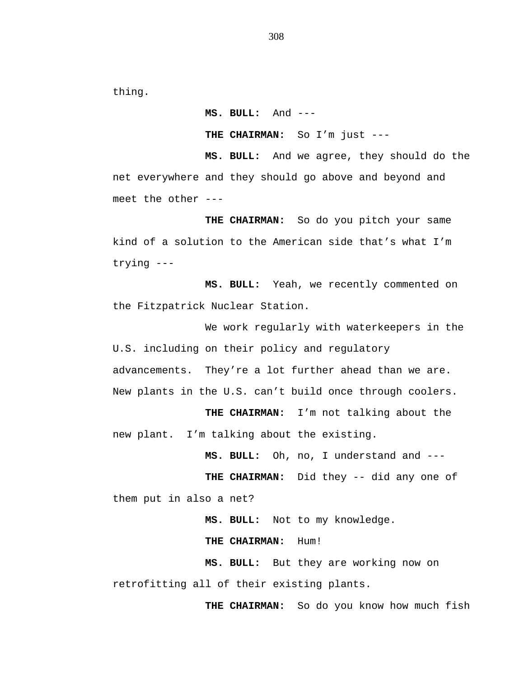thing.

**MS. BULL:** And ---

THE CHAIRMAN: So I'm just ---

**MS. BULL:** And we agree, they should do the net everywhere and they should go above and beyond and meet the other ---

**THE CHAIRMAN:** So do you pitch your same kind of a solution to the American side that's what I'm trying ---

**MS. BULL:** Yeah, we recently commented on the Fitzpatrick Nuclear Station.

We work regularly with waterkeepers in the U.S. including on their policy and regulatory advancements. They're a lot further ahead than we are. New plants in the U.S. can't build once through coolers.

**THE CHAIRMAN:** I'm not talking about the new plant. I'm talking about the existing.

**MS. BULL:** Oh, no, I understand and ---

**THE CHAIRMAN:** Did they -- did any one of them put in also a net?

**MS. BULL:** Not to my knowledge.

**THE CHAIRMAN:** Hum!

**MS. BULL:** But they are working now on retrofitting all of their existing plants.

**THE CHAIRMAN:** So do you know how much fish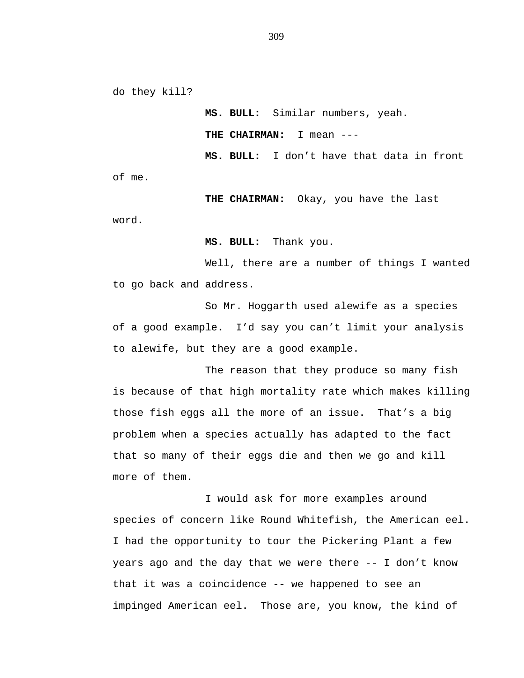do they kill?

**MS. BULL:** Similar numbers, yeah. **THE CHAIRMAN:** I mean --- **MS. BULL:** I don't have that data in front

of me.

**THE CHAIRMAN:** Okay, you have the last

word.

**MS. BULL:** Thank you.

Well, there are a number of things I wanted to go back and address.

So Mr. Hoggarth used alewife as a species of a good example. I'd say you can't limit your analysis to alewife, but they are a good example.

The reason that they produce so many fish is because of that high mortality rate which makes killing those fish eggs all the more of an issue. That's a big problem when a species actually has adapted to the fact that so many of their eggs die and then we go and kill more of them.

I would ask for more examples around species of concern like Round Whitefish, the American eel. I had the opportunity to tour the Pickering Plant a few years ago and the day that we were there -- I don't know that it was a coincidence -- we happened to see an impinged American eel. Those are, you know, the kind of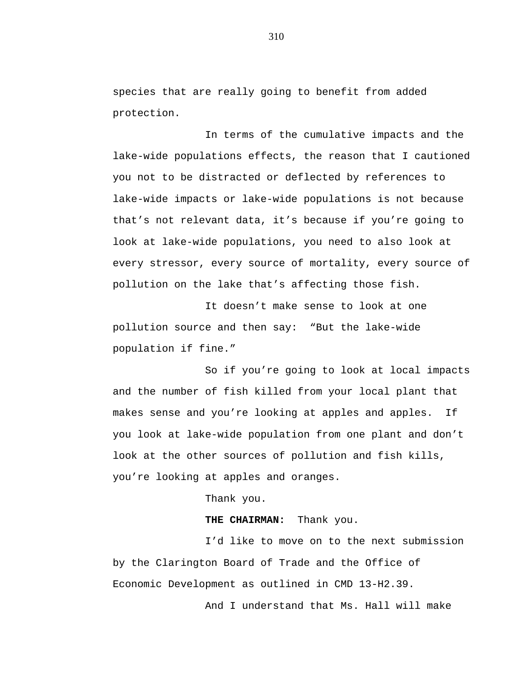species that are really going to benefit from added protection.

In terms of the cumulative impacts and the lake-wide populations effects, the reason that I cautioned you not to be distracted or deflected by references to lake-wide impacts or lake-wide populations is not because that's not relevant data, it's because if you're going to look at lake-wide populations, you need to also look at every stressor, every source of mortality, every source of pollution on the lake that's affecting those fish.

It doesn't make sense to look at one pollution source and then say: "But the lake-wide population if fine."

So if you're going to look at local impacts and the number of fish killed from your local plant that makes sense and you're looking at apples and apples. If you look at lake-wide population from one plant and don't look at the other sources of pollution and fish kills, you're looking at apples and oranges.

Thank you.

**THE CHAIRMAN:** Thank you.

I'd like to move on to the next submission by the Clarington Board of Trade and the Office of Economic Development as outlined in CMD 13-H2.39.

And I understand that Ms. Hall will make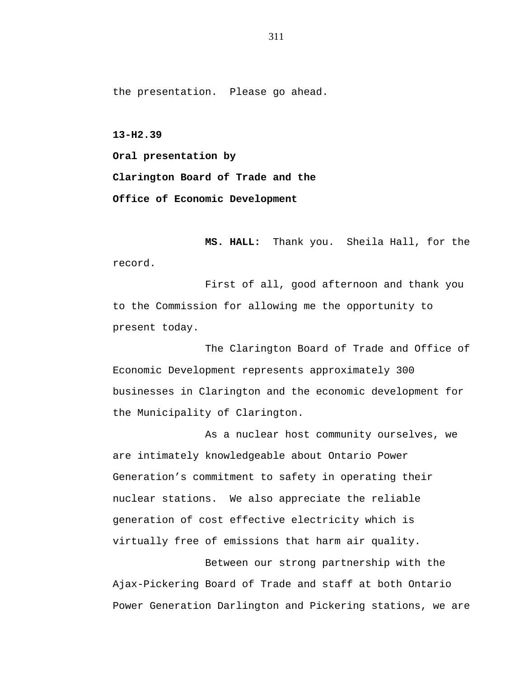the presentation. Please go ahead.

**13-H2.39**

**Oral presentation by Clarington Board of Trade and the Office of Economic Development**

**MS. HALL:** Thank you. Sheila Hall, for the record.

First of all, good afternoon and thank you to the Commission for allowing me the opportunity to present today.

The Clarington Board of Trade and Office of Economic Development represents approximately 300 businesses in Clarington and the economic development for the Municipality of Clarington.

As a nuclear host community ourselves, we are intimately knowledgeable about Ontario Power Generation's commitment to safety in operating their nuclear stations. We also appreciate the reliable generation of cost effective electricity which is virtually free of emissions that harm air quality.

Between our strong partnership with the Ajax-Pickering Board of Trade and staff at both Ontario Power Generation Darlington and Pickering stations, we are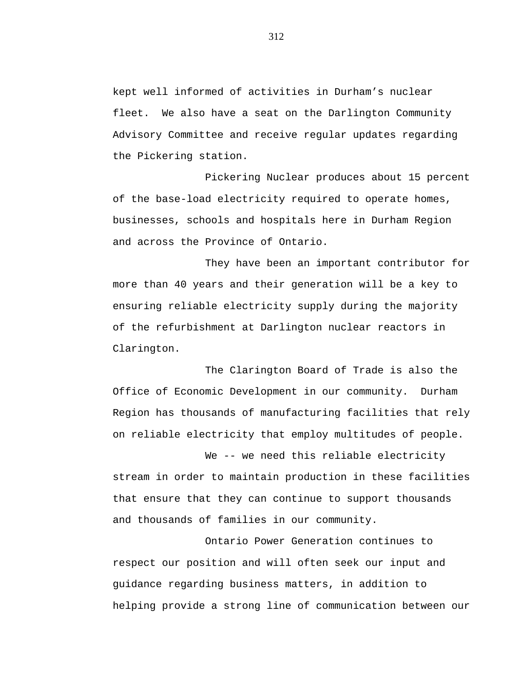kept well informed of activities in Durham's nuclear fleet. We also have a seat on the Darlington Community Advisory Committee and receive regular updates regarding the Pickering station.

Pickering Nuclear produces about 15 percent of the base-load electricity required to operate homes, businesses, schools and hospitals here in Durham Region and across the Province of Ontario.

They have been an important contributor for more than 40 years and their generation will be a key to ensuring reliable electricity supply during the majority of the refurbishment at Darlington nuclear reactors in Clarington.

The Clarington Board of Trade is also the Office of Economic Development in our community. Durham Region has thousands of manufacturing facilities that rely on reliable electricity that employ multitudes of people.

We -- we need this reliable electricity stream in order to maintain production in these facilities that ensure that they can continue to support thousands and thousands of families in our community.

Ontario Power Generation continues to respect our position and will often seek our input and guidance regarding business matters, in addition to helping provide a strong line of communication between our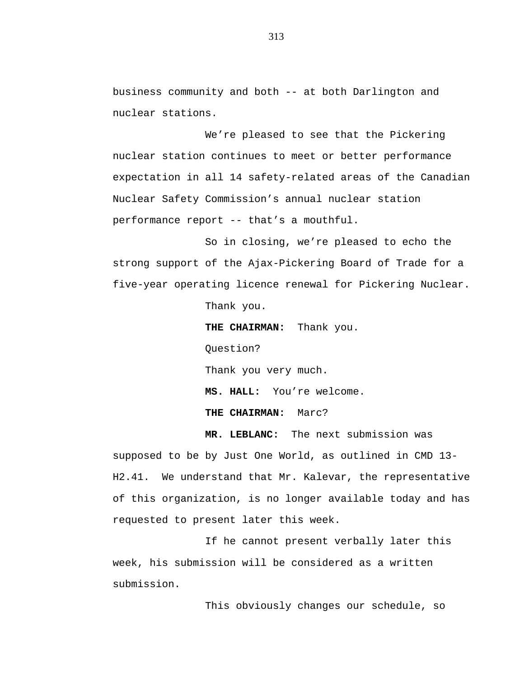business community and both -- at both Darlington and nuclear stations.

We're pleased to see that the Pickering nuclear station continues to meet or better performance expectation in all 14 safety-related areas of the Canadian Nuclear Safety Commission's annual nuclear station performance report -- that's a mouthful.

So in closing, we're pleased to echo the strong support of the Ajax-Pickering Board of Trade for a five-year operating licence renewal for Pickering Nuclear.

Thank you.

**THE CHAIRMAN:** Thank you. Question? Thank you very much. **MS. HALL:** You're welcome. **THE CHAIRMAN:** Marc?

**MR. LEBLANC:** The next submission was supposed to be by Just One World, as outlined in CMD 13- H2.41. We understand that Mr. Kalevar, the representative of this organization, is no longer available today and has requested to present later this week.

If he cannot present verbally later this week, his submission will be considered as a written submission.

This obviously changes our schedule, so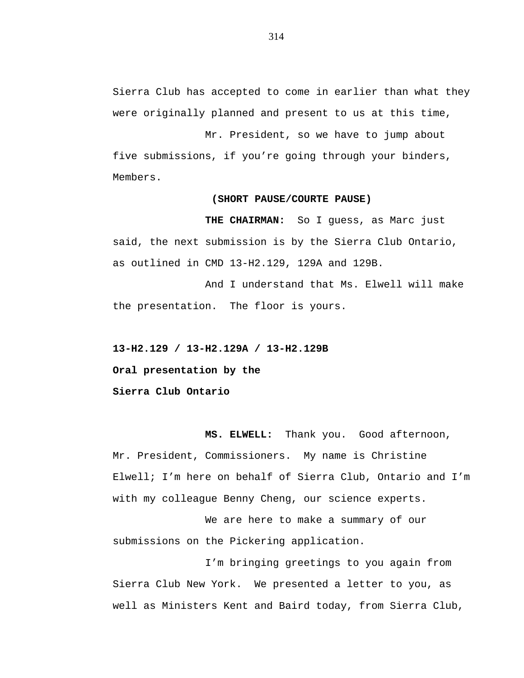Sierra Club has accepted to come in earlier than what they were originally planned and present to us at this time,

Mr. President, so we have to jump about

five submissions, if you're going through your binders, Members.

#### **(SHORT PAUSE/COURTE PAUSE)**

**THE CHAIRMAN:** So I guess, as Marc just said, the next submission is by the Sierra Club Ontario, as outlined in CMD 13-H2.129, 129A and 129B.

And I understand that Ms. Elwell will make the presentation. The floor is yours.

**13-H2.129 / 13-H2.129A / 13-H2.129B Oral presentation by the Sierra Club Ontario**

**MS. ELWELL:** Thank you. Good afternoon, Mr. President, Commissioners. My name is Christine Elwell; I'm here on behalf of Sierra Club, Ontario and I'm with my colleague Benny Cheng, our science experts.

We are here to make a summary of our submissions on the Pickering application.

I'm bringing greetings to you again from Sierra Club New York. We presented a letter to you, as well as Ministers Kent and Baird today, from Sierra Club,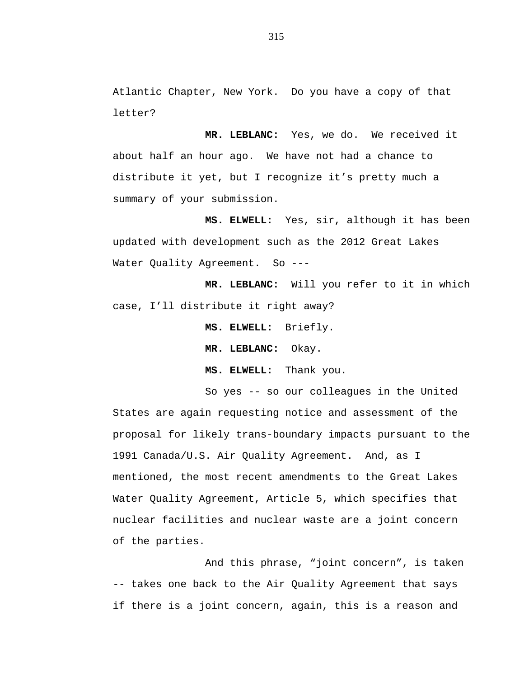Atlantic Chapter, New York. Do you have a copy of that letter?

**MR. LEBLANC:** Yes, we do. We received it about half an hour ago. We have not had a chance to distribute it yet, but I recognize it's pretty much a summary of your submission.

**MS. ELWELL:** Yes, sir, although it has been updated with development such as the 2012 Great Lakes Water Quality Agreement. So ---

**MR. LEBLANC:** Will you refer to it in which case, I'll distribute it right away?

**MS. ELWELL:** Briefly.

**MR. LEBLANC:** Okay.

**MS. ELWELL:** Thank you.

So yes -- so our colleagues in the United States are again requesting notice and assessment of the proposal for likely trans-boundary impacts pursuant to the 1991 Canada/U.S. Air Quality Agreement. And, as I mentioned, the most recent amendments to the Great Lakes Water Quality Agreement, Article 5, which specifies that nuclear facilities and nuclear waste are a joint concern of the parties.

And this phrase, "joint concern", is taken -- takes one back to the Air Quality Agreement that says if there is a joint concern, again, this is a reason and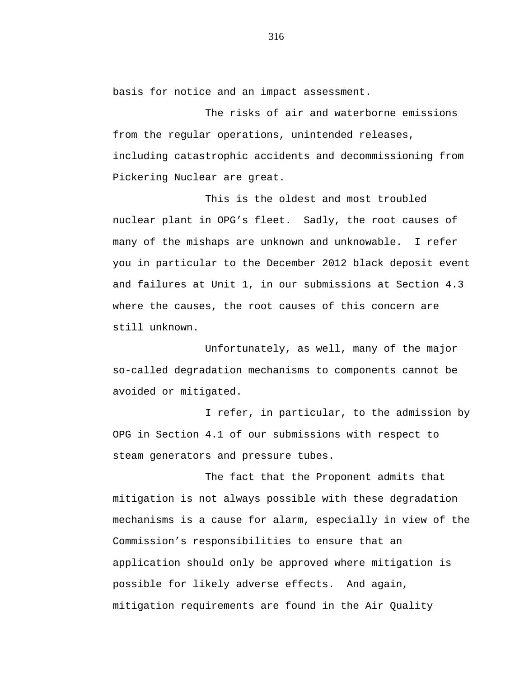basis for notice and an impact assessment.

The risks of air and waterborne emissions from the regular operations, unintended releases, including catastrophic accidents and decommissioning from Pickering Nuclear are great.

This is the oldest and most troubled nuclear plant in OPG's fleet. Sadly, the root causes of many of the mishaps are unknown and unknowable. I refer you in particular to the December 2012 black deposit event and failures at Unit 1, in our submissions at Section 4.3 where the causes, the root causes of this concern are still unknown.

Unfortunately, as well, many of the major so-called degradation mechanisms to components cannot be avoided or mitigated.

I refer, in particular, to the admission by OPG in Section 4.1 of our submissions with respect to steam generators and pressure tubes.

The fact that the Proponent admits that mitigation is not always possible with these degradation mechanisms is a cause for alarm, especially in view of the Commission's responsibilities to ensure that an application should only be approved where mitigation is possible for likely adverse effects. And again, mitigation requirements are found in the Air Quality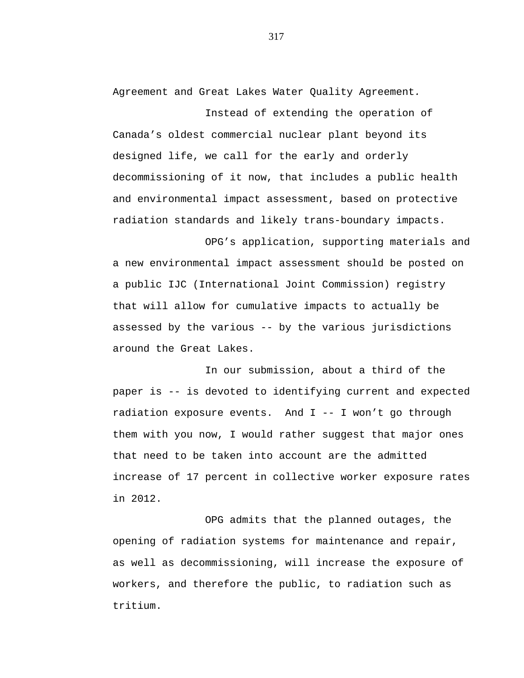Agreement and Great Lakes Water Quality Agreement*.*

Instead of extending the operation of Canada's oldest commercial nuclear plant beyond its designed life, we call for the early and orderly decommissioning of it now, that includes a public health and environmental impact assessment, based on protective radiation standards and likely trans-boundary impacts.

OPG's application, supporting materials and a new environmental impact assessment should be posted on a public IJC (International Joint Commission) registry that will allow for cumulative impacts to actually be assessed by the various -- by the various jurisdictions around the Great Lakes.

In our submission, about a third of the paper is -- is devoted to identifying current and expected radiation exposure events. And I -- I won't go through them with you now, I would rather suggest that major ones that need to be taken into account are the admitted increase of 17 percent in collective worker exposure rates in 2012.

OPG admits that the planned outages, the opening of radiation systems for maintenance and repair, as well as decommissioning, will increase the exposure of workers, and therefore the public, to radiation such as tritium.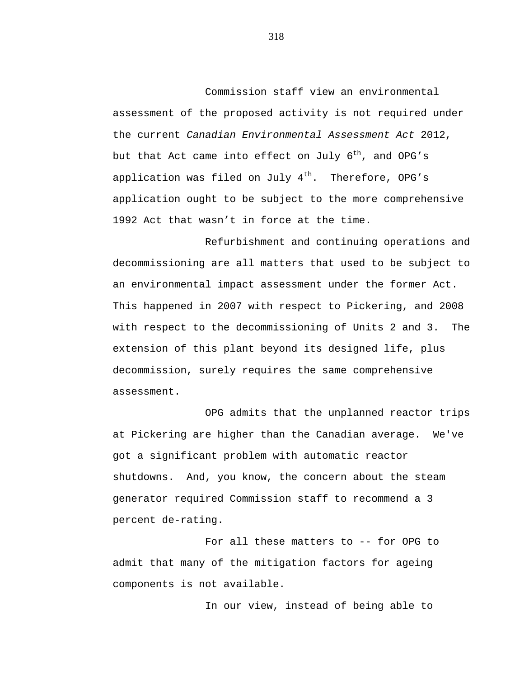Commission staff view an environmental assessment of the proposed activity is not required under the current *Canadian Environmental Assessment Act* 2012, but that Act came into effect on July  $6<sup>th</sup>$ , and OPG's application was filed on July  $4<sup>th</sup>$ . Therefore, OPG's application ought to be subject to the more comprehensive 1992 Act that wasn't in force at the time.

Refurbishment and continuing operations and decommissioning are all matters that used to be subject to an environmental impact assessment under the former Act. This happened in 2007 with respect to Pickering, and 2008 with respect to the decommissioning of Units 2 and 3. The extension of this plant beyond its designed life, plus decommission, surely requires the same comprehensive assessment.

OPG admits that the unplanned reactor trips at Pickering are higher than the Canadian average. We've got a significant problem with automatic reactor shutdowns. And, you know, the concern about the steam generator required Commission staff to recommend a 3 percent de-rating.

For all these matters to -- for OPG to admit that many of the mitigation factors for ageing components is not available.

In our view, instead of being able to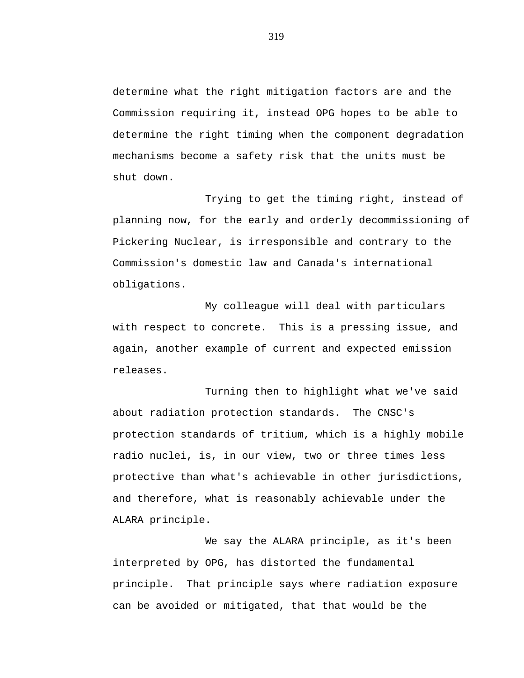determine what the right mitigation factors are and the Commission requiring it, instead OPG hopes to be able to determine the right timing when the component degradation mechanisms become a safety risk that the units must be shut down.

Trying to get the timing right, instead of planning now, for the early and orderly decommissioning of Pickering Nuclear, is irresponsible and contrary to the Commission's domestic law and Canada's international obligations.

My colleague will deal with particulars with respect to concrete. This is a pressing issue, and again, another example of current and expected emission releases.

Turning then to highlight what we've said about radiation protection standards. The CNSC's protection standards of tritium, which is a highly mobile radio nuclei, is, in our view, two or three times less protective than what's achievable in other jurisdictions, and therefore, what is reasonably achievable under the ALARA principle.

We say the ALARA principle, as it's been interpreted by OPG, has distorted the fundamental principle. That principle says where radiation exposure can be avoided or mitigated, that that would be the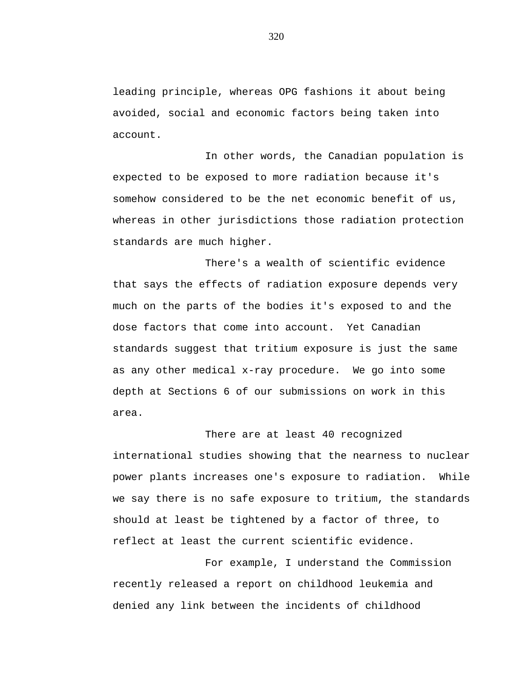leading principle, whereas OPG fashions it about being avoided, social and economic factors being taken into account.

In other words, the Canadian population is expected to be exposed to more radiation because it's somehow considered to be the net economic benefit of us, whereas in other jurisdictions those radiation protection standards are much higher.

There's a wealth of scientific evidence that says the effects of radiation exposure depends very much on the parts of the bodies it's exposed to and the dose factors that come into account. Yet Canadian standards suggest that tritium exposure is just the same as any other medical x-ray procedure. We go into some depth at Sections 6 of our submissions on work in this area.

There are at least 40 recognized international studies showing that the nearness to nuclear power plants increases one's exposure to radiation. While we say there is no safe exposure to tritium, the standards should at least be tightened by a factor of three, to reflect at least the current scientific evidence.

For example, I understand the Commission recently released a report on childhood leukemia and denied any link between the incidents of childhood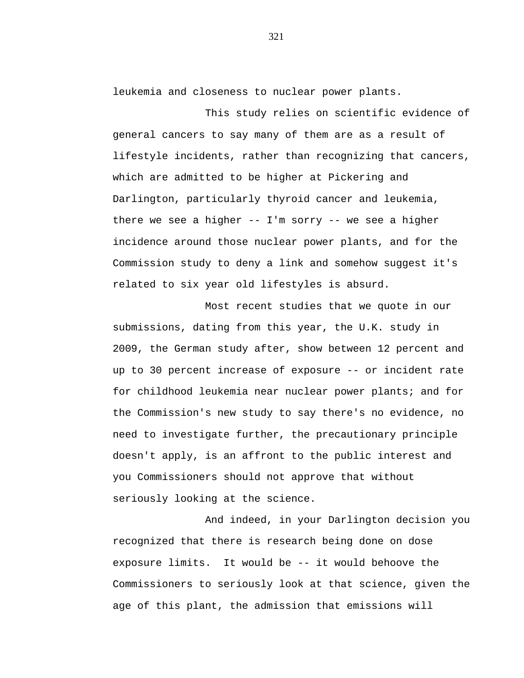leukemia and closeness to nuclear power plants.

This study relies on scientific evidence of general cancers to say many of them are as a result of lifestyle incidents, rather than recognizing that cancers, which are admitted to be higher at Pickering and Darlington, particularly thyroid cancer and leukemia, there we see a higher  $--$  I'm sorry  $--$  we see a higher incidence around those nuclear power plants, and for the Commission study to deny a link and somehow suggest it's related to six year old lifestyles is absurd.

Most recent studies that we quote in our submissions, dating from this year, the U.K. study in 2009, the German study after, show between 12 percent and up to 30 percent increase of exposure -- or incident rate for childhood leukemia near nuclear power plants; and for the Commission's new study to say there's no evidence, no need to investigate further, the precautionary principle doesn't apply, is an affront to the public interest and you Commissioners should not approve that without seriously looking at the science.

And indeed, in your Darlington decision you recognized that there is research being done on dose exposure limits. It would be -- it would behoove the Commissioners to seriously look at that science, given the age of this plant, the admission that emissions will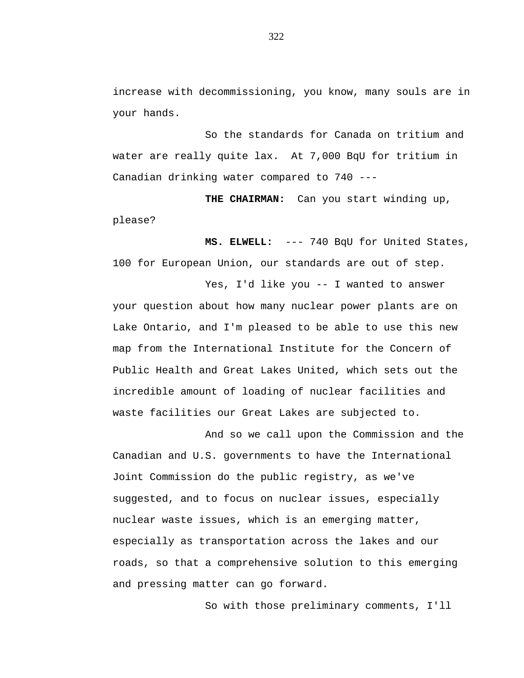increase with decommissioning, you know, many souls are in your hands.

So the standards for Canada on tritium and water are really quite lax. At 7,000 BqU for tritium in Canadian drinking water compared to 740 ---

**THE CHAIRMAN:** Can you start winding up, please?

**MS. ELWELL:** --- 740 BqU for United States, 100 for European Union, our standards are out of step.

Yes, I'd like you -- I wanted to answer your question about how many nuclear power plants are on Lake Ontario, and I'm pleased to be able to use this new map from the International Institute for the Concern of Public Health and Great Lakes United, which sets out the incredible amount of loading of nuclear facilities and waste facilities our Great Lakes are subjected to.

And so we call upon the Commission and the Canadian and U.S. governments to have the International Joint Commission do the public registry, as we've suggested, and to focus on nuclear issues, especially nuclear waste issues, which is an emerging matter, especially as transportation across the lakes and our roads, so that a comprehensive solution to this emerging and pressing matter can go forward.

So with those preliminary comments, I'll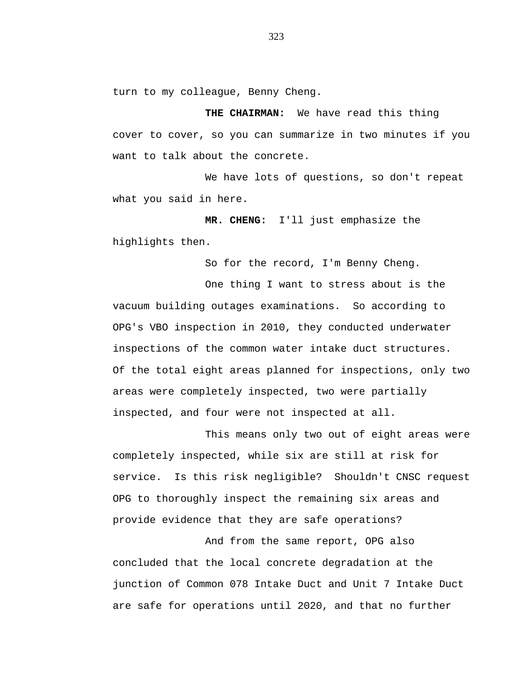turn to my colleague, Benny Cheng.

**THE CHAIRMAN:** We have read this thing cover to cover, so you can summarize in two minutes if you want to talk about the concrete.

We have lots of questions, so don't repeat what you said in here.

**MR. CHENG:** I'll just emphasize the highlights then.

So for the record, I'm Benny Cheng.

One thing I want to stress about is the vacuum building outages examinations. So according to OPG's VBO inspection in 2010, they conducted underwater inspections of the common water intake duct structures. Of the total eight areas planned for inspections, only two areas were completely inspected, two were partially inspected, and four were not inspected at all.

This means only two out of eight areas were completely inspected, while six are still at risk for service. Is this risk negligible? Shouldn't CNSC request OPG to thoroughly inspect the remaining six areas and provide evidence that they are safe operations?

And from the same report, OPG also concluded that the local concrete degradation at the junction of Common 078 Intake Duct and Unit 7 Intake Duct are safe for operations until 2020, and that no further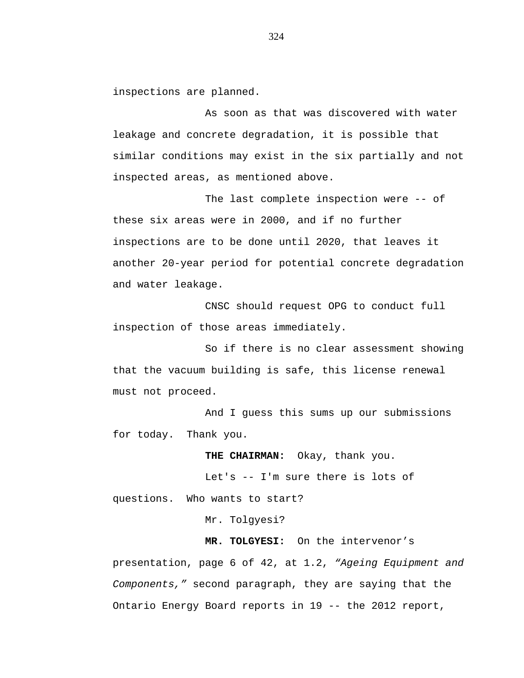inspections are planned.

As soon as that was discovered with water leakage and concrete degradation, it is possible that similar conditions may exist in the six partially and not inspected areas, as mentioned above.

The last complete inspection were -- of these six areas were in 2000, and if no further inspections are to be done until 2020, that leaves it another 20-year period for potential concrete degradation and water leakage.

CNSC should request OPG to conduct full inspection of those areas immediately.

So if there is no clear assessment showing that the vacuum building is safe, this license renewal must not proceed.

And I guess this sums up our submissions for today. Thank you.

**THE CHAIRMAN:** Okay, thank you.

Let's -- I'm sure there is lots of

questions. Who wants to start?

Mr. Tolgyesi?

**MR. TOLGYESI:** On the intervenor's

presentation, page 6 of 42, at 1.2, *"Ageing Equipment and Components,"* second paragraph, they are saying that the Ontario Energy Board reports in 19 -- the 2012 report,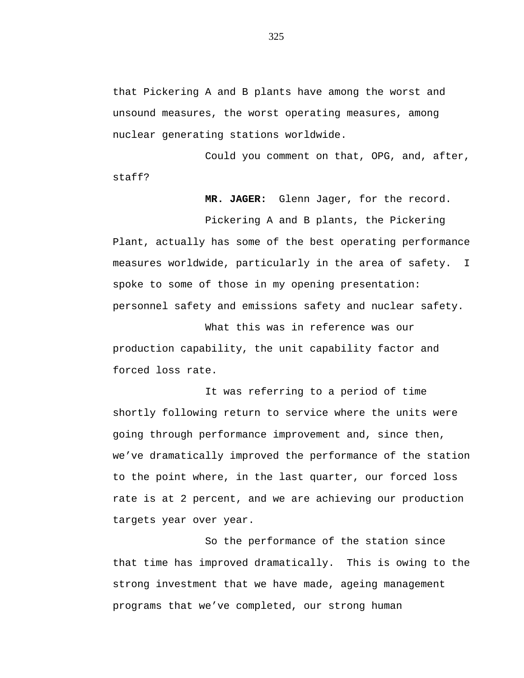that Pickering A and B plants have among the worst and unsound measures, the worst operating measures, among nuclear generating stations worldwide.

Could you comment on that, OPG, and, after, staff?

**MR. JAGER:** Glenn Jager, for the record.

Pickering A and B plants, the Pickering Plant, actually has some of the best operating performance measures worldwide, particularly in the area of safety. I spoke to some of those in my opening presentation: personnel safety and emissions safety and nuclear safety.

What this was in reference was our production capability, the unit capability factor and forced loss rate.

It was referring to a period of time shortly following return to service where the units were going through performance improvement and, since then, we've dramatically improved the performance of the station to the point where, in the last quarter, our forced loss rate is at 2 percent, and we are achieving our production targets year over year.

So the performance of the station since that time has improved dramatically. This is owing to the strong investment that we have made, ageing management programs that we've completed, our strong human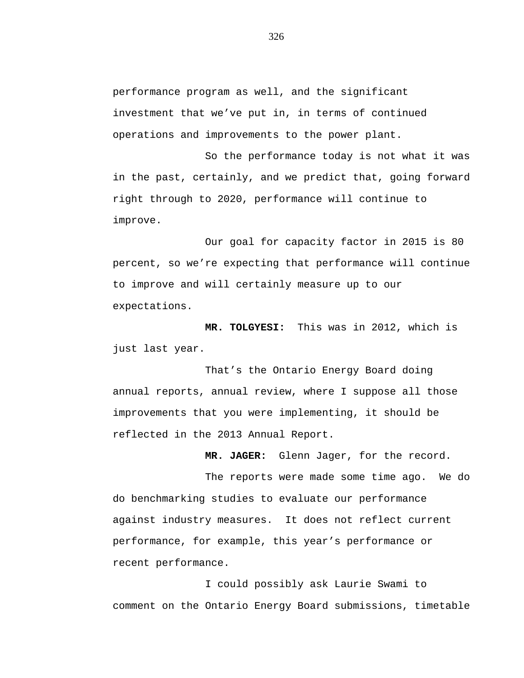performance program as well, and the significant investment that we've put in, in terms of continued operations and improvements to the power plant.

So the performance today is not what it was in the past, certainly, and we predict that, going forward right through to 2020, performance will continue to improve.

Our goal for capacity factor in 2015 is 80 percent, so we're expecting that performance will continue to improve and will certainly measure up to our expectations.

**MR. TOLGYESI:** This was in 2012, which is just last year.

That's the Ontario Energy Board doing annual reports, annual review, where I suppose all those improvements that you were implementing, it should be reflected in the 2013 Annual Report.

**MR. JAGER:** Glenn Jager, for the record.

The reports were made some time ago. We do do benchmarking studies to evaluate our performance against industry measures. It does not reflect current performance, for example, this year's performance or recent performance.

I could possibly ask Laurie Swami to comment on the Ontario Energy Board submissions, timetable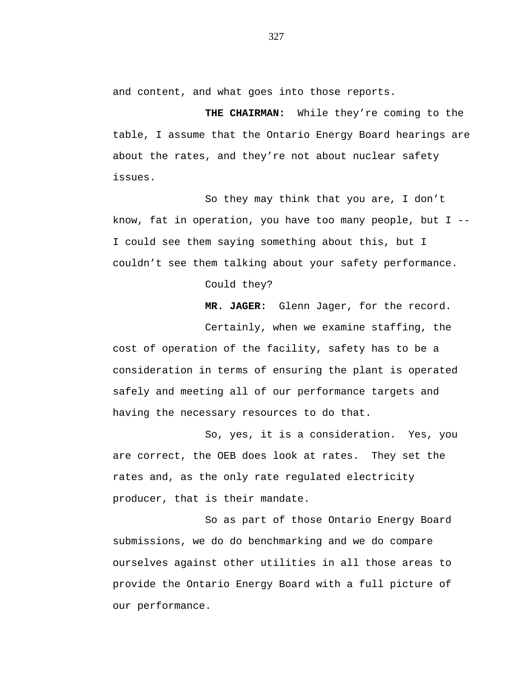and content, and what goes into those reports.

**THE CHAIRMAN:** While they're coming to the table, I assume that the Ontario Energy Board hearings are about the rates, and they're not about nuclear safety issues.

So they may think that you are, I don't know, fat in operation, you have too many people, but  $I$  --I could see them saying something about this, but I couldn't see them talking about your safety performance.

Could they?

**MR. JAGER:** Glenn Jager, for the record.

Certainly, when we examine staffing, the cost of operation of the facility, safety has to be a consideration in terms of ensuring the plant is operated safely and meeting all of our performance targets and having the necessary resources to do that.

So, yes, it is a consideration. Yes, you are correct, the OEB does look at rates. They set the rates and, as the only rate regulated electricity producer, that is their mandate.

So as part of those Ontario Energy Board submissions, we do do benchmarking and we do compare ourselves against other utilities in all those areas to provide the Ontario Energy Board with a full picture of our performance.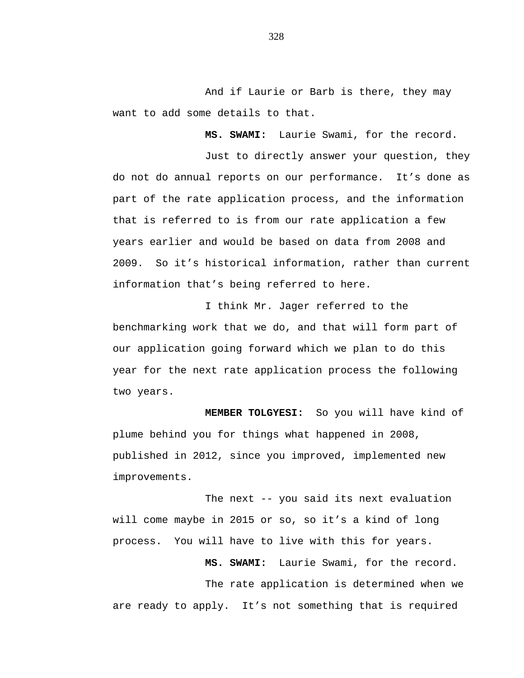And if Laurie or Barb is there, they may want to add some details to that.

**MS. SWAMI:** Laurie Swami, for the record.

Just to directly answer your question, they do not do annual reports on our performance. It's done as part of the rate application process, and the information that is referred to is from our rate application a few years earlier and would be based on data from 2008 and 2009. So it's historical information, rather than current information that's being referred to here.

I think Mr. Jager referred to the benchmarking work that we do, and that will form part of our application going forward which we plan to do this year for the next rate application process the following two years.

**MEMBER TOLGYESI:** So you will have kind of plume behind you for things what happened in 2008, published in 2012, since you improved, implemented new improvements.

The next -- you said its next evaluation will come maybe in 2015 or so, so it's a kind of long process. You will have to live with this for years.

**MS. SWAMI:** Laurie Swami, for the record. The rate application is determined when we are ready to apply. It's not something that is required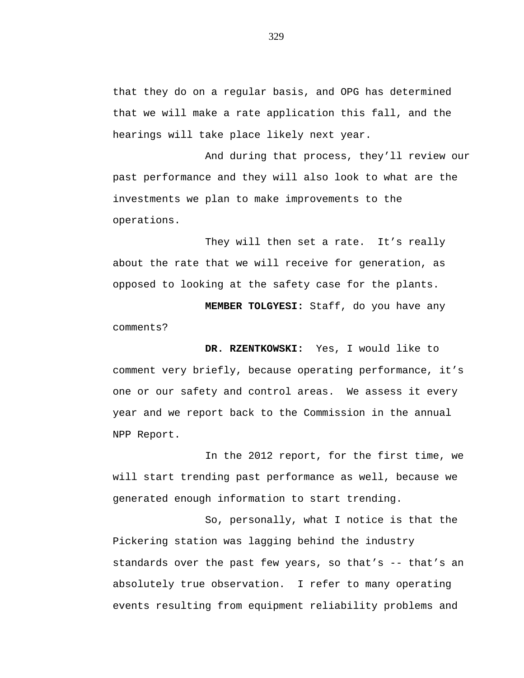that they do on a regular basis, and OPG has determined that we will make a rate application this fall, and the hearings will take place likely next year.

And during that process, they'll review our past performance and they will also look to what are the investments we plan to make improvements to the operations.

They will then set a rate. It's really about the rate that we will receive for generation, as opposed to looking at the safety case for the plants.

**MEMBER TOLGYESI:** Staff, do you have any comments?

**DR. RZENTKOWSKI:** Yes, I would like to comment very briefly, because operating performance, it's one or our safety and control areas. We assess it every year and we report back to the Commission in the annual NPP Report.

In the 2012 report, for the first time, we will start trending past performance as well, because we generated enough information to start trending.

So, personally, what I notice is that the Pickering station was lagging behind the industry standards over the past few years, so that's -- that's an absolutely true observation. I refer to many operating events resulting from equipment reliability problems and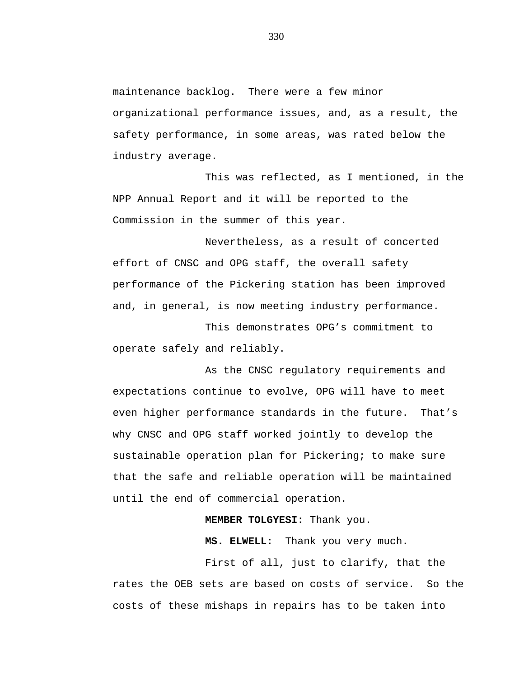maintenance backlog. There were a few minor organizational performance issues, and, as a result, the safety performance, in some areas, was rated below the industry average.

This was reflected, as I mentioned, in the NPP Annual Report and it will be reported to the Commission in the summer of this year.

Nevertheless, as a result of concerted effort of CNSC and OPG staff, the overall safety performance of the Pickering station has been improved and, in general, is now meeting industry performance.

This demonstrates OPG's commitment to operate safely and reliably.

As the CNSC regulatory requirements and expectations continue to evolve, OPG will have to meet even higher performance standards in the future. That's why CNSC and OPG staff worked jointly to develop the sustainable operation plan for Pickering; to make sure that the safe and reliable operation will be maintained until the end of commercial operation.

# **MEMBER TOLGYESI:** Thank you.

**MS. ELWELL:** Thank you very much.

First of all, just to clarify, that the rates the OEB sets are based on costs of service. So the costs of these mishaps in repairs has to be taken into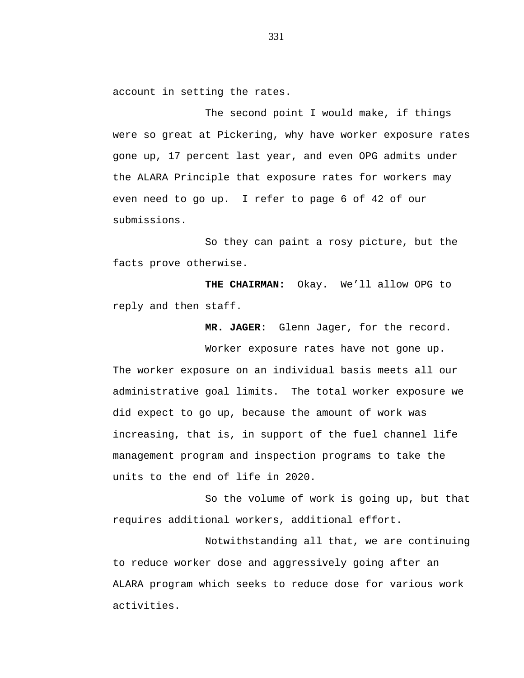account in setting the rates.

The second point I would make, if things were so great at Pickering, why have worker exposure rates gone up, 17 percent last year, and even OPG admits under the ALARA Principle that exposure rates for workers may even need to go up. I refer to page 6 of 42 of our submissions.

So they can paint a rosy picture, but the facts prove otherwise.

**THE CHAIRMAN:** Okay. We'll allow OPG to reply and then staff.

**MR. JAGER:** Glenn Jager, for the record.

Worker exposure rates have not gone up. The worker exposure on an individual basis meets all our administrative goal limits. The total worker exposure we did expect to go up, because the amount of work was increasing, that is, in support of the fuel channel life management program and inspection programs to take the units to the end of life in 2020.

So the volume of work is going up, but that requires additional workers, additional effort.

Notwithstanding all that, we are continuing to reduce worker dose and aggressively going after an ALARA program which seeks to reduce dose for various work activities.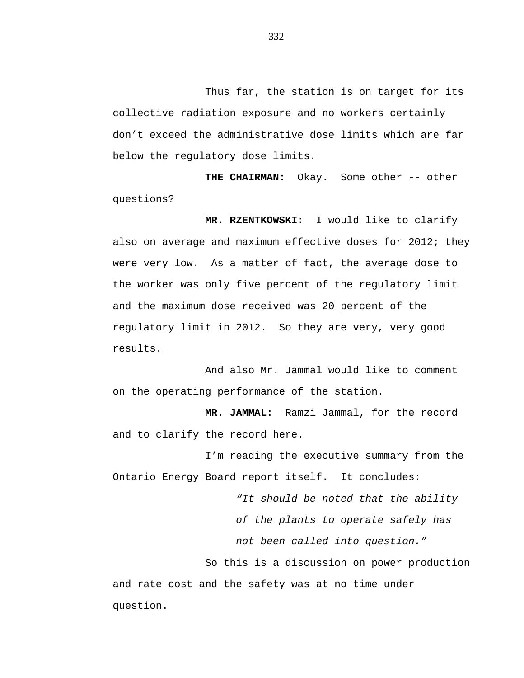Thus far, the station is on target for its collective radiation exposure and no workers certainly don't exceed the administrative dose limits which are far below the regulatory dose limits.

**THE CHAIRMAN:** Okay. Some other -- other questions?

**MR. RZENTKOWSKI:** I would like to clarify also on average and maximum effective doses for 2012; they were very low. As a matter of fact, the average dose to the worker was only five percent of the regulatory limit and the maximum dose received was 20 percent of the regulatory limit in 2012. So they are very, very good results.

And also Mr. Jammal would like to comment on the operating performance of the station.

**MR. JAMMAL:** Ramzi Jammal, for the record and to clarify the record here.

I'm reading the executive summary from the Ontario Energy Board report itself. It concludes:

> *"It should be noted that the ability of the plants to operate safely has not been called into question."*

So this is a discussion on power production and rate cost and the safety was at no time under question.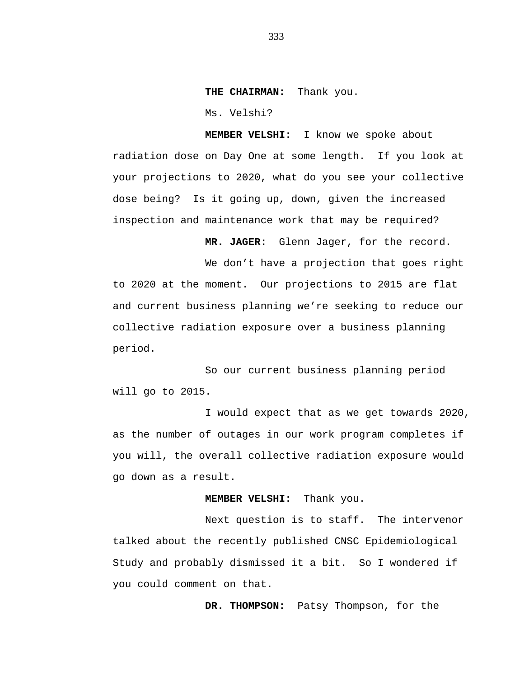#### **THE CHAIRMAN:** Thank you.

Ms. Velshi?

**MEMBER VELSHI:** I know we spoke about radiation dose on Day One at some length. If you look at your projections to 2020, what do you see your collective dose being? Is it going up, down, given the increased inspection and maintenance work that may be required?

**MR. JAGER:** Glenn Jager, for the record.

We don't have a projection that goes right to 2020 at the moment. Our projections to 2015 are flat and current business planning we're seeking to reduce our collective radiation exposure over a business planning period.

So our current business planning period will go to 2015.

I would expect that as we get towards 2020, as the number of outages in our work program completes if you will, the overall collective radiation exposure would go down as a result.

# **MEMBER VELSHI:** Thank you.

Next question is to staff. The intervenor talked about the recently published CNSC Epidemiological Study and probably dismissed it a bit. So I wondered if you could comment on that.

**DR. THOMPSON:** Patsy Thompson, for the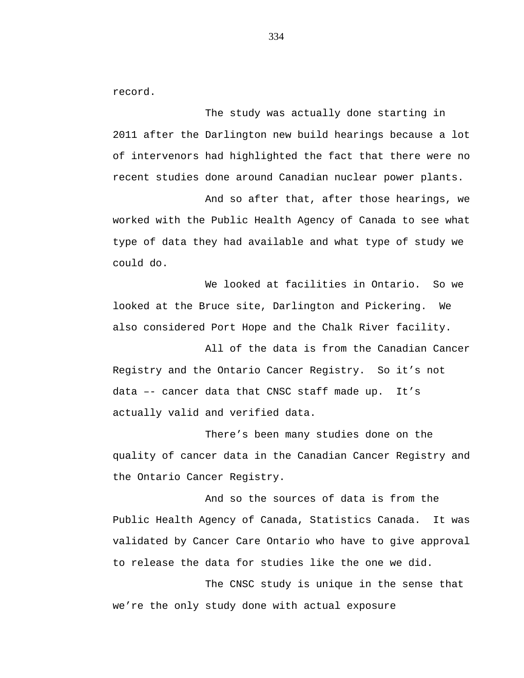record.

The study was actually done starting in 2011 after the Darlington new build hearings because a lot of intervenors had highlighted the fact that there were no recent studies done around Canadian nuclear power plants.

And so after that, after those hearings, we worked with the Public Health Agency of Canada to see what type of data they had available and what type of study we could do.

We looked at facilities in Ontario. So we looked at the Bruce site, Darlington and Pickering. We also considered Port Hope and the Chalk River facility.

All of the data is from the Canadian Cancer Registry and the Ontario Cancer Registry. So it's not data –- cancer data that CNSC staff made up. It's actually valid and verified data.

There's been many studies done on the quality of cancer data in the Canadian Cancer Registry and the Ontario Cancer Registry.

And so the sources of data is from the Public Health Agency of Canada, Statistics Canada. It was validated by Cancer Care Ontario who have to give approval to release the data for studies like the one we did.

The CNSC study is unique in the sense that we're the only study done with actual exposure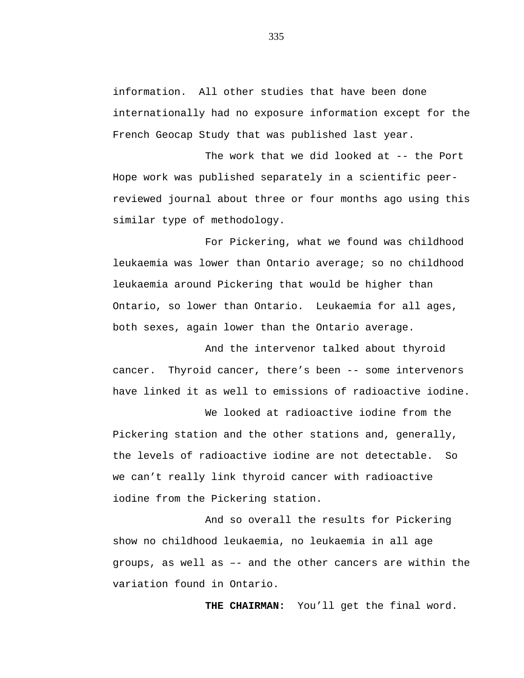information. All other studies that have been done internationally had no exposure information except for the French Geocap Study that was published last year.

The work that we did looked at -- the Port Hope work was published separately in a scientific peerreviewed journal about three or four months ago using this similar type of methodology.

For Pickering, what we found was childhood leukaemia was lower than Ontario average; so no childhood leukaemia around Pickering that would be higher than Ontario, so lower than Ontario. Leukaemia for all ages, both sexes, again lower than the Ontario average.

And the intervenor talked about thyroid cancer. Thyroid cancer, there's been -- some intervenors have linked it as well to emissions of radioactive iodine.

We looked at radioactive iodine from the Pickering station and the other stations and, generally, the levels of radioactive iodine are not detectable. So we can't really link thyroid cancer with radioactive iodine from the Pickering station.

And so overall the results for Pickering show no childhood leukaemia, no leukaemia in all age groups, as well as –- and the other cancers are within the variation found in Ontario.

**THE CHAIRMAN:** You'll get the final word.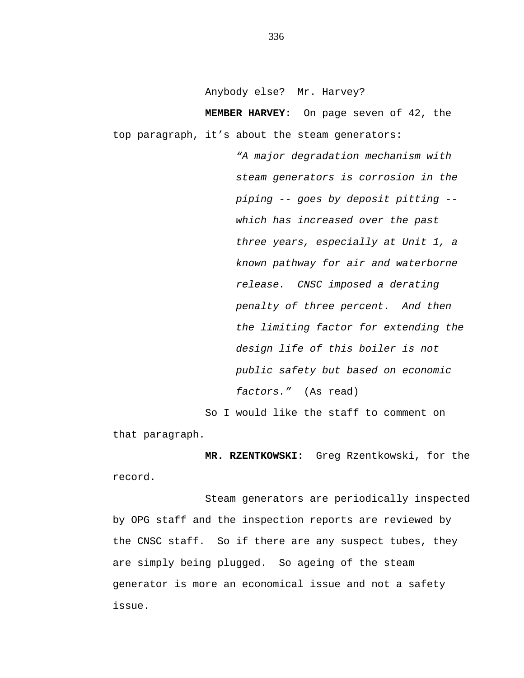Anybody else? Mr. Harvey?

**MEMBER HARVEY:** On page seven of 42, the top paragraph, it's about the steam generators:

> *"A major degradation mechanism with steam generators is corrosion in the piping -- goes by deposit pitting - which has increased over the past three years, especially at Unit 1, a known pathway for air and waterborne release. CNSC imposed a derating penalty of three percent. And then the limiting factor for extending the design life of this boiler is not public safety but based on economic factors."* (As read)

So I would like the staff to comment on that paragraph.

**MR. RZENTKOWSKI:** Greg Rzentkowski, for the record.

Steam generators are periodically inspected by OPG staff and the inspection reports are reviewed by the CNSC staff. So if there are any suspect tubes, they are simply being plugged. So ageing of the steam generator is more an economical issue and not a safety issue.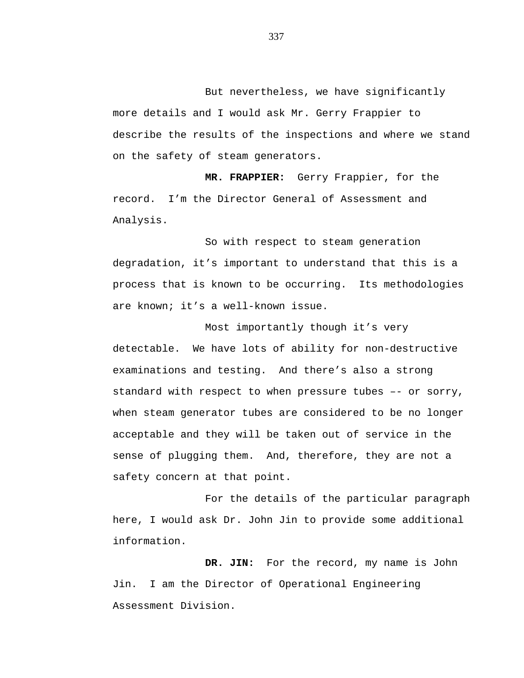But nevertheless, we have significantly more details and I would ask Mr. Gerry Frappier to describe the results of the inspections and where we stand on the safety of steam generators.

**MR. FRAPPIER:** Gerry Frappier, for the record. I'm the Director General of Assessment and Analysis.

So with respect to steam generation degradation, it's important to understand that this is a process that is known to be occurring. Its methodologies are known; it's a well-known issue.

Most importantly though it's very detectable. We have lots of ability for non-destructive examinations and testing. And there's also a strong standard with respect to when pressure tubes –- or sorry, when steam generator tubes are considered to be no longer acceptable and they will be taken out of service in the sense of plugging them. And, therefore, they are not a safety concern at that point.

For the details of the particular paragraph here, I would ask Dr. John Jin to provide some additional information.

**DR. JIN:** For the record, my name is John Jin. I am the Director of Operational Engineering Assessment Division.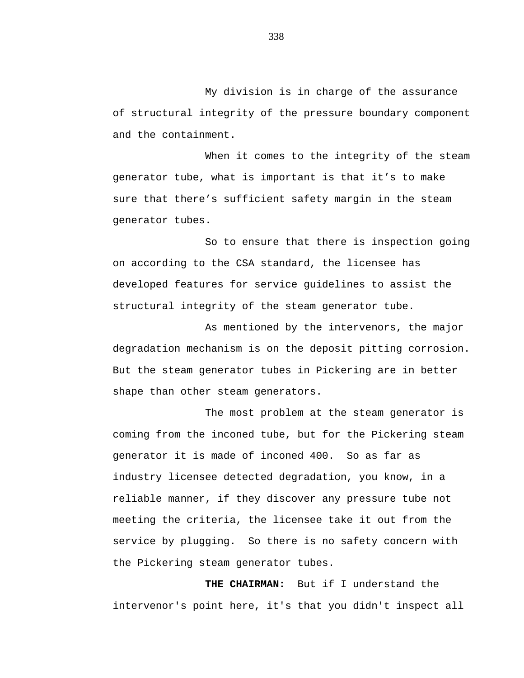My division is in charge of the assurance of structural integrity of the pressure boundary component and the containment.

When it comes to the integrity of the steam generator tube, what is important is that it's to make sure that there's sufficient safety margin in the steam generator tubes.

So to ensure that there is inspection going on according to the CSA standard, the licensee has developed features for service guidelines to assist the structural integrity of the steam generator tube.

As mentioned by the intervenors, the major degradation mechanism is on the deposit pitting corrosion. But the steam generator tubes in Pickering are in better shape than other steam generators.

The most problem at the steam generator is coming from the inconed tube, but for the Pickering steam generator it is made of inconed 400. So as far as industry licensee detected degradation, you know, in a reliable manner, if they discover any pressure tube not meeting the criteria, the licensee take it out from the service by plugging. So there is no safety concern with the Pickering steam generator tubes.

**THE CHAIRMAN:** But if I understand the intervenor's point here, it's that you didn't inspect all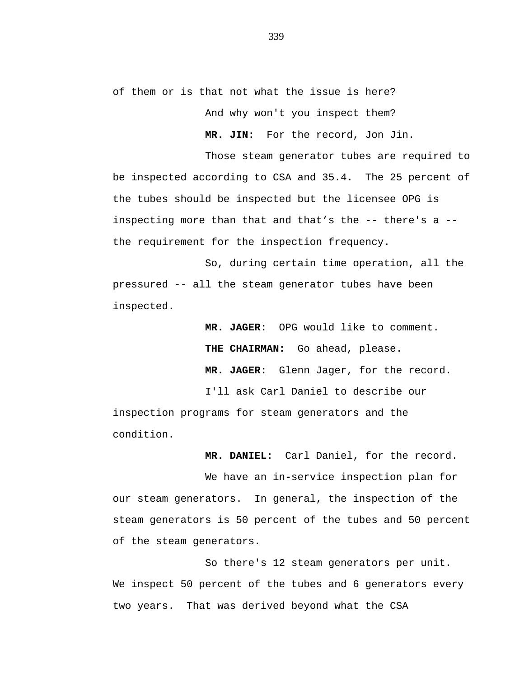of them or is that not what the issue is here?

And why won't you inspect them?

**MR. JIN:** For the record, Jon Jin.

Those steam generator tubes are required to be inspected according to CSA and 35.4. The 25 percent of the tubes should be inspected but the licensee OPG is inspecting more than that and that's the -- there's a - the requirement for the inspection frequency.

So, during certain time operation, all the pressured -- all the steam generator tubes have been inspected.

> **MR. JAGER:** OPG would like to comment. **THE CHAIRMAN:** Go ahead, please. **MR. JAGER:** Glenn Jager, for the record. I'll ask Carl Daniel to describe our

inspection programs for steam generators and the condition.

**MR. DANIEL:** Carl Daniel, for the record.

We have an in**-**service inspection plan for our steam generators. In general, the inspection of the steam generators is 50 percent of the tubes and 50 percent of the steam generators.

So there's 12 steam generators per unit. We inspect 50 percent of the tubes and 6 generators every two years. That was derived beyond what the CSA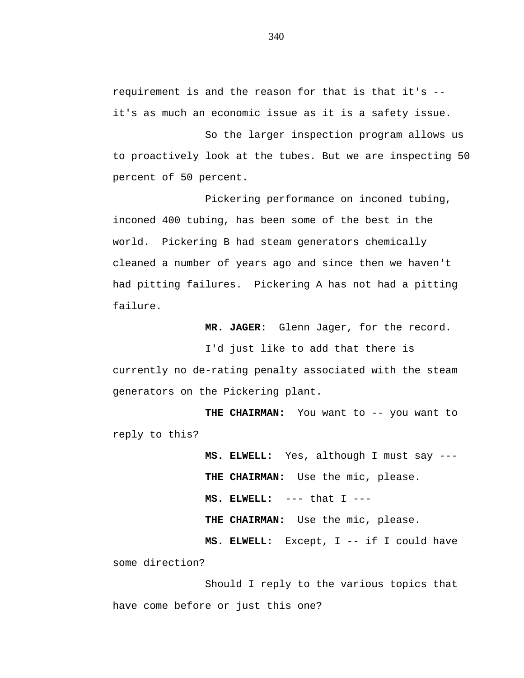requirement is and the reason for that is that it's - it's as much an economic issue as it is a safety issue.

So the larger inspection program allows us to proactively look at the tubes. But we are inspecting 50 percent of 50 percent.

Pickering performance on inconed tubing, inconed 400 tubing, has been some of the best in the world. Pickering B had steam generators chemically cleaned a number of years ago and since then we haven't had pitting failures. Pickering A has not had a pitting failure.

**MR. JAGER:** Glenn Jager, for the record.

I'd just like to add that there is currently no de-rating penalty associated with the steam generators on the Pickering plant.

THE CHAIRMAN: You want to -- you want to reply to this?

> **MS. ELWELL:** Yes, although I must say --- **THE CHAIRMAN:** Use the mic, please. **MS. ELWELL:** --- that I --- **THE CHAIRMAN:** Use the mic, please. **MS. ELWELL:** Except, I -- if I could have

some direction?

Should I reply to the various topics that have come before or just this one?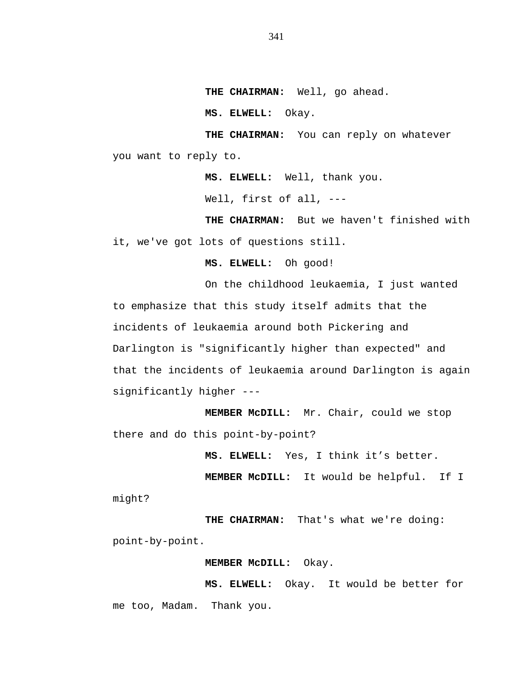**THE CHAIRMAN:** Well, go ahead.

**MS. ELWELL:** Okay.

**THE CHAIRMAN:** You can reply on whatever you want to reply to.

**MS. ELWELL:** Well, thank you.

Well, first of all, ---

**THE CHAIRMAN:** But we haven't finished with it, we've got lots of questions still.

**MS. ELWELL:** Oh good!

On the childhood leukaemia, I just wanted to emphasize that this study itself admits that the incidents of leukaemia around both Pickering and Darlington is "significantly higher than expected" and that the incidents of leukaemia around Darlington is again significantly higher ---

**MEMBER McDILL:** Mr. Chair, could we stop there and do this point-by-point?

**MS. ELWELL:** Yes, I think it's better.

**MEMBER McDILL:** It would be helpful. If I

might?

**THE CHAIRMAN:** That's what we're doing: point-by-point.

**MEMBER McDILL:** Okay.

**MS. ELWELL:** Okay. It would be better for me too, Madam. Thank you.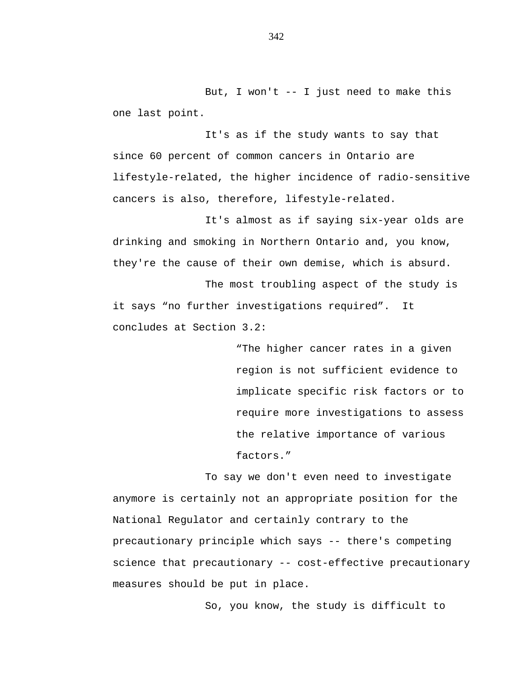But, I won't -- I just need to make this one last point.

It's as if the study wants to say that since 60 percent of common cancers in Ontario are lifestyle-related, the higher incidence of radio-sensitive cancers is also, therefore, lifestyle-related.

It's almost as if saying six-year olds are drinking and smoking in Northern Ontario and, you know, they're the cause of their own demise, which is absurd.

The most troubling aspect of the study is it says "no further investigations required". It concludes at Section 3.2:

> "The higher cancer rates in a given region is not sufficient evidence to implicate specific risk factors or to require more investigations to assess the relative importance of various factors."

To say we don't even need to investigate anymore is certainly not an appropriate position for the National Regulator and certainly contrary to the precautionary principle which says -- there's competing science that precautionary -- cost-effective precautionary measures should be put in place.

So, you know, the study is difficult to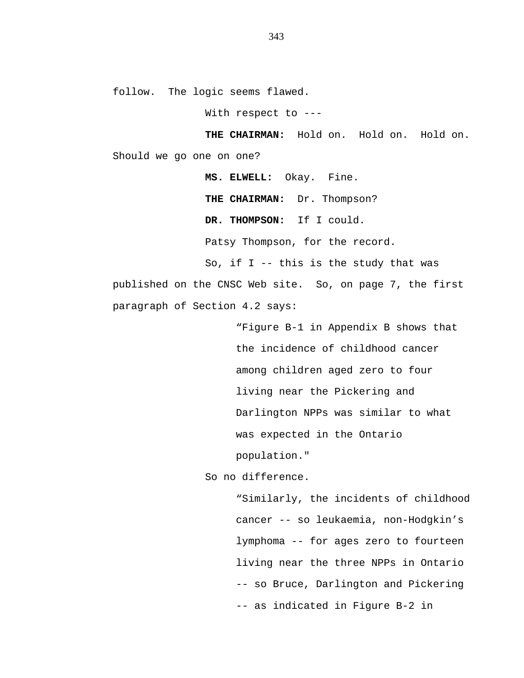follow. The logic seems flawed.

With respect to ---

**THE CHAIRMAN:** Hold on. Hold on. Hold on. Should we go one on one?

> **MS. ELWELL:** Okay. Fine. **THE CHAIRMAN:** Dr. Thompson? **DR. THOMPSON:** If I could.

Patsy Thompson, for the record.

So, if  $I$  -- this is the study that was published on the CNSC Web site. So, on page 7, the first paragraph of Section 4.2 says:

> "Figure B-1 in Appendix B shows that the incidence of childhood cancer among children aged zero to four living near the Pickering and Darlington NPPs was similar to what was expected in the Ontario population."

So no difference.

"Similarly, the incidents of childhood cancer -- so leukaemia, non-Hodgkin's lymphoma -- for ages zero to fourteen living near the three NPPs in Ontario -- so Bruce, Darlington and Pickering -- as indicated in Figure B-2 in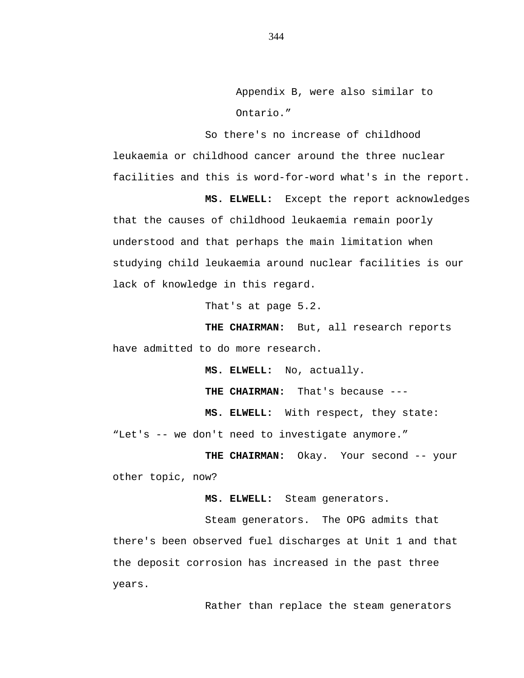Appendix B, were also similar to Ontario."

So there's no increase of childhood leukaemia or childhood cancer around the three nuclear facilities and this is word-for-word what's in the report.

**MS. ELWELL:** Except the report acknowledges that the causes of childhood leukaemia remain poorly understood and that perhaps the main limitation when studying child leukaemia around nuclear facilities is our lack of knowledge in this regard.

That's at page 5.2.

**THE CHAIRMAN:** But, all research reports have admitted to do more research.

**MS. ELWELL:** No, actually.

**THE CHAIRMAN:** That's because ---

**MS. ELWELL:** With respect, they state:

"Let's -- we don't need to investigate anymore."

THE CHAIRMAN: Okay. Your second -- your other topic, now?

**MS. ELWELL:** Steam generators.

Steam generators. The OPG admits that there's been observed fuel discharges at Unit 1 and that the deposit corrosion has increased in the past three years.

Rather than replace the steam generators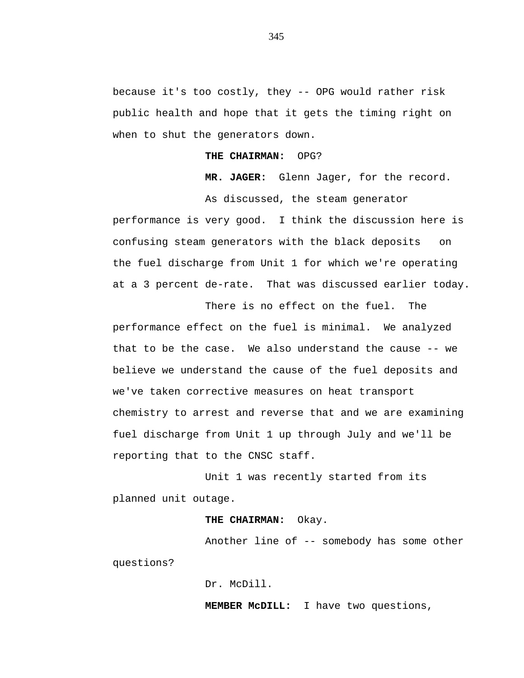because it's too costly, they -- OPG would rather risk public health and hope that it gets the timing right on when to shut the generators down.

### **THE CHAIRMAN:** OPG?

**MR. JAGER:** Glenn Jager, for the record.

As discussed, the steam generator

performance is very good. I think the discussion here is confusing steam generators with the black deposits on the fuel discharge from Unit 1 for which we're operating at a 3 percent de-rate. That was discussed earlier today.

There is no effect on the fuel. The performance effect on the fuel is minimal. We analyzed that to be the case. We also understand the cause -- we believe we understand the cause of the fuel deposits and we've taken corrective measures on heat transport chemistry to arrest and reverse that and we are examining fuel discharge from Unit 1 up through July and we'll be reporting that to the CNSC staff.

Unit 1 was recently started from its planned unit outage.

# **THE CHAIRMAN:** Okay.

Another line of -- somebody has some other questions?

Dr. McDill.

**MEMBER McDILL:** I have two questions,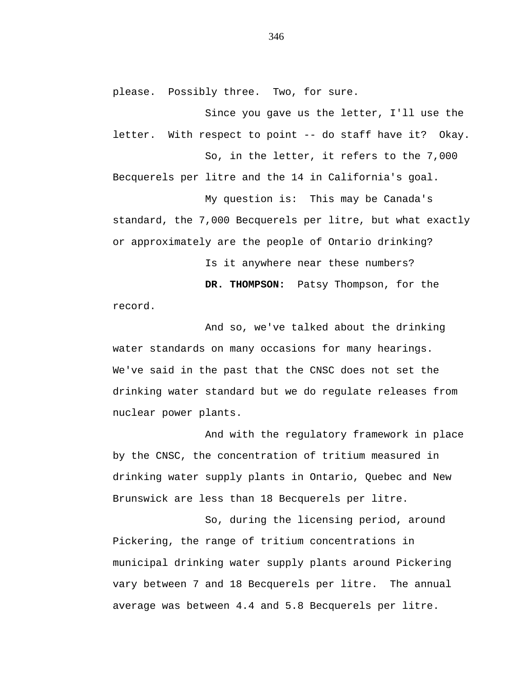please. Possibly three. Two, for sure.

Since you gave us the letter, I'll use the letter. With respect to point -- do staff have it? Okay. So, in the letter, it refers to the 7,000 Becquerels per litre and the 14 in California's goal. My question is: This may be Canada's standard, the 7,000 Becquerels per litre, but what exactly or approximately are the people of Ontario drinking? Is it anywhere near these numbers? **DR. THOMPSON:** Patsy Thompson, for the

record.

And so, we've talked about the drinking water standards on many occasions for many hearings. We've said in the past that the CNSC does not set the drinking water standard but we do regulate releases from nuclear power plants.

And with the regulatory framework in place by the CNSC, the concentration of tritium measured in drinking water supply plants in Ontario, Quebec and New Brunswick are less than 18 Becquerels per litre.

So, during the licensing period, around Pickering, the range of tritium concentrations in municipal drinking water supply plants around Pickering vary between 7 and 18 Becquerels per litre. The annual average was between 4.4 and 5.8 Becquerels per litre.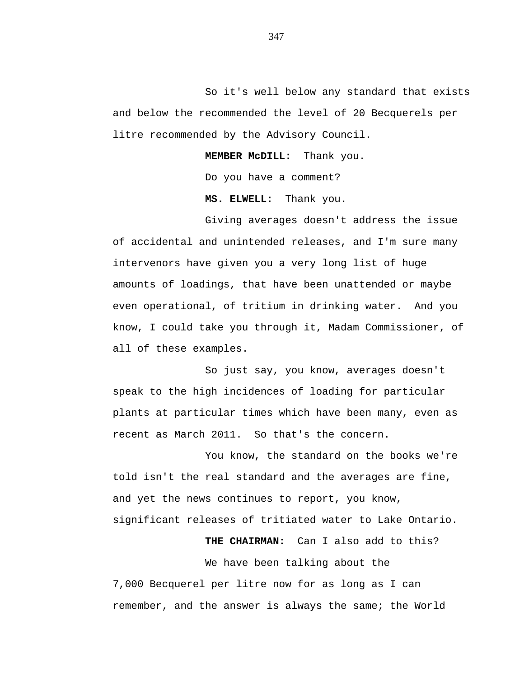So it's well below any standard that exists and below the recommended the level of 20 Becquerels per litre recommended by the Advisory Council.

**MEMBER McDILL:** Thank you.

Do you have a comment? **MS. ELWELL:** Thank you.

Giving averages doesn't address the issue of accidental and unintended releases, and I'm sure many intervenors have given you a very long list of huge amounts of loadings, that have been unattended or maybe even operational, of tritium in drinking water. And you know, I could take you through it, Madam Commissioner, of all of these examples.

So just say, you know, averages doesn't speak to the high incidences of loading for particular plants at particular times which have been many, even as recent as March 2011. So that's the concern.

You know, the standard on the books we're told isn't the real standard and the averages are fine, and yet the news continues to report, you know, significant releases of tritiated water to Lake Ontario.

**THE CHAIRMAN:** Can I also add to this?

We have been talking about the 7,000 Becquerel per litre now for as long as I can remember, and the answer is always the same; the World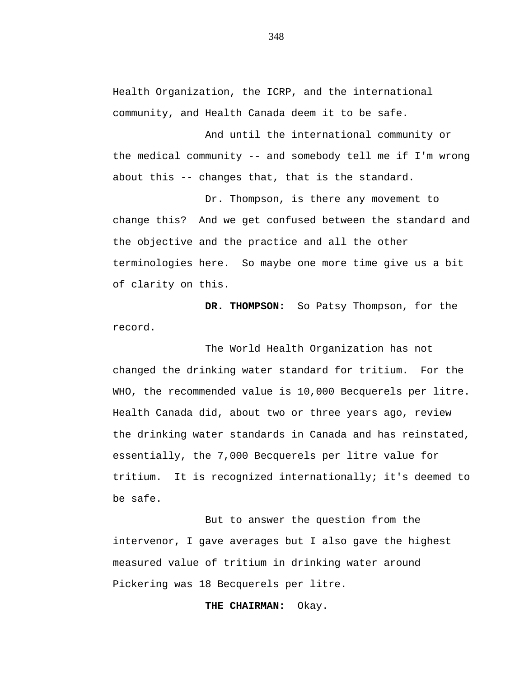Health Organization, the ICRP, and the international community, and Health Canada deem it to be safe.

And until the international community or the medical community -- and somebody tell me if I'm wrong about this -- changes that, that is the standard.

Dr. Thompson, is there any movement to change this? And we get confused between the standard and the objective and the practice and all the other terminologies here. So maybe one more time give us a bit of clarity on this.

**DR. THOMPSON:** So Patsy Thompson, for the record.

The World Health Organization has not changed the drinking water standard for tritium. For the WHO, the recommended value is 10,000 Becquerels per litre. Health Canada did, about two or three years ago, review the drinking water standards in Canada and has reinstated, essentially, the 7,000 Becquerels per litre value for tritium. It is recognized internationally; it's deemed to be safe.

But to answer the question from the intervenor, I gave averages but I also gave the highest measured value of tritium in drinking water around Pickering was 18 Becquerels per litre.

**THE CHAIRMAN:** Okay.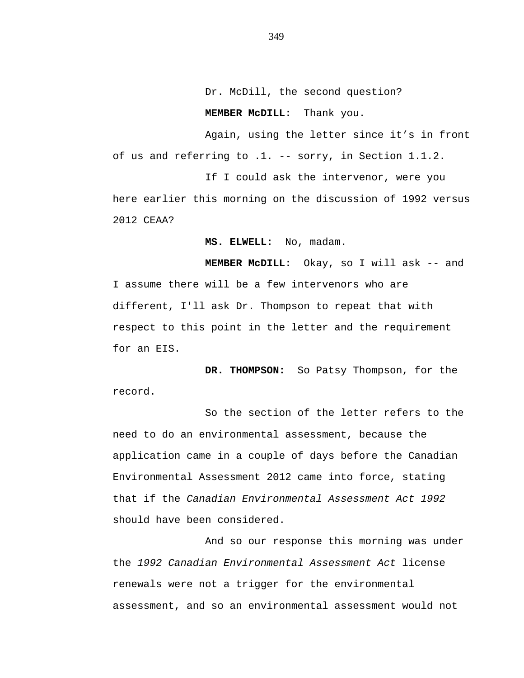Dr. McDill, the second question?

# **MEMBER McDILL:** Thank you.

Again, using the letter since it's in front of us and referring to .1. -- sorry, in Section 1.1.2.

If I could ask the intervenor, were you here earlier this morning on the discussion of 1992 versus 2012 CEAA?

# **MS. ELWELL:** No, madam.

**MEMBER McDILL:** Okay, so I will ask -- and I assume there will be a few intervenors who are different, I'll ask Dr. Thompson to repeat that with respect to this point in the letter and the requirement for an EIS.

**DR. THOMPSON:** So Patsy Thompson, for the record.

So the section of the letter refers to the need to do an environmental assessment, because the application came in a couple of days before the Canadian Environmental Assessment 2012 came into force, stating that if the *Canadian Environmental Assessment Act 1992* should have been considered.

And so our response this morning was under the *1992 Canadian Environmental Assessment Act* license renewals were not a trigger for the environmental assessment, and so an environmental assessment would not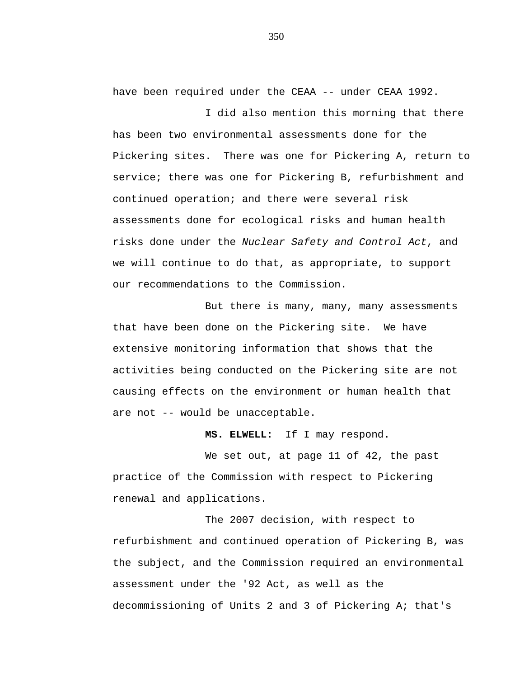have been required under the CEAA -- under CEAA 1992. I did also mention this morning that there

has been two environmental assessments done for the Pickering sites. There was one for Pickering A, return to service; there was one for Pickering B, refurbishment and continued operation; and there were several risk assessments done for ecological risks and human health risks done under the *Nuclear Safety and Control Act*, and we will continue to do that, as appropriate, to support our recommendations to the Commission.

But there is many, many, many assessments that have been done on the Pickering site. We have extensive monitoring information that shows that the activities being conducted on the Pickering site are not causing effects on the environment or human health that are not -- would be unacceptable.

**MS. ELWELL:** If I may respond.

We set out, at page 11 of 42, the past practice of the Commission with respect to Pickering renewal and applications.

The 2007 decision, with respect to refurbishment and continued operation of Pickering B, was the subject, and the Commission required an environmental assessment under the '92 Act, as well as the decommissioning of Units 2 and 3 of Pickering A; that's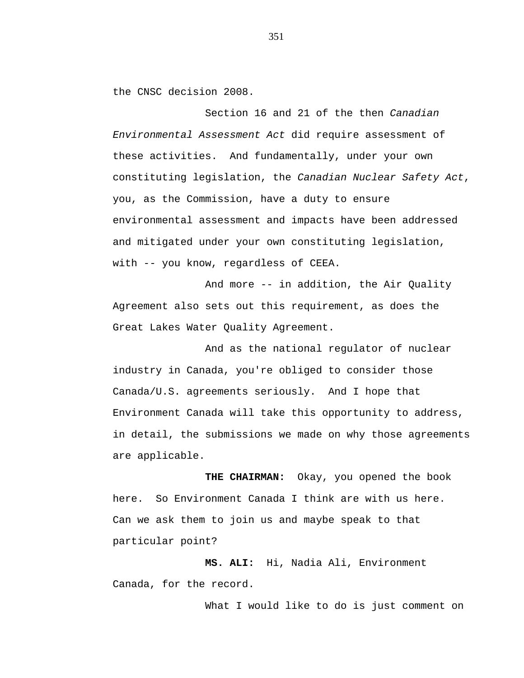the CNSC decision 2008.

Section 16 and 21 of the then *Canadian Environmental Assessment Act* did require assessment of these activities. And fundamentally, under your own constituting legislation, the *Canadian Nuclear Safety Act*, you, as the Commission, have a duty to ensure environmental assessment and impacts have been addressed and mitigated under your own constituting legislation, with -- you know, regardless of CEEA.

And more -- in addition, the Air Quality Agreement also sets out this requirement, as does the Great Lakes Water Quality Agreement.

And as the national regulator of nuclear industry in Canada, you're obliged to consider those Canada/U.S. agreements seriously. And I hope that Environment Canada will take this opportunity to address, in detail, the submissions we made on why those agreements are applicable.

**THE CHAIRMAN:** Okay, you opened the book here. So Environment Canada I think are with us here. Can we ask them to join us and maybe speak to that particular point?

**MS. ALI:** Hi, Nadia Ali, Environment Canada, for the record.

What I would like to do is just comment on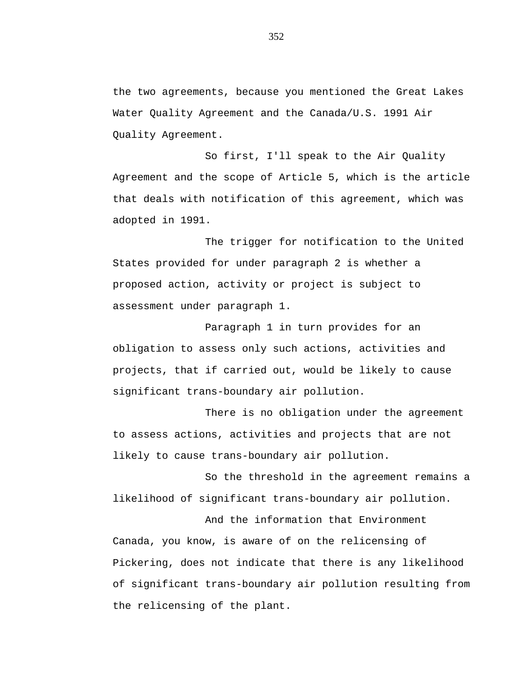the two agreements, because you mentioned the Great Lakes Water Quality Agreement and the Canada/U.S. 1991 Air Quality Agreement.

So first, I'll speak to the Air Quality Agreement and the scope of Article 5, which is the article that deals with notification of this agreement, which was adopted in 1991.

The trigger for notification to the United States provided for under paragraph 2 is whether a proposed action, activity or project is subject to assessment under paragraph 1.

Paragraph 1 in turn provides for an obligation to assess only such actions, activities and projects, that if carried out, would be likely to cause significant trans-boundary air pollution.

There is no obligation under the agreement to assess actions, activities and projects that are not likely to cause trans-boundary air pollution.

So the threshold in the agreement remains a likelihood of significant trans-boundary air pollution.

And the information that Environment Canada, you know, is aware of on the relicensing of Pickering, does not indicate that there is any likelihood of significant trans-boundary air pollution resulting from the relicensing of the plant.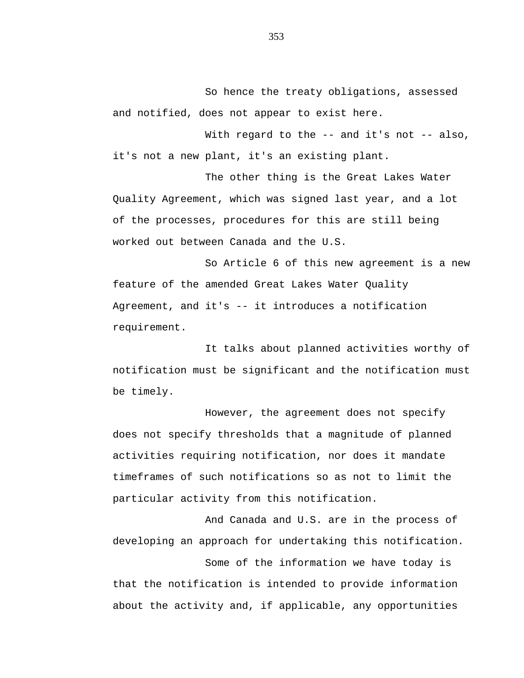So hence the treaty obligations, assessed and notified, does not appear to exist here.

With regard to the  $-$ - and it's not  $-$ - also, it's not a new plant, it's an existing plant.

The other thing is the Great Lakes Water Quality Agreement, which was signed last year, and a lot of the processes, procedures for this are still being worked out between Canada and the U.S.

So Article 6 of this new agreement is a new feature of the amended Great Lakes Water Quality Agreement, and it's -- it introduces a notification requirement.

It talks about planned activities worthy of notification must be significant and the notification must be timely.

However, the agreement does not specify does not specify thresholds that a magnitude of planned activities requiring notification, nor does it mandate timeframes of such notifications so as not to limit the particular activity from this notification.

And Canada and U.S. are in the process of developing an approach for undertaking this notification.

Some of the information we have today is that the notification is intended to provide information about the activity and, if applicable, any opportunities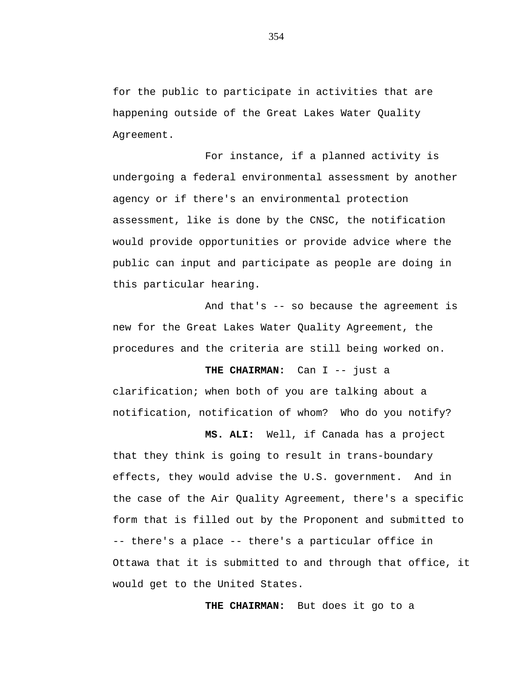for the public to participate in activities that are happening outside of the Great Lakes Water Quality Agreement.

For instance, if a planned activity is undergoing a federal environmental assessment by another agency or if there's an environmental protection assessment, like is done by the CNSC, the notification would provide opportunities or provide advice where the public can input and participate as people are doing in this particular hearing.

And that's -- so because the agreement is new for the Great Lakes Water Quality Agreement, the procedures and the criteria are still being worked on.

**THE CHAIRMAN:** Can I -- just a clarification; when both of you are talking about a notification, notification of whom? Who do you notify?

**MS. ALI:** Well, if Canada has a project that they think is going to result in trans-boundary effects, they would advise the U.S. government. And in the case of the Air Quality Agreement, there's a specific form that is filled out by the Proponent and submitted to -- there's a place -- there's a particular office in Ottawa that it is submitted to and through that office, it would get to the United States.

**THE CHAIRMAN:** But does it go to a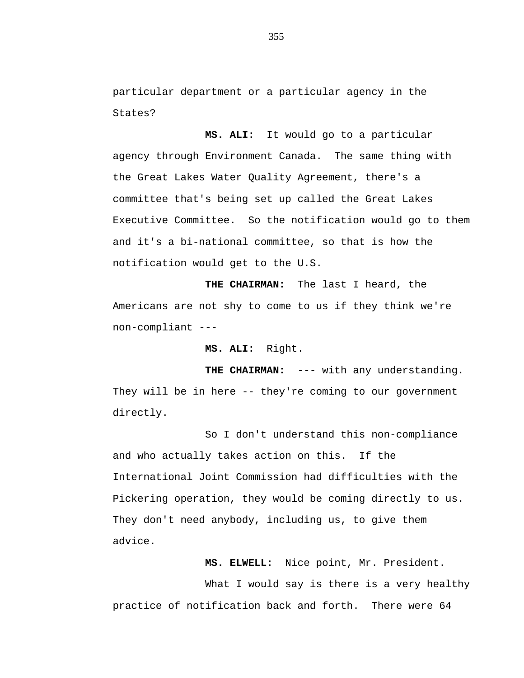particular department or a particular agency in the States?

**MS. ALI:** It would go to a particular agency through Environment Canada. The same thing with the Great Lakes Water Quality Agreement, there's a committee that's being set up called the Great Lakes Executive Committee. So the notification would go to them and it's a bi-national committee, so that is how the notification would get to the U.S.

**THE CHAIRMAN:** The last I heard, the Americans are not shy to come to us if they think we're non-compliant ---

**MS. ALI:** Right.

**THE CHAIRMAN:** --- with any understanding. They will be in here -- they're coming to our government directly.

So I don't understand this non-compliance and who actually takes action on this. If the International Joint Commission had difficulties with the Pickering operation, they would be coming directly to us. They don't need anybody, including us, to give them advice.

**MS. ELWELL:** Nice point, Mr. President.

What I would say is there is a very healthy practice of notification back and forth. There were 64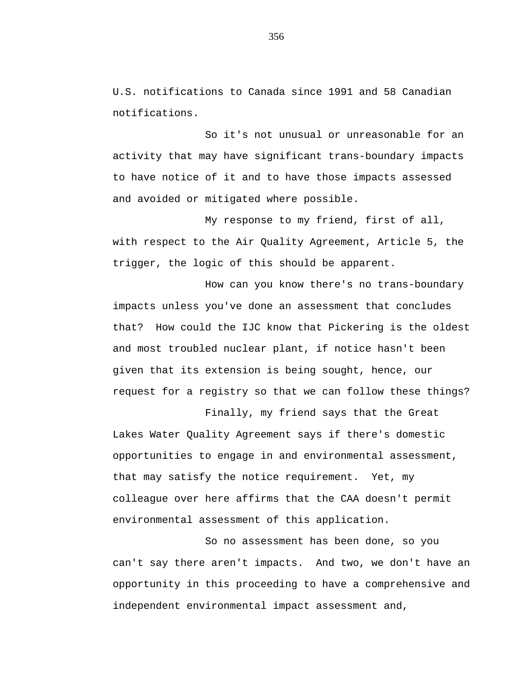U.S. notifications to Canada since 1991 and 58 Canadian notifications.

So it's not unusual or unreasonable for an activity that may have significant trans-boundary impacts to have notice of it and to have those impacts assessed and avoided or mitigated where possible.

My response to my friend, first of all, with respect to the Air Quality Agreement, Article 5, the trigger, the logic of this should be apparent.

How can you know there's no trans-boundary impacts unless you've done an assessment that concludes that? How could the IJC know that Pickering is the oldest and most troubled nuclear plant, if notice hasn't been given that its extension is being sought, hence, our request for a registry so that we can follow these things?

Finally, my friend says that the Great Lakes Water Quality Agreement says if there's domestic opportunities to engage in and environmental assessment, that may satisfy the notice requirement. Yet, my colleague over here affirms that the CAA doesn't permit environmental assessment of this application.

So no assessment has been done, so you can't say there aren't impacts. And two, we don't have an opportunity in this proceeding to have a comprehensive and independent environmental impact assessment and,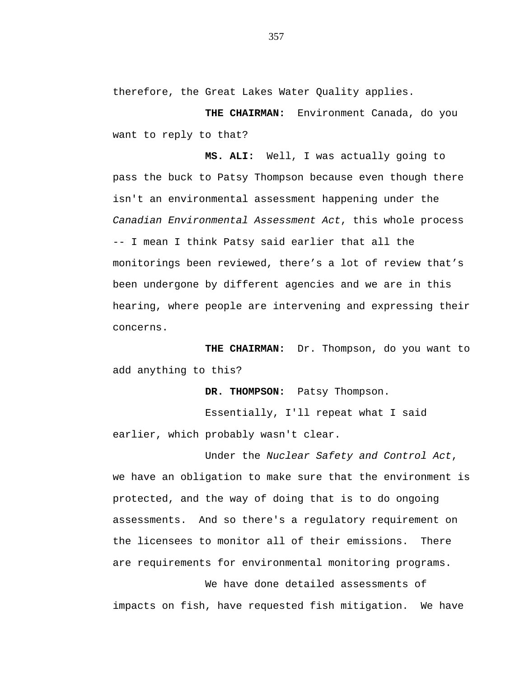therefore, the Great Lakes Water Quality applies.

**THE CHAIRMAN:** Environment Canada, do you want to reply to that?

**MS. ALI:** Well, I was actually going to pass the buck to Patsy Thompson because even though there isn't an environmental assessment happening under the *Canadian Environmental Assessment Act*, this whole process -- I mean I think Patsy said earlier that all the monitorings been reviewed, there's a lot of review that's been undergone by different agencies and we are in this hearing, where people are intervening and expressing their concerns.

**THE CHAIRMAN:** Dr. Thompson, do you want to add anything to this?

**DR. THOMPSON:** Patsy Thompson.

Essentially, I'll repeat what I said earlier, which probably wasn't clear.

Under the *Nuclear Safety and Control Act*, we have an obligation to make sure that the environment is protected, and the way of doing that is to do ongoing assessments. And so there's a regulatory requirement on the licensees to monitor all of their emissions. There are requirements for environmental monitoring programs.

We have done detailed assessments of impacts on fish, have requested fish mitigation. We have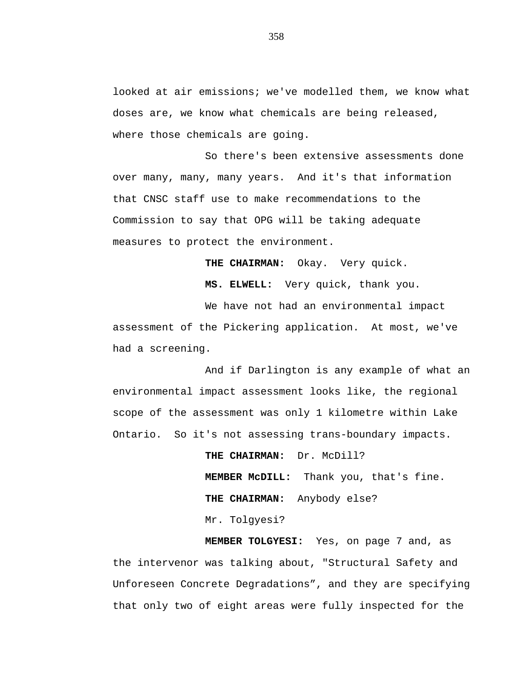looked at air emissions; we've modelled them, we know what doses are, we know what chemicals are being released, where those chemicals are going.

So there's been extensive assessments done over many, many, many years. And it's that information that CNSC staff use to make recommendations to the Commission to say that OPG will be taking adequate measures to protect the environment.

**THE CHAIRMAN:** Okay. Very quick.

**MS. ELWELL:** Very quick, thank you.

We have not had an environmental impact assessment of the Pickering application. At most, we've had a screening.

And if Darlington is any example of what an environmental impact assessment looks like, the regional scope of the assessment was only 1 kilometre within Lake Ontario. So it's not assessing trans-boundary impacts.

> **THE CHAIRMAN:** Dr. McDill? **MEMBER McDILL:** Thank you, that's fine. **THE CHAIRMAN:** Anybody else? Mr. Tolgyesi?

**MEMBER TOLGYESI:** Yes, on page 7 and, as the intervenor was talking about, "Structural Safety and Unforeseen Concrete Degradations", and they are specifying that only two of eight areas were fully inspected for the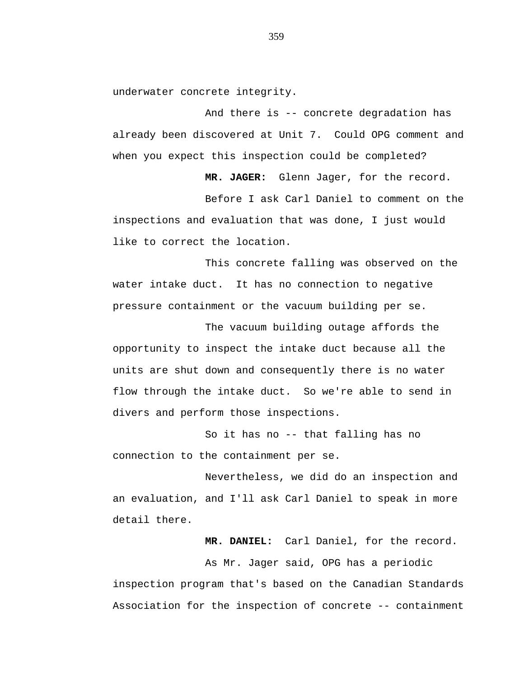underwater concrete integrity.

And there is -- concrete degradation has already been discovered at Unit 7. Could OPG comment and when you expect this inspection could be completed?

**MR. JAGER:** Glenn Jager, for the record. Before I ask Carl Daniel to comment on the inspections and evaluation that was done, I just would like to correct the location.

This concrete falling was observed on the water intake duct. It has no connection to negative pressure containment or the vacuum building per se.

The vacuum building outage affords the opportunity to inspect the intake duct because all the units are shut down and consequently there is no water flow through the intake duct. So we're able to send in divers and perform those inspections.

So it has no -- that falling has no connection to the containment per se.

Nevertheless, we did do an inspection and an evaluation, and I'll ask Carl Daniel to speak in more detail there.

**MR. DANIEL:** Carl Daniel, for the record.

As Mr. Jager said, OPG has a periodic inspection program that's based on the Canadian Standards Association for the inspection of concrete -- containment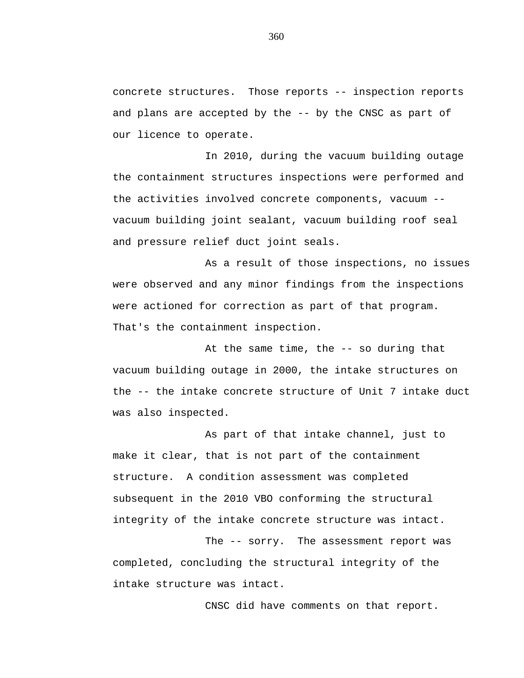concrete structures. Those reports -- inspection reports and plans are accepted by the -- by the CNSC as part of our licence to operate.

In 2010, during the vacuum building outage the containment structures inspections were performed and the activities involved concrete components, vacuum - vacuum building joint sealant, vacuum building roof seal and pressure relief duct joint seals.

As a result of those inspections, no issues were observed and any minor findings from the inspections were actioned for correction as part of that program. That's the containment inspection.

At the same time, the -- so during that vacuum building outage in 2000, the intake structures on the -- the intake concrete structure of Unit 7 intake duct was also inspected.

As part of that intake channel, just to make it clear, that is not part of the containment structure. A condition assessment was completed subsequent in the 2010 VBO conforming the structural integrity of the intake concrete structure was intact.

The -- sorry. The assessment report was completed, concluding the structural integrity of the intake structure was intact.

CNSC did have comments on that report.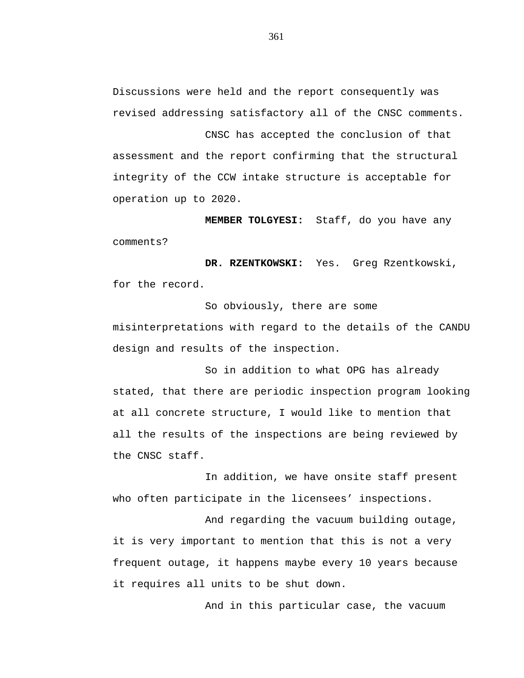Discussions were held and the report consequently was revised addressing satisfactory all of the CNSC comments.

CNSC has accepted the conclusion of that assessment and the report confirming that the structural integrity of the CCW intake structure is acceptable for operation up to 2020.

**MEMBER TOLGYESI:** Staff, do you have any comments?

**DR. RZENTKOWSKI:** Yes. Greg Rzentkowski, for the record.

So obviously, there are some misinterpretations with regard to the details of the CANDU design and results of the inspection.

So in addition to what OPG has already stated, that there are periodic inspection program looking at all concrete structure, I would like to mention that all the results of the inspections are being reviewed by the CNSC staff.

In addition, we have onsite staff present who often participate in the licensees' inspections.

And regarding the vacuum building outage, it is very important to mention that this is not a very frequent outage, it happens maybe every 10 years because it requires all units to be shut down.

And in this particular case, the vacuum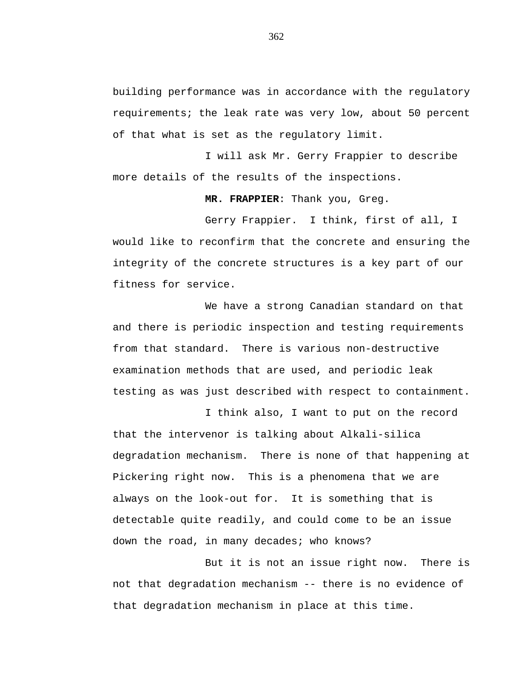building performance was in accordance with the regulatory requirements; the leak rate was very low, about 50 percent of that what is set as the regulatory limit.

I will ask Mr. Gerry Frappier to describe more details of the results of the inspections.

**MR. FRAPPIER**: Thank you, Greg.

Gerry Frappier. I think, first of all, I would like to reconfirm that the concrete and ensuring the integrity of the concrete structures is a key part of our fitness for service.

We have a strong Canadian standard on that and there is periodic inspection and testing requirements from that standard. There is various non-destructive examination methods that are used, and periodic leak testing as was just described with respect to containment.

I think also, I want to put on the record that the intervenor is talking about Alkali-silica degradation mechanism. There is none of that happening at Pickering right now. This is a phenomena that we are always on the look-out for. It is something that is detectable quite readily, and could come to be an issue down the road, in many decades; who knows?

But it is not an issue right now. There is not that degradation mechanism -- there is no evidence of that degradation mechanism in place at this time.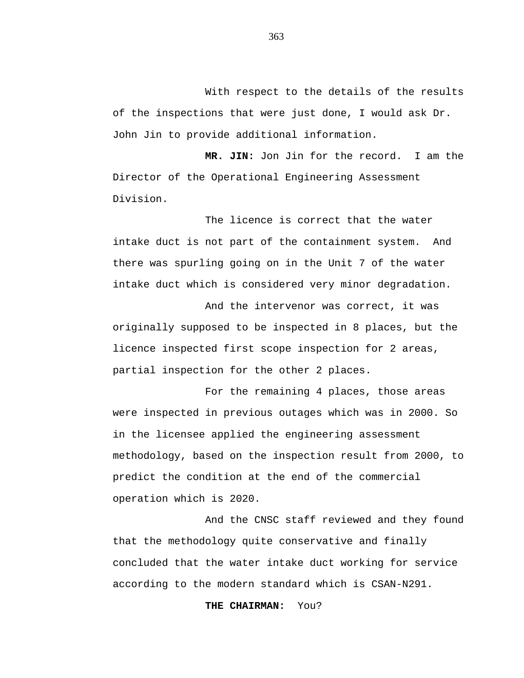With respect to the details of the results of the inspections that were just done, I would ask Dr. John Jin to provide additional information.

**MR. JIN:** Jon Jin for the record. I am the Director of the Operational Engineering Assessment Division.

The licence is correct that the water intake duct is not part of the containment system. And there was spurling going on in the Unit 7 of the water intake duct which is considered very minor degradation.

And the intervenor was correct, it was originally supposed to be inspected in 8 places, but the licence inspected first scope inspection for 2 areas, partial inspection for the other 2 places.

For the remaining 4 places, those areas were inspected in previous outages which was in 2000. So in the licensee applied the engineering assessment methodology, based on the inspection result from 2000, to predict the condition at the end of the commercial operation which is 2020.

And the CNSC staff reviewed and they found that the methodology quite conservative and finally concluded that the water intake duct working for service according to the modern standard which is CSAN-N291.

## **THE CHAIRMAN:** You?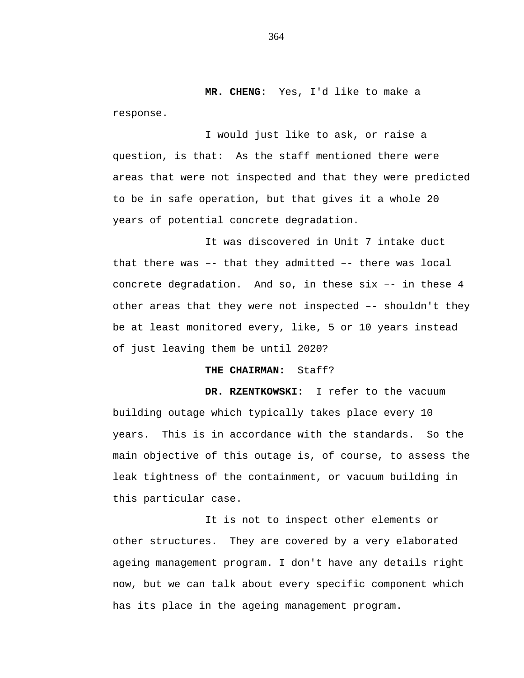**MR. CHENG:** Yes, I'd like to make a

response.

I would just like to ask, or raise a question, is that: As the staff mentioned there were areas that were not inspected and that they were predicted to be in safe operation, but that gives it a whole 20 years of potential concrete degradation.

It was discovered in Unit 7 intake duct that there was –- that they admitted –- there was local concrete degradation. And so, in these six –- in these 4 other areas that they were not inspected -- shouldn't they be at least monitored every, like, 5 or 10 years instead of just leaving them be until 2020?

## **THE CHAIRMAN:** Staff?

**DR. RZENTKOWSKI:** I refer to the vacuum building outage which typically takes place every 10 years. This is in accordance with the standards. So the main objective of this outage is, of course, to assess the leak tightness of the containment, or vacuum building in this particular case.

It is not to inspect other elements or other structures. They are covered by a very elaborated ageing management program. I don't have any details right now, but we can talk about every specific component which has its place in the ageing management program.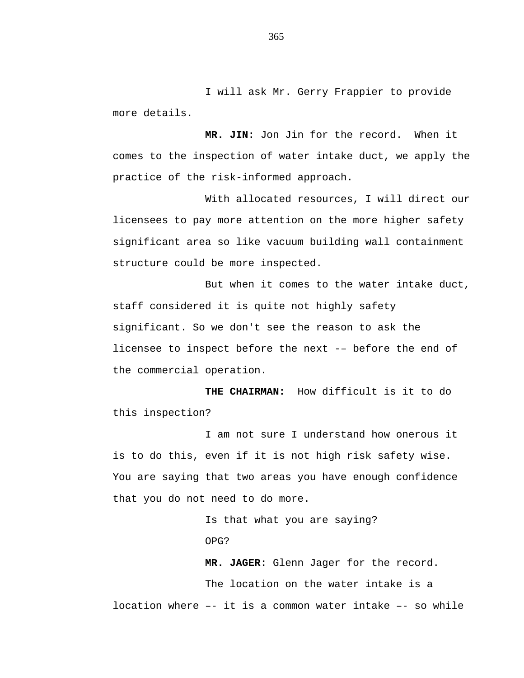I will ask Mr. Gerry Frappier to provide more details.

**MR. JIN:** Jon Jin for the record. When it comes to the inspection of water intake duct, we apply the practice of the risk-informed approach.

With allocated resources, I will direct our licensees to pay more attention on the more higher safety significant area so like vacuum building wall containment structure could be more inspected.

But when it comes to the water intake duct, staff considered it is quite not highly safety significant. So we don't see the reason to ask the licensee to inspect before the next -– before the end of the commercial operation.

**THE CHAIRMAN:** How difficult is it to do this inspection?

I am not sure I understand how onerous it is to do this, even if it is not high risk safety wise. You are saying that two areas you have enough confidence that you do not need to do more.

Is that what you are saying? OPG? **MR. JAGER:** Glenn Jager for the record. The location on the water intake is a location where –- it is a common water intake –- so while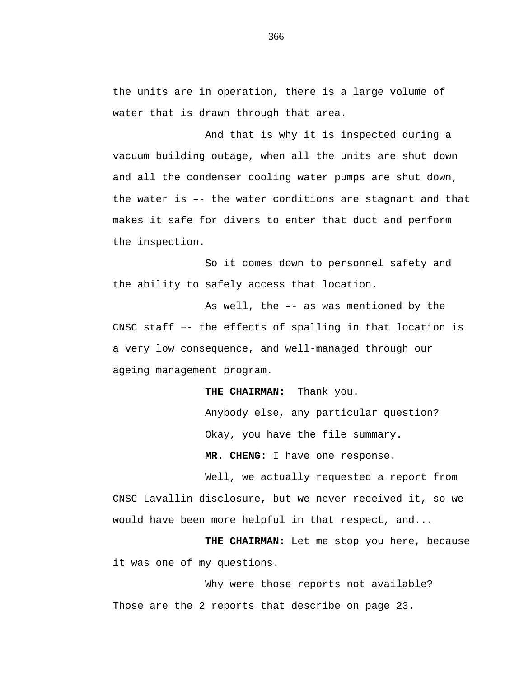the units are in operation, there is a large volume of water that is drawn through that area.

And that is why it is inspected during a vacuum building outage, when all the units are shut down and all the condenser cooling water pumps are shut down, the water is –- the water conditions are stagnant and that makes it safe for divers to enter that duct and perform the inspection.

So it comes down to personnel safety and the ability to safely access that location.

As well, the –- as was mentioned by the CNSC staff –- the effects of spalling in that location is a very low consequence, and well-managed through our ageing management program.

**THE CHAIRMAN:** Thank you.

Anybody else, any particular question? Okay, you have the file summary. **MR. CHENG:** I have one response.

Well, we actually requested a report from CNSC Lavallin disclosure, but we never received it, so we would have been more helpful in that respect, and...

**THE CHAIRMAN:** Let me stop you here, because it was one of my questions.

Why were those reports not available? Those are the 2 reports that describe on page 23.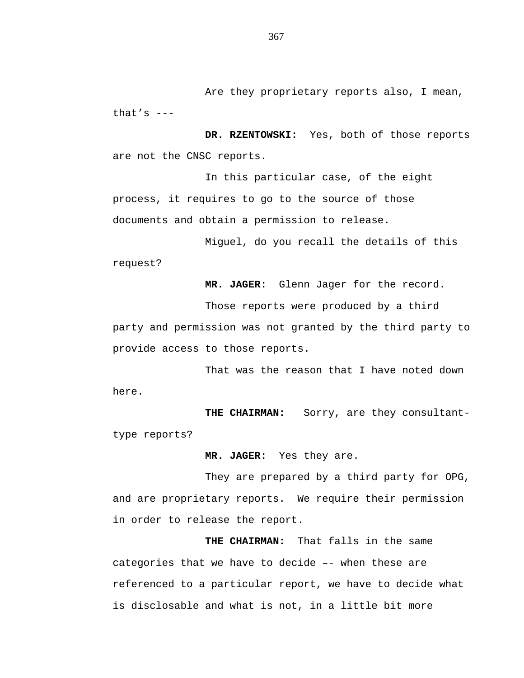Are they proprietary reports also, I mean, that's  $---$ 

**DR. RZENTOWSKI:** Yes, both of those reports are not the CNSC reports.

In this particular case, of the eight process, it requires to go to the source of those documents and obtain a permission to release.

Miguel, do you recall the details of this request?

**MR. JAGER:** Glenn Jager for the record.

Those reports were produced by a third

party and permission was not granted by the third party to provide access to those reports.

That was the reason that I have noted down here.

**THE CHAIRMAN:** Sorry, are they consultanttype reports?

**MR. JAGER:** Yes they are.

They are prepared by a third party for OPG, and are proprietary reports. We require their permission in order to release the report.

**THE CHAIRMAN:** That falls in the same categories that we have to decide –- when these are referenced to a particular report, we have to decide what is disclosable and what is not, in a little bit more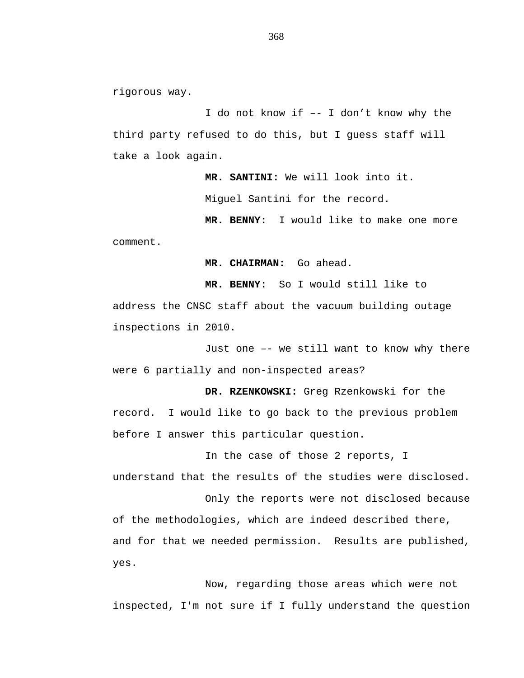rigorous way.

I do not know if –- I don't know why the third party refused to do this, but I guess staff will take a look again.

**MR. SANTINI:** We will look into it.

Miguel Santini for the record.

**MR. BENNY:** I would like to make one more comment.

**MR. CHAIRMAN:** Go ahead.

**MR. BENNY:** So I would still like to address the CNSC staff about the vacuum building outage inspections in 2010.

Just one –- we still want to know why there were 6 partially and non-inspected areas?

**DR. RZENKOWSKI:** Greg Rzenkowski for the record. I would like to go back to the previous problem before I answer this particular question.

In the case of those 2 reports, I understand that the results of the studies were disclosed.

Only the reports were not disclosed because of the methodologies, which are indeed described there, and for that we needed permission. Results are published, yes.

Now, regarding those areas which were not inspected, I'm not sure if I fully understand the question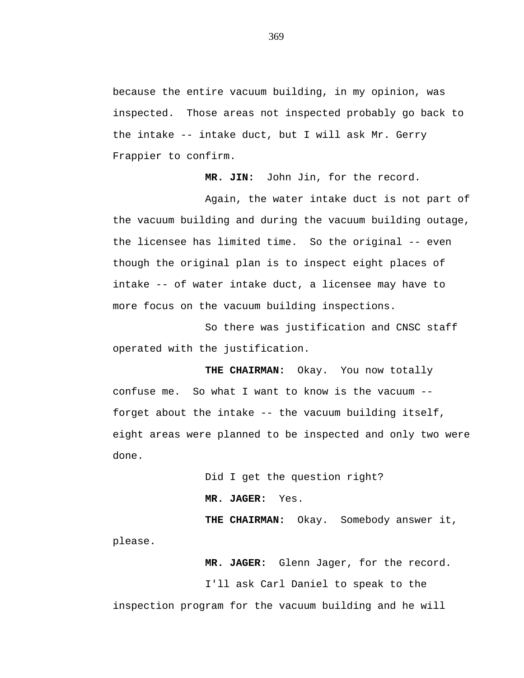because the entire vacuum building, in my opinion, was inspected. Those areas not inspected probably go back to the intake -- intake duct, but I will ask Mr. Gerry Frappier to confirm.

**MR. JIN:** John Jin, for the record.

Again, the water intake duct is not part of the vacuum building and during the vacuum building outage, the licensee has limited time. So the original -- even though the original plan is to inspect eight places of intake -- of water intake duct, a licensee may have to more focus on the vacuum building inspections.

So there was justification and CNSC staff operated with the justification.

**THE CHAIRMAN:** Okay. You now totally confuse me. So what I want to know is the vacuum - forget about the intake -- the vacuum building itself, eight areas were planned to be inspected and only two were done.

> Did I get the question right? **MR. JAGER:** Yes.

**THE CHAIRMAN:** Okay. Somebody answer it, please.

**MR. JAGER:** Glenn Jager, for the record. I'll ask Carl Daniel to speak to the inspection program for the vacuum building and he will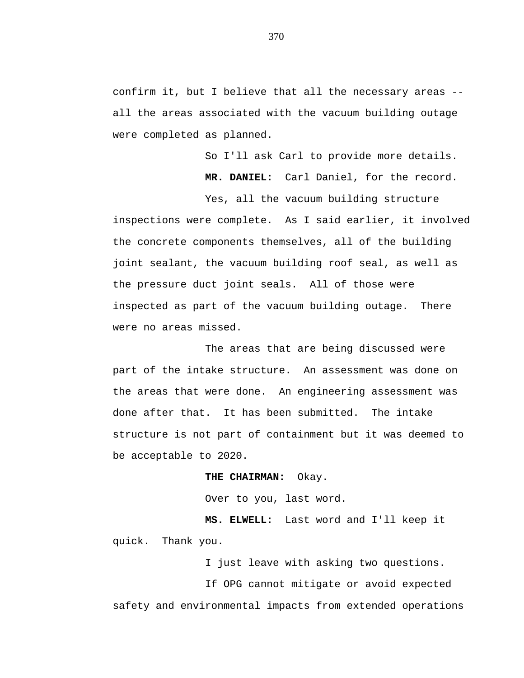confirm it, but I believe that all the necessary areas - all the areas associated with the vacuum building outage were completed as planned.

So I'll ask Carl to provide more details.

**MR. DANIEL:** Carl Daniel, for the record. Yes, all the vacuum building structure

inspections were complete. As I said earlier, it involved the concrete components themselves, all of the building joint sealant, the vacuum building roof seal, as well as the pressure duct joint seals. All of those were inspected as part of the vacuum building outage. There were no areas missed.

The areas that are being discussed were part of the intake structure. An assessment was done on the areas that were done. An engineering assessment was done after that. It has been submitted. The intake structure is not part of containment but it was deemed to be acceptable to 2020.

**THE CHAIRMAN:** Okay.

Over to you, last word.

**MS. ELWELL:** Last word and I'll keep it quick. Thank you.

I just leave with asking two questions. If OPG cannot mitigate or avoid expected safety and environmental impacts from extended operations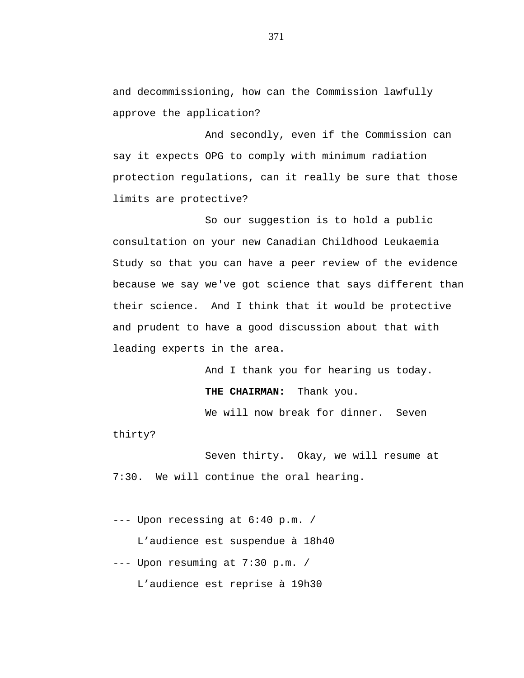and decommissioning, how can the Commission lawfully approve the application?

And secondly, even if the Commission can say it expects OPG to comply with minimum radiation protection regulations, can it really be sure that those limits are protective?

So our suggestion is to hold a public consultation on your new Canadian Childhood Leukaemia Study so that you can have a peer review of the evidence because we say we've got science that says different than their science. And I think that it would be protective and prudent to have a good discussion about that with leading experts in the area.

> And I thank you for hearing us today. **THE CHAIRMAN:** Thank you.

We will now break for dinner. Seven

thirty?

Seven thirty. Okay, we will resume at 7:30. We will continue the oral hearing.

--- Upon recessing at 6:40 p.m. /

L'audience est suspendue à 18h40

--- Upon resuming at 7:30 p.m. /

L'audience est reprise à 19h30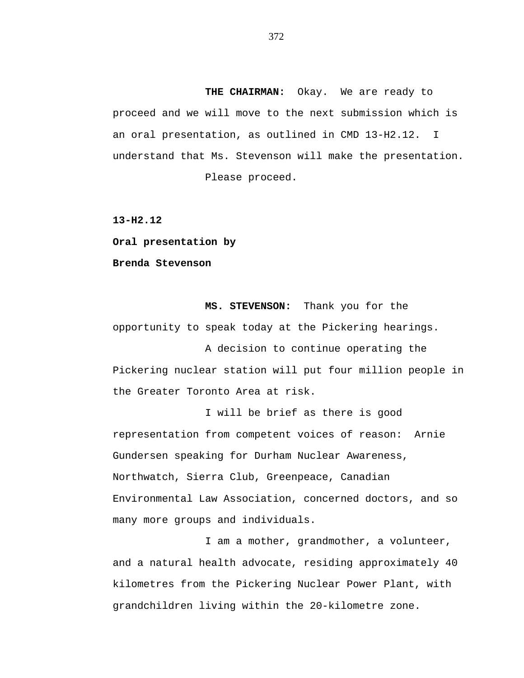**THE CHAIRMAN:** Okay. We are ready to proceed and we will move to the next submission which is an oral presentation, as outlined in CMD 13-H2.12. I understand that Ms. Stevenson will make the presentation. Please proceed.

**13-H2.12**

**Oral presentation by Brenda Stevenson**

**MS. STEVENSON:** Thank you for the opportunity to speak today at the Pickering hearings.

A decision to continue operating the Pickering nuclear station will put four million people in the Greater Toronto Area at risk.

I will be brief as there is good representation from competent voices of reason: Arnie Gundersen speaking for Durham Nuclear Awareness, Northwatch, Sierra Club, Greenpeace, Canadian Environmental Law Association, concerned doctors, and so many more groups and individuals.

I am a mother, grandmother, a volunteer, and a natural health advocate, residing approximately 40 kilometres from the Pickering Nuclear Power Plant, with grandchildren living within the 20-kilometre zone.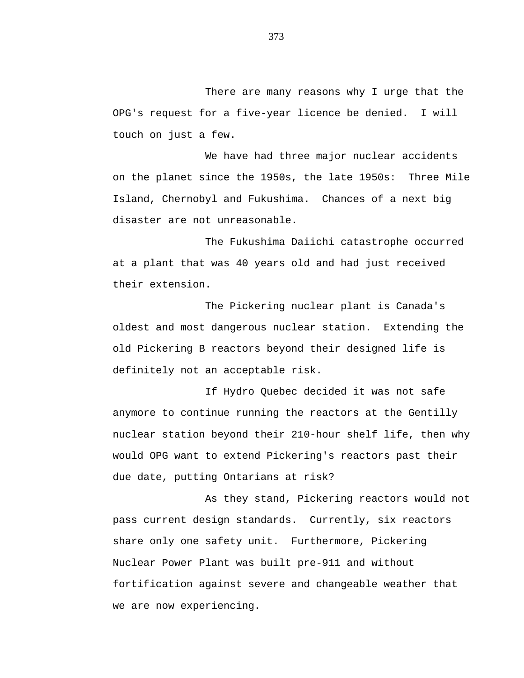There are many reasons why I urge that the OPG's request for a five-year licence be denied. I will touch on just a few.

We have had three major nuclear accidents on the planet since the 1950s, the late 1950s: Three Mile Island, Chernobyl and Fukushima. Chances of a next big disaster are not unreasonable.

The Fukushima Daiichi catastrophe occurred at a plant that was 40 years old and had just received their extension.

The Pickering nuclear plant is Canada's oldest and most dangerous nuclear station. Extending the old Pickering B reactors beyond their designed life is definitely not an acceptable risk.

If Hydro Quebec decided it was not safe anymore to continue running the reactors at the Gentilly nuclear station beyond their 210-hour shelf life, then why would OPG want to extend Pickering's reactors past their due date, putting Ontarians at risk?

As they stand, Pickering reactors would not pass current design standards. Currently, six reactors share only one safety unit. Furthermore, Pickering Nuclear Power Plant was built pre-911 and without fortification against severe and changeable weather that we are now experiencing.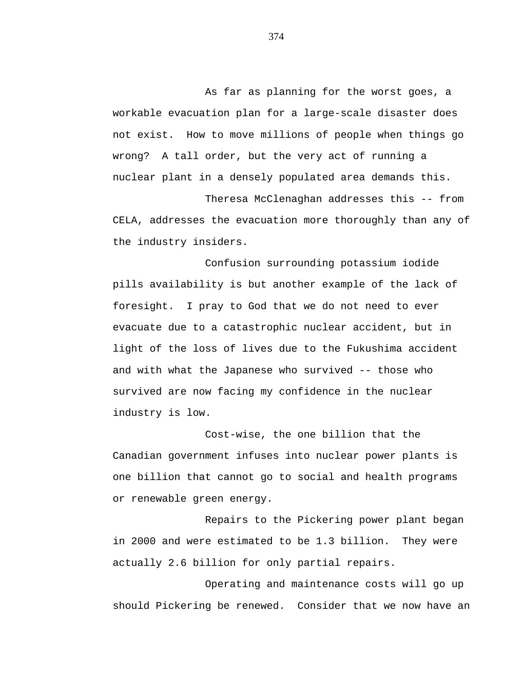As far as planning for the worst goes, a workable evacuation plan for a large-scale disaster does not exist. How to move millions of people when things go wrong? A tall order, but the very act of running a nuclear plant in a densely populated area demands this.

Theresa McClenaghan addresses this -- from CELA, addresses the evacuation more thoroughly than any of the industry insiders.

Confusion surrounding potassium iodide pills availability is but another example of the lack of foresight. I pray to God that we do not need to ever evacuate due to a catastrophic nuclear accident, but in light of the loss of lives due to the Fukushima accident and with what the Japanese who survived -- those who survived are now facing my confidence in the nuclear industry is low.

Cost-wise, the one billion that the Canadian government infuses into nuclear power plants is one billion that cannot go to social and health programs or renewable green energy.

Repairs to the Pickering power plant began in 2000 and were estimated to be 1.3 billion. They were actually 2.6 billion for only partial repairs.

Operating and maintenance costs will go up should Pickering be renewed. Consider that we now have an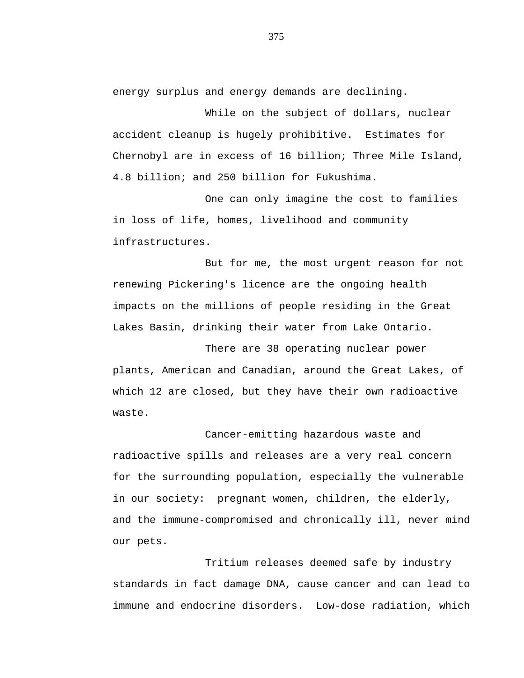energy surplus and energy demands are declining.

While on the subject of dollars, nuclear accident cleanup is hugely prohibitive. Estimates for Chernobyl are in excess of 16 billion; Three Mile Island, 4.8 billion; and 250 billion for Fukushima.

One can only imagine the cost to families in loss of life, homes, livelihood and community infrastructures.

But for me, the most urgent reason for not renewing Pickering's licence are the ongoing health impacts on the millions of people residing in the Great Lakes Basin, drinking their water from Lake Ontario.

There are 38 operating nuclear power plants, American and Canadian, around the Great Lakes, of which 12 are closed, but they have their own radioactive waste.

Cancer-emitting hazardous waste and radioactive spills and releases are a very real concern for the surrounding population, especially the vulnerable in our society: pregnant women, children, the elderly, and the immune-compromised and chronically ill, never mind our pets.

Tritium releases deemed safe by industry standards in fact damage DNA, cause cancer and can lead to immune and endocrine disorders. Low-dose radiation, which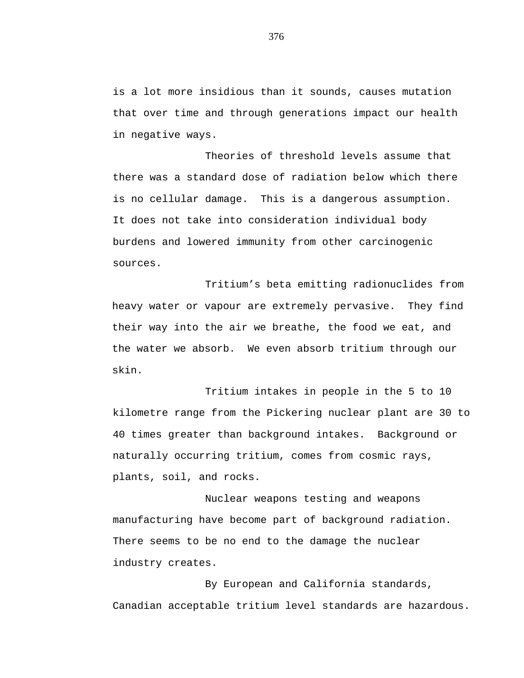is a lot more insidious than it sounds, causes mutation that over time and through generations impact our health in negative ways.

Theories of threshold levels assume that there was a standard dose of radiation below which there is no cellular damage. This is a dangerous assumption. It does not take into consideration individual body burdens and lowered immunity from other carcinogenic sources.

Tritium's beta emitting radionuclides from heavy water or vapour are extremely pervasive. They find their way into the air we breathe, the food we eat, and the water we absorb. We even absorb tritium through our skin.

Tritium intakes in people in the 5 to 10 kilometre range from the Pickering nuclear plant are 30 to 40 times greater than background intakes. Background or naturally occurring tritium, comes from cosmic rays, plants, soil, and rocks.

Nuclear weapons testing and weapons manufacturing have become part of background radiation. There seems to be no end to the damage the nuclear industry creates.

By European and California standards, Canadian acceptable tritium level standards are hazardous.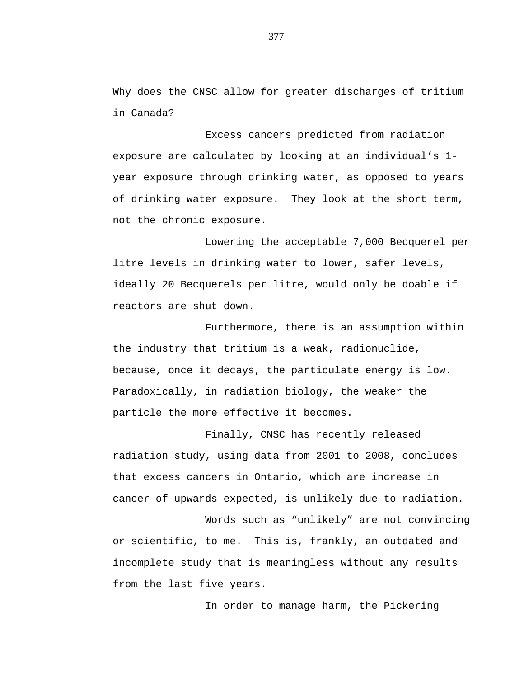Why does the CNSC allow for greater discharges of tritium in Canada?

Excess cancers predicted from radiation exposure are calculated by looking at an individual's 1 year exposure through drinking water, as opposed to years of drinking water exposure. They look at the short term, not the chronic exposure.

Lowering the acceptable 7,000 Becquerel per litre levels in drinking water to lower, safer levels, ideally 20 Becquerels per litre, would only be doable if reactors are shut down.

Furthermore, there is an assumption within the industry that tritium is a weak, radionuclide, because, once it decays, the particulate energy is low. Paradoxically, in radiation biology, the weaker the particle the more effective it becomes.

Finally, CNSC has recently released radiation study, using data from 2001 to 2008, concludes that excess cancers in Ontario, which are increase in cancer of upwards expected, is unlikely due to radiation.

Words such as "unlikely" are not convincing or scientific, to me. This is, frankly, an outdated and incomplete study that is meaningless without any results from the last five years.

In order to manage harm, the Pickering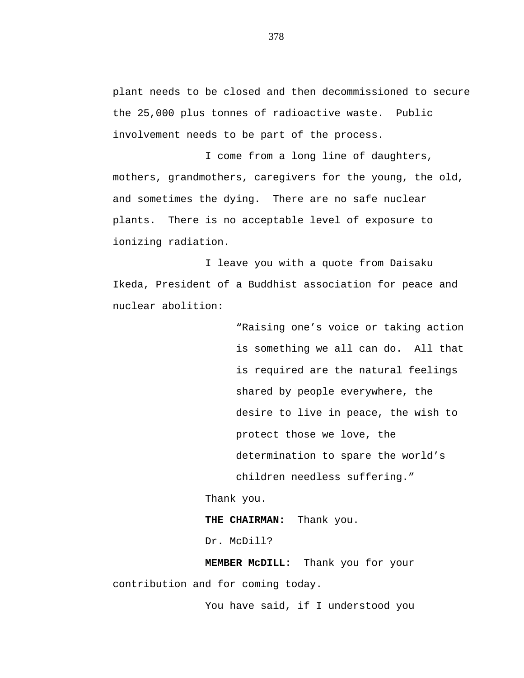plant needs to be closed and then decommissioned to secure the 25,000 plus tonnes of radioactive waste. Public involvement needs to be part of the process.

I come from a long line of daughters, mothers, grandmothers, caregivers for the young, the old, and sometimes the dying. There are no safe nuclear plants. There is no acceptable level of exposure to ionizing radiation.

I leave you with a quote from Daisaku Ikeda, President of a Buddhist association for peace and nuclear abolition:

> "Raising one's voice or taking action is something we all can do. All that is required are the natural feelings shared by people everywhere, the desire to live in peace, the wish to protect those we love, the determination to spare the world's children needless suffering."

Thank you.

**THE CHAIRMAN:** Thank you.

Dr. McDill?

**MEMBER McDILL:** Thank you for your contribution and for coming today.

You have said, if I understood you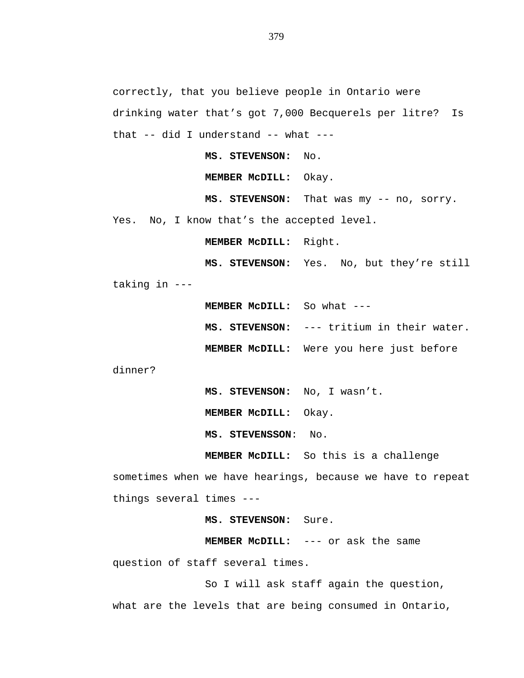correctly, that you believe people in Ontario were drinking water that's got 7,000 Becquerels per litre? Is that -- did I understand -- what ---

**MS. STEVENSON:** No.

**MEMBER McDILL:** Okay.

**MS. STEVENSON:** That was my -- no, sorry.

Yes. No, I know that's the accepted level.

**MEMBER McDILL:** Right.

**MS. STEVENSON:** Yes. No, but they're still

taking in ---

**MEMBER McDILL:** So what --- **MS. STEVENSON:** --- tritium in their water. **MEMBER McDILL:** Were you here just before

dinner?

**MS. STEVENSON:** No, I wasn't.

**MEMBER McDILL:** Okay.

**MS. STEVENSSON**: No.

**MEMBER McDILL:** So this is a challenge

sometimes when we have hearings, because we have to repeat things several times ---

**MS. STEVENSON:** Sure.

**MEMBER McDILL:** --- or ask the same

question of staff several times.

So I will ask staff again the question, what are the levels that are being consumed in Ontario,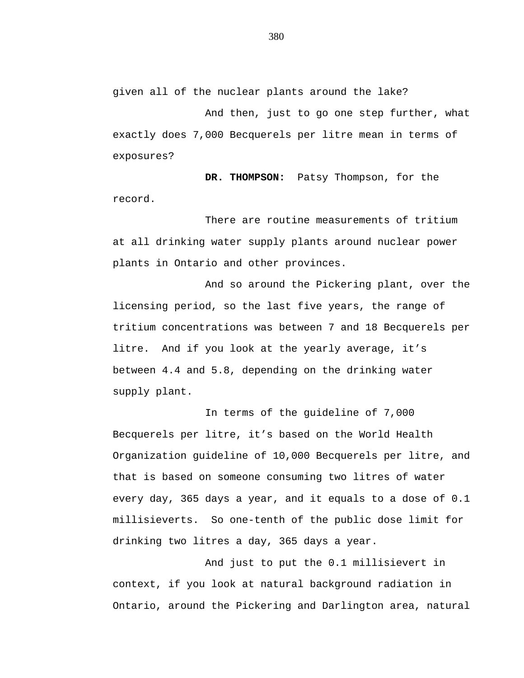given all of the nuclear plants around the lake?

And then, just to go one step further, what exactly does 7,000 Becquerels per litre mean in terms of exposures?

**DR. THOMPSON:** Patsy Thompson, for the record.

There are routine measurements of tritium at all drinking water supply plants around nuclear power plants in Ontario and other provinces.

And so around the Pickering plant, over the licensing period, so the last five years, the range of tritium concentrations was between 7 and 18 Becquerels per litre. And if you look at the yearly average, it's between 4.4 and 5.8, depending on the drinking water supply plant.

In terms of the guideline of 7,000 Becquerels per litre, it's based on the World Health Organization guideline of 10,000 Becquerels per litre, and that is based on someone consuming two litres of water every day, 365 days a year, and it equals to a dose of 0.1 millisieverts. So one-tenth of the public dose limit for drinking two litres a day, 365 days a year.

And just to put the 0.1 millisievert in context, if you look at natural background radiation in Ontario, around the Pickering and Darlington area, natural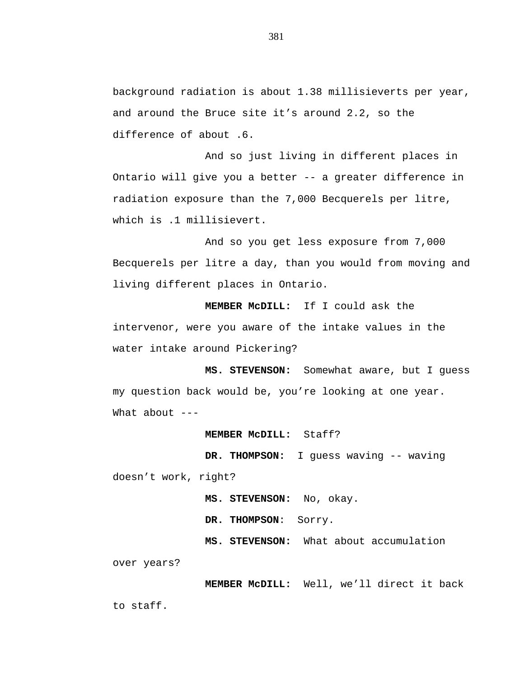background radiation is about 1.38 millisieverts per year, and around the Bruce site it's around 2.2, so the difference of about .6.

And so just living in different places in Ontario will give you a better -- a greater difference in radiation exposure than the 7,000 Becquerels per litre, which is .1 millisievert.

And so you get less exposure from 7,000 Becquerels per litre a day, than you would from moving and living different places in Ontario.

**MEMBER McDILL:** If I could ask the intervenor, were you aware of the intake values in the water intake around Pickering?

**MS. STEVENSON:** Somewhat aware, but I guess my question back would be, you're looking at one year. What about  $---$ 

**MEMBER McDILL:** Staff?

**DR. THOMPSON:** I guess waving -- waving doesn't work, right?

> **MS. STEVENSON:** No, okay. **DR. THOMPSON**: Sorry. **MS. STEVENSON:** What about accumulation

over years?

**MEMBER McDILL:** Well, we'll direct it back to staff.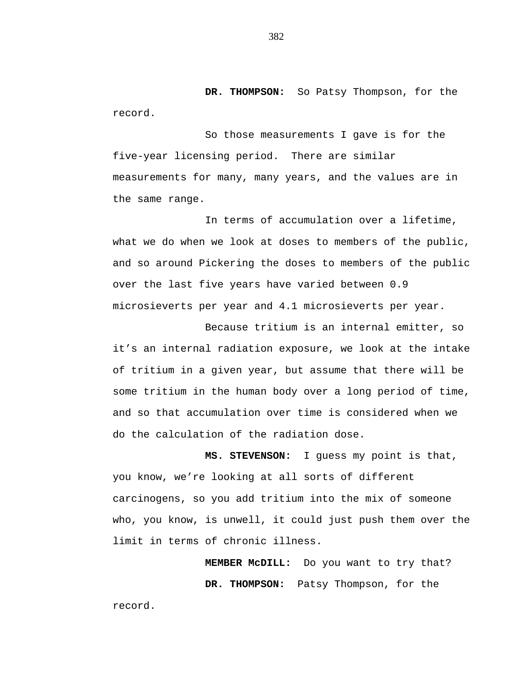**DR. THOMPSON:** So Patsy Thompson, for the record.

So those measurements I gave is for the five-year licensing period. There are similar measurements for many, many years, and the values are in the same range.

In terms of accumulation over a lifetime, what we do when we look at doses to members of the public, and so around Pickering the doses to members of the public over the last five years have varied between 0.9 microsieverts per year and 4.1 microsieverts per year.

Because tritium is an internal emitter, so it's an internal radiation exposure, we look at the intake of tritium in a given year, but assume that there will be some tritium in the human body over a long period of time, and so that accumulation over time is considered when we do the calculation of the radiation dose.

**MS. STEVENSON:** I guess my point is that, you know, we're looking at all sorts of different carcinogens, so you add tritium into the mix of someone who, you know, is unwell, it could just push them over the limit in terms of chronic illness.

> **MEMBER McDILL:** Do you want to try that? **DR. THOMPSON:** Patsy Thompson, for the

record.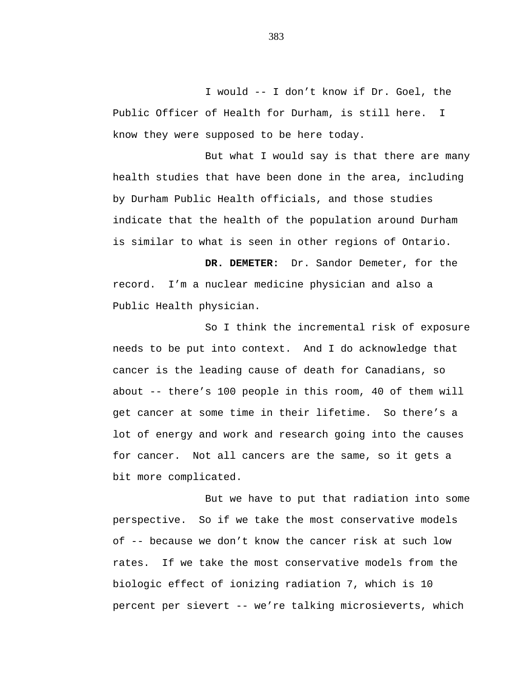I would -- I don't know if Dr. Goel, the Public Officer of Health for Durham, is still here. I know they were supposed to be here today.

But what I would say is that there are many health studies that have been done in the area, including by Durham Public Health officials, and those studies indicate that the health of the population around Durham is similar to what is seen in other regions of Ontario.

**DR. DEMETER:** Dr. Sandor Demeter, for the record. I'm a nuclear medicine physician and also a Public Health physician.

So I think the incremental risk of exposure needs to be put into context. And I do acknowledge that cancer is the leading cause of death for Canadians, so about -- there's 100 people in this room, 40 of them will get cancer at some time in their lifetime. So there's a lot of energy and work and research going into the causes for cancer. Not all cancers are the same, so it gets a bit more complicated.

But we have to put that radiation into some perspective. So if we take the most conservative models of -- because we don't know the cancer risk at such low rates. If we take the most conservative models from the biologic effect of ionizing radiation 7, which is 10 percent per sievert -- we're talking microsieverts, which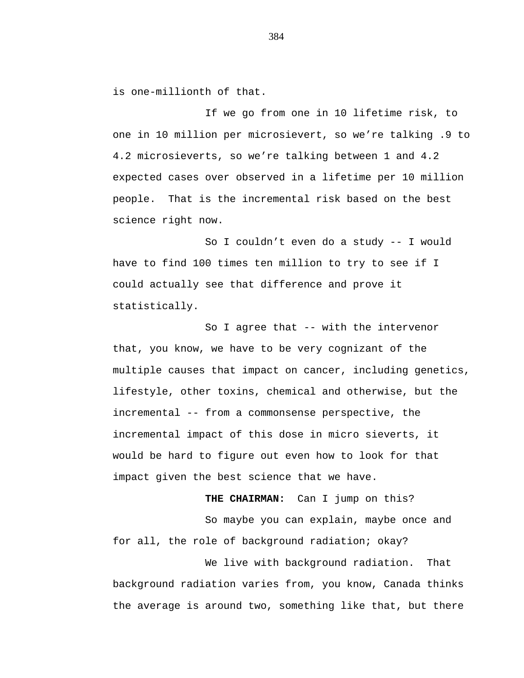is one-millionth of that.

If we go from one in 10 lifetime risk, to one in 10 million per microsievert, so we're talking .9 to 4.2 microsieverts, so we're talking between 1 and 4.2 expected cases over observed in a lifetime per 10 million people. That is the incremental risk based on the best science right now.

So I couldn't even do a study -- I would have to find 100 times ten million to try to see if I could actually see that difference and prove it statistically.

So I agree that -- with the intervenor that, you know, we have to be very cognizant of the multiple causes that impact on cancer, including genetics, lifestyle, other toxins, chemical and otherwise, but the incremental -- from a commonsense perspective, the incremental impact of this dose in micro sieverts, it would be hard to figure out even how to look for that impact given the best science that we have.

**THE CHAIRMAN:** Can I jump on this? So maybe you can explain, maybe once and for all, the role of background radiation; okay?

We live with background radiation. That background radiation varies from, you know, Canada thinks the average is around two, something like that, but there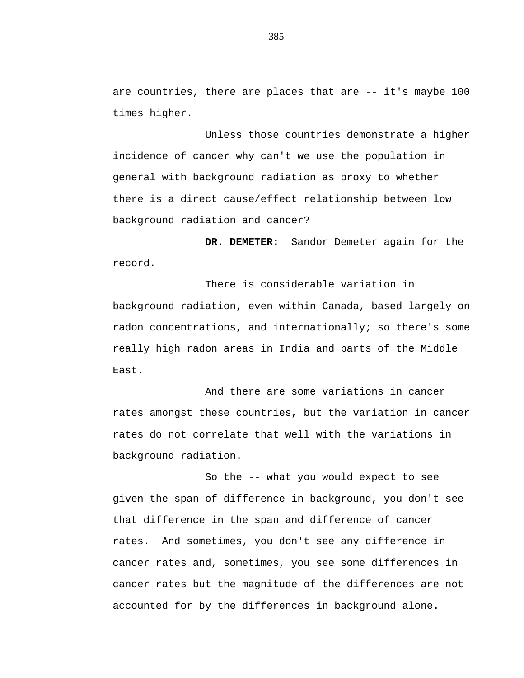are countries, there are places that are -- it's maybe 100 times higher.

Unless those countries demonstrate a higher incidence of cancer why can't we use the population in general with background radiation as proxy to whether there is a direct cause/effect relationship between low background radiation and cancer?

**DR. DEMETER:** Sandor Demeter again for the record.

There is considerable variation in background radiation, even within Canada, based largely on radon concentrations, and internationally; so there's some really high radon areas in India and parts of the Middle East.

And there are some variations in cancer rates amongst these countries, but the variation in cancer rates do not correlate that well with the variations in background radiation.

So the -- what you would expect to see given the span of difference in background, you don't see that difference in the span and difference of cancer rates. And sometimes, you don't see any difference in cancer rates and, sometimes, you see some differences in cancer rates but the magnitude of the differences are not accounted for by the differences in background alone.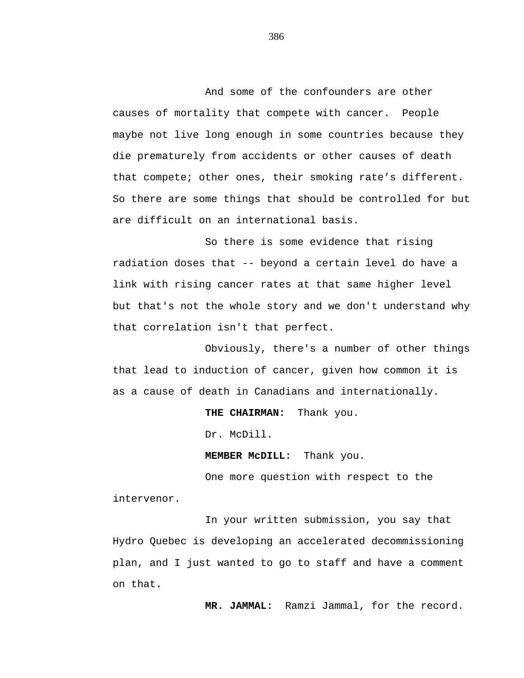And some of the confounders are other causes of mortality that compete with cancer. People maybe not live long enough in some countries because they die prematurely from accidents or other causes of death that compete; other ones, their smoking rate's different. So there are some things that should be controlled for but are difficult on an international basis.

So there is some evidence that rising radiation doses that -- beyond a certain level do have a link with rising cancer rates at that same higher level but that's not the whole story and we don't understand why that correlation isn't that perfect.

Obviously, there's a number of other things that lead to induction of cancer, given how common it is as a cause of death in Canadians and internationally.

**THE CHAIRMAN:** Thank you.

Dr. McDill.

**MEMBER McDILL:** Thank you.

One more question with respect to the intervenor.

In your written submission, you say that Hydro Quebec is developing an accelerated decommissioning plan, and I just wanted to go to staff and have a comment on that.

**MR. JAMMAL:** Ramzi Jammal, for the record.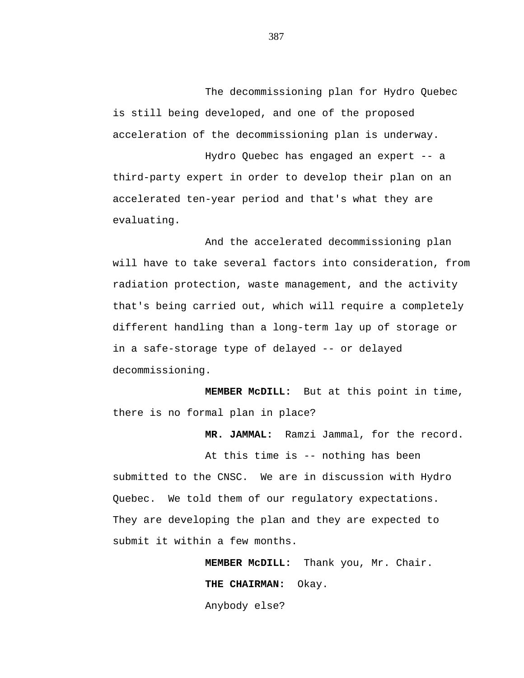The decommissioning plan for Hydro Quebec is still being developed, and one of the proposed acceleration of the decommissioning plan is underway.

Hydro Quebec has engaged an expert -- a third-party expert in order to develop their plan on an accelerated ten-year period and that's what they are evaluating.

And the accelerated decommissioning plan will have to take several factors into consideration, from radiation protection, waste management, and the activity that's being carried out, which will require a completely different handling than a long-term lay up of storage or in a safe-storage type of delayed -- or delayed decommissioning.

**MEMBER McDILL:** But at this point in time, there is no formal plan in place?

**MR. JAMMAL:** Ramzi Jammal, for the record.

At this time is -- nothing has been submitted to the CNSC. We are in discussion with Hydro Quebec. We told them of our regulatory expectations. They are developing the plan and they are expected to submit it within a few months.

> **MEMBER McDILL:** Thank you, Mr. Chair. **THE CHAIRMAN:** Okay.

Anybody else?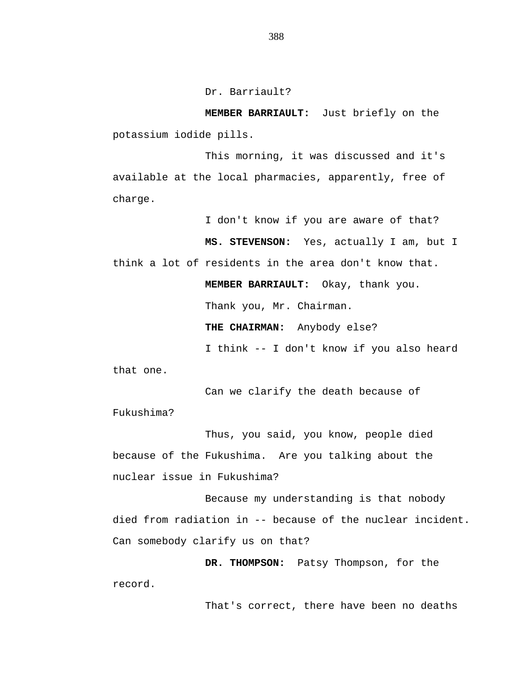Dr. Barriault?

**MEMBER BARRIAULT:** Just briefly on the potassium iodide pills.

388

This morning, it was discussed and it's available at the local pharmacies, apparently, free of charge.

I don't know if you are aware of that?

**MS. STEVENSON:** Yes, actually I am, but I think a lot of residents in the area don't know that.

**MEMBER BARRIAULT:** Okay, thank you.

Thank you, Mr. Chairman.

**THE CHAIRMAN:** Anybody else?

I think -- I don't know if you also heard

that one.

Can we clarify the death because of Fukushima?

Thus, you said, you know, people died because of the Fukushima. Are you talking about the nuclear issue in Fukushima?

Because my understanding is that nobody died from radiation in -- because of the nuclear incident. Can somebody clarify us on that?

**DR. THOMPSON:** Patsy Thompson, for the record.

That's correct, there have been no deaths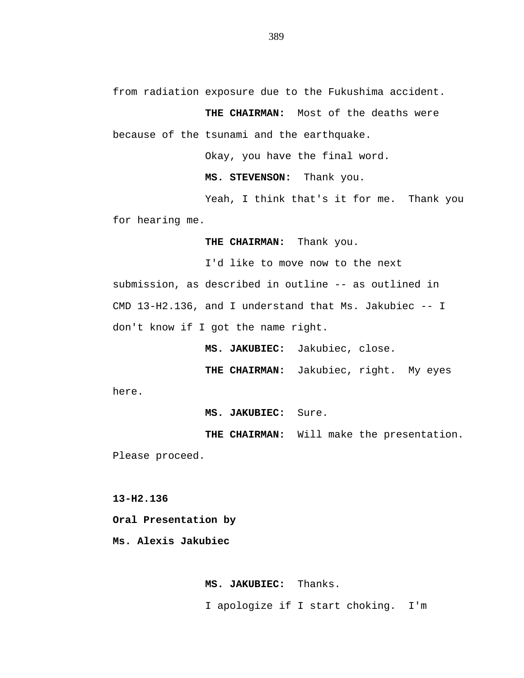from radiation exposure due to the Fukushima accident.

**THE CHAIRMAN:** Most of the deaths were because of the tsunami and the earthquake.

Okay, you have the final word.

**MS. STEVENSON:** Thank you.

Yeah, I think that's it for me. Thank you for hearing me.

**THE CHAIRMAN:** Thank you.

I'd like to move now to the next submission, as described in outline -- as outlined in CMD 13-H2.136, and I understand that Ms. Jakubiec -- I don't know if I got the name right.

> **MS. JAKUBIEC:** Jakubiec, close. **THE CHAIRMAN:** Jakubiec, right. My eyes

here.

**MS. JAKUBIEC:** Sure. **THE CHAIRMAN:** Will make the presentation.

Please proceed.

**13-H2.136**

**Oral Presentation by**

**Ms. Alexis Jakubiec**

**MS. JAKUBIEC:** Thanks.

I apologize if I start choking. I'm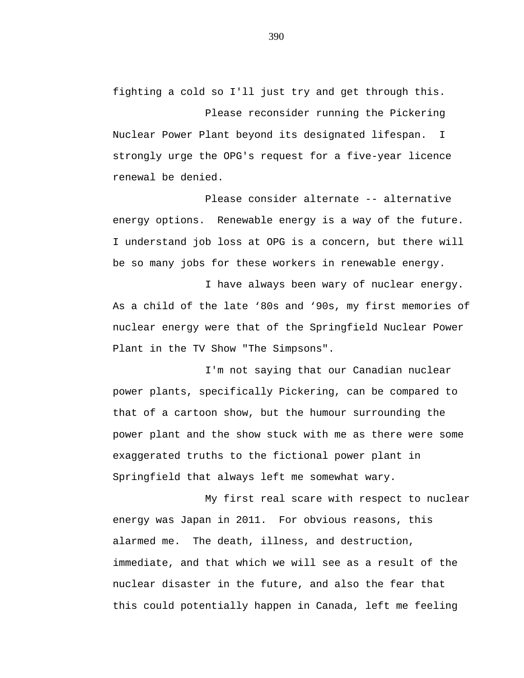fighting a cold so I'll just try and get through this.

Please reconsider running the Pickering Nuclear Power Plant beyond its designated lifespan. I strongly urge the OPG's request for a five-year licence renewal be denied.

Please consider alternate -- alternative energy options. Renewable energy is a way of the future. I understand job loss at OPG is a concern, but there will be so many jobs for these workers in renewable energy.

I have always been wary of nuclear energy. As a child of the late '80s and '90s, my first memories of nuclear energy were that of the Springfield Nuclear Power Plant in the TV Show "The Simpsons".

I'm not saying that our Canadian nuclear power plants, specifically Pickering, can be compared to that of a cartoon show, but the humour surrounding the power plant and the show stuck with me as there were some exaggerated truths to the fictional power plant in Springfield that always left me somewhat wary.

My first real scare with respect to nuclear energy was Japan in 2011. For obvious reasons, this alarmed me. The death, illness, and destruction, immediate, and that which we will see as a result of the nuclear disaster in the future, and also the fear that this could potentially happen in Canada, left me feeling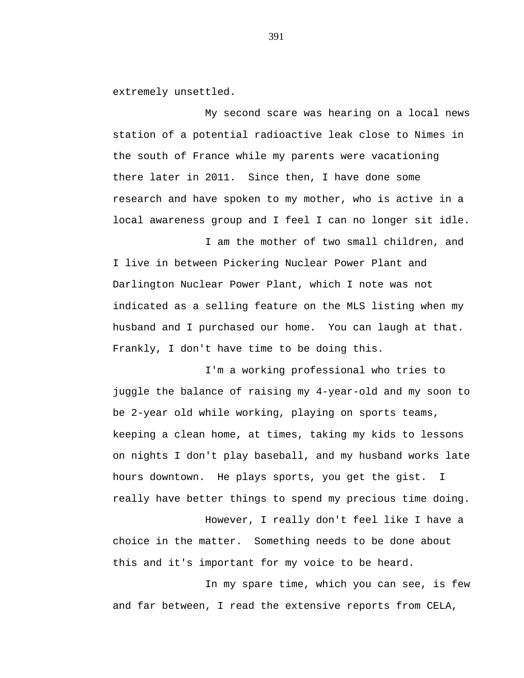extremely unsettled.

My second scare was hearing on a local news station of a potential radioactive leak close to Nimes in the south of France while my parents were vacationing there later in 2011. Since then, I have done some research and have spoken to my mother, who is active in a local awareness group and I feel I can no longer sit idle.

I am the mother of two small children, and I live in between Pickering Nuclear Power Plant and Darlington Nuclear Power Plant, which I note was not indicated as a selling feature on the MLS listing when my husband and I purchased our home. You can laugh at that. Frankly, I don't have time to be doing this.

I'm a working professional who tries to juggle the balance of raising my 4-year-old and my soon to be 2-year old while working, playing on sports teams, keeping a clean home, at times, taking my kids to lessons on nights I don't play baseball, and my husband works late hours downtown. He plays sports, you get the gist. I really have better things to spend my precious time doing.

However, I really don't feel like I have a choice in the matter. Something needs to be done about this and it's important for my voice to be heard.

In my spare time, which you can see, is few and far between, I read the extensive reports from CELA,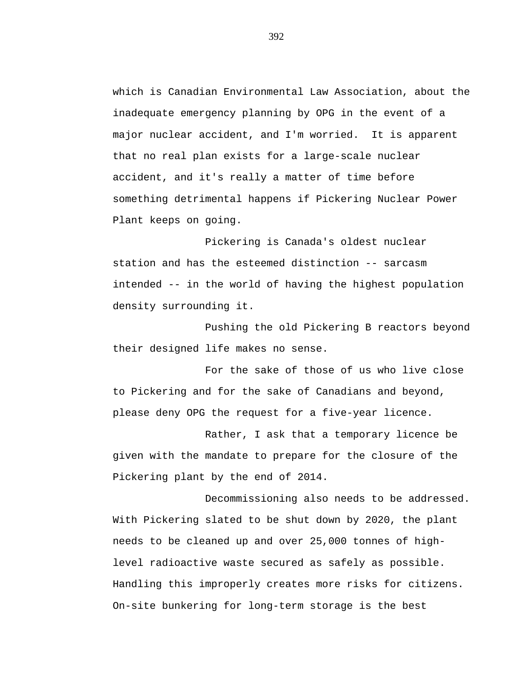which is Canadian Environmental Law Association, about the inadequate emergency planning by OPG in the event of a major nuclear accident, and I'm worried. It is apparent that no real plan exists for a large-scale nuclear accident, and it's really a matter of time before something detrimental happens if Pickering Nuclear Power Plant keeps on going.

Pickering is Canada's oldest nuclear station and has the esteemed distinction -- sarcasm intended -- in the world of having the highest population density surrounding it.

Pushing the old Pickering B reactors beyond their designed life makes no sense.

For the sake of those of us who live close to Pickering and for the sake of Canadians and beyond, please deny OPG the request for a five-year licence.

Rather, I ask that a temporary licence be given with the mandate to prepare for the closure of the Pickering plant by the end of 2014.

Decommissioning also needs to be addressed. With Pickering slated to be shut down by 2020, the plant needs to be cleaned up and over 25,000 tonnes of highlevel radioactive waste secured as safely as possible. Handling this improperly creates more risks for citizens. On-site bunkering for long-term storage is the best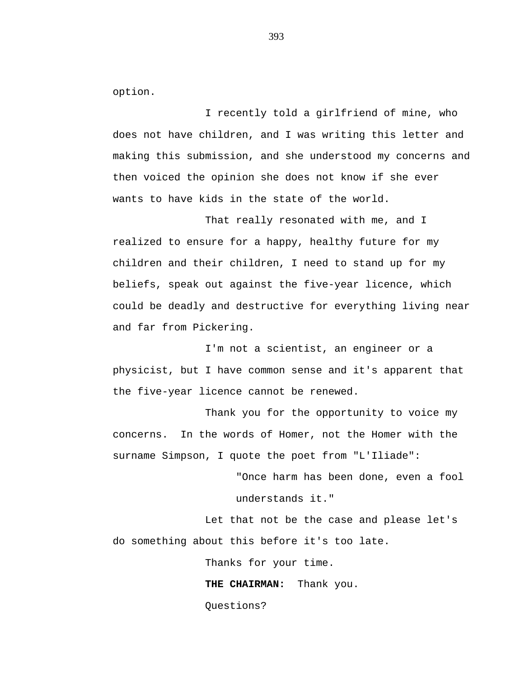option.

I recently told a girlfriend of mine, who does not have children, and I was writing this letter and making this submission, and she understood my concerns and then voiced the opinion she does not know if she ever wants to have kids in the state of the world.

That really resonated with me, and I realized to ensure for a happy, healthy future for my children and their children, I need to stand up for my beliefs, speak out against the five-year licence, which could be deadly and destructive for everything living near and far from Pickering.

I'm not a scientist, an engineer or a physicist, but I have common sense and it's apparent that the five-year licence cannot be renewed.

Thank you for the opportunity to voice my concerns. In the words of Homer, not the Homer with the surname Simpson, I quote the poet from "L'Iliade":

> "Once harm has been done, even a fool understands it."

Let that not be the case and please let's do something about this before it's too late.

Thanks for your time.

**THE CHAIRMAN:** Thank you.

Questions?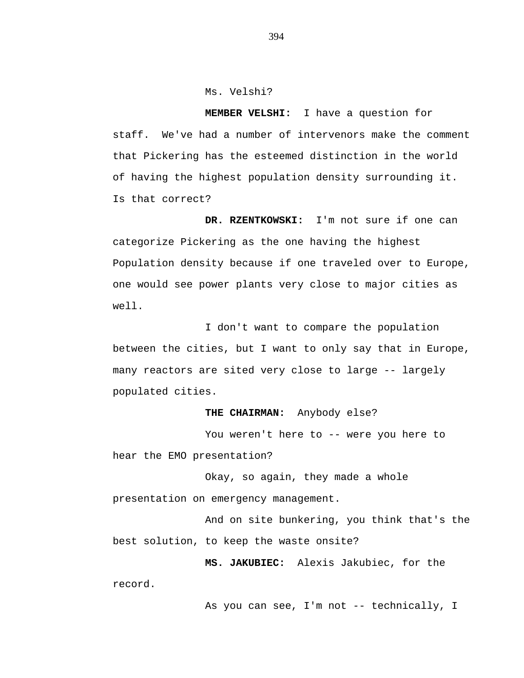Ms. Velshi?

**MEMBER VELSHI:** I have a question for staff. We've had a number of intervenors make the comment that Pickering has the esteemed distinction in the world of having the highest population density surrounding it. Is that correct?

**DR. RZENTKOWSKI:** I'm not sure if one can categorize Pickering as the one having the highest Population density because if one traveled over to Europe, one would see power plants very close to major cities as well.

I don't want to compare the population between the cities, but I want to only say that in Europe, many reactors are sited very close to large -- largely populated cities.

**THE CHAIRMAN:** Anybody else?

You weren't here to -- were you here to hear the EMO presentation?

Okay, so again, they made a whole presentation on emergency management.

And on site bunkering, you think that's the best solution, to keep the waste onsite?

**MS. JAKUBIEC:** Alexis Jakubiec, for the record.

As you can see, I'm not -- technically, I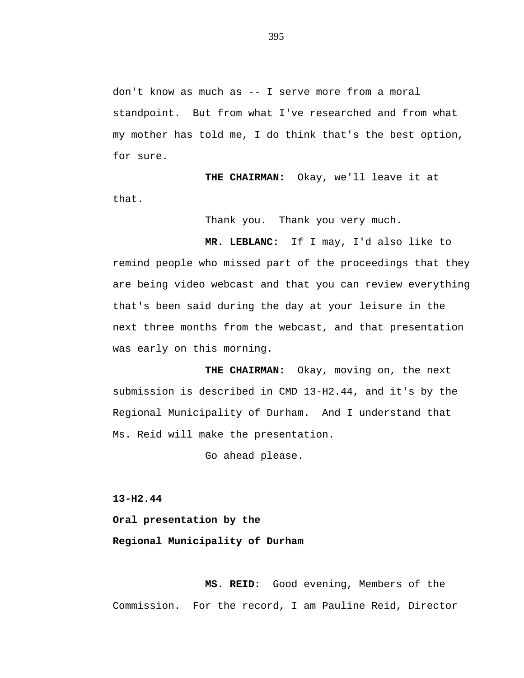don't know as much as -- I serve more from a moral standpoint. But from what I've researched and from what my mother has told me, I do think that's the best option, for sure.

**THE CHAIRMAN:** Okay, we'll leave it at that.

Thank you. Thank you very much.

**MR. LEBLANC:** If I may, I'd also like to remind people who missed part of the proceedings that they are being video webcast and that you can review everything that's been said during the day at your leisure in the next three months from the webcast, and that presentation was early on this morning.

**THE CHAIRMAN:** Okay, moving on, the next submission is described in CMD 13-H2.44, and it's by the Regional Municipality of Durham. And I understand that Ms. Reid will make the presentation.

Go ahead please.

**13-H2.44**

**Oral presentation by the Regional Municipality of Durham**

**MS. REID:** Good evening, Members of the Commission. For the record, I am Pauline Reid, Director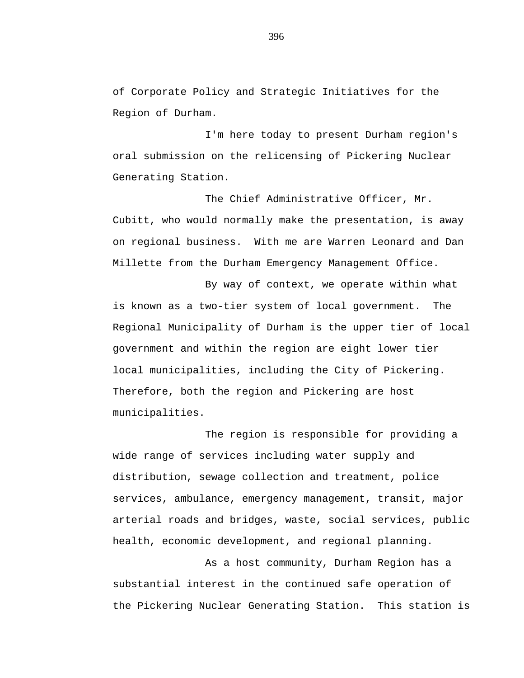of Corporate Policy and Strategic Initiatives for the Region of Durham.

I'm here today to present Durham region's oral submission on the relicensing of Pickering Nuclear Generating Station.

The Chief Administrative Officer, Mr. Cubitt, who would normally make the presentation, is away on regional business. With me are Warren Leonard and Dan Millette from the Durham Emergency Management Office.

By way of context, we operate within what is known as a two-tier system of local government. The Regional Municipality of Durham is the upper tier of local government and within the region are eight lower tier local municipalities, including the City of Pickering. Therefore, both the region and Pickering are host municipalities.

The region is responsible for providing a wide range of services including water supply and distribution, sewage collection and treatment, police services, ambulance, emergency management, transit, major arterial roads and bridges, waste, social services, public health, economic development, and regional planning.

As a host community, Durham Region has a substantial interest in the continued safe operation of the Pickering Nuclear Generating Station. This station is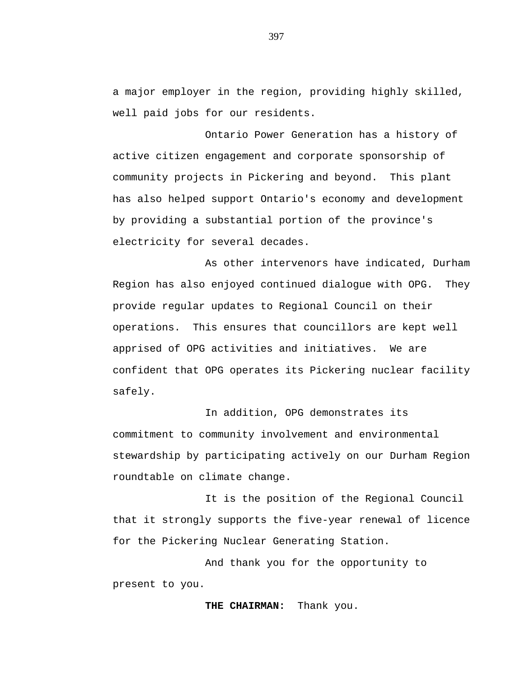a major employer in the region, providing highly skilled, well paid jobs for our residents.

Ontario Power Generation has a history of active citizen engagement and corporate sponsorship of community projects in Pickering and beyond. This plant has also helped support Ontario's economy and development by providing a substantial portion of the province's electricity for several decades.

As other intervenors have indicated, Durham Region has also enjoyed continued dialogue with OPG. They provide regular updates to Regional Council on their operations. This ensures that councillors are kept well apprised of OPG activities and initiatives. We are confident that OPG operates its Pickering nuclear facility safely.

In addition, OPG demonstrates its commitment to community involvement and environmental stewardship by participating actively on our Durham Region roundtable on climate change.

It is the position of the Regional Council that it strongly supports the five-year renewal of licence for the Pickering Nuclear Generating Station.

And thank you for the opportunity to present to you.

**THE CHAIRMAN:** Thank you.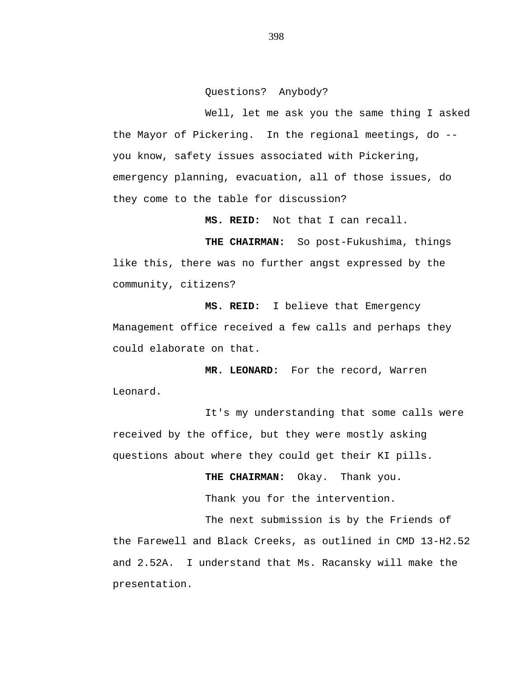## Questions? Anybody?

Well, let me ask you the same thing I asked the Mayor of Pickering. In the regional meetings, do - you know, safety issues associated with Pickering, emergency planning, evacuation, all of those issues, do they come to the table for discussion?

**MS. REID:** Not that I can recall.

**THE CHAIRMAN:** So post-Fukushima, things like this, there was no further angst expressed by the community, citizens?

**MS. REID:** I believe that Emergency Management office received a few calls and perhaps they could elaborate on that.

**MR. LEONARD:** For the record, Warren Leonard.

It's my understanding that some calls were received by the office, but they were mostly asking questions about where they could get their KI pills.

**THE CHAIRMAN:** Okay. Thank you.

Thank you for the intervention.

The next submission is by the Friends of the Farewell and Black Creeks, as outlined in CMD 13-H2.52 and 2.52A. I understand that Ms. Racansky will make the presentation.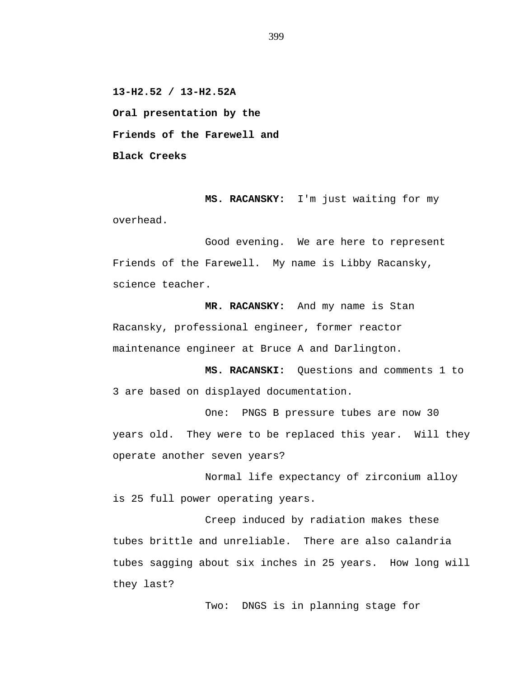**13-H2.52 / 13-H2.52A Oral presentation by the Friends of the Farewell and Black Creeks**

**MS. RACANSKY:** I'm just waiting for my overhead.

Good evening. We are here to represent Friends of the Farewell. My name is Libby Racansky, science teacher.

**MR. RACANSKY:** And my name is Stan Racansky, professional engineer, former reactor maintenance engineer at Bruce A and Darlington.

**MS. RACANSKI:** Questions and comments 1 to 3 are based on displayed documentation.

One: PNGS B pressure tubes are now 30 years old. They were to be replaced this year. Will they operate another seven years?

Normal life expectancy of zirconium alloy is 25 full power operating years.

Creep induced by radiation makes these tubes brittle and unreliable. There are also calandria tubes sagging about six inches in 25 years. How long will they last?

Two: DNGS is in planning stage for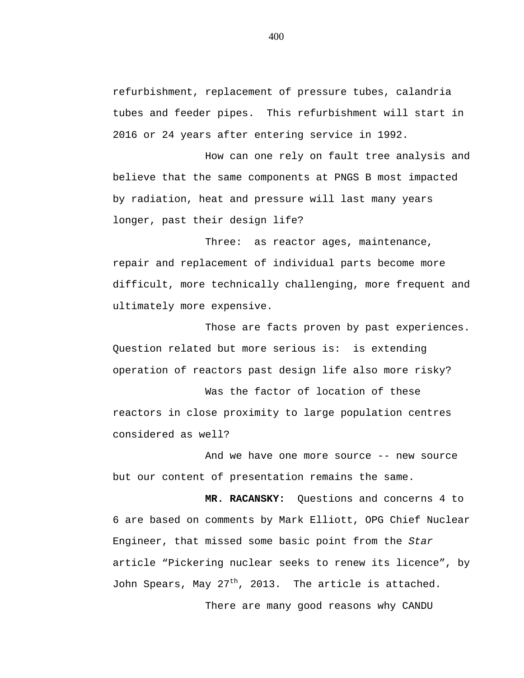refurbishment, replacement of pressure tubes, calandria tubes and feeder pipes. This refurbishment will start in 2016 or 24 years after entering service in 1992.

How can one rely on fault tree analysis and believe that the same components at PNGS B most impacted by radiation, heat and pressure will last many years longer, past their design life?

Three: as reactor ages, maintenance, repair and replacement of individual parts become more difficult, more technically challenging, more frequent and ultimately more expensive.

Those are facts proven by past experiences. Question related but more serious is: is extending operation of reactors past design life also more risky?

Was the factor of location of these reactors in close proximity to large population centres considered as well?

And we have one more source -- new source but our content of presentation remains the same.

**MR. RACANSKY:** Questions and concerns 4 to 6 are based on comments by Mark Elliott, OPG Chief Nuclear Engineer, that missed some basic point from the *Star* article "Pickering nuclear seeks to renew its licence", by John Spears, May 27<sup>th</sup>, 2013. The article is attached.

There are many good reasons why CANDU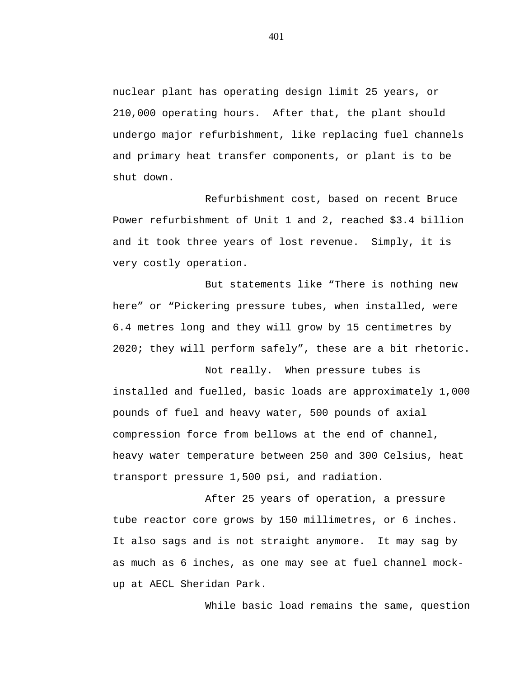nuclear plant has operating design limit 25 years, or 210,000 operating hours. After that, the plant should undergo major refurbishment, like replacing fuel channels and primary heat transfer components, or plant is to be shut down.

Refurbishment cost, based on recent Bruce Power refurbishment of Unit 1 and 2, reached \$3.4 billion and it took three years of lost revenue. Simply, it is very costly operation.

But statements like "There is nothing new here" or "Pickering pressure tubes, when installed, were 6.4 metres long and they will grow by 15 centimetres by 2020; they will perform safely", these are a bit rhetoric.

Not really. When pressure tubes is installed and fuelled, basic loads are approximately 1,000 pounds of fuel and heavy water, 500 pounds of axial compression force from bellows at the end of channel, heavy water temperature between 250 and 300 Celsius, heat transport pressure 1,500 psi, and radiation.

After 25 years of operation, a pressure tube reactor core grows by 150 millimetres, or 6 inches. It also sags and is not straight anymore. It may sag by as much as 6 inches, as one may see at fuel channel mockup at AECL Sheridan Park.

While basic load remains the same, question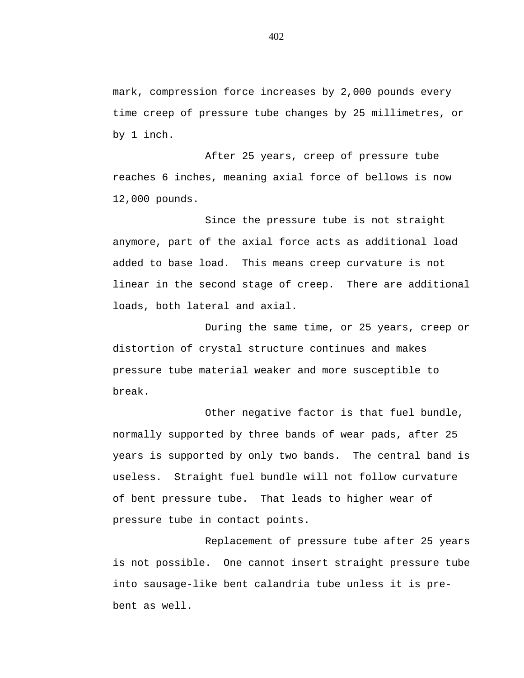mark, compression force increases by 2,000 pounds every time creep of pressure tube changes by 25 millimetres, or by 1 inch.

After 25 years, creep of pressure tube reaches 6 inches, meaning axial force of bellows is now 12,000 pounds.

Since the pressure tube is not straight anymore, part of the axial force acts as additional load added to base load. This means creep curvature is not linear in the second stage of creep. There are additional loads, both lateral and axial.

During the same time, or 25 years, creep or distortion of crystal structure continues and makes pressure tube material weaker and more susceptible to break.

Other negative factor is that fuel bundle, normally supported by three bands of wear pads, after 25 years is supported by only two bands. The central band is useless. Straight fuel bundle will not follow curvature of bent pressure tube. That leads to higher wear of pressure tube in contact points.

Replacement of pressure tube after 25 years is not possible. One cannot insert straight pressure tube into sausage-like bent calandria tube unless it is prebent as well.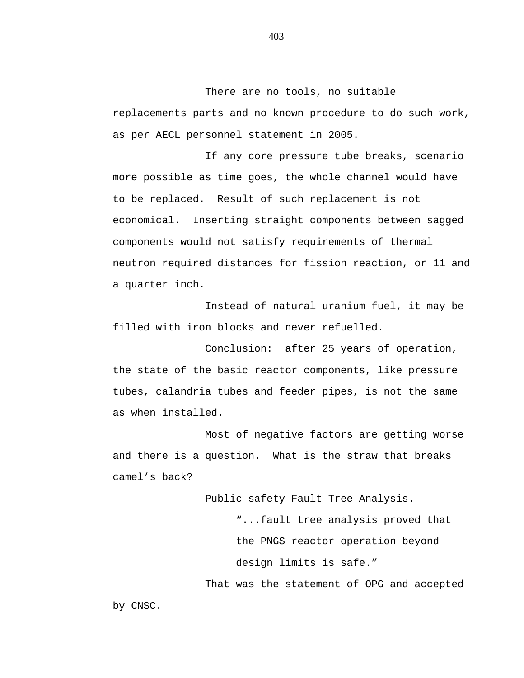There are no tools, no suitable replacements parts and no known procedure to do such work, as per AECL personnel statement in 2005.

If any core pressure tube breaks, scenario more possible as time goes, the whole channel would have to be replaced. Result of such replacement is not economical. Inserting straight components between sagged components would not satisfy requirements of thermal neutron required distances for fission reaction, or 11 and a quarter inch.

Instead of natural uranium fuel, it may be filled with iron blocks and never refuelled.

Conclusion: after 25 years of operation, the state of the basic reactor components, like pressure tubes, calandria tubes and feeder pipes, is not the same as when installed.

Most of negative factors are getting worse and there is a question. What is the straw that breaks camel's back?

Public safety Fault Tree Analysis.

"...fault tree analysis proved that the PNGS reactor operation beyond design limits is safe."

That was the statement of OPG and accepted

by CNSC.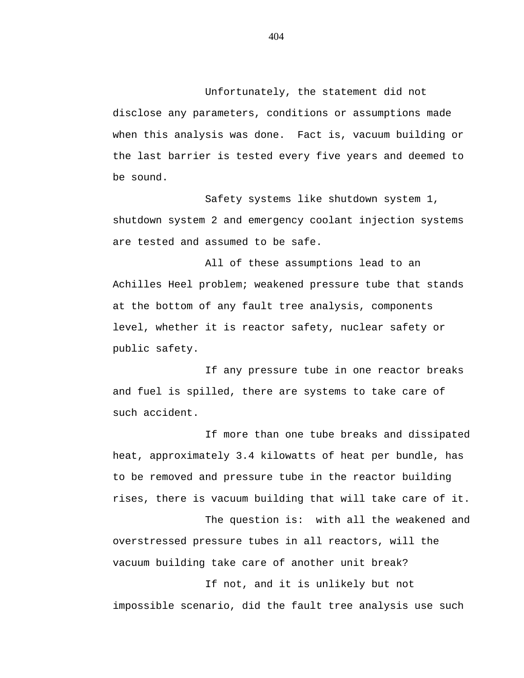Unfortunately, the statement did not disclose any parameters, conditions or assumptions made when this analysis was done. Fact is, vacuum building or the last barrier is tested every five years and deemed to be sound.

Safety systems like shutdown system 1, shutdown system 2 and emergency coolant injection systems are tested and assumed to be safe.

All of these assumptions lead to an Achilles Heel problem; weakened pressure tube that stands at the bottom of any fault tree analysis, components level, whether it is reactor safety, nuclear safety or public safety.

If any pressure tube in one reactor breaks and fuel is spilled, there are systems to take care of such accident.

If more than one tube breaks and dissipated heat, approximately 3.4 kilowatts of heat per bundle, has to be removed and pressure tube in the reactor building rises, there is vacuum building that will take care of it. The question is: with all the weakened and

overstressed pressure tubes in all reactors, will the vacuum building take care of another unit break?

If not, and it is unlikely but not impossible scenario, did the fault tree analysis use such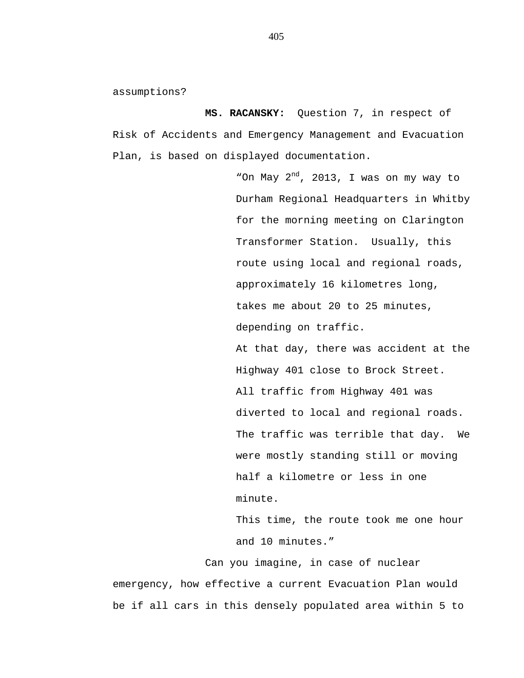assumptions?

**MS. RACANSKY:** Question 7, in respect of Risk of Accidents and Emergency Management and Evacuation Plan, is based on displayed documentation.

> "On May 2nd, 2013, I was on my way to Durham Regional Headquarters in Whitby for the morning meeting on Clarington Transformer Station. Usually, this route using local and regional roads, approximately 16 kilometres long, takes me about 20 to 25 minutes, depending on traffic. At that day, there was accident at the Highway 401 close to Brock Street. All traffic from Highway 401 was diverted to local and regional roads. The traffic was terrible that day. We

were mostly standing still or moving half a kilometre or less in one minute.

This time, the route took me one hour and 10 minutes."

Can you imagine, in case of nuclear emergency, how effective a current Evacuation Plan would be if all cars in this densely populated area within 5 to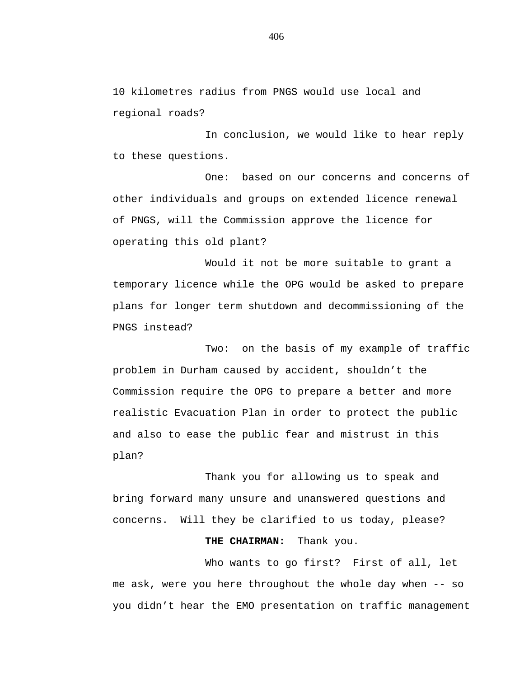10 kilometres radius from PNGS would use local and regional roads?

In conclusion, we would like to hear reply to these questions.

One: based on our concerns and concerns of other individuals and groups on extended licence renewal of PNGS, will the Commission approve the licence for operating this old plant?

Would it not be more suitable to grant a temporary licence while the OPG would be asked to prepare plans for longer term shutdown and decommissioning of the PNGS instead?

Two: on the basis of my example of traffic problem in Durham caused by accident, shouldn't the Commission require the OPG to prepare a better and more realistic Evacuation Plan in order to protect the public and also to ease the public fear and mistrust in this plan?

Thank you for allowing us to speak and bring forward many unsure and unanswered questions and concerns. Will they be clarified to us today, please?

## **THE CHAIRMAN:** Thank you.

Who wants to go first? First of all, let me ask, were you here throughout the whole day when -- so you didn't hear the EMO presentation on traffic management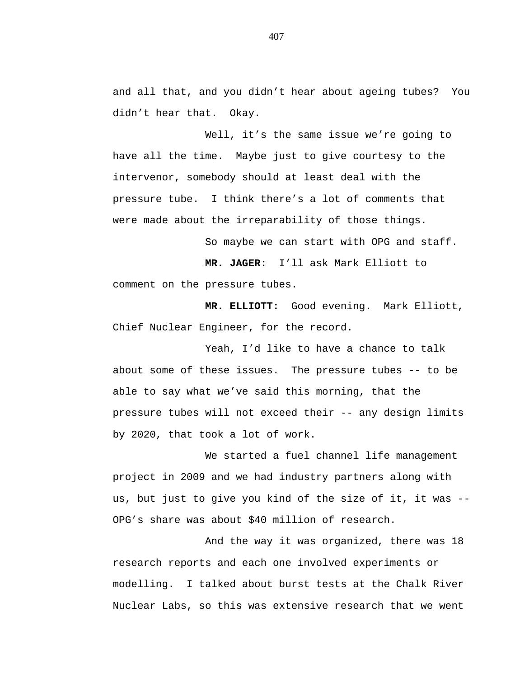and all that, and you didn't hear about ageing tubes? You didn't hear that. Okay.

Well, it's the same issue we're going to have all the time. Maybe just to give courtesy to the intervenor, somebody should at least deal with the pressure tube. I think there's a lot of comments that were made about the irreparability of those things.

So maybe we can start with OPG and staff.

**MR. JAGER:** I'll ask Mark Elliott to comment on the pressure tubes.

**MR. ELLIOTT:** Good evening. Mark Elliott, Chief Nuclear Engineer, for the record.

Yeah, I'd like to have a chance to talk about some of these issues. The pressure tubes -- to be able to say what we've said this morning, that the pressure tubes will not exceed their -- any design limits by 2020, that took a lot of work.

We started a fuel channel life management project in 2009 and we had industry partners along with us, but just to give you kind of the size of it, it was -- OPG's share was about \$40 million of research.

And the way it was organized, there was 18 research reports and each one involved experiments or modelling. I talked about burst tests at the Chalk River Nuclear Labs, so this was extensive research that we went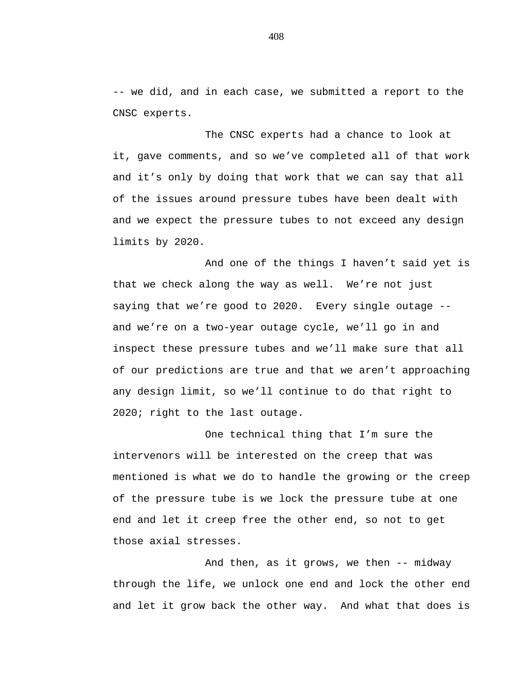-- we did, and in each case, we submitted a report to the CNSC experts.

The CNSC experts had a chance to look at it, gave comments, and so we've completed all of that work and it's only by doing that work that we can say that all of the issues around pressure tubes have been dealt with and we expect the pressure tubes to not exceed any design limits by 2020.

And one of the things I haven't said yet is that we check along the way as well. We're not just saying that we're good to 2020. Every single outage - and we're on a two-year outage cycle, we'll go in and inspect these pressure tubes and we'll make sure that all of our predictions are true and that we aren't approaching any design limit, so we'll continue to do that right to 2020; right to the last outage.

One technical thing that I'm sure the intervenors will be interested on the creep that was mentioned is what we do to handle the growing or the creep of the pressure tube is we lock the pressure tube at one end and let it creep free the other end, so not to get those axial stresses.

And then, as it grows, we then -- midway through the life, we unlock one end and lock the other end and let it grow back the other way. And what that does is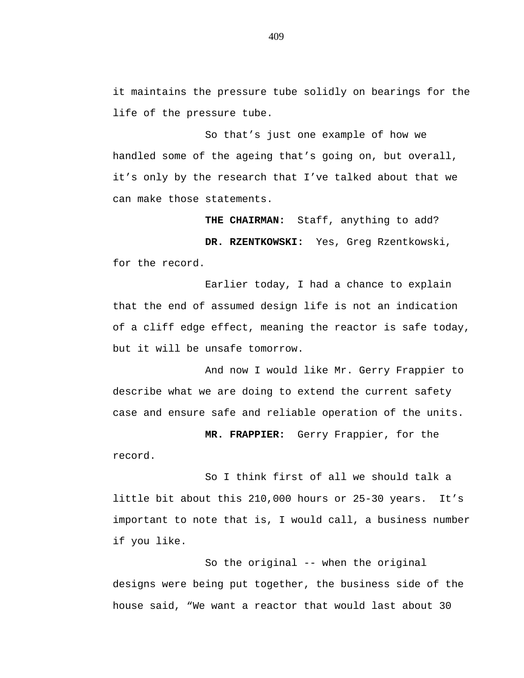it maintains the pressure tube solidly on bearings for the life of the pressure tube.

So that's just one example of how we handled some of the ageing that's going on, but overall, it's only by the research that I've talked about that we can make those statements.

**THE CHAIRMAN:** Staff, anything to add?

**DR. RZENTKOWSKI:** Yes, Greg Rzentkowski, for the record.

Earlier today, I had a chance to explain that the end of assumed design life is not an indication of a cliff edge effect, meaning the reactor is safe today, but it will be unsafe tomorrow.

And now I would like Mr. Gerry Frappier to describe what we are doing to extend the current safety case and ensure safe and reliable operation of the units.

**MR. FRAPPIER:** Gerry Frappier, for the record.

So I think first of all we should talk a little bit about this 210,000 hours or 25-30 years. It's important to note that is, I would call, a business number if you like.

So the original -- when the original designs were being put together, the business side of the house said, "We want a reactor that would last about 30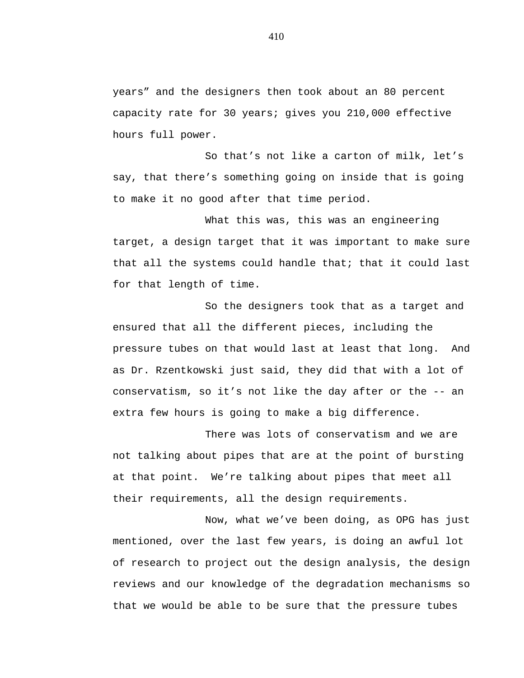years" and the designers then took about an 80 percent capacity rate for 30 years; gives you 210,000 effective hours full power.

So that's not like a carton of milk, let's say, that there's something going on inside that is going to make it no good after that time period.

What this was, this was an engineering target, a design target that it was important to make sure that all the systems could handle that; that it could last for that length of time.

So the designers took that as a target and ensured that all the different pieces, including the pressure tubes on that would last at least that long. And as Dr. Rzentkowski just said, they did that with a lot of conservatism, so it's not like the day after or the -- an extra few hours is going to make a big difference.

There was lots of conservatism and we are not talking about pipes that are at the point of bursting at that point. We're talking about pipes that meet all their requirements, all the design requirements.

Now, what we've been doing, as OPG has just mentioned, over the last few years, is doing an awful lot of research to project out the design analysis, the design reviews and our knowledge of the degradation mechanisms so that we would be able to be sure that the pressure tubes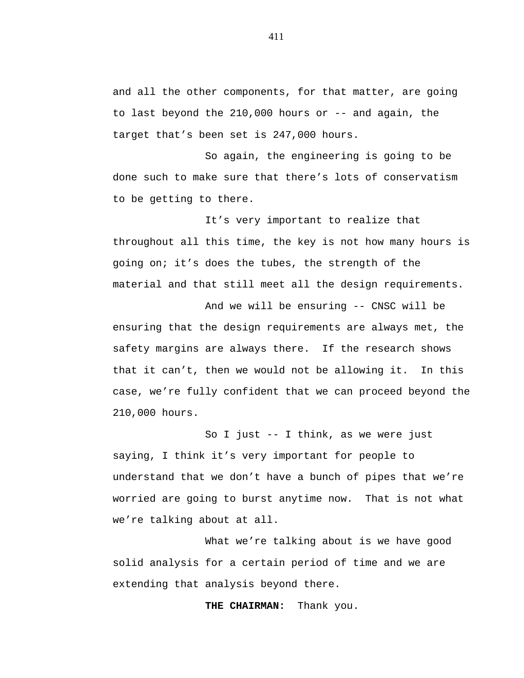and all the other components, for that matter, are going to last beyond the  $210,000$  hours or  $-$ - and again, the target that's been set is 247,000 hours.

So again, the engineering is going to be done such to make sure that there's lots of conservatism to be getting to there.

It's very important to realize that throughout all this time, the key is not how many hours is going on; it's does the tubes, the strength of the material and that still meet all the design requirements.

And we will be ensuring -- CNSC will be ensuring that the design requirements are always met, the safety margins are always there. If the research shows that it can't, then we would not be allowing it. In this case, we're fully confident that we can proceed beyond the 210,000 hours.

So I just -- I think, as we were just saying, I think it's very important for people to understand that we don't have a bunch of pipes that we're worried are going to burst anytime now. That is not what we're talking about at all.

What we're talking about is we have good solid analysis for a certain period of time and we are extending that analysis beyond there.

**THE CHAIRMAN:** Thank you.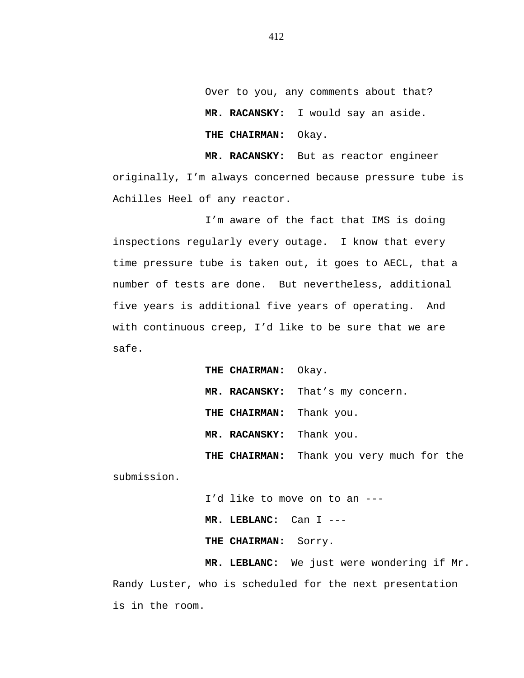Over to you, any comments about that? **MR. RACANSKY:** I would say an aside. **THE CHAIRMAN:** Okay.

**MR. RACANSKY:** But as reactor engineer originally, I'm always concerned because pressure tube is Achilles Heel of any reactor.

I'm aware of the fact that IMS is doing inspections regularly every outage. I know that every time pressure tube is taken out, it goes to AECL, that a number of tests are done. But nevertheless, additional five years is additional five years of operating. And with continuous creep, I'd like to be sure that we are safe.

> **THE CHAIRMAN:** Okay. **MR. RACANSKY:** That's my concern. **THE CHAIRMAN:** Thank you. **MR. RACANSKY:** Thank you. **THE CHAIRMAN:** Thank you very much for the

submission.

I'd like to move on to an --- **MR. LEBLANC:** Can I --- **THE CHAIRMAN:** Sorry.

**MR. LEBLANC:** We just were wondering if Mr. Randy Luster, who is scheduled for the next presentation is in the room.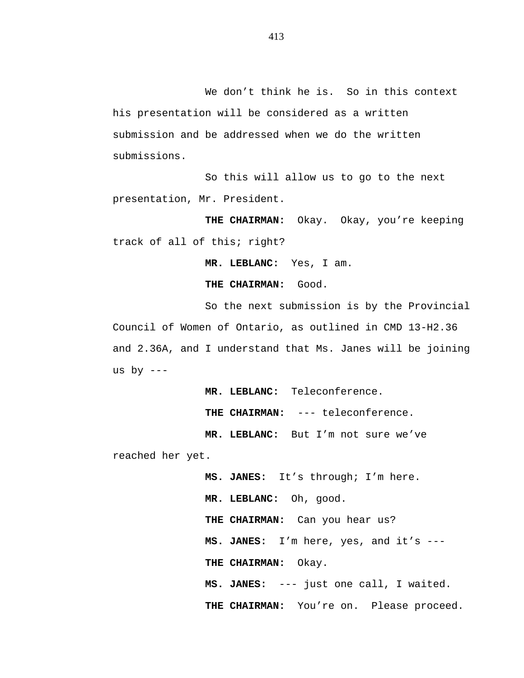We don't think he is. So in this context his presentation will be considered as a written submission and be addressed when we do the written submissions.

So this will allow us to go to the next presentation, Mr. President.

**THE CHAIRMAN:** Okay. Okay, you're keeping track of all of this; right?

**MR. LEBLANC:** Yes, I am.

**THE CHAIRMAN:** Good.

So the next submission is by the Provincial Council of Women of Ontario, as outlined in CMD 13-H2.36 and 2.36A, and I understand that Ms. Janes will be joining us by  $---$ 

> **MR. LEBLANC:** Teleconference. **THE CHAIRMAN:** --- teleconference. **MR. LEBLANC:** But I'm not sure we've

reached her yet.

**MS. JANES:** It's through; I'm here. **MR. LEBLANC:** Oh, good. **THE CHAIRMAN:** Can you hear us? **MS. JANES:** I'm here, yes, and it's --- **THE CHAIRMAN:** Okay. **MS. JANES:** --- just one call, I waited. **THE CHAIRMAN:** You're on. Please proceed.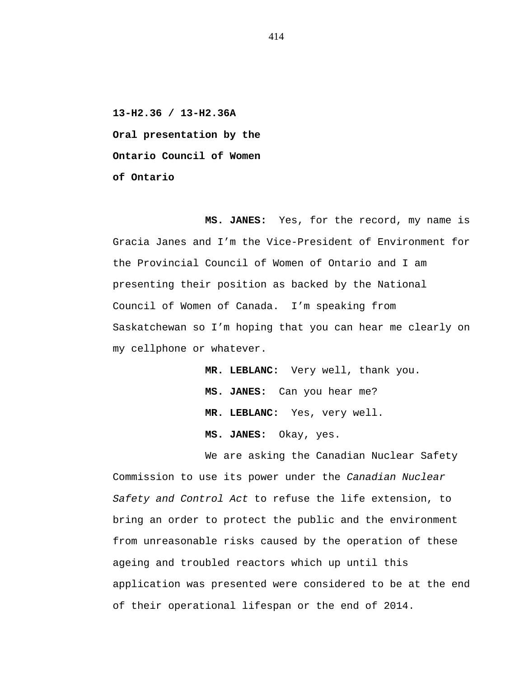**13-H2.36 / 13-H2.36A Oral presentation by the Ontario Council of Women of Ontario**

**MS. JANES:** Yes, for the record, my name is Gracia Janes and I'm the Vice-President of Environment for the Provincial Council of Women of Ontario and I am presenting their position as backed by the National Council of Women of Canada. I'm speaking from Saskatchewan so I'm hoping that you can hear me clearly on my cellphone or whatever.

> **MR. LEBLANC:** Very well, thank you. **MS. JANES:** Can you hear me? **MR. LEBLANC:** Yes, very well. **MS. JANES:** Okay, yes.

We are asking the Canadian Nuclear Safety Commission to use its power under the *Canadian Nuclear Safety and Control Act* to refuse the life extension, to bring an order to protect the public and the environment from unreasonable risks caused by the operation of these ageing and troubled reactors which up until this application was presented were considered to be at the end of their operational lifespan or the end of 2014.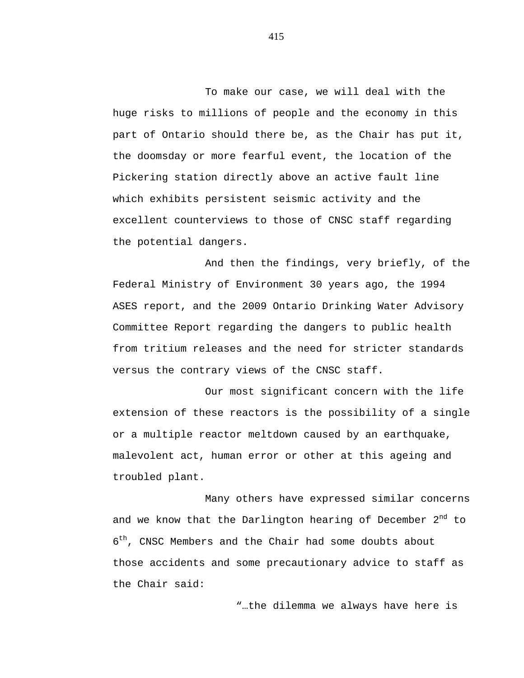To make our case, we will deal with the huge risks to millions of people and the economy in this part of Ontario should there be, as the Chair has put it, the doomsday or more fearful event, the location of the Pickering station directly above an active fault line which exhibits persistent seismic activity and the excellent counterviews to those of CNSC staff regarding the potential dangers.

And then the findings, very briefly, of the Federal Ministry of Environment 30 years ago, the 1994 ASES report, and the 2009 Ontario Drinking Water Advisory Committee Report regarding the dangers to public health from tritium releases and the need for stricter standards versus the contrary views of the CNSC staff.

Our most significant concern with the life extension of these reactors is the possibility of a single or a multiple reactor meltdown caused by an earthquake, malevolent act, human error or other at this ageing and troubled plant.

Many others have expressed similar concerns and we know that the Darlington hearing of December  $2^{nd}$  to  $6<sup>th</sup>$ , CNSC Members and the Chair had some doubts about those accidents and some precautionary advice to staff as the Chair said:

"…the dilemma we always have here is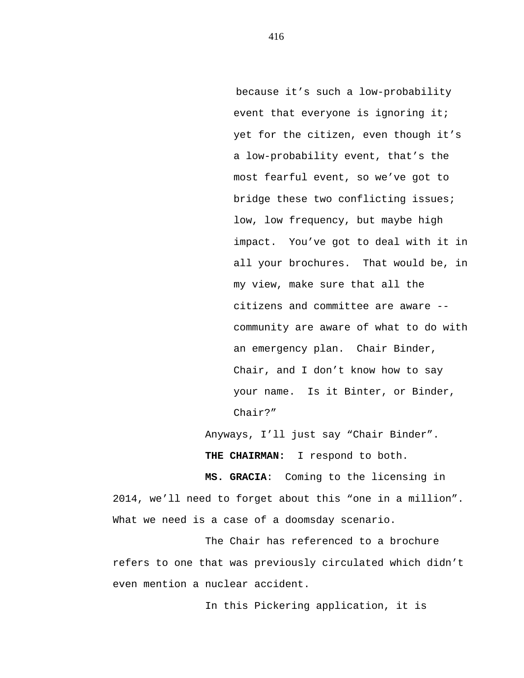because it's such a low-probability event that everyone is ignoring it; yet for the citizen, even though it's a low-probability event, that's the most fearful event, so we've got to bridge these two conflicting issues; low, low frequency, but maybe high impact. You've got to deal with it in all your brochures. That would be, in my view, make sure that all the citizens and committee are aware - community are aware of what to do with an emergency plan. Chair Binder, Chair, and I don't know how to say your name. Is it Binter, or Binder, Chair?"

Anyways, I'll just say "Chair Binder". **THE CHAIRMAN:** I respond to both.

**MS. GRACIA**: Coming to the licensing in 2014, we'll need to forget about this "one in a million". What we need is a case of a doomsday scenario.

The Chair has referenced to a brochure refers to one that was previously circulated which didn't even mention a nuclear accident.

In this Pickering application, it is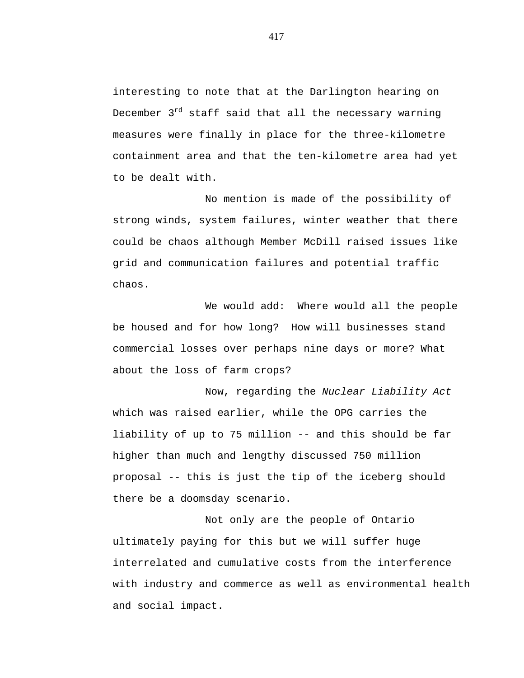interesting to note that at the Darlington hearing on December 3<sup>rd</sup> staff said that all the necessary warning measures were finally in place for the three-kilometre containment area and that the ten-kilometre area had yet to be dealt with.

No mention is made of the possibility of strong winds, system failures, winter weather that there could be chaos although Member McDill raised issues like grid and communication failures and potential traffic chaos.

We would add: Where would all the people be housed and for how long? How will businesses stand commercial losses over perhaps nine days or more? What about the loss of farm crops?

Now, regarding the *Nuclear Liability Act* which was raised earlier, while the OPG carries the liability of up to 75 million -- and this should be far higher than much and lengthy discussed 750 million proposal -- this is just the tip of the iceberg should there be a doomsday scenario.

Not only are the people of Ontario ultimately paying for this but we will suffer huge interrelated and cumulative costs from the interference with industry and commerce as well as environmental health and social impact.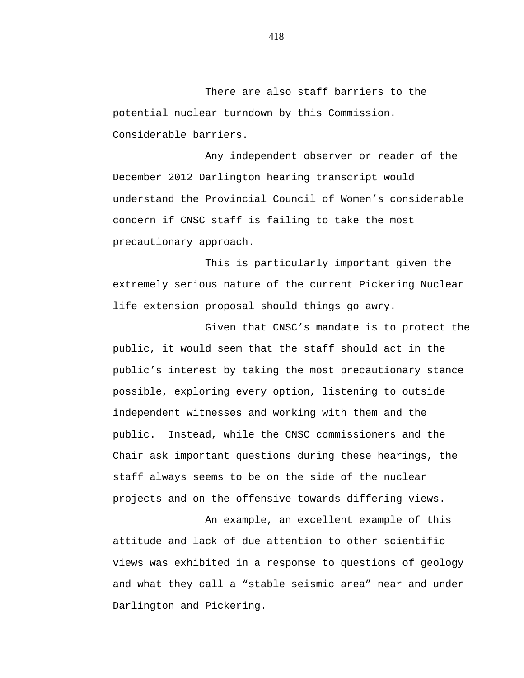There are also staff barriers to the potential nuclear turndown by this Commission. Considerable barriers.

Any independent observer or reader of the December 2012 Darlington hearing transcript would understand the Provincial Council of Women's considerable concern if CNSC staff is failing to take the most precautionary approach.

This is particularly important given the extremely serious nature of the current Pickering Nuclear life extension proposal should things go awry.

Given that CNSC's mandate is to protect the public, it would seem that the staff should act in the public's interest by taking the most precautionary stance possible, exploring every option, listening to outside independent witnesses and working with them and the public. Instead, while the CNSC commissioners and the Chair ask important questions during these hearings, the staff always seems to be on the side of the nuclear projects and on the offensive towards differing views.

An example, an excellent example of this attitude and lack of due attention to other scientific views was exhibited in a response to questions of geology and what they call a "stable seismic area" near and under Darlington and Pickering.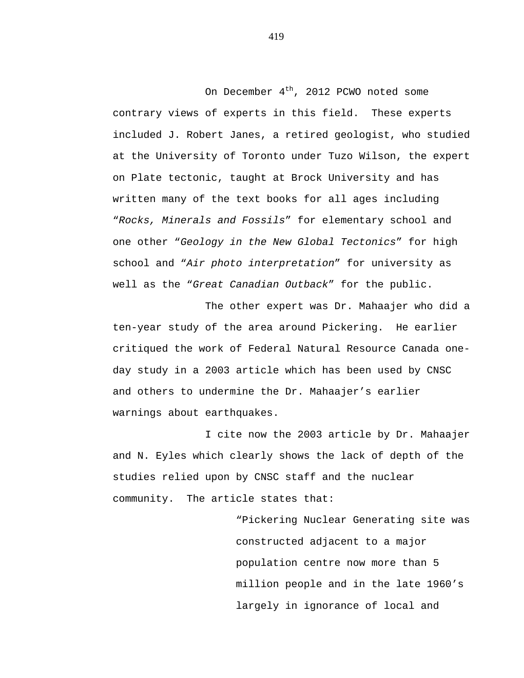On December  $4<sup>th</sup>$ , 2012 PCWO noted some contrary views of experts in this field. These experts included J. Robert Janes, a retired geologist, who studied at the University of Toronto under Tuzo Wilson, the expert on Plate tectonic, taught at Brock University and has written many of the text books for all ages including "*Rocks, Minerals and Fossils*" for elementary school and one other "*Geology in the New Global Tectonics*" for high school and "*Air photo interpretation*" for university as well as the "*Great Canadian Outback*" for the public.

The other expert was Dr. Mahaajer who did a ten-year study of the area around Pickering. He earlier critiqued the work of Federal Natural Resource Canada oneday study in a 2003 article which has been used by CNSC and others to undermine the Dr. Mahaajer's earlier warnings about earthquakes.

I cite now the 2003 article by Dr. Mahaajer and N. Eyles which clearly shows the lack of depth of the studies relied upon by CNSC staff and the nuclear community. The article states that:

> "Pickering Nuclear Generating site was constructed adjacent to a major population centre now more than 5 million people and in the late 1960's largely in ignorance of local and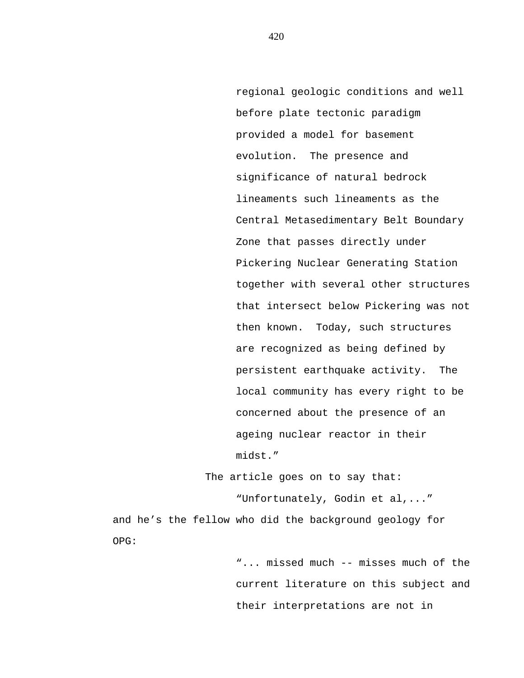regional geologic conditions and well before plate tectonic paradigm provided a model for basement evolution. The presence and significance of natural bedrock lineaments such lineaments as the Central Metasedimentary Belt Boundary Zone that passes directly under Pickering Nuclear Generating Station together with several other structures that intersect below Pickering was not then known. Today, such structures are recognized as being defined by persistent earthquake activity. The local community has every right to be concerned about the presence of an ageing nuclear reactor in their midst."

The article goes on to say that:

"Unfortunately, Godin et al,..." and he's the fellow who did the background geology for OPG:

> "... missed much -- misses much of the current literature on this subject and their interpretations are not in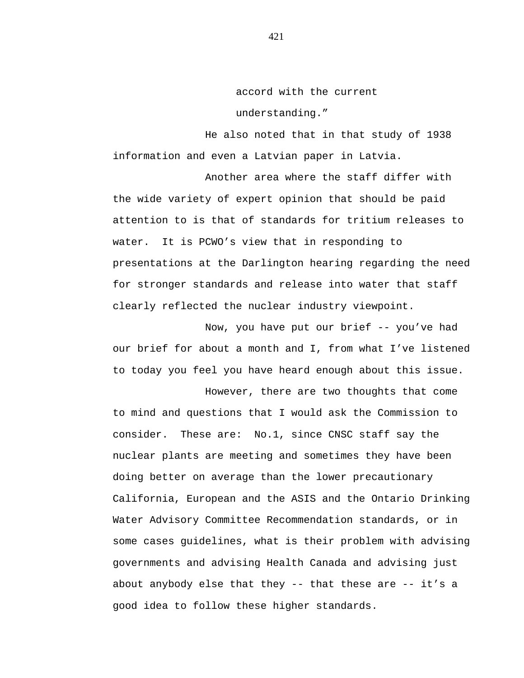accord with the current

understanding."

He also noted that in that study of 1938 information and even a Latvian paper in Latvia.

Another area where the staff differ with the wide variety of expert opinion that should be paid attention to is that of standards for tritium releases to water. It is PCWO's view that in responding to presentations at the Darlington hearing regarding the need for stronger standards and release into water that staff clearly reflected the nuclear industry viewpoint.

Now, you have put our brief -- you've had our brief for about a month and I, from what I've listened to today you feel you have heard enough about this issue.

However, there are two thoughts that come to mind and questions that I would ask the Commission to consider. These are: No.1, since CNSC staff say the nuclear plants are meeting and sometimes they have been doing better on average than the lower precautionary California, European and the ASIS and the Ontario Drinking Water Advisory Committee Recommendation standards, or in some cases guidelines, what is their problem with advising governments and advising Health Canada and advising just about anybody else that they -- that these are -- it's a good idea to follow these higher standards.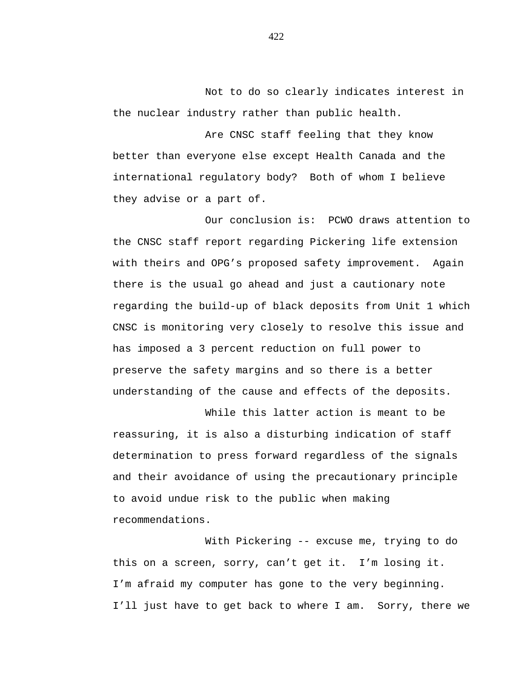Not to do so clearly indicates interest in the nuclear industry rather than public health.

Are CNSC staff feeling that they know better than everyone else except Health Canada and the international regulatory body? Both of whom I believe they advise or a part of.

Our conclusion is: PCWO draws attention to the CNSC staff report regarding Pickering life extension with theirs and OPG's proposed safety improvement. Again there is the usual go ahead and just a cautionary note regarding the build-up of black deposits from Unit 1 which CNSC is monitoring very closely to resolve this issue and has imposed a 3 percent reduction on full power to preserve the safety margins and so there is a better understanding of the cause and effects of the deposits.

While this latter action is meant to be reassuring, it is also a disturbing indication of staff determination to press forward regardless of the signals and their avoidance of using the precautionary principle to avoid undue risk to the public when making recommendations.

With Pickering -- excuse me, trying to do this on a screen, sorry, can't get it. I'm losing it. I'm afraid my computer has gone to the very beginning. I'll just have to get back to where I am. Sorry, there we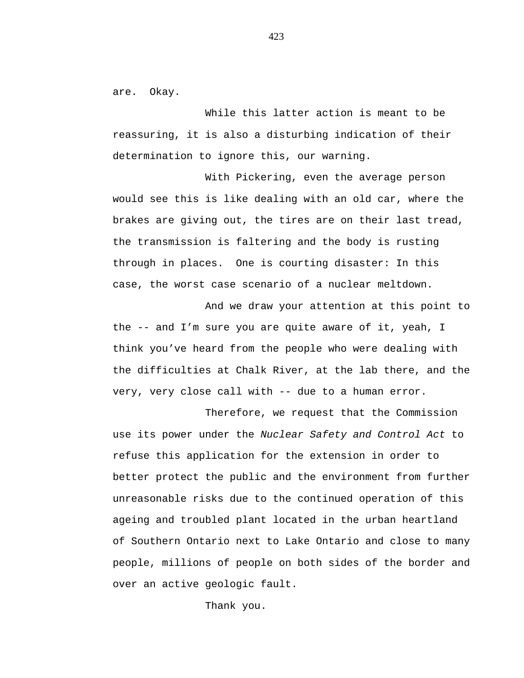are. Okay.

While this latter action is meant to be reassuring, it is also a disturbing indication of their determination to ignore this, our warning.

With Pickering, even the average person would see this is like dealing with an old car, where the brakes are giving out, the tires are on their last tread, the transmission is faltering and the body is rusting through in places. One is courting disaster: In this case, the worst case scenario of a nuclear meltdown.

And we draw your attention at this point to the -- and I'm sure you are quite aware of it, yeah, I think you've heard from the people who were dealing with the difficulties at Chalk River, at the lab there, and the very, very close call with -- due to a human error.

Therefore, we request that the Commission use its power under the *Nuclear Safety and Control Act* to refuse this application for the extension in order to better protect the public and the environment from further unreasonable risks due to the continued operation of this ageing and troubled plant located in the urban heartland of Southern Ontario next to Lake Ontario and close to many people, millions of people on both sides of the border and over an active geologic fault.

Thank you.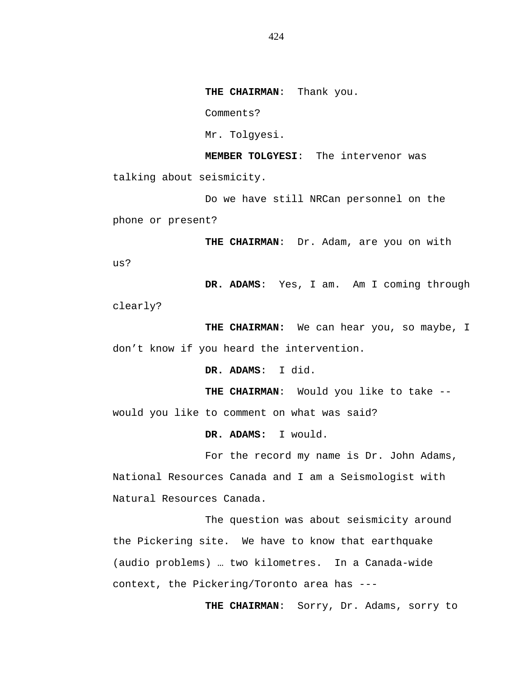**THE CHAIRMAN**: Thank you.

Comments?

Mr. Tolgyesi.

**MEMBER TOLGYESI**: The intervenor was talking about seismicity.

Do we have still NRCan personnel on the phone or present?

**THE CHAIRMAN**: Dr. Adam, are you on with us?

**DR. ADAMS**: Yes, I am. Am I coming through

clearly?

THE CHAIRMAN: We can hear you, so maybe, I don't know if you heard the intervention.

**DR. ADAMS**: I did.

**THE CHAIRMAN**: Would you like to take --

would you like to comment on what was said?

**DR. ADAMS:** I would.

For the record my name is Dr. John Adams, National Resources Canada and I am a Seismologist with Natural Resources Canada.

The question was about seismicity around the Pickering site. We have to know that earthquake (audio problems) … two kilometres. In a Canada-wide context, the Pickering/Toronto area has ---

**THE CHAIRMAN**: Sorry, Dr. Adams, sorry to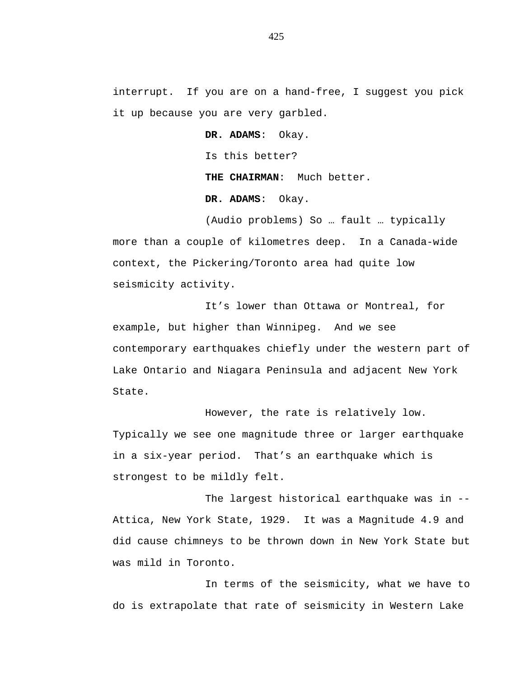interrupt. If you are on a hand-free, I suggest you pick it up because you are very garbled.

> **DR. ADAMS**: Okay. Is this better? **THE CHAIRMAN**: Much better. **DR. ADAMS**: Okay.

(Audio problems) So … fault … typically more than a couple of kilometres deep. In a Canada-wide context, the Pickering/Toronto area had quite low seismicity activity.

It's lower than Ottawa or Montreal, for example, but higher than Winnipeg. And we see contemporary earthquakes chiefly under the western part of Lake Ontario and Niagara Peninsula and adjacent New York State.

However, the rate is relatively low. Typically we see one magnitude three or larger earthquake in a six-year period. That's an earthquake which is strongest to be mildly felt.

The largest historical earthquake was in -- Attica, New York State, 1929. It was a Magnitude 4.9 and did cause chimneys to be thrown down in New York State but was mild in Toronto.

In terms of the seismicity, what we have to do is extrapolate that rate of seismicity in Western Lake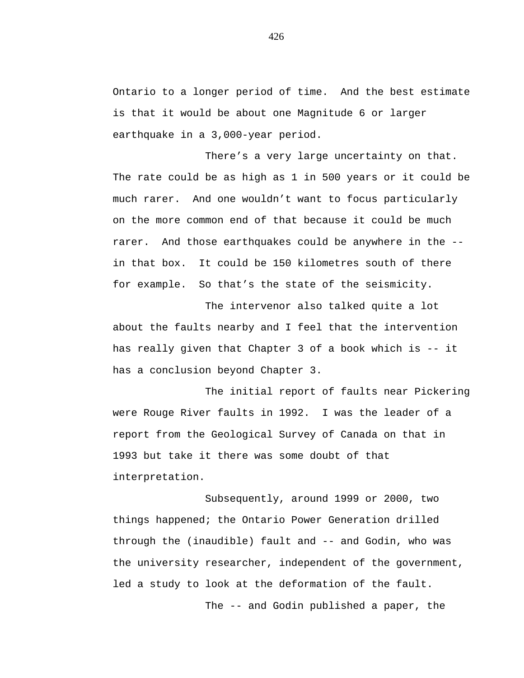Ontario to a longer period of time. And the best estimate is that it would be about one Magnitude 6 or larger earthquake in a 3,000-year period.

There's a very large uncertainty on that. The rate could be as high as 1 in 500 years or it could be much rarer. And one wouldn't want to focus particularly on the more common end of that because it could be much rarer. And those earthquakes could be anywhere in the - in that box. It could be 150 kilometres south of there for example. So that's the state of the seismicity.

The intervenor also talked quite a lot about the faults nearby and I feel that the intervention has really given that Chapter 3 of a book which is -- it has a conclusion beyond Chapter 3.

The initial report of faults near Pickering were Rouge River faults in 1992. I was the leader of a report from the Geological Survey of Canada on that in 1993 but take it there was some doubt of that interpretation.

Subsequently, around 1999 or 2000, two things happened; the Ontario Power Generation drilled through the (inaudible) fault and -- and Godin, who was the university researcher, independent of the government, led a study to look at the deformation of the fault.

The -- and Godin published a paper, the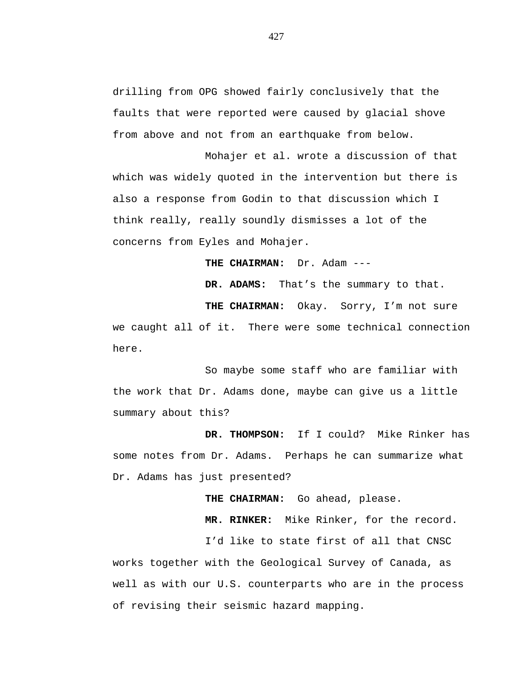drilling from OPG showed fairly conclusively that the faults that were reported were caused by glacial shove from above and not from an earthquake from below.

Mohajer et al. wrote a discussion of that which was widely quoted in the intervention but there is also a response from Godin to that discussion which I think really, really soundly dismisses a lot of the concerns from Eyles and Mohajer.

**THE CHAIRMAN:** Dr. Adam ---

**DR. ADAMS:** That's the summary to that.

**THE CHAIRMAN:** Okay. Sorry, I'm not sure we caught all of it. There were some technical connection here.

So maybe some staff who are familiar with the work that Dr. Adams done, maybe can give us a little summary about this?

**DR. THOMPSON:** If I could? Mike Rinker has some notes from Dr. Adams. Perhaps he can summarize what Dr. Adams has just presented?

**THE CHAIRMAN:** Go ahead, please.

**MR. RINKER:** Mike Rinker, for the record.

I'd like to state first of all that CNSC works together with the Geological Survey of Canada, as well as with our U.S. counterparts who are in the process of revising their seismic hazard mapping.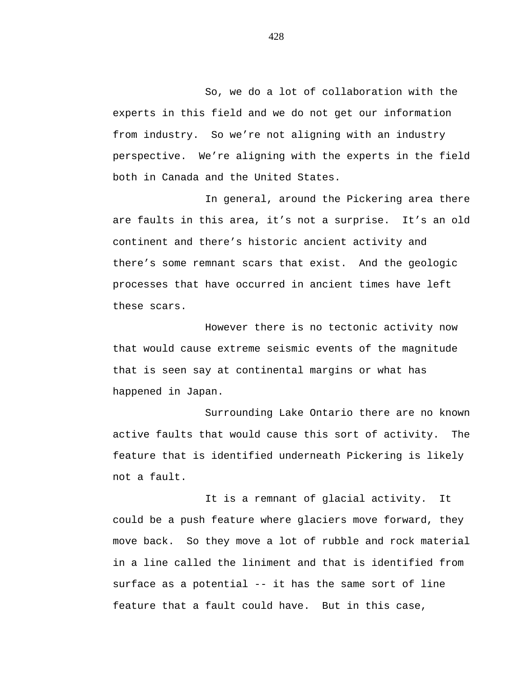So, we do a lot of collaboration with the experts in this field and we do not get our information from industry. So we're not aligning with an industry perspective. We're aligning with the experts in the field both in Canada and the United States.

In general, around the Pickering area there are faults in this area, it's not a surprise. It's an old continent and there's historic ancient activity and there's some remnant scars that exist. And the geologic processes that have occurred in ancient times have left these scars.

However there is no tectonic activity now that would cause extreme seismic events of the magnitude that is seen say at continental margins or what has happened in Japan.

Surrounding Lake Ontario there are no known active faults that would cause this sort of activity. The feature that is identified underneath Pickering is likely not a fault.

It is a remnant of glacial activity. It could be a push feature where glaciers move forward, they move back. So they move a lot of rubble and rock material in a line called the liniment and that is identified from surface as a potential -- it has the same sort of line feature that a fault could have. But in this case,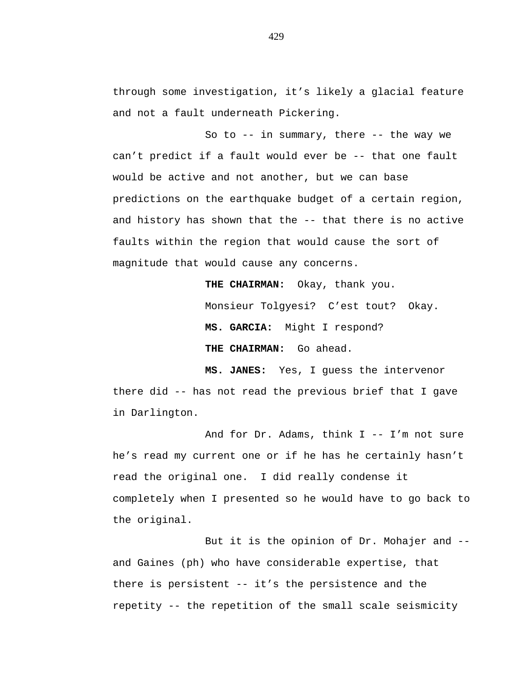through some investigation, it's likely a glacial feature and not a fault underneath Pickering.

So to  $--$  in summary, there  $--$  the way we can't predict if a fault would ever be -- that one fault would be active and not another, but we can base predictions on the earthquake budget of a certain region, and history has shown that the -- that there is no active faults within the region that would cause the sort of magnitude that would cause any concerns.

> **THE CHAIRMAN:** Okay, thank you. Monsieur Tolgyesi? C'est tout? Okay. **MS. GARCIA:** Might I respond? **THE CHAIRMAN:** Go ahead.

**MS. JANES:** Yes, I guess the intervenor there did -- has not read the previous brief that I gave in Darlington.

And for Dr. Adams, think I -- I'm not sure he's read my current one or if he has he certainly hasn't read the original one. I did really condense it completely when I presented so he would have to go back to the original.

But it is the opinion of Dr. Mohajer and - and Gaines (ph) who have considerable expertise, that there is persistent -- it's the persistence and the repetity -- the repetition of the small scale seismicity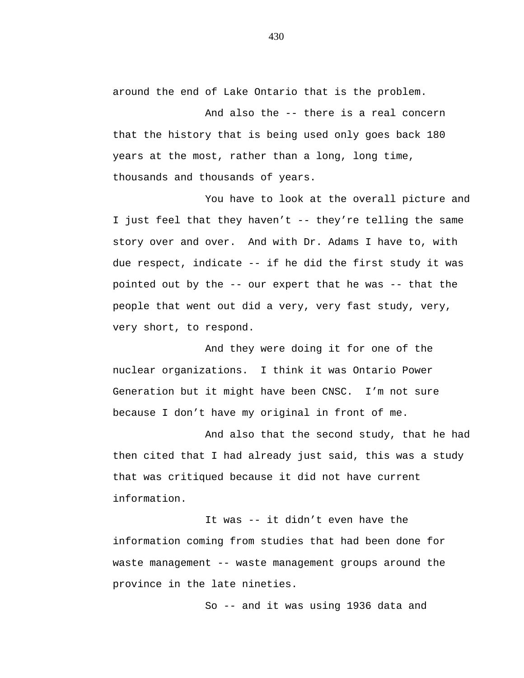around the end of Lake Ontario that is the problem.

And also the -- there is a real concern that the history that is being used only goes back 180 years at the most, rather than a long, long time, thousands and thousands of years.

You have to look at the overall picture and I just feel that they haven't -- they're telling the same story over and over. And with Dr. Adams I have to, with due respect, indicate -- if he did the first study it was pointed out by the -- our expert that he was -- that the people that went out did a very, very fast study, very, very short, to respond.

And they were doing it for one of the nuclear organizations. I think it was Ontario Power Generation but it might have been CNSC. I'm not sure because I don't have my original in front of me.

And also that the second study, that he had then cited that I had already just said, this was a study that was critiqued because it did not have current information.

It was -- it didn't even have the information coming from studies that had been done for waste management -- waste management groups around the province in the late nineties.

So -- and it was using 1936 data and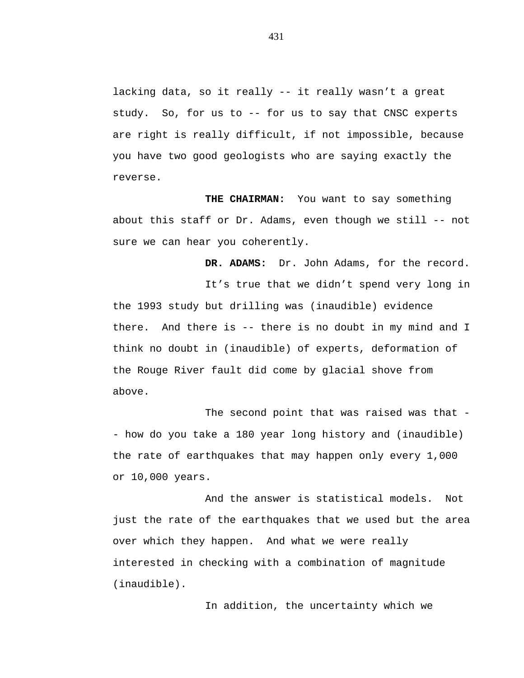lacking data, so it really -- it really wasn't a great study. So, for us to -- for us to say that CNSC experts are right is really difficult, if not impossible, because you have two good geologists who are saying exactly the reverse.

**THE CHAIRMAN:** You want to say something about this staff or Dr. Adams, even though we still -- not sure we can hear you coherently.

**DR. ADAMS:** Dr. John Adams, for the record.

It's true that we didn't spend very long in the 1993 study but drilling was (inaudible) evidence there. And there is -- there is no doubt in my mind and I think no doubt in (inaudible) of experts, deformation of the Rouge River fault did come by glacial shove from above.

The second point that was raised was that -- how do you take a 180 year long history and (inaudible) the rate of earthquakes that may happen only every 1,000 or 10,000 years.

And the answer is statistical models. Not just the rate of the earthquakes that we used but the area over which they happen. And what we were really interested in checking with a combination of magnitude (inaudible).

In addition, the uncertainty which we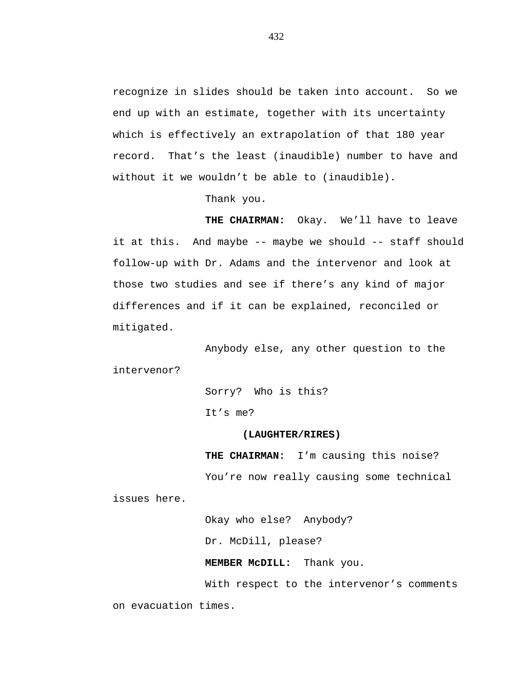recognize in slides should be taken into account. So we end up with an estimate, together with its uncertainty which is effectively an extrapolation of that 180 year record. That's the least (inaudible) number to have and without it we wouldn't be able to (inaudible).

Thank you.

**THE CHAIRMAN:** Okay. We'll have to leave it at this. And maybe -- maybe we should -- staff should follow-up with Dr. Adams and the intervenor and look at those two studies and see if there's any kind of major differences and if it can be explained, reconciled or mitigated.

Anybody else, any other question to the intervenor?

Sorry? Who is this?

It's me?

### **(LAUGHTER/RIRES)**

**THE CHAIRMAN:** I'm causing this noise? You're now really causing some technical

issues here.

Okay who else? Anybody? Dr. McDill, please?

**MEMBER McDILL:** Thank you.

With respect to the intervenor's comments on evacuation times.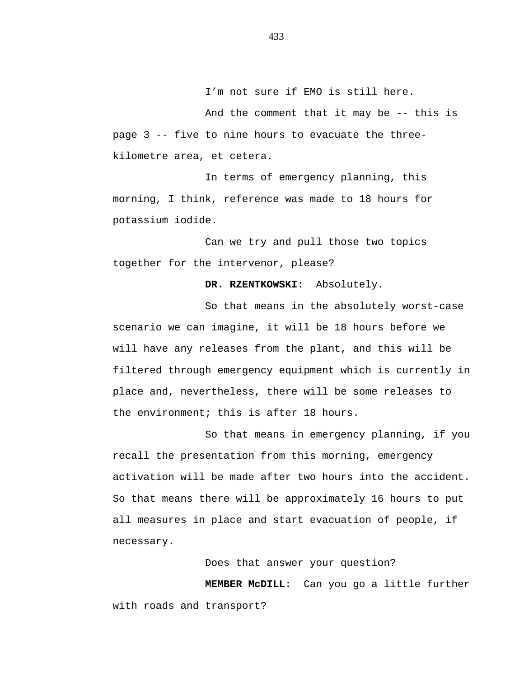I'm not sure if EMO is still here.

And the comment that it may be -- this is page 3 -- five to nine hours to evacuate the threekilometre area, et cetera.

In terms of emergency planning, this morning, I think, reference was made to 18 hours for potassium iodide.

Can we try and pull those two topics together for the intervenor, please?

**DR. RZENTKOWSKI:** Absolutely.

So that means in the absolutely worst-case scenario we can imagine, it will be 18 hours before we will have any releases from the plant, and this will be filtered through emergency equipment which is currently in place and, nevertheless, there will be some releases to the environment; this is after 18 hours.

So that means in emergency planning, if you recall the presentation from this morning, emergency activation will be made after two hours into the accident. So that means there will be approximately 16 hours to put all measures in place and start evacuation of people, if necessary.

Does that answer your question?

**MEMBER McDILL:** Can you go a little further with roads and transport?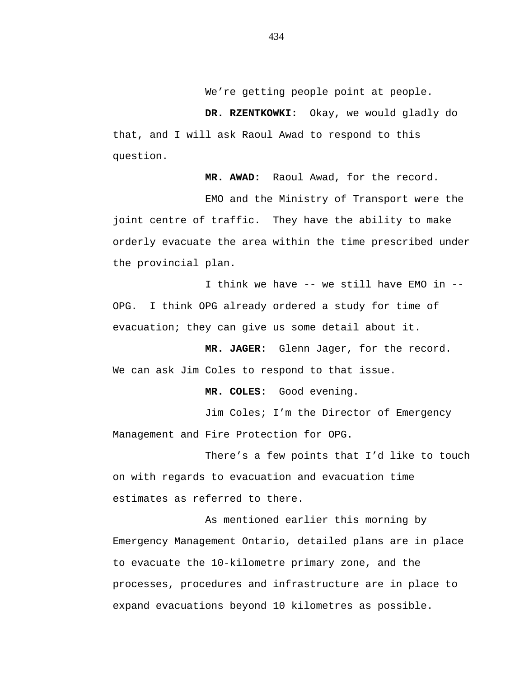We're getting people point at people.

**DR. RZENTKOWKI:** Okay, we would gladly do

that, and I will ask Raoul Awad to respond to this question.

**MR. AWAD:** Raoul Awad, for the record.

EMO and the Ministry of Transport were the joint centre of traffic. They have the ability to make orderly evacuate the area within the time prescribed under the provincial plan.

I think we have -- we still have EMO in -- OPG. I think OPG already ordered a study for time of evacuation; they can give us some detail about it.

**MR. JAGER:** Glenn Jager, for the record. We can ask Jim Coles to respond to that issue.

**MR. COLES:** Good evening.

Jim Coles; I'm the Director of Emergency Management and Fire Protection for OPG.

There's a few points that I'd like to touch on with regards to evacuation and evacuation time estimates as referred to there.

As mentioned earlier this morning by Emergency Management Ontario, detailed plans are in place to evacuate the 10-kilometre primary zone, and the processes, procedures and infrastructure are in place to expand evacuations beyond 10 kilometres as possible.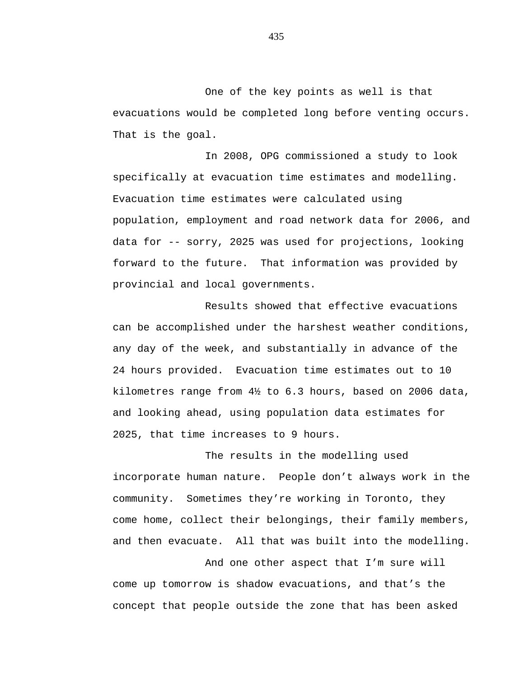One of the key points as well is that evacuations would be completed long before venting occurs. That is the goal.

In 2008, OPG commissioned a study to look specifically at evacuation time estimates and modelling. Evacuation time estimates were calculated using population, employment and road network data for 2006, and data for -- sorry, 2025 was used for projections, looking forward to the future. That information was provided by provincial and local governments.

Results showed that effective evacuations can be accomplished under the harshest weather conditions, any day of the week, and substantially in advance of the 24 hours provided. Evacuation time estimates out to 10 kilometres range from 4½ to 6.3 hours, based on 2006 data, and looking ahead, using population data estimates for 2025, that time increases to 9 hours.

The results in the modelling used incorporate human nature. People don't always work in the community. Sometimes they're working in Toronto, they come home, collect their belongings, their family members, and then evacuate. All that was built into the modelling.

And one other aspect that I'm sure will come up tomorrow is shadow evacuations, and that's the concept that people outside the zone that has been asked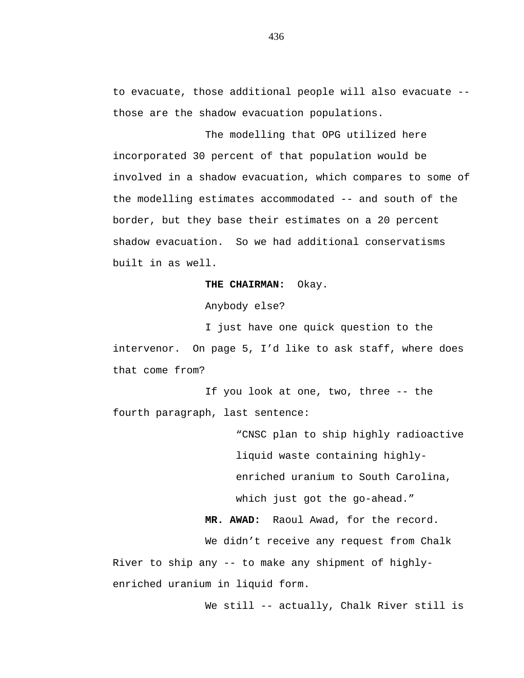to evacuate, those additional people will also evacuate - those are the shadow evacuation populations.

The modelling that OPG utilized here incorporated 30 percent of that population would be involved in a shadow evacuation, which compares to some of the modelling estimates accommodated -- and south of the border, but they base their estimates on a 20 percent shadow evacuation. So we had additional conservatisms built in as well.

# **THE CHAIRMAN:** Okay.

Anybody else?

I just have one quick question to the intervenor. On page 5, I'd like to ask staff, where does that come from?

If you look at one, two, three -- the fourth paragraph, last sentence:

> "CNSC plan to ship highly radioactive liquid waste containing highlyenriched uranium to South Carolina,

which just got the go-ahead."

**MR. AWAD:** Raoul Awad, for the record.

We didn't receive any request from Chalk River to ship any -- to make any shipment of highly-

enriched uranium in liquid form.

We still -- actually, Chalk River still is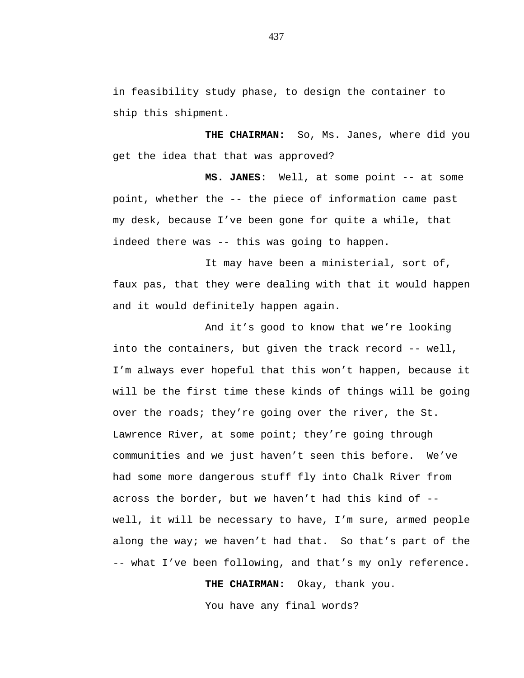in feasibility study phase, to design the container to ship this shipment.

**THE CHAIRMAN:** So, Ms. Janes, where did you get the idea that that was approved?

**MS. JANES:** Well, at some point -- at some point, whether the -- the piece of information came past my desk, because I've been gone for quite a while, that indeed there was -- this was going to happen.

It may have been a ministerial, sort of, faux pas, that they were dealing with that it would happen and it would definitely happen again.

And it's good to know that we're looking into the containers, but given the track record -- well, I'm always ever hopeful that this won't happen, because it will be the first time these kinds of things will be going over the roads; they're going over the river, the St. Lawrence River, at some point; they're going through communities and we just haven't seen this before. We've had some more dangerous stuff fly into Chalk River from across the border, but we haven't had this kind of - well, it will be necessary to have, I'm sure, armed people along the way; we haven't had that. So that's part of the -- what I've been following, and that's my only reference.

**THE CHAIRMAN:** Okay, thank you.

You have any final words?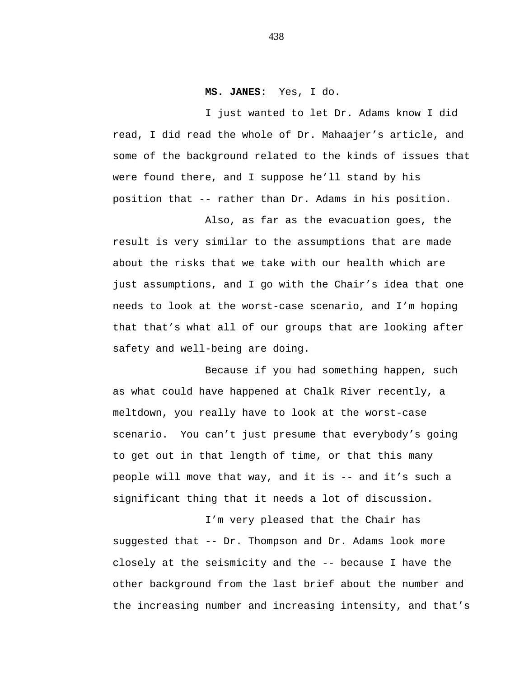### **MS. JANES:** Yes, I do.

I just wanted to let Dr. Adams know I did read, I did read the whole of Dr. Mahaajer's article, and some of the background related to the kinds of issues that were found there, and I suppose he'll stand by his position that -- rather than Dr. Adams in his position.

Also, as far as the evacuation goes, the result is very similar to the assumptions that are made about the risks that we take with our health which are just assumptions, and I go with the Chair's idea that one needs to look at the worst-case scenario, and I'm hoping that that's what all of our groups that are looking after safety and well-being are doing.

Because if you had something happen, such as what could have happened at Chalk River recently, a meltdown, you really have to look at the worst-case scenario. You can't just presume that everybody's going to get out in that length of time, or that this many people will move that way, and it is -- and it's such a significant thing that it needs a lot of discussion.

I'm very pleased that the Chair has suggested that -- Dr. Thompson and Dr. Adams look more closely at the seismicity and the -- because I have the other background from the last brief about the number and the increasing number and increasing intensity, and that's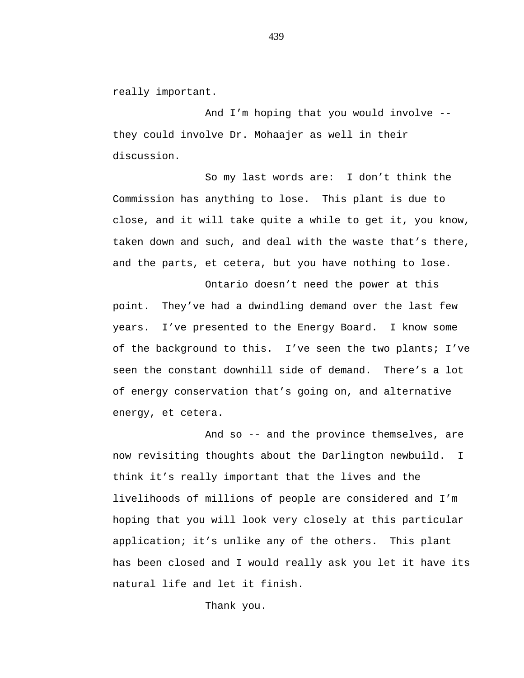really important.

And I'm hoping that you would involve - they could involve Dr. Mohaajer as well in their discussion.

So my last words are: I don't think the Commission has anything to lose. This plant is due to close, and it will take quite a while to get it, you know, taken down and such, and deal with the waste that's there, and the parts, et cetera, but you have nothing to lose.

Ontario doesn't need the power at this point. They've had a dwindling demand over the last few years. I've presented to the Energy Board. I know some of the background to this. I've seen the two plants; I've seen the constant downhill side of demand. There's a lot of energy conservation that's going on, and alternative energy, et cetera.

And so -- and the province themselves, are now revisiting thoughts about the Darlington newbuild. I think it's really important that the lives and the livelihoods of millions of people are considered and I'm hoping that you will look very closely at this particular application; it's unlike any of the others. This plant has been closed and I would really ask you let it have its natural life and let it finish.

Thank you.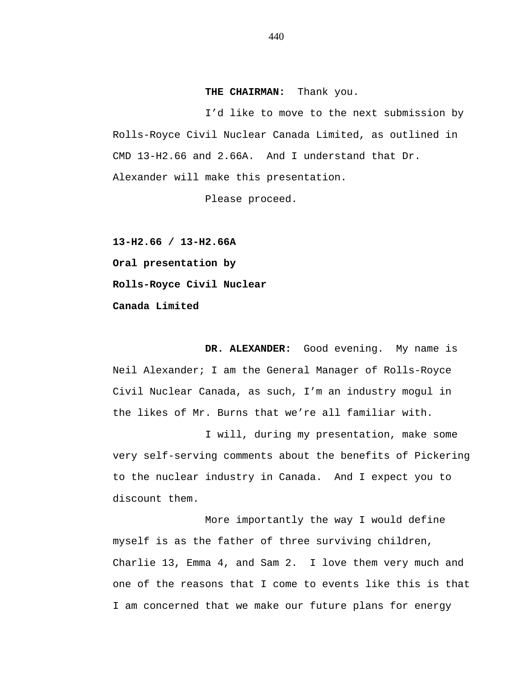#### **THE CHAIRMAN:** Thank you.

I'd like to move to the next submission by Rolls-Royce Civil Nuclear Canada Limited, as outlined in CMD 13-H2.66 and 2.66A. And I understand that Dr. Alexander will make this presentation.

Please proceed.

**13-H2.66 / 13-H2.66A Oral presentation by Rolls-Royce Civil Nuclear Canada Limited**

**DR. ALEXANDER:** Good evening. My name is Neil Alexander; I am the General Manager of Rolls-Royce Civil Nuclear Canada, as such, I'm an industry mogul in the likes of Mr. Burns that we're all familiar with.

I will, during my presentation, make some very self-serving comments about the benefits of Pickering to the nuclear industry in Canada. And I expect you to discount them.

More importantly the way I would define myself is as the father of three surviving children, Charlie 13, Emma 4, and Sam 2. I love them very much and one of the reasons that I come to events like this is that I am concerned that we make our future plans for energy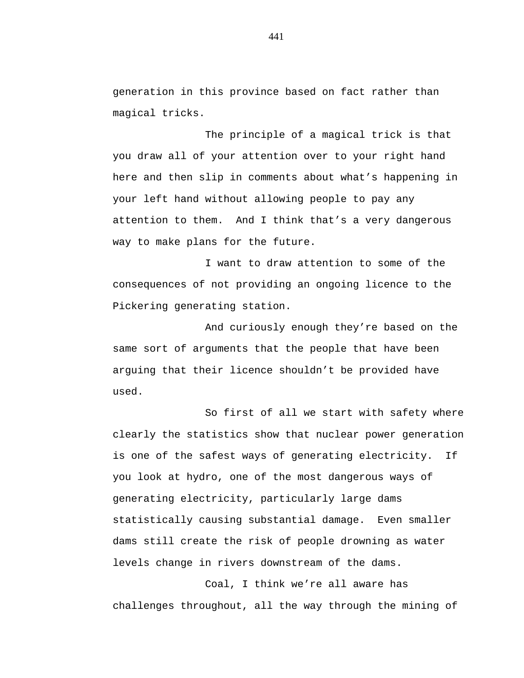generation in this province based on fact rather than magical tricks.

The principle of a magical trick is that you draw all of your attention over to your right hand here and then slip in comments about what's happening in your left hand without allowing people to pay any attention to them. And I think that's a very dangerous way to make plans for the future.

I want to draw attention to some of the consequences of not providing an ongoing licence to the Pickering generating station.

And curiously enough they're based on the same sort of arguments that the people that have been arguing that their licence shouldn't be provided have used.

So first of all we start with safety where clearly the statistics show that nuclear power generation is one of the safest ways of generating electricity. If you look at hydro, one of the most dangerous ways of generating electricity, particularly large dams statistically causing substantial damage. Even smaller dams still create the risk of people drowning as water levels change in rivers downstream of the dams.

Coal, I think we're all aware has challenges throughout, all the way through the mining of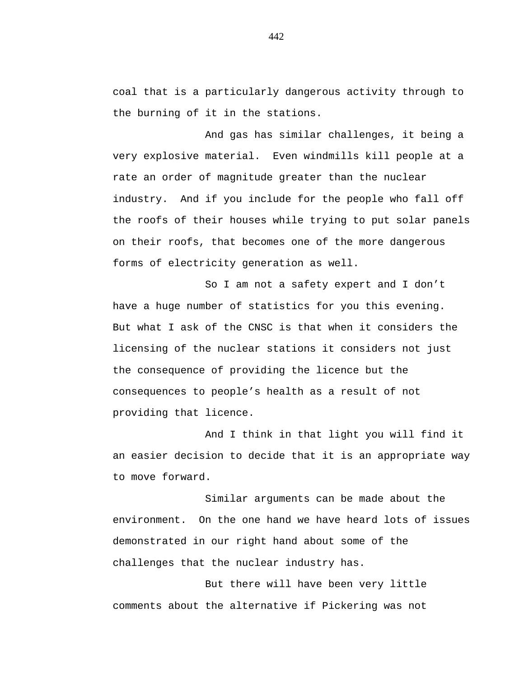coal that is a particularly dangerous activity through to the burning of it in the stations.

And gas has similar challenges, it being a very explosive material. Even windmills kill people at a rate an order of magnitude greater than the nuclear industry. And if you include for the people who fall off the roofs of their houses while trying to put solar panels on their roofs, that becomes one of the more dangerous forms of electricity generation as well.

So I am not a safety expert and I don't have a huge number of statistics for you this evening. But what I ask of the CNSC is that when it considers the licensing of the nuclear stations it considers not just the consequence of providing the licence but the consequences to people's health as a result of not providing that licence.

And I think in that light you will find it an easier decision to decide that it is an appropriate way to move forward.

Similar arguments can be made about the environment. On the one hand we have heard lots of issues demonstrated in our right hand about some of the challenges that the nuclear industry has.

But there will have been very little comments about the alternative if Pickering was not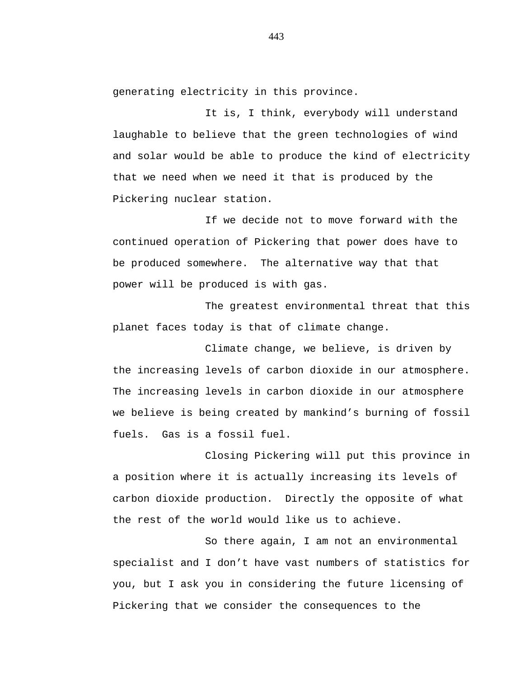generating electricity in this province.

It is, I think, everybody will understand laughable to believe that the green technologies of wind and solar would be able to produce the kind of electricity that we need when we need it that is produced by the Pickering nuclear station.

If we decide not to move forward with the continued operation of Pickering that power does have to be produced somewhere. The alternative way that that power will be produced is with gas.

The greatest environmental threat that this planet faces today is that of climate change.

Climate change, we believe, is driven by the increasing levels of carbon dioxide in our atmosphere. The increasing levels in carbon dioxide in our atmosphere we believe is being created by mankind's burning of fossil fuels. Gas is a fossil fuel.

Closing Pickering will put this province in a position where it is actually increasing its levels of carbon dioxide production. Directly the opposite of what the rest of the world would like us to achieve.

So there again, I am not an environmental specialist and I don't have vast numbers of statistics for you, but I ask you in considering the future licensing of Pickering that we consider the consequences to the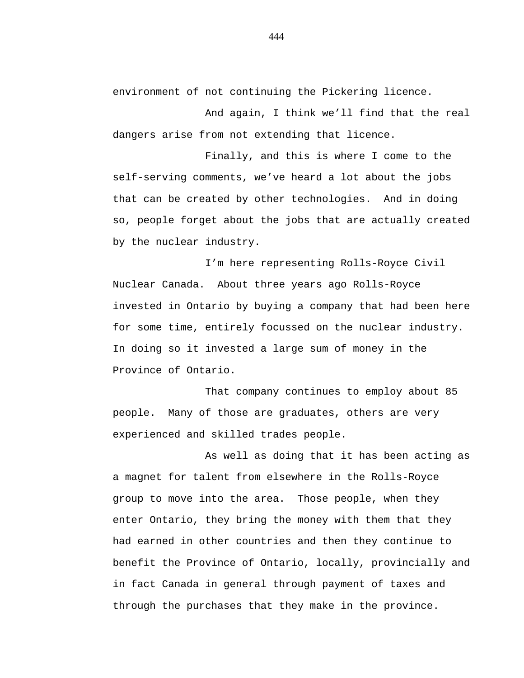environment of not continuing the Pickering licence.

And again, I think we'll find that the real dangers arise from not extending that licence.

Finally, and this is where I come to the self-serving comments, we've heard a lot about the jobs that can be created by other technologies. And in doing so, people forget about the jobs that are actually created by the nuclear industry.

I'm here representing Rolls-Royce Civil Nuclear Canada. About three years ago Rolls-Royce invested in Ontario by buying a company that had been here for some time, entirely focussed on the nuclear industry. In doing so it invested a large sum of money in the Province of Ontario.

That company continues to employ about 85 people. Many of those are graduates, others are very experienced and skilled trades people.

As well as doing that it has been acting as a magnet for talent from elsewhere in the Rolls-Royce group to move into the area. Those people, when they enter Ontario, they bring the money with them that they had earned in other countries and then they continue to benefit the Province of Ontario, locally, provincially and in fact Canada in general through payment of taxes and through the purchases that they make in the province.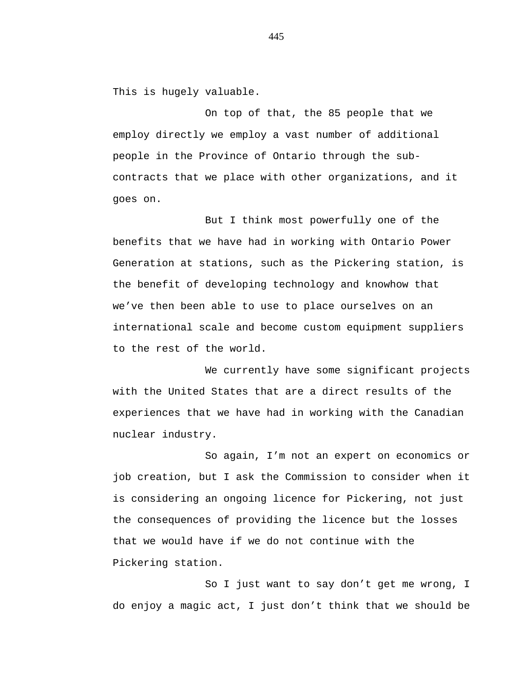This is hugely valuable.

On top of that, the 85 people that we employ directly we employ a vast number of additional people in the Province of Ontario through the subcontracts that we place with other organizations, and it goes on.

But I think most powerfully one of the benefits that we have had in working with Ontario Power Generation at stations, such as the Pickering station, is the benefit of developing technology and knowhow that we've then been able to use to place ourselves on an international scale and become custom equipment suppliers to the rest of the world.

We currently have some significant projects with the United States that are a direct results of the experiences that we have had in working with the Canadian nuclear industry.

So again, I'm not an expert on economics or job creation, but I ask the Commission to consider when it is considering an ongoing licence for Pickering, not just the consequences of providing the licence but the losses that we would have if we do not continue with the Pickering station.

So I just want to say don't get me wrong, I do enjoy a magic act, I just don't think that we should be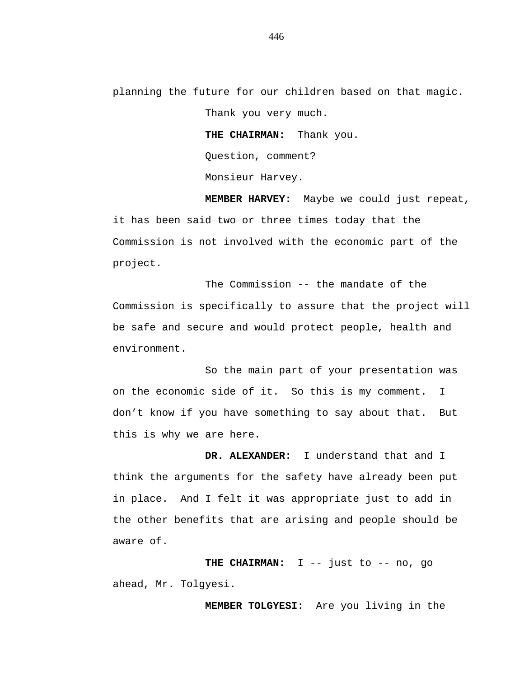planning the future for our children based on that magic.

Thank you very much. **THE CHAIRMAN:** Thank you. Question, comment? Monsieur Harvey.

**MEMBER HARVEY:** Maybe we could just repeat, it has been said two or three times today that the Commission is not involved with the economic part of the project.

The Commission -- the mandate of the Commission is specifically to assure that the project will be safe and secure and would protect people, health and environment.

So the main part of your presentation was on the economic side of it. So this is my comment. I don't know if you have something to say about that. But this is why we are here.

**DR. ALEXANDER:** I understand that and I think the arguments for the safety have already been put in place. And I felt it was appropriate just to add in the other benefits that are arising and people should be aware of.

THE CHAIRMAN: I -- just to -- no, go ahead, Mr. Tolgyesi.

**MEMBER TOLGYESI:** Are you living in the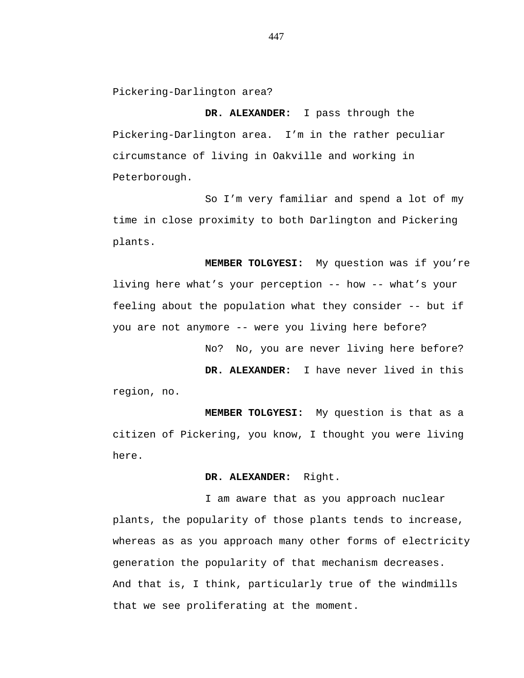Pickering-Darlington area?

**DR. ALEXANDER:** I pass through the Pickering-Darlington area. I'm in the rather peculiar circumstance of living in Oakville and working in Peterborough.

So I'm very familiar and spend a lot of my time in close proximity to both Darlington and Pickering plants.

**MEMBER TOLGYESI:** My question was if you're living here what's your perception -- how -- what's your feeling about the population what they consider -- but if you are not anymore -- were you living here before?

No? No, you are never living here before?

**DR. ALEXANDER:** I have never lived in this region, no.

**MEMBER TOLGYESI:** My question is that as a citizen of Pickering, you know, I thought you were living here.

## **DR. ALEXANDER:** Right.

I am aware that as you approach nuclear plants, the popularity of those plants tends to increase, whereas as as you approach many other forms of electricity generation the popularity of that mechanism decreases. And that is, I think, particularly true of the windmills that we see proliferating at the moment.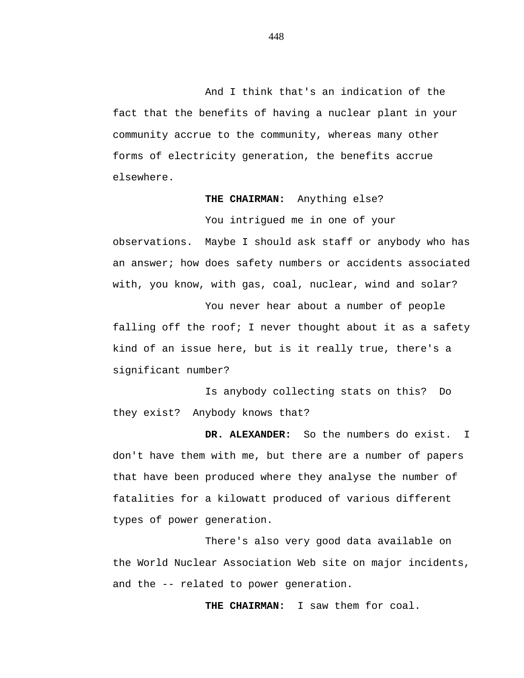And I think that's an indication of the fact that the benefits of having a nuclear plant in your community accrue to the community, whereas many other forms of electricity generation, the benefits accrue elsewhere.

# **THE CHAIRMAN:** Anything else?

You intrigued me in one of your observations. Maybe I should ask staff or anybody who has an answer; how does safety numbers or accidents associated with, you know, with gas, coal, nuclear, wind and solar?

You never hear about a number of people falling off the roof; I never thought about it as a safety kind of an issue here, but is it really true, there's a significant number?

Is anybody collecting stats on this? Do they exist? Anybody knows that?

**DR. ALEXANDER:** So the numbers do exist. I don't have them with me, but there are a number of papers that have been produced where they analyse the number of fatalities for a kilowatt produced of various different types of power generation.

There's also very good data available on the World Nuclear Association Web site on major incidents, and the -- related to power generation.

**THE CHAIRMAN:** I saw them for coal.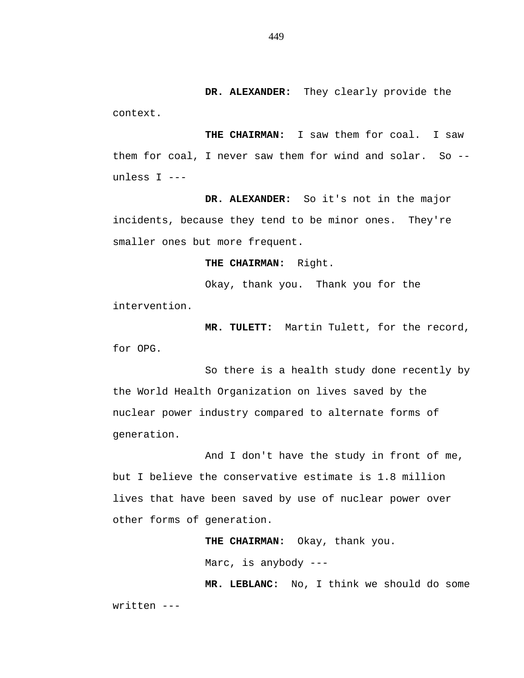**DR. ALEXANDER:** They clearly provide the context.

**THE CHAIRMAN:** I saw them for coal. I saw them for coal, I never saw them for wind and solar. So - unless I ---

**DR. ALEXANDER:** So it's not in the major incidents, because they tend to be minor ones. They're smaller ones but more frequent.

**THE CHAIRMAN:** Right.

Okay, thank you. Thank you for the intervention.

**MR. TULETT:** Martin Tulett, for the record, for OPG.

So there is a health study done recently by the World Health Organization on lives saved by the nuclear power industry compared to alternate forms of generation.

And I don't have the study in front of me, but I believe the conservative estimate is 1.8 million lives that have been saved by use of nuclear power over other forms of generation.

**THE CHAIRMAN:** Okay, thank you.

Marc, is anybody ---

**MR. LEBLANC:** No, I think we should do some written ---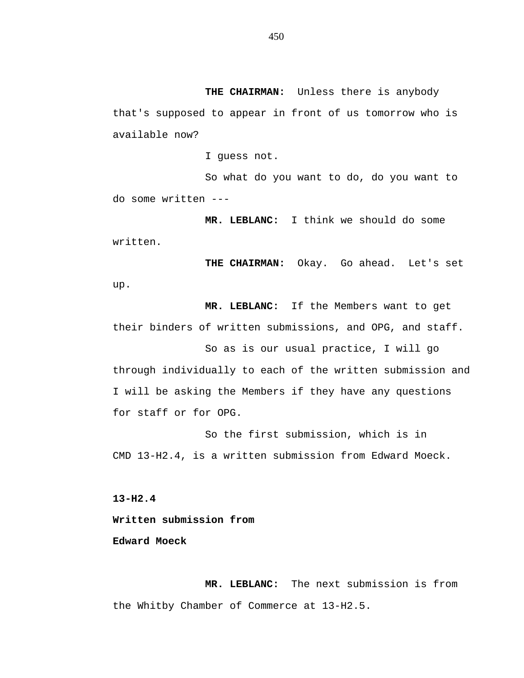**THE CHAIRMAN:** Unless there is anybody that's supposed to appear in front of us tomorrow who is available now?

I guess not.

So what do you want to do, do you want to do some written ---

**MR. LEBLANC:** I think we should do some written.

**THE CHAIRMAN:** Okay. Go ahead. Let's set up.

**MR. LEBLANC:** If the Members want to get their binders of written submissions, and OPG, and staff.

So as is our usual practice, I will go through individually to each of the written submission and I will be asking the Members if they have any questions for staff or for OPG.

So the first submission, which is in CMD 13-H2.4, is a written submission from Edward Moeck.

**13-H2.4**

**Written submission from**

**Edward Moeck** 

**MR. LEBLANC:** The next submission is from the Whitby Chamber of Commerce at 13-H2.5.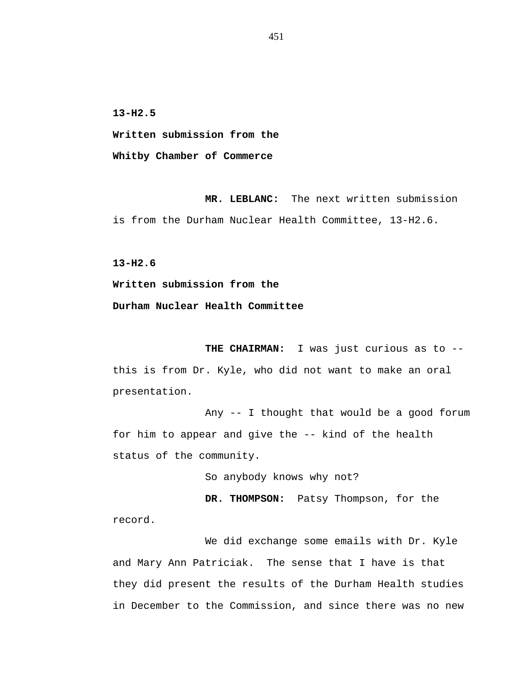**13-H2.5 Written submission from the Whitby Chamber of Commerce**

**MR. LEBLANC:** The next written submission is from the Durham Nuclear Health Committee, 13-H2.6.

**13-H2.6**

**Written submission from the Durham Nuclear Health Committee**

**THE CHAIRMAN:** I was just curious as to - this is from Dr. Kyle, who did not want to make an oral presentation.

Any -- I thought that would be a good forum for him to appear and give the -- kind of the health status of the community.

So anybody knows why not?

**DR. THOMPSON:** Patsy Thompson, for the record.

We did exchange some emails with Dr. Kyle and Mary Ann Patriciak. The sense that I have is that they did present the results of the Durham Health studies in December to the Commission, and since there was no new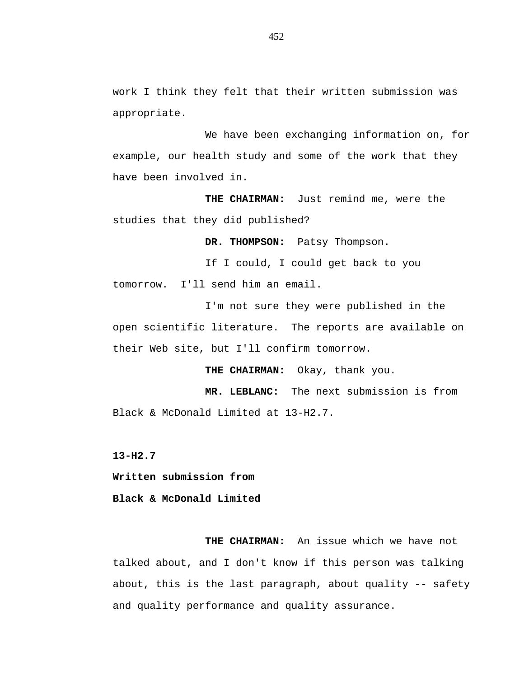work I think they felt that their written submission was appropriate.

We have been exchanging information on, for example, our health study and some of the work that they have been involved in.

**THE CHAIRMAN:** Just remind me, were the studies that they did published?

**DR. THOMPSON:** Patsy Thompson.

If I could, I could get back to you tomorrow. I'll send him an email.

I'm not sure they were published in the open scientific literature. The reports are available on their Web site, but I'll confirm tomorrow.

**THE CHAIRMAN:** Okay, thank you.

**MR. LEBLANC:** The next submission is from Black & McDonald Limited at 13-H2.7.

**13-H2.7**

**Written submission from**

**Black & McDonald Limited**

**THE CHAIRMAN:** An issue which we have not talked about, and I don't know if this person was talking about, this is the last paragraph, about quality -- safety and quality performance and quality assurance.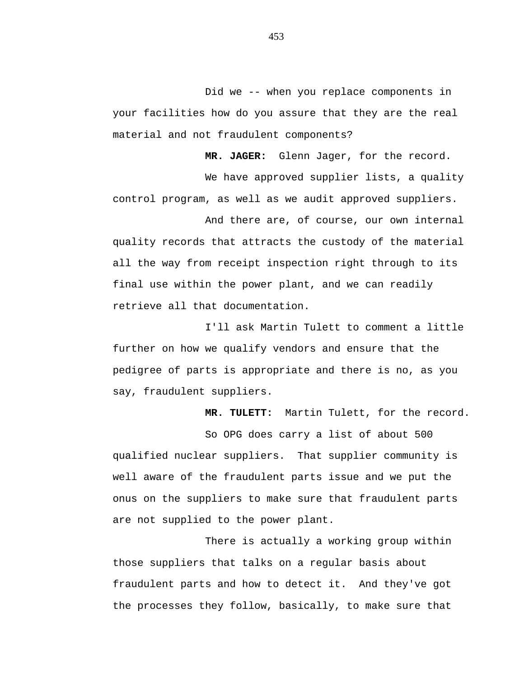Did we -- when you replace components in your facilities how do you assure that they are the real material and not fraudulent components?

**MR. JAGER:** Glenn Jager, for the record.

We have approved supplier lists, a quality control program, as well as we audit approved suppliers.

And there are, of course, our own internal quality records that attracts the custody of the material all the way from receipt inspection right through to its final use within the power plant, and we can readily retrieve all that documentation.

I'll ask Martin Tulett to comment a little further on how we qualify vendors and ensure that the pedigree of parts is appropriate and there is no, as you say, fraudulent suppliers.

**MR. TULETT:** Martin Tulett, for the record.

So OPG does carry a list of about 500 qualified nuclear suppliers. That supplier community is well aware of the fraudulent parts issue and we put the onus on the suppliers to make sure that fraudulent parts are not supplied to the power plant.

There is actually a working group within those suppliers that talks on a regular basis about fraudulent parts and how to detect it. And they've got the processes they follow, basically, to make sure that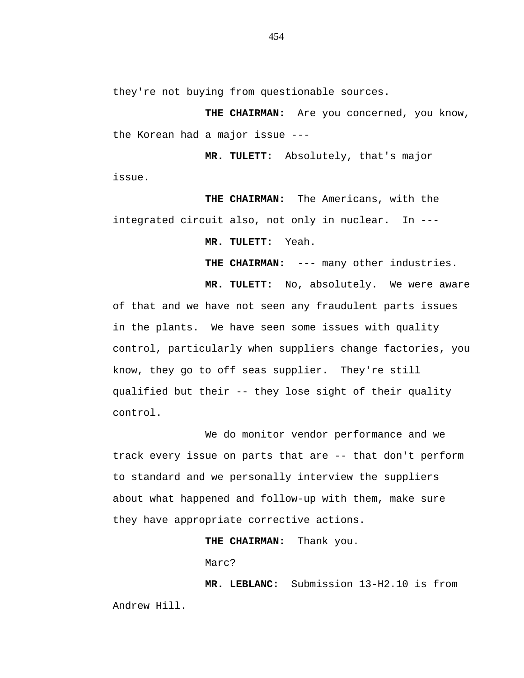they're not buying from questionable sources.

**THE CHAIRMAN:** Are you concerned, you know, the Korean had a major issue ---

**MR. TULETT:** Absolutely, that's major issue.

**THE CHAIRMAN:** The Americans, with the integrated circuit also, not only in nuclear. In ---

**MR. TULETT:** Yeah.

THE CHAIRMAN: --- many other industries.

**MR. TULETT:** No, absolutely. We were aware

of that and we have not seen any fraudulent parts issues in the plants. We have seen some issues with quality control, particularly when suppliers change factories, you know, they go to off seas supplier. They're still qualified but their -- they lose sight of their quality control.

We do monitor vendor performance and we track every issue on parts that are -- that don't perform to standard and we personally interview the suppliers about what happened and follow-up with them, make sure they have appropriate corrective actions.

**THE CHAIRMAN:** Thank you.

Marc?

**MR. LEBLANC:** Submission 13-H2.10 is from Andrew Hill.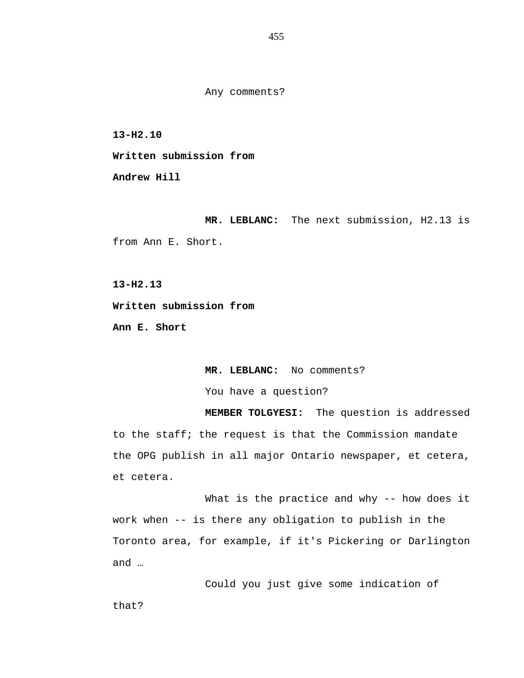Any comments?

**13-H2.10 Written submission from Andrew Hill**

**MR. LEBLANC:** The next submission, H2.13 is from Ann E. Short.

**13-H2.13**

**Written submission from** 

**Ann E. Short**

**MR. LEBLANC:** No comments?

You have a question?

**MEMBER TOLGYESI:** The question is addressed to the staff; the request is that the Commission mandate the OPG publish in all major Ontario newspaper, et cetera, et cetera.

What is the practice and why -- how does it work when -- is there any obligation to publish in the Toronto area, for example, if it's Pickering or Darlington and …

Could you just give some indication of that?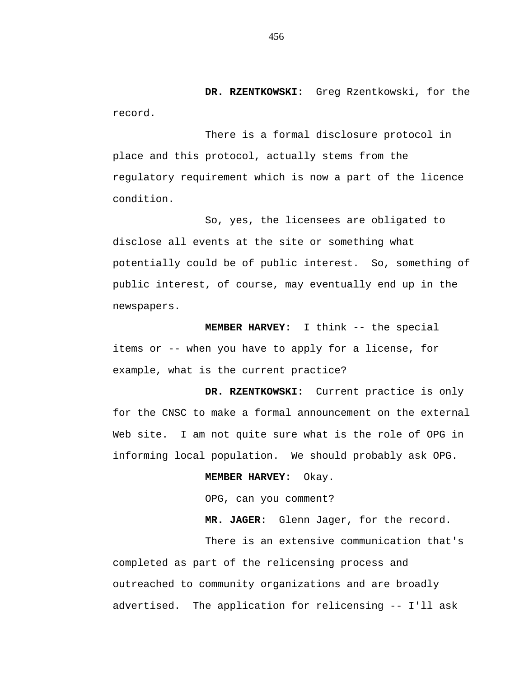**DR. RZENTKOWSKI:** Greg Rzentkowski, for the record.

There is a formal disclosure protocol in place and this protocol, actually stems from the regulatory requirement which is now a part of the licence condition.

So, yes, the licensees are obligated to disclose all events at the site or something what potentially could be of public interest. So, something of public interest, of course, may eventually end up in the newspapers.

**MEMBER HARVEY:** I think -- the special items or -- when you have to apply for a license, for example, what is the current practice?

**DR. RZENTKOWSKI:** Current practice is only for the CNSC to make a formal announcement on the external Web site. I am not quite sure what is the role of OPG in informing local population. We should probably ask OPG.

**MEMBER HARVEY:** Okay.

OPG, can you comment?

**MR. JAGER:** Glenn Jager, for the record.

There is an extensive communication that's completed as part of the relicensing process and outreached to community organizations and are broadly advertised. The application for relicensing -- I'll ask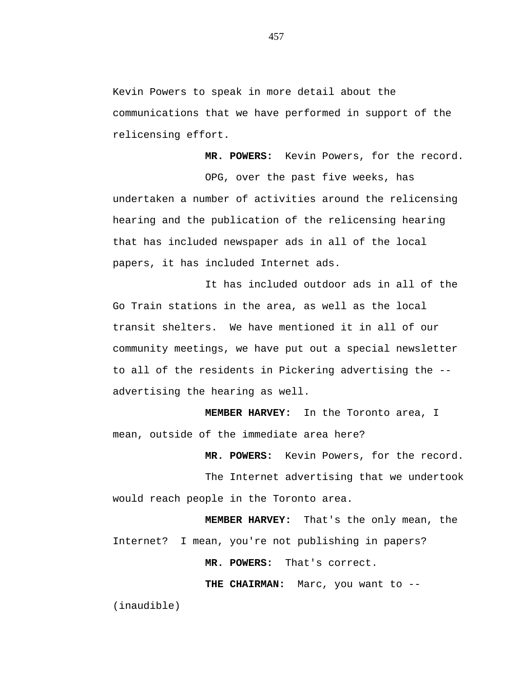Kevin Powers to speak in more detail about the communications that we have performed in support of the relicensing effort.

**MR. POWERS:** Kevin Powers, for the record. OPG, over the past five weeks, has undertaken a number of activities around the relicensing hearing and the publication of the relicensing hearing that has included newspaper ads in all of the local papers, it has included Internet ads.

It has included outdoor ads in all of the Go Train stations in the area, as well as the local transit shelters. We have mentioned it in all of our community meetings, we have put out a special newsletter to all of the residents in Pickering advertising the - advertising the hearing as well.

**MEMBER HARVEY:** In the Toronto area, I mean, outside of the immediate area here?

**MR. POWERS:** Kevin Powers, for the record.

The Internet advertising that we undertook would reach people in the Toronto area.

**MEMBER HARVEY:** That's the only mean, the Internet? I mean, you're not publishing in papers?

**MR. POWERS:** That's correct.

THE CHAIRMAN: Marc, you want to --

(inaudible)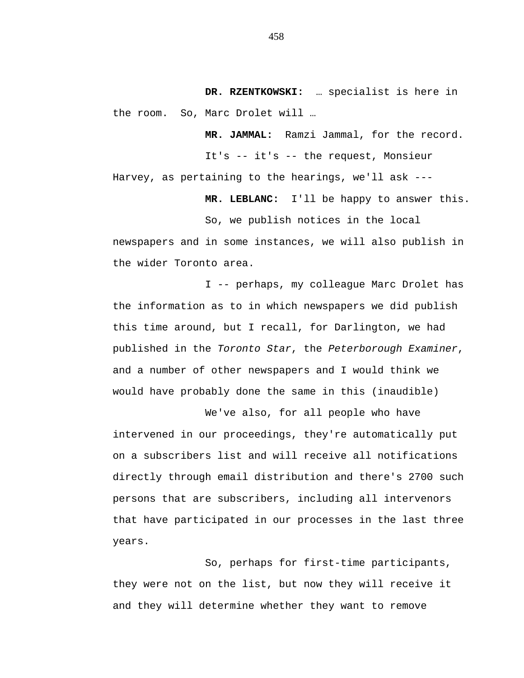**DR. RZENTKOWSKI:** … specialist is here in the room. So, Marc Drolet will …

**MR. JAMMAL:** Ramzi Jammal, for the record. It's -- it's -- the request, Monsieur Harvey, as pertaining to the hearings, we'll ask ---

**MR. LEBLANC:** I'll be happy to answer this.

So, we publish notices in the local newspapers and in some instances, we will also publish in the wider Toronto area.

I -- perhaps, my colleague Marc Drolet has the information as to in which newspapers we did publish this time around, but I recall, for Darlington, we had published in the *Toronto Star*, the *Peterborough Examiner*, and a number of other newspapers and I would think we would have probably done the same in this (inaudible)

We've also, for all people who have intervened in our proceedings, they're automatically put on a subscribers list and will receive all notifications directly through email distribution and there's 2700 such persons that are subscribers, including all intervenors that have participated in our processes in the last three years.

So, perhaps for first-time participants, they were not on the list, but now they will receive it and they will determine whether they want to remove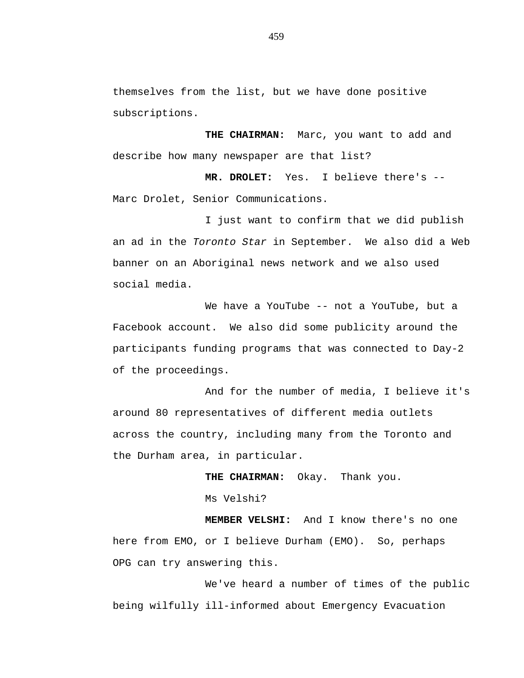themselves from the list, but we have done positive subscriptions.

**THE CHAIRMAN:** Marc, you want to add and describe how many newspaper are that list?

**MR. DROLET:** Yes. I believe there's -- Marc Drolet, Senior Communications.

I just want to confirm that we did publish an ad in the *Toronto Star* in September. We also did a Web banner on an Aboriginal news network and we also used social media.

We have a YouTube -- not a YouTube, but a Facebook account. We also did some publicity around the participants funding programs that was connected to Day-2 of the proceedings.

And for the number of media, I believe it's around 80 representatives of different media outlets across the country, including many from the Toronto and the Durham area, in particular.

**THE CHAIRMAN:** Okay. Thank you.

Ms Velshi?

**MEMBER VELSHI:** And I know there's no one here from EMO, or I believe Durham (EMO). So, perhaps OPG can try answering this.

We've heard a number of times of the public being wilfully ill-informed about Emergency Evacuation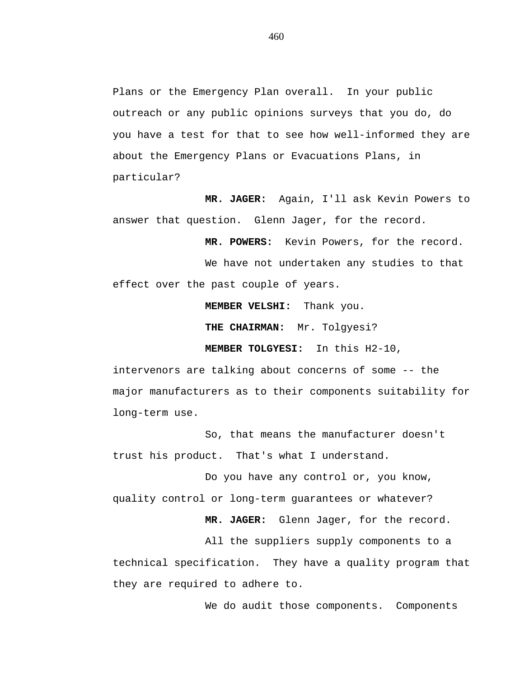Plans or the Emergency Plan overall. In your public outreach or any public opinions surveys that you do, do you have a test for that to see how well-informed they are about the Emergency Plans or Evacuations Plans, in particular?

**MR. JAGER:** Again, I'll ask Kevin Powers to answer that question. Glenn Jager, for the record.

**MR. POWERS:** Kevin Powers, for the record.

We have not undertaken any studies to that effect over the past couple of years.

**MEMBER VELSHI:** Thank you.

**THE CHAIRMAN:** Mr. Tolgyesi?

**MEMBER TOLGYESI:** In this H2-10,

intervenors are talking about concerns of some -- the major manufacturers as to their components suitability for long-term use.

So, that means the manufacturer doesn't trust his product. That's what I understand.

Do you have any control or, you know,

quality control or long-term guarantees or whatever?

**MR. JAGER:** Glenn Jager, for the record.

All the suppliers supply components to a technical specification. They have a quality program that they are required to adhere to.

We do audit those components. Components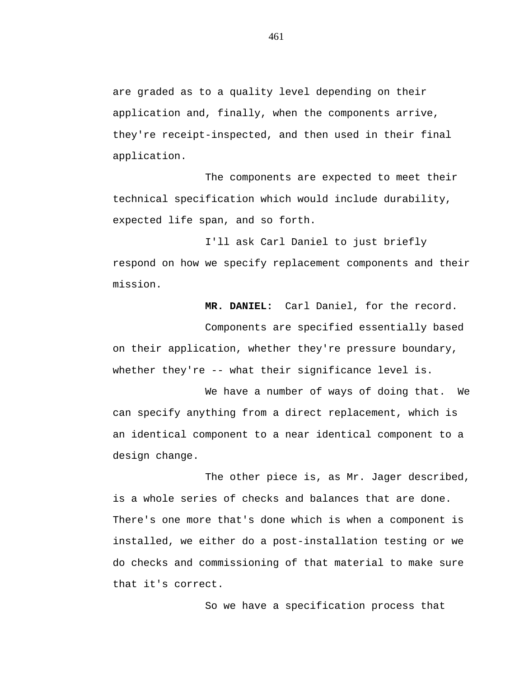are graded as to a quality level depending on their application and, finally, when the components arrive, they're receipt-inspected, and then used in their final application.

The components are expected to meet their technical specification which would include durability, expected life span, and so forth.

I'll ask Carl Daniel to just briefly respond on how we specify replacement components and their mission.

**MR. DANIEL:** Carl Daniel, for the record.

Components are specified essentially based on their application, whether they're pressure boundary, whether they're -- what their significance level is.

We have a number of ways of doing that. We can specify anything from a direct replacement, which is an identical component to a near identical component to a design change.

The other piece is, as Mr. Jager described, is a whole series of checks and balances that are done. There's one more that's done which is when a component is installed, we either do a post-installation testing or we do checks and commissioning of that material to make sure that it's correct.

So we have a specification process that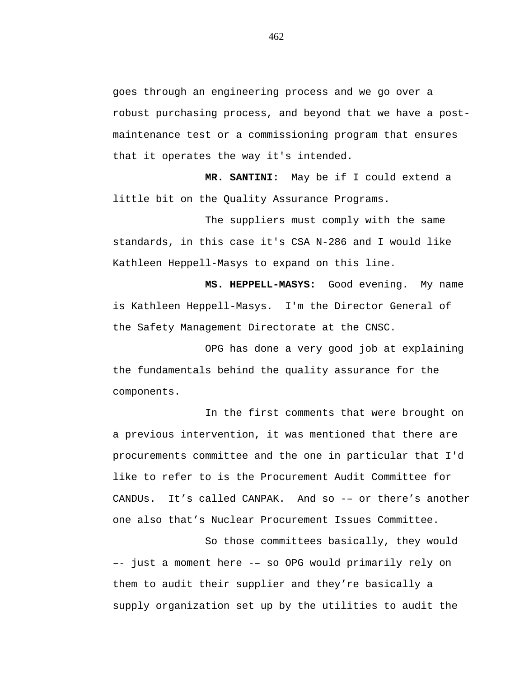goes through an engineering process and we go over a robust purchasing process, and beyond that we have a postmaintenance test or a commissioning program that ensures that it operates the way it's intended.

**MR. SANTINI:** May be if I could extend a little bit on the Quality Assurance Programs.

The suppliers must comply with the same standards, in this case it's CSA N-286 and I would like Kathleen Heppell-Masys to expand on this line.

**MS. HEPPELL-MASYS:** Good evening. My name is Kathleen Heppell-Masys. I'm the Director General of the Safety Management Directorate at the CNSC.

OPG has done a very good job at explaining the fundamentals behind the quality assurance for the components.

In the first comments that were brought on a previous intervention, it was mentioned that there are procurements committee and the one in particular that I'd like to refer to is the Procurement Audit Committee for CANDUs. It's called CANPAK. And so -- or there's another one also that's Nuclear Procurement Issues Committee.

So those committees basically, they would –- just a moment here -– so OPG would primarily rely on them to audit their supplier and they're basically a supply organization set up by the utilities to audit the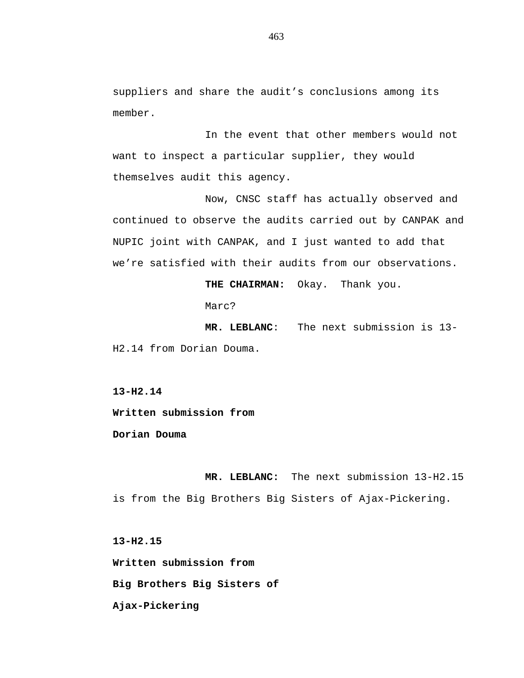suppliers and share the audit's conclusions among its member.

In the event that other members would not want to inspect a particular supplier, they would themselves audit this agency.

Now, CNSC staff has actually observed and continued to observe the audits carried out by CANPAK and NUPIC joint with CANPAK, and I just wanted to add that we're satisfied with their audits from our observations.

**THE CHAIRMAN:** Okay. Thank you.

Marc?

**MR. LEBLANC**: The next submission is 13- H2.14 from Dorian Douma.

**13-H2.14**

**Written submission from**

**Dorian Douma**

**MR. LEBLANC:** The next submission 13-H2.15 is from the Big Brothers Big Sisters of Ajax-Pickering.

**13-H2.15 Written submission from Big Brothers Big Sisters of Ajax-Pickering**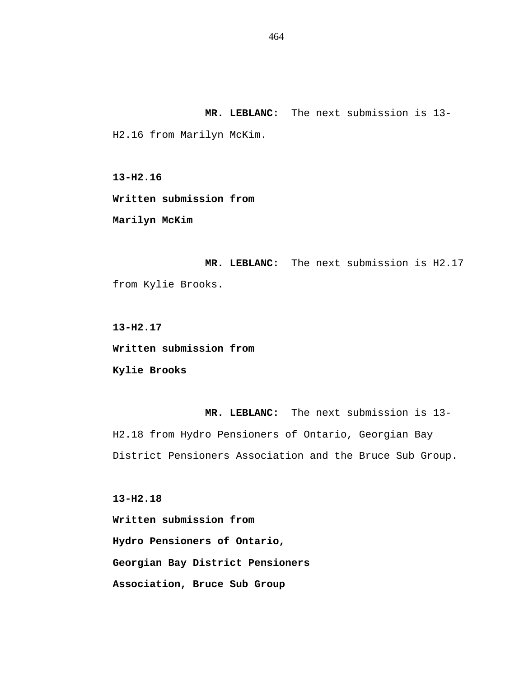**MR. LEBLANC:** The next submission is 13- H2.16 from Marilyn McKim.

**13-H2.16**

**Written submission from** 

**Marilyn McKim**

**MR. LEBLANC:** The next submission is H2.17 from Kylie Brooks.

**13-H2.17**

**Written submission from**

**Kylie Brooks**

**MR. LEBLANC:** The next submission is 13- H2.18 from Hydro Pensioners of Ontario, Georgian Bay District Pensioners Association and the Bruce Sub Group.

**13-H2.18 Written submission from Hydro Pensioners of Ontario, Georgian Bay District Pensioners Association, Bruce Sub Group**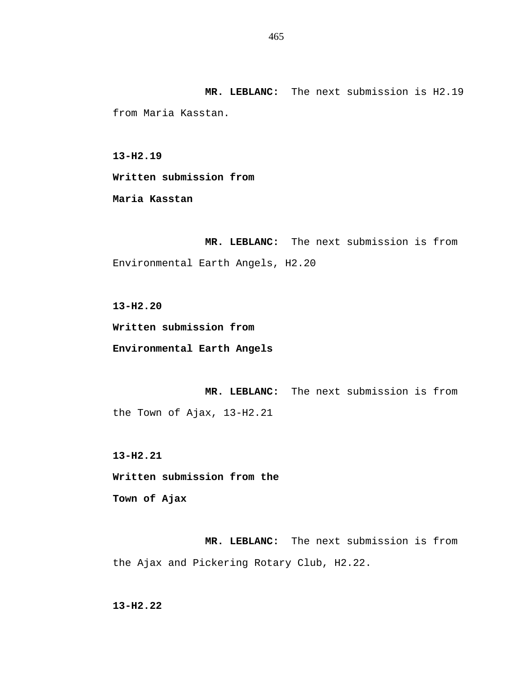**MR. LEBLANC:** The next submission is H2.19 from Maria Kasstan.

**13-H2.19**

**Written submission from**

**Maria Kasstan**

**MR. LEBLANC:** The next submission is from Environmental Earth Angels, H2.20

**13-H2.20**

**Written submission from**

**Environmental Earth Angels**

**MR. LEBLANC:** The next submission is from the Town of Ajax, 13-H2.21

**13-H2.21**

**Written submission from the**

**Town of Ajax**

**MR. LEBLANC:** The next submission is from the Ajax and Pickering Rotary Club, H2.22.

**13-H2.22**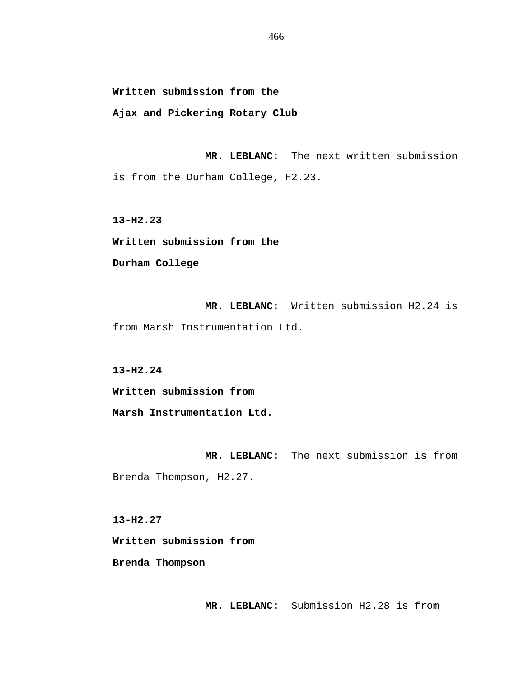**Written submission from the**

**Ajax and Pickering Rotary Club**

**MR. LEBLANC:** The next written submission is from the Durham College, H2.23.

**13-H2.23**

**Written submission from the**

**Durham College**

**MR. LEBLANC:** Written submission H2.24 is from Marsh Instrumentation Ltd.

**13-H2.24**

**Written submission from**

**Marsh Instrumentation Ltd.**

**MR. LEBLANC:** The next submission is from Brenda Thompson, H2.27.

**13-H2.27**

**Written submission from**

**Brenda Thompson**

**MR. LEBLANC:** Submission H2.28 is from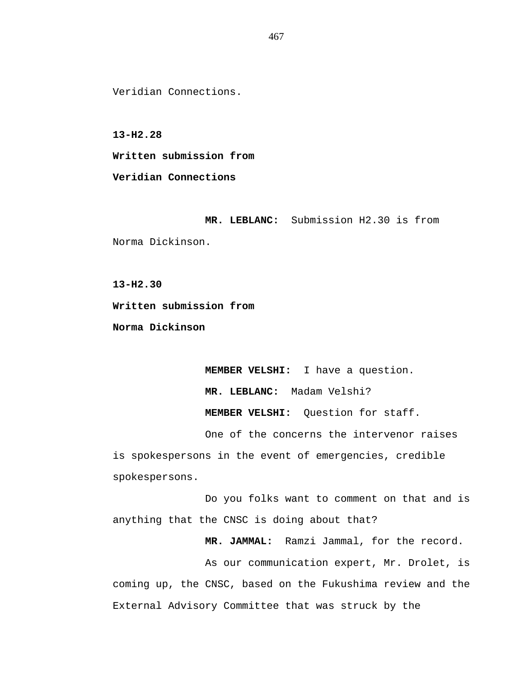Veridian Connections.

**13-H2.28 Written submission from Veridian Connections**

**MR. LEBLANC:** Submission H2.30 is from Norma Dickinson.

**13-H2.30**

**Written submission from**

**Norma Dickinson**

**MEMBER VELSHI:** I have a question. **MR. LEBLANC:** Madam Velshi? **MEMBER VELSHI:** Question for staff.

One of the concerns the intervenor raises is spokespersons in the event of emergencies, credible spokespersons.

Do you folks want to comment on that and is anything that the CNSC is doing about that?

**MR. JAMMAL:** Ramzi Jammal, for the record.

As our communication expert, Mr. Drolet, is coming up, the CNSC, based on the Fukushima review and the External Advisory Committee that was struck by the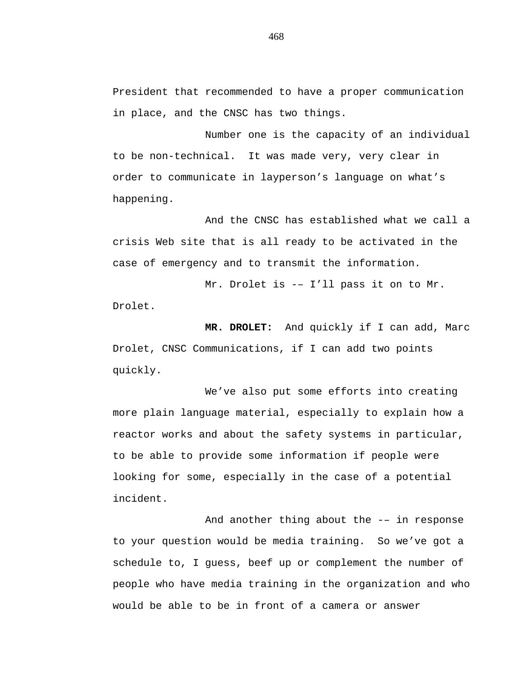President that recommended to have a proper communication in place, and the CNSC has two things.

Number one is the capacity of an individual to be non-technical. It was made very, very clear in order to communicate in layperson's language on what's happening.

And the CNSC has established what we call a crisis Web site that is all ready to be activated in the case of emergency and to transmit the information.

Mr. Drolet is -– I'll pass it on to Mr. Drolet.

**MR. DROLET:** And quickly if I can add, Marc Drolet, CNSC Communications, if I can add two points quickly.

We've also put some efforts into creating more plain language material, especially to explain how a reactor works and about the safety systems in particular, to be able to provide some information if people were looking for some, especially in the case of a potential incident.

And another thing about the -– in response to your question would be media training. So we've got a schedule to, I guess, beef up or complement the number of people who have media training in the organization and who would be able to be in front of a camera or answer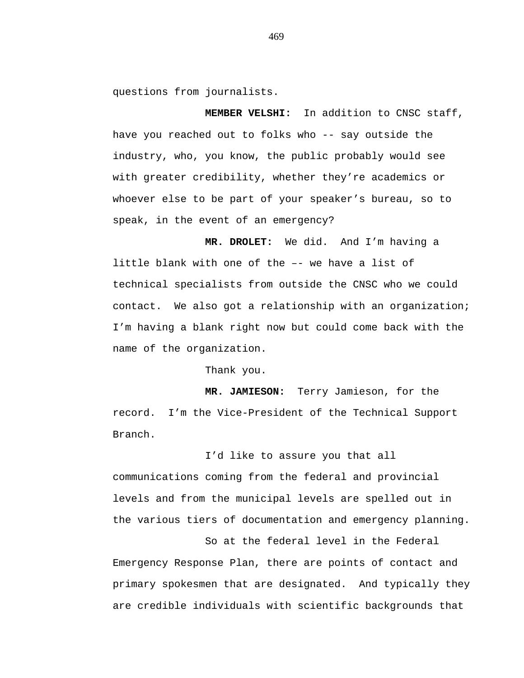questions from journalists.

**MEMBER VELSHI:** In addition to CNSC staff, have you reached out to folks who -- say outside the industry, who, you know, the public probably would see with greater credibility, whether they're academics or whoever else to be part of your speaker's bureau, so to speak, in the event of an emergency?

**MR. DROLET:** We did. And I'm having a little blank with one of the –- we have a list of technical specialists from outside the CNSC who we could contact. We also got a relationship with an organization; I'm having a blank right now but could come back with the name of the organization.

Thank you.

**MR. JAMIESON:** Terry Jamieson, for the record. I'm the Vice-President of the Technical Support Branch.

I'd like to assure you that all communications coming from the federal and provincial levels and from the municipal levels are spelled out in the various tiers of documentation and emergency planning.

So at the federal level in the Federal Emergency Response Plan, there are points of contact and primary spokesmen that are designated. And typically they are credible individuals with scientific backgrounds that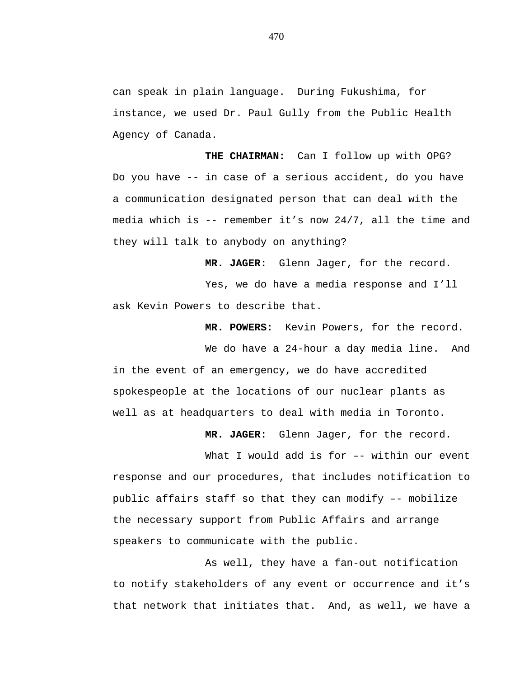can speak in plain language. During Fukushima, for instance, we used Dr. Paul Gully from the Public Health Agency of Canada.

**THE CHAIRMAN:** Can I follow up with OPG? Do you have -- in case of a serious accident, do you have a communication designated person that can deal with the media which is -- remember it's now 24/7, all the time and they will talk to anybody on anything?

**MR. JAGER:** Glenn Jager, for the record. Yes, we do have a media response and I'll ask Kevin Powers to describe that.

**MR. POWERS:** Kevin Powers, for the record.

We do have a 24-hour a day media line. And in the event of an emergency, we do have accredited spokespeople at the locations of our nuclear plants as well as at headquarters to deal with media in Toronto.

**MR. JAGER:** Glenn Jager, for the record.

What I would add is for -- within our event response and our procedures, that includes notification to public affairs staff so that they can modify –- mobilize the necessary support from Public Affairs and arrange speakers to communicate with the public.

As well, they have a fan-out notification to notify stakeholders of any event or occurrence and it's that network that initiates that. And, as well, we have a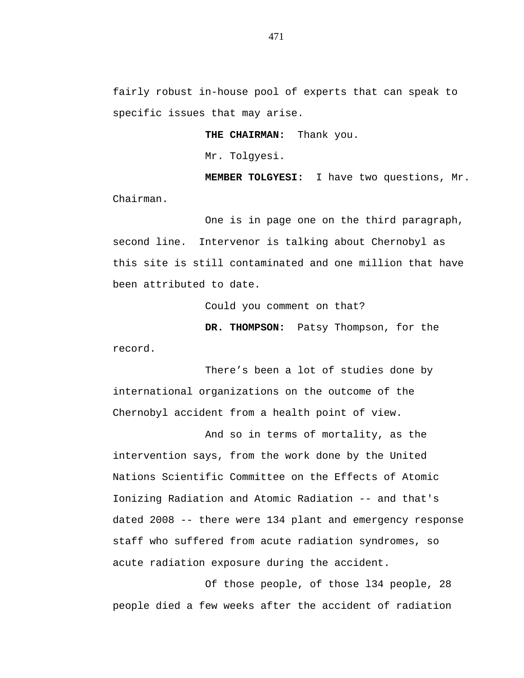fairly robust in-house pool of experts that can speak to specific issues that may arise.

**THE CHAIRMAN:** Thank you.

Mr. Tolgyesi.

**MEMBER TOLGYESI:** I have two questions, Mr. Chairman.

One is in page one on the third paragraph, second line. Intervenor is talking about Chernobyl as this site is still contaminated and one million that have been attributed to date.

Could you comment on that?

**DR. THOMPSON:** Patsy Thompson, for the record.

There's been a lot of studies done by international organizations on the outcome of the Chernobyl accident from a health point of view.

And so in terms of mortality, as the intervention says, from the work done by the United Nations Scientific Committee on the Effects of Atomic Ionizing Radiation and Atomic Radiation -- and that's dated 2008 -- there were 134 plant and emergency response staff who suffered from acute radiation syndromes, so acute radiation exposure during the accident.

Of those people, of those l34 people, 28 people died a few weeks after the accident of radiation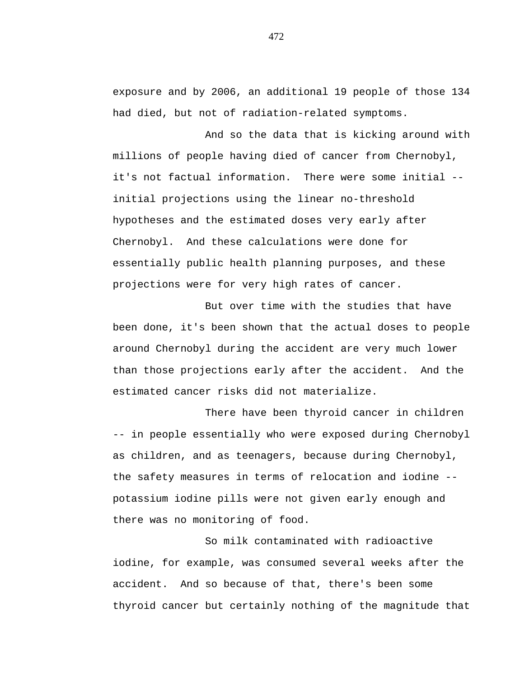exposure and by 2006, an additional 19 people of those 134 had died, but not of radiation-related symptoms.

And so the data that is kicking around with millions of people having died of cancer from Chernobyl, it's not factual information. There were some initial - initial projections using the linear no-threshold hypotheses and the estimated doses very early after Chernobyl. And these calculations were done for essentially public health planning purposes, and these projections were for very high rates of cancer.

But over time with the studies that have been done, it's been shown that the actual doses to people around Chernobyl during the accident are very much lower than those projections early after the accident. And the estimated cancer risks did not materialize.

There have been thyroid cancer in children -- in people essentially who were exposed during Chernobyl as children, and as teenagers, because during Chernobyl, the safety measures in terms of relocation and iodine - potassium iodine pills were not given early enough and there was no monitoring of food.

So milk contaminated with radioactive iodine, for example, was consumed several weeks after the accident. And so because of that, there's been some thyroid cancer but certainly nothing of the magnitude that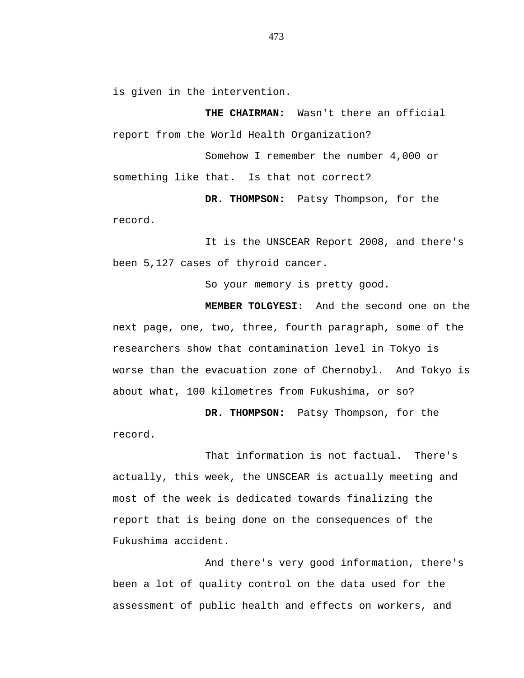is given in the intervention.

**THE CHAIRMAN:** Wasn't there an official report from the World Health Organization?

Somehow I remember the number 4,000 or something like that. Is that not correct?

**DR. THOMPSON:** Patsy Thompson, for the record.

It is the UNSCEAR Report 2008, and there's been 5,127 cases of thyroid cancer.

So your memory is pretty good.

**MEMBER TOLGYESI:** And the second one on the next page, one, two, three, fourth paragraph, some of the researchers show that contamination level in Tokyo is worse than the evacuation zone of Chernobyl. And Tokyo is about what, 100 kilometres from Fukushima, or so?

**DR. THOMPSON:** Patsy Thompson, for the record.

That information is not factual. There's actually, this week, the UNSCEAR is actually meeting and most of the week is dedicated towards finalizing the report that is being done on the consequences of the Fukushima accident.

And there's very good information, there's been a lot of quality control on the data used for the assessment of public health and effects on workers, and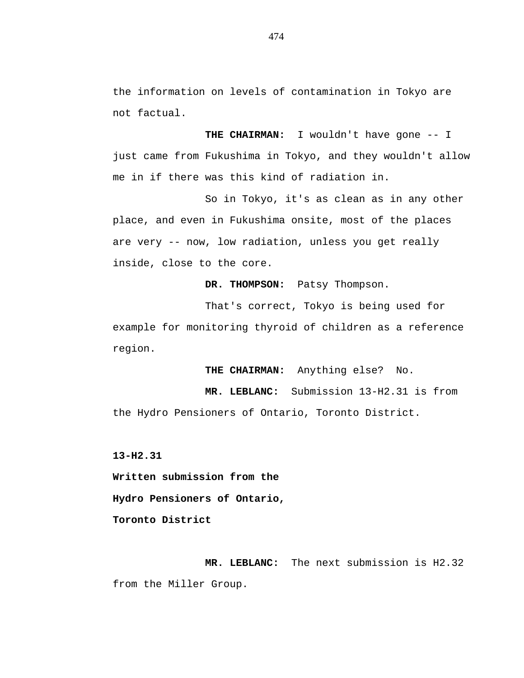the information on levels of contamination in Tokyo are not factual.

**THE CHAIRMAN:** I wouldn't have gone -- I just came from Fukushima in Tokyo, and they wouldn't allow me in if there was this kind of radiation in.

So in Tokyo, it's as clean as in any other place, and even in Fukushima onsite, most of the places are very -- now, low radiation, unless you get really inside, close to the core.

**DR. THOMPSON:** Patsy Thompson.

That's correct, Tokyo is being used for example for monitoring thyroid of children as a reference region.

**THE CHAIRMAN:** Anything else? No.

**MR. LEBLANC:** Submission 13-H2.31 is from the Hydro Pensioners of Ontario, Toronto District.

**13-H2.31**

**Written submission from the**

**Hydro Pensioners of Ontario,** 

**Toronto District**

**MR. LEBLANC:** The next submission is H2.32 from the Miller Group.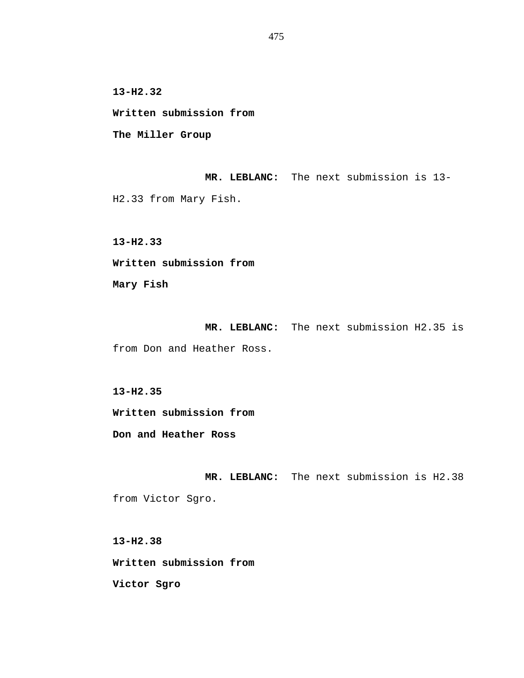**13-H2.32**

**Written submission from**

**The Miller Group**

**MR. LEBLANC:** The next submission is 13- H2.33 from Mary Fish.

**13-H2.33 Written submission from Mary Fish**

**MR. LEBLANC:** The next submission H2.35 is from Don and Heather Ross.

**13-H2.35**

**Written submission from**

**Don and Heather Ross**

**MR. LEBLANC:** The next submission is H2.38 from Victor Sgro.

**13-H2.38**

**Written submission from**

**Victor Sgro**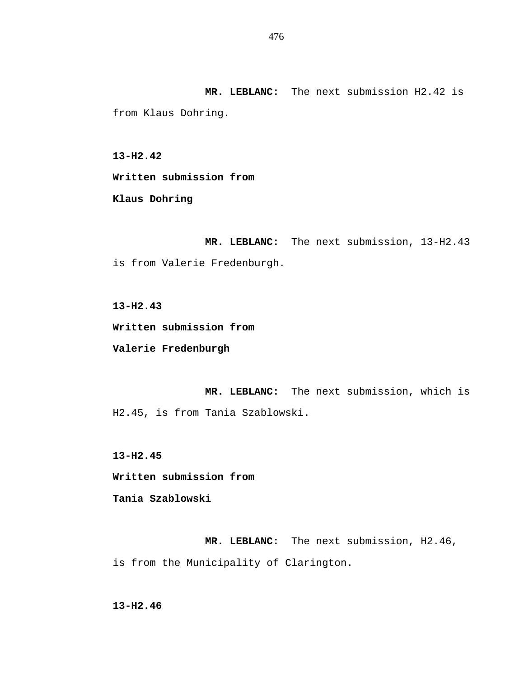**MR. LEBLANC:** The next submission H2.42 is from Klaus Dohring.

**13-H2.42**

**Written submission from**

**Klaus Dohring**

**MR. LEBLANC:** The next submission, 13-H2.43 is from Valerie Fredenburgh.

**13-H2.43**

**Written submission from**

**Valerie Fredenburgh**

**MR. LEBLANC:** The next submission, which is H2.45, is from Tania Szablowski.

**13-H2.45**

**Written submission from**

**Tania Szablowski**

**MR. LEBLANC:** The next submission, H2.46, is from the Municipality of Clarington.

**13-H2.46**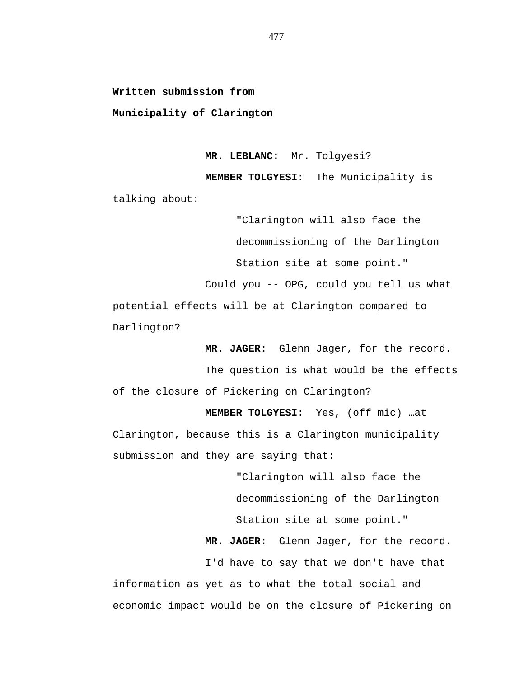**Written submission from**

**Municipality of Clarington**

**MR. LEBLANC:** Mr. Tolgyesi?

**MEMBER TOLGYESI:** The Municipality is talking about:

"Clarington will also face the decommissioning of the Darlington Station site at some point." Could you -- OPG, could you tell us what potential effects will be at Clarington compared to Darlington?

**MR. JAGER:** Glenn Jager, for the record. The question is what would be the effects of the closure of Pickering on Clarington?

**MEMBER TOLGYESI:** Yes, (off mic) …at Clarington, because this is a Clarington municipality submission and they are saying that:

> "Clarington will also face the decommissioning of the Darlington Station site at some point."

**MR. JAGER:** Glenn Jager, for the record.

I'd have to say that we don't have that information as yet as to what the total social and economic impact would be on the closure of Pickering on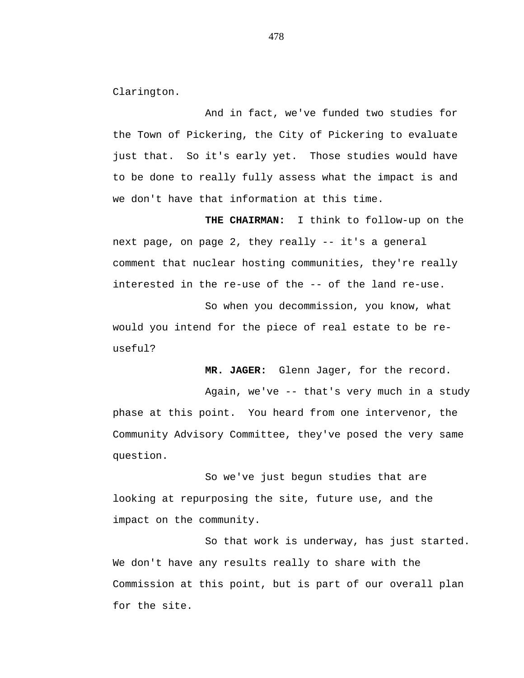Clarington.

And in fact, we've funded two studies for the Town of Pickering, the City of Pickering to evaluate just that. So it's early yet. Those studies would have to be done to really fully assess what the impact is and we don't have that information at this time.

**THE CHAIRMAN:** I think to follow-up on the next page, on page 2, they really -- it's a general comment that nuclear hosting communities, they're really interested in the re-use of the -- of the land re-use.

So when you decommission, you know, what would you intend for the piece of real estate to be reuseful?

**MR. JAGER:** Glenn Jager, for the record.

Again, we've -- that's very much in a study phase at this point. You heard from one intervenor, the Community Advisory Committee, they've posed the very same question.

So we've just begun studies that are looking at repurposing the site, future use, and the impact on the community.

So that work is underway, has just started. We don't have any results really to share with the Commission at this point, but is part of our overall plan for the site.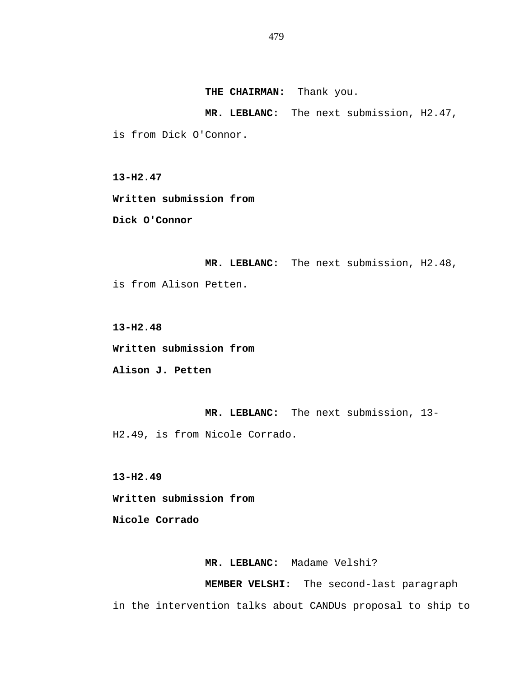## **THE CHAIRMAN:** Thank you.

**MR. LEBLANC:** The next submission, H2.47,

is from Dick O'Connor.

**13-H2.47**

**Written submission from**

**Dick O'Connor**

**MR. LEBLANC:** The next submission, H2.48, is from Alison Petten.

**13-H2.48**

**Written submission from**

**Alison J. Petten**

**MR. LEBLANC:** The next submission, 13- H2.49, is from Nicole Corrado.

**13-H2.49**

**Written submission from**

**Nicole Corrado**

## **MR. LEBLANC:** Madame Velshi?

**MEMBER VELSHI:** The second-last paragraph in the intervention talks about CANDUs proposal to ship to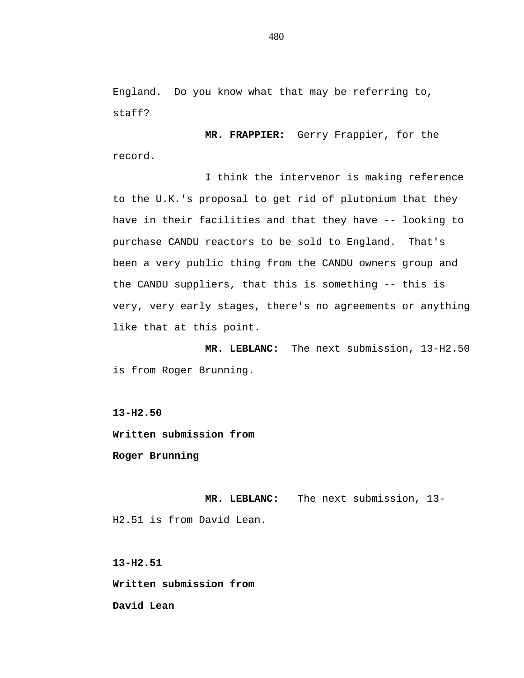England. Do you know what that may be referring to, staff?

**MR. FRAPPIER:** Gerry Frappier, for the record.

I think the intervenor is making reference to the U.K.'s proposal to get rid of plutonium that they have in their facilities and that they have -- looking to purchase CANDU reactors to be sold to England. That's been a very public thing from the CANDU owners group and the CANDU suppliers, that this is something -- this is very, very early stages, there's no agreements or anything like that at this point.

**MR. LEBLANC:** The next submission, 13-H2.50 is from Roger Brunning.

**13-H2.50**

**Written submission from**

**Roger Brunning**

**MR. LEBLANC:** The next submission, 13- H2.51 is from David Lean.

**13-H2.51 Written submission from David Lean**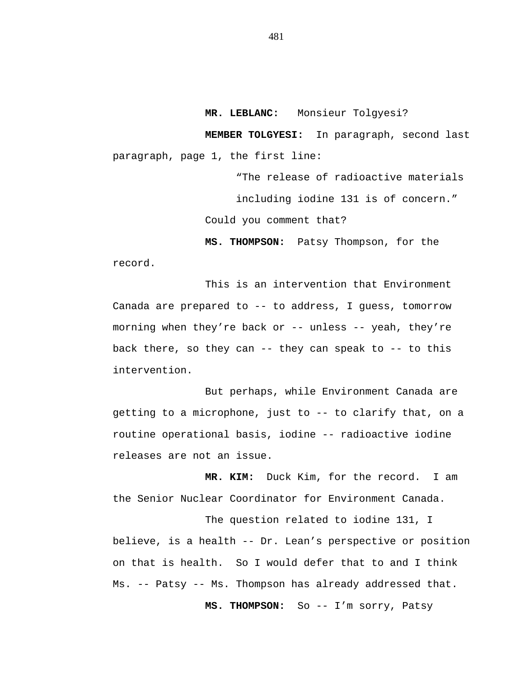**MR. LEBLANC:** Monsieur Tolgyesi?

**MEMBER TOLGYESI:** In paragraph, second last paragraph, page 1, the first line:

> "The release of radioactive materials including iodine 131 is of concern." Could you comment that?

**MS. THOMPSON:** Patsy Thompson, for the

This is an intervention that Environment Canada are prepared to -- to address, I guess, tomorrow morning when they're back or -- unless -- yeah, they're back there, so they can  $-$ - they can speak to  $-$ - to this intervention.

record.

But perhaps, while Environment Canada are getting to a microphone, just to -- to clarify that, on a routine operational basis, iodine -- radioactive iodine releases are not an issue.

**MR. KIM:** Duck Kim, for the record. I am the Senior Nuclear Coordinator for Environment Canada.

The question related to iodine 131, I believe, is a health -- Dr. Lean's perspective or position on that is health. So I would defer that to and I think Ms. -- Patsy -- Ms. Thompson has already addressed that.

**MS. THOMPSON:** So -- I'm sorry, Patsy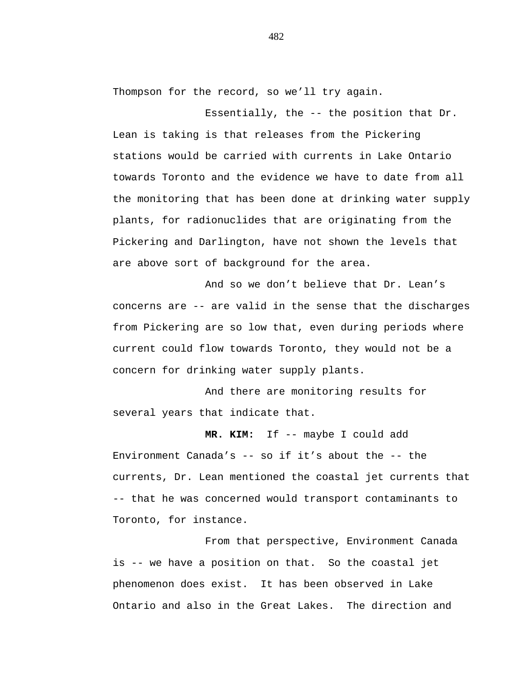Thompson for the record, so we'll try again.

Essentially, the -- the position that Dr. Lean is taking is that releases from the Pickering stations would be carried with currents in Lake Ontario towards Toronto and the evidence we have to date from all the monitoring that has been done at drinking water supply plants, for radionuclides that are originating from the Pickering and Darlington, have not shown the levels that are above sort of background for the area.

And so we don't believe that Dr. Lean's concerns are -- are valid in the sense that the discharges from Pickering are so low that, even during periods where current could flow towards Toronto, they would not be a concern for drinking water supply plants.

And there are monitoring results for several years that indicate that.

**MR. KIM:** If -- maybe I could add Environment Canada's -- so if it's about the -- the currents, Dr. Lean mentioned the coastal jet currents that -- that he was concerned would transport contaminants to Toronto, for instance.

From that perspective, Environment Canada is -- we have a position on that. So the coastal jet phenomenon does exist. It has been observed in Lake Ontario and also in the Great Lakes. The direction and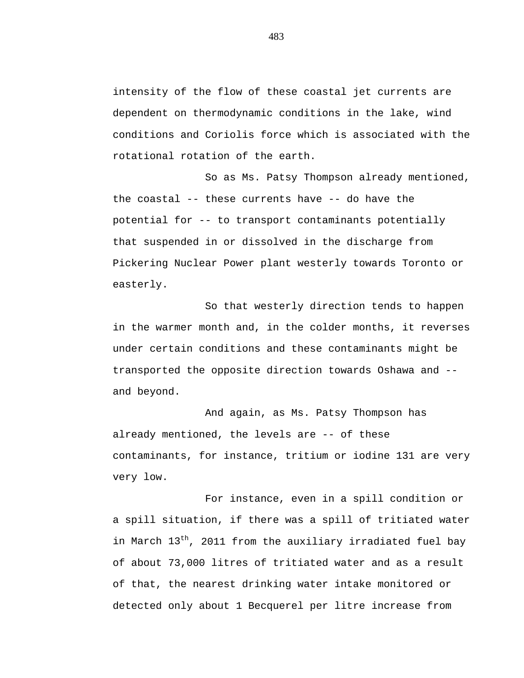intensity of the flow of these coastal jet currents are dependent on thermodynamic conditions in the lake, wind conditions and Coriolis force which is associated with the rotational rotation of the earth.

So as Ms. Patsy Thompson already mentioned, the coastal -- these currents have -- do have the potential for -- to transport contaminants potentially that suspended in or dissolved in the discharge from Pickering Nuclear Power plant westerly towards Toronto or easterly.

So that westerly direction tends to happen in the warmer month and, in the colder months, it reverses under certain conditions and these contaminants might be transported the opposite direction towards Oshawa and - and beyond.

And again, as Ms. Patsy Thompson has already mentioned, the levels are -- of these contaminants, for instance, tritium or iodine 131 are very very low.

For instance, even in a spill condition or a spill situation, if there was a spill of tritiated water in March  $13^{th}$ , 2011 from the auxiliary irradiated fuel bay of about 73,000 litres of tritiated water and as a result of that, the nearest drinking water intake monitored or detected only about 1 Becquerel per litre increase from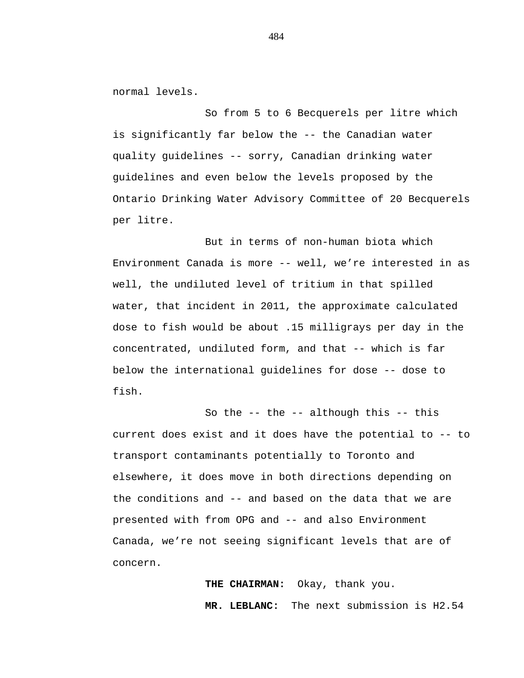normal levels.

So from 5 to 6 Becquerels per litre which is significantly far below the -- the Canadian water quality guidelines -- sorry, Canadian drinking water guidelines and even below the levels proposed by the Ontario Drinking Water Advisory Committee of 20 Becquerels per litre.

But in terms of non-human biota which Environment Canada is more -- well, we're interested in as well, the undiluted level of tritium in that spilled water, that incident in 2011, the approximate calculated dose to fish would be about .15 milligrays per day in the concentrated, undiluted form, and that -- which is far below the international guidelines for dose -- dose to fish.

So the -- the -- although this -- this current does exist and it does have the potential to -- to transport contaminants potentially to Toronto and elsewhere, it does move in both directions depending on the conditions and -- and based on the data that we are presented with from OPG and -- and also Environment Canada, we're not seeing significant levels that are of concern.

> **THE CHAIRMAN:** Okay, thank you. **MR. LEBLANC:** The next submission is H2.54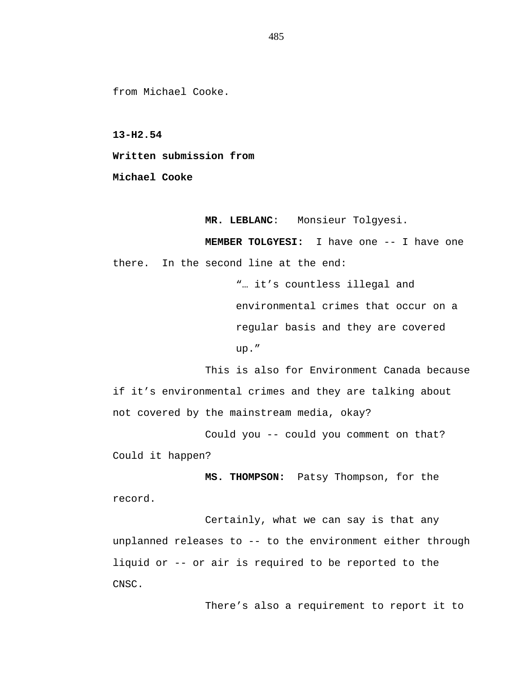from Michael Cooke.

**13-H2.54 Written submission from**

**Michael Cooke**

**MR. LEBLANC**: Monsieur Tolgyesi.

**MEMBER TOLGYESI:** I have one -- I have one there. In the second line at the end:

> "… it's countless illegal and environmental crimes that occur on a regular basis and they are covered up."

This is also for Environment Canada because if it's environmental crimes and they are talking about not covered by the mainstream media, okay?

Could you -- could you comment on that? Could it happen?

**MS. THOMPSON:** Patsy Thompson, for the record.

Certainly, what we can say is that any unplanned releases to -- to the environment either through liquid or -- or air is required to be reported to the CNSC.

There's also a requirement to report it to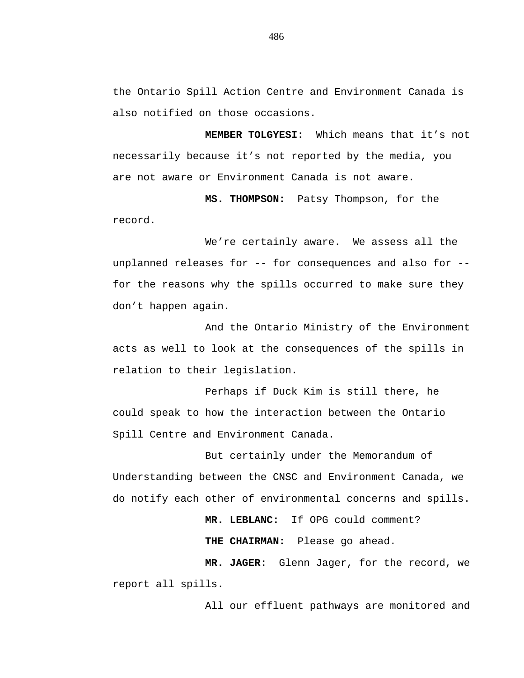the Ontario Spill Action Centre and Environment Canada is also notified on those occasions.

**MEMBER TOLGYESI:** Which means that it's not necessarily because it's not reported by the media, you are not aware or Environment Canada is not aware.

**MS. THOMPSON:** Patsy Thompson, for the record.

We're certainly aware. We assess all the unplanned releases for -- for consequences and also for - for the reasons why the spills occurred to make sure they don't happen again.

And the Ontario Ministry of the Environment acts as well to look at the consequences of the spills in relation to their legislation.

Perhaps if Duck Kim is still there, he could speak to how the interaction between the Ontario Spill Centre and Environment Canada.

But certainly under the Memorandum of Understanding between the CNSC and Environment Canada, we do notify each other of environmental concerns and spills.

> **MR. LEBLANC:** If OPG could comment? **THE CHAIRMAN:** Please go ahead.

**MR. JAGER:** Glenn Jager, for the record, we report all spills.

All our effluent pathways are monitored and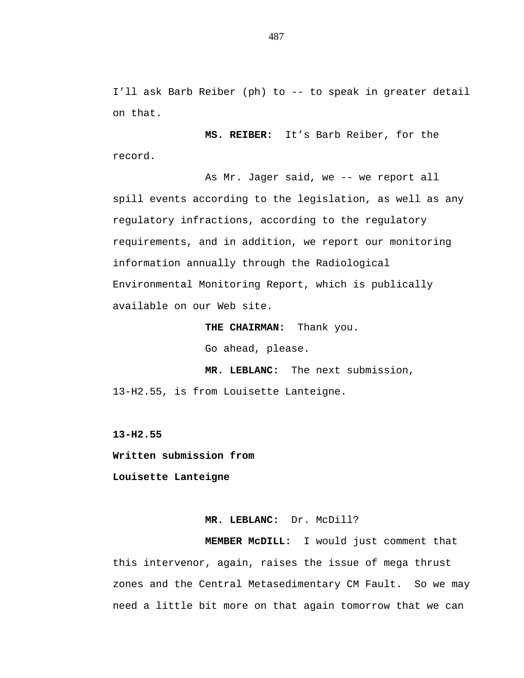I'll ask Barb Reiber (ph) to -- to speak in greater detail on that.

**MS. REIBER:** It's Barb Reiber, for the record.

As Mr. Jager said, we -- we report all spill events according to the legislation, as well as any regulatory infractions, according to the regulatory requirements, and in addition, we report our monitoring information annually through the Radiological Environmental Monitoring Report, which is publically available on our Web site.

**THE CHAIRMAN:** Thank you.

Go ahead, please.

**MR. LEBLANC:** The next submission,

13-H2.55, is from Louisette Lanteigne.

**13-H2.55**

**Written submission from**

**Louisette Lanteigne**

## **MR. LEBLANC:** Dr. McDill?

**MEMBER McDILL:** I would just comment that this intervenor, again, raises the issue of mega thrust zones and the Central Metasedimentary CM Fault. So we may need a little bit more on that again tomorrow that we can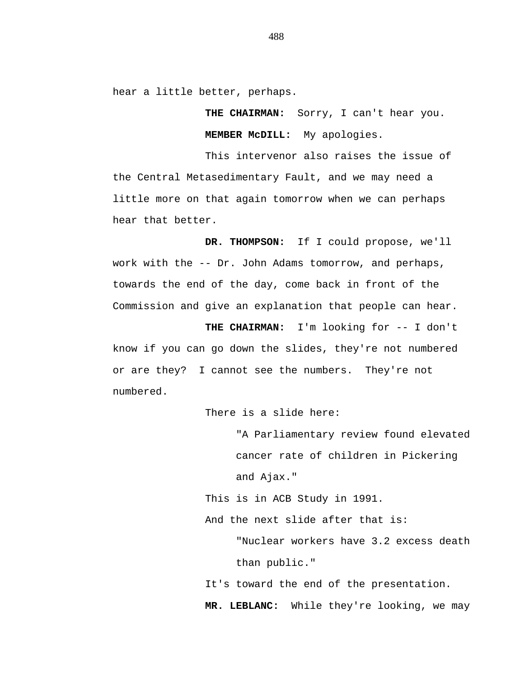hear a little better, perhaps.

**THE CHAIRMAN:** Sorry, I can't hear you. **MEMBER McDILL:** My apologies.

This intervenor also raises the issue of the Central Metasedimentary Fault, and we may need a little more on that again tomorrow when we can perhaps hear that better.

**DR. THOMPSON:** If I could propose, we'll work with the -- Dr. John Adams tomorrow, and perhaps, towards the end of the day, come back in front of the Commission and give an explanation that people can hear.

**THE CHAIRMAN:** I'm looking for -- I don't know if you can go down the slides, they're not numbered or are they? I cannot see the numbers. They're not numbered.

There is a slide here:

"A Parliamentary review found elevated cancer rate of children in Pickering and Ajax."

This is in ACB Study in 1991.

And the next slide after that is:

"Nuclear workers have 3.2 excess death than public."

It's toward the end of the presentation.

**MR. LEBLANC:** While they're looking, we may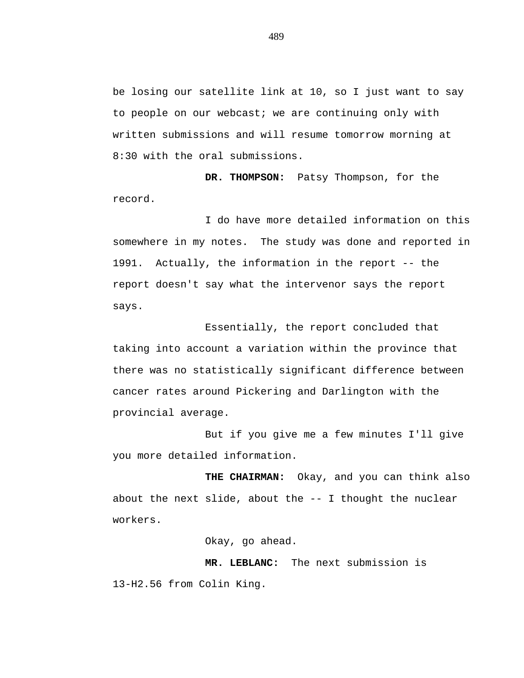be losing our satellite link at 10, so I just want to say to people on our webcast; we are continuing only with written submissions and will resume tomorrow morning at 8:30 with the oral submissions.

**DR. THOMPSON:** Patsy Thompson, for the record.

I do have more detailed information on this somewhere in my notes. The study was done and reported in 1991. Actually, the information in the report -- the report doesn't say what the intervenor says the report says.

Essentially, the report concluded that taking into account a variation within the province that there was no statistically significant difference between cancer rates around Pickering and Darlington with the provincial average.

But if you give me a few minutes I'll give you more detailed information.

**THE CHAIRMAN:** Okay, and you can think also about the next slide, about the -- I thought the nuclear workers.

Okay, go ahead.

**MR. LEBLANC:** The next submission is 13-H2.56 from Colin King.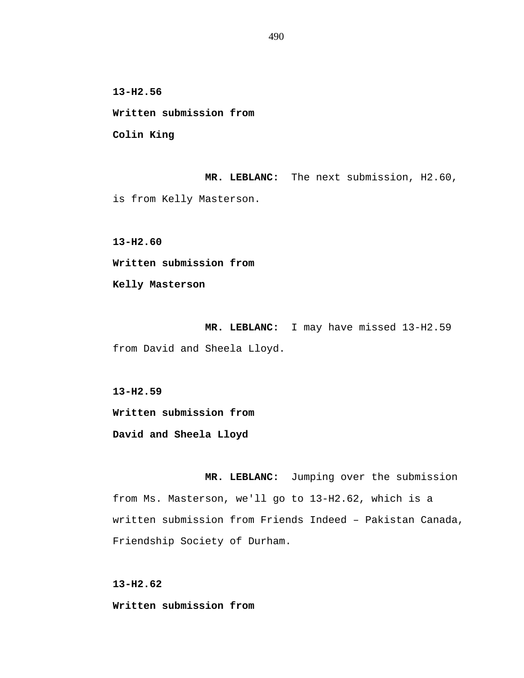**13-H2.56**

**Written submission from**

**Colin King**

**MR. LEBLANC:** The next submission, H2.60, is from Kelly Masterson.

**13-H2.60 Written submission from Kelly Masterson**

**MR. LEBLANC:** I may have missed 13-H2.59 from David and Sheela Lloyd.

**13-H2.59**

**Written submission from** 

**David and Sheela Lloyd**

**MR. LEBLANC:** Jumping over the submission from Ms. Masterson, we'll go to 13-H2.62, which is a written submission from Friends Indeed – Pakistan Canada, Friendship Society of Durham.

**13-H2.62 Written submission from**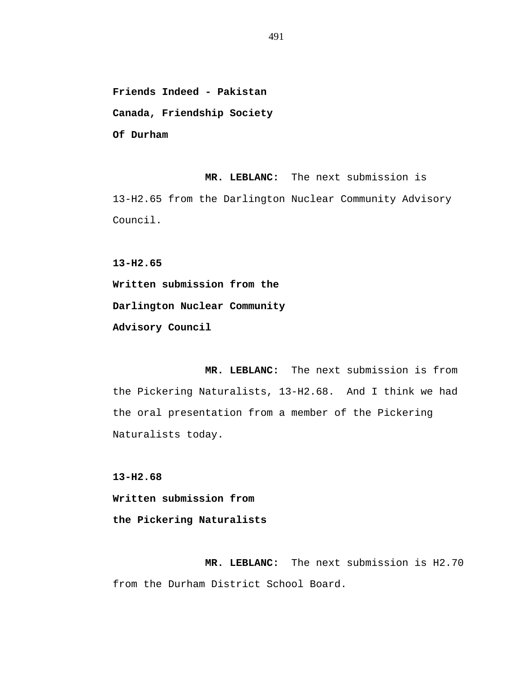**Friends Indeed - Pakistan Canada, Friendship Society Of Durham**

**MR. LEBLANC:** The next submission is 13-H2.65 from the Darlington Nuclear Community Advisory Council.

**Written submission from the Darlington Nuclear Community Advisory Council**

**13-H2.65**

**13-H2.68**

**MR. LEBLANC:** The next submission is from the Pickering Naturalists, 13-H2.68. And I think we had the oral presentation from a member of the Pickering Naturalists today.

**Written submission from the Pickering Naturalists**

**MR. LEBLANC:** The next submission is H2.70 from the Durham District School Board.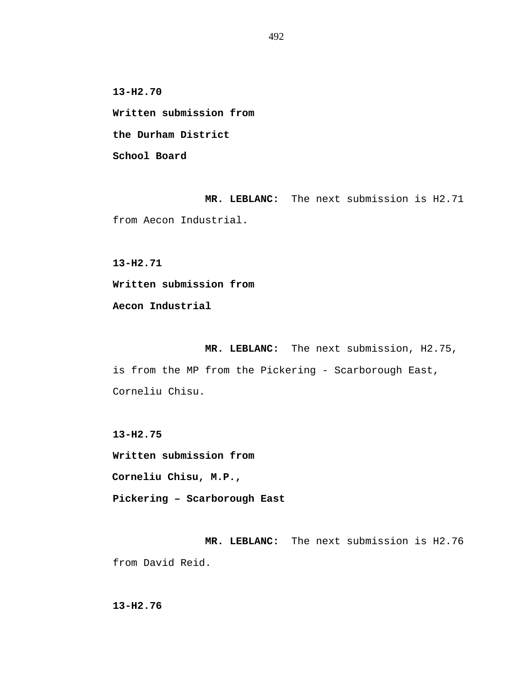**13-H2.70**

**Written submission from the Durham District**

**School Board**

**MR. LEBLANC:** The next submission is H2.71 from Aecon Industrial.

**13-H2.71**

**Written submission from** 

**Aecon Industrial**

**MR. LEBLANC:** The next submission, H2.75, is from the MP from the Pickering - Scarborough East, Corneliu Chisu.

**13-H2.75**

**Written submission from**

**Corneliu Chisu, M.P.,** 

**Pickering – Scarborough East**

**MR. LEBLANC:** The next submission is H2.76 from David Reid.

**13-H2.76**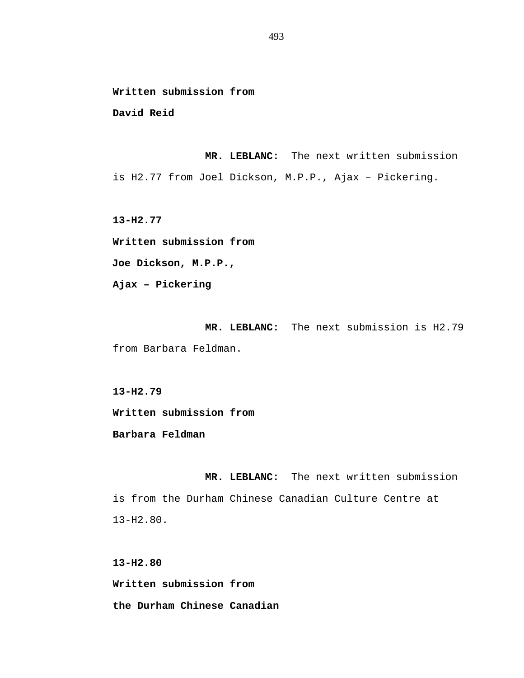**Written submission from** 

**David Reid**

**MR. LEBLANC:** The next written submission is H2.77 from Joel Dickson, M.P.P., Ajax – Pickering.

**13-H2.77 Written submission from Joe Dickson, M.P.P., Ajax – Pickering**

**MR. LEBLANC:** The next submission is H2.79 from Barbara Feldman.

**13-H2.79**

**Written submission from** 

**Barbara Feldman**

**MR. LEBLANC:** The next written submission is from the Durham Chinese Canadian Culture Centre at 13-H2.80.

**13-H2.80 Written submission from the Durham Chinese Canadian**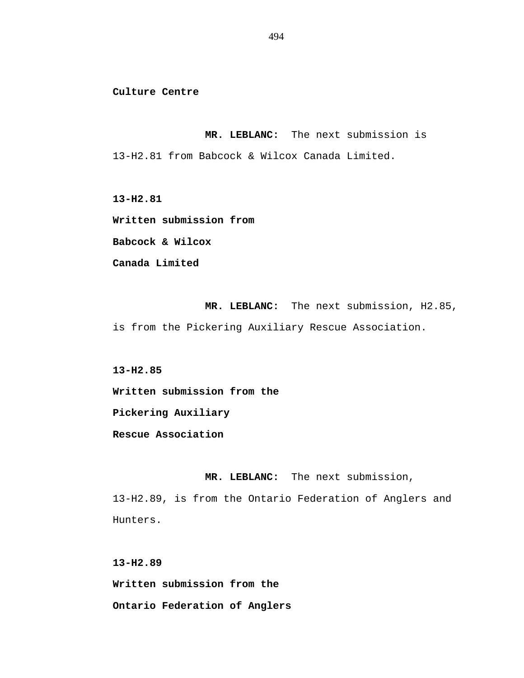**Culture Centre**

**MR. LEBLANC:** The next submission is 13-H2.81 from Babcock & Wilcox Canada Limited.

**13-H2.81**

**Written submission from**

**Babcock & Wilcox**

**Canada Limited**

**MR. LEBLANC:** The next submission, H2.85, is from the Pickering Auxiliary Rescue Association.

**13-H2.85**

**Written submission from the**

**Pickering Auxiliary** 

**Rescue Association**

**MR. LEBLANC:** The next submission,

13-H2.89, is from the Ontario Federation of Anglers and Hunters.

**13-H2.89 Written submission from the Ontario Federation of Anglers**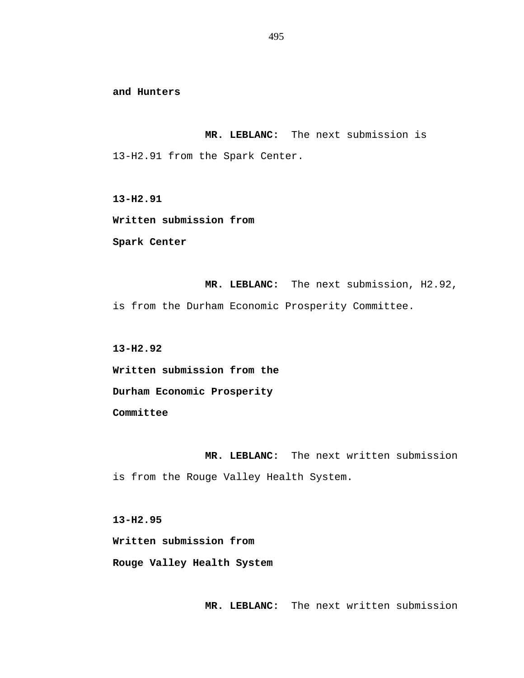**and Hunters**

**MR. LEBLANC:** The next submission is 13-H2.91 from the Spark Center.

**13-H2.91**

**Written submission from** 

**Spark Center**

**MR. LEBLANC:** The next submission, H2.92, is from the Durham Economic Prosperity Committee.

**13-H2.92**

**Written submission from the**

**Durham Economic Prosperity**

**Committee**

**MR. LEBLANC:** The next written submission is from the Rouge Valley Health System.

**13-H2.95**

**Written submission from**

**Rouge Valley Health System**

**MR. LEBLANC:** The next written submission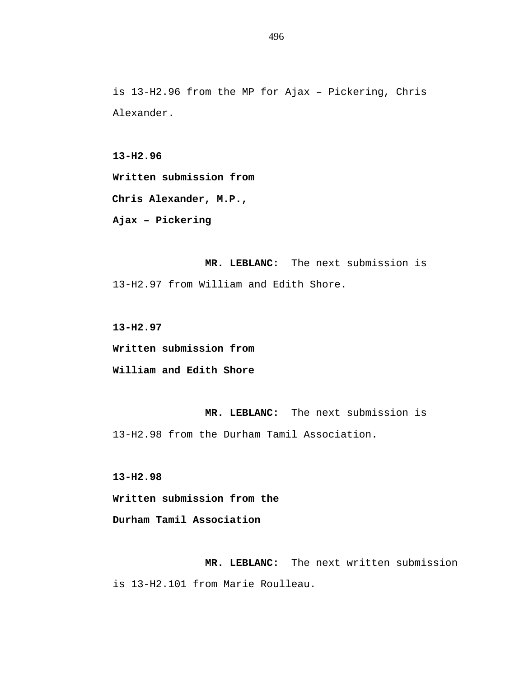is 13-H2.96 from the MP for Ajax – Pickering, Chris Alexander.

**13-H2.96**

**Written submission from**

**Chris Alexander, M.P.,** 

**Ajax – Pickering**

**MR. LEBLANC:** The next submission is 13-H2.97 from William and Edith Shore.

**13-H2.97**

**Written submission from**

**William and Edith Shore**

**MR. LEBLANC:** The next submission is 13-H2.98 from the Durham Tamil Association.

**13-H2.98**

**Written submission from the**

**Durham Tamil Association**

**MR. LEBLANC:** The next written submission is 13-H2.101 from Marie Roulleau.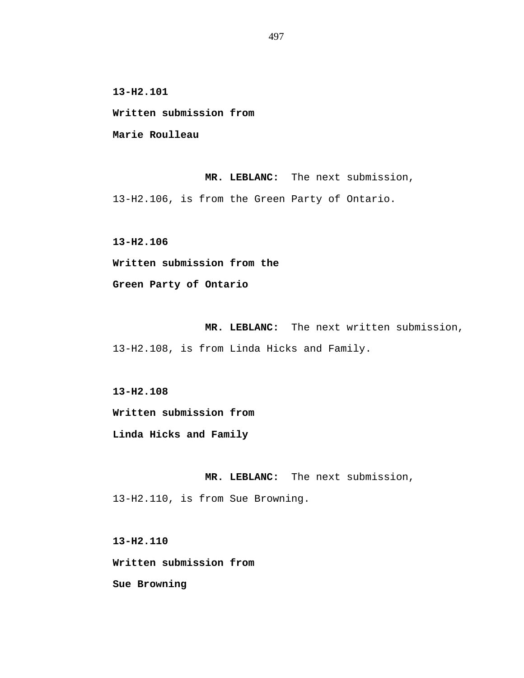**13-H2.101**

**Written submission from** 

**Marie Roulleau**

**MR. LEBLANC:** The next submission, 13-H2.106, is from the Green Party of Ontario.

**13-H2.106 Written submission from the Green Party of Ontario**

**MR. LEBLANC:** The next written submission, 13-H2.108, is from Linda Hicks and Family.

**13-H2.108**

**Written submission from**

**Linda Hicks and Family**

**MR. LEBLANC:** The next submission, 13-H2.110, is from Sue Browning.

**13-H2.110**

**Written submission from**

**Sue Browning**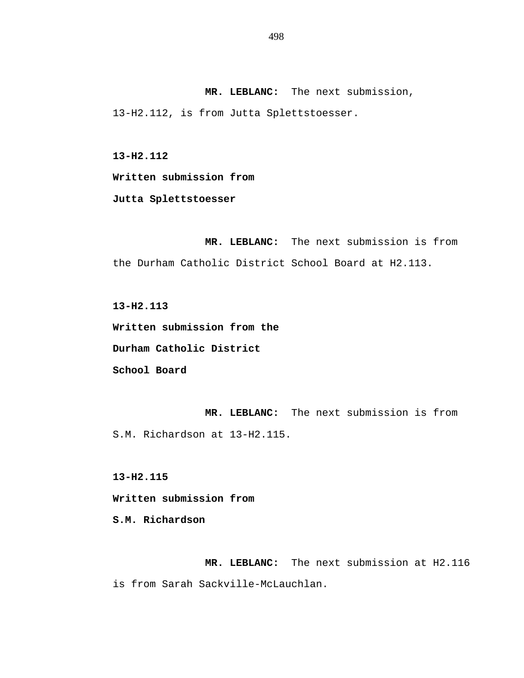**MR. LEBLANC:** The next submission, 13-H2.112, is from Jutta Splettstoesser.

**13-H2.112**

**Written submission from** 

**Jutta Splettstoesser**

**MR. LEBLANC:** The next submission is from the Durham Catholic District School Board at H2.113.

**13-H2.113**

**Written submission from the**

**Durham Catholic District**

**School Board**

**MR. LEBLANC:** The next submission is from S.M. Richardson at 13-H2.115.

**13-H2.115**

**Written submission from**

**S.M. Richardson**

**MR. LEBLANC:** The next submission at H2.116 is from Sarah Sackville-McLauchlan.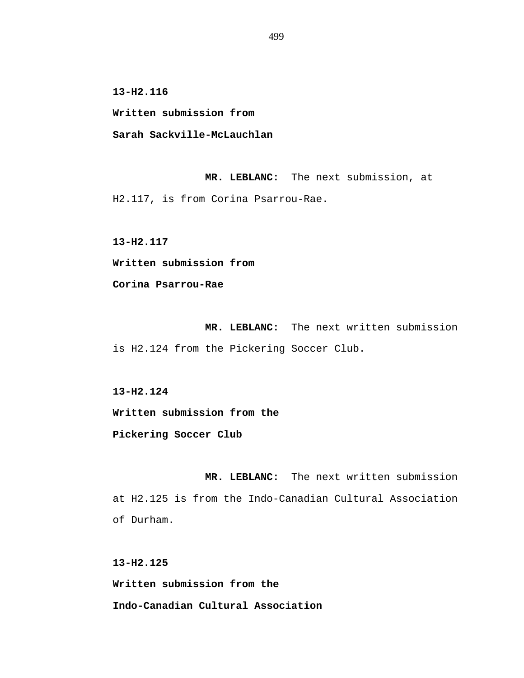**13-H2.116**

**Written submission from** 

**Sarah Sackville-McLauchlan**

**MR. LEBLANC:** The next submission, at H2.117, is from Corina Psarrou-Rae.

**13-H2.117 Written submission from Corina Psarrou-Rae**

**MR. LEBLANC:** The next written submission is H2.124 from the Pickering Soccer Club.

**13-H2.124**

**Written submission from the**

**Pickering Soccer Club**

**MR. LEBLANC:** The next written submission at H2.125 is from the Indo-Canadian Cultural Association of Durham.

**13-H2.125 Written submission from the Indo-Canadian Cultural Association**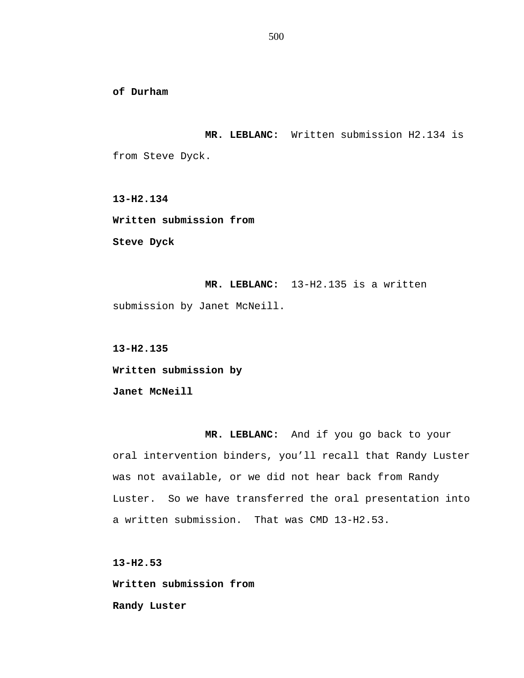**of Durham**

**MR. LEBLANC:** Written submission H2.134 is from Steve Dyck.

**13-H2.134**

**Written submission from**

**Steve Dyck**

**MR. LEBLANC:** 13-H2.135 is a written submission by Janet McNeill.

**13-H2.135**

**Written submission by**

**Janet McNeill**

**MR. LEBLANC:** And if you go back to your oral intervention binders, you'll recall that Randy Luster was not available, or we did not hear back from Randy Luster. So we have transferred the oral presentation into a written submission. That was CMD 13-H2.53.

**13-H2.53 Written submission from Randy Luster**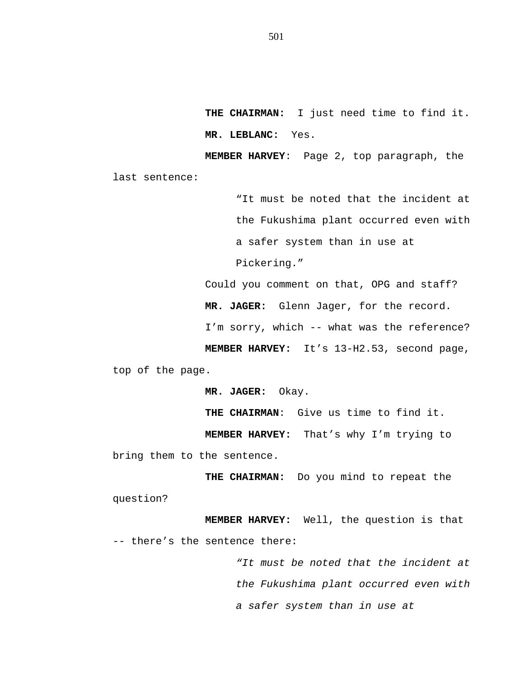**THE CHAIRMAN:** I just need time to find it. **MR. LEBLANC:** Yes.

**MEMBER HARVEY**: Page 2, top paragraph, the last sentence:

> "It must be noted that the incident at the Fukushima plant occurred even with a safer system than in use at Pickering."

Could you comment on that, OPG and staff? **MR. JAGER:** Glenn Jager, for the record. I'm sorry, which -- what was the reference? **MEMBER HARVEY:** It's 13-H2.53, second page,

top of the page.

**MR. JAGER:** Okay.

**THE CHAIRMAN**: Give us time to find it.

**MEMBER HARVEY:** That's why I'm trying to bring them to the sentence.

**THE CHAIRMAN:** Do you mind to repeat the question?

**MEMBER HARVEY:** Well, the question is that -- there's the sentence there:

> *"It must be noted that the incident at the Fukushima plant occurred even with a safer system than in use at*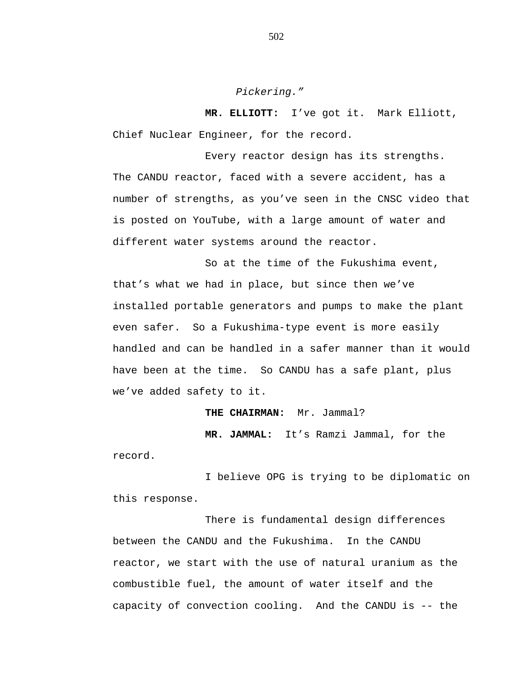*Pickering."*

**MR. ELLIOTT:** I've got it. Mark Elliott, Chief Nuclear Engineer, for the record.

Every reactor design has its strengths. The CANDU reactor, faced with a severe accident, has a number of strengths, as you've seen in the CNSC video that is posted on YouTube, with a large amount of water and different water systems around the reactor.

So at the time of the Fukushima event, that's what we had in place, but since then we've installed portable generators and pumps to make the plant even safer. So a Fukushima-type event is more easily handled and can be handled in a safer manner than it would have been at the time. So CANDU has a safe plant, plus we've added safety to it.

**THE CHAIRMAN:** Mr. Jammal?

**MR. JAMMAL:** It's Ramzi Jammal, for the record.

I believe OPG is trying to be diplomatic on this response.

There is fundamental design differences between the CANDU and the Fukushima. In the CANDU reactor, we start with the use of natural uranium as the combustible fuel, the amount of water itself and the capacity of convection cooling. And the CANDU is -- the

502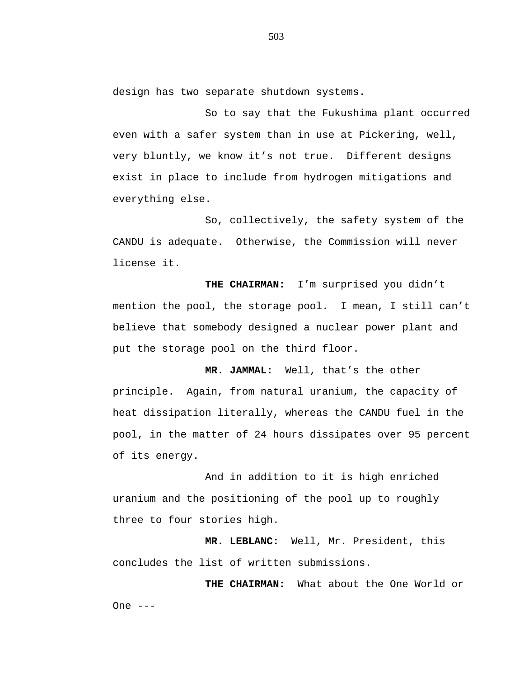design has two separate shutdown systems.

So to say that the Fukushima plant occurred even with a safer system than in use at Pickering, well, very bluntly, we know it's not true. Different designs exist in place to include from hydrogen mitigations and everything else.

So, collectively, the safety system of the CANDU is adequate. Otherwise, the Commission will never license it.

**THE CHAIRMAN:** I'm surprised you didn't mention the pool, the storage pool. I mean, I still can't believe that somebody designed a nuclear power plant and put the storage pool on the third floor.

**MR. JAMMAL:** Well, that's the other principle. Again, from natural uranium, the capacity of heat dissipation literally, whereas the CANDU fuel in the pool, in the matter of 24 hours dissipates over 95 percent of its energy.

And in addition to it is high enriched uranium and the positioning of the pool up to roughly three to four stories high.

**MR. LEBLANC:** Well, Mr. President, this concludes the list of written submissions.

**THE CHAIRMAN:** What about the One World or One  $---$ 

503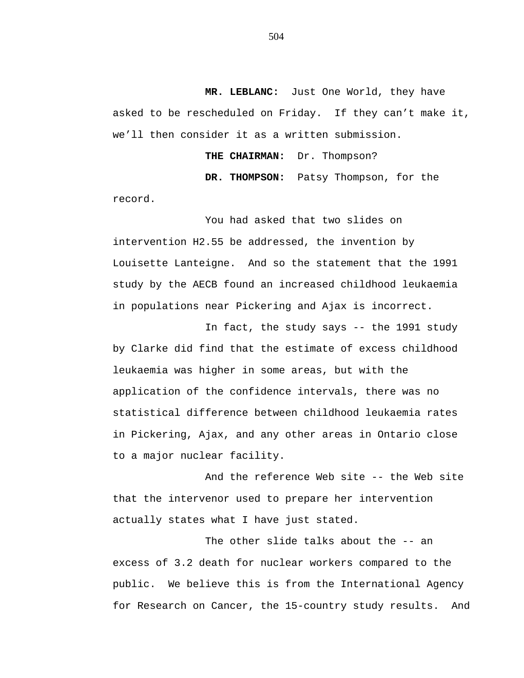**MR. LEBLANC:** Just One World, they have asked to be rescheduled on Friday. If they can't make it, we'll then consider it as a written submission.

**THE CHAIRMAN:** Dr. Thompson?

**DR. THOMPSON:** Patsy Thompson, for the

record.

You had asked that two slides on intervention H2.55 be addressed, the invention by Louisette Lanteigne. And so the statement that the 1991 study by the AECB found an increased childhood leukaemia in populations near Pickering and Ajax is incorrect.

In fact, the study says -- the 1991 study by Clarke did find that the estimate of excess childhood leukaemia was higher in some areas, but with the application of the confidence intervals, there was no statistical difference between childhood leukaemia rates in Pickering, Ajax, and any other areas in Ontario close to a major nuclear facility.

And the reference Web site -- the Web site that the intervenor used to prepare her intervention actually states what I have just stated.

The other slide talks about the -- an excess of 3.2 death for nuclear workers compared to the public. We believe this is from the International Agency for Research on Cancer, the 15-country study results. And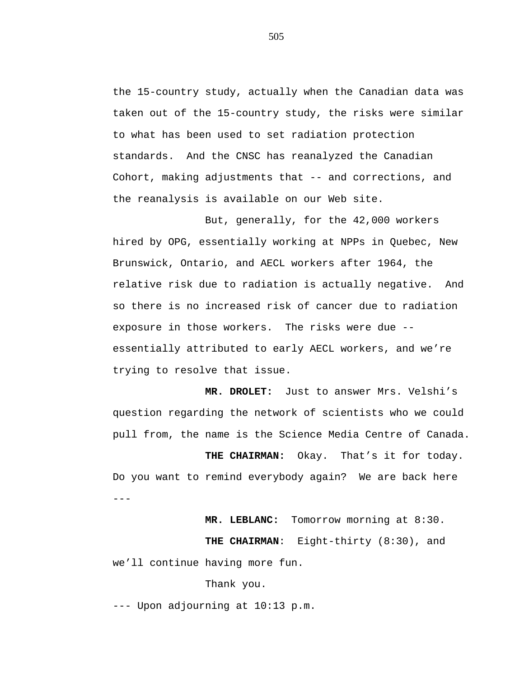the 15-country study, actually when the Canadian data was taken out of the 15-country study, the risks were similar to what has been used to set radiation protection standards. And the CNSC has reanalyzed the Canadian Cohort, making adjustments that -- and corrections, and the reanalysis is available on our Web site.

But, generally, for the 42,000 workers hired by OPG, essentially working at NPPs in Quebec, New Brunswick, Ontario, and AECL workers after 1964, the relative risk due to radiation is actually negative. And so there is no increased risk of cancer due to radiation exposure in those workers. The risks were due - essentially attributed to early AECL workers, and we're trying to resolve that issue.

**MR. DROLET:** Just to answer Mrs. Velshi's question regarding the network of scientists who we could pull from, the name is the Science Media Centre of Canada.

**THE CHAIRMAN:** Okay. That's it for today. Do you want to remind everybody again? We are back here ---

**MR. LEBLANC:** Tomorrow morning at 8:30.

**THE CHAIRMAN**: Eight-thirty (8:30), and we'll continue having more fun.

Thank you.

--- Upon adjourning at 10:13 p.m.

505